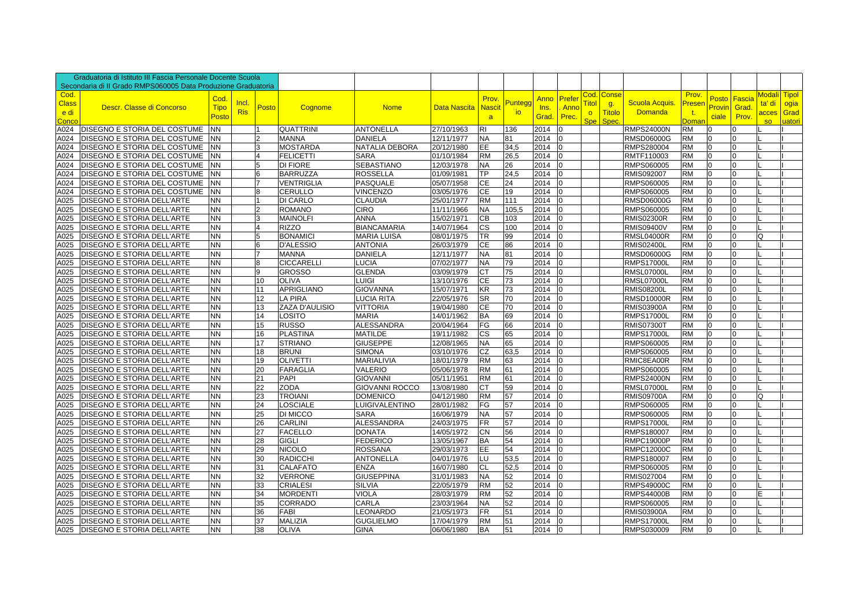|                                       | Graduatoria di Istituto III Fascia Personale Docente Scuola   |                              |                     |                 |                       |                       |                     |                             |              |                       |                         |                                              |                                       |                                  |                                    |                          |                          |                              |                                                  |
|---------------------------------------|---------------------------------------------------------------|------------------------------|---------------------|-----------------|-----------------------|-----------------------|---------------------|-----------------------------|--------------|-----------------------|-------------------------|----------------------------------------------|---------------------------------------|----------------------------------|------------------------------------|--------------------------|--------------------------|------------------------------|--------------------------------------------------|
|                                       | Secondaria di Il Grado RMPS060005 Data Produzione Graduatoria |                              |                     |                 |                       |                       |                     |                             |              |                       |                         |                                              |                                       |                                  |                                    |                          |                          |                              |                                                  |
| Cod.<br><b>Class</b><br>e di<br>Conco | Descr. Classe di Concorso                                     | Cod.<br><b>Tipo</b><br>Postc | Incl.<br><b>Ris</b> | <b>Posto</b>    | Cognome               | <b>Nome</b>           | <b>Data Nascita</b> | Prov.<br><b>Nascit</b><br>a | Punteg<br>io | Anno<br>Ins.<br>Grad. | Prefer<br>Anno<br>Prec. | Cod.<br><b>Tito</b><br>$\circ$<br><b>Spe</b> | Conse<br>g.<br><b>Titolo</b><br>Spec. | Scuola Acquis.<br><b>Domanda</b> | Prov.<br>Preser<br>$-t$ .<br>Domai | Posto<br>Provin<br>ciale | Fascia<br>Grad.<br>Prov. | ta' di<br>acces<br><b>SO</b> | Modali <b>i T</b> ipol<br>ogia<br>Grad<br>uatori |
| A024                                  | DISEGNO E STORIA DEL COSTUME                                  | NN.                          |                     |                 | <b>QUATTRINI</b>      | <b>ANTONELLA</b>      | 27/10/1963          | <b>RI</b>                   | 136          | 2014                  |                         |                                              |                                       | <b>RMPS24000N</b>                | <b>RM</b>                          | $\Omega$                 | $\Omega$                 |                              |                                                  |
| A024                                  | DISEGNO E STORIA DEL COSTUME                                  | NΝ                           |                     |                 | <b>MANNA</b>          | <b>DANIELA</b>        | 12/11/1977          | <b>NA</b>                   | 81           | 2014                  |                         |                                              |                                       | <b>RMSD06000G</b>                | <b>RM</b>                          | $\Omega$                 | $\Omega$                 |                              |                                                  |
| A024                                  | DISEGNO E STORIA DEL COSTUME                                  | ΝN                           |                     |                 | MOSTARDA              | NATALIA DEBORA        | 20/12/1980          | EE                          | 34,5         | 2014                  |                         |                                              |                                       | RMPS280004                       | <b>RM</b>                          | $\overline{0}$           | $\Omega$                 |                              |                                                  |
| A024                                  | DISEGNO E STORIA DEL COSTUME                                  | NN                           |                     |                 | <b>FELICETTI</b>      | <b>SARA</b>           | 01/10/1984          | <b>RM</b>                   | 26,5         | 2014                  |                         |                                              |                                       | RMTF110003                       | <b>RM</b>                          | $\overline{0}$           | $\Omega$                 |                              |                                                  |
| A024                                  | DISEGNO E STORIA DEL COSTUME                                  | NΝ                           |                     |                 | DI FIORE              | <b>SEBASTIANO</b>     | 12/03/1978          | NA                          | 26           | 2014                  |                         |                                              |                                       | RMPS060005                       | <b>RM</b>                          | $\overline{0}$           | $\Omega$                 |                              |                                                  |
| A024                                  | DISEGNO E STORIA DEL COSTUME                                  | NN.                          |                     |                 | BARRUZZA              | <b>ROSSELLA</b>       | 01/09/1981          | TР                          | 24,5         | 2014                  |                         |                                              |                                       | RMIS092007                       | <b>RM</b>                          | $\Omega$                 | $\Omega$                 |                              |                                                  |
| A024                                  | DISEGNO E STORIA DEL COSTUME                                  | NΝ                           |                     |                 | VENTRIGLIA            | PASQUALE              | 05/07/1958          | CE                          | 24           | 2014                  |                         |                                              |                                       | RMPS060005                       | <b>RM</b>                          | $\Omega$                 | $\Omega$                 |                              |                                                  |
| A024                                  | DISEGNO E STORIA DEL COSTUME                                  | <b>NN</b>                    |                     | <b>R</b>        | CERULLO               | <b>VINCENZO</b>       | 03/05/1976          | CE                          | 19           | 2014                  | $\Omega$                |                                              |                                       | RMPS060005                       | <b>RM</b>                          | $\Omega$                 | $\Omega$                 |                              |                                                  |
| A025                                  | DISEGNO E STORIA DELL'ARTE                                    | NN.                          |                     |                 | DI CARLO              | <b>CLAUDIA</b>        | 25/01/1977          | <b>RM</b>                   | 111          | 2014                  | $\Omega$                |                                              |                                       | <b>RMSD06000G</b>                | <b>RM</b>                          | $\overline{0}$           | $\Omega$                 |                              |                                                  |
| A025                                  | DISEGNO E STORIA DELL'ARTE                                    | NN.                          |                     | $\overline{2}$  | ROMANO                | <b>CIRO</b>           | 11/11/1966          | <b>NA</b>                   | 105,5        | 2014                  | l <sub>0</sub>          |                                              |                                       | RMPS060005                       | <b>RM</b>                          | l0                       | 0                        |                              |                                                  |
| A025                                  | DISEGNO E STORIA DELL'ARTE                                    | NN.                          |                     |                 | <b>MAINOLFI</b>       | <b>ANNA</b>           | 15/02/1971          | CВ                          | 103          | 2014                  |                         |                                              |                                       | <b>RMIS02300R</b>                | <b>RM</b>                          | $\overline{0}$           | $\Omega$                 |                              |                                                  |
| A025                                  | DISEGNO E STORIA DELL'ARTE                                    | ΝN                           |                     |                 | <b>RIZZO</b>          | <b>BIANCAMARIA</b>    | 14/07/1964          | S                           | 100          | 2014                  |                         |                                              |                                       | <b>RMIS09400V</b>                | <b>RM</b>                          | $\overline{0}$           | $\Omega$                 |                              |                                                  |
| A025                                  | DISEGNO E STORIA DELL'ARTE                                    | NN.                          |                     |                 | BONAMICI              | <b>MARIA LUISA</b>    | 08/01/1975          | <b>TR</b>                   | 99           | 2014                  |                         |                                              |                                       | <b>RMSL04000R</b>                | <b>RM</b>                          | $\overline{0}$           | $\Omega$                 | Ω                            |                                                  |
| A025                                  | DISEGNO E STORIA DELL'ARTE                                    | NN                           |                     |                 | <b>D'ALESSIO</b>      | <b>ANTONIA</b>        | 26/03/1979          | <b>CE</b>                   | 86           | 2014                  | $\Omega$                |                                              |                                       | <b>RMIS02400L</b>                | <b>RM</b>                          | $\overline{0}$           | 0                        |                              |                                                  |
| A025                                  | DISEGNO E STORIA DELL'ARTE                                    | NN                           |                     |                 | <b>MANNA</b>          | <b>DANIELA</b>        | 12/11/1977          | <b>NA</b>                   | 81           | 2014                  |                         |                                              |                                       | <b>RMSD06000G</b>                | <b>RM</b>                          | $\Omega$                 | $\Omega$                 |                              |                                                  |
| A025                                  | DISEGNO E STORIA DELL'ARTE                                    | NN.                          |                     |                 | CICCARELLI            | LUCIA                 | 07/02/1977          | <b>NA</b>                   | 79           | 2014                  |                         |                                              |                                       | <b>RMPS17000L</b>                | <b>RM</b>                          | $\Omega$                 | $\Omega$                 |                              |                                                  |
| A025                                  | DISEGNO E STORIA DELL'ARTE                                    | NN                           |                     | g               | GROSSO                | <b>GLENDA</b>         | 03/09/1979          | CT                          | 75           | 2014                  |                         |                                              |                                       | <b>RMSL07000L</b>                | <b>RM</b>                          | $\overline{0}$           | $\Omega$                 |                              |                                                  |
| A025                                  | DISEGNO E STORIA DELL'ARTE                                    | ΝN                           |                     | 10              | <b>OLIVA</b>          | <b>LUIGI</b>          | 13/10/1976          | CE                          | 73           | 2014                  | <sup>0</sup>            |                                              |                                       | <b>RMSL07000L</b>                | <b>RM</b>                          | $\overline{0}$           | $\overline{0}$           |                              |                                                  |
| A025                                  | DISEGNO E STORIA DELL'ARTE                                    | ΝN                           |                     | 11              | <b>APRIGLIANO</b>     | <b>GIOVANNA</b>       | 15/07/1971          | KR                          | 73           | 2014                  | $\Omega$                |                                              |                                       | <b>RMIS08200L</b>                | <b>RM</b>                          | $\overline{0}$           | 0                        |                              |                                                  |
| A025                                  | DISEGNO E STORIA DELL'ARTE                                    | ΝN                           |                     | 12              | A PIRA                | LUCIA RITA            | 22/05/1976          | <b>SR</b>                   | 70           | 2014                  |                         |                                              |                                       | <b>RMSD10000R</b>                | <b>RM</b>                          | $\overline{0}$           | $\Omega$                 |                              |                                                  |
| A025                                  | DISEGNO E STORIA DELL'ARTE                                    | NN.                          |                     | 13              | <b>ZAZA D'AULISIO</b> | <b>VITTORIA</b>       | 19/04/1980          | <b>CE</b>                   | 70           | 2014                  |                         |                                              |                                       | <b>RMIS03900A</b>                | <b>RM</b>                          | $\Omega$                 | $\Omega$                 |                              |                                                  |
| A025                                  | DISEGNO E STORIA DELL'ARTE                                    | <b>NN</b>                    |                     | 14              | OSITO.                | <b>MARIA</b>          | 14/01/1962          | <b>BA</b>                   | 69           | 2014                  | $\Omega$                |                                              |                                       | <b>RMPS17000L</b>                | <b>RM</b>                          | $\overline{0}$           | $\Omega$                 |                              |                                                  |
| A025                                  | DISEGNO E STORIA DELL'ARTE                                    | NN.                          |                     | 15              | <b>RUSSO</b>          | <b>ALESSANDRA</b>     | 20/04/1964          | FG                          | 66           | 2014                  | $\Omega$                |                                              |                                       | RMIS07300T                       | <b>RM</b>                          | $\overline{0}$           | $\Omega$                 |                              |                                                  |
| A025                                  | DISEGNO E STORIA DELL'ARTE                                    | NN.                          |                     | 16              | PLASTINA              | <b>MATILDE</b>        | 19/11/1982          | <b>CS</b>                   | 65           | 2014                  |                         |                                              |                                       | <b>RMPS17000L</b>                | <b>RM</b>                          | $\Omega$                 | $\Omega$                 |                              |                                                  |
| A025                                  | DISEGNO E STORIA DELL'ARTE                                    | NN.                          |                     | 17              | <b>STRIANO</b>        | <b>GIUSEPPE</b>       | 12/08/1965          | <b>NA</b>                   | 65           | 2014                  |                         |                                              |                                       | RMPS060005                       | <b>RM</b>                          | $\Omega$                 | $\Omega$                 |                              |                                                  |
| A025                                  | DISEGNO E STORIA DELL'ARTE                                    | NN.                          |                     | 18              | <b>BRUNI</b>          | <b>SIMONA</b>         | 03/10/1976          | CZ                          | 63,5         | 2014                  | $\Omega$                |                                              |                                       | RMPS060005                       | <b>RM</b>                          | $\overline{0}$           | $\Omega$                 |                              |                                                  |
| A025                                  | DISEGNO E STORIA DELL'ARTE                                    | <b>NN</b>                    |                     | 19              | <b>OLIVETTI</b>       | <b>MARIALIVIA</b>     | 18/01/1979          | <b>RM</b>                   | 63           | 2014                  |                         |                                              |                                       | RMIC8EA00R                       | <b>RM</b>                          | $\overline{0}$           | $\Omega$                 |                              |                                                  |
| A025                                  | DISEGNO E STORIA DELL'ARTE                                    | NN.                          |                     | 20              | <b>FARAGLIA</b>       | VALERIO               | 05/06/1978          | <b>RM</b>                   | 61           | 2014                  |                         |                                              |                                       | RMPS060005                       | <b>RM</b>                          | $\overline{0}$           | $\Omega$                 |                              |                                                  |
| A025                                  | DISEGNO E STORIA DELL'ARTE                                    | NN.                          |                     | 21              | PAPI                  | <b>GIOVANNI</b>       | 05/11/1951          | <b>RM</b>                   | 61           | 2014                  |                         |                                              |                                       | <b>RMPS24000N</b>                | <b>RM</b>                          | $\Omega$                 | $\Omega$                 |                              |                                                  |
| A025                                  | DISEGNO E STORIA DELL'ARTE                                    | ΝN                           |                     | 22              | <b>ZODA</b>           | <b>GIOVANNI ROCCO</b> | 13/08/1980          | СT                          | 59           | 2014                  |                         |                                              |                                       | <b>RMSL07000L</b>                | <b>RM</b>                          | $\overline{0}$           | $\Omega$                 |                              |                                                  |
| A025                                  | DISEGNO E STORIA DELL'ARTE                                    | ΝN                           |                     | 23              | <b>TROIANI</b>        | <b>DOMENICO</b>       | 04/12/1980          | <b>RM</b>                   | 57           | 2014                  |                         |                                              |                                       | <b>RMIS09700A</b>                | <b>RM</b>                          | $\overline{0}$           | $\overline{0}$           | Q                            |                                                  |
| A025                                  | DISEGNO E STORIA DELL'ARTE                                    | NN                           |                     | 24              | <b>_OSCIALE</b>       | LUIGIVALENTINO        | 28/01/1982          | FG                          | 57           | 2014                  | 10                      |                                              |                                       | RMPS060005                       | <b>RM</b>                          | $\overline{0}$           | 0                        |                              |                                                  |
| A025                                  | DISEGNO E STORIA DELL'ARTE                                    | ΝN                           |                     | 25              | DI MICCO              | <b>SARA</b>           | 16/06/1979          | <b>NA</b>                   | 57           | 2014                  |                         |                                              |                                       | RMPS060005                       | <b>RM</b>                          | 0                        | 0                        |                              |                                                  |
| A025                                  | DISEGNO E STORIA DELL'ARTE                                    | NN.                          |                     | 26              | CARLINI               | <b>ALESSANDRA</b>     | 24/03/1975          | <b>FR</b>                   | 57           | 2014                  |                         |                                              |                                       | <b>RMPS17000L</b>                | <b>RM</b>                          | $\Omega$                 | $\Omega$                 |                              |                                                  |
| A025                                  | DISEGNO E STORIA DELL'ARTE                                    | NN.                          |                     | $\overline{27}$ | <b>FACELLO</b>        | <b>DONATA</b>         | 14/05/1972          | CN                          | 56           | 2014                  |                         |                                              |                                       | RMPS180007                       | <b>RM</b>                          | $\overline{0}$           | $\Omega$                 |                              |                                                  |
| A025                                  | DISEGNO E STORIA DELL'ARTE                                    | NN.                          |                     | 28              | <b>GIGLI</b>          | <b>FEDERICO</b>       | 13/05/1967          | <b>BA</b>                   | 54           | 2014                  | $\Omega$                |                                              |                                       | <b>RMPC19000P</b>                | <b>RM</b>                          | $\overline{0}$           | $\Omega$                 |                              |                                                  |
| A025                                  | DISEGNO E STORIA DELL'ARTE                                    | NN                           |                     | 29              | <b>NICOLO</b>         | <b>ROSSANA</b>        | 29/03/1973          | EE                          | 54           | 2014                  |                         |                                              |                                       | <b>RMPC12000C</b>                | <b>RM</b>                          | $\overline{0}$           | $\overline{0}$           |                              |                                                  |
| A025                                  | DISEGNO E STORIA DELL'ARTE                                    | NN.                          |                     | 30              | RADICCHI              | <b>ANTONELLA</b>      | 04/01/1976          | LU                          | 53,5         | 2014                  |                         |                                              |                                       | RMPS180007                       | <b>RM</b>                          | $\overline{0}$           | $\Omega$                 |                              |                                                  |
| A025                                  | DISEGNO E STORIA DELL'ARTE                                    | NN.                          |                     | 31              | CALAFATO              | <b>ENZA</b>           | 16/07/1980          | <b>CL</b>                   | 52,5         | 2014                  |                         |                                              |                                       | RMPS060005                       | <b>RM</b>                          | l0                       | $\Omega$                 |                              |                                                  |
| A025                                  | DISEGNO E STORIA DELL'ARTE                                    | NN.                          |                     | 32              | <b>VERRONE</b>        | <b>GIUSEPPINA</b>     | 31/01/1983          | <b>NA</b>                   | 52           | 2014                  |                         |                                              |                                       | RMIS027004                       | <b>RM</b>                          | $\overline{0}$           | $\Omega$                 |                              |                                                  |
| A025                                  | DISEGNO E STORIA DELL'ARTE                                    | NN.                          |                     | 33              | <b>CRIALESI</b>       | SILVIA                | 22/05/1979          | <b>RM</b>                   | 52           | 2014                  | $\Omega$                |                                              |                                       | RMPS49000C                       | <b>RM</b>                          | $\overline{0}$           | $\Omega$                 |                              |                                                  |
| A025                                  | DISEGNO E STORIA DELL'ARTE                                    | NN.                          |                     | 34              | <b>MORDENT</b>        | VIOLA                 | 28/03/1979          | <b>RM</b>                   | 52           | 2014                  |                         |                                              |                                       | <b>RMPS44000B</b>                | <b>RM</b>                          | $\Omega$                 | $\Omega$                 |                              |                                                  |
| A025                                  | DISEGNO E STORIA DELL'ARTE                                    | NΝ                           |                     | 35              | CORRADO               | CARLA                 | 23/03/1964          | NA                          | 52           | 2014                  |                         |                                              |                                       | RMPS060005                       | RM                                 | $\Omega$                 | 0                        |                              |                                                  |
| A025                                  | DISEGNO E STORIA DELL'ARTE                                    | NN.                          |                     | 36              | FABI                  | LEONARDO              | 21/05/1973          | FR                          | 51           | 2014                  |                         |                                              |                                       | <b>RMIS03900A</b>                | <b>RM</b>                          | $\overline{0}$           | $\Omega$                 |                              |                                                  |
| A025                                  | DISEGNO E STORIA DELL'ARTE                                    | NN.                          |                     | 37              | <b>MALIZIA</b>        | <b>GUGLIELMO</b>      | 17/04/1979          | <b>RM</b>                   | 51           | 2014                  | $\Omega$                |                                              |                                       | <b>RMPS17000L</b>                | <b>RM</b><br><b>RM</b>             | $\overline{0}$           | $\overline{0}$           |                              |                                                  |
| A025                                  | <b>DISEGNO E STORIA DELL'ARTE</b>                             | NN                           |                     | 38              | <b>OLIVA</b>          | <b>GINA</b>           | 06/06/1980          | <b>BA</b>                   | 51           | 2014                  | $\overline{0}$          |                                              |                                       | RMPS030009                       |                                    | $\overline{0}$           | $\overline{0}$           |                              |                                                  |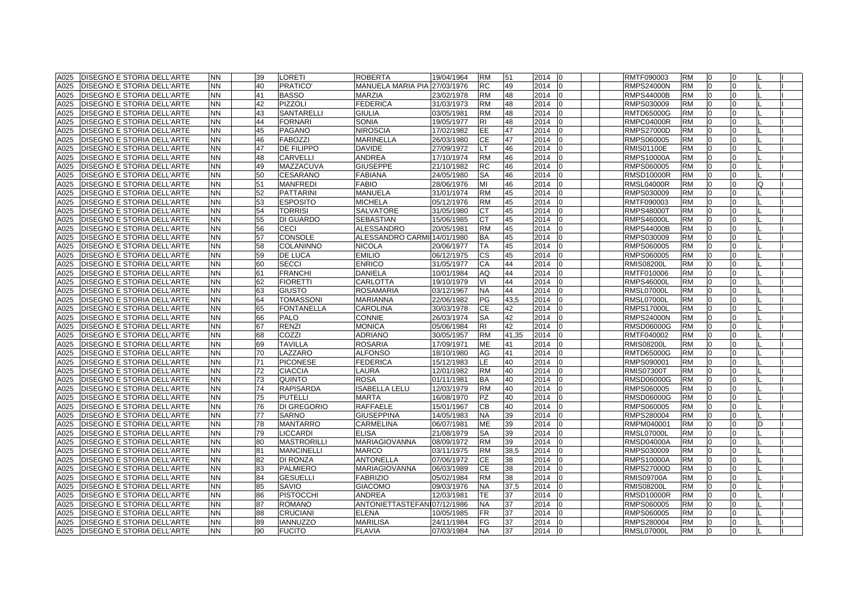| <b>DISEGNO E STORIA DELL'ARTE</b><br><b>NN</b><br><b>LORETI</b><br>ROBERTA<br>19/04/1964<br>A025<br>39             | <b>RM</b><br>51 | 2014<br>10                 | RMTF090003<br><b>RM</b><br>10<br>$\Omega$                  |
|--------------------------------------------------------------------------------------------------------------------|-----------------|----------------------------|------------------------------------------------------------|
| A025<br><b>DISEGNO E STORIA DELL'ARTE</b><br>NN.<br>40<br>PRATICO'<br>MANUELA MARIA PIA<br>27/03/1976              | RC<br>49        | 2014<br>$\Omega$           | <b>RMPS24000N</b><br><b>RM</b><br>0<br>O                   |
| NN.<br>MARZIA<br>A025<br><b>DISEGNO E STORIA DELL'ARTE</b><br>41<br><b>BASSO</b><br>23/02/1978                     | <b>RM</b><br>48 | 2014<br><sup>0</sup>       | <b>RMPS44000B</b><br><b>RM</b><br>$\Omega$                 |
| PIZZOLI<br><b>DISEGNO E STORIA DELL'ARTE</b><br>NN<br>42<br><b>FEDERICA</b><br>A025<br>31/03/1973                  | <b>RM</b><br>48 | 2014<br>$\Omega$           | <b>RM</b><br>RMPS030009<br>$\Omega$                        |
| NN.<br><b>DISEGNO E STORIA DELL'ARTE</b><br>43<br>SANTARELLI<br>GIULIA<br>A025<br>03/05/1981                       | <b>RM</b><br>48 | 2014<br>$\Omega$           | <b>RM</b><br>$\overline{0}$<br>RMTD65000G<br>0             |
| <b>DISEGNO E STORIA DELL'ARTE</b><br>ΝN<br>44<br><b>FORNARI</b><br>SONIA<br>A025<br>19/05/1977                     | R <sub>1</sub>  | 48<br>2014<br>n            | RMPC04000R<br>RM<br>$\Omega$<br>O.                         |
| NN.<br>45<br><b>NIROSCIA</b><br>A025<br><b>DISEGNO E STORIA DELL'ARTE</b><br>PAGANO<br>17/02/1982                  | EE              | 47<br>2014                 | RMPS27000D<br><b>RM</b>                                    |
| NN.<br><b>FABOZZI</b><br><b>MARINELLA</b><br>A025<br><b>DISEGNO E STORIA DELL'ARTE</b><br>46<br>26/03/1980         | CE              | 47<br>2014<br>$\Omega$     | RMPS060005<br><b>RM</b><br>$\Omega$                        |
| NN.<br>47<br><b>DE FILIPPO</b><br>A025<br><b>DISEGNO E STORIA DELL'ARTE</b><br><b>DAVIDE</b><br>27/09/1972         | LT              | 46<br>2014<br>$\Omega$     | RMIS01100E<br><b>RM</b><br>$\Omega$                        |
| <b>NN</b><br>ANDREA<br>A025<br><b>DISEGNO E STORIA DELL'ARTE</b><br>48<br><b>CARVELLI</b><br>17/10/1974            | <b>RM</b><br>46 | 2014<br><sup>0</sup>       | <b>RMPS10000A</b><br><b>RM</b><br>$\Omega$<br>U            |
| NN.<br><b>DISEGNO E STORIA DELL'ARTE</b><br>49<br>MAZZACUVA<br>GIUSEPPE<br>A025<br>21/10/1982                      | <b>RC</b>       | 46<br>2014<br>$\Omega$     | RMPS060005<br><b>RM</b><br>$\Omega$                        |
| <b>NN</b><br>A025<br><b>DISEGNO E STORIA DELL'ARTE</b><br>50<br><b>CESARANO</b><br><b>FABIANA</b><br>24/05/1980    | <b>SA</b><br>46 | 2014<br>$\Omega$           | $\Omega$<br><b>RM</b><br>RMSD10000R<br>O                   |
| <b>NN</b><br>A025<br><b>DISEGNO E STORIA DELL'ARTE</b><br>51<br><b>MANFREDI</b><br><b>FABIO</b><br>28/06/1976      | MI<br>46        | 2014<br>$\Omega$           | <b>RM</b><br>$\overline{0}$<br>RMSL04000R<br>0<br>Q        |
| <b>NN</b><br>A025<br><b>DISEGNO E STORIA DELL'ARTE</b><br>52<br><b>PATTARINI</b><br>MANUELA<br>31/01/1974          | <b>RM</b><br>45 | 2014<br>$\Omega$           | RMPS030009<br><b>RM</b><br>$\overline{0}$<br>0             |
| NN<br>MICHELA<br>A025<br><b>DISEGNO E STORIA DELL'ARTE</b><br><b>ESPOSITO</b><br>05/12/1976<br>53                  | <b>RM</b>       | 2014<br>45                 | RMTF090003<br><b>RM</b><br>$\Omega$                        |
| NN.<br>54<br><b>TORRISI</b><br><b>SALVATORE</b><br>A025<br><b>DISEGNO E STORIA DELL'ARTE</b><br>31/05/1980         |                 | 45<br>2014                 | <b>RM</b><br>RMPS48000T<br>$\Omega$                        |
| NN.<br><b>DI GUARDO</b><br><b>SEBASTIAN</b><br>A025<br><b>IDISEGNO E STORIA DELL'ARTE</b><br>55<br>15/06/1985      | <b>CT</b>       | 45<br>2014<br>$\Omega$     | <b>RMPS46000L</b><br><b>RM</b><br>$\Omega$                 |
| <b>NN</b><br>CECI<br>A025<br><b>DISEGNO E STORIA DELL'ARTE</b><br>56<br>ALESSANDRO<br>20/05/1981                   | 45<br><b>RM</b> | 2014<br>$\Omega$           | <b>RMPS44000B</b><br><b>RM</b><br>$\overline{0}$<br>O      |
| NN.<br><b>CONSOLE</b><br>ALESSANDRO CARMI 14/01/1980<br>A025<br><b>DISEGNO E STORIA DELL'ARTE</b><br>57            | 45<br><b>BA</b> | 2014<br><sup>0</sup>       | $\Omega$<br>RMPS030009<br><b>RM</b>                        |
| <b>NN</b><br>COLANINNO<br>A025<br><b>DISEGNO E STORIA DELL'ARTE</b><br>58<br>NICOLA<br>20/06/1977                  | <b>TA</b><br>45 | 2014<br>$\Omega$           | RMPS060005<br><b>RM</b><br>$\Omega$                        |
| NN.<br><b>DE LUCA</b><br><b>EMILIO</b><br>A025<br><b>DISEGNO E STORIA DELL'ARTE</b><br>59<br>06/12/1975            | <b>CS</b><br>45 | 2014<br>$\Omega$           | RMPS060005<br><b>RM</b><br>$\overline{0}$<br>0             |
| <b>DISEGNO E STORIA DELL'ARTE</b><br><b>NN</b><br><b>SECCI</b><br><b>ENRICO</b><br>A025<br>60<br>31/05/1977        | CA<br>44        | 2014<br>$\Omega$           | <b>RMIS08200L</b><br><b>RM</b><br>$\Omega$<br>O.           |
| NN.<br><b>FRANCHI</b><br><b>DANIELA</b><br>A025<br><b>DISEGNO E STORIA DELL'ARTE</b><br>61<br>10/01/1984           | AQ              | 44<br>2014                 | RMTF010006<br><b>RM</b><br>$\Omega$                        |
| A025<br>NN.<br>62<br><b>FIORETTI</b><br>CARLOTTA<br><b>DISEGNO E STORIA DELL'ARTE</b><br>19/10/1979                | V١              | 44<br>2014                 | <b>RM</b><br>$\Omega$<br><b>RMPS46000L</b>                 |
| NN.<br>A025<br><b>DISEGNO E STORIA DELL'ARTE</b><br>63<br><b>GIUSTO</b><br><b>ROSAMARIA</b><br>03/12/1967          | 44<br><b>NA</b> | 2014<br>$\Omega$           | <b>RMSL07000L</b><br><b>RM</b><br>$\Omega$                 |
| A025<br><b>DISEGNO E STORIA DELL'ARTE</b><br><b>NN</b><br><b>TOMASSONI</b><br><b>MARIANNA</b><br>22/06/1982<br>64  | PG              | 43,5<br>2014<br>$\Omega$   | <b>RMSL07000L</b><br><b>RM</b><br>$\Omega$<br><sup>n</sup> |
| NN<br>65<br><b>FONTANELLA</b><br>A025<br><b>DISEGNO E STORIA DELL'ARTE</b><br>CAROLINA<br>30/03/1978               | СE<br>42        | 2014<br>$\Omega$           | <b>RM</b><br>RMPS17000L<br>$\overline{0}$                  |
| NN<br>66<br>PALO<br>CONNIE<br>A025<br><b>DISEGNO E STORIA DELL'ARTE</b><br>26/03/1974                              | 42<br><b>SA</b> | 2014<br>$\Omega$           | $\overline{0}$<br>RMPS24000N<br><b>RM</b>                  |
| <b>NN</b><br><b>RENZI</b><br>A025<br><b>DISEGNO E STORIA DELL'ARTE</b><br>67<br>MONICA<br>05/06/1984               | 42<br>RI        | 2014<br>$\Omega$           | <b>RM</b><br>$\overline{0}$<br>RMSD06000G<br>0             |
| COZZI<br><b>DISEGNO E STORIA DELL'ARTE</b><br>ΝN<br>68<br>ADRIANO<br>30/05/1957<br>A025                            | <b>RM</b>       | 41,35<br>2014              | <b>RM</b><br>RMTF040002<br>$\Omega$                        |
| NN<br>A025<br><b>TAVILLA</b><br>ROSARIA<br><b>DISEGNO E STORIA DELL'ARTE</b><br>69<br>17/09/1971                   | ME<br>41        | 2014                       | RMIS08200L<br>RM<br>$\Omega$                               |
| NN.<br>70<br>LAZZARO<br>A025<br><b>DISEGNO E STORIA DELL'ARTE</b><br>ALFONSO<br>18/10/1980                         | AG<br>41        | 2014<br>$\Omega$           | <b>RM</b><br>$\Omega$<br>RMTD65000G                        |
| A025<br><b>DISEGNO E STORIA DELL'ARTE</b><br>NN.<br>71<br><b>PICONESE</b><br>FEDERICA<br>15/12/1983                | LE              | 2014<br>40<br>$\Omega$     | RMPS090001<br><b>RM</b><br>$\Omega$                        |
| NN<br>A025<br><b>DISEGNO E STORIA DELL'ARTE</b><br>72<br><b>CIACCIA</b><br>LAURA<br>12/01/1982                     | <b>RM</b>       | 40<br>2014<br>$\Omega$     | <b>RM</b><br>$\overline{0}$<br>RMIS07300T<br>O             |
| <b>NN</b><br>A025<br><b>DISEGNO E STORIA DELL'ARTE</b><br>73<br>QUINTO<br>ROSA<br>01/11/1981                       | 40<br><b>BA</b> | 2014<br><sup>0</sup>       | RMSD06000G<br><b>RM</b><br>$\overline{0}$                  |
| <b>ISABELLA LELU</b><br><b>DISEGNO E STORIA DELL'ARTE</b><br>NN<br>74<br><b>RAPISARDA</b><br>A025<br>12/03/1979    | <b>RM</b><br>40 | 2014<br>$\Omega$           | $\overline{0}$<br>RMPS060005<br>RM<br>0                    |
| NN.<br><b>PUTELLI</b><br>A025<br><b>DISEGNO E STORIA DELL'ARTE</b><br>75<br>MARTA<br>16/08/1970                    | <b>PZ</b>       | 40<br>2014<br>$\Omega$     | RMSD06000G<br><b>RM</b><br>$\overline{0}$                  |
| A025<br><b>DISEGNO E STORIA DELL'ARTE</b><br>NN<br>76<br>DI GREGORIO<br>RAFFAELE<br>15/01/1967                     | CB<br>40        | 2014<br>$\Omega$           | RMPS060005<br>RM<br>$\overline{0}$<br>0                    |
| NN.<br>A025<br><b>DISEGNO E STORIA DELL'ARTE</b><br>77<br><b>SARNO</b><br>GIUSEPPINA<br>14/05/1983                 | NA              | 39<br>2014<br>$\Omega$     | RMPS280004<br><b>RM</b><br>$\Omega$                        |
| NN.<br><b>MANTARRO</b><br>A025<br><b>DISEGNO E STORIA DELL'ARTE</b><br>78<br>CARMELINA<br>06/07/1981               | ME              | 2014<br>39<br>$\Omega$     | RMPM040001<br><b>RM</b><br>$\Omega$<br>D                   |
| NN.<br>79<br><b>LICCARDI</b><br><b>ELISA</b><br>A025<br><b>DISEGNO E STORIA DELL'ARTE</b><br>21/08/1979            | <b>SA</b>       | 39<br>2014<br>$\Omega$     | RMSL07000L<br><b>RM</b><br>$\Omega$                        |
| A025<br>NN.<br><b>MASTRORILLI</b><br><b>MARIAGIOVANNA</b><br><b>DISEGNO E STORIA DELL'ARTE</b><br>80<br>08/09/1972 | <b>RM</b>       | 39<br>2014<br>$\Omega$     | <b>RMSD04000A</b><br><b>RM</b><br>$\Omega$                 |
| <b>NN</b><br>81<br>A025<br><b>DISEGNO E STORIA DELL'ARTE</b><br><b>MANCINELLI</b><br>MARCO<br>03/11/1975           | <b>RM</b>       | 2014<br>38,5<br>$\Omega$   | RMPS030009<br><b>RM</b><br>$\Omega$<br>U                   |
| NN.<br><b>ANTONELLA</b><br><b>DISEGNO E STORIA DELL'ARTE</b><br>82<br><b>DI RONZA</b><br>07/06/1972<br>A025        | <b>CE</b>       | 38<br>2014<br><sup>0</sup> | $\Omega$<br><b>RMPS10000A</b><br><b>RM</b><br>U            |
| <b>NN</b><br><b>PALMIERO</b><br>A025<br><b>DISEGNO E STORIA DELL'ARTE</b><br>83<br>MARIAGIOVANNA<br>06/03/1989     | <b>CE</b>       | 38<br>2014<br>$\Omega$     | <b>RMPS27000D</b><br><b>RM</b><br>$\Omega$<br>U            |
| NN.<br><b>GESUELLI</b><br><b>FABRIZIO</b><br>A025<br><b>DISEGNO E STORIA DELL'ARTE</b><br>84<br>05/02/1984         | <b>RM</b>       | 38<br>2014<br>$\Omega$     | <b>RMIS09700A</b><br><b>RM</b><br>$\Omega$                 |
| <b>GIACOMO</b><br>A025<br><b>DISEGNO E STORIA DELL'ARTE</b><br>NN.<br>85<br>SAVIO<br>09/03/1976                    | NA              | 37,5<br>2014               | RMIS08200L<br><b>RM</b><br>$\Omega$                        |
| NN.<br>A025<br>86<br><b>PISTOCCHI</b><br>ANDREA<br>12/03/1981<br><b>DISEGNO E STORIA DELL'ARTE</b>                 | TE.             | 37<br>2014<br>$\Omega$     | <b>RM</b><br>$\Omega$<br><b>RMSD10000R</b>                 |
| <b>DISEGNO E STORIA DELL'ARTE</b><br>NN.<br>87<br><b>ROMANO</b><br>ANTONIETTASTEFANI07/12/1986<br>A025             | <b>NA</b><br>37 | 2014<br>$\Omega$           | RMPS060005<br><b>RM</b><br>$\Omega$                        |
| A025<br>NN.<br>88<br><b>CRUCIANI</b><br><b>ELENA</b><br><b>IDISEGNO E STORIA DELL'ARTE</b><br>10/05/1985           | <b>FR</b>       | 37<br>2014<br>$\Omega$     | <b>RM</b><br>RMPS060005<br>$\Omega$                        |
|                                                                                                                    |                 |                            |                                                            |
| NN.<br>89<br><b>IANNUZZO</b><br><b>MARILISA</b><br>A025<br><b>DISEGNO E STORIA DELL'ARTE</b><br>24/11/1984         | FG<br>37        | 2014<br>$\Omega$           | <b>RM</b><br>$\Omega$<br>RMPS280004                        |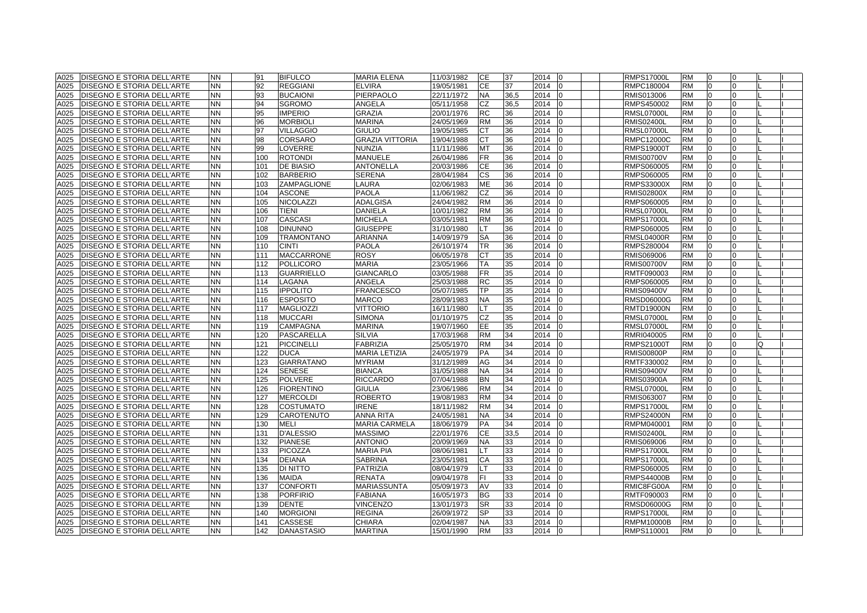| A025 | <b>DISEGNO E STORIA DELL'ARTE</b> | <b>NN</b> | 91  | <b>BIFULCO</b>    | <b>MARIA ELENA</b>     | 11/03/1982 | CE        | 37   | 2014   | 0            | <b>RMPS17000L</b> | <b>RM</b> | 0              |          |   |  |
|------|-----------------------------------|-----------|-----|-------------------|------------------------|------------|-----------|------|--------|--------------|-------------------|-----------|----------------|----------|---|--|
| A025 | <b>DISEGNO E STORIA DELL'ARTE</b> | <b>NN</b> | 92  | <b>REGGIANI</b>   | <b>ELVIRA</b>          | 19/05/1981 | <b>CE</b> | 37   | 2014   | $\Omega$     | RMPC180004        | <b>RM</b> | $\overline{0}$ | O        |   |  |
| A025 | <b>DISEGNO E STORIA DELL'ARTE</b> | <b>NN</b> | 93  | <b>BUCAIONI</b>   | PIERPAOLO              | 22/11/1972 | <b>NA</b> | 36,5 | 2014   | <sup>0</sup> | RMIS013006        | <b>RM</b> | $\Omega$       |          |   |  |
| A025 | <b>DISEGNO E STORIA DELL'ARTE</b> | <b>NN</b> | 94  | <b>SGROMO</b>     | ANGELA                 | 05/11/1958 | <b>CZ</b> | 36,5 | 2014   | $\Omega$     | RMPS450002        | <b>RM</b> | $\Omega$       |          |   |  |
| A025 | DISEGNO E STORIA DELL'ARTE        | <b>NN</b> | 95  | <b>IMPERIO</b>    | GRAZIA                 | 20/01/1976 | <b>RC</b> | 36   | 2014   | $\Omega$     | RMSL07000L        | <b>RM</b> | $\overline{0}$ | $\Omega$ |   |  |
| A025 | DISEGNO E STORIA DELL'ARTE        | <b>NN</b> | 96  | <b>MORBIOLI</b>   | <b>MARINA</b>          | 24/05/1969 | <b>RM</b> | 36   | 2014   | $\Omega$     | <b>RMIS02400L</b> | <b>RM</b> | $\overline{0}$ | 0        |   |  |
| A025 | DISEGNO E STORIA DELL'ARTE        | <b>NN</b> | 97  | <b>VILLAGGIO</b>  | <b>GIULIO</b>          | 19/05/1985 | СT        | 36   | 2014   |              | <b>RMSL07000L</b> | <b>RM</b> |                |          |   |  |
| A025 | <b>DISEGNO E STORIA DELL'ARTE</b> | <b>NN</b> | 98  | CORSARO           | <b>GRAZIA VITTORIA</b> | 19/04/1988 | <b>CT</b> | 36   | 2014   |              | RMPC12000C        | <b>RM</b> | $\Omega$       |          |   |  |
| A025 | <b>DISEGNO E STORIA DELL'ARTE</b> | <b>NN</b> | 99  | LOVERRE           | <b>NUNZIA</b>          | 11/11/1986 | <b>MT</b> | 36   | 2014   | <sup>0</sup> | <b>RMPS19000T</b> | <b>RM</b> | $\Omega$       |          |   |  |
| A025 | <b>DISEGNO E STORIA DELL'ARTE</b> | <b>NN</b> | 100 | <b>ROTONDI</b>    | <b>MANUELE</b>         | 26/04/1986 | <b>FR</b> | 36   | 2014   | $\Omega$     | <b>RMIS00700V</b> | <b>RM</b> | $\overline{0}$ | $\Omega$ |   |  |
| A025 | <b>DISEGNO E STORIA DELL'ARTE</b> | <b>NN</b> | 101 | <b>DE BIASIO</b>  | ANTONELLA              | 20/03/1986 | <b>CE</b> | 36   | 2014   | <sup>0</sup> | RMPS060005        | <b>RM</b> | $\overline{0}$ |          |   |  |
| A025 | DISEGNO E STORIA DELL'ARTE        | <b>NN</b> | 102 | <b>BARBERIO</b>   | <b>SERENA</b>          | 28/04/1984 | <b>CS</b> | 36   | 2014   | <sup>0</sup> | RMPS060005        | <b>RM</b> | $\overline{0}$ |          |   |  |
| A025 | <b>DISEGNO E STORIA DELL'ARTE</b> | <b>NN</b> | 103 | ZAMPAGLIONE       | LAURA                  | 02/06/1983 | ME        | 36   | 2014   | 0            | <b>RMPS33000X</b> | <b>RM</b> | 0              | $\Omega$ |   |  |
| A025 | DISEGNO E STORIA DELL'ARTE        | <b>NN</b> | 104 | <b>ASCONE</b>     | PAOLA                  | 11/06/1982 | CZ        | 36   | 2014   | $\Omega$     | RMIS02800X        | <b>RM</b> | $\overline{0}$ | 0        |   |  |
| A025 | <b>DISEGNO E STORIA DELL'ARTE</b> | <b>NN</b> | 105 | <b>NICOLAZZI</b>  | ADALGISA               | 24/04/1982 | <b>RM</b> | 36   | 2014   | <sup>0</sup> | RMPS060005        | <b>RM</b> | $\Omega$       |          |   |  |
| A025 | DISEGNO E STORIA DELL'ARTE        | <b>NN</b> | 106 | <b>TIENI</b>      | <b>DANIELA</b>         | 10/01/1982 | <b>RM</b> | 36   | 2014   |              | <b>RMSL07000L</b> | <b>RM</b> | $\Omega$       |          |   |  |
| A025 | DISEGNO E STORIA DELL'ARTE        | <b>NN</b> | 107 | <b>CASCASI</b>    | MICHELA                | 03/05/1981 | <b>RM</b> | 36   | 2014   |              | <b>RMPS17000L</b> | <b>RM</b> | $\Omega$       |          |   |  |
| A025 | DISEGNO E STORIA DELL'ARTE        | <b>NN</b> | 108 | <b>DINUNNO</b>    | <b>GIUSEPPE</b>        | 31/10/1980 | <b>LT</b> | 36   | 2014   | 0            | RMPS060005        | <b>RM</b> | $\overline{0}$ | 0        |   |  |
| A025 | <b>DISEGNO E STORIA DELL'ARTE</b> | <b>NN</b> | 109 | <b>TRAMONTANO</b> | ARIANNA                | 14/09/1979 | <b>SA</b> | 36   | 2014   | <sup>n</sup> | RMSL04000R        | <b>RM</b> | $\overline{0}$ | 0        |   |  |
| A025 | <b>DISEGNO E STORIA DELL'ARTE</b> | <b>NN</b> | 110 | <b>CINTI</b>      | PAOLA                  | 26/10/1974 | <b>TR</b> | 36   | 2014   | <sup>0</sup> | RMPS280004        | <b>RM</b> | $\overline{0}$ | 0        |   |  |
| A025 | DISEGNO E STORIA DELL'ARTE        | <b>NN</b> | 111 | <b>MACCARRONE</b> | <b>ROSY</b>            | 06/05/1978 | <b>CT</b> | 35   | 2014   | $\Omega$     | RMIS069006        | <b>RM</b> | $\overline{0}$ | 0        |   |  |
| A025 | <b>DISEGNO E STORIA DELL'ARTE</b> | <b>NN</b> | 112 | <b>POLLICORO</b>  | <b>MARIA</b>           | 23/05/1966 | TA        | 35   | 2014   | $\Omega$     | <b>RMIS00700V</b> | <b>RM</b> | $\overline{0}$ | 0        |   |  |
| A025 | DISEGNO E STORIA DELL'ARTE        | <b>NN</b> | 113 | <b>GUARRIELLO</b> | <b>GIANCARLO</b>       | 03/05/1988 | <b>FR</b> | 35   | 2014   |              | RMTF090003        | <b>RM</b> | $\Omega$       |          |   |  |
| A025 | DISEGNO E STORIA DELL'ARTE        | <b>NN</b> | 114 | LAGANA            | ANGELA                 | 25/03/1988 | <b>RC</b> | 35   | 2014   |              | RMPS060005        | <b>RM</b> | $\Omega$       |          |   |  |
| A025 | <b>DISEGNO E STORIA DELL'ARTE</b> | <b>NN</b> | 115 | <b>IPPOLITO</b>   | <b>FRANCESCO</b>       | 05/07/1985 | <b>TP</b> | 35   | 2014   |              | <b>RMIS09400V</b> | <b>RM</b> | $\Omega$       |          |   |  |
| A025 | <b>DISEGNO E STORIA DELL'ARTE</b> | <b>NN</b> | 116 | <b>ESPOSITO</b>   | <b>MARCO</b>           | 28/09/1983 | <b>NA</b> | 35   | 2014   | <sup>0</sup> | <b>RMSD06000G</b> | <b>RM</b> | $\Omega$       | U        |   |  |
| A025 | <b>DISEGNO E STORIA DELL'ARTE</b> | <b>NN</b> | 117 | <b>MAGLIOZZI</b>  | <b>VITTORIO</b>        | 16/11/1980 | LT.       | 35   | 2014   | $\Omega$     | <b>RMTD19000N</b> | <b>RM</b> | $\overline{0}$ |          |   |  |
| A025 | <b>DISEGNO E STORIA DELL'ARTE</b> | <b>NN</b> | 118 | <b>MUCCARI</b>    | <b>SIMONA</b>          | 01/10/1975 | <b>CZ</b> | 35   | 2014   | <sup>n</sup> | <b>RMSL07000L</b> | <b>RM</b> | $\overline{0}$ | O.       |   |  |
| A025 | <b>DISEGNO E STORIA DELL'ARTE</b> | <b>NN</b> | 119 | <b>CAMPAGNA</b>   | MARINA                 | 19/07/1960 | EE        | 35   | 2014   | $\Omega$     | <b>RMSL07000L</b> | <b>RM</b> | $\overline{0}$ | 0        |   |  |
| A025 | DISEGNO E STORIA DELL'ARTE        | <b>NN</b> | 120 | PASCARELLA        | <b>SILVIA</b>          | 17/03/1968 | <b>RM</b> | 34   | 2014   | $\Omega$     | RMRI040005        | <b>RM</b> | $\overline{0}$ | 0        |   |  |
| A025 | DISEGNO E STORIA DELL'ARTE        | <b>NN</b> | 121 | <b>PICCINELLI</b> | <b>FABRIZIA</b>        | 25/05/1970 | <b>RM</b> | 34   | 2014   | <sup>0</sup> | RMPS21000T        | <b>RM</b> | $\Omega$       |          | Q |  |
| A025 | DISEGNO E STORIA DELL'ARTE        | <b>NN</b> | 122 | <b>DUCA</b>       | <b>MARIA LETIZIA</b>   | 24/05/1979 | PA        | 34   | 2014   |              | RMIS00800P        | <b>RM</b> | $\Omega$       |          |   |  |
| A025 | <b>DISEGNO E STORIA DELL'ARTE</b> | <b>NN</b> | 123 | <b>GIARRATANO</b> | <b>MYRIAM</b>          | 31/12/1989 | AG        | 34   | 2014   |              | RMTF330002        | <b>RM</b> | $\Omega$       |          |   |  |
| A025 | <b>DISEGNO E STORIA DELL'ARTE</b> | <b>NN</b> | 124 | <b>SENESE</b>     | <b>BIANCA</b>          | 31/05/1988 | <b>NA</b> | 34   | 2014   | $\Omega$     | <b>RMIS09400V</b> | <b>RM</b> | $\Omega$       |          |   |  |
| A025 | <b>DISEGNO E STORIA DELL'ARTE</b> | <b>NN</b> | 125 | <b>POLVERE</b>    | <b>RICCARDO</b>        | 07/04/1988 | <b>BN</b> | 34   | 2014   | <sup>0</sup> | <b>RMIS03900A</b> | <b>RM</b> | $\overline{0}$ | U        |   |  |
| A025 | DISEGNO E STORIA DELL'ARTE        | <b>NN</b> | 126 | <b>FIORENTINO</b> | GIULIA                 | 23/06/1986 | <b>RM</b> | 34   | 2014   | <sup>n</sup> | RMSL07000L        | <b>RM</b> | $\overline{0}$ |          |   |  |
| A025 | DISEGNO E STORIA DELL'ARTE        | <b>NN</b> | 127 | <b>MERCOLDI</b>   | <b>ROBERTO</b>         | 19/08/1983 | <b>RM</b> | 34   | 2014   | <sup>n</sup> | RMIS063007        | <b>RM</b> | $\overline{0}$ | 0        |   |  |
| A025 | DISEGNO E STORIA DELL'ARTE        | <b>NN</b> | 128 | <b>COSTUMATO</b>  | <b>IRENE</b>           | 18/11/1982 | <b>RM</b> | 34   | 2014   | 0            | <b>RMPS17000L</b> | <b>RM</b> | $\overline{0}$ | 0        |   |  |
| A025 | DISEGNO E STORIA DELL'ARTE        | <b>NN</b> | 129 | CAROTENUTO        | ANNA RITA              | 24/05/1981 | <b>NA</b> | 34   | 2014   | $\Omega$     | <b>RMPS24000N</b> | <b>RM</b> | $\Omega$       | 0        |   |  |
| A025 | <b>DISEGNO E STORIA DELL'ARTE</b> | <b>NN</b> | 130 | <b>MELI</b>       | MARIA CARMELA          | 18/06/1979 | PA        | 34   | 2014   |              | RMPM040001        | <b>RM</b> | 0              |          |   |  |
| A025 | DISEGNO E STORIA DELL'ARTE        | <b>NN</b> | 131 | <b>D'ALESSIO</b>  | <b>MASSIMO</b>         | 22/01/1976 | <b>CE</b> | 33,5 | 2014   |              | RMIS02400L        | <b>RM</b> | $\Omega$       |          |   |  |
| A025 | <b>DISEGNO E STORIA DELL'ARTE</b> | <b>NN</b> | 132 | <b>PIANESE</b>    | <b>ANTONIO</b>         | 20/09/1969 | <b>NA</b> | 33   | 2014   |              | RMIS069006        | RM        | $\Omega$       |          |   |  |
| A025 | <b>DISEGNO E STORIA DELL'ARTE</b> | <b>NN</b> | 133 | <b>PICOZZA</b>    | <b>MARIA PIA</b>       | 08/06/1981 | <b>LT</b> | 33   | 2014   | $\Omega$     | <b>RMPS17000L</b> | <b>RM</b> | $\Omega$       |          |   |  |
| A025 | <b>DISEGNO E STORIA DELL'ARTE</b> | <b>NN</b> | 134 | <b>DEIANA</b>     | <b>SABRINA</b>         | 23/05/1981 | CA        | 33   | 2014   | <sup>0</sup> | <b>RMPS17000L</b> | <b>RM</b> | $\overline{0}$ | 0        |   |  |
| A025 | <b>DISEGNO E STORIA DELL'ARTE</b> | <b>NN</b> | 135 | <b>DI NITTO</b>   | PATRIZIA               | 08/04/1979 | <b>LT</b> | 33   | 2014   | <sup>0</sup> | RMPS060005        | <b>RM</b> | $\overline{0}$ |          |   |  |
| A025 | DISEGNO E STORIA DELL'ARTE        | <b>NN</b> | 136 | <b>MAIDA</b>      | <b>RENATA</b>          | 09/04/1978 | FI.       | 33   | 2014   | $\Omega$     | RMPS44000B        | <b>RM</b> | $\overline{0}$ | 0        |   |  |
| A025 | DISEGNO E STORIA DELL'ARTE        | <b>NN</b> | 137 | <b>CONFORTI</b>   | MARIASSUNTA            | 05/09/1973 | AV        | 33   | 2014   | O            | RMIC8FG00A        | <b>RM</b> | $\overline{0}$ | 0        |   |  |
| A025 | <b>DISEGNO E STORIA DELL'ARTE</b> | <b>NN</b> | 138 | <b>PORFIRIO</b>   | <b>FABIANA</b>         | 16/05/1973 | <b>BG</b> | 33   | 2014   |              | RMTF090003        | <b>RM</b> | $\Omega$       |          |   |  |
| A025 | DISEGNO E STORIA DELL'ARTE        | <b>NN</b> | 139 | <b>DENTE</b>      | <b>VINCENZO</b>        | 13/01/1973 | <b>SR</b> | 33   | 2014   |              | RMSD06000G        | <b>RM</b> | $\Omega$       |          |   |  |
| A025 | DISEGNO E STORIA DELL'ARTE        | <b>NN</b> | 140 | <b>MORGIONI</b>   | <b>REGINA</b>          | 26/09/1972 | <b>SP</b> | 33   | 2014   |              | <b>RMPS17000L</b> | <b>RM</b> | $\Omega$       |          |   |  |
| A025 | <b>DISEGNO E STORIA DELL'ARTE</b> | <b>NN</b> | 141 | CASSESE           | <b>CHIARA</b>          | 02/04/1987 | <b>NA</b> | 33   | 2014   | $\Omega$     | RMPM10000B        | <b>RM</b> | $\overline{0}$ | $\Omega$ |   |  |
|      | A025 DISEGNO E STORIA DELL'ARTE   | <b>NN</b> | 142 | <b>DANASTASIO</b> | <b>MARTINA</b>         | 15/01/1990 | <b>RM</b> | 33   | 2014 0 |              | RMPS110001        | <b>RM</b> | $\overline{0}$ | 0        |   |  |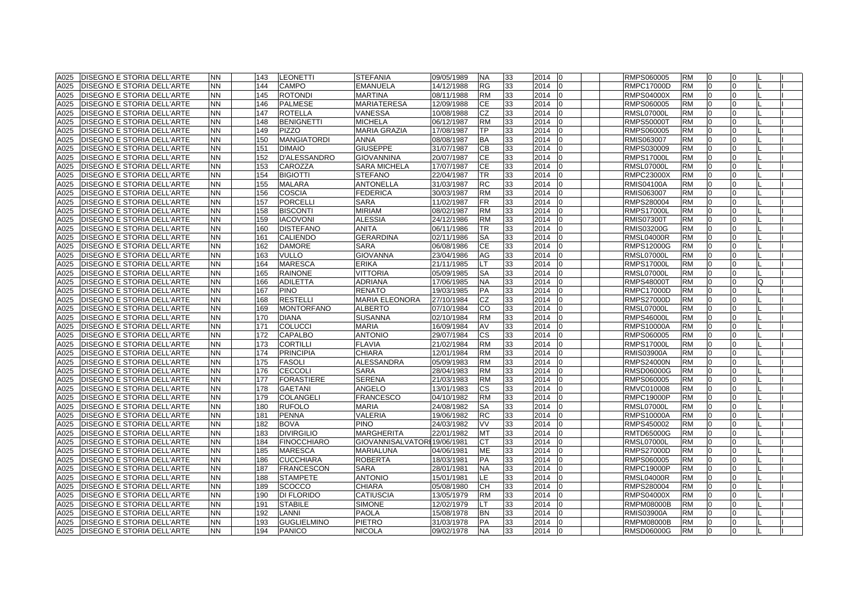| A025 | <b>DISEGNO E STORIA DELL'ARTE</b> | <b>NN</b> | 143 | <b>LEONETTI</b>     | <b>STEFANIA</b>         | 09/05/1989 | <b>NA</b> | 33 | 2014 | 0            | RMPS060005        | <b>RM</b> | 0              |          |  |
|------|-----------------------------------|-----------|-----|---------------------|-------------------------|------------|-----------|----|------|--------------|-------------------|-----------|----------------|----------|--|
| A025 | <b>DISEGNO E STORIA DELL'ARTE</b> | <b>NN</b> | 144 | <b>CAMPO</b>        | <b>EMANUELA</b>         | 14/12/1988 | <b>RG</b> | 33 | 2014 | $\Omega$     | <b>RMPC17000D</b> | <b>RM</b> | $\overline{0}$ | 0        |  |
| A025 | DISEGNO E STORIA DELL'ARTE        | <b>NN</b> | 145 | <b>ROTONDI</b>      | <b>MARTINA</b>          | 08/11/1988 | <b>RM</b> | 33 | 2014 | <sup>0</sup> | <b>RMPS04000X</b> | <b>RM</b> | $\Omega$       |          |  |
| A025 | <b>DISEGNO E STORIA DELL'ARTE</b> | <b>NN</b> | 146 | <b>PALMESE</b>      | <b>MARIATERESA</b>      | 12/09/1988 | <b>CE</b> | 33 | 2014 | $\Omega$     | RMPS060005        | <b>RM</b> | $\Omega$       |          |  |
| A025 | DISEGNO E STORIA DELL'ARTE        | <b>NN</b> | 147 | <b>ROTELLA</b>      | VANESSA                 | 10/08/1988 | CZ        | 33 | 2014 | $\Omega$     | RMSL07000L        | <b>RM</b> | $\overline{0}$ | $\Omega$ |  |
| A025 | DISEGNO E STORIA DELL'ARTE        | <b>NN</b> | 148 | <b>BENIGNETTI</b>   | MICHELA                 | 06/12/1987 | <b>RM</b> | 33 | 2014 |              | <b>RMPS50000T</b> | <b>RM</b> | $\Omega$       | 0        |  |
| A025 | DISEGNO E STORIA DELL'ARTE        | <b>NN</b> | 149 | <b>PIZZO</b>        | <b>MARIA GRAZIA</b>     | 17/08/1987 | TP        | 33 | 2014 |              | RMPS060005        | <b>RM</b> |                |          |  |
| A025 | <b>DISEGNO E STORIA DELL'ARTE</b> | <b>NN</b> | 150 | <b>MANGIATORDI</b>  | <b>ANNA</b>             | 08/08/1987 | <b>BA</b> | 33 | 2014 | $\Omega$     | RMIS063007        | <b>RM</b> | $\Omega$       |          |  |
| A025 | <b>DISEGNO E STORIA DELL'ARTE</b> | <b>NN</b> | 151 | <b>DIMAIO</b>       | <b>GIUSEPPE</b>         | 31/07/1987 | <b>CB</b> | 33 | 2014 | <sup>0</sup> | RMPS030009        | <b>RM</b> | $\Omega$       | U        |  |
| A025 | <b>DISEGNO E STORIA DELL'ARTE</b> | <b>NN</b> | 152 | <b>D'ALESSANDRO</b> | <b>GIOVANNINA</b>       | 20/07/1987 | <b>CE</b> | 33 | 2014 | $\Omega$     | <b>RMPS17000L</b> | <b>RM</b> | $\Omega$       | U        |  |
| A025 | <b>DISEGNO E STORIA DELL'ARTE</b> | <b>NN</b> | 153 | CAROZZA             | <b>SARA MICHELA</b>     | 17/07/1987 | <b>CE</b> | 33 | 2014 | n            | <b>RMSL07000L</b> | <b>RM</b> | $\Omega$       |          |  |
| A025 | DISEGNO E STORIA DELL'ARTE        | <b>NN</b> | 154 | <b>BIGIOTTI</b>     | <b>STEFANO</b>          | 22/04/1987 | <b>TR</b> | 33 | 2014 | $\Omega$     | <b>RMPC23000X</b> | <b>RM</b> | $\overline{0}$ | U        |  |
| A025 | <b>DISEGNO E STORIA DELL'ARTE</b> | <b>NN</b> | 155 | <b>MALARA</b>       | <b>ANTONELLA</b>        | 31/03/1987 | <b>RC</b> | 33 | 2014 | $\Omega$     | <b>RMIS04100A</b> | <b>RM</b> | $\overline{0}$ | $\Omega$ |  |
| A025 | DISEGNO E STORIA DELL'ARTE        | <b>NN</b> | 156 | <b>COSCIA</b>       | <b>FEDERICA</b>         | 30/03/1987 | <b>RM</b> | 33 | 2014 | <sup>0</sup> | RMIS063007        | <b>RM</b> | $\overline{0}$ | 0        |  |
| A025 | DISEGNO E STORIA DELL'ARTE        | <b>NN</b> | 157 | <b>PORCELLI</b>     | <b>SARA</b>             | 11/02/1987 | <b>FR</b> | 33 | 2014 |              | RMPS280004        | <b>RM</b> | $\Omega$       |          |  |
| A025 | DISEGNO E STORIA DELL'ARTE        | <b>NN</b> | 158 | <b>BISCONTI</b>     | <b>MIRIAM</b>           | 08/02/1987 | <b>RM</b> | 33 | 2014 |              | <b>RMPS17000L</b> | <b>RM</b> | $\Omega$       |          |  |
| A025 | DISEGNO E STORIA DELL'ARTE        | <b>NN</b> | 159 | <b>IACOVONI</b>     | <b>ALESSIA</b>          | 24/12/1986 | <b>RM</b> | 33 | 2014 | $\Omega$     | <b>RMIS07300T</b> | <b>RM</b> | $\Omega$       |          |  |
| A025 | <b>DISEGNO E STORIA DELL'ARTE</b> | <b>NN</b> | 160 | <b>DISTEFANO</b>    | <b>ANITA</b>            | 06/11/1986 | <b>TR</b> | 33 | 2014 | $\Omega$     | <b>RMIS03200G</b> | <b>RM</b> | $\overline{0}$ | O        |  |
| A025 | DISEGNO E STORIA DELL'ARTE        | <b>NN</b> | 161 | <b>CALIENDO</b>     | <b>GERARDINA</b>        | 02/11/1986 | <b>SA</b> | 33 | 2014 | $\Omega$     | <b>RMSL04000R</b> | <b>RM</b> | $\Omega$       |          |  |
| A025 | DISEGNO E STORIA DELL'ARTE        | <b>NN</b> | 162 | <b>DAMORE</b>       | <b>SARA</b>             | 06/08/1986 | <b>CE</b> | 33 | 2014 | $\Omega$     | <b>RMPS12000G</b> | <b>RM</b> | $\Omega$       | O.       |  |
| A025 | DISEGNO E STORIA DELL'ARTE        | <b>NN</b> | 163 | <b>VULLO</b>        | <b>GIOVANNA</b>         | 23/04/1986 | AG        | 33 | 2014 | $\Omega$     | RMSL07000L        | <b>RM</b> | $\overline{0}$ | $\Omega$ |  |
| A025 | DISEGNO E STORIA DELL'ARTE        | <b>NN</b> | 164 | <b>MARESCA</b>      | <b>ERIKA</b>            | 21/11/1985 | <b>LT</b> | 33 | 2014 | $\Omega$     | <b>RMPS17000L</b> | <b>RM</b> | $\Omega$       | O.       |  |
| A025 | DISEGNO E STORIA DELL'ARTE        | <b>NN</b> | 165 | <b>RAINONE</b>      | <b>VITTORIA</b>         | 05/09/1985 | <b>SA</b> | 33 | 2014 |              | <b>RMSL07000L</b> | <b>RM</b> | $\Omega$       |          |  |
| A025 | <b>DISEGNO E STORIA DELL'ARTE</b> | <b>NN</b> | 166 | <b>ADILETTA</b>     | <b>ADRIANA</b>          | 17/06/1985 | <b>NA</b> | 33 | 2014 |              | <b>RMPS48000T</b> | <b>RM</b> | $\Omega$       |          |  |
| A025 | <b>DISEGNO E STORIA DELL'ARTE</b> | <b>NN</b> | 167 | <b>PINO</b>         | <b>RENATO</b>           | 19/03/1985 | PA        | 33 | 2014 | $\Omega$     | <b>RMPC17000D</b> | <b>RM</b> | $\Omega$       |          |  |
| A025 | <b>DISEGNO E STORIA DELL'ARTE</b> | <b>NN</b> | 168 | <b>RESTELLI</b>     | <b>MARIA ELEONORA</b>   | 27/10/1984 | <b>CZ</b> | 33 | 2014 | $\Omega$     | <b>RMPS27000D</b> | <b>RM</b> | $\Omega$       | U        |  |
| A025 | DISEGNO E STORIA DELL'ARTE        | <b>NN</b> | 169 | <b>MONTORFANO</b>   | <b>ALBERTO</b>          | 07/10/1984 | CO        | 33 | 2014 | <sup>n</sup> | RMSL07000L        | <b>RM</b> | $\overline{0}$ | O.       |  |
| A025 | DISEGNO E STORIA DELL'ARTE        | <b>NN</b> | 170 | <b>DIANA</b>        | <b>SUSANNA</b>          | 02/10/1984 | <b>RM</b> | 33 | 2014 | <sup>0</sup> | RMPS46000L        | <b>RM</b> | $\overline{0}$ |          |  |
| A025 | DISEGNO E STORIA DELL'ARTE        | <b>NN</b> | 171 | <b>COLUCCI</b>      | <b>MARIA</b>            | 16/09/1984 | AV        | 33 | 2014 | $\Omega$     | <b>RMPS10000A</b> | <b>RM</b> | $\overline{0}$ | 0        |  |
| A025 | DISEGNO E STORIA DELL'ARTE        | <b>NN</b> | 172 | <b>CAPALBO</b>      | <b>ANTONIO</b>          | 29/07/1984 | <b>CS</b> | 33 | 2014 |              | RMPS060005        | <b>RM</b> | $\Omega$       |          |  |
| A025 | DISEGNO E STORIA DELL'ARTE        | <b>NN</b> | 173 | <b>CORTILLI</b>     | <b>FLAVIA</b>           | 21/02/1984 | <b>RM</b> | 33 | 2014 |              | <b>RMPS17000L</b> | <b>RM</b> | $\Omega$       |          |  |
| A025 | DISEGNO E STORIA DELL'ARTE        | <b>NN</b> | 174 | <b>PRINCIPIA</b>    | CHIARA                  | 12/01/1984 | <b>RM</b> | 33 | 2014 |              | <b>RMIS03900A</b> | <b>RM</b> | $\Omega$       |          |  |
| A025 | DISEGNO E STORIA DELL'ARTE        | <b>NN</b> | 175 | <b>FASOLI</b>       | <b>ALESSANDRA</b>       | 05/09/1983 | <b>RM</b> | 33 | 2014 |              | <b>RMPS24000N</b> | <b>RM</b> | $\Omega$       |          |  |
| A025 | DISEGNO E STORIA DELL'ARTE        | <b>NN</b> | 176 | <b>CECCOLI</b>      | SARA                    | 28/04/1983 | <b>RM</b> | 33 | 2014 | $\Omega$     | RMSD06000G        | <b>RM</b> | $\overline{0}$ | O        |  |
| A025 | DISEGNO E STORIA DELL'ARTE        | <b>NN</b> | 177 | <b>FORASTIERE</b>   | <b>SERENA</b>           | 21/03/1983 | <b>RM</b> | 33 | 2014 | <sup>0</sup> | RMPS060005        | <b>RM</b> | $\overline{0}$ |          |  |
| A025 | <b>DISEGNO E STORIA DELL'ARTE</b> | <b>NN</b> | 178 | <b>GAETANI</b>      | ANGELO                  | 13/01/1983 | <b>CS</b> | 33 | 2014 | <sup>0</sup> | RMVC010008        | <b>RM</b> | $\overline{0}$ | 0        |  |
| A025 | DISEGNO E STORIA DELL'ARTE        | <b>NN</b> | 179 | <b>COLANGELI</b>    | <b>FRANCESCO</b>        | 04/10/1982 | <b>RM</b> | 33 | 2014 | $\Omega$     | RMPC19000P        | <b>RM</b> | $\overline{0}$ |          |  |
| A025 | <b>DISEGNO E STORIA DELL'ARTE</b> | <b>NN</b> | 180 | <b>RUFOLO</b>       | <b>MARIA</b>            | 24/08/1982 | <b>SA</b> | 33 | 2014 | $\Omega$     | <b>RMSL07000L</b> | <b>RM</b> | $\overline{0}$ | 0        |  |
| A025 | DISEGNO E STORIA DELL'ARTE        | <b>NN</b> | 181 | <b>PENNA</b>        | VALERIA                 | 19/06/1982 | <b>RC</b> | 33 | 2014 |              | <b>RMPS10000A</b> | <b>RM</b> | $\Omega$       |          |  |
| A025 | <b>DISEGNO E STORIA DELL'ARTE</b> | <b>NN</b> | 182 | <b>BOVA</b>         | <b>PINO</b>             | 24/03/1982 | VV        | 33 | 2014 |              | RMPS450002        | <b>RM</b> | $\Omega$       |          |  |
| A025 | <b>DISEGNO E STORIA DELL'ARTE</b> | <b>NN</b> | 183 | <b>DIVIRGILIO</b>   | <b>MARGHERITA</b>       | 22/01/1982 | <b>MT</b> | 33 | 2014 | $\Omega$     | <b>RMTD65000G</b> | <b>RM</b> | $\Omega$       |          |  |
| A025 | <b>DISEGNO E STORIA DELL'ARTE</b> | <b>NN</b> | 184 | <b>FINOCCHIARO</b>  | <b>GIOVANNISALVATOR</b> | 19/06/1981 | <b>CT</b> | 33 | 2014 | $\Omega$     | <b>RMSL07000L</b> | <b>RM</b> | $\Omega$       | O        |  |
| A025 | <b>DISEGNO E STORIA DELL'ARTE</b> | <b>NN</b> | 185 | <b>MARESCA</b>      | MARIALUNA               | 04/06/1981 | <b>ME</b> | 33 | 2014 | <sup>0</sup> | <b>RMPS27000D</b> | <b>RM</b> | $\Omega$       | U        |  |
| A025 | DISEGNO E STORIA DELL'ARTE        | <b>NN</b> | 186 | <b>CUCCHIARA</b>    | <b>ROBERTA</b>          | 18/03/1981 | <b>PA</b> | 33 | 2014 | $\Omega$     | RMPS060005        | <b>RM</b> | $\Omega$       | U        |  |
| A025 | DISEGNO E STORIA DELL'ARTE        | <b>NN</b> | 187 | <b>FRANCESCON</b>   | <b>SARA</b>             | 28/01/1981 | <b>NA</b> | 33 | 2014 | $\Omega$     | <b>RMPC19000P</b> | <b>RM</b> | $\Omega$       | U        |  |
| A025 | DISEGNO E STORIA DELL'ARTE        | <b>NN</b> | 188 | <b>STAMPETE</b>     | <b>ANTONIO</b>          | 15/01/1981 | LE        | 33 | 2014 | $\Omega$     | <b>RMSL04000R</b> | <b>RM</b> | $\Omega$       |          |  |
| A025 | <b>DISEGNO E STORIA DELL'ARTE</b> | <b>NN</b> | 189 | <b>SCOCCO</b>       | CHIARA                  | 05/08/1980 | <b>CH</b> | 33 | 2014 |              | RMPS280004        | <b>RM</b> | $\Omega$       |          |  |
| A025 | <b>DISEGNO E STORIA DELL'ARTE</b> | <b>NN</b> | 190 | DI FLORIDO          | <b>CATIUSCIA</b>        | 13/05/1979 | <b>RM</b> | 33 | 2014 |              | <b>RMPS04000X</b> | <b>RM</b> | $\Omega$       |          |  |
| A025 | <b>DISEGNO E STORIA DELL'ARTE</b> | <b>NN</b> | 191 | <b>STABILE</b>      | <b>SIMONE</b>           | 12/02/1979 | IT I      | 33 | 2014 | $\Omega$     | <b>RMPM08000B</b> | <b>RM</b> | $\Omega$       |          |  |
| A025 | <b>DISEGNO E STORIA DELL'ARTE</b> | <b>NN</b> | 192 | LANNI               | <b>PAOLA</b>            | 15/08/1978 | <b>BN</b> | 33 | 2014 | $\Omega$     | <b>RMIS03900A</b> | <b>RM</b> | $\Omega$       |          |  |
| A025 | DISEGNO E STORIA DELL'ARTE        | <b>NN</b> | 193 | <b>GUGLIELMINO</b>  | PIETRO                  | 31/03/1978 | PA        | 33 | 2014 | <sup>0</sup> | <b>RMPM08000B</b> | <b>RM</b> | $\Omega$       | U        |  |
|      | A025 DISEGNO E STORIA DELL'ARTE   | <b>NN</b> | 194 | <b>PANICO</b>       | <b>NICOLA</b>           | 09/02/1978 | <b>NA</b> | 33 | 2014 | 0            | RMSD06000G        | <b>RM</b> | $\Omega$       | $\Omega$ |  |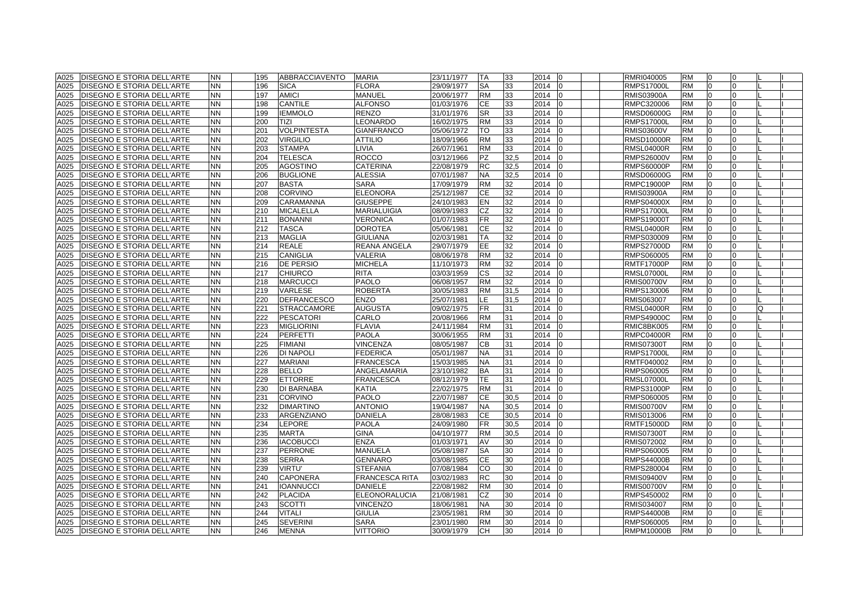| A025 | DISEGNO E STORIA DELL'ARTE        | <b>NN</b> | 195 | <b>ABBRACCIAVENTO</b> | <b>MARIA</b>         | 23/11/1977 | TA        | 33   | 2014   | <sup>0</sup> | RMRI040005        | <b>RM</b> | 0              |          |   |  |
|------|-----------------------------------|-----------|-----|-----------------------|----------------------|------------|-----------|------|--------|--------------|-------------------|-----------|----------------|----------|---|--|
| A025 | DISEGNO E STORIA DELL'ARTE        | <b>NN</b> | 196 | <b>SICA</b>           | <b>FLORA</b>         | 29/09/1977 | <b>SA</b> | 33   | 2014   | <sup>0</sup> | <b>RMPS17000L</b> | <b>RM</b> | $\Omega$       |          |   |  |
| A025 | DISEGNO E STORIA DELL'ARTE        | <b>NN</b> | 197 | <b>AMICI</b>          | MANUEL               | 20/06/1977 | <b>RM</b> | 33   | 2014   | $\Omega$     | RMIS03900A        | <b>RM</b> | $\overline{0}$ | 0        |   |  |
| A025 | <b>DISEGNO E STORIA DELL'ARTE</b> | <b>NN</b> | 198 | <b>CANTILE</b>        | <b>ALFONSO</b>       | 01/03/1976 | CE        | 33   | 2014   | 0            | RMPC320006        | <b>RM</b> | $\overline{0}$ | 0        |   |  |
| A025 | DISEGNO E STORIA DELL'ARTE        | <b>NN</b> | 199 | <b>IEMMOLO</b>        | <b>RENZO</b>         | 31/01/1976 | <b>SR</b> | 33   | 2014   | <sup>0</sup> | RMSD06000G        | <b>RM</b> | $\Omega$       | 0        |   |  |
| A025 | DISEGNO E STORIA DELL'ARTE        | <b>NN</b> | 200 | TIZI                  | EONARDO              | 16/02/1975 | <b>RM</b> | 33   | 2014   |              | <b>RMPS17000L</b> | RM        | $\Omega$       |          |   |  |
| A025 | DISEGNO E STORIA DELL'ARTE        | <b>NN</b> | 201 | <b>VOLPINTESTA</b>    | <b>GIANFRANCO</b>    | 05/06/1972 | TO        | 33   | 2014   |              | <b>RMIS03600V</b> | RM        | $\Omega$       |          |   |  |
| A025 | <b>DISEGNO E STORIA DELL'ARTE</b> | <b>NN</b> | 202 | <b>VIRGILIO</b>       | <b>ATTILIO</b>       | 18/09/1966 | <b>RM</b> | 33   | 2014   | <sup>0</sup> | <b>RMSD10000R</b> | <b>RM</b> | $\overline{0}$ |          |   |  |
| A025 | <b>DISEGNO E STORIA DELL'ARTE</b> | <b>NN</b> | 203 | <b>STAMPA</b>         | LIVIA                | 26/07/1961 | <b>RM</b> | 33   | 2014   | $\Omega$     | <b>RMSL04000R</b> | <b>RM</b> | $\overline{0}$ | 0        |   |  |
| A025 | <b>DISEGNO E STORIA DELL'ARTE</b> | <b>NN</b> | 204 | <b>TELESCA</b>        | ROCCO                | 03/12/1966 | <b>PZ</b> | 32,5 | 2014   | <sup>0</sup> | RMPS26000V        | <b>RM</b> | $\overline{0}$ |          |   |  |
| A025 | <b>DISEGNO E STORIA DELL'ARTE</b> | <b>NN</b> | 205 | <b>AGOSTINO</b>       | CATERINA             | 22/08/1979 | <b>RC</b> | 32,5 | 2014   | $\Omega$     | RMPS60000P        | <b>RM</b> | $\overline{0}$ |          |   |  |
| A025 | DISEGNO E STORIA DELL'ARTE        | <b>NN</b> | 206 | <b>BUGLIONE</b>       | <b>ALESSIA</b>       | 07/01/1987 | <b>NA</b> | 32,5 | 2014   | $\Omega$     | RMSD06000G        | <b>RM</b> | $\overline{0}$ | $\Omega$ |   |  |
| A025 | <b>DISEGNO E STORIA DELL'ARTE</b> | <b>NN</b> | 207 | <b>BASTA</b>          | SARA                 | 17/09/1979 | <b>RM</b> | 32   | 2014   | 0            | RMPC19000P        | <b>RM</b> | 0              | 0        |   |  |
| A025 | <b>DISEGNO E STORIA DELL'ARTE</b> | <b>NN</b> | 208 | <b>CORVINO</b>        | <b>ELEONORA</b>      | 25/12/1987 | <b>CE</b> | 32   | 2014   | <sup>0</sup> | RMIS03900A        | <b>RM</b> | 0              |          |   |  |
| A025 | DISEGNO E STORIA DELL'ARTE        | <b>NN</b> | 209 | CARAMANNA             | <b>GIUSEPPE</b>      | 24/10/1983 | <b>EN</b> | 32   | 2014   |              | <b>RMPS04000X</b> | <b>RM</b> |                |          |   |  |
| A025 | DISEGNO E STORIA DELL'ARTE        | <b>NN</b> | 210 | <b>MICALELLA</b>      | <b>MARIALUIGIA</b>   | 08/09/1983 | <b>CZ</b> | 32   | 2014   |              | <b>RMPS17000L</b> | <b>RM</b> | $\Omega$       |          |   |  |
| A025 | <b>DISEGNO E STORIA DELL'ARTE</b> | <b>NN</b> | 211 | <b>BONANNI</b>        | <b>VERONICA</b>      | 01/07/1983 | <b>FR</b> | 32   | 2014   | 0            | <b>RMPS19000T</b> | <b>RM</b> | $\overline{0}$ | $\Omega$ |   |  |
| A025 | <b>DISEGNO E STORIA DELL'ARTE</b> | <b>NN</b> | 212 | <b>TASCA</b>          | DOROTEA              | 05/06/1981 | <b>CE</b> | 32   | 2014   | $\Omega$     | RMSL04000R        | <b>RM</b> | $\mathbf 0$    | 0        |   |  |
| A025 | DISEGNO E STORIA DELL'ARTE        | <b>NN</b> | 213 | <b>MAGLIA</b>         | <b>GIULIANA</b>      | 02/03/1981 | <b>TA</b> | 32   | 2014   | <sup>n</sup> | RMPS030009        | <b>RM</b> | $\overline{0}$ |          |   |  |
| A025 | DISEGNO E STORIA DELL'ARTE        | <b>NN</b> | 214 | <b>REALE</b>          | REANA ANGELA         | 29/07/1979 | EE        | 32   | 2014   | $\Omega$     | <b>RMPS27000D</b> | <b>RM</b> | $\overline{0}$ | 0        |   |  |
| A025 | DISEGNO E STORIA DELL'ARTE        | <b>NN</b> | 215 | <b>CANIGLIA</b>       | VALERIA              | 08/06/1978 | <b>RM</b> | 32   | 2014   | $\Omega$     | RMPS060005        | <b>RM</b> | 0              | 0        |   |  |
| A025 | DISEGNO E STORIA DELL'ARTE        | <b>NN</b> | 216 | <b>DE PERSIO</b>      | MICHELA              | 11/10/1973 | <b>RM</b> | 32   | 2014   | $\Omega$     | <b>RMTF17000P</b> | <b>RM</b> | $\overline{0}$ | 0        |   |  |
| A025 | DISEGNO E STORIA DELL'ARTE        | <b>NN</b> | 217 | <b>CHIURCO</b>        | <b>RITA</b>          | 03/03/1959 | CS        | 32   | 2014   |              | <b>RMSL07000L</b> | <b>RM</b> | $\Omega$       |          |   |  |
| A025 | <b>DISEGNO E STORIA DELL'ARTE</b> | <b>NN</b> | 218 | <b>MARCUCCI</b>       | PAOLO                | 06/08/1957 | <b>RM</b> | 32   | 2014   |              | RMIS00700V        | RM        | $\Omega$       |          |   |  |
| A025 | <b>DISEGNO E STORIA DELL'ARTE</b> | <b>NN</b> | 219 | VARLESE               | <b>ROBERTA</b>       | 30/05/1983 | <b>RM</b> | 31,5 | 2014   | $\Omega$     | RMPS130006        | <b>RM</b> | $\Omega$       |          |   |  |
| A025 | <b>DISEGNO E STORIA DELL'ARTE</b> | <b>NN</b> | 220 | <b>DEFRANCESCO</b>    | ENZO                 | 25/07/1981 | LE        | 31,5 | 2014   | $\Omega$     | RMIS063007        | <b>RM</b> | $\overline{0}$ | 0        |   |  |
| A025 | DISEGNO E STORIA DELL'ARTE        | <b>NN</b> | 221 | <b>STRACCAMORE</b>    | AUGUSTA              | 09/02/1975 | <b>FR</b> | 31   | 2014   | <sup>n</sup> | RMSL04000R        | <b>RM</b> | $\overline{0}$ |          | Q |  |
| A025 | DISEGNO E STORIA DELL'ARTE        | <b>NN</b> | 222 | <b>PESCATORI</b>      | CARLO                | 20/08/1966 | <b>RM</b> | 31   | 2014   | <sup>0</sup> | RMPS49000C        | <b>RM</b> | $\overline{0}$ |          |   |  |
| A025 | <b>DISEGNO E STORIA DELL'ARTE</b> | <b>NN</b> | 223 | <b>MIGLIORINI</b>     | <b>FLAVIA</b>        | 24/11/1984 | <b>RM</b> | 31   | 2014   | $\Omega$     | RMIC8BK005        | <b>RM</b> | $\overline{0}$ | 0        |   |  |
| A025 | DISEGNO E STORIA DELL'ARTE        | <b>NN</b> | 224 | <b>PERFETTI</b>       | PAOLA                | 30/06/1955 | <b>RM</b> | 31   | 2014   |              | RMPC04000R        | <b>RM</b> | $\Omega$       |          |   |  |
| A025 | DISEGNO E STORIA DELL'ARTE        | <b>NN</b> | 225 | <b>FIMIANI</b>        | VINCENZA             | 08/05/1987 | CВ        | 31   | 2014   |              | RMIS07300T        | <b>RM</b> | $\Omega$       |          |   |  |
| A025 | DISEGNO E STORIA DELL'ARTE        | <b>NN</b> | 226 | DI NAPOLI             | <b>FEDERICA</b>      | 05/01/1987 | <b>NA</b> | 31   | 2014   |              | <b>RMPS17000L</b> | <b>RM</b> | $\Omega$       |          |   |  |
| A025 | DISEGNO E STORIA DELL'ARTE        | <b>NN</b> | 227 | <b>MARIANI</b>        | <b>FRANCESCA</b>     | 15/03/1985 | <b>NA</b> | 31   | 2014   |              | RMTF040002        | <b>RM</b> | $\Omega$       |          |   |  |
| A025 | DISEGNO E STORIA DELL'ARTE        | <b>NN</b> | 228 | <b>BELLO</b>          | ANGELAMARIA          | 23/10/1982 | <b>BA</b> | 31   | 2014   | $\Omega$     | RMPS060005        | <b>RM</b> | $\overline{0}$ | O        |   |  |
| A025 | DISEGNO E STORIA DELL'ARTE        | <b>NN</b> | 229 | <b>ETTORRE</b>        | <b>FRANCESCA</b>     | 08/12/1979 | <b>TE</b> | 31   | 2014   | <sup>n</sup> | RMSL07000L        | <b>RM</b> | $\overline{0}$ |          |   |  |
| A025 | <b>DISEGNO E STORIA DELL'ARTE</b> | <b>NN</b> | 230 | DI BARNABA            | KATIA                | 22/02/1975 | <b>RM</b> | 31   | 2014   | <sup>0</sup> | RMPS31000P        | <b>RM</b> | 0              | 0        |   |  |
| A025 | DISEGNO E STORIA DELL'ARTE        | <b>NN</b> | 231 | <b>CORVINO</b>        | PAOLO                | 22/07/1987 | <b>CE</b> | 30,5 | 2014   | $\Omega$     | RMPS060005        | <b>RM</b> | $\overline{0}$ | 0        |   |  |
| A025 | <b>DISEGNO E STORIA DELL'ARTE</b> | <b>NN</b> | 232 | <b>DIMARTINO</b>      | <b>ANTONIO</b>       | 19/04/1987 | <b>NA</b> | 30,5 | 2014   | 0            | RMIS00700V        | <b>RM</b> | $\overline{0}$ | 0        |   |  |
| A025 | DISEGNO E STORIA DELL'ARTE        | <b>NN</b> | 233 | ARGENZIANO            | DANIELA              | 28/08/1983 | СE        | 30,5 | 2014   | $\Omega$     | RMIS013006        | <b>RM</b> | $\Omega$       |          |   |  |
| A025 | <b>DISEGNO E STORIA DELL'ARTE</b> | <b>NN</b> | 234 | LEPORE                | <b>PAOLA</b>         | 24/09/1980 | <b>FR</b> | 30,5 | 2014   |              | RMTF15000D        | <b>RM</b> | $\Omega$       |          |   |  |
| A025 | <b>DISEGNO E STORIA DELL'ARTE</b> | <b>NN</b> | 235 | <b>MARTA</b>          | <b>GINA</b>          | 04/10/1977 | <b>RM</b> | 30,5 | 2014   | $\Omega$     | <b>RMIS07300T</b> | <b>RM</b> | $\Omega$       |          |   |  |
| A025 | <b>DISEGNO E STORIA DELL'ARTE</b> | <b>NN</b> | 236 | <b>IACOBUCCI</b>      | <b>ENZA</b>          | 01/03/1971 | AV        | 30   | 2014   | <sup>0</sup> | RMIS072002        | <b>RM</b> | $\Omega$       |          |   |  |
| A025 | <b>DISEGNO E STORIA DELL'ARTE</b> | <b>NN</b> | 237 | <b>PERRONE</b>        | <b>MANUELA</b>       | 05/08/1987 | <b>SA</b> | 30   | 2014   | <sup>0</sup> | RMPS060005        | <b>RM</b> | $\overline{0}$ |          |   |  |
| A025 | DISEGNO E STORIA DELL'ARTE        | <b>NN</b> | 238 | <b>SERRA</b>          | <b>GENNARO</b>       | 03/08/1985 | <b>CE</b> | 30   | 2014   | <sup>n</sup> | RMPS44000B        | <b>RM</b> | $\overline{0}$ | U        |   |  |
| A025 | <b>DISEGNO E STORIA DELL'ARTE</b> | <b>NN</b> | 239 | <b>VIRTU'</b>         | <b>STEFANIA</b>      | 07/08/1984 | CO        | 30   | 2014   | $\Omega$     | RMPS280004        | <b>RM</b> | $\overline{0}$ | 0        |   |  |
| A025 | DISEGNO E STORIA DELL'ARTE        | <b>NN</b> | 240 | <b>CAPONERA</b>       | FRANCESCA RITA       | 03/02/1983 | <b>RC</b> | 30   | 2014   | $\Omega$     | RMIS09400V        | <b>RM</b> | $\overline{0}$ | 0        |   |  |
| A025 | <b>DISEGNO E STORIA DELL'ARTE</b> | <b>NN</b> | 241 | <b>IOANNUCCI</b>      | <b>DANIELE</b>       | 22/08/1982 | <b>RM</b> | 30   | 2014   | n            | RMIS00700V        | <b>RM</b> | $\Omega$       |          |   |  |
| A025 | DISEGNO E STORIA DELL'ARTE        | <b>NN</b> | 242 | <b>PLACIDA</b>        | <b>ELEONORALUCIA</b> | 21/08/1981 | CZ        | 30   | 2014   |              | RMPS450002        | <b>RM</b> | $\Omega$       |          |   |  |
| A025 | <b>DISEGNO E STORIA DELL'ARTE</b> | <b>NN</b> | 243 | <b>SCOTTI</b>         | <b>VINCENZO</b>      | 18/06/1981 | <b>NA</b> | 30   | 2014   |              | RMIS034007        | RM        | $\Omega$       |          |   |  |
| A025 | DISEGNO E STORIA DELL'ARTE        | <b>NN</b> | 244 | <b>VITALI</b>         | <b>GIULIA</b>        | 23/05/1981 | <b>RM</b> | 30   | 2014   | $\Omega$     | <b>RMPS44000B</b> | <b>RM</b> | $\overline{0}$ |          |   |  |
| A025 | <b>DISEGNO E STORIA DELL'ARTE</b> | <b>NN</b> | 245 | <b>SEVERINI</b>       | SARA                 | 23/01/1980 | <b>RM</b> | 30   | 2014   | $\Omega$     | RMPS060005        | <b>RM</b> | $\overline{0}$ | 0        |   |  |
| A025 | <b>DISEGNO E STORIA DELL'ARTE</b> | <b>NN</b> | 246 | <b>MENNA</b>          | <b>VITTORIO</b>      | 30/09/1979 | <b>CH</b> | 30   | 2014 0 |              | RMPM10000B        | <b>RM</b> | $\overline{0}$ | 0        |   |  |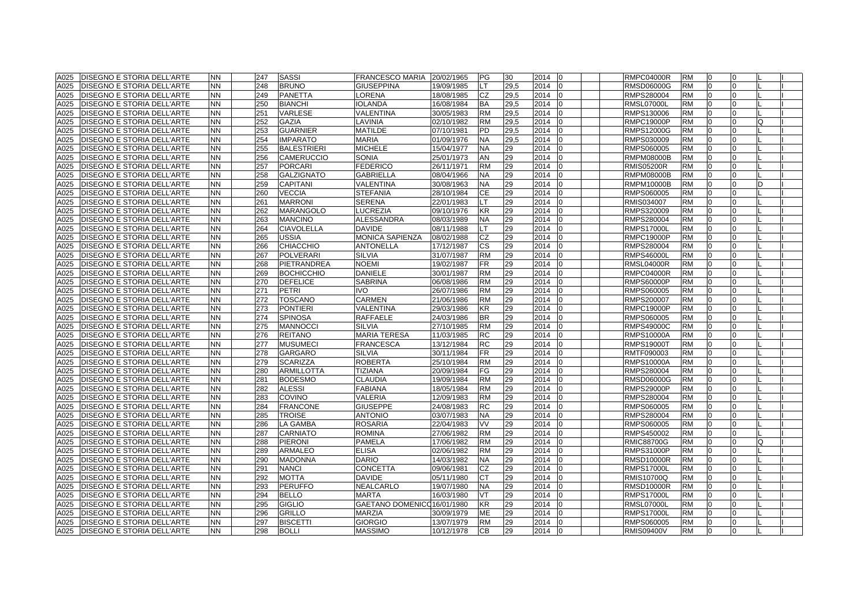| A025         | <b>DISEGNO E STORIA DELL'ARTE</b>                               | <b>NN</b>              | 247        | <b>SASSI</b>                   | <b>FRANCESCO MARIA</b>                       | 20/02/1965               | PG        | 30       | 2014         | lo | <b>RMPC04000R</b>               | <b>RM</b>              | 0                    | 0                    |   |  |
|--------------|-----------------------------------------------------------------|------------------------|------------|--------------------------------|----------------------------------------------|--------------------------|-----------|----------|--------------|----|---------------------------------|------------------------|----------------------|----------------------|---|--|
| A025         | DISEGNO E STORIA DELL'ARTE                                      | <b>NN</b>              | 248        | <b>BRUNO</b>                   | <b>GIUSEPPINA</b>                            | 19/09/1985               | LT        | 29,5     | 2014         |    | <b>RMSD06000G</b>               | <b>RM</b>              | l0                   | $\overline{0}$       |   |  |
| A025         | DISEGNO E STORIA DELL'ARTE                                      | <b>NN</b>              | 249        | <b>PANETTA</b>                 | LORENA                                       | 18/08/1985               | CZ        | 29,5     | 2014         |    | RMPS280004                      | <b>RM</b>              | $\Omega$             | $\Omega$             |   |  |
| A025         | DISEGNO E STORIA DELL'ARTE                                      | <b>NN</b>              | 250        | <b>BIANCHI</b>                 | <b>IOLANDA</b>                               | 16/08/1984               | BA        | 29,5     | 2014         |    | RMSL07000L                      | <b>RM</b>              | $\overline{0}$       | $\Omega$             |   |  |
| A025         | DISEGNO E STORIA DELL'ARTE                                      | <b>NN</b>              | 251        | <b>VARLESE</b>                 | VALENTINA                                    | 30/05/1983               | <b>RM</b> | 29,5     | 2014         |    | RMPS130006                      | <b>RM</b>              | $\overline{0}$       | 0                    |   |  |
| A025         | DISEGNO E STORIA DELL'ARTE                                      | <b>NN</b>              | 252        | <b>GAZIA</b>                   | LAVINIA                                      | 02/10/1982               | RM        | 29,5     | 2014         |    | RMPC19000P                      | <b>RM</b>              | $\overline{0}$       | 0                    |   |  |
| A025         | DISEGNO E STORIA DELL'ARTE                                      | <b>NN</b>              | 253        | <b>GUARNIER</b>                | <b>MATILDE</b>                               | 07/10/1981               | PD        | 29,5     | 2014         |    | RMPS12000G                      | <b>RM</b>              | $\Omega$             | $\Omega$             |   |  |
| A025         | DISEGNO E STORIA DELL'ARTE                                      | <b>NN</b>              | 254        | <b>IMPARATO</b>                | <b>MARIA</b>                                 | 01/09/1976               | <b>NA</b> | 29,5     | 2014         |    | RMPS030009                      | <b>RM</b>              | $\overline{0}$       | $\Omega$             |   |  |
| A025         | <b>DISEGNO E STORIA DELL'ARTE</b>                               | <b>NN</b>              | 255        | <b>BALESTRIERI</b>             | <b>MICHELE</b>                               | 15/04/1977               | <b>NA</b> | 29       | 2014         |    | RMPS060005                      | <b>RM</b>              | $\overline{0}$       | $\Omega$             |   |  |
| A025         | DISEGNO E STORIA DELL'ARTE                                      | <b>NN</b>              | 256        | <b>CAMERUCCIO</b>              | <b>SONIA</b>                                 | 25/01/1973               | AN        | 29       | 2014         |    | <b>RMPM08000B</b>               | <b>RM</b>              | $\overline{0}$       | $\Omega$             |   |  |
| A025         | DISEGNO E STORIA DELL'ARTE                                      | <b>NN</b>              | 257        | <b>PORCARI</b>                 | <b>FEDERICO</b>                              | 26/11/1971               | RM        | 29       | 2014         |    | RMIS05200R                      | <b>RM</b>              | $\Omega$             | $\Omega$             |   |  |
| A025         | DISEGNO E STORIA DELL'ARTE                                      | <b>NN</b>              | 258        | <b>GALZIGNATO</b>              | <b>GABRIELLA</b>                             | 08/04/1966               | NA        | 29       | 2014         |    | RMPM08000B                      | <b>RM</b>              | $\overline{0}$       | $\Omega$             |   |  |
| A025         | DISEGNO E STORIA DELL'ARTE                                      | <b>NN</b>              | 259        | <b>CAPITANI</b>                | <b>VALENTINA</b>                             | 30/08/1963               | NA.       | 29       | 2014         |    | RMPM10000B                      | <b>RM</b>              | $\overline{0}$       | $\Omega$             |   |  |
| A025         | DISEGNO E STORIA DELL'ARTE                                      | <b>NN</b>              | 260        | <b>VECCIA</b>                  | <b>STEFANIA</b>                              | 28/10/1984               | СE        | 29       | 2014         |    | RMPS060005                      | <b>RM</b>              | $\overline{0}$       | 0                    |   |  |
| A025         | DISEGNO E STORIA DELL'ARTE                                      | <b>NN</b>              | 261        | <b>MARRONI</b>                 | <b>SERENA</b>                                | 22/01/1983               |           | 29       | 2014         |    | RMIS034007                      | <b>RM</b>              | $\overline{0}$       | $\Omega$             |   |  |
| A025         | DISEGNO E STORIA DELL'ARTE                                      | <b>NN</b>              | 262        | <b>MARANGOLO</b>               | <b>LUCREZIA</b>                              | 09/10/1976               | ΚR        | 29       | 2014         |    | RMPS320009                      | <b>RM</b>              | $\overline{0}$       | $\Omega$             |   |  |
| A025         | DISEGNO E STORIA DELL'ARTE                                      | <b>NN</b>              | 263        | <b>MANCINO</b>                 | <b>ALESSANDRA</b>                            | 08/03/1989               | NA.       | 29       | 2014         |    | RMPS280004                      | <b>RM</b>              | $\overline{0}$       | $\Omega$             |   |  |
| A025         | DISEGNO E STORIA DELL'ARTE                                      | <b>NN</b>              | 264        | <b>CIAVOLELLA</b>              | <b>DAVIDE</b>                                | 08/11/1988               |           | 29       | 2014         |    | <b>RMPS17000L</b>               | <b>RM</b>              | $\overline{0}$       | $\Omega$             |   |  |
| A025         | DISEGNO E STORIA DELL'ARTE                                      | <b>NN</b>              | 265        | <b>USSIA</b>                   | MONICA SAPIENZA                              | 08/02/1988               | CZ        | 29       | 2014         |    | <b>RMPC19000P</b>               | <b>RM</b>              | $\Omega$             | $\Omega$             |   |  |
| A025         | DISEGNO E STORIA DELL'ARTE                                      | <b>NN</b>              | 266        | CHIACCHIO                      | <b>ANTONELLA</b>                             | 17/12/1987               | СS        | 29       | 2014         |    | RMPS280004                      | <b>RM</b>              | 0                    | $\Omega$             |   |  |
| A025         | DISEGNO E STORIA DELL'ARTE                                      | <b>NN</b>              | 267        | <b>POLVERARI</b>               | <b>SILVIA</b>                                | 31/07/1987               | <b>RM</b> | 29       | 2014         |    | <b>RMPS46000L</b>               | <b>RM</b>              | $\overline{0}$       | $\Omega$             |   |  |
| A025         | <b>DISEGNO E STORIA DELL'ARTE</b>                               | <b>NN</b>              | 268        | PIETRANDREA                    | <b>NOEMI</b>                                 | 19/02/1987               | FR        | 29       | 2014         |    | <b>RMSL04000R</b>               | <b>RM</b>              | $\overline{0}$       | $\Omega$             |   |  |
| A025         | DISEGNO E STORIA DELL'ARTE                                      | <b>NN</b>              | 269        | <b>BOCHICCHIO</b>              | <b>DANIELE</b>                               | 30/01/1987               | RM        | 29       | 2014         |    | RMPC04000R                      | <b>RM</b>              | $\Omega$             | $\Omega$             |   |  |
| A025         | DISEGNO E STORIA DELL'ARTE                                      | <b>NN</b>              | 270        | <b>DEFELICE</b>                | <b>SABRINA</b>                               | 06/08/1986               | <b>RM</b> | 29       | 2014         |    | RMPS60000P                      | <b>RM</b>              | $\Omega$             | $\Omega$             |   |  |
| A025         | <b>DISEGNO E STORIA DELL'ARTE</b>                               | <b>NN</b>              | 271        | <b>PETRI</b>                   | <b>IVO</b>                                   | 26/07/1986               | <b>RM</b> | 29       | 2014         |    | RMPS060005                      | <b>RM</b>              | $\Omega$             | $\Omega$             |   |  |
| A025         | <b>DISEGNO E STORIA DELL'ARTE</b>                               | <b>NN</b>              | 272        | <b>TOSCANO</b>                 | <b>CARMEN</b>                                | 21/06/1986               | <b>RM</b> | 29       | 2014         |    | RMPS200007                      | <b>RM</b>              | $\Omega$             | $\Omega$             |   |  |
| A025         | DISEGNO E STORIA DELL'ARTE                                      | <b>NN</b>              | 273        | <b>PONTIERI</b>                | VALENTINA                                    | 29/03/1986               | ΚR        | 29       | 2014         |    | <b>RMPC19000P</b>               | <b>RM</b>              | $\overline{0}$       | $\Omega$             |   |  |
| A025         | DISEGNO E STORIA DELL'ARTE                                      | <b>NN</b>              | 274        | <b>SPINOSA</b>                 | RAFFAELE                                     | 24/03/1986               | BR        | 29       | 2014         |    | RMPS060005                      | <b>RM</b>              | $\overline{0}$       | 0                    |   |  |
| A025         | DISEGNO E STORIA DELL'ARTE                                      | <b>NN</b>              | 275        | <b>MANNOCCI</b>                | <b>SILVIA</b>                                | 27/10/1985               | <b>RM</b> | 29       | 2014         | n  | RMPS49000C                      | <b>RM</b>              | $\overline{0}$       | 0                    |   |  |
| A025         | DISEGNO E STORIA DELL'ARTE                                      | <b>NN</b>              | 276        | <b>REITANO</b>                 | <b>MARIA TERESA</b>                          | 11/03/1985               | RC        | 29       | 2014         |    | RMPS10000A                      | <b>RM</b>              | $\Omega$             | $\Omega$             |   |  |
| A025         | DISEGNO E STORIA DELL'ARTE                                      | <b>NN</b>              | 277        | <b>MUSUMECI</b>                | <b>FRANCESCA</b>                             | 13/12/1984               | RC        | 29       | 2014         |    | RMPS19000T                      | <b>RM</b>              | $\Omega$             | $\Omega$             |   |  |
| A025         | DISEGNO E STORIA DELL'ARTE                                      | <b>NN</b>              | 278        | <b>GARGARO</b>                 | <b>SILVIA</b>                                | 30/11/1984               | FR        | 29       | 2014         |    | RMTF090003                      | <b>RM</b>              | $\overline{0}$       | $\Omega$             |   |  |
| A025         | DISEGNO E STORIA DELL'ARTE                                      | <b>NN</b>              | 279        | <b>SCARIZZA</b>                | <b>ROBERTA</b>                               | 25/10/1984               | RM        | 29       | 2014         |    | <b>RMPS10000A</b>               | <b>RM</b>              | $\overline{0}$       | $\overline{0}$       |   |  |
| A025         | <b>DISEGNO E STORIA DELL'ARTE</b>                               | <b>NN</b>              | 280        | <b>ARMILLOTTA</b>              | <b>TIZIANA</b>                               | 20/09/1984               | FG        | 29       | 2014         |    | RMPS280004                      | <b>RM</b>              | l0                   | 0                    |   |  |
| A025         | DISEGNO E STORIA DELL'ARTE                                      | <b>NN</b>              | 281        | <b>BODESMO</b>                 | <b>CLAUDIA</b>                               | 19/09/1984               | <b>RM</b> | 29       | 2014         |    | RMSD06000G                      | <b>RM</b>              | $\overline{0}$       | $\Omega$             |   |  |
| A025         | DISEGNO E STORIA DELL'ARTE                                      | <b>NN</b>              | 282        | <b>ALESSI</b>                  | <b>FABIANA</b>                               | 18/05/1984               | RM        | 29       | 2014         |    | RMPS29000P                      | <b>RM</b>              | $\overline{0}$       | 0                    |   |  |
| A025         | DISEGNO E STORIA DELL'ARTE                                      | <b>NN</b>              | 283        | <b>COVINO</b>                  | VALERIA                                      | 12/09/1983               | <b>RM</b> | 29       | 2014         |    | RMPS280004                      | <b>RM</b>              | $\overline{0}$       | 0                    |   |  |
| A025         | <b>DISEGNO E STORIA DELL'ARTE</b>                               | <b>NN</b>              | 284        | <b>FRANCONE</b>                | <b>GIUSEPPE</b>                              | 24/08/1983               | RC        | 29       | 2014         | n  | RMPS060005                      | <b>RM</b>              | 0                    | 0                    |   |  |
| A025         | DISEGNO E STORIA DELL'ARTE                                      | <b>NN</b>              | 285        | <b>TROISE</b>                  | <b>ANTONIO</b>                               | 03/07/1983               | NA.       | 29       | 2014         |    | RMPS280004                      | <b>RM</b>              | $\Omega$             | $\Omega$             |   |  |
| A025         | DISEGNO E STORIA DELL'ARTE                                      | <b>NN</b>              | 286        | <b>LA GAMBA</b>                | <b>ROSARIA</b>                               | 22/04/1983               | VV        | 29       | 2014         |    | RMPS060005                      | <b>RM</b>              | $\Omega$             | $\Omega$             |   |  |
| A025         | DISEGNO E STORIA DELL'ARTE                                      | <b>NN</b>              | 287        | <b>CARNIATO</b>                | <b>ROMINA</b>                                | 27/06/1982               | RM        | 29       | 2014         |    | RMPS450002                      | <b>RM</b>              | $\overline{0}$       | $\Omega$             |   |  |
| A025         | DISEGNO E STORIA DELL'ARTE                                      | <b>NN</b>              | 288        | <b>PIERONI</b>                 | <b>PAMELA</b>                                | 17/06/1982               | <b>RM</b> | 29       | 2014         |    | <b>RMIC88700G</b>               | <b>RM</b>              | $\overline{0}$       | $\Omega$             | C |  |
| A025         | DISEGNO E STORIA DELL'ARTE                                      | <b>NN</b>              | 289        | <b>ARMALEO</b>                 | <b>ELISA</b>                                 | 02/06/1982               | RM        | 29       | 2014         |    | <b>RMPS31000P</b>               | <b>RM</b>              | $\overline{0}$       | $\Omega$             |   |  |
| A025         | DISEGNO E STORIA DELL'ARTE                                      | <b>NN</b>              | 290        | <b>MADONNA</b>                 | <b>DARIO</b>                                 | 14/03/1982               | NA.       | 29       | 2014         |    | RMSD10000R                      | <b>RM</b>              | $\Omega$             | $\Omega$             |   |  |
| A025         | DISEGNO E STORIA DELL'ARTE                                      | <b>NN</b>              | 291        | <b>NANCI</b>                   | <b>CONCETTA</b>                              | 09/06/1981               | CZ        | 29       | 2014         |    | <b>RMPS17000L</b>               | <b>RM</b>              | $\overline{0}$       | $\Omega$             |   |  |
| A025         | DISEGNO E STORIA DELL'ARTE                                      | <b>NN</b>              | 292        | <b>MOTTA</b>                   | <b>DAVIDE</b>                                | 05/11/1980               | CТ        | 29       | 2014         |    | RMIS10700Q                      | <b>RM</b>              | $\overline{0}$       | $\Omega$             |   |  |
| A025         | DISEGNO E STORIA DELL'ARTE                                      | <b>NN</b>              | 293        | <b>PERUFFO</b>                 | NEALCARLO                                    | 19/07/1980               | NA.       | 29       | 2014         |    | <b>RMSD10000R</b>               | <b>RM</b>              | $\Omega$             | $\Omega$<br>$\Omega$ |   |  |
| A025         | DISEGNO E STORIA DELL'ARTE                                      | <b>NN</b><br><b>NN</b> | 294        | <b>BELLO</b>                   | <b>MARTA</b>                                 | 16/03/1980               | VT<br>KR. | 29       | 2014         |    | <b>RMPS17000L</b>               | <b>RM</b><br><b>RM</b> | $\Omega$<br>$\Omega$ | $\Omega$             |   |  |
| A025<br>A025 | DISEGNO E STORIA DELL'ARTE<br><b>DISEGNO E STORIA DELL'ARTE</b> | <b>NN</b>              | 295<br>296 | <b>GIGLIO</b><br><b>GRILLO</b> | GAETANO DOMENICO 16/01/1980<br><b>MARZIA</b> |                          | ME        | 29<br>29 | 2014<br>2014 |    | <b>RMSL07000L</b>               | <b>RM</b>              | $\overline{0}$       | $\Omega$             |   |  |
| A025         |                                                                 | <b>NN</b>              | 297        | <b>BISCETTI</b>                | <b>GIORGIO</b>                               | 30/09/1979<br>13/07/1979 | <b>RM</b> | 29       | 2014         |    | <b>RMPS17000L</b><br>RMPS060005 | <b>RM</b>              | l0                   | $\Omega$             |   |  |
| A025         | DISEGNO E STORIA DELL'ARTE                                      | <b>NN</b>              | 298        | <b>BOLLI</b>                   | <b>MASSIMO</b>                               | 10/12/1978               | CВ        | 29       | 2014         | I0 | <b>RMIS09400V</b>               | <b>RM</b>              | $\Omega$             | $\Omega$             |   |  |
|              | <b>DISEGNO E STORIA DELL'ARTE</b>                               |                        |            |                                |                                              |                          |           |          |              |    |                                 |                        |                      |                      |   |  |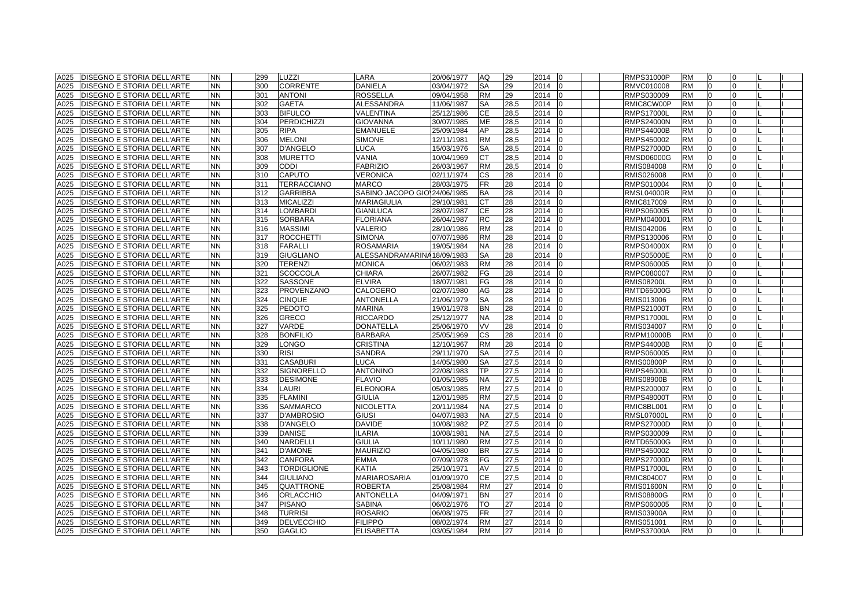| A025 | <b>DISEGNO E STORIA DELL'ARTE</b> | ΝN        |     | 299 | LUZZI              | LARA                         | 20/06/1977 | AQ.       | 29   | 2014 | $\overline{0}$ | <b>RMPS31000P</b> | <b>RM</b> | 0              | 0              |  |
|------|-----------------------------------|-----------|-----|-----|--------------------|------------------------------|------------|-----------|------|------|----------------|-------------------|-----------|----------------|----------------|--|
| A025 | DISEGNO E STORIA DELL'ARTE        | ΝN        |     | 300 | <b>CORRENTE</b>    | <b>DANIELA</b>               | 03/04/1972 | SA        | 29   | 2014 | $\Omega$       | RMVC010008        | <b>RM</b> | $\overline{0}$ | $\overline{0}$ |  |
| A025 | DISEGNO E STORIA DELL'ARTE        | NN.       |     | 301 | <b>ANTONI</b>      | <b>ROSSELLA</b>              | 09/04/1958 | <b>RM</b> | 29   | 2014 |                | RMPS030009        | <b>RM</b> | $\Omega$       | $\Omega$       |  |
| A025 | <b>DISEGNO E STORIA DELL'ARTE</b> | ΝN        |     | 302 | <b>GAETA</b>       | ALESSANDRA                   | 11/06/1987 | SA        | 28,5 | 2014 | $\Omega$       | RMIC8CW00P        | <b>RM</b> | $\overline{0}$ | 0              |  |
| A025 | DISEGNO E STORIA DELL'ARTE        | <b>NN</b> |     | 303 | <b>BIFULCO</b>     | VALENTINA                    | 25/12/1986 | <b>CE</b> | 28,5 | 2014 | $\Omega$       | <b>RMPS17000L</b> | <b>RM</b> | $\overline{0}$ | 0              |  |
| A025 | DISEGNO E STORIA DELL'ARTE        | ΝN        |     | 304 | <b>PERDICHIZZI</b> | GIOVANNA                     | 30/07/1985 | ME        | 28,5 | 2014 | n              | <b>RMPS24000N</b> | <b>RM</b> | $\Omega$       | $\Omega$       |  |
| A025 | DISEGNO E STORIA DELL'ARTE        | NN        |     | 305 | RIPA               | EMANUELE                     | 25/09/1984 | AP        | 28,5 | 2014 |                | <b>RMPS44000B</b> | <b>RM</b> | $\Omega$       | $\Omega$       |  |
| A025 | DISEGNO E STORIA DELL'ARTE        | ΝN        |     | 306 | <b>MELONI</b>      | <b>SIMONE</b>                | 12/11/1981 | <b>RM</b> | 28,5 | 2014 |                | RMPS450002        | <b>RM</b> | $\overline{0}$ | $\Omega$       |  |
| A025 | DISEGNO E STORIA DELL'ARTE        | <b>NN</b> |     | 307 | <b>D'ANGELO</b>    | <b>LUCA</b>                  | 15/03/1976 | <b>SA</b> | 28,5 | 2014 | $\Omega$       | <b>RMPS27000D</b> | <b>RM</b> | $\overline{0}$ | $\Omega$       |  |
| A025 | DISEGNO E STORIA DELL'ARTE        | NN.       |     | 308 | <b>MURETTO</b>     | VANIA                        | 10/04/1969 | <b>CT</b> | 28,5 | 2014 |                | <b>RMSD06000G</b> | <b>RM</b> | $\overline{0}$ | $\Omega$       |  |
| A025 | DISEGNO E STORIA DELL'ARTE        | ΝN        |     | 309 | <b>ODDI</b>        | <b>FABRIZIO</b>              | 26/03/1967 | <b>RM</b> | 28,5 | 2014 |                | RMIS084008        | <b>RM</b> | $\Omega$       | $\Omega$       |  |
| A025 | DISEGNO E STORIA DELL'ARTE        | NN.       |     | 310 | <b>CAPUTO</b>      | <b>VERONICA</b>              | 02/11/1974 | <b>CS</b> | 28   | 2014 |                | RMIS026008        | <b>RM</b> | $\overline{0}$ | $\Omega$       |  |
| A025 | <b>DISEGNO E STORIA DELL'ARTE</b> | <b>NN</b> | 311 |     | <b>TERRACCIANO</b> | <b>MARCO</b>                 | 28/03/1975 | <b>FR</b> | 28   | 2014 | 0              | RMPS010004        | <b>RM</b> | $\overline{0}$ | $\Omega$       |  |
| A025 | DISEGNO E STORIA DELL'ARTE        | NN        |     | 312 | <b>GARRIBBA</b>    | SABINO JACOPO GIO 24/06/1985 |            | <b>BA</b> | 28   | 2014 | $\Omega$       | <b>RMSL04000R</b> | <b>RM</b> | $\overline{0}$ | 0              |  |
| A025 | DISEGNO E STORIA DELL'ARTE        | NN.       |     | 313 | <b>MICALIZZI</b>   | MARIAGIULIA                  | 29/10/1981 | <b>CT</b> | 28   | 2014 |                | RMIC817009        | <b>RM</b> | $\Omega$       | 0              |  |
| A025 | DISEGNO E STORIA DELL'ARTE        | NN.       |     | 314 | OMBARDI            | GIANLUCA                     | 28/07/1987 | <b>CE</b> | 28   | 2014 |                | RMPS060005        | <b>RM</b> | $\Omega$       | $\Omega$       |  |
| A025 | DISEGNO E STORIA DELL'ARTE        | NN.       |     | 315 | <b>SORBARA</b>     | <b>FLORIANA</b>              | 26/04/1987 | <b>RC</b> | 28   | 2014 |                | RMPM040001        | <b>RM</b> | $\overline{0}$ | $\Omega$       |  |
| A025 | DISEGNO E STORIA DELL'ARTE        | NN        |     | 316 | <b>MASSIMI</b>     | <b>VALERIO</b>               | 28/10/1986 | <b>RM</b> | 28   | 2014 | $\Omega$       | RMIS042006        | <b>RM</b> | $\overline{0}$ | $\overline{0}$ |  |
| A025 | DISEGNO E STORIA DELL'ARTE        | NN.       |     | 317 | <b>ROCCHETTI</b>   | <b>SIMONA</b>                | 07/07/1986 | <b>RM</b> | 28   | 2014 |                | RMPS130006        | <b>RM</b> | $\overline{0}$ | $\Omega$       |  |
| A025 | DISEGNO E STORIA DELL'ARTE        | NN.       |     | 318 | <b>FARALLI</b>     | <b>ROSAMARIA</b>             | 19/05/1984 | <b>NA</b> | 28   | 2014 |                | <b>RMPS04000X</b> | <b>RM</b> | $\overline{0}$ | $\Omega$       |  |
| A025 | DISEGNO E STORIA DELL'ARTE        | <b>NN</b> |     | 319 | <b>GIUGLIANO</b>   | ALESSANDRAMARINA 18/09/1983  |            | <b>SA</b> | 28   | 2014 | $\Omega$       | <b>RMPS05000E</b> | <b>RM</b> | $\overline{0}$ | $\Omega$       |  |
| A025 | DISEGNO E STORIA DELL'ARTE        | NN.       |     | 320 | <b>TERENZI</b>     | MONICA                       | 06/02/1983 | <b>RM</b> | 28   | 2014 | $\Omega$       | RMPS060005        | <b>RM</b> | $\overline{0}$ | $\Omega$       |  |
| A025 | DISEGNO E STORIA DELL'ARTE        | NN.       | 321 |     | <b>SCOCCOLA</b>    | CHIARA                       | 26/07/1982 | FG        | 28   | 2014 |                | RMPC080007        | <b>RM</b> | $\Omega$       | $\Omega$       |  |
| A025 | DISEGNO E STORIA DELL'ARTE        | NN.       |     | 322 | <b>SASSONE</b>     | <b>ELVIRA</b>                | 18/07/1981 | FG        | 28   | 2014 |                | <b>RMIS08200L</b> | <b>RM</b> | $\Omega$       | $\Omega$       |  |
| A025 | <b>DISEGNO E STORIA DELL'ARTE</b> | NN.       |     | 323 | <b>PROVENZANO</b>  | CALOGERO                     | 02/07/1980 | AG        | 28   | 2014 | $\Omega$       | <b>RMTD65000G</b> | <b>RM</b> | $\Omega$       | $\Omega$       |  |
| A025 | <b>DISEGNO E STORIA DELL'ARTE</b> | <b>NN</b> |     | 324 | <b>CINQUE</b>      | <b>ANTONELLA</b>             | 21/06/1979 | <b>SA</b> | 28   | 2014 | $\Omega$       | RMIS013006        | <b>RM</b> | $\Omega$       | $\Omega$       |  |
| A025 | DISEGNO E STORIA DELL'ARTE        | ΝN        |     | 325 | <b>PEDOTO</b>      | MARINA                       | 19/01/1978 | <b>BN</b> | 28   | 2014 |                | RMPS21000T        | <b>RM</b> | $\overline{0}$ | 0              |  |
| A025 | DISEGNO E STORIA DELL'ARTE        | ΝN        |     | 326 | <b>GRECO</b>       | <b>RICCARDO</b>              | 25/12/1977 | <b>NA</b> | 28   | 2014 |                | <b>RMPS17000L</b> | <b>RM</b> | $\overline{0}$ | 0              |  |
| A025 | <b>DISEGNO E STORIA DELL'ARTE</b> | NN        |     | 327 | VARDE              | <b>DONATELLA</b>             | 25/06/1970 | <b>VV</b> | 28   | 2014 | 0              | RMIS034007        | <b>RM</b> | $\overline{0}$ | $\Omega$       |  |
| A025 | DISEGNO E STORIA DELL'ARTE        | ΝN        |     | 328 | <b>BONFILIO</b>    | BARBARA                      | 25/05/1969 | <b>CS</b> | 28   | 2014 |                | RMPM10000B        | <b>RM</b> | 0              | $\Omega$       |  |
| A025 | DISEGNO E STORIA DELL'ARTE        | ΝN        |     | 329 | ONGO.              | CRISTINA                     | 12/10/1967 | <b>RM</b> | 28   | 2014 |                | RMPS44000B        | <b>RM</b> | $\Omega$       | 0              |  |
| A025 | DISEGNO E STORIA DELL'ARTE        | NN.       |     | 330 | RISI               | <b>SANDRA</b>                | 29/11/1970 | SA        | 27,5 | 2014 |                | RMPS060005        | <b>RM</b> | $\Omega$       | $\Omega$       |  |
| A025 | DISEGNO E STORIA DELL'ARTE        | NN.       |     | 331 | <b>CASABURI</b>    | <b>LUCA</b>                  | 14/05/1980 | <b>SA</b> | 27,5 | 2014 |                | <b>RMIS00800P</b> | <b>RM</b> | $\overline{0}$ | $\Omega$       |  |
| A025 | DISEGNO E STORIA DELL'ARTE        | ΝN        |     | 332 | <b>SIGNORELLO</b>  | <b>ANTONINO</b>              | 22/08/1983 | TP        | 27,5 | 2014 |                | <b>RMPS46000L</b> | <b>RM</b> | $\overline{0}$ | 0              |  |
| A025 | DISEGNO E STORIA DELL'ARTE        | NN        |     | 333 | <b>DESIMONE</b>    | <b>FLAVIO</b>                | 01/05/1985 | <b>NA</b> | 27,5 | 2014 |                | <b>RMIS08900B</b> | <b>RM</b> | $\overline{0}$ | $\Omega$       |  |
| A025 | DISEGNO E STORIA DELL'ARTE        | ΝN        |     | 334 | LAURI              | <b>ELEONORA</b>              | 05/03/1985 | <b>RM</b> | 27,5 | 2014 | 10             | RMPS200007        | <b>RM</b> | $\overline{0}$ | 0              |  |
| A025 | DISEGNO E STORIA DELL'ARTE        | NN.       |     | 335 | <b>FLAMINI</b>     | <b>GIULIA</b>                | 12/01/1985 | <b>RM</b> | 27,5 | 2014 |                | <b>RMPS48000T</b> | <b>RM</b> | $\overline{0}$ | $\Omega$       |  |
| A025 | DISEGNO E STORIA DELL'ARTE        | NN        |     | 336 | SAMMARCO           | NICOLETTA                    | 20/11/1984 | <b>NA</b> | 27,5 | 2014 | <sup>0</sup>   | RMIC8BL001        | <b>RM</b> | $\overline{0}$ | 0              |  |
| A025 | DISEGNO E STORIA DELL'ARTE        | NN        |     | 337 | <b>D'AMBROSIO</b>  | GIUSI                        | 04/07/1983 | <b>NA</b> | 27,5 | 2014 |                | <b>RMSL07000L</b> | <b>RM</b> | $\Omega$       | $\Omega$       |  |
| A025 | DISEGNO E STORIA DELL'ARTE        | NN.       |     | 338 | <b>D'ANGELO</b>    | <b>DAVIDE</b>                | 10/08/1982 | PZ        | 27,5 | 2014 |                | <b>RMPS27000D</b> | <b>RM</b> | $\Omega$       | $\Omega$       |  |
| A025 | DISEGNO E STORIA DELL'ARTE        | NN.       |     | 339 | <b>DANISE</b>      | <b>ILARIA</b>                | 10/08/1981 | <b>NA</b> | 27,5 | 2014 |                | RMPS030009        | <b>RM</b> | $\overline{0}$ | $\Omega$       |  |
| A025 | <b>DISEGNO E STORIA DELL'ARTE</b> | NN.       |     | 340 | <b>NARDELLI</b>    | <b>GIULIA</b>                | 10/11/1980 | <b>RM</b> | 27,5 | 2014 |                | <b>RMTD65000G</b> | <b>RM</b> | $\Omega$       | $\Omega$       |  |
| A025 | DISEGNO E STORIA DELL'ARTE        | NN.       | 341 |     | <b>D'AMONE</b>     | <b>MAURIZIO</b>              | 04/05/1980 | <b>BR</b> | 27,5 | 2014 | l <sub>0</sub> | RMPS450002        | <b>RM</b> | $\overline{0}$ | $\Omega$       |  |
| A025 | DISEGNO E STORIA DELL'ARTE        | NN.       |     | 342 | <b>CANFORA</b>     | <b>EMMA</b>                  | 07/09/1978 | FG        | 27,5 | 2014 |                | <b>RMPS27000D</b> | <b>RM</b> | l0             | $\Omega$       |  |
| A025 | DISEGNO E STORIA DELL'ARTE        | <b>NN</b> |     | 343 | <b>TORDIGLIONE</b> | KATIA                        | 25/10/1971 | AV        | 27,5 | 2014 | $\Omega$       | <b>RMPS17000L</b> | <b>RM</b> | $\overline{0}$ | $\Omega$       |  |
| A025 | DISEGNO E STORIA DELL'ARTE        | NN.       |     | 344 | <b>GIULIANO</b>    | <b>MARIAROSARIA</b>          | 01/09/1970 | <b>CE</b> | 27,5 | 2014 |                | RMIC804007        | <b>RM</b> | $\Omega$       | $\Omega$       |  |
| A025 | DISEGNO E STORIA DELL'ARTE        | NN.       |     | 345 | QUATTRONE          | ROBERTA                      | 25/08/1984 | <b>RM</b> | 27   | 2014 |                | <b>RMIS01600N</b> | <b>RM</b> | $\Omega$       | $\Omega$       |  |
| A025 | DISEGNO E STORIA DELL'ARTE        | NN.       |     | 346 | <b>ORLACCHIO</b>   | <b>ANTONELLA</b>             | 04/09/1971 | <b>BN</b> | 27   | 2014 |                | <b>RMIS08800G</b> | <b>RM</b> | $\overline{0}$ | $\Omega$       |  |
| A025 | DISEGNO E STORIA DELL'ARTE        | NN.       |     | 347 | <b>PISANO</b>      | <b>SABINA</b>                | 06/02/1976 | TO.       | 27   | 2014 |                | RMPS060005        | <b>RM</b> | $\Omega$       | $\Omega$       |  |
| A025 | <b>DISEGNO E STORIA DELL'ARTE</b> | NN.       |     | 348 | <b>TURRISI</b>     | <b>ROSARIO</b>               | 06/08/1975 | <b>FR</b> | 27   | 2014 | $\Omega$       | <b>RMIS03900A</b> | <b>RM</b> | $\overline{0}$ | $\Omega$       |  |
| A025 | DISEGNO E STORIA DELL'ARTE        | NN.       |     | 349 | <b>DELVECCHIO</b>  | <b>FILIPPO</b>               | 08/02/1974 | <b>RM</b> | 27   | 2014 |                | RMIS051001        | <b>RM</b> | $\overline{0}$ | $\Omega$       |  |
| A025 | <b>DISEGNO E STORIA DELL'ARTE</b> | <b>NN</b> |     | 350 | <b>GAGLIO</b>      | <b>ELISABETTA</b>            | 03/05/1984 | <b>RM</b> | 27   | 2014 | <b>IO</b>      | <b>RMPS37000A</b> | <b>RM</b> | $\Omega$       | $\Omega$       |  |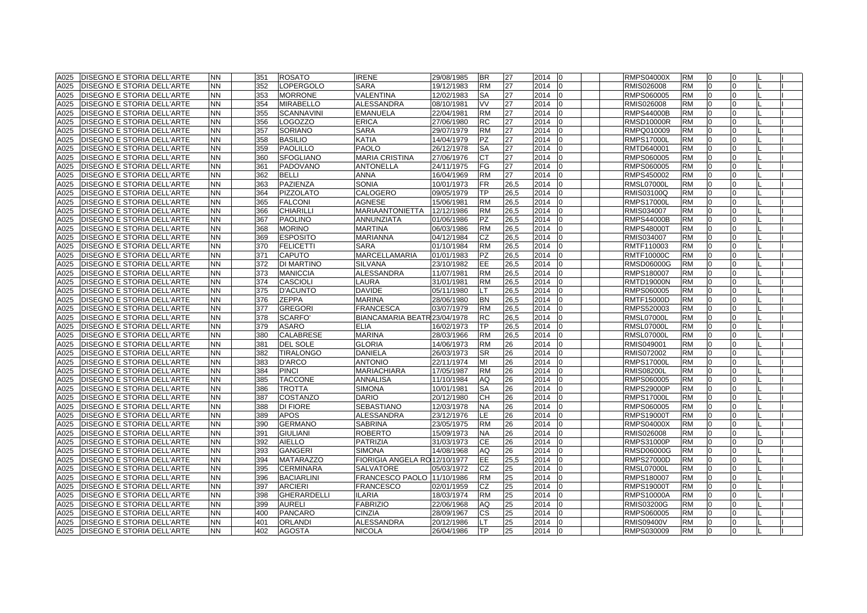| A025 | <b>DISEGNO E STORIA DELL'ARTE</b> | <b>NN</b> | 351 |     | <b>ROSATO</b>      | <b>IRENE</b>                  | 29/08/1985 | <b>BR</b> | 27   | 2014   | <sup>0</sup> | RMPS04000X        | <b>RM</b> | 10             |          |   |  |
|------|-----------------------------------|-----------|-----|-----|--------------------|-------------------------------|------------|-----------|------|--------|--------------|-------------------|-----------|----------------|----------|---|--|
| A025 | DISEGNO E STORIA DELL'ARTE        | <b>NN</b> |     | 352 | LOPERGOLO          | <b>SARA</b>                   | 19/12/1983 | <b>RM</b> | 27   | 2014   | <sup>0</sup> | RMIS026008        | <b>RM</b> | $\Omega$       |          |   |  |
| A025 | DISEGNO E STORIA DELL'ARTE        | <b>NN</b> |     | 353 | <b>MORRONE</b>     | VALENTINA                     | 12/02/1983 | <b>SA</b> | 27   | 2014   | $\Omega$     | RMPS060005        | <b>RM</b> | $\overline{0}$ | 0        |   |  |
| A025 | DISEGNO E STORIA DELL'ARTE        | <b>NN</b> |     | 354 | <b>MIRABELLO</b>   | ALESSANDRA                    | 08/10/1981 | <b>VV</b> | 27   | 2014   | 0            | RMIS026008        | <b>RM</b> | $\overline{0}$ | 0        |   |  |
| A025 | DISEGNO E STORIA DELL'ARTE        | <b>NN</b> |     | 355 | <b>SCANNAVINI</b>  | <b>EMANUELA</b>               | 22/04/1981 | <b>RM</b> | 27   | 2014   | <sup>0</sup> | <b>RMPS44000B</b> | <b>RM</b> | $\Omega$       | 0        |   |  |
| A025 | DISEGNO E STORIA DELL'ARTE        | <b>NN</b> |     | 356 | .OGOZZO            | ERICA                         | 27/06/1980 | <b>RC</b> | 27   | 2014   |              | RMSD10000R        | RM        | $\Omega$       |          |   |  |
| A025 | DISEGNO E STORIA DELL'ARTE        | <b>NN</b> | 357 |     | SORIANO            | <b>SARA</b>                   | 29/07/1979 | <b>RM</b> | 27   | 2014   |              | RMPQ010009        | RM        | $\Omega$       |          |   |  |
| A025 | <b>DISEGNO E STORIA DELL'ARTE</b> | <b>NN</b> |     | 358 | <b>BASILIO</b>     | KATIA                         | 14/04/1979 | <b>PZ</b> | 27   | 2014   | $\Omega$     | <b>RMPS17000L</b> | <b>RM</b> | $\overline{0}$ |          |   |  |
| A025 | <b>DISEGNO E STORIA DELL'ARTE</b> | <b>NN</b> |     | 359 | <b>PAOLILLO</b>    | <b>PAOLO</b>                  | 26/12/1978 | <b>SA</b> | 27   | 2014   | $\Omega$     | RMTD640001        | <b>RM</b> | $\overline{0}$ | 0        |   |  |
| A025 | DISEGNO E STORIA DELL'ARTE        | <b>NN</b> |     | 360 | <b>SFOGLIANO</b>   | <b>MARIA CRISTINA</b>         | 27/06/1976 | <b>CT</b> | 27   | 2014   | <sup>0</sup> | RMPS060005        | <b>RM</b> | $\overline{0}$ |          |   |  |
| A025 | <b>DISEGNO E STORIA DELL'ARTE</b> | <b>NN</b> | 361 |     | <b>PADOVANO</b>    | ANTONELLA                     | 24/11/1975 | FG        | 27   | 2014   | $\Omega$     | RMPS060005        | <b>RM</b> | $\overline{0}$ |          |   |  |
| A025 | DISEGNO E STORIA DELL'ARTE        | <b>NN</b> |     | 362 | <b>BELLI</b>       | ANNA                          | 16/04/1969 | <b>RM</b> | 27   | 2014   | $\Omega$     | RMPS450002        | <b>RM</b> | $\overline{0}$ | $\Omega$ |   |  |
| A025 | <b>DISEGNO E STORIA DELL'ARTE</b> | <b>NN</b> |     | 363 | PAZIENZA           | <b>SONIA</b>                  | 10/01/1973 | <b>FR</b> | 26,5 | 2014   | 0            | RMSL07000L        | <b>RM</b> | 0              | 0        |   |  |
| A025 | DISEGNO E STORIA DELL'ARTE        | <b>NN</b> |     | 364 | <b>PIZZOLATO</b>   | CALOGERO                      | 09/05/1979 | ТP        | 26,5 | 2014   | $\Omega$     | RMIS03100Q        | <b>RM</b> | 0              |          |   |  |
| A025 | DISEGNO E STORIA DELL'ARTE        | <b>NN</b> |     | 365 | <b>FALCONI</b>     | <b>AGNESE</b>                 | 15/06/1981 | <b>RM</b> | 26,5 | 2014   |              | RMPS17000L        | <b>RM</b> |                |          |   |  |
| A025 | DISEGNO E STORIA DELL'ARTE        | <b>NN</b> |     | 366 | <b>CHIARILLI</b>   | MARIAANTONIETTA               | 12/12/1986 | <b>RM</b> | 26,5 | 2014   | $\Omega$     | RMIS034007        | <b>RM</b> | $\Omega$       |          |   |  |
| A025 | <b>DISEGNO E STORIA DELL'ARTE</b> | <b>NN</b> | 367 |     | <b>PAOLINO</b>     | ANNUNZIATA                    | 01/06/1986 | <b>PZ</b> | 26,5 | 2014   | 0            | <b>RMPS44000B</b> | <b>RM</b> | $\overline{0}$ | $\Omega$ |   |  |
| A025 | <b>DISEGNO E STORIA DELL'ARTE</b> | <b>NN</b> |     | 368 | <b>MORINO</b>      | <b>MARTINA</b>                | 06/03/1986 | <b>RM</b> | 26,5 | 2014   | 0            | RMPS48000T        | <b>RM</b> | $\mathbf 0$    | O        |   |  |
| A025 | DISEGNO E STORIA DELL'ARTE        | <b>NN</b> |     | 369 | <b>ESPOSITO</b>    | MARIANNA                      | 04/12/1984 | CZ        | 26,5 | 2014   | <sup>n</sup> | RMIS034007        | <b>RM</b> | $\overline{0}$ |          |   |  |
| A025 | DISEGNO E STORIA DELL'ARTE        | <b>NN</b> |     | 370 | <b>FELICETTI</b>   | <b>SARA</b>                   | 01/10/1984 | <b>RM</b> | 26,5 | 2014   | 0            | RMTF110003        | <b>RM</b> | $\overline{0}$ | 0        |   |  |
| A025 | DISEGNO E STORIA DELL'ARTE        | <b>NN</b> | 371 |     | <b>CAPUTO</b>      | MARCELLAMARIA                 | 01/01/1983 | <b>PZ</b> | 26,5 | 2014   | $\Omega$     | RMTF10000C        | <b>RM</b> | 0              | 0        |   |  |
| A025 | DISEGNO E STORIA DELL'ARTE        | <b>NN</b> |     | 372 | DI MARTINO         | <b>SILVANA</b>                | 23/10/1982 | EE        | 26,5 | 2014   | $\Omega$     | RMSD06000G        | <b>RM</b> | $\overline{0}$ | 0        |   |  |
| A025 | DISEGNO E STORIA DELL'ARTE        | <b>NN</b> |     | 373 | <b>MANICCIA</b>    | ALESSANDRA                    | 11/07/1981 | <b>RM</b> | 26,5 | 2014   |              | RMPS180007        | <b>RM</b> | $\Omega$       |          |   |  |
| A025 | <b>DISEGNO E STORIA DELL'ARTE</b> | <b>NN</b> |     | 374 | <b>CASCIOLI</b>    | LAURA                         | 31/01/1981 | <b>RM</b> | 26,5 | 2014   |              | RMTD19000N        | RM        | $\Omega$       |          |   |  |
| A025 | <b>DISEGNO E STORIA DELL'ARTE</b> | <b>NN</b> |     | 375 | <b>D'ACUNTO</b>    | <b>DAVIDE</b>                 | 05/11/1980 | LT.       | 26,5 | 2014   | $\Omega$     | RMPS060005        | <b>RM</b> | $\Omega$       |          |   |  |
| A025 | <b>DISEGNO E STORIA DELL'ARTE</b> | <b>NN</b> |     | 376 | <b>ZEPPA</b>       | <b>MARINA</b>                 | 28/06/1980 | <b>BN</b> | 26,5 | 2014   | $\Omega$     | RMTF15000D        | <b>RM</b> | $\overline{0}$ | 0        |   |  |
| A025 | DISEGNO E STORIA DELL'ARTE        | <b>NN</b> | 377 |     | <b>GREGORI</b>     | <b>FRANCESCA</b>              | 03/07/1979 | <b>RM</b> | 26,5 | 2014   | 0            | RMPS520003        | <b>RM</b> | $\overline{0}$ | O.       |   |  |
| A025 | DISEGNO E STORIA DELL'ARTE        | <b>NN</b> |     | 378 | SCARFO'            | BIANCAMARIA BEATR 23/04/1978  |            | <b>RC</b> | 26,5 | 2014   | $\Omega$     | RMSL07000L        | <b>RM</b> | $\overline{0}$ |          |   |  |
| A025 | DISEGNO E STORIA DELL'ARTE        | <b>NN</b> |     | 379 | <b>ASARO</b>       | <b>ELIA</b>                   | 16/02/1973 | TP        | 26,5 | 2014   | $\Omega$     | <b>RMSL07000L</b> | <b>RM</b> | $\overline{0}$ | 0        |   |  |
| A025 | DISEGNO E STORIA DELL'ARTE        | <b>NN</b> |     | 380 | CALABRESE          | <b>MARINA</b>                 | 28/03/1966 | <b>RM</b> | 26,5 | 2014   | <sup>0</sup> | <b>RMSL07000L</b> | <b>RM</b> | $\Omega$       |          |   |  |
| A025 | DISEGNO E STORIA DELL'ARTE        | <b>NN</b> | 381 |     | <b>DEL SOLE</b>    | <b>GLORIA</b>                 | 14/06/1973 | <b>RM</b> | 26   | 2014   |              | RMIS049001        | <b>RM</b> | $\Omega$       |          |   |  |
| A025 | DISEGNO E STORIA DELL'ARTE        | <b>NN</b> |     | 382 | <b>TIRALONGO</b>   | <b>DANIELA</b>                | 26/03/1973 | <b>SR</b> | 26   | 2014   |              | RMIS072002        | <b>RM</b> | $\Omega$       |          |   |  |
| A025 | DISEGNO E STORIA DELL'ARTE        | <b>NN</b> |     | 383 | <b>D'ARCO</b>      | <b>ANTONIO</b>                | 22/11/1974 | MI        | 26   | 2014   |              | <b>RMPS17000L</b> | <b>RM</b> | $\Omega$       |          |   |  |
| A025 | DISEGNO E STORIA DELL'ARTE        | <b>NN</b> | 384 |     | <b>PINCI</b>       | <b>MARIACHIARA</b>            | 17/05/1987 | <b>RM</b> | 26   | 2014   | $\Omega$     | <b>RMIS08200L</b> | <b>RM</b> | $\overline{0}$ | U        |   |  |
| A025 | DISEGNO E STORIA DELL'ARTE        | <b>NN</b> |     | 385 | <b>TACCONE</b>     | ANNALISA                      | 11/10/1984 | AQ        | 26   | 2014   | <sup>0</sup> | RMPS060005        | <b>RM</b> | $\overline{0}$ |          |   |  |
| A025 | <b>DISEGNO E STORIA DELL'ARTE</b> | <b>NN</b> |     | 386 | <b>TROTTA</b>      | <b>SIMONA</b>                 | 10/01/1981 | <b>SA</b> | 26   | 2014   | 0            | RMPS29000P        | <b>RM</b> | 0              | 0        |   |  |
| A025 | DISEGNO E STORIA DELL'ARTE        | <b>NN</b> |     | 387 | <b>COSTANZO</b>    | <b>DARIO</b>                  | 20/12/1980 | <b>CH</b> | 26   | 2014   | $\Omega$     | RMPS17000L        | <b>RM</b> | $\overline{0}$ | 0        |   |  |
| A025 | DISEGNO E STORIA DELL'ARTE        | <b>NN</b> |     | 388 | DI FIORE           | SEBASTIANO                    | 12/03/1978 | <b>NA</b> | 26   | 2014   | 0            | RMPS060005        | <b>RM</b> | $\overline{0}$ | 0        |   |  |
| A025 | DISEGNO E STORIA DELL'ARTE        | <b>NN</b> |     | 389 | <b>APOS</b>        | ALESSANDRA                    | 23/12/1976 | LE        | 26   | 2014   | n            | RMPS19000T        | <b>RM</b> | $\Omega$       |          |   |  |
| A025 | <b>DISEGNO E STORIA DELL'ARTE</b> | <b>NN</b> |     | 390 | <b>GERMANO</b>     | <b>SABRINA</b>                | 23/05/1975 | <b>RM</b> | 26   | 2014   |              | RMPS04000X        | <b>RM</b> | $\Omega$       |          |   |  |
| A025 | DISEGNO E STORIA DELL'ARTE        | <b>NN</b> | 391 |     | <b>GIULIANI</b>    | <b>ROBERTO</b>                | 15/09/1973 | <b>NA</b> | 26   | 2014   | $\Omega$     | RMIS026008        | <b>RM</b> | $\Omega$       |          |   |  |
| A025 | <b>DISEGNO E STORIA DELL'ARTE</b> | <b>NN</b> |     | 392 | <b>AIELLO</b>      | <b>PATRIZIA</b>               | 31/03/1973 | <b>CE</b> | 26   | 2014   | <sup>0</sup> | <b>RMPS31000P</b> | <b>RM</b> | $\Omega$       |          | D |  |
| A025 | DISEGNO E STORIA DELL'ARTE        | <b>NN</b> |     | 393 | <b>GANGERI</b>     | <b>SIMONA</b>                 | 14/08/1968 | AQ        | 26   | 2014   | $\Omega$     | RMSD06000G        | <b>RM</b> | $\overline{0}$ |          |   |  |
| A025 | DISEGNO E STORIA DELL'ARTE        | <b>NN</b> |     | 394 | <b>MATARAZZO</b>   | FIORIGIA ANGELA RO 12/10/1977 |            | <b>EE</b> | 25,5 | 2014   | <sup>n</sup> | RMPS27000D        | <b>RM</b> | $\overline{0}$ | U        |   |  |
| A025 | <b>DISEGNO E STORIA DELL'ARTE</b> | <b>NN</b> |     | 395 | <b>CERMINARA</b>   | SALVATORE                     | 05/03/1972 | CZ        | 25   | 2014   | $\Omega$     | RMSL07000L        | <b>RM</b> | $\overline{0}$ | 0        |   |  |
| A025 | DISEGNO E STORIA DELL'ARTE        | <b>NN</b> |     | 396 | <b>BACIARLINI</b>  | FRANCESCO PAOLO               | 11/10/1986 | <b>RM</b> | 25   | 2014   | $\Omega$     | RMPS180007        | <b>RM</b> | $\overline{0}$ | 0        |   |  |
| A025 | <b>DISEGNO E STORIA DELL'ARTE</b> | <b>NN</b> | 397 |     | <b>ARCIERI</b>     | <b>FRANCESCO</b>              | 02/01/1959 | CZ        | 25   | 2014   | n            | RMPS19000T        | <b>RM</b> | $\Omega$       |          |   |  |
| A025 | DISEGNO E STORIA DELL'ARTE        | <b>NN</b> |     | 398 | <b>GHERARDELLI</b> | <b>LARIA</b>                  | 18/03/1974 | <b>RM</b> | 25   | 2014   |              | <b>RMPS10000A</b> | <b>RM</b> | $\Omega$       |          |   |  |
| A025 | DISEGNO E STORIA DELL'ARTE        | <b>NN</b> |     | 399 | <b>AURELI</b>      | <b>FABRIZIO</b>               | 22/06/1968 | AQ        | 25   | 2014   |              | RMIS03200G        | RM        | $\Omega$       |          |   |  |
| A025 | DISEGNO E STORIA DELL'ARTE        | <b>NN</b> |     | 400 | <b>PANCARO</b>     | <b>CINZIA</b>                 | 28/09/1967 | <b>CS</b> | 25   | 2014   | $\Omega$     | RMPS060005        | <b>RM</b> | $\overline{0}$ |          |   |  |
| A025 | <b>DISEGNO E STORIA DELL'ARTE</b> | <b>NN</b> | 401 |     | <b>ORLANDI</b>     | <b>ALESSANDRA</b>             | 20/12/1986 | <b>LT</b> | 25   | 2014   | 0            | <b>RMIS09400V</b> | <b>RM</b> | $\overline{0}$ | 0        |   |  |
| A025 | <b>DISEGNO E STORIA DELL'ARTE</b> | <b>NN</b> |     | 402 | <b>AGOSTA</b>      | <b>NICOLA</b>                 | 26/04/1986 | <b>TP</b> | 25   | 2014 0 |              | RMPS030009        | <b>RM</b> | $\overline{0}$ | 0        |   |  |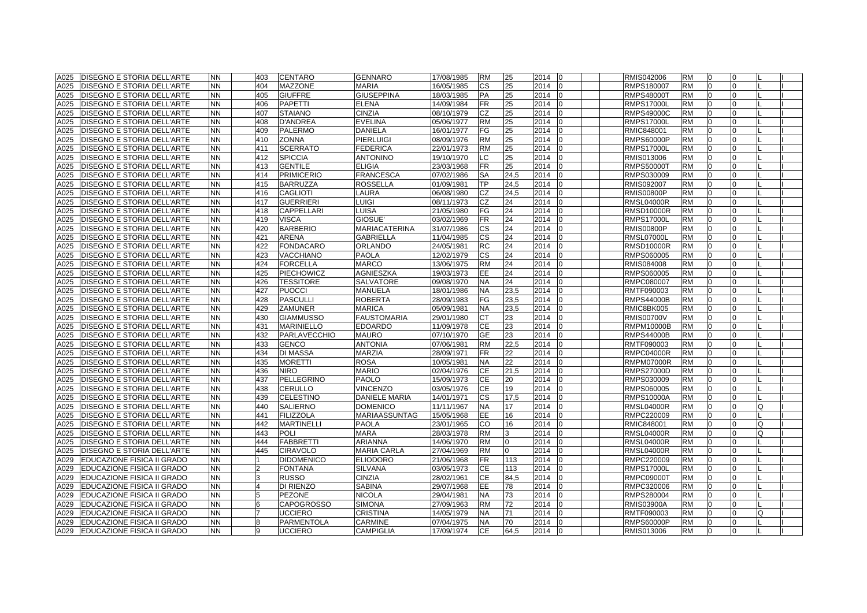| A025         | <b>DISEGNO E STORIA DELL'ARTE</b>                        | <b>NN</b> | 403            | <b>CENTARO</b>      | <b>GENNARO</b>       | 17/08/1985 | <b>RM</b> | 25           | 2014<br>0            | RMIS042006                      | <b>RM</b> | 0              |          |          |  |
|--------------|----------------------------------------------------------|-----------|----------------|---------------------|----------------------|------------|-----------|--------------|----------------------|---------------------------------|-----------|----------------|----------|----------|--|
| A025         | <b>DISEGNO E STORIA DELL'ARTE</b>                        | <b>NN</b> | 404            | <b>MAZZONE</b>      | <b>MARIA</b>         | 16/05/1985 | <b>CS</b> | 25           | 2014<br>$\Omega$     | RMPS180007                      | <b>RM</b> | $\overline{0}$ | 0        |          |  |
| A025         | <b>DISEGNO E STORIA DELL'ARTE</b>                        | <b>NN</b> | 405            | <b>GIUFFRE</b>      | <b>GIUSEPPINA</b>    | 18/03/1985 | <b>PA</b> | 25           | 2014<br>$\Omega$     | <b>RMPS48000T</b>               | <b>RM</b> | $\Omega$       |          |          |  |
| A025         | <b>DISEGNO E STORIA DELL'ARTE</b>                        | <b>NN</b> | 406            | <b>PAPETTI</b>      | <b>ELENA</b>         | 14/09/1984 | <b>FR</b> | 25           | 2014<br>$\Omega$     | <b>RMPS17000L</b>               | <b>RM</b> | $\Omega$       |          |          |  |
| A025         | DISEGNO E STORIA DELL'ARTE                               | <b>NN</b> | 407            | <b>STAIANO</b>      | CINZIA               | 08/10/1979 | CZ        | 25           | 2014<br>$\Omega$     | RMPS49000C                      | <b>RM</b> | $\overline{0}$ | $\Omega$ |          |  |
| A025         | DISEGNO E STORIA DELL'ARTE                               | <b>NN</b> | 408            | <b>D'ANDREA</b>     | <b>EVELINA</b>       | 05/06/1977 | <b>RM</b> | 25           | 2014                 | <b>RMPS17000L</b>               | <b>RM</b> | $\Omega$       | 0        |          |  |
| A025         | DISEGNO E STORIA DELL'ARTE                               | <b>NN</b> | 409            | <b>PALERMO</b>      | <b>DANIELA</b>       | 16/01/1977 | FG        | 25           | 2014                 | RMIC848001                      | <b>RM</b> |                |          |          |  |
| A025         | <b>DISEGNO E STORIA DELL'ARTE</b>                        | <b>NN</b> | 410            | <b>ZONNA</b>        | <b>PIERLUIGI</b>     | 08/09/1976 | <b>RM</b> | 25           | 2014<br>$\Omega$     | <b>RMPS60000P</b>               | <b>RM</b> | $\Omega$       |          |          |  |
| A025         | <b>DISEGNO E STORIA DELL'ARTE</b>                        | <b>NN</b> | 411            | <b>SCERRATO</b>     | <b>FEDERICA</b>      | 22/01/1973 | <b>RM</b> | 25           | 2014<br><sup>0</sup> | <b>RMPS17000L</b>               | <b>RM</b> | $\Omega$       | U        |          |  |
| A025         | <b>DISEGNO E STORIA DELL'ARTE</b>                        | <b>NN</b> | 412            | <b>SPICCIA</b>      | <b>ANTONINO</b>      | 19/10/1970 | LC        | 25           | 2014<br>$\Omega$     | RMIS013006                      | <b>RM</b> | $\Omega$       | U        |          |  |
| A025         | <b>DISEGNO E STORIA DELL'ARTE</b>                        | <b>NN</b> | 413            | <b>GENTILE</b>      | <b>ELIGIA</b>        | 23/03/1968 | <b>FR</b> | 25           | 2014<br>n            | <b>RMPS50000T</b>               | <b>RM</b> | $\Omega$       |          |          |  |
| A025         | <b>DISEGNO E STORIA DELL'ARTE</b>                        | <b>NN</b> | 414            | <b>PRIMICERIO</b>   | <b>FRANCESCA</b>     | 07/02/1986 | <b>SA</b> | 24,5         | 2014<br>$\Omega$     | RMPS030009                      | <b>RM</b> | $\overline{0}$ | U        |          |  |
| A025         | <b>DISEGNO E STORIA DELL'ARTE</b>                        | <b>NN</b> | 415            | <b>BARRUZZA</b>     | <b>ROSSELLA</b>      | 01/09/1981 | TP        | 24,5         | 2014<br>$\Omega$     | RMIS092007                      | <b>RM</b> | $\overline{0}$ | $\Omega$ |          |  |
| A025         | DISEGNO E STORIA DELL'ARTE                               | <b>NN</b> | 416            | <b>CAGLIOTI</b>     | LAURA                | 06/08/1980 | <b>CZ</b> | 24,5         | 2014<br>$\Omega$     | <b>RMIS00800P</b>               | <b>RM</b> | $\overline{0}$ | 0        |          |  |
| A025         | <b>DISEGNO E STORIA DELL'ARTE</b>                        | <b>NN</b> | 417            | <b>GUERRIERI</b>    | LUIGI                | 08/11/1973 | <b>CZ</b> | 24           | 2014                 | <b>RMSL04000R</b>               | <b>RM</b> | $\Omega$       |          |          |  |
| A025         | DISEGNO E STORIA DELL'ARTE                               | <b>NN</b> | 418            | CAPPELLARI          | <b>LUISA</b>         | 21/05/1980 | FG        | 24           | 2014                 | <b>RMSD10000R</b>               | <b>RM</b> | $\Omega$       |          |          |  |
| A025         | <b>DISEGNO E STORIA DELL'ARTE</b>                        | <b>NN</b> | 419            | <b>VISCA</b>        | GIOSUE'              | 03/02/1969 | <b>FR</b> | 24           | 2014<br>$\Omega$     | <b>RMPS17000L</b>               | <b>RM</b> | $\Omega$       |          |          |  |
| A025         | <b>DISEGNO E STORIA DELL'ARTE</b>                        | <b>NN</b> | 420            | <b>BARBERIO</b>     | <b>MARIACATERINA</b> | 31/07/1986 | <b>CS</b> | 24           | 2014<br><sup>0</sup> | <b>RMIS00800P</b>               | <b>RM</b> | $\overline{0}$ | O        |          |  |
| A025         | DISEGNO E STORIA DELL'ARTE                               | <b>NN</b> | 421            | <b>ARENA</b>        | <b>GABRIELLA</b>     | 11/04/1985 | <b>CS</b> | 24           | 2014<br>$\Omega$     | <b>RMSL07000L</b>               | <b>RM</b> | $\Omega$       |          |          |  |
| A025         | <b>DISEGNO E STORIA DELL'ARTE</b>                        | <b>NN</b> | 422            | <b>FONDACARO</b>    | <b>ORLANDO</b>       | 24/05/1981 | <b>RC</b> | 24           | 2014<br>$\Omega$     | <b>RMSD10000R</b>               | <b>RM</b> | $\Omega$       | O.       |          |  |
| A025         | DISEGNO E STORIA DELL'ARTE                               | <b>NN</b> | 423            | <b>VACCHIANO</b>    | <b>PAOLA</b>         | 12/02/1979 | <b>CS</b> | 24           | 2014<br>$\Omega$     | RMPS060005                      | <b>RM</b> | $\overline{0}$ | $\Omega$ |          |  |
| A025         | <b>DISEGNO E STORIA DELL'ARTE</b>                        | <b>NN</b> | 424            | <b>FORCELLA</b>     | <b>MARCO</b>         | 13/06/1975 | <b>RM</b> | 24           | 2014<br>$\Omega$     | RMIS084008                      | <b>RM</b> | $\overline{0}$ | O.       |          |  |
| A025         | DISEGNO E STORIA DELL'ARTE                               | <b>NN</b> | 425            | <b>PIECHOWICZ</b>   | <b>AGNIESZKA</b>     | 19/03/1973 | <b>EE</b> | 24           | 2014                 | RMPS060005                      | <b>RM</b> | $\Omega$       |          |          |  |
| A025         | <b>DISEGNO E STORIA DELL'ARTE</b>                        | <b>NN</b> | 426            | <b>TESSITORE</b>    | <b>SALVATORE</b>     | 09/08/1970 | <b>NA</b> | 24           | 2014                 | RMPC080007                      | <b>RM</b> | $\Omega$       |          |          |  |
| A025         | <b>DISEGNO E STORIA DELL'ARTE</b>                        | <b>NN</b> | 427            | <b>PUOCCI</b>       | <b>MANUELA</b>       | 18/01/1986 | <b>NA</b> | 23,5         | 2014<br>$\Omega$     | RMTF090003                      | <b>RM</b> | $\Omega$       |          |          |  |
| A025         | <b>DISEGNO E STORIA DELL'ARTE</b>                        | <b>NN</b> | 428            | <b>PASCULLI</b>     | <b>ROBERTA</b>       | 28/09/1983 | FG        | 23.5         | 2014<br>$\Omega$     | <b>RMPS44000B</b>               | <b>RM</b> | $\Omega$       | U        |          |  |
| A025         | <b>DISEGNO E STORIA DELL'ARTE</b>                        | <b>NN</b> | 429            | ZAMUNER             | <b>MARICA</b>        | 05/09/1981 | <b>NA</b> | 23,5         | 2014<br><sup>n</sup> | RMIC8BK005                      | <b>RM</b> | $\overline{0}$ | O.       |          |  |
| A025         | DISEGNO E STORIA DELL'ARTE                               | <b>NN</b> | 430            | <b>GIAMMUSSO</b>    | <b>FAUSTOMARIA</b>   | 29/01/1980 | <b>CT</b> | 23           | 2014<br><sup>0</sup> | RMIS00700V                      | <b>RM</b> | $\overline{0}$ |          |          |  |
| A025         | <b>DISEGNO E STORIA DELL'ARTE</b>                        | <b>NN</b> | 431            | <b>MARINIELLO</b>   | <b>EDOARDO</b>       | 11/09/1978 | <b>CE</b> | 23           | 2014<br>$\Omega$     | RMPM10000B                      | <b>RM</b> | $\overline{0}$ | 0        |          |  |
| A025         | DISEGNO E STORIA DELL'ARTE                               | <b>NN</b> | 432            | <b>PARLAVECCHIO</b> | <b>MAURO</b>         | 07/10/1970 | <b>GE</b> | 23           | 2014                 | <b>RMPS44000B</b>               | <b>RM</b> | $\Omega$       |          |          |  |
| A025         | DISEGNO E STORIA DELL'ARTE                               | <b>NN</b> | 433            | <b>GENCO</b>        | <b>ANTONIA</b>       | 07/06/1981 | <b>RM</b> | 22,5         | 2014                 | RMTF090003                      | RM        | $\Omega$       |          |          |  |
| A025         | DISEGNO E STORIA DELL'ARTE                               | <b>NN</b> | 434            | <b>DI MASSA</b>     | MARZIA               | 28/09/1971 | <b>FR</b> | 22           | 2014                 | <b>RMPC04000R</b>               | <b>RM</b> | $\Omega$       |          |          |  |
| A025         | DISEGNO E STORIA DELL'ARTE                               | <b>NN</b> | 435            | <b>MORETTI</b>      | <b>ROSA</b>          | 10/05/1981 | <b>NA</b> | 22           | 2014                 | <b>RMPM07000R</b>               | <b>RM</b> | $\Omega$       |          |          |  |
| A025         | DISEGNO E STORIA DELL'ARTE                               | <b>NN</b> | 436            | <b>NIRO</b>         | <b>MARIO</b>         | 02/04/1976 | <b>CE</b> | 21,5         | 2014<br>$\Omega$     | <b>RMPS27000D</b>               | <b>RM</b> | $\overline{0}$ | U        |          |  |
| A025         | <b>DISEGNO E STORIA DELL'ARTE</b>                        | <b>NN</b> | 437            | <b>PELLEGRINO</b>   | PAOLO                | 15/09/1973 | <b>CE</b> | 20           | 2014<br><sup>0</sup> | RMPS030009                      | <b>RM</b> | $\overline{0}$ |          |          |  |
| A025         | <b>DISEGNO E STORIA DELL'ARTE</b>                        | <b>NN</b> | 438            | <b>CERULLO</b>      | <b>VINCENZO</b>      | 03/05/1976 | <b>CE</b> | 19           | 2014<br>$\Omega$     | RMPS060005                      | <b>RM</b> | $\overline{0}$ | 0        |          |  |
| A025         | DISEGNO E STORIA DELL'ARTE                               | <b>NN</b> | 439            | <b>CELESTINO</b>    | <b>DANIELE MARIA</b> | 14/01/1971 | <b>CS</b> | 17,5         | 2014<br>$\Omega$     | RMPS10000A                      | <b>RM</b> | $\Omega$       |          |          |  |
| A025         | <b>DISEGNO E STORIA DELL'ARTE</b>                        | <b>NN</b> | 440            | <b>SALIERNO</b>     | <b>DOMENICO</b>      | 11/11/1967 | <b>NA</b> | 17           | 2014<br>$\Omega$     | <b>RMSL04000R</b>               | <b>RM</b> | $\overline{0}$ | 0        | Q        |  |
| A025         | <b>DISEGNO E STORIA DELL'ARTE</b>                        | <b>NN</b> | 441            | <b>FILIZZOLA</b>    | MARIAASSUNTAG        | 15/05/1968 | EE        | 16           | 2014                 | RMPC220009                      | <b>RM</b> | $\Omega$       |          |          |  |
| A025         | <b>DISEGNO E STORIA DELL'ARTE</b>                        | <b>NN</b> | 442            | <b>MARTINELLI</b>   | <b>PAOLA</b>         | 23/01/1965 | CO        | 16           | 2014                 | RMIC848001                      | <b>RM</b> | $\Omega$       |          | Q        |  |
| A025         | <b>DISEGNO E STORIA DELL'ARTE</b>                        | <b>NN</b> | 443            | POLI                | <b>MARA</b>          | 28/03/1978 | <b>RM</b> |              | 2014<br>$\Omega$     | <b>RMSL04000R</b>               | <b>RM</b> | $\Omega$       |          | $\Omega$ |  |
| A025         | <b>DISEGNO E STORIA DELL'ARTE</b>                        | <b>NN</b> | 444            | <b>FABBRETTI</b>    | <b>ARIANNA</b>       | 14/06/1970 | <b>RM</b> | $\Omega$     | 2014<br>$\Omega$     | <b>RMSL04000R</b>               | <b>RM</b> | $\Omega$       |          |          |  |
| A025         | <b>DISEGNO E STORIA DELL'ARTE</b>                        | <b>NN</b> | 445            | <b>CIRAVOLO</b>     | <b>MARIA CARLA</b>   | 27/04/1969 | <b>RM</b> | <sup>n</sup> | 2014<br><sup>0</sup> | RMSL04000R                      | <b>RM</b> | $\Omega$       | U        |          |  |
| A029         | EDUCAZIONE FISICA II GRADO                               | <b>NN</b> | 11             | <b>DIDOMENICO</b>   | <b>ELIODORO</b>      | 21/06/1968 | <b>FR</b> | 113          | 2014<br>$\Omega$     | RMPC220009                      | <b>RM</b> | $\Omega$       | O.       |          |  |
| A029         | <b>EDUCAZIONE FISICA II GRADO</b>                        | <b>NN</b> | $\overline{2}$ | <b>FONTANA</b>      | <b>SILVANA</b>       | 03/05/1973 | <b>CE</b> | 113          | 2014<br>$\Omega$     | <b>RMPS17000L</b>               | <b>RM</b> | $\Omega$       | U        |          |  |
| A029         | EDUCAZIONE FISICA II GRADO                               | <b>NN</b> | 3              | <b>RUSSO</b>        | <b>CINZIA</b>        | 28/02/1961 | <b>CE</b> | 84.5         | 2014<br>$\Omega$     | <b>RMPC09000T</b>               | <b>RM</b> | $\Omega$       | U        |          |  |
|              |                                                          | <b>NN</b> | $\overline{4}$ | DI RIENZO           | <b>SABINA</b>        | 29/07/1968 | EE        | 78           | 2014                 |                                 | <b>RM</b> | $\Omega$       |          |          |  |
| A029<br>A029 | EDUCAZIONE FISICA II GRADO                               | <b>NN</b> |                | <b>PEZONE</b>       | <b>NICOLA</b>        | 29/04/1981 | <b>NA</b> | 73           | 2014                 | RMPC320006                      | <b>RM</b> | $\Omega$       |          |          |  |
| A029         | EDUCAZIONE FISICA II GRADO<br>EDUCAZIONE FISICA II GRADO | <b>NN</b> | 6              | <b>CAPOGROSSO</b>   | <b>SIMONA</b>        | 27/09/1963 | <b>RM</b> | 72           | 2014<br>$\Omega$     | RMPS280004<br><b>RMIS03900A</b> | <b>RM</b> | $\Omega$       |          |          |  |
| A029         | EDUCAZIONE FISICA II GRADO                               | <b>NN</b> |                | <b>UCCIERO</b>      | <b>CRISTINA</b>      | 14/05/1979 | <b>NA</b> | 71           | 2014<br>$\Omega$     | RMTF090003                      | <b>RM</b> | $\Omega$       |          | Ω        |  |
| A029         | EDUCAZIONE FISICA II GRADO                               | <b>NN</b> | 8              | <b>PARMENTOLA</b>   | CARMINE              | 07/04/1975 | <b>NA</b> | 70           | 2014<br><sup>0</sup> | <b>RMPS60000P</b>               | <b>RM</b> | $\Omega$       |          |          |  |
| A029         | <b>EDUCAZIONE FISICA II GRADO</b>                        | <b>NN</b> | 9              |                     |                      | 17/09/1974 | <b>CE</b> | 64.5         | 2014<br>$\Omega$     | RMIS013006                      | <b>RM</b> | $\Omega$       | $\Omega$ |          |  |
|              |                                                          |           |                | <b>UCCIERO</b>      | CAMPIGLIA            |            |           |              |                      |                                 |           |                |          |          |  |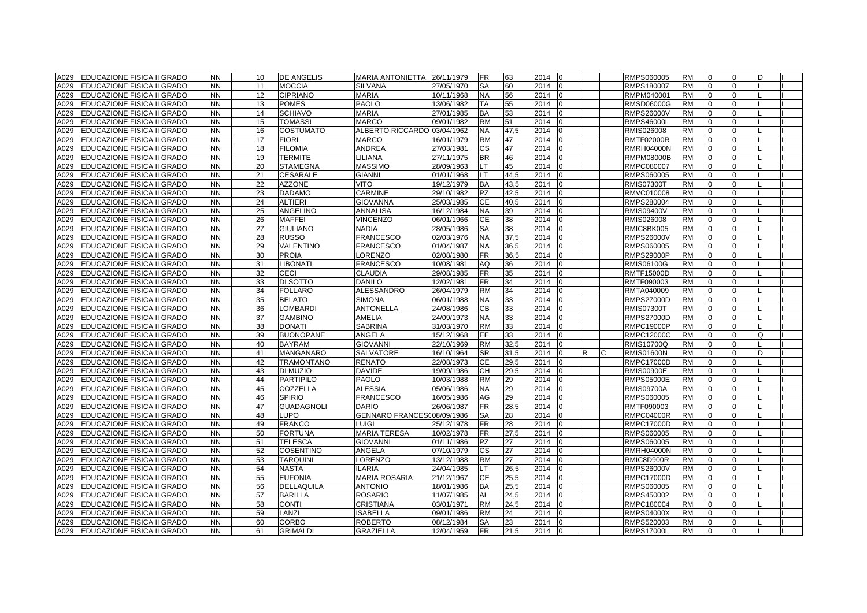| A029 | <b>EDUCAZIONE FISICA II GRADO</b> | <b>NN</b> | 10 | <b>DE ANGELIS</b> | MARIA ANTONIETTA 26/11/1979 |            | <b>FR</b>  | 63   | 2014<br>10 |                |   | RMPS060005        | RM        | 0              | 0              | D |  |
|------|-----------------------------------|-----------|----|-------------------|-----------------------------|------------|------------|------|------------|----------------|---|-------------------|-----------|----------------|----------------|---|--|
| A029 | <b>EDUCAZIONE FISICA II GRADO</b> | <b>NN</b> | 11 | <b>MOCCIA</b>     | <b>SILVANA</b>              | 27/05/1970 | <b>SA</b>  | 60   | 2014       | $\Omega$       |   | RMPS180007        | <b>RM</b> | $\overline{0}$ | 0              |   |  |
| A029 | <b>EDUCAZIONE FISICA II GRADO</b> | <b>NN</b> | 12 | <b>CIPRIANO</b>   | <b>MARIA</b>                | 10/11/1968 | <b>NA</b>  | 56   | 2014       | $\Omega$       |   | RMPM040001        | <b>RM</b> | $\Omega$       | 0              |   |  |
| A029 | <b>EDUCAZIONE FISICA II GRADO</b> | <b>NN</b> | 13 | <b>POMES</b>      | PAOLO                       | 13/06/1982 | TA         | 55   | 2014       | $\overline{0}$ |   | RMSD06000G        | <b>RM</b> | $\overline{0}$ | 0              |   |  |
| A029 | <b>EDUCAZIONE FISICA II GRADO</b> | <b>NN</b> | 14 | <b>SCHIAVO</b>    | MARIA                       | 27/01/1985 | <b>BA</b>  | 53   | 2014       | $\Omega$       |   | <b>RMPS26000V</b> | <b>RM</b> | $\overline{0}$ | 0              |   |  |
| A029 | <b>EDUCAZIONE FISICA II GRADO</b> | <b>NN</b> | 15 | <b>TOMASSI</b>    | MARCO                       | 09/01/1982 | <b>RM</b>  | 51   | 2014       | $\Omega$       |   | RMPS46000L        | RM        | $\Omega$       | 0              |   |  |
| A029 | <b>EDUCAZIONE FISICA II GRADO</b> | <b>NN</b> | 16 | <b>COSTUMATO</b>  | ALBERTO RICCARDO            | 03/04/1962 | <b>NA</b>  | 47,5 | 2014       |                |   | RMIS026008        | <b>RM</b> | $\Omega$       |                |   |  |
| A029 | <b>EDUCAZIONE FISICA II GRADO</b> | NN        | 17 | <b>FIORI</b>      | MARCO                       | 16/01/1979 | <b>RM</b>  | 47   | 2014       | $\Omega$       |   | <b>RMTF02000R</b> | <b>RM</b> | $\Omega$       | $\Omega$       |   |  |
| A029 | <b>EDUCAZIONE FISICA II GRADO</b> | <b>NN</b> | 18 | <b>FILOMIA</b>    | ANDREA                      | 27/03/1981 | <b>CS</b>  | 47   | 2014       | $\Omega$       |   | <b>RMRH04000N</b> | <b>RM</b> | $\overline{0}$ | $\Omega$       |   |  |
| A029 | <b>EDUCAZIONE FISICA II GRADO</b> | <b>NN</b> | 19 | <b>TERMITE</b>    | LILIANA                     | 27/11/1975 | <b>BR</b>  | 46   | 2014       | $\Omega$       |   | <b>RMPM08000B</b> | <b>RM</b> | $\overline{0}$ | $\Omega$       |   |  |
| A029 | <b>EDUCAZIONE FISICA II GRADO</b> | <b>NN</b> | 20 | <b>STAMEGNA</b>   | <b>MASSIMO</b>              | 28/09/1963 | LT.        | 45   | 2014       | $\Omega$       |   | RMPC080007        | <b>RM</b> | $\Omega$       | 0              |   |  |
| A029 | <b>EDUCAZIONE FISICA II GRADO</b> | <b>NN</b> | 21 | <b>CESARALE</b>   | <b>GIANNI</b>               | 01/01/1968 | LT.        | 44,5 | 2014       | $\Omega$       |   | RMPS060005        | <b>RM</b> | $\overline{0}$ | 0              |   |  |
| A029 | <b>EDUCAZIONE FISICA II GRADO</b> | <b>NN</b> | 22 | <b>AZZONE</b>     | VITO                        | 19/12/1979 | <b>BA</b>  | 43,5 | 2014       | $\overline{0}$ |   | RMIS07300T        | <b>RM</b> | 0              | $\overline{0}$ |   |  |
| A029 | <b>EDUCAZIONE FISICA II GRADO</b> | <b>NN</b> | 23 | <b>DADAMO</b>     | CARMINE                     | 29/10/1982 | PZ         | 42,5 | 2014       | $\Omega$       |   | RMVC010008        | <b>RM</b> | 0              | 0              |   |  |
| A029 | <b>EDUCAZIONE FISICA II GRADO</b> | NN        | 24 | <b>ALTIERI</b>    | <b>GIOVANNA</b>             | 25/03/1985 | <b>CE</b>  | 40,5 | 2014       |                |   | RMPS280004        | <b>RM</b> | $\Omega$       | 0              |   |  |
| A029 | EDUCAZIONE FISICA II GRADO        | NN.       | 25 | ANGELINO          | ANNALISA                    | 16/12/1984 | <b>NA</b>  | 39   | 2014       |                |   | <b>RMIS09400V</b> | <b>RM</b> | $\Omega$       |                |   |  |
| A029 | <b>EDUCAZIONE FISICA II GRADO</b> | <b>NN</b> | 26 | <b>MAFFEI</b>     | <b>VINCENZO</b>             | 06/01/1966 | <b>CE</b>  | 38   | 2014       | $\Omega$       |   | RMIS026008        | <b>RM</b> | $\overline{0}$ | $\Omega$       |   |  |
| A029 | <b>EDUCAZIONE FISICA II GRADO</b> | <b>NN</b> | 27 | <b>GIULIANO</b>   | <b>NADIA</b>                | 28/05/1986 | <b>SA</b>  | 38   | 2014       | $\Omega$       |   | RMIC8BK005        | <b>RM</b> | $\overline{0}$ | 0              |   |  |
| A029 | <b>EDUCAZIONE FISICA II GRADO</b> | <b>NN</b> | 28 | <b>RUSSO</b>      | <b>FRANCESCO</b>            | 02/03/1976 | <b>NA</b>  | 37,5 | 2014       |                |   | <b>RMPS26000V</b> | <b>RM</b> | $\Omega$       | 0              |   |  |
| A029 | <b>EDUCAZIONE FISICA II GRADO</b> | <b>NN</b> | 29 | VALENTINO         | <b>FRANCESCO</b>            | 01/04/1987 | <b>NA</b>  | 36,5 | 2014       | 0              |   | RMPS060005        | <b>RM</b> | $\overline{0}$ | 0              |   |  |
| A029 | <b>EDUCAZIONE FISICA II GRADO</b> | <b>NN</b> | 30 | <b>PROIA</b>      | <b>ORENZO</b>               | 02/08/1980 | <b>FR</b>  | 36,5 | 2014       | $\Omega$       |   | <b>RMPS29000P</b> | <b>RM</b> | $\overline{0}$ | 0              |   |  |
| A029 | <b>EDUCAZIONE FISICA II GRADO</b> | <b>NN</b> | 31 | <b>LIBONATI</b>   | <b>FRANCESCO</b>            | 10/08/1981 | AQ         | 36   | 2014       | $\Omega$       |   | <b>RMIS06100G</b> | <b>RM</b> | $\overline{0}$ | $\Omega$       |   |  |
| A029 | <b>EDUCAZIONE FISICA II GRADO</b> | NN.       | 32 | <b>CECI</b>       | <b>CLAUDIA</b>              | 29/08/1985 | <b>FR</b>  | 35   | 2014       |                |   | RMTF15000D        | <b>RM</b> | $\Omega$       | <sup>0</sup>   |   |  |
| A029 | <b>EDUCAZIONE FISICA II GRADO</b> | NN.       | 33 | DI SOTTO          | <b>DANILO</b>               | 12/02/1981 | <b>IFR</b> | 34   | 2014       |                |   | RMTF090003        | <b>RM</b> | $\Omega$       |                |   |  |
| A029 | <b>EDUCAZIONE FISICA II GRADO</b> | <b>NN</b> | 34 | <b>FOLLARO</b>    | <b>ALESSANDRO</b>           | 26/04/1979 | <b>RM</b>  | 34   | 2014       | $\Omega$       |   | RMTA040009        | <b>RM</b> | $\Omega$       | $\Omega$       |   |  |
| A029 | <b>EDUCAZIONE FISICA II GRADO</b> | <b>NN</b> | 35 | <b>BELATO</b>     | <b>SIMONA</b>               | 06/01/1988 | <b>NA</b>  | 33   | 2014       | $\Omega$       |   | <b>RMPS27000D</b> | <b>RM</b> | $\Omega$       | $\Omega$       |   |  |
| A029 | <b>EDUCAZIONE FISICA II GRADO</b> | <b>NN</b> | 36 | LOMBARDI          | <b>ANTONELLA</b>            | 24/08/1986 | <b>CB</b>  | 33   | 2014       |                |   | <b>RMIS07300T</b> | <b>RM</b> | $\Omega$       | 0              |   |  |
| A029 | <b>EDUCAZIONE FISICA II GRADO</b> | <b>NN</b> | 37 | <b>GAMBINO</b>    | AMELIA                      | 24/09/1973 | <b>NA</b>  | 33   | 2014       | <sup>n</sup>   |   | <b>RMPS27000D</b> | <b>RM</b> | $\Omega$       | 0              |   |  |
| A029 | <b>EDUCAZIONE FISICA II GRADO</b> | <b>NN</b> | 38 | <b>DONATI</b>     | <b>SABRINA</b>              | 31/03/1970 | <b>RM</b>  | 33   | 2014       | 0              |   | RMPC19000P        | <b>RM</b> | $\overline{0}$ | 0              |   |  |
| A029 | <b>EDUCAZIONE FISICA II GRADO</b> | <b>NN</b> | 39 | <b>BUONOPANE</b>  | ANGELA                      | 15/12/1968 | EE         | 33   | 2014       | $\Omega$       |   | <b>RMPC12000C</b> | <b>RM</b> | $\Omega$       | $\Omega$       | Ω |  |
| A029 | <b>EDUCAZIONE FISICA II GRADO</b> | NN        | 40 | <b>BAYRAM</b>     | <b>GIOVANNI</b>             | 22/10/1969 | <b>RM</b>  | 32,5 | 2014       |                |   | <b>RMIS10700Q</b> | <b>RM</b> | $\Omega$       | <sup>n</sup>   |   |  |
| A029 | <b>EDUCAZIONE FISICA II GRADO</b> | <b>NN</b> | 41 | MANGANARO         | SALVATORE                   | 16/10/1964 | <b>SR</b>  | 31,5 | 2014       |                | R | <b>RMIS01600N</b> | <b>RM</b> | $\Omega$       |                |   |  |
| A029 | <b>EDUCAZIONE FISICA II GRADO</b> | NN.       | 42 | <b>TRAMONTANO</b> | <b>RENATO</b>               | 22/08/1973 | <b>CE</b>  | 29,5 | 2014       |                |   | <b>RMPC17000D</b> | <b>RM</b> | $\Omega$       |                |   |  |
| A029 | <b>EDUCAZIONE FISICA II GRADO</b> | <b>NN</b> | 43 | DI MUZIO          | <b>DAVIDE</b>               | 19/09/1986 | <b>CH</b>  | 29,5 | 2014       | $\Omega$       |   | <b>RMIS00900E</b> | <b>RM</b> | $\overline{0}$ | $\Omega$       |   |  |
| A029 | <b>EDUCAZIONE FISICA II GRADO</b> | <b>NN</b> | 44 | <b>PARTIPILO</b>  | PAOLO                       | 10/03/1988 | <b>RM</b>  | 29   | 2014       | $\Omega$       |   | <b>RMPS05000E</b> | <b>RM</b> | $\Omega$       | 0              |   |  |
| A029 | <b>EDUCAZIONE FISICA II GRADO</b> | <b>NN</b> | 45 | <b>COZZELLA</b>   | <b>ALESSIA</b>              | 05/06/1986 | <b>NA</b>  | 29   | 2014       |                |   | <b>RMIS09700A</b> | <b>RM</b> | $\Omega$       | 0              |   |  |
| A029 | <b>EDUCAZIONE FISICA II GRADO</b> | <b>NN</b> | 46 | <b>SPIRIO</b>     | <b>FRANCESCO</b>            | 16/05/1986 | AG         | 29   | 2014       | <sup>n</sup>   |   | RMPS060005        | <b>RM</b> | $\overline{0}$ | 0              |   |  |
| A029 | <b>EDUCAZIONE FISICA II GRADO</b> | <b>NN</b> | 47 | <b>GUADAGNOLI</b> | <b>DARIO</b>                | 26/06/1987 | <b>IFR</b> | 28,5 | 2014       | $\Omega$       |   | RMTF090003        | <b>RM</b> | $\overline{0}$ | $\Omega$       |   |  |
| A029 | <b>EDUCAZIONE FISICA II GRADO</b> | <b>NN</b> | 48 | LUPO              | <b>GENNARO FRANCES</b>      | 08/09/1986 | <b>SA</b>  | 28   | 2014       |                |   | <b>RMPC04000R</b> | <b>RM</b> | $\Omega$       | 0              |   |  |
| A029 | <b>EDUCAZIONE FISICA II GRADO</b> | NN        | 49 | <b>FRANCO</b>     | <b>LUIGI</b>                | 25/12/1978 | <b>FR</b>  | 28   | 2014       |                |   | <b>RMPC17000D</b> | <b>RM</b> | $\Omega$       | <sup>0</sup>   |   |  |
| A029 | <b>EDUCAZIONE FISICA II GRADO</b> | NN.       | 50 | <b>FORTUNA</b>    | MARIA TERESA                | 10/02/1978 | <b>FR</b>  | 27,5 | 2014       | $\Omega$       |   | RMPS060005        | <b>RM</b> | $\Omega$       | $\Omega$       |   |  |
| A029 | <b>EDUCAZIONE FISICA II GRADO</b> | <b>NN</b> | 51 | <b>TELESCA</b>    | <b>GIOVANNI</b>             | 01/11/1986 | <b>PZ</b>  | 27   | 2014       | $\Omega$       |   | RMPS060005        | <b>RM</b> | $\Omega$       | $\Omega$       |   |  |
| A029 | EDUCAZIONE FISICA II GRADO        | <b>NN</b> | 52 | <b>COSENTINO</b>  | ANGELA                      | 07/10/1979 | <b>CS</b>  | 27   | 2014       | $\Omega$       |   | <b>RMRH04000N</b> | <b>RM</b> | $\Omega$       | <sup>0</sup>   |   |  |
| A029 | <b>EDUCAZIONE FISICA II GRADO</b> | <b>NN</b> | 53 | <b>TARQUINI</b>   | ORENZO                      | 13/12/1988 | <b>RM</b>  | 27   | 2014       | $\Omega$       |   | RMIC8D900R        | <b>RM</b> | $\Omega$       | <sup>0</sup>   |   |  |
| A029 | <b>EDUCAZIONE FISICA II GRADO</b> | <b>NN</b> | 54 | <b>NASTA</b>      | <b>ILARIA</b>               | 24/04/1985 | LT.        | 26,5 | 2014       | $\Omega$       |   | <b>RMPS26000V</b> | <b>RM</b> | $\Omega$       | $\Omega$       |   |  |
| 4029 | <b>EDUCAZIONE FISICA II GRADO</b> | <b>NN</b> | 55 | <b>EUFONIA</b>    | <b>MARIA ROSARIA</b>        | 21/12/1967 | <b>CE</b>  | 25,5 | 2014       | $\Omega$       |   | RMPC17000D        | <b>RM</b> | $\overline{0}$ | $\Omega$       |   |  |
| A029 | <b>EDUCAZIONE FISICA II GRADO</b> | <b>NN</b> | 56 | DELLAQUILA        | <b>ANTONIO</b>              | 18/01/1986 | <b>BA</b>  | 25.5 | 2014       | $\Omega$       |   | RMPS060005        | <b>RM</b> | $\overline{0}$ | 0              |   |  |
| A029 | <b>EDUCAZIONE FISICA II GRADO</b> | NN.       | 57 | <b>BARILLA</b>    | <b>ROSARIO</b>              | 11/07/1985 | <b>AL</b>  | 24,5 | 2014       |                |   | RMPS450002        | <b>RM</b> | $\Omega$       |                |   |  |
| A029 | <b>EDUCAZIONE FISICA II GRADO</b> | NN.       | 58 | <b>CONTI</b>      | CRISTIANA                   | 03/01/1971 | <b>RM</b>  | 24,5 | 2014       | $\Omega$       |   | RMPC180004        | <b>RM</b> | $\Omega$       |                |   |  |
| A029 | EDUCAZIONE FISICA II GRADO        | <b>NN</b> | 59 | LANZI             | <b>ISABELLA</b>             | 09/01/1986 | <b>RM</b>  | 24   | 2014       | $\Omega$       |   | <b>RMPS04000X</b> | <b>RM</b> | $\Omega$       | $\Omega$       |   |  |
| A029 | EDUCAZIONE FISICA II GRADO        | <b>NN</b> | 60 | <b>CORBO</b>      | <b>ROBERTO</b>              | 08/12/1984 | <b>SA</b>  | 23   | 2014       | $\Omega$       |   | RMPS520003        | <b>RM</b> | $\overline{0}$ | $\Omega$       |   |  |
| A029 | <b>EDUCAZIONE FISICA II GRADO</b> | <b>NN</b> | 61 | <b>GRIMALDI</b>   | <b>GRAZIELLA</b>            | 12/04/1959 | <b>FR</b>  | 21.5 | $2014$ 0   |                |   | <b>RMPS17000L</b> | <b>RM</b> | $\overline{0}$ | $\overline{0}$ |   |  |
|      |                                   |           |    |                   |                             |            |            |      |            |                |   |                   |           |                |                |   |  |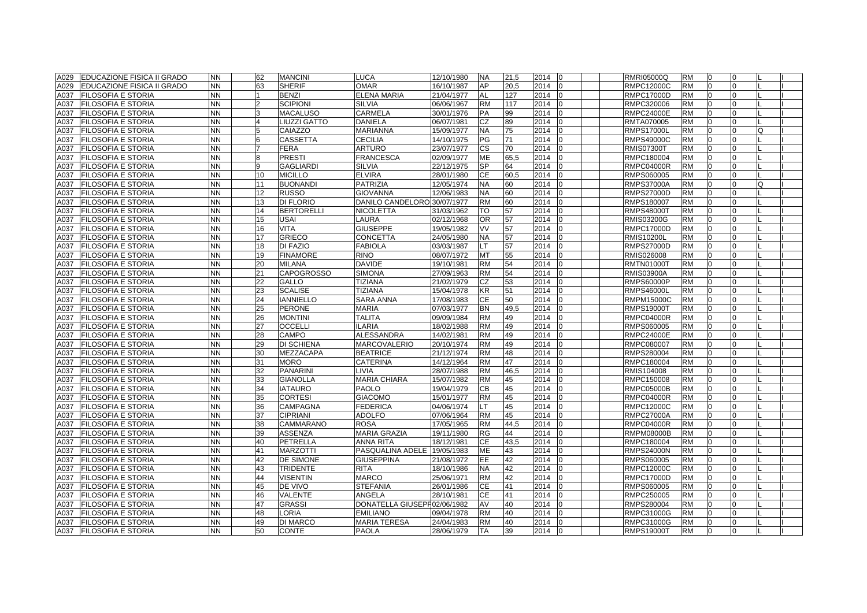| A029 | <b>EDUCAZIONE FISICA II GRADO</b> | <b>NN</b> | 62             | <b>MANCINI</b>     | <b>LUCA</b>                 | 12/10/1980 | <b>NA</b> | 21,5 | 2014<br>l0       | <b>RMRI05000Q</b> | <b>RM</b> | 0                    | $\Omega$     |  |
|------|-----------------------------------|-----------|----------------|--------------------|-----------------------------|------------|-----------|------|------------------|-------------------|-----------|----------------------|--------------|--|
| A029 | EDUCAZIONE FISICA II GRADO        | <b>NN</b> | 63             | <b>SHERIF</b>      | <b>OMAR</b>                 | 16/10/1987 | AP        | 20,5 | 2014             | <b>RMPC12000C</b> | <b>RM</b> | $\overline{0}$       | $\Omega$     |  |
| A037 | <b>FILOSOFIA E STORIA</b>         | <b>NN</b> |                | <b>BENZI</b>       | <b>ELENA MARIA</b>          | 21/04/1977 | AL        | 127  | 2014             | <b>RMPC17000D</b> | <b>RM</b> | $\Omega$             | <sup>0</sup> |  |
| A037 | <b>FILOSOFIA E STORIA</b>         | <b>NN</b> | $\mathcal{D}$  | SCIPIONI           | <b>SILVIA</b>               | 06/06/1967 | <b>RM</b> | 117  | 2014             | RMPC320006        | <b>RM</b> | $\Omega$             | $\Omega$     |  |
| A037 | <b>FILOSOFIA E STORIA</b>         | <b>NN</b> | 3              | MACALUSO           | <b>CARMELA</b>              | 30/01/1976 | <b>PA</b> | 99   | 2014             | <b>RMPC24000E</b> | <b>RM</b> | $\overline{0}$       | $\Omega$     |  |
| A037 | <b>FILOSOFIA E STORIA</b>         | <b>NN</b> | $\overline{4}$ | <b>IUZZI GATTO</b> | DANIELA                     | 06/07/1981 | CZ        | 89   | 2014             | RMTA070005        | <b>RM</b> | $\Omega$             | $\Omega$     |  |
| A037 | <b>FILOSOFIA E STORIA</b>         | <b>NN</b> | 5              | CAIAZZO            | <b>MARIANNA</b>             | 15/09/1977 | <b>NA</b> | 75   | 2014             | <b>RMPS17000L</b> | <b>RM</b> | $\Omega$             |              |  |
| A037 | <b>FILOSOFIA E STORIA</b>         | <b>NN</b> | 6              | CASSETTA           | <b>CECILIA</b>              | 14/10/1975 | PG        | 71   | 2014             | <b>RMPS49000C</b> | <b>RM</b> | $\Omega$             |              |  |
| A037 | <b>FILOSOFIA E STORIA</b>         | <b>NN</b> |                | <b>FERA</b>        | <b>ARTURO</b>               | 23/07/1977 | <b>CS</b> | 70   | 2014             | <b>RMIS07300T</b> | <b>RM</b> | $\overline{0}$       | $\Omega$     |  |
| A037 | <b>FILOSOFIA E STORIA</b>         | <b>NN</b> | 8              | <b>PRESTI</b>      | <b>FRANCESCA</b>            | 02/09/1977 | <b>ME</b> | 65,5 | 2014             | RMPC180004        | <b>RM</b> | $\overline{0}$       | $\Omega$     |  |
| A037 | <b>FILOSOFIA E STORIA</b>         | <b>NN</b> | 9              | GAGLIARDI          | <b>SILVIA</b>               | 22/12/1975 | <b>SP</b> | 64   | 2014             | <b>RMPC04000R</b> | <b>RM</b> | $\Omega$             | <sup>0</sup> |  |
| A037 | <b>FILOSOFIA E STORIA</b>         | <b>NN</b> | 10             | <b>MICILLO</b>     | <b>ELVIRA</b>               | 28/01/1980 | <b>CE</b> | 60,5 | 2014             | RMPS060005        | <b>RM</b> | $\overline{0}$       | $\Omega$     |  |
| A037 | <b>FILOSOFIA E STORIA</b>         | <b>NN</b> | 11             | <b>BUONANDI</b>    | <b>PATRIZIA</b>             | 12/05/1974 | <b>NA</b> | 60   | 2014             | <b>RMPS37000A</b> | <b>RM</b> | $\overline{0}$       | $\Omega$     |  |
| A037 | FILOSOFIA E STORIA                | <b>NN</b> | 12             | <b>RUSSO</b>       | <b>GIOVANNA</b>             | 12/06/1983 | <b>NA</b> | 60   | 2014             | <b>RMPS27000D</b> | <b>RM</b> | $\Omega$             | $\Omega$     |  |
| A037 | <b>FILOSOFIA E STORIA</b>         | <b>NN</b> | 13             | DI FLORIO          | DANILO CANDELORO 30/07/1977 |            | <b>RM</b> | 60   | 2014             | RMPS180007        | <b>RM</b> | $\Omega$             | $\Omega$     |  |
| A037 | FILOSOFIA E STORIA                | <b>NN</b> | 14             | <b>BERTORELLI</b>  | <b>NICOLETTA</b>            | 31/03/1962 | TO        | 57   | 2014             | <b>RMPS48000T</b> | <b>RM</b> | $\Omega$             | $\Omega$     |  |
| A037 | <b>FILOSOFIA E STORIA</b>         | <b>NN</b> | 15             | USAI               | LAURA                       | 02/12/1968 | <b>OR</b> | 57   | 2014             | <b>RMIS03200G</b> | <b>RM</b> | $\Omega$             | $\Omega$     |  |
| A037 | FILOSOFIA E STORIA                | <b>NN</b> | 16             | <b>VITA</b>        | <b>GIUSEPPE</b>             | 19/05/1982 | VV        | 57   | 2014             | <b>RMPC17000D</b> | <b>RM</b> | $\overline{0}$       | $\Omega$     |  |
| A037 | <b>FILOSOFIA E STORIA</b>         | <b>NN</b> | 17             | <b>GRIECO</b>      | <b>CONCETTA</b>             | 24/05/1980 | <b>NA</b> | 57   | 2014             | <b>RMIS10200L</b> | <b>RM</b> | $\overline{0}$       | $\Omega$     |  |
| A037 | FILOSOFIA E STORIA                | <b>NN</b> | 18             | DI FAZIO           | <b>FABIOLA</b>              | 03/03/1987 | LT        | 57   | 2014<br>lo       | <b>RMPS27000D</b> | <b>RM</b> | 0                    | $\Omega$     |  |
| A037 | <b>FILOSOFIA E STORIA</b>         | <b>NN</b> | 19             | <b>FINAMORE</b>    | <b>RINO</b>                 | 08/07/1972 | MT        | 55   | 2014             | RMIS026008        | <b>RM</b> | $\overline{0}$       | $\Omega$     |  |
| A037 | <b>FILOSOFIA E STORIA</b>         | <b>NN</b> | 20             | <b>MILANA</b>      | <b>DAVIDE</b>               | 19/10/1981 | <b>RM</b> | 54   | 2014             | <b>RMTN01000T</b> | <b>RM</b> | $\Omega$             | $\Omega$     |  |
| A037 | FILOSOFIA E STORIA                | <b>NN</b> | 21             | CAPOGROSSO         | <b>SIMONA</b>               | 27/09/1963 | <b>RM</b> | 54   | 2014             | <b>RMIS03900A</b> | <b>RM</b> | $\Omega$             |              |  |
| A037 | FILOSOFIA E STORIA                | <b>NN</b> | 22             | GALLO              | <b>TIZIANA</b>              | 21/02/1979 | CZ        | 53   | 2014             | <b>RMPS60000P</b> | <b>RM</b> | $\Omega$             | O            |  |
| A037 | <b>FILOSOFIA E STORIA</b>         | <b>NN</b> | 23             | <b>SCALISE</b>     | <b>TIZIANA</b>              | 15/04/1978 | <b>KR</b> | 51   | 2014<br>I٥       | <b>RMPS46000L</b> | <b>RM</b> | $\Omega$             | $\Omega$     |  |
| A037 | <b>FILOSOFIA E STORIA</b>         | <b>NN</b> | 24             | <b>IANNIELLO</b>   | <b>SARA ANNA</b>            | 17/08/1983 | <b>CE</b> | 50   | 2014             | <b>RMPM15000C</b> | <b>RM</b> | $\Omega$             | $\Omega$     |  |
|      |                                   | <b>NN</b> | 25             |                    |                             |            |           | 49,5 |                  |                   |           | $\overline{0}$       | $\Omega$     |  |
| A037 | <b>FILOSOFIA E STORIA</b>         |           |                | <b>PERONE</b>      | <b>MARIA</b>                | 07/03/1977 | <b>BN</b> |      | 2014             | <b>RMPS19000T</b> | <b>RM</b> |                      |              |  |
| A037 | <b>FILOSOFIA E STORIA</b>         | <b>NN</b> | 26             | <b>MONTINI</b>     | <b>TALITA</b>               | 09/09/1984 | <b>RM</b> | 49   | 2014             | <b>RMPC04000R</b> | <b>RM</b> | $\overline{0}$       | $\Omega$     |  |
| A037 | <b>FILOSOFIA E STORIA</b>         | <b>NN</b> | 27             | OCCELLI            | <b>ILARIA</b>               | 18/02/1988 | <b>RM</b> | 49   | 2014<br>ın       | RMPS060005        | <b>RM</b> | $\overline{0}$       | $\Omega$     |  |
| A037 | <b>FILOSOFIA E STORIA</b>         | <b>NN</b> | 28             | CAMPO              | ALESSANDRA                  | 14/02/1981 | <b>RM</b> | 49   | 2014             | <b>RMPC24000E</b> | <b>RM</b> | $\Omega$<br>$\Omega$ |              |  |
| A037 | <b>FILOSOFIA E STORIA</b>         | <b>NN</b> | 29             | DI SCHIENA         | <b>MARCOVALERIO</b>         | 20/10/1974 | <b>RM</b> | 49   | 2014             | RMPC080007        | <b>RM</b> | $\Omega$             |              |  |
| A037 | FILOSOFIA E STORIA                | <b>NN</b> | 30             | MEZZACAPA          | <b>BEATRICE</b>             | 21/12/1974 | <b>RM</b> | 48   | 2014             | RMPS280004        | <b>RM</b> |                      |              |  |
| A037 | <b>FILOSOFIA E STORIA</b>         | <b>NN</b> | 31             | MORO               | <b>CATERINA</b>             | 14/12/1964 | <b>RM</b> | 47   | 2014             | RMPC180004        | <b>RM</b> | $\overline{0}$       | $\Omega$     |  |
| A037 | <b>FILOSOFIA E STORIA</b>         | <b>NN</b> | 32             | <b>PANARINI</b>    | LIVIA                       | 28/07/1988 | <b>RM</b> | 46,5 | 2014<br>lo       | RMIS104008        | <b>RM</b> | $\overline{0}$       | $\Omega$     |  |
| A037 | <b>FILOSOFIA E STORIA</b>         | <b>NN</b> | 33             | <b>GIANOLLA</b>    | <b>MARIA CHIARA</b>         | 15/07/1982 | <b>RM</b> | 45   | 2014             | RMPC150008        | <b>RM</b> | $\overline{0}$       | $\Omega$     |  |
| A037 | <b>FILOSOFIA E STORIA</b>         | <b>NN</b> | 34             | <b>IATAURO</b>     | <b>PAOLO</b>                | 19/04/1979 | CВ        | 45   | 2014             | <b>RMPC05000B</b> | <b>RM</b> | $\Omega$             | $\Omega$     |  |
| A037 | FILOSOFIA E STORIA                | <b>NN</b> | 35             | <b>CORTESI</b>     | <b>GIACOMO</b>              | 15/01/1977 | <b>RM</b> | 45   | 2014             | <b>RMPC04000R</b> | <b>RM</b> | $\overline{0}$       | $\Omega$     |  |
| A037 | <b>FILOSOFIA E STORIA</b>         | <b>NN</b> | 36             | CAMPAGNA           | <b>FEDERICA</b>             | 04/06/1974 | LТ        | 45   | 2014<br>10       | <b>RMPC12000C</b> | <b>RM</b> | $\overline{0}$       | 0            |  |
| A037 | <b>FILOSOFIA E STORIA</b>         | <b>NN</b> | 37             | <b>CIPRIANI</b>    | <b>ADOLFO</b>               | 07/06/1964 | <b>RM</b> | 45   | 2014             | <b>RMPC27000A</b> | <b>RM</b> | $\Omega$             |              |  |
| A037 | FILOSOFIA E STORIA                | <b>NN</b> | 38             | <b>CAMMARANO</b>   | <b>ROSA</b>                 | 17/05/1965 | <b>RM</b> | 44,5 | 2014             | <b>RMPC04000R</b> | <b>RM</b> | $\Omega$             |              |  |
| A037 | FILOSOFIA E STORIA                | <b>NN</b> | 39             | <b>ASSENZA</b>     | <b>MARIA GRAZIA</b>         | 19/11/1980 | <b>RG</b> | 44   | 2014             | <b>RMPM08000B</b> | <b>RM</b> | $\Omega$             |              |  |
| A037 | <b>FILOSOFIA E STORIA</b>         | <b>NN</b> | 40             | <b>PETRELLA</b>    | <b>ANNA RITA</b>            | 18/12/1981 | <b>CE</b> | 43,5 | 2014             | RMPC180004        | <b>RM</b> | $\Omega$             | $\Omega$     |  |
| A037 | <b>FILOSOFIA E STORIA</b>         | <b>NN</b> | 41             | <b>MARZOTTI</b>    | PASQUALINA ADELE            | 19/05/1983 | ME        | 43   | 2014             | <b>RMPS24000N</b> | <b>RM</b> | $\overline{0}$       | $\Omega$     |  |
| A037 | <b>FILOSOFIA E STORIA</b>         | <b>NN</b> | 42             | DE SIMONE          | <b>GIUSEPPINA</b>           | 21/08/1972 | EE.       | 42   | 2014             | RMPS060005        | <b>RM</b> | $\Omega$             | $\Omega$     |  |
| A037 | FILOSOFIA E STORIA                | <b>NN</b> | 43             | <b>TRIDENTE</b>    | <b>RITA</b>                 | 18/10/1986 | <b>NA</b> | 42   | 2014             | <b>RMPC12000C</b> | <b>RM</b> | $\overline{0}$       | $\Omega$     |  |
| A037 | FILOSOFIA E STORIA                | <b>NN</b> | 44             | <b>VISENTIN</b>    | <b>MARCO</b>                | 25/06/1971 | <b>RM</b> | 42   | 2014             | <b>RMPC17000D</b> | <b>RM</b> | $\overline{0}$       | $\Omega$     |  |
| A037 | <b>FILOSOFIA E STORIA</b>         | <b>NN</b> | 45             | DE VIVO            | <b>STEFANIA</b>             | 26/01/1986 | <b>CE</b> | 41   | 2014             | RMPS060005        | <b>RM</b> | $\Omega$             | $\Omega$     |  |
| A037 | FILOSOFIA E STORIA                | <b>NN</b> | 46             | <b>VALENTE</b>     | <b>ANGELA</b>               | 28/10/1981 | CЕ        | 41   | 2014             | RMPC250005        | <b>RM</b> | $\Omega$             |              |  |
| A037 | FILOSOFIA E STORIA                | <b>NN</b> | 47             | <b>GRASSI</b>      | DONATELLA GIUSEPF02/06/1982 |            | AV        | 40   | 2014             | RMPS280004        | <b>RM</b> | $\Omega$             | $\Omega$     |  |
| A037 | <b>FILOSOFIA E STORIA</b>         | <b>NN</b> | 48             | <b>LORIA</b>       | <b>EMILIANO</b>             | 09/04/1978 | <b>RM</b> | 40   | 2014             | RMPC31000G        | <b>RM</b> | $\Omega$             | $\Omega$     |  |
| A037 | <b>FILOSOFIA E STORIA</b>         | <b>NN</b> | 49             | <b>DI MARCO</b>    | <b>MARIA TERESA</b>         | 24/04/1983 | <b>RM</b> | 40   | 2014<br>$\Omega$ | RMPC31000G        | <b>RM</b> | $\overline{0}$       | $\Omega$     |  |
| A037 | <b>FILOSOFIA E STORIA</b>         | <b>NN</b> | 50             | <b>CONTE</b>       | <b>PAOLA</b>                | 28/06/1979 | <b>TA</b> | 39   | 2014 0           | <b>RMPS19000T</b> | <b>RM</b> | $\overline{0}$       | $\Omega$     |  |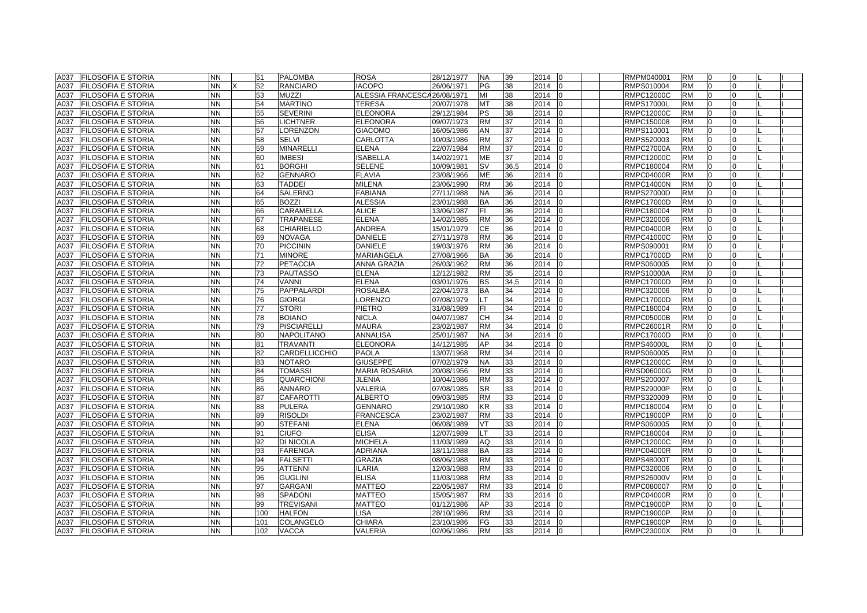| A037 | <b>FILOSOFIA E STORIA</b> | <b>NN</b> | 51  | <b>PALOMBA</b>     | <b>ROSA</b>              | 28/12/1977 | <b>NA</b> | 39   | 2014       | RMPM040001        | <b>RM</b> | $\Omega$       |              |  |
|------|---------------------------|-----------|-----|--------------------|--------------------------|------------|-----------|------|------------|-------------------|-----------|----------------|--------------|--|
| A037 | <b>FILOSOFIA E STORIA</b> | <b>NN</b> | 52  | <b>RANCIARO</b>    | <b>IACOPO</b>            | 26/06/1971 | PG        | 38   | 2014       | RMPS010004        | <b>RM</b> | $\Omega$       | $\Omega$     |  |
| A037 | <b>FILOSOFIA E STORIA</b> | <b>NN</b> | 53  | <b>MUZZI</b>       | <b>ALESSIA FRANCESCA</b> | 26/08/1971 | MI        | 38   | 2014       | <b>RMPC12000C</b> | <b>RM</b> | $\Omega$       | $\Omega$     |  |
| A037 | <b>FILOSOFIA E STORIA</b> | <b>NN</b> | 54  | <b>MARTINO</b>     | <b>TERESA</b>            | 20/07/1978 | MT        | 38   | 2014       | <b>RMPS17000L</b> | <b>RM</b> | $\overline{0}$ | <sup>0</sup> |  |
| A037 | <b>FILOSOFIA E STORIA</b> | <b>NN</b> | 55  | <b>SEVERINI</b>    | <b>ELEONORA</b>          | 29/12/1984 | PS        | 38   | 2014       | <b>RMPC12000C</b> | <b>RM</b> | $\Omega$       | $\Omega$     |  |
| A037 | <b>FILOSOFIA E STORIA</b> | <b>NN</b> | 56  | <b>LICHTNER</b>    | <b>ELEONORA</b>          | 09/07/1973 | <b>RM</b> | 37   | 2014       | RMPC150008        | <b>RM</b> | $\overline{0}$ | $\Omega$     |  |
| A037 | FILOSOFIA E STORIA        | <b>NN</b> | 57  | <b>ORENZON</b>     | <b>GIACOMO</b>           | 16/05/1986 | AN        | 37   | 2014       | RMPS110001        | <b>RM</b> | $\Omega$       |              |  |
| A037 | FILOSOFIA E STORIA        | <b>NN</b> | 58  | <b>SELVI</b>       | <b>CARLOTTA</b>          | 10/03/1986 | <b>RM</b> | 37   | 2014       | RMPS520003        | <b>RM</b> | $\Omega$       |              |  |
| A037 | <b>FILOSOFIA E STORIA</b> | <b>NN</b> | 59  | MINARELLI          | <b>ELENA</b>             | 22/07/1984 | <b>RM</b> | 37   | 2014       | <b>RMPC27000A</b> | <b>RM</b> | $\Omega$       | $\Omega$     |  |
| A037 | <b>FILOSOFIA E STORIA</b> | <b>NN</b> | 60  | <b>IMBESI</b>      | <b>ISABELLA</b>          | 14/02/1971 | <b>ME</b> | 37   | 2014       | <b>RMPC12000C</b> | <b>RM</b> | $\Omega$       | $\Omega$     |  |
| A037 | FILOSOFIA E STORIA        | <b>NN</b> | 61  | <b>BORGHI</b>      | <b>SELENE</b>            | 10/09/1981 | SV        | 36,5 | 2014       | RMPC180004        | <b>RM</b> | $\overline{0}$ | $\Omega$     |  |
| A037 | <b>FILOSOFIA E STORIA</b> | <b>NN</b> | 62  | <b>GENNARO</b>     | <b>FLAVIA</b>            | 23/08/1966 | ME        | 36   | 2014       | <b>RMPC04000R</b> | <b>RM</b> | $\overline{0}$ | $\Omega$     |  |
| A037 | <b>FILOSOFIA E STORIA</b> | <b>NN</b> | 63  | <b>TADDEI</b>      | <b>MILENA</b>            | 23/06/1990 | <b>RM</b> | 36   | 2014       | <b>RMPC14000N</b> | <b>RM</b> | $\overline{0}$ | $\Omega$     |  |
| A037 | FILOSOFIA E STORIA        | <b>NN</b> | 64  | SALERNO            | <b>FABIANA</b>           | 27/11/1988 | <b>NA</b> | 36   | 2014       | <b>RMPS27000D</b> | <b>RM</b> | $\overline{0}$ | $\Omega$     |  |
| A037 | <b>FILOSOFIA E STORIA</b> | <b>NN</b> | 65  | BOZZI              | <b>ALESSIA</b>           | 23/01/1988 | BA        | 36   | 2014       | <b>RMPC17000D</b> | <b>RM</b> | 0              |              |  |
| A037 | FILOSOFIA E STORIA        | <b>NN</b> | 66  | CARAMELLA          | <b>ALICE</b>             | 13/06/1987 | FI.       | 36   | 2014       | RMPC180004        | <b>RM</b> | $\Omega$       |              |  |
| A037 | <b>FILOSOFIA E STORIA</b> | <b>NN</b> | 67  | <b>TRAPANESE</b>   | <b>ELENA</b>             | 14/02/1985 | <b>RM</b> | 36   | 2014       | RMPC320006        | <b>RM</b> | $\Omega$       | $\Omega$     |  |
| A037 | FILOSOFIA E STORIA        | <b>NN</b> | 68  | CHIARIELLO         | <b>ANDREA</b>            | 15/01/1979 | CЕ        | 36   | 2014       | <b>RMPC04000R</b> | <b>RM</b> | $\overline{0}$ | $\Omega$     |  |
| A037 | <b>FILOSOFIA E STORIA</b> | <b>NN</b> | 69  | <b>NOVAGA</b>      | DANIELE                  | 27/11/1978 | <b>RM</b> | 36   | 2014       | RMPC41000C        | <b>RM</b> | $\Omega$       | $\Omega$     |  |
| A037 | FILOSOFIA E STORIA        | <b>NN</b> | 70  | <b>PICCININ</b>    | DANIELE                  | 19/03/1976 | <b>RM</b> | 36   | 2014       | RMPS090001        | <b>RM</b> | $\overline{0}$ | $\Omega$     |  |
| A037 | <b>FILOSOFIA E STORIA</b> | <b>NN</b> | 71  | <b>MINORE</b>      | MARIANGELA               | 27/08/1966 | <b>BA</b> | 36   | 2014       | <b>RMPC17000D</b> | <b>RM</b> | $\overline{0}$ | 0            |  |
| A037 | <b>FILOSOFIA E STORIA</b> | <b>NN</b> | 72  | <b>PETACCIA</b>    | <b>ANNA GRAZIA</b>       | 26/03/1962 | <b>RM</b> | 36   | 2014       | RMPS060005        | <b>RM</b> | $\Omega$       | $\Omega$     |  |
| A037 | <b>FILOSOFIA E STORIA</b> | <b>NN</b> | 73  | PAUTASSO           | <b>ELENA</b>             | 12/12/1982 | <b>RM</b> | 35   | 2014       | <b>RMPS10000A</b> | <b>RM</b> | $\Omega$       |              |  |
| A037 | <b>FILOSOFIA E STORIA</b> | <b>NN</b> | 74  | VANNI              | <b>ELENA</b>             | 03/01/1976 | <b>BS</b> | 34,5 | 2014       | <b>RMPC17000D</b> | <b>RM</b> | $\Omega$       |              |  |
| A037 | FILOSOFIA E STORIA        | <b>NN</b> | 75  | PAPPALARDI         | <b>ROSALBA</b>           | 22/04/1973 | <b>BA</b> | 34   | 2014       | RMPC320006        | <b>RM</b> | $\overline{0}$ | $\Omega$     |  |
| A037 | <b>FILOSOFIA E STORIA</b> | <b>NN</b> | 76  | <b>GIORGI</b>      | LORENZO                  | 07/08/1979 | LT        | 34   | 2014       | <b>RMPC17000D</b> | <b>RM</b> | $\Omega$       | $\Omega$     |  |
| A037 | <b>FILOSOFIA E STORIA</b> | <b>NN</b> | 77  | <b>STORI</b>       | <b>PIETRO</b>            | 31/08/1989 | FL.       | 34   | 2014       | RMPC180004        | <b>RM</b> | $\Omega$       | $\Omega$     |  |
| A037 | FILOSOFIA E STORIA        | <b>NN</b> | 78  | <b>BOIANO</b>      | <b>NICLA</b>             | 04/07/1987 | <b>CH</b> | 34   | 2014       | <b>RMPC05000B</b> | <b>RM</b> | $\overline{0}$ | $\Omega$     |  |
| A037 | FILOSOFIA E STORIA        | <b>NN</b> | 79  | <b>PISCIARELLI</b> | <b>MAURA</b>             | 23/02/1987 | <b>RM</b> | 34   | 2014       | RMPC26001R        | <b>RM</b> | $\overline{0}$ | $\Omega$     |  |
| A037 | <b>FILOSOFIA E STORIA</b> | <b>NN</b> | 80  | <b>NAPOLITANO</b>  | <b>ANNALISA</b>          | 25/01/1987 | <b>NA</b> | 34   | 2014       | <b>RMPC17000D</b> | <b>RM</b> | $\Omega$       |              |  |
| A037 | FILOSOFIA E STORIA        | <b>NN</b> | 81  | <b>TRAVANTI</b>    | <b>ELEONORA</b>          | 14/12/1985 | AP        | 34   | 2014       | <b>RMPS46000L</b> | <b>RM</b> | $\Omega$       |              |  |
| A037 | FILOSOFIA E STORIA        | <b>NN</b> | 82  | CARDELLICCHIO      | <b>PAOLA</b>             | 13/07/1968 | <b>RM</b> | 34   | 2014<br>In | RMPS060005        | <b>RM</b> | $\overline{0}$ | $\Omega$     |  |
| A037 | FILOSOFIA E STORIA        | <b>NN</b> | 83  | <b>NOTARO</b>      | <b>GIUSEPPE</b>          | 07/02/1979 | <b>NA</b> | 33   | 2014       | <b>RMPC12000C</b> | <b>RM</b> | $\Omega$       | $\Omega$     |  |
| A037 | FILOSOFIA E STORIA        | <b>NN</b> | 84  | <b>TOMASSI</b>     | <b>MARIA ROSARIA</b>     | 20/08/1956 | <b>RM</b> | 33   | 2014       | <b>RMSD06000G</b> | <b>RM</b> | $\overline{0}$ | $\Omega$     |  |
| A037 | <b>FILOSOFIA E STORIA</b> | <b>NN</b> | 85  | <b>QUARCHIONI</b>  | <b>JLENIA</b>            | 10/04/1986 | <b>RM</b> | 33   | 2014       | RMPS200007        | <b>RM</b> | $\overline{0}$ | $\Omega$     |  |
| A037 | <b>FILOSOFIA E STORIA</b> | <b>NN</b> | 86  | <b>ANNARO</b>      | VALERIA                  | 07/08/1985 | <b>SR</b> | 33   | 2014       | <b>RMPS29000P</b> | <b>RM</b> | $\overline{0}$ | $\Omega$     |  |
| A037 | FILOSOFIA E STORIA        | <b>NN</b> | 87  | CAFAROTTI          | <b>ALBERTO</b>           | 09/03/1985 | <b>RM</b> | 33   | 2014       | RMPS320009        | <b>RM</b> | $\Omega$       | $\Omega$     |  |
| A037 | <b>FILOSOFIA E STORIA</b> | <b>NN</b> | 88  | <b>PULERA</b>      | <b>GENNARO</b>           | 29/10/1980 | ΚR        | 33   | 2014       | RMPC180004        | <b>RM</b> | $\Omega$       |              |  |
| A037 | FILOSOFIA E STORIA        | <b>NN</b> | 89  | <b>RISOLDI</b>     | <b>FRANCESCA</b>         | 23/02/1987 | <b>RM</b> | 33   | 2014       | <b>RMPC19000P</b> | <b>RM</b> | $\Omega$       |              |  |
| A037 | <b>FILOSOFIA E STORIA</b> | <b>NN</b> | 90  | <b>STEFANI</b>     | <b>ELENA</b>             | 06/08/1989 | VT        | 33   | 2014       | RMPS060005        | <b>RM</b> | $\Omega$       | $\Omega$     |  |
| A037 | <b>FILOSOFIA E STORIA</b> | <b>NN</b> | 91  | <b>CIUFO</b>       | <b>ELISA</b>             | 12/07/1989 | LТ        | 33   | 2014       | RMPC180004        | <b>RM</b> | $\Omega$       | $\Omega$     |  |
| A037 | FILOSOFIA E STORIA        | <b>NN</b> | 92  | DI NICOLA          | <b>MICHELA</b>           | 11/03/1989 | AQ        | 33   | 2014       | <b>RMPC12000C</b> | <b>RM</b> | $\overline{0}$ | $\Omega$     |  |
| A037 | <b>FILOSOFIA E STORIA</b> | <b>NN</b> | 93  | FARENGA            | ADRIANA                  | 18/11/1988 | <b>BA</b> | 33   | 2014       | <b>RMPC04000R</b> | <b>RM</b> | $\Omega$       | $\Omega$     |  |
| A037 | <b>FILOSOFIA E STORIA</b> | <b>NN</b> | 94  | <b>FALSETTI</b>    | <b>GRAZIA</b>            | 08/06/1988 | <b>RM</b> | 33   | 2014       | <b>RMPS48000T</b> | <b>RM</b> | $\overline{0}$ | $\Omega$     |  |
| A037 | <b>FILOSOFIA E STORIA</b> | <b>NN</b> | 95  | <b>ATTENNI</b>     | <b>ILARIA</b>            | 12/03/1988 | <b>RM</b> | 33   | 2014       | RMPC320006        | <b>RM</b> | $\Omega$       | <sup>n</sup> |  |
| A037 | FILOSOFIA E STORIA        | <b>NN</b> | 96  | GUGLINI            | <b>ELISA</b>             | 11/03/1988 | <b>RM</b> | 33   | 2014       | <b>RMPS26000V</b> | <b>RM</b> | $\Omega$       |              |  |
| A037 | <b>FILOSOFIA E STORIA</b> | <b>NN</b> | 97  | <b>GARGANI</b>     | <b>MATTEO</b>            | 22/05/1987 | <b>RM</b> | 33   | 2014       | RMPC080007        | <b>RM</b> | $\Omega$       | $\Omega$     |  |
| A037 | <b>FILOSOFIA E STORIA</b> | <b>NN</b> | 98  | <b>SPADONI</b>     | <b>MATTEO</b>            | 15/05/1987 | <b>RM</b> | 33   | 2014       | <b>RMPC04000R</b> | <b>RM</b> | $\overline{0}$ | $\Omega$     |  |
| A037 | <b>FILOSOFIA E STORIA</b> | <b>NN</b> | 99  | <b>TREVISANI</b>   | <b>MATTEO</b>            | 01/12/1986 | AP        | 33   | 2014       | <b>RMPC19000P</b> | <b>RM</b> | $\overline{0}$ | $\Omega$     |  |
| A037 | <b>FILOSOFIA E STORIA</b> | <b>NN</b> | 100 | <b>HALFON</b>      | <b>LISA</b>              | 28/10/1986 | <b>RM</b> | 33   | 2014       | <b>RMPC19000P</b> | <b>RM</b> | $\Omega$       | $\Omega$     |  |
| A037 | <b>FILOSOFIA E STORIA</b> | <b>NN</b> | 101 | COLANGELO          | <b>CHIARA</b>            | 23/10/1986 | FG        | 33   | 2014<br>lo | <b>RMPC19000P</b> | <b>RM</b> | $\overline{0}$ | $\Omega$     |  |
|      | A037 FILOSOFIA E STORIA   | <b>NN</b> | 102 | <b>VACCA</b>       | <b>VALERIA</b>           | 02/06/1986 | <b>RM</b> | 33   | 2014 0     | <b>RMPC23000X</b> | <b>RM</b> | $\overline{0}$ | $\Omega$     |  |
|      |                           |           |     |                    |                          |            |           |      |            |                   |           |                |              |  |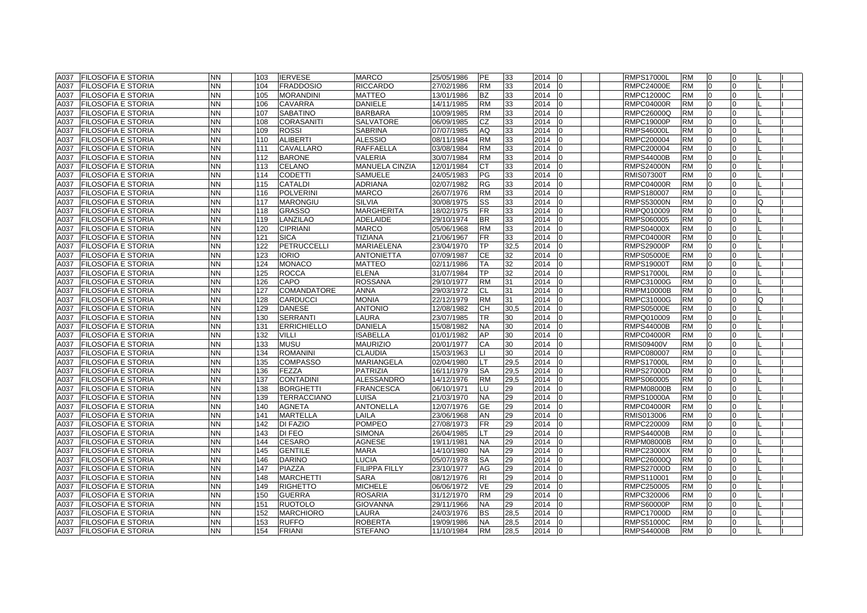| A037 | <b>FILOSOFIA E STORIA</b> | <b>NN</b> | 103 | <b>IERVESE</b>     | <b>MARCO</b>          | 25/05/1986 | <b>IPE</b> | 33   | 2014             | <b>RMPS17000L</b> | <b>RM</b> | $\Omega$       | $\Omega$ |          |  |
|------|---------------------------|-----------|-----|--------------------|-----------------------|------------|------------|------|------------------|-------------------|-----------|----------------|----------|----------|--|
| A037 | <b>FILOSOFIA E STORIA</b> | <b>NN</b> | 104 | <b>FRADDOSIO</b>   | <b>RICCARDO</b>       | 27/02/1986 | <b>RM</b>  | 33   | 2014             | <b>RMPC24000E</b> | <b>RM</b> | $\overline{0}$ | $\Omega$ |          |  |
| A037 | <b>FILOSOFIA E STORIA</b> | <b>NN</b> | 105 | <b>MORANDINI</b>   | <b>MATTEO</b>         | 13/01/1986 | <b>BZ</b>  | 33   | 2014             | <b>RMPC12000C</b> | <b>RM</b> | $\overline{0}$ | $\Omega$ |          |  |
| A037 | <b>FILOSOFIA E STORIA</b> | NN        | 106 | <b>CAVARRA</b>     | DANIELE               | 14/11/1985 | <b>RM</b>  | 33   | 2014             | <b>RMPC04000R</b> | <b>RM</b> | 0              | $\Omega$ |          |  |
| A037 | <b>FILOSOFIA E STORIA</b> | <b>NN</b> | 107 | <b>SABATINO</b>    | <b>BARBARA</b>        | 10/09/1985 | <b>RM</b>  | 33   | 2014             | RMPC26000Q        | <b>RM</b> | $\Omega$       | $\Omega$ |          |  |
| A037 | <b>FILOSOFIA E STORIA</b> | <b>NN</b> | 108 | <b>CORASANITI</b>  | SALVATORE             | 06/09/1985 | CZ         | 33   | 2014             | <b>RMPC19000P</b> | <b>RM</b> | $\overline{0}$ | $\Omega$ |          |  |
| A037 | <b>FILOSOFIA E STORIA</b> | <b>NN</b> | 109 | <b>ROSSI</b>       | <b>SABRINA</b>        | 07/07/1985 | AQ         | 33   | 2014             | <b>RMPS46000L</b> | <b>RM</b> | $\overline{0}$ | $\Omega$ |          |  |
| A037 | <b>FILOSOFIA E STORIA</b> | NN        | 110 | <b>ALIBERTI</b>    | <b>ALESSIO</b>        | 08/11/1984 | <b>RM</b>  | 33   | 2014             | RMPC200004        | <b>RM</b> | $\Omega$       | $\Omega$ |          |  |
| A037 | <b>FILOSOFIA E STORIA</b> | <b>NN</b> | 111 | CAVALLARO          | <b>RAFFAELLA</b>      | 03/08/1984 | <b>RM</b>  | 33   | 2014             | RMPC200004        | <b>RM</b> | $\Omega$       | $\Omega$ |          |  |
| A037 | <b>FILOSOFIA E STORIA</b> | <b>NN</b> | 112 | <b>BARONE</b>      | <b>VALERIA</b>        | 30/07/1984 | <b>RM</b>  | 33   | 2014             | <b>RMPS44000B</b> | <b>RM</b> | $\Omega$       | $\Omega$ |          |  |
| A037 | <b>FILOSOFIA E STORIA</b> | <b>NN</b> | 113 | <b>CELANO</b>      | <b>MANUELA CINZIA</b> | 12/01/1984 | <b>CT</b>  | 33   | 2014             | <b>RMPS24000N</b> | <b>RM</b> | $\Omega$       | $\Omega$ |          |  |
| A037 | <b>FILOSOFIA E STORIA</b> | <b>NN</b> | 114 | <b>CODETTI</b>     | <b>SAMUELE</b>        | 24/05/1983 | PG         | 33   | 2014             | <b>RMIS07300T</b> | <b>RM</b> | 0              | $\Omega$ |          |  |
| A037 | <b>FILOSOFIA E STORIA</b> | <b>NN</b> | 115 | <b>CATALDI</b>     | <b>ADRIANA</b>        | 02/07/1982 | <b>RG</b>  | 33   | 2014             | <b>RMPC04000R</b> | <b>RM</b> | $\overline{0}$ | $\Omega$ |          |  |
| A037 | <b>FILOSOFIA E STORIA</b> | <b>NN</b> | 116 | <b>POLVERINI</b>   | <b>MARCO</b>          | 26/07/1976 | <b>RM</b>  | 33   | 2014             | RMPS180007        | <b>RM</b> | $\overline{0}$ | $\Omega$ |          |  |
| A037 | <b>FILOSOFIA E STORIA</b> | ΝN        | 117 | <b>MARONGIU</b>    | <b>SILVIA</b>         | 30/08/1975 | SS         | 33   | 2014             | <b>RMPS53000N</b> | <b>RM</b> | 0              | n        |          |  |
| A037 | FILOSOFIA E STORIA        | <b>NN</b> | 118 | <b>GRASSO</b>      | MARGHERITA            | 18/02/1975 | FR         | 33   | 2014             | RMPQ010009        | <b>RM</b> | $\overline{0}$ |          |          |  |
| A037 | <b>FILOSOFIA E STORIA</b> | <b>NN</b> | 119 | LANZILAO           | <b>ADELAIDE</b>       | 29/10/1974 | <b>BR</b>  | 33   | 2014             | RMPS060005        | <b>RM</b> | $\overline{0}$ | $\Omega$ |          |  |
| A037 | <b>FILOSOFIA E STORIA</b> | <b>NN</b> | 120 | <b>CIPRIANI</b>    | <b>MARCO</b>          | 05/06/1968 | <b>RM</b>  | 33   | 2014             | <b>RMPS04000X</b> | <b>RM</b> | $\overline{0}$ | $\Omega$ |          |  |
| A037 | <b>FILOSOFIA E STORIA</b> | <b>NN</b> | 121 | <b>SICA</b>        | <b>TIZIANA</b>        | 21/06/1967 | <b>FR</b>  | 33   | 2014             | <b>RMPC04000R</b> | <b>RM</b> | $\overline{0}$ | $\Omega$ |          |  |
| A037 | <b>FILOSOFIA E STORIA</b> | <b>NN</b> | 122 | PETRUCCELLI        | MARIAELENA            | 23/04/1970 | ТP         | 32,5 | 2014             | <b>RMPS29000P</b> | <b>RM</b> | $\Omega$       | $\Omega$ |          |  |
| A037 | <b>FILOSOFIA E STORIA</b> | <b>NN</b> | 123 | <b>IORIO</b>       | <b>ANTONIETTA</b>     | 07/09/1987 | СE         | 32   | 2014             | <b>RMPS05000E</b> | <b>RM</b> | $\overline{0}$ | $\Omega$ |          |  |
| A037 | <b>FILOSOFIA E STORIA</b> | <b>NN</b> | 124 | <b>MONACO</b>      | MATTEO                | 02/11/1986 | ТA         | 32   | 2014             | <b>RMPS19000T</b> | <b>RM</b> | $\overline{0}$ | $\Omega$ |          |  |
| A037 | <b>FILOSOFIA E STORIA</b> | <b>NN</b> | 125 | <b>ROCCA</b>       | <b>ELENA</b>          | 31/07/1984 | ТP         | 32   | 2014             | <b>RMPS17000L</b> | <b>RM</b> | $\Omega$       |          |          |  |
| A037 | FILOSOFIA E STORIA        | <b>NN</b> | 126 | CAPO               | <b>ROSSANA</b>        | 29/10/1977 | <b>RM</b>  | 31   | 2014             | RMPC31000G        | <b>RM</b> | $\Omega$       |          |          |  |
| A037 | <b>FILOSOFIA E STORIA</b> | <b>NN</b> | 127 | <b>COMANDATORE</b> | <b>ANNA</b>           | 29/03/1972 | <b>CL</b>  | 31   | 2014<br>$\Omega$ | <b>RMPM10000B</b> | <b>RM</b> | $\Omega$       | $\Omega$ |          |  |
| A037 | <b>FILOSOFIA E STORIA</b> | <b>NN</b> | 128 | <b>CARDUCCI</b>    | <b>MONIA</b>          | 22/12/1979 | <b>RM</b>  | 31   | 2014             | RMPC31000G        | <b>RM</b> | $\Omega$       | $\Omega$ | $\Omega$ |  |
| A037 | <b>FILOSOFIA E STORIA</b> | NN        | 129 | <b>DANESE</b>      | <b>ANTONIO</b>        | 12/08/1982 | <b>CH</b>  | 30,5 | 2014             | <b>RMPS05000E</b> | <b>RM</b> | 0              | $\Omega$ |          |  |
| A037 | <b>FILOSOFIA E STORIA</b> | <b>NN</b> | 130 | <b>SERRANTI</b>    | LAURA                 | 23/07/1985 | TR         | 30   | 2014             | RMPQ010009        | <b>RM</b> | $\Omega$       | $\Omega$ |          |  |
| A037 | <b>FILOSOFIA E STORIA</b> | <b>NN</b> | 131 | <b>ERRICHIELLO</b> | <b>DANIELA</b>        | 15/08/1982 | <b>NA</b>  | 30   | 2014             | <b>RMPS44000B</b> | <b>RM</b> | $\overline{0}$ | $\Omega$ |          |  |
| A037 | <b>FILOSOFIA E STORIA</b> | <b>NN</b> | 132 | <b>VILLI</b>       | <b>ISABELLA</b>       | 01/01/1982 | AP         | 30   | 2014             | <b>RMPC04000R</b> | <b>RM</b> | $\Omega$       | $\Omega$ |          |  |
| A037 | <b>FILOSOFIA E STORIA</b> | <b>NN</b> | 133 | <b>MUSU</b>        | <b>MAURIZIO</b>       | 20/01/1977 | CA         | 30   | 2014             | <b>RMIS09400V</b> | <b>RM</b> | $\Omega$       | $\Omega$ |          |  |
| A037 | <b>FILOSOFIA E STORIA</b> | <b>NN</b> | 134 | <b>ROMANINI</b>    | <b>CLAUDIA</b>        | 15/03/1963 | Ш          | 30   | 2014             | RMPC080007        | <b>RM</b> | $\Omega$       | $\Omega$ |          |  |
| A037 | <b>FILOSOFIA E STORIA</b> | <b>NN</b> | 135 | <b>COMPASSO</b>    | <b>MARIANGELA</b>     | 02/04/1980 | LT         | 29,5 | 2014             | <b>RMPS17000L</b> | <b>RM</b> | $\Omega$       | $\Omega$ |          |  |
| A037 | <b>FILOSOFIA E STORIA</b> | <b>NN</b> | 136 | <b>FEZZA</b>       | <b>PATRIZIA</b>       | 16/11/1979 | SA         | 29,5 | 2014             | <b>RMPS27000D</b> | <b>RM</b> | $\overline{0}$ | $\Omega$ |          |  |
| A037 | <b>FILOSOFIA E STORIA</b> | <b>NN</b> | 137 | <b>CONTADINI</b>   | <b>ALESSANDRO</b>     | 14/12/1976 | <b>RM</b>  | 29,5 | 2014             | RMPS060005        | <b>RM</b> | $\overline{0}$ | $\Omega$ |          |  |
| A037 | <b>FILOSOFIA E STORIA</b> | <b>NN</b> | 138 | <b>BORGHETTI</b>   | <b>FRANCESCA</b>      | 06/10/1971 | LU         | 29   | 2014             | <b>RMPM08000B</b> | <b>RM</b> | 0              | $\Omega$ |          |  |
| A037 | <b>FILOSOFIA E STORIA</b> | <b>NN</b> | 139 | <b>TERRACCIANO</b> | LUISA                 | 21/03/1970 | <b>NA</b>  | 29   | 2014             | <b>RMPS10000A</b> | <b>RM</b> | $\overline{0}$ | $\Omega$ |          |  |
| A037 | <b>FILOSOFIA E STORIA</b> | <b>NN</b> | 140 | <b>AGNETA</b>      | <b>ANTONELLA</b>      | 12/07/1976 | <b>GE</b>  | 29   | 2014             | <b>RMPC04000R</b> | <b>RM</b> | $\overline{0}$ | $\Omega$ |          |  |
| A037 | FILOSOFIA E STORIA        | NΝ        | 141 | <b>MARTELLA</b>    | LAILA                 | 23/06/1968 | AN         | 29   | 2014             | RMIS013006        | <b>RM</b> | $\Omega$       |          |          |  |
| A037 | <b>FILOSOFIA E STORIA</b> | <b>NN</b> | 142 | <b>DI FAZIO</b>    | <b>POMPEO</b>         | 27/08/1973 | <b>FR</b>  | 29   | 2014             | RMPC220009        | <b>RM</b> | $\overline{0}$ | $\Omega$ |          |  |
| A037 | <b>FILOSOFIA E STORIA</b> | <b>NN</b> | 143 | DI FEO             | <b>SIMONA</b>         | 26/04/1985 | LT.        | 29   | 2014             | <b>RMPS44000B</b> | <b>RM</b> | 0              | $\Omega$ |          |  |
| A037 | <b>FILOSOFIA E STORIA</b> | <b>NN</b> | 144 | CESARO             | <b>AGNESE</b>         | 19/11/1981 | <b>NA</b>  | 29   | 2014             | <b>RMPM08000B</b> | <b>RM</b> | $\overline{0}$ | $\Omega$ |          |  |
| A037 | <b>FILOSOFIA E STORIA</b> | NN        | 145 | <b>GENTILE</b>     | MARA                  | 14/10/1980 | <b>NA</b>  | 29   | 2014             | <b>RMPC23000X</b> | <b>RM</b> | $\overline{0}$ | $\Omega$ |          |  |
| A037 | <b>FILOSOFIA E STORIA</b> | <b>NN</b> | 146 | <b>DARINO</b>      | LUCIA                 | 05/07/1978 | <b>SA</b>  | 29   | 2014             | RMPC26000Q        | <b>RM</b> | $\overline{0}$ | $\Omega$ |          |  |
| A037 | <b>FILOSOFIA E STORIA</b> | <b>NN</b> | 147 | <b>PIAZZA</b>      | <b>FILIPPA FILLY</b>  | 23/10/1977 | AG         | 29   | 2014             | <b>RMPS27000D</b> | <b>RM</b> | 0              | $\Omega$ |          |  |
| A037 | <b>FILOSOFIA E STORIA</b> | <b>NN</b> | 148 | <b>MARCHETTI</b>   | SARA                  | 08/12/1976 | RI.        | 29   | 2014             | RMPS110001        | <b>RM</b> | $\overline{0}$ |          |          |  |
| A037 | <b>FILOSOFIA E STORIA</b> | NN        | 149 | <b>RIGHETTO</b>    | <b>MICHELE</b>        | 06/06/1972 | <b>VE</b>  | 29   | 2014             | RMPC250005        | <b>RM</b> | $\Omega$       |          |          |  |
| A037 | <b>FILOSOFIA E STORIA</b> | <b>NN</b> | 150 | <b>GUERRA</b>      | <b>ROSARIA</b>        | 31/12/1970 | <b>RM</b>  | 29   | 2014             | RMPC320006        | <b>RM</b> | $\Omega$       | $\Omega$ |          |  |
| A037 | <b>FILOSOFIA E STORIA</b> | <b>NN</b> | 151 | <b>RUOTOLO</b>     | <b>GIOVANNA</b>       | 29/11/1966 | <b>NA</b>  | 29   | 2014             | <b>RMPS60000P</b> | <b>RM</b> | $\Omega$       | $\Omega$ |          |  |
| A037 | <b>FILOSOFIA E STORIA</b> | <b>NN</b> | 152 | <b>MARCHIORO</b>   | LAURA                 | 24/03/1976 | <b>BS</b>  | 28,5 | 2014             | <b>RMPC17000D</b> | <b>RM</b> | 0              | $\Omega$ |          |  |
| A037 | <b>FILOSOFIA E STORIA</b> | <b>NN</b> | 153 | <b>RUFFO</b>       | <b>ROBERTA</b>        | 19/09/1986 | <b>NA</b>  | 28,5 | 2014             | <b>RMPS51000C</b> | <b>RM</b> | $\overline{0}$ | $\Omega$ |          |  |
| A037 | <b>FILOSOFIA E STORIA</b> | <b>NN</b> | 154 | <b>FRIANI</b>      | <b>STEFANO</b>        | 11/10/1984 | <b>RM</b>  | 28.5 | 2014<br>IO.      | <b>RMPS44000B</b> | <b>RM</b> | $\overline{0}$ | 0        |          |  |
|      |                           |           |     |                    |                       |            |            |      |                  |                   |           |                |          |          |  |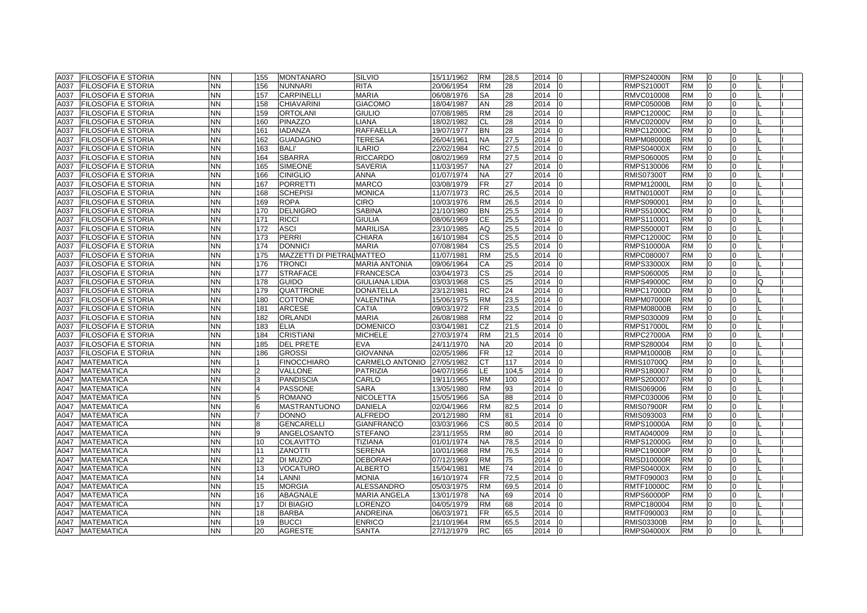|      | <b>FILOSOFIA E STORIA</b> | <b>NN</b> |                | <b>MONTANARO</b>           |                        |            | <b>RM</b> |       | 2014             | <b>RMPS24000N</b> |           |                | $\Omega$     |  |
|------|---------------------------|-----------|----------------|----------------------------|------------------------|------------|-----------|-------|------------------|-------------------|-----------|----------------|--------------|--|
| A037 |                           | <b>NN</b> | 155            |                            | <b>SILVIO</b>          | 15/11/1962 |           | 28,5  | 10               |                   | <b>RM</b> | 0              | $\Omega$     |  |
| A037 | <b>FILOSOFIA E STORIA</b> |           | 156            | <b>NUNNARI</b>             | <b>RITA</b>            | 20/06/1954 | <b>RM</b> | 28    | 2014             | <b>RMPS21000T</b> | <b>RM</b> | 0              |              |  |
| A037 | <b>FILOSOFIA E STORIA</b> | <b>NN</b> | 157            | <b>CARPINELLI</b>          | <b>MARIA</b>           | 06/08/1976 | <b>SA</b> | 28    | 2014             | RMVC010008        | <b>RM</b> | $\Omega$       | <sup>0</sup> |  |
| A037 | <b>FILOSOFIA E STORIA</b> | <b>NN</b> | 158            | <b>CHIAVARINI</b>          | <b>GIACOMO</b>         | 18/04/1987 | AN        | 28    | 2014             | <b>RMPC05000B</b> | <b>RM</b> | $\Omega$       | $\Omega$     |  |
| A037 | <b>FILOSOFIA E STORIA</b> | <b>NN</b> | 159            | <b>ORTOLANI</b>            | <b>GIULIO</b>          | 07/08/1985 | <b>RM</b> | 28    | 2014             | <b>RMPC12000C</b> | <b>RM</b> | $\overline{0}$ | $\Omega$     |  |
| A037 | <b>FILOSOFIA E STORIA</b> | <b>NN</b> | 160            | PINAZZO                    | LIANA                  | 18/02/1982 | СL        | 28    | 2014             | <b>RMVC02000V</b> | <b>RM</b> | $\Omega$       | $\Omega$     |  |
| A037 | FILOSOFIA E STORIA        | <b>NN</b> | 161            | <b>IADANZA</b>             | <b>RAFFAELLA</b>       | 19/07/1977 | <b>BN</b> | 28    | 2014             | <b>RMPC12000C</b> | <b>RM</b> | $\Omega$       |              |  |
| A037 | FILOSOFIA E STORIA        | <b>NN</b> | 162            | <b>GUADAGNO</b>            | <b>TERESA</b>          | 26/04/1961 | <b>NA</b> | 27,5  | 2014             | <b>RMPM08000B</b> | <b>RM</b> | $\Omega$       |              |  |
| A037 | FILOSOFIA E STORIA        | <b>NN</b> | 163            | <b>BALI'</b>               | <b>ILARIO</b>          | 22/02/1984 | <b>RC</b> | 27,5  | 2014             | <b>RMPS04000X</b> | <b>RM</b> | $\overline{0}$ | $\Omega$     |  |
| A037 | <b>FILOSOFIA E STORIA</b> | <b>NN</b> | 164            | <b>SBARRA</b>              | <b>RICCARDO</b>        | 08/02/1969 | <b>RM</b> | 27,5  | 2014             | RMPS060005        | <b>RM</b> | $\overline{0}$ | $\Omega$     |  |
| A037 | <b>FILOSOFIA E STORIA</b> | <b>NN</b> | 165            | <b>SIMEONE</b>             | <b>SAVERIA</b>         | 11/03/1957 | NA        | 27    | 2014             | RMPS130006        | <b>RM</b> | $\overline{0}$ | <sup>0</sup> |  |
| A037 | <b>FILOSOFIA E STORIA</b> | <b>NN</b> | 166            | <b>CINIGLIO</b>            | <b>ANNA</b>            | 01/07/1974 | <b>NA</b> | 27    | 2014             | <b>RMIS07300T</b> | <b>RM</b> | $\overline{0}$ | $\Omega$     |  |
| A037 | <b>FILOSOFIA E STORIA</b> | <b>NN</b> | 167            | <b>PORRETTI</b>            | <b>MARCO</b>           | 03/08/1979 | FR        | 27    | 2014             | <b>RMPM12000L</b> | <b>RM</b> | $\overline{0}$ | $\Omega$     |  |
| A037 | FILOSOFIA E STORIA        | <b>NN</b> | 168            | <b>SCHEPISI</b>            | <b>MONICA</b>          | 11/07/1973 | RC        | 26,5  | 2014             | RMTN010001        | <b>RM</b> | $\Omega$       | $\Omega$     |  |
| A037 | <b>FILOSOFIA E STORIA</b> | <b>NN</b> | 169            | <b>ROPA</b>                | <b>CIRO</b>            | 10/03/1976 | <b>RM</b> | 26,5  | 2014             | RMPS090001        | <b>RM</b> | $\Omega$       | $\Omega$     |  |
| A037 | FILOSOFIA E STORIA        | <b>NN</b> | 170            | <b>DELNIGRO</b>            | <b>SABINA</b>          | 21/10/1980 | <b>BN</b> | 25,5  | 2014             | RMPS51000C        | <b>RM</b> | $\Omega$       | $\Omega$     |  |
| A037 | FILOSOFIA E STORIA        | <b>NN</b> | 171            | <b>RICCI</b>               | <b>GIULIA</b>          | 08/06/1969 | <b>CE</b> | 25,5  | 2014             | RMPS110001        | <b>RM</b> | $\Omega$       | $\Omega$     |  |
| A037 | FILOSOFIA E STORIA        | <b>NN</b> | 172            | <b>ASCI</b>                | <b>MARILISA</b>        | 23/10/1985 | AQ        | 25,5  | 2014             | <b>RMPS50000T</b> | <b>RM</b> | $\overline{0}$ | $\Omega$     |  |
| A037 | <b>FILOSOFIA E STORIA</b> | <b>NN</b> | 173            | <b>PERRI</b>               | <b>CHIARA</b>          | 16/10/1984 | <b>CS</b> | 25,5  | 2014             | <b>RMPC12000C</b> | <b>RM</b> | $\overline{0}$ | $\Omega$     |  |
| A037 | <b>FILOSOFIA E STORIA</b> | <b>NN</b> | 174            | <b>DONNICI</b>             | <b>MARIA</b>           | 07/08/1984 | CS        | 25,5  | 2014<br>lo       | <b>RMPS10000A</b> | <b>RM</b> | 0              | $\Omega$     |  |
| A037 | <b>FILOSOFIA E STORIA</b> | <b>NN</b> | 175            | MAZZETTI DI PIETRAL MATTEO |                        | 11/07/1981 | <b>RM</b> | 25,5  | 2014             | RMPC080007        | <b>RM</b> | $\overline{0}$ | $\Omega$     |  |
| A037 | FILOSOFIA E STORIA        | <b>NN</b> | 176            | <b>TRONCI</b>              | <b>MARIA ANTONIA</b>   | 09/06/1964 | СA        | 25    | 2014             | <b>RMPS33000X</b> | <b>RM</b> | $\overline{0}$ | $\Omega$     |  |
| A037 | FILOSOFIA E STORIA        | <b>NN</b> | 177            | <b>STRAFACE</b>            | <b>FRANCESCA</b>       | 03/04/1973 | СS        | 25    | 2014             | RMPS060005        | <b>RM</b> | $\Omega$       |              |  |
| A037 | FILOSOFIA E STORIA        | <b>NN</b> | 178            | <b>GUIDO</b>               | <b>GIULIANA LIDIA</b>  | 03/03/1968 | СS        | 25    | 2014             | RMPS49000C        | <b>RM</b> | $\Omega$       | O            |  |
| A037 | <b>FILOSOFIA E STORIA</b> | <b>NN</b> | 179            | <b>QUATTRONE</b>           | <b>DONATELLA</b>       | 23/12/1981 | <b>RC</b> | 24    | 2014<br>I٥       | <b>RMPC17000D</b> | <b>RM</b> | $\Omega$       | $\Omega$     |  |
| A037 | <b>FILOSOFIA E STORIA</b> | <b>NN</b> | 180            | <b>COTTONE</b>             | VALENTINA              | 15/06/1975 | <b>RM</b> | 23,5  | 2014             | <b>RMPM07000R</b> | <b>RM</b> | $\Omega$       | $\Omega$     |  |
| A037 | FILOSOFIA E STORIA        | <b>NN</b> | 181            | <b>ARCESE</b>              | CATIA                  | 09/03/1972 | <b>FR</b> | 23,5  | 2014             | <b>RMPM08000B</b> | <b>RM</b> | $\overline{0}$ | $\Omega$     |  |
| A037 | <b>FILOSOFIA E STORIA</b> | <b>NN</b> | 182            | <b>ORLANDI</b>             | <b>MARIA</b>           | 26/08/1988 | <b>RM</b> | 22    | 2014             | RMPS030009        | <b>RM</b> | $\overline{0}$ | $\Omega$     |  |
| A037 | <b>FILOSOFIA E STORIA</b> | <b>NN</b> | 183            | <b>ELIA</b>                | <b>DOMENICO</b>        | 03/04/1981 | CZ        | 21,5  | 2014<br>IO       | <b>RMPS17000L</b> | <b>RM</b> | $\overline{0}$ | $\Omega$     |  |
| A037 | <b>FILOSOFIA E STORIA</b> | <b>NN</b> | 184            | <b>CRISTIANI</b>           | <b>MICHELE</b>         | 27/03/1974 | <b>RM</b> | 21,5  | 2014             | <b>RMPC27000A</b> | <b>RM</b> | $\Omega$       |              |  |
| A037 | <b>FILOSOFIA E STORIA</b> | <b>NN</b> | 185            | <b>DEL PRETE</b>           | EVA                    | 24/11/1970 | <b>NA</b> | 20    | 2014             | RMPS280004        | <b>RM</b> | $\Omega$       |              |  |
| A037 | FILOSOFIA E STORIA        | <b>NN</b> | 186            | <b>GROSSI</b>              | <b>GIOVANNA</b>        | 02/05/1986 | <b>FR</b> | 12    | 2014             | <b>RMPM10000B</b> | <b>RM</b> | $\Omega$       |              |  |
| A047 | <b>MATEMATICA</b>         | <b>NN</b> |                | <b>FINOCCHIARO</b>         | <b>CARMELO ANTONIO</b> | 27/05/1982 | СT        | 117   | 2014             | <b>RMIS10700Q</b> | <b>RM</b> | $\overline{0}$ | $\Omega$     |  |
| A047 | <b>MATEMATICA</b>         | <b>NN</b> | $\overline{2}$ | VALLONE                    | <b>PATRIZIA</b>        | 04/07/1956 | LE        | 104,5 | 2014<br>lo       | RMPS180007        | <b>RM</b> | $\overline{0}$ | $\Omega$     |  |
| A047 | <b>MATEMATICA</b>         | <b>NN</b> | 3              | <b>PANDISCIA</b>           | CARLO                  | 19/11/1965 | <b>RM</b> | 100   | 2014             | RMPS200007        | <b>RM</b> | $\overline{0}$ | $\Omega$     |  |
| A047 | <b>MATEMATICA</b>         | <b>NN</b> | $\overline{4}$ | PASSONE                    | <b>SARA</b>            | 13/05/1980 | <b>RM</b> | 93    | 2014             | RMIS069006        | <b>RM</b> | $\Omega$       | 0            |  |
| A047 | <b>MATEMATICA</b>         | <b>NN</b> | 5              | <b>ROMANO</b>              | <b>NICOLETTA</b>       | 15/05/1966 | <b>SA</b> | 88    | 2014             | RMPC030006        | <b>RM</b> | $\overline{0}$ | $\Omega$     |  |
| A047 | <b>MATEMATICA</b>         | <b>NN</b> | 6              | MASTRANTUONO               | <b>DANIELA</b>         | 02/04/1966 | <b>RM</b> | 82,5  | 2014<br>10       | <b>RMIS07900R</b> | <b>RM</b> | $\overline{0}$ | 0            |  |
| A047 | <b>MATEMATICA</b>         | <b>NN</b> |                | DONNO                      | <b>ALFREDO</b>         | 20/12/1980 | <b>RM</b> | 81    | 2014             | RMIS093003        | <b>RM</b> | $\Omega$       |              |  |
| A047 | <b>MATEMATICA</b>         | <b>NN</b> |                | GENCARELLI                 | <b>GIANFRANCO</b>      | 03/03/1966 | СS        | 80,5  | 2014             | <b>RMPS10000A</b> | <b>RM</b> | $\Omega$       |              |  |
| A047 | <b>MATEMATICA</b>         | <b>NN</b> | 9              | ANGELOSANTO                | <b>STEFANO</b>         | 23/11/1955 | <b>RM</b> | 80    | 2014             | RMTA040009        | <b>RM</b> | $\overline{0}$ | $\Omega$     |  |
| A047 | <b>MATEMATICA</b>         | <b>NN</b> | 10             | <b>COLAVITTO</b>           | <b>TIZIANA</b>         | 01/01/1974 | <b>NA</b> | 78,5  | 2014             | <b>RMPS12000G</b> | <b>RM</b> | $\Omega$       | $\Omega$     |  |
| A047 | <b>MATEMATICA</b>         | <b>NN</b> | 11             | <b>ZANOTTI</b>             | <b>SERENA</b>          | 10/01/1968 | <b>RM</b> | 76,5  | 2014             | <b>RMPC19000P</b> | <b>RM</b> | $\overline{0}$ | $\Omega$     |  |
| A047 | <b>MATEMATICA</b>         | <b>NN</b> | 12             | DI MUZIO                   | <b>DEBORAH</b>         | 07/12/1969 | <b>RM</b> | 75    | 2014             | <b>RMSD10000R</b> | <b>RM</b> | $\Omega$       | $\Omega$     |  |
| A047 | <b>MATEMATICA</b>         | <b>NN</b> | 13             | VOCATURO                   | <b>ALBERTO</b>         | 15/04/1981 | <b>ME</b> | 74    | 2014             | <b>RMPS04000X</b> | <b>RM</b> | $\overline{0}$ | $\Omega$     |  |
| A047 | <b>MATEMATICA</b>         | <b>NN</b> | 14             | LANNI                      | <b>MONIA</b>           | 16/10/1974 | <b>FR</b> | 72.5  | 2014             | RMTF090003        | <b>RM</b> | $\overline{0}$ | $\Omega$     |  |
| A047 | <b>MATEMATICA</b>         | <b>NN</b> | 15             | <b>MORGIA</b>              | ALESSANDRO             | 05/03/1975 | <b>RM</b> | 69,5  | 2014             | <b>RMTF10000C</b> | <b>RM</b> | $\Omega$       | $\Omega$     |  |
| A047 | <b>MATEMATICA</b>         | <b>NN</b> | 16             | ABAGNALE                   | <b>MARIA ANGELA</b>    | 13/01/1978 | <b>NA</b> | 69    | 2014             | <b>RMPS60000P</b> | <b>RM</b> | $\Omega$       |              |  |
| A047 | <b>MATEMATICA</b>         | <b>NN</b> | 17             | DI BIAGIO                  | LORENZO                | 04/05/1979 | <b>RM</b> | 68    | 2014             | RMPC180004        | <b>RM</b> | $\Omega$       | $\Omega$     |  |
| A047 | <b>MATEMATICA</b>         | <b>NN</b> | 18             | <b>BARBA</b>               | <b>ANDREINA</b>        | 06/03/1971 | <b>FR</b> | 65,5  | 2014             | RMTF090003        | <b>RM</b> | $\Omega$       | $\Omega$     |  |
| A047 | <b>MATEMATICA</b>         | <b>NN</b> | 19             | <b>BUCCI</b>               | <b>ENRICO</b>          | 21/10/1964 | <b>RM</b> | 65,5  | 2014<br>$\Omega$ | <b>RMIS03300B</b> | <b>RM</b> | $\overline{0}$ | $\Omega$     |  |
| A047 | <b>MATEMATICA</b>         | <b>NN</b> | 20             | <b>AGRESTE</b>             | <b>SANTA</b>           | 27/12/1979 | <b>RC</b> | 65    | 2014 0           | <b>RMPS04000X</b> | <b>RM</b> | $\overline{0}$ | $\Omega$     |  |
|      |                           |           |                |                            |                        |            |           |       |                  |                   |           |                |              |  |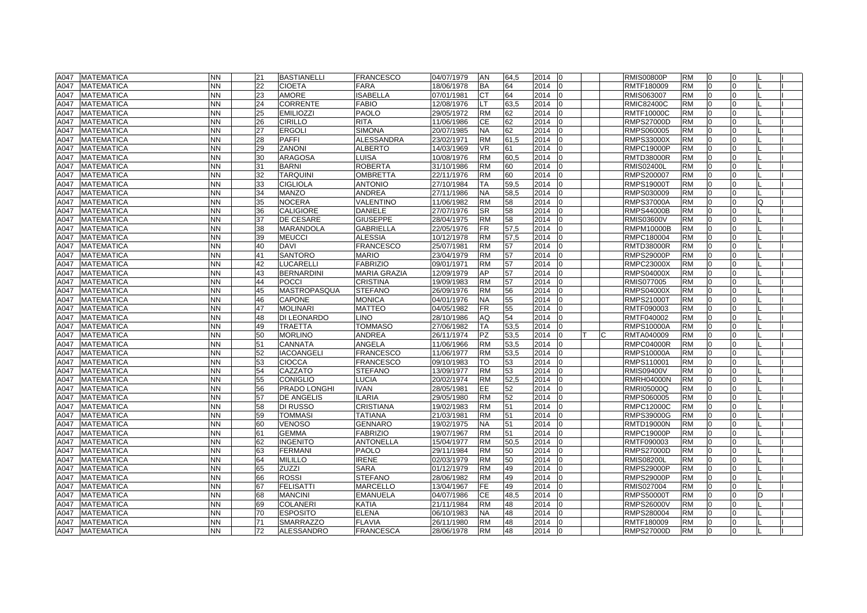| A047 | <b>MATEMATICA</b> | <b>NN</b> | 21 | <b>BASTIANELLI</b> | <b>FRANCESCO</b>    | 04/07/1979 | AN                     | 64,5 | 2014 | 10             |    | <b>RMIS00800P</b> | RM        | $\overline{0}$ | 0              |  |
|------|-------------------|-----------|----|--------------------|---------------------|------------|------------------------|------|------|----------------|----|-------------------|-----------|----------------|----------------|--|
| A047 | <b>MATEMATICA</b> | <b>NN</b> | 22 | <b>CIOETA</b>      | <b>FARA</b>         | 18/06/1978 | BA                     | 64   | 2014 |                |    | RMTF180009        | <b>RM</b> | $\overline{0}$ | U              |  |
| A047 | <b>MATEMATICA</b> | <b>NN</b> | 23 | <b>AMORE</b>       | <b>ISABELLA</b>     | 07/01/1981 | <b>CT</b>              | 64   | 2014 |                |    | RMIS063007        | <b>RM</b> | $\Omega$       |                |  |
| A047 | <b>MATEMATICA</b> | <b>NN</b> | 24 | CORRENTE           | <b>FABIO</b>        | 12/08/1976 | LT.                    | 63,5 | 2014 |                |    | <b>RMIC82400C</b> | <b>RM</b> | $\Omega$       | O.             |  |
| A047 | <b>MATEMATICA</b> | <b>NN</b> | 25 | <b>EMILIOZZI</b>   | <b>PAOLO</b>        | 29/05/1972 | <b>RM</b>              | 62   | 2014 |                |    | <b>RMTF10000C</b> | <b>RM</b> | $\overline{0}$ | $\Omega$       |  |
| A047 | <b>MATEMATICA</b> | <b>NN</b> | 26 | <b>CIRILLO</b>     | <b>RITA</b>         | 11/06/1986 | СE                     | 62   | 2014 |                |    | RMPS27000D        | <b>RM</b> | $\Omega$       | 0              |  |
| A047 | <b>MATEMATICA</b> | <b>NN</b> | 27 | <b>ERGOLI</b>      | <b>SIMONA</b>       | 20/07/1985 | <b>NA</b>              | 62   | 2014 |                |    | RMPS060005        | <b>RM</b> | $\Omega$       |                |  |
| A047 | <b>MATEMATICA</b> | <b>NN</b> | 28 | <b>PAFFI</b>       | <b>ALESSANDRA</b>   | 23/02/1971 | <b>RM</b>              | 61,5 | 2014 |                |    | <b>RMPS33000X</b> | <b>RM</b> | $\Omega$       |                |  |
| A047 | <b>MATEMATICA</b> | <b>NN</b> | 29 | <b>ZANONI</b>      | <b>ALBERTO</b>      | 14/03/1969 | <b>VR</b>              | 61   | 2014 |                |    | <b>RMPC19000P</b> | <b>RM</b> | $\Omega$       |                |  |
| A047 | <b>MATEMATICA</b> | <b>NN</b> | 30 | <b>ARAGOSA</b>     | LUISA               | 10/08/1976 | <b>RM</b>              | 60,5 | 2014 |                |    | <b>RMTD38000R</b> | <b>RM</b> | $\Omega$       |                |  |
| A047 | <b>MATEMATICA</b> | <b>NN</b> | 31 | <b>BARNI</b>       | <b>ROBERTA</b>      | 31/10/1986 | <b>RM</b>              | 60   | 2014 |                |    | <b>RMIS02400L</b> | <b>RM</b> | $\overline{0}$ | U              |  |
| A047 | <b>MATEMATICA</b> | <b>NN</b> | 32 | <b>TARQUINI</b>    | <b>OMBRETTA</b>     | 22/11/1976 | <b>RM</b>              | 60   | 2014 |                |    | RMPS200007        | <b>RM</b> | $\overline{0}$ | 0              |  |
| A047 | <b>MATEMATICA</b> | <b>NN</b> | 33 | <b>CIGLIOLA</b>    | <b>ANTONIO</b>      | 27/10/1984 | <b>TA</b>              | 59,5 | 2014 |                |    | <b>RMPS19000T</b> | <b>RM</b> | $\overline{0}$ | $\Omega$       |  |
| A047 | <b>MATEMATICA</b> | <b>NN</b> | 34 | <b>MANZO</b>       | ANDREA              | 27/11/1986 | <b>NA</b>              | 58,5 | 2014 |                |    | RMPS030009        | <b>RM</b> | $\Omega$       | 0              |  |
| A047 | <b>MATEMATICA</b> | <b>NN</b> | 35 | <b>NOCERA</b>      | VALENTINO           | 11/06/1982 | <b>RM</b>              | 58   | 2014 |                |    | <b>RMPS37000A</b> | <b>RM</b> |                |                |  |
| A047 | <b>MATEMATICA</b> | <b>NN</b> | 36 | <b>CALIGIORE</b>   | <b>DANIELE</b>      | 27/07/1976 | $\overline{\text{SR}}$ | 58   | 2014 |                |    | <b>RMPS44000B</b> | <b>RM</b> | $\Omega$       |                |  |
| A047 | <b>MATEMATICA</b> | <b>NN</b> | 37 | DE CESARE          | <b>GIUSEPPE</b>     | 28/04/1975 | <b>RM</b>              | 58   | 2014 |                |    | <b>RMIS03600V</b> | <b>RM</b> | $\Omega$       |                |  |
| A047 | <b>MATEMATICA</b> | <b>NN</b> | 38 | <b>MARANDOLA</b>   | <b>GABRIELLA</b>    | 22/05/1976 | <b>FR</b>              | 57,5 | 2014 |                |    | RMPM10000B        | <b>RM</b> | $\overline{0}$ | U              |  |
| A047 | <b>MATEMATICA</b> | <b>NN</b> | 39 | <b>MEUCCI</b>      | <b>ALESSIA</b>      | 10/12/1978 | <b>RM</b>              | 57,5 | 2014 |                |    | RMPC180004        | <b>RM</b> | $\Omega$       |                |  |
| A047 | <b>MATEMATICA</b> | <b>NN</b> | 40 | <b>DAVI</b>        | <b>FRANCESCO</b>    | 25/07/1981 | <b>RM</b>              | 57   | 2014 |                |    | RMTD38000R        | <b>RM</b> | $\Omega$       |                |  |
| A047 | <b>MATEMATICA</b> | <b>NN</b> | 41 | <b>SANTORO</b>     | <b>MARIO</b>        | 23/04/1979 | <b>RM</b>              | 57   | 2014 |                |    | <b>RMPS29000P</b> | <b>RM</b> | $\overline{0}$ | $\Omega$       |  |
| A047 | <b>MATEMATICA</b> | <b>NN</b> | 42 | LUCARELLI          | <b>FABRIZIO</b>     | 09/01/1971 | <b>RM</b>              | 57   | 2014 | l0             |    | <b>RMPC23000X</b> | <b>RM</b> | $\overline{0}$ | $\Omega$       |  |
| A047 | <b>MATEMATICA</b> | <b>NN</b> | 43 | <b>BERNARDINI</b>  | <b>MARIA GRAZIA</b> | 12/09/1979 | AP                     | 57   | 2014 |                |    | <b>RMPS04000X</b> | <b>RM</b> | $\Omega$       |                |  |
| A047 | <b>MATEMATICA</b> | <b>NN</b> | 44 | POCCI              | <b>CRISTINA</b>     | 19/09/1983 | <b>RM</b>              | 57   | 2014 |                |    | RMIS077005        | <b>RM</b> |                |                |  |
| A047 | <b>MATEMATICA</b> | <b>NN</b> | 45 | MASTROPASQUA       | <b>STEFANO</b>      | 26/09/1976 | <b>RM</b>              | 56   | 2014 |                |    | <b>RMPS04000X</b> | <b>RM</b> | $\Omega$       |                |  |
| A047 | <b>MATEMATICA</b> | <b>NN</b> | 46 | <b>CAPONE</b>      | <b>MONICA</b>       | 04/01/1976 | <b>NA</b>              | 55   | 2014 |                |    | <b>RMPS21000T</b> | <b>RM</b> | $\Omega$       |                |  |
| A047 | <b>MATEMATICA</b> | <b>NN</b> | 47 | <b>MOLINARI</b>    | <b>MATTEO</b>       | 04/05/1982 | FR.                    | 55   | 2014 |                |    | RMTF090003        | <b>RM</b> | $\overline{0}$ |                |  |
| A047 | <b>MATEMATICA</b> | <b>NN</b> | 48 | DI LEONARDO        | <b>LINO</b>         | 28/10/1986 | AQ                     | 54   | 2014 |                |    | RMTF040002        | <b>RM</b> | $\Omega$       |                |  |
| A047 | <b>MATEMATICA</b> | <b>NN</b> | 49 | <b>TRAETTA</b>     | <b>TOMMASO</b>      | 27/06/1982 | TA                     | 53,5 | 2014 |                |    | <b>RMPS10000A</b> | <b>RM</b> | $\Omega$       | U              |  |
| A047 | <b>MATEMATICA</b> | <b>NN</b> | 50 | <b>MORLINO</b>     | ANDREA              | 26/11/1974 | <b>PZ</b>              | 53,5 | 2014 |                | C. | RMTA040009        | <b>RM</b> | $\Omega$       | U              |  |
| A047 | <b>MATEMATICA</b> | <b>NN</b> | 51 | CANNATA            | ANGELA              | 11/06/1966 | <b>RM</b>              | 53,5 | 2014 |                |    | <b>RMPC04000R</b> | <b>RM</b> | $\Omega$       |                |  |
| A047 | <b>MATEMATICA</b> | <b>NN</b> | 52 | <b>IACOANGELI</b>  | <b>FRANCESCO</b>    | 11/06/1977 | <b>RM</b>              | 53,5 | 2014 |                |    | RMPS10000A        | <b>RM</b> | $\Omega$       |                |  |
| A047 | <b>MATEMATICA</b> | <b>NN</b> | 53 | <b>CIOCCA</b>      | <b>FRANCESCO</b>    | 09/10/1983 | <b>TO</b>              | 53   | 2014 |                |    | RMPS110001        | <b>RM</b> | $\Omega$       |                |  |
| A047 | <b>MATEMATICA</b> | <b>NN</b> | 54 | CAZZATO            | <b>STEFANO</b>      | 13/09/1977 | <b>RM</b>              | 53   | 2014 |                |    | <b>RMIS09400V</b> | <b>RM</b> | $\Omega$       |                |  |
| A047 | <b>MATEMATICA</b> | <b>NN</b> | 55 | <b>CONIGLIO</b>    | <b>LUCIA</b>        | 20/02/1974 | <b>RM</b>              | 52,5 | 2014 |                |    | <b>RMRH04000N</b> | <b>RM</b> | $\Omega$       |                |  |
| A047 | <b>MATEMATICA</b> | <b>NN</b> | 56 | PRADO LONGHI       | <b>IVAN</b>         | 28/05/1981 | EE.                    | 52   | 2014 |                |    | RMRI05000Q        | <b>RM</b> | $\Omega$       |                |  |
| A047 | <b>MATEMATICA</b> | <b>NN</b> | 57 | DE ANGELIS         | <b>ILARIA</b>       | 29/05/1980 | <b>RM</b>              | 52   | 2014 |                |    | RMPS060005        | <b>RM</b> | $\overline{0}$ | U              |  |
| A047 | <b>MATEMATICA</b> | <b>NN</b> | 58 | DI RUSSO           | <b>CRISTIANA</b>    | 19/02/1983 | <b>RM</b>              | 51   | 2014 | l0             |    | RMPC12000C        | <b>RM</b> | $\overline{0}$ | $\Omega$       |  |
| A047 | <b>MATEMATICA</b> | <b>NN</b> | 59 | <b>TOMMASI</b>     | <b>TATIANA</b>      | 21/03/1981 | <b>RM</b>              | 51   | 2014 |                |    | <b>RMPS39000G</b> | <b>RM</b> | $\Omega$       |                |  |
| A047 | <b>MATEMATICA</b> | <b>NN</b> | 60 | <b>VENOSO</b>      | <b>GENNARO</b>      | 19/02/1975 | <b>NA</b>              | 51   | 2014 |                |    | <b>RMTD19000N</b> | <b>RM</b> |                |                |  |
| A047 | <b>MATEMATICA</b> | <b>NN</b> | 61 | <b>GEMMA</b>       | <b>FABRIZIO</b>     | 19/07/1967 | <b>RM</b>              | 51   | 2014 |                |    | <b>RMPC19000P</b> | <b>RM</b> | $\Omega$       |                |  |
| A047 | <b>MATEMATICA</b> | <b>NN</b> | 62 | <b>INGENITO</b>    | <b>ANTONELLA</b>    | 15/04/1977 | <b>RM</b>              | 50,5 | 2014 |                |    | RMTF090003        | <b>RM</b> | $\Omega$       |                |  |
| A047 | <b>MATEMATICA</b> | <b>NN</b> | 63 | <b>FERMANI</b>     | <b>PAOLO</b>        | 29/11/1984 | <b>RM</b>              | 50   | 2014 |                |    | <b>RMPS27000D</b> | <b>RM</b> | $\Omega$       |                |  |
| A047 | <b>MATEMATICA</b> | <b>NN</b> | 64 | <b>MILILLO</b>     | <b>IRENE</b>        | 02/03/1979 | <b>RM</b>              | 50   | 2014 |                |    | <b>RMIS08200L</b> | <b>RM</b> | $\Omega$       |                |  |
| A047 | <b>MATEMATICA</b> | <b>NN</b> | 65 | <b>ZUZZI</b>       | <b>SARA</b>         | 01/12/1979 | <b>RM</b>              | 49   | 2014 |                |    | <b>RMPS29000P</b> | <b>RM</b> | $\Omega$       | U              |  |
| A047 | <b>MATEMATICA</b> | <b>NN</b> | 66 | <b>ROSSI</b>       | <b>STEFANO</b>      | 28/06/1982 | <b>RM</b>              | 49   | 2014 |                |    | <b>RMPS29000P</b> | <b>RM</b> | $\Omega$       | $\Omega$       |  |
| A047 | <b>MATEMATICA</b> | <b>NN</b> | 67 | <b>FELISATTI</b>   | <b>MARCELLO</b>     | 13/04/1967 | FE.                    | 49   | 2014 |                |    | RMIS027004        | <b>RM</b> | $\Omega$       | O.             |  |
| A047 | <b>MATEMATICA</b> | <b>NN</b> | 68 | <b>MANCINI</b>     | <b>EMANUELA</b>     | 04/07/1986 | CE                     | 48,5 | 2014 |                |    | <b>RMPS50000T</b> | <b>RM</b> | $\Omega$       |                |  |
| A047 | <b>MATEMATICA</b> | <b>NN</b> | 69 | <b>COLANERI</b>    | KATIA               | 21/11/1984 | <b>RM</b>              | 48   | 2014 |                |    | <b>RMPS26000V</b> | <b>RM</b> | $\Omega$       |                |  |
| A047 | <b>MATEMATICA</b> | <b>NN</b> | 70 | <b>ESPOSITO</b>    | <b>ELENA</b>        | 06/10/1983 | <b>NA</b>              | 48   | 2014 |                |    | RMPS280004        | <b>RM</b> | $\Omega$       |                |  |
| A047 | <b>MATEMATICA</b> | <b>NN</b> | 71 | <b>SMARRAZZO</b>   | <b>FLAVIA</b>       | 26/11/1980 | <b>RM</b>              | 48   | 2014 |                |    | RMTF180009        | <b>RM</b> | $\Omega$       | $\Omega$       |  |
| A047 | <b>MATEMATICA</b> | <b>NN</b> | 72 | <b>ALESSANDRO</b>  | <b>FRANCESCA</b>    | 28/06/1978 | <b>RM</b>              | 48   | 2014 | $\overline{0}$ |    | <b>RMPS27000D</b> | <b>RM</b> | $\overline{0}$ | $\overline{0}$ |  |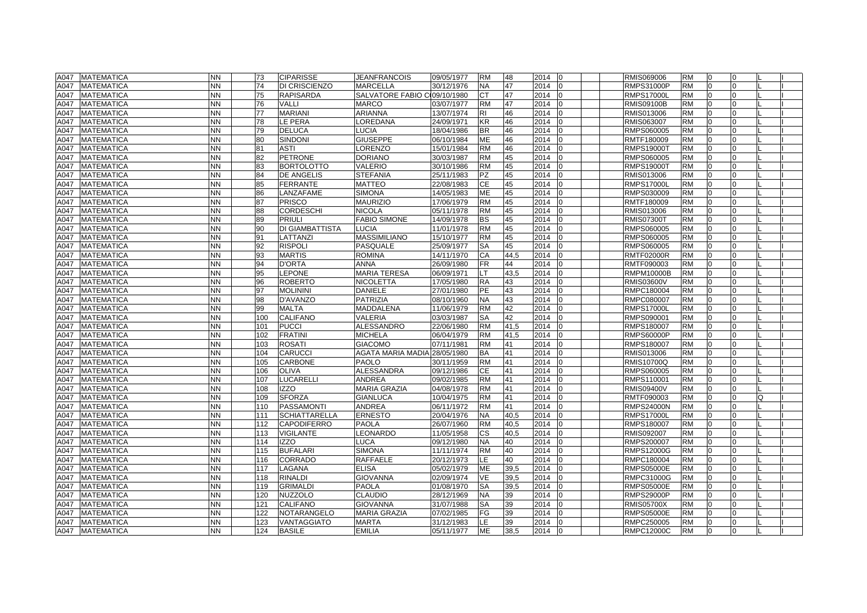| A047<br><b>MATEMATICA</b><br><b>NN</b><br>73<br><b>CIPARISSE</b><br><b>JEANFRANCOIS</b><br>09/05/1977<br><b>RM</b><br>48<br>2014<br>RMIS069006<br><b>RM</b><br>l0<br>$\Omega$<br>NN.<br>47<br><b>RM</b><br>A047<br><b>MATEMATICA</b><br>74<br>DI CRISCIENZO<br><b>MARCELLA</b><br>30/12/1976<br><b>NA</b><br>2014<br><b>RMPS31000P</b><br>l0<br>$\Omega$<br>SALVATORE FABIO C 09/10/1980<br>47<br><b>MATEMATICA</b><br>NN<br>75<br><b>RAPISARDA</b><br><b>CT</b><br>2014<br><b>RMPS17000L</b><br><b>RM</b><br>l0<br>A047<br>0<br>47<br><b>MATEMATICA</b><br>NN.<br>76<br><b>VALLI</b><br><b>MARCO</b><br>03/07/1977<br><b>RM</b><br>2014<br><b>RMIS09100B</b><br><b>RM</b><br>0<br>A047<br>0<br><b>ARIANNA</b><br>46<br>NN<br>77<br><b>MARIANI</b><br>13/07/1974<br>2014<br>RMIS013006<br><b>RM</b><br>$\overline{0}$<br><b>MATEMATICA</b><br>RI.<br>$\Omega$<br>A047<br><b>LE PERA</b><br>LOREDANA<br>46<br><b>MATEMATICA</b><br>NN<br>78<br>24/09/1971<br><b>KR</b><br>2014<br>RMIS063007<br><b>RM</b><br>$\overline{0}$<br>A047<br>$\Omega$<br>79<br><b>DELUCA</b><br><b>LUCIA</b><br>46<br><b>MATEMATICA</b><br>NN.<br>18/04/1986<br><b>BR</b><br>2014<br>RMPS060005<br><b>RM</b><br>$\Omega$<br>A047<br>$\Omega$<br><b>GIUSEPPE</b><br>SINDONI<br>46<br>2014<br>$\Omega$<br><b>MATEMATICA</b><br>NN.<br>80<br>06/10/1984<br><b>ME</b><br>RMTF180009<br><b>RM</b><br>$\Omega$<br>A047<br><b>RM</b><br><b>MATEMATICA</b><br>NN.<br>81<br><b>ASTI</b><br><b>LORENZO</b><br>15/01/1984<br><b>RM</b><br>46<br>2014<br><b>RMPS19000T</b><br>l0<br>$\Omega$<br>A047<br>82<br><b>PETRONE</b><br><b>DORIANO</b><br>30/03/1987<br><b>RM</b><br>45<br>2014<br>RMPS060005<br><b>RM</b><br>$\Omega$<br>A047<br><b>MATEMATICA</b><br><b>NN</b><br>$\Omega$<br>NN.<br>83<br><b>VALERIO</b><br>45<br><b>MATEMATICA</b><br><b>BORTOLOTTO</b><br>30/10/1986<br><b>RM</b><br>2014<br><b>RMPS19000T</b><br><b>RM</b><br>l0<br>A047<br>$\Omega$<br>45<br><b>NN</b><br>84<br><b>DE ANGELIS</b><br><b>STEFANIA</b><br>25/11/1983<br><b>PZ</b><br>2014<br><b>RM</b><br><b>MATEMATICA</b><br>RMIS013006<br>l0<br>$\Omega$<br>A047<br>45<br><b>NN</b><br>85<br>FERRANTE<br><b>MATTEO</b><br>22/08/1983<br><b>CE</b><br>2014<br><b>RMPS17000L</b><br><b>RM</b><br>$\overline{0}$<br>A047<br><b>MATEMATICA</b><br>$\Omega$<br><b>SIMONA</b><br><b>MATEMATICA</b><br><b>NN</b><br>LANZAFAME<br>14/05/1983<br>ME<br>45<br>2014<br>RMPS030009<br><b>RM</b><br>86<br>$\overline{0}$<br>0<br>A047<br><b>MAURIZIO</b><br><b>MATEMATICA</b><br>87<br><b>PRISCO</b><br>17/06/1979<br>45<br>2014<br>RMTF180009<br><b>RM</b><br>A047<br>ΝN<br><b>RM</b><br>$\overline{0}$<br>$\Omega$<br><b>NICOLA</b><br>45<br>2014<br><b>RM</b><br><b>MATEMATICA</b><br>NN.<br>88<br><b>CORDESCHI</b><br>05/11/1978<br><b>RM</b><br>RMIS013006<br>$\overline{0}$<br>A047<br><b>FABIO SIMONE</b><br>45<br><b>MATEMATICA</b><br>NN<br>89<br><b>PRIULI</b><br>14/09/1978<br>BS<br>2014<br><b>RMIS07300T</b><br><b>RM</b><br>$\Omega$<br>A047<br>$\Omega$<br>90<br>45<br><b>MATEMATICA</b><br>NN<br><b>DI GIAMBATTISTA</b><br><b>LUCIA</b><br>11/01/1978<br><b>RM</b><br>2014<br>RMPS060005<br><b>RM</b><br>l0<br>A047<br>$\Omega$<br><b>NN</b><br>91<br><b>MASSIMILIANO</b><br>15/10/1977<br>45<br>l <sub>0</sub><br>A047<br><b>MATEMATICA</b><br>LATTANZI<br><b>RM</b><br>2014<br>RMPS060005<br><b>RM</b><br>0<br><b>RISPOLI</b><br>PASQUALE<br>45<br><b>MATEMATICA</b><br>NN.<br>92<br>25/09/1977<br>SA<br>2014<br>RMPS060005<br><b>RM</b><br>0<br>A047<br>0<br><b>MARTIS</b><br><b>ROMINA</b><br><b>CA</b><br>44,5<br><b>MATEMATICA</b><br>NN<br>93<br>14/11/1970<br>2014<br><b>RMTF02000R</b><br><b>RM</b><br>$\overline{0}$<br>A047<br>$\Omega$<br>94<br><b>D'ORTA</b><br><b>ANNA</b><br>26/09/1980<br>44<br>2014<br><b>MATEMATICA</b><br>NN.<br><b>FR</b><br>RMTF090003<br><b>RM</b><br>$\overline{0}$<br>A047<br>$\Omega$<br>43,5<br>NN.<br>95<br><b>LEPONE</b><br><b>MARIA TERESA</b><br>2014<br>$\Omega$<br><b>MATEMATICA</b><br>06/09/1971<br>LT<br><b>RMPM10000B</b><br><b>RM</b><br>A047<br>$\Omega$<br>43<br><b>MATEMATICA</b><br>96<br><b>ROBERTO</b><br><b>NICOLETTA</b><br>17/05/1980<br><b>RA</b><br>2014<br><b>RM</b><br>$\Omega$<br>NN.<br><b>RMIS03600V</b><br>$\Omega$<br>A047<br><b>PE</b><br>43<br><b>RM</b><br><b>MATEMATICA</b><br>NN.<br>97<br><b>MOLININI</b><br><b>DANIELE</b><br>27/01/1980<br>2014<br>RMPC180004<br>l0<br>$\Omega$<br>A047<br>43<br><b>MATEMATICA</b><br><b>NN</b><br>98<br><b>D'AVANZO</b><br>PATRIZIA<br>08/10/1960<br><b>NA</b><br>2014<br>RMPC080007<br><b>RM</b><br>l0<br>A047<br>$\Omega$<br><b>NN</b><br>99<br>42<br><b>MATEMATICA</b><br><b>MALTA</b><br><b>MADDALENA</b><br>11/06/1979<br><b>RM</b><br>2014<br><b>RMPS17000L</b><br><b>RM</b><br>l0<br>A047<br>0<br><b>VALERIA</b><br>42<br>NN<br>100<br><b>CALIFANO</b><br>03/03/1987<br>SA<br>2014<br>RMPS090001<br><b>RM</b><br>l0<br>0<br><b>MATEMATICA</b><br>A047<br>ALESSANDRO<br>41,5<br><b>MATEMATICA</b><br>NN.<br>101<br><b>PUCCI</b><br>22/06/1980<br><b>RM</b><br>2014<br>RMPS180007<br><b>RM</b><br>0<br>A047<br>0<br><b>MATEMATICA</b><br>NN.<br>102<br><b>FRATINI</b><br><b>MICHELA</b><br>06/04/1979<br><b>RM</b><br>41,5<br>2014<br><b>RMPS60000P</b><br><b>RM</b><br>$\overline{0}$<br>A047<br><b>ROSATI</b><br><b>GIACOMO</b><br>41<br><b>MATEMATICA</b><br>NN.<br>103<br>07/11/1981<br><b>RM</b><br>2014<br>RMPS180007<br><b>RM</b><br>$\Omega$<br>A047<br><b>MATEMATICA</b><br>NN.<br>104<br><b>CARUCCI</b><br>AGATA MARIA MADIA 28/05/1980<br>41<br>2014<br><b>RM</b><br>$\Omega$<br>A047<br>BA<br>RMIS013006<br><b>CARBONE</b><br><b>PAOLO</b><br><b>RM</b><br>41<br>2014<br><b>RM</b><br>A047<br><b>MATEMATICA</b><br>NN.<br>105<br>30/11/1959<br><b>RMIS10700Q</b><br>$\Omega$<br>$\Omega$<br><b>NN</b><br><b>ALESSANDRA</b><br><b>CE</b><br>41<br>A047<br><b>MATEMATICA</b><br>106<br><b>OLIVA</b><br>09/12/1986<br>2014<br>RMPS060005<br><b>RM</b><br>l0<br>$\Omega$<br><b>NN</b><br>107<br><b>LUCARELLI</b><br><b>ANDREA</b><br>09/02/1985<br><b>RM</b><br>41<br>2014<br>$\overline{0}$<br>$\Omega$<br>A047<br><b>MATEMATICA</b><br>RMPS110001<br><b>RM</b><br>108<br><b>IZZO</b><br><b>MARIA GRAZIA</b><br>04/08/1978<br>41<br>2014<br>A047<br><b>MATEMATICA</b><br>NN<br><b>RM</b><br><b>RMIS09400V</b><br><b>RM</b><br>l0<br>0<br><b>NN</b><br><b>SFORZA</b><br><b>GIANLUCA</b><br>10/04/1975<br>41<br>2014<br><b>MATEMATICA</b><br>109<br><b>RM</b><br>RMTF090003<br><b>RM</b><br>$\overline{0}$<br>O<br>A047<br>$\Omega$<br>PASSAMONTI<br><b>ANDREA</b><br>06/11/1972<br>41<br><b>MATEMATICA</b><br>NN<br>110<br><b>RM</b><br>2014<br><b>RMPS24000N</b><br><b>RM</b><br>$\overline{0}$<br>A047<br>$\Omega$<br><b>ERNESTO</b><br><b>MATEMATICA</b><br>NN.<br><b>SCHIATTARELLA</b><br>20/04/1976<br><b>NA</b><br>40,5<br>2014<br><b>RMPS17000L</b><br><b>RM</b><br>$\Omega$<br>111<br>A047<br><b>MATEMATICA</b><br>NN.<br>112<br><b>CAPODIFERRO</b><br><b>PAOLA</b><br>26/07/1960<br><b>RM</b><br>40,5<br>2014<br>RMPS180007<br><b>RM</b><br>$\overline{0}$<br>A047<br>$\Omega$<br>NN.<br><b>LEONARDO</b><br><b>CS</b><br>40,5<br>2014<br><b>RM</b><br>A047<br><b>MATEMATICA</b><br>113<br><b>VIGILANTE</b><br>11/05/1958<br>RMIS092007<br>l0<br>$\Omega$<br>40<br><b>MATEMATICA</b><br>NN.<br>114<br><b>IZZO</b><br><b>LUCA</b><br>09/12/1980<br><b>NA</b><br>2014<br>RMPS200007<br><b>RM</b><br>$\Omega$<br>A047<br>$\Omega$<br><b>BUFALARI</b><br>40<br>NN<br>115<br><b>SIMONA</b><br>11/11/1974<br><b>RM</b><br>2014<br><b>RMPS12000G</b><br><b>RM</b><br>l0<br>A047<br><b>MATEMATICA</b><br>$\Omega$<br><b>RAFFAELE</b><br>LE<br>40<br>2014<br>NN<br>116<br><b>CORRADO</b><br>20/12/1973<br>RMPC180004<br><b>RM</b><br>0<br>$\Omega$<br><b>MATEMATICA</b><br>A047<br>39,5<br><b>RM</b><br><b>MATEMATICA</b><br>NN.<br>117<br>LAGANA<br><b>ELISA</b><br>05/02/1979<br><b>ME</b><br>2014<br><b>RMPS05000E</b><br>0<br>A047<br>0<br><b>RINALDI</b><br><b>GIOVANNA</b><br><b>MATEMATICA</b><br>NN.<br>118<br>02/09/1974<br><b>VE</b><br>39,5<br>2014<br>RMPC31000G<br><b>RM</b><br>$\Omega$<br>A047<br><b>PAOLA</b><br>2014<br><b>MATEMATICA</b><br>NN.<br>119<br><b>GRIMALDI</b><br>01/08/1970<br><b>SA</b><br>39,5<br><b>RMPS05000E</b><br><b>RM</b><br>$\Omega$<br>A047<br><b>MATEMATICA</b><br><b>NN</b><br>120<br><b>NUZZOLO</b><br><b>CLAUDIO</b><br>28/12/1969<br><b>NA</b><br>39<br>2014<br><b>RMPS29000P</b><br><b>RM</b><br>l0<br>A047<br>$\Omega$<br>39<br>121<br><b>CALIFANO</b><br><b>GIOVANNA</b><br>31/07/1988<br><b>SA</b><br>2014<br><b>RM</b><br>l0<br>A047<br><b>MATEMATICA</b><br><b>NN</b><br><b>RMIS05700X</b><br>$\Omega$<br><b>NN</b><br>NOTARANGELO<br><b>MARIA GRAZIA</b><br>FG<br>39<br>2014<br>l <sub>0</sub><br>A047<br><b>MATEMATICA</b><br>122<br>07/02/1985<br><b>RMPS05000E</b><br><b>RM</b><br>$\Omega$<br><b>MARTA</b><br>31/12/1983<br>LE.<br>39<br>2014<br><b>MATEMATICA</b><br>NN<br>123<br><b>VANTAGGIATO</b><br>RMPC250005<br><b>RM</b><br>l0<br>$\Omega$<br>A047<br><b>ME</b><br>38.5<br><b>NN</b><br>124<br><b>BASILE</b><br><b>EMILIA</b><br>05/11/1977<br>2014<br><b>RMPC12000C</b><br><b>RM</b><br>l <sub>0</sub><br>$\overline{0}$<br>A047 MATEMATICA<br>l0. |  |  |  |  |  |  |  |  |  |
|--------------------------------------------------------------------------------------------------------------------------------------------------------------------------------------------------------------------------------------------------------------------------------------------------------------------------------------------------------------------------------------------------------------------------------------------------------------------------------------------------------------------------------------------------------------------------------------------------------------------------------------------------------------------------------------------------------------------------------------------------------------------------------------------------------------------------------------------------------------------------------------------------------------------------------------------------------------------------------------------------------------------------------------------------------------------------------------------------------------------------------------------------------------------------------------------------------------------------------------------------------------------------------------------------------------------------------------------------------------------------------------------------------------------------------------------------------------------------------------------------------------------------------------------------------------------------------------------------------------------------------------------------------------------------------------------------------------------------------------------------------------------------------------------------------------------------------------------------------------------------------------------------------------------------------------------------------------------------------------------------------------------------------------------------------------------------------------------------------------------------------------------------------------------------------------------------------------------------------------------------------------------------------------------------------------------------------------------------------------------------------------------------------------------------------------------------------------------------------------------------------------------------------------------------------------------------------------------------------------------------------------------------------------------------------------------------------------------------------------------------------------------------------------------------------------------------------------------------------------------------------------------------------------------------------------------------------------------------------------------------------------------------------------------------------------------------------------------------------------------------------------------------------------------------------------------------------------------------------------------------------------------------------------------------------------------------------------------------------------------------------------------------------------------------------------------------------------------------------------------------------------------------------------------------------------------------------------------------------------------------------------------------------------------------------------------------------------------------------------------------------------------------------------------------------------------------------------------------------------------------------------------------------------------------------------------------------------------------------------------------------------------------------------------------------------------------------------------------------------------------------------------------------------------------------------------------------------------------------------------------------------------------------------------------------------------------------------------------------------------------------------------------------------------------------------------------------------------------------------------------------------------------------------------------------------------------------------------------------------------------------------------------------------------------------------------------------------------------------------------------------------------------------------------------------------------------------------------------------------------------------------------------------------------------------------------------------------------------------------------------------------------------------------------------------------------------------------------------------------------------------------------------------------------------------------------------------------------------------------------------------------------------------------------------------------------------------------------------------------------------------------------------------------------------------------------------------------------------------------------------------------------------------------------------------------------------------------------------------------------------------------------------------------------------------------------------------------------------------------------------------------------------------------------------------------------------------------------------------------------------------------------------------------------------------------------------------------------------------------------------------------------------------------------------------------------------------------------------------------------------------------------------------------------------------------------------------------------------------------------------------------------------------------------------------------------------------------------------------------------------------------------------------------------------------------------------------------------------------------------------------------------------------------------------------------------------------------------------------------------------------------------------------------------------------------------------------------------------------------------------------------------------------------------------------------------------------------------------------------------------------------------------------------------------------------------------------------------------------------------------------------------------------------------------------------------------------------------------------------------------------------------------------------------------------------------------------------------------------------------------------------------------------------------------------------------------------------------------------------------------------------------------------------------------------------------------------------------------------------------------------------------------------------------------------------------------------------------------------------------------------------------------------------------------------------------------------------------------------------------------------------------------------------------------------------------------------------------------------------------------------------------------------------------------------------------------------------------------------------------------------------------------------------------------------------------------------------------------------------------------------------------------------------------------------------------------------------------------------------------------------------------------------------------------------------------------------------------------------------------------------------------------------------------------------------------------------------------------------------------------------------------------------------------------------------------------------------------------------------------------------------------------------------------------------------------------------------------------------------------------------------------------------------------------------------------------------------------------------------------------------------------------------------------------------------------------------------------------------------------------------------------------------------------------------------------------------------------------------------------------------------------------------------------------------------------------|--|--|--|--|--|--|--|--|--|
|                                                                                                                                                                                                                                                                                                                                                                                                                                                                                                                                                                                                                                                                                                                                                                                                                                                                                                                                                                                                                                                                                                                                                                                                                                                                                                                                                                                                                                                                                                                                                                                                                                                                                                                                                                                                                                                                                                                                                                                                                                                                                                                                                                                                                                                                                                                                                                                                                                                                                                                                                                                                                                                                                                                                                                                                                                                                                                                                                                                                                                                                                                                                                                                                                                                                                                                                                                                                                                                                                                                                                                                                                                                                                                                                                                                                                                                                                                                                                                                                                                                                                                                                                                                                                                                                                                                                                                                                                                                                                                                                                                                                                                                                                                                                                                                                                                                                                                                                                                                                                                                                                                                                                                                                                                                                                                                                                                                                                                                                                                                                                                                                                                                                                                                                                                                                                                                                                                                                                                                                                                                                                                                                                                                                                                                                                                                                                                                                                                                                                                                                                                                                                                                                                                                                                                                                                                                                                                                                                                                                                                                                                                                                                                                                                                                                                                                                                                                                                                                                                                                                                                                                                                                                                                                                                                                                                                                                                                                                                                                                                                                                                                                                                                                                                                                                                                                                                                                                                                                                                                                                                                                                                                                                                                                                                                                                                                                                                                                                                                                                                                                                                                                                                                                                  |  |  |  |  |  |  |  |  |  |
|                                                                                                                                                                                                                                                                                                                                                                                                                                                                                                                                                                                                                                                                                                                                                                                                                                                                                                                                                                                                                                                                                                                                                                                                                                                                                                                                                                                                                                                                                                                                                                                                                                                                                                                                                                                                                                                                                                                                                                                                                                                                                                                                                                                                                                                                                                                                                                                                                                                                                                                                                                                                                                                                                                                                                                                                                                                                                                                                                                                                                                                                                                                                                                                                                                                                                                                                                                                                                                                                                                                                                                                                                                                                                                                                                                                                                                                                                                                                                                                                                                                                                                                                                                                                                                                                                                                                                                                                                                                                                                                                                                                                                                                                                                                                                                                                                                                                                                                                                                                                                                                                                                                                                                                                                                                                                                                                                                                                                                                                                                                                                                                                                                                                                                                                                                                                                                                                                                                                                                                                                                                                                                                                                                                                                                                                                                                                                                                                                                                                                                                                                                                                                                                                                                                                                                                                                                                                                                                                                                                                                                                                                                                                                                                                                                                                                                                                                                                                                                                                                                                                                                                                                                                                                                                                                                                                                                                                                                                                                                                                                                                                                                                                                                                                                                                                                                                                                                                                                                                                                                                                                                                                                                                                                                                                                                                                                                                                                                                                                                                                                                                                                                                                                                                                  |  |  |  |  |  |  |  |  |  |
|                                                                                                                                                                                                                                                                                                                                                                                                                                                                                                                                                                                                                                                                                                                                                                                                                                                                                                                                                                                                                                                                                                                                                                                                                                                                                                                                                                                                                                                                                                                                                                                                                                                                                                                                                                                                                                                                                                                                                                                                                                                                                                                                                                                                                                                                                                                                                                                                                                                                                                                                                                                                                                                                                                                                                                                                                                                                                                                                                                                                                                                                                                                                                                                                                                                                                                                                                                                                                                                                                                                                                                                                                                                                                                                                                                                                                                                                                                                                                                                                                                                                                                                                                                                                                                                                                                                                                                                                                                                                                                                                                                                                                                                                                                                                                                                                                                                                                                                                                                                                                                                                                                                                                                                                                                                                                                                                                                                                                                                                                                                                                                                                                                                                                                                                                                                                                                                                                                                                                                                                                                                                                                                                                                                                                                                                                                                                                                                                                                                                                                                                                                                                                                                                                                                                                                                                                                                                                                                                                                                                                                                                                                                                                                                                                                                                                                                                                                                                                                                                                                                                                                                                                                                                                                                                                                                                                                                                                                                                                                                                                                                                                                                                                                                                                                                                                                                                                                                                                                                                                                                                                                                                                                                                                                                                                                                                                                                                                                                                                                                                                                                                                                                                                                                                  |  |  |  |  |  |  |  |  |  |
|                                                                                                                                                                                                                                                                                                                                                                                                                                                                                                                                                                                                                                                                                                                                                                                                                                                                                                                                                                                                                                                                                                                                                                                                                                                                                                                                                                                                                                                                                                                                                                                                                                                                                                                                                                                                                                                                                                                                                                                                                                                                                                                                                                                                                                                                                                                                                                                                                                                                                                                                                                                                                                                                                                                                                                                                                                                                                                                                                                                                                                                                                                                                                                                                                                                                                                                                                                                                                                                                                                                                                                                                                                                                                                                                                                                                                                                                                                                                                                                                                                                                                                                                                                                                                                                                                                                                                                                                                                                                                                                                                                                                                                                                                                                                                                                                                                                                                                                                                                                                                                                                                                                                                                                                                                                                                                                                                                                                                                                                                                                                                                                                                                                                                                                                                                                                                                                                                                                                                                                                                                                                                                                                                                                                                                                                                                                                                                                                                                                                                                                                                                                                                                                                                                                                                                                                                                                                                                                                                                                                                                                                                                                                                                                                                                                                                                                                                                                                                                                                                                                                                                                                                                                                                                                                                                                                                                                                                                                                                                                                                                                                                                                                                                                                                                                                                                                                                                                                                                                                                                                                                                                                                                                                                                                                                                                                                                                                                                                                                                                                                                                                                                                                                                                                  |  |  |  |  |  |  |  |  |  |
|                                                                                                                                                                                                                                                                                                                                                                                                                                                                                                                                                                                                                                                                                                                                                                                                                                                                                                                                                                                                                                                                                                                                                                                                                                                                                                                                                                                                                                                                                                                                                                                                                                                                                                                                                                                                                                                                                                                                                                                                                                                                                                                                                                                                                                                                                                                                                                                                                                                                                                                                                                                                                                                                                                                                                                                                                                                                                                                                                                                                                                                                                                                                                                                                                                                                                                                                                                                                                                                                                                                                                                                                                                                                                                                                                                                                                                                                                                                                                                                                                                                                                                                                                                                                                                                                                                                                                                                                                                                                                                                                                                                                                                                                                                                                                                                                                                                                                                                                                                                                                                                                                                                                                                                                                                                                                                                                                                                                                                                                                                                                                                                                                                                                                                                                                                                                                                                                                                                                                                                                                                                                                                                                                                                                                                                                                                                                                                                                                                                                                                                                                                                                                                                                                                                                                                                                                                                                                                                                                                                                                                                                                                                                                                                                                                                                                                                                                                                                                                                                                                                                                                                                                                                                                                                                                                                                                                                                                                                                                                                                                                                                                                                                                                                                                                                                                                                                                                                                                                                                                                                                                                                                                                                                                                                                                                                                                                                                                                                                                                                                                                                                                                                                                                                                  |  |  |  |  |  |  |  |  |  |
|                                                                                                                                                                                                                                                                                                                                                                                                                                                                                                                                                                                                                                                                                                                                                                                                                                                                                                                                                                                                                                                                                                                                                                                                                                                                                                                                                                                                                                                                                                                                                                                                                                                                                                                                                                                                                                                                                                                                                                                                                                                                                                                                                                                                                                                                                                                                                                                                                                                                                                                                                                                                                                                                                                                                                                                                                                                                                                                                                                                                                                                                                                                                                                                                                                                                                                                                                                                                                                                                                                                                                                                                                                                                                                                                                                                                                                                                                                                                                                                                                                                                                                                                                                                                                                                                                                                                                                                                                                                                                                                                                                                                                                                                                                                                                                                                                                                                                                                                                                                                                                                                                                                                                                                                                                                                                                                                                                                                                                                                                                                                                                                                                                                                                                                                                                                                                                                                                                                                                                                                                                                                                                                                                                                                                                                                                                                                                                                                                                                                                                                                                                                                                                                                                                                                                                                                                                                                                                                                                                                                                                                                                                                                                                                                                                                                                                                                                                                                                                                                                                                                                                                                                                                                                                                                                                                                                                                                                                                                                                                                                                                                                                                                                                                                                                                                                                                                                                                                                                                                                                                                                                                                                                                                                                                                                                                                                                                                                                                                                                                                                                                                                                                                                                                                  |  |  |  |  |  |  |  |  |  |
|                                                                                                                                                                                                                                                                                                                                                                                                                                                                                                                                                                                                                                                                                                                                                                                                                                                                                                                                                                                                                                                                                                                                                                                                                                                                                                                                                                                                                                                                                                                                                                                                                                                                                                                                                                                                                                                                                                                                                                                                                                                                                                                                                                                                                                                                                                                                                                                                                                                                                                                                                                                                                                                                                                                                                                                                                                                                                                                                                                                                                                                                                                                                                                                                                                                                                                                                                                                                                                                                                                                                                                                                                                                                                                                                                                                                                                                                                                                                                                                                                                                                                                                                                                                                                                                                                                                                                                                                                                                                                                                                                                                                                                                                                                                                                                                                                                                                                                                                                                                                                                                                                                                                                                                                                                                                                                                                                                                                                                                                                                                                                                                                                                                                                                                                                                                                                                                                                                                                                                                                                                                                                                                                                                                                                                                                                                                                                                                                                                                                                                                                                                                                                                                                                                                                                                                                                                                                                                                                                                                                                                                                                                                                                                                                                                                                                                                                                                                                                                                                                                                                                                                                                                                                                                                                                                                                                                                                                                                                                                                                                                                                                                                                                                                                                                                                                                                                                                                                                                                                                                                                                                                                                                                                                                                                                                                                                                                                                                                                                                                                                                                                                                                                                                                                  |  |  |  |  |  |  |  |  |  |
|                                                                                                                                                                                                                                                                                                                                                                                                                                                                                                                                                                                                                                                                                                                                                                                                                                                                                                                                                                                                                                                                                                                                                                                                                                                                                                                                                                                                                                                                                                                                                                                                                                                                                                                                                                                                                                                                                                                                                                                                                                                                                                                                                                                                                                                                                                                                                                                                                                                                                                                                                                                                                                                                                                                                                                                                                                                                                                                                                                                                                                                                                                                                                                                                                                                                                                                                                                                                                                                                                                                                                                                                                                                                                                                                                                                                                                                                                                                                                                                                                                                                                                                                                                                                                                                                                                                                                                                                                                                                                                                                                                                                                                                                                                                                                                                                                                                                                                                                                                                                                                                                                                                                                                                                                                                                                                                                                                                                                                                                                                                                                                                                                                                                                                                                                                                                                                                                                                                                                                                                                                                                                                                                                                                                                                                                                                                                                                                                                                                                                                                                                                                                                                                                                                                                                                                                                                                                                                                                                                                                                                                                                                                                                                                                                                                                                                                                                                                                                                                                                                                                                                                                                                                                                                                                                                                                                                                                                                                                                                                                                                                                                                                                                                                                                                                                                                                                                                                                                                                                                                                                                                                                                                                                                                                                                                                                                                                                                                                                                                                                                                                                                                                                                                                                  |  |  |  |  |  |  |  |  |  |
|                                                                                                                                                                                                                                                                                                                                                                                                                                                                                                                                                                                                                                                                                                                                                                                                                                                                                                                                                                                                                                                                                                                                                                                                                                                                                                                                                                                                                                                                                                                                                                                                                                                                                                                                                                                                                                                                                                                                                                                                                                                                                                                                                                                                                                                                                                                                                                                                                                                                                                                                                                                                                                                                                                                                                                                                                                                                                                                                                                                                                                                                                                                                                                                                                                                                                                                                                                                                                                                                                                                                                                                                                                                                                                                                                                                                                                                                                                                                                                                                                                                                                                                                                                                                                                                                                                                                                                                                                                                                                                                                                                                                                                                                                                                                                                                                                                                                                                                                                                                                                                                                                                                                                                                                                                                                                                                                                                                                                                                                                                                                                                                                                                                                                                                                                                                                                                                                                                                                                                                                                                                                                                                                                                                                                                                                                                                                                                                                                                                                                                                                                                                                                                                                                                                                                                                                                                                                                                                                                                                                                                                                                                                                                                                                                                                                                                                                                                                                                                                                                                                                                                                                                                                                                                                                                                                                                                                                                                                                                                                                                                                                                                                                                                                                                                                                                                                                                                                                                                                                                                                                                                                                                                                                                                                                                                                                                                                                                                                                                                                                                                                                                                                                                                                                  |  |  |  |  |  |  |  |  |  |
|                                                                                                                                                                                                                                                                                                                                                                                                                                                                                                                                                                                                                                                                                                                                                                                                                                                                                                                                                                                                                                                                                                                                                                                                                                                                                                                                                                                                                                                                                                                                                                                                                                                                                                                                                                                                                                                                                                                                                                                                                                                                                                                                                                                                                                                                                                                                                                                                                                                                                                                                                                                                                                                                                                                                                                                                                                                                                                                                                                                                                                                                                                                                                                                                                                                                                                                                                                                                                                                                                                                                                                                                                                                                                                                                                                                                                                                                                                                                                                                                                                                                                                                                                                                                                                                                                                                                                                                                                                                                                                                                                                                                                                                                                                                                                                                                                                                                                                                                                                                                                                                                                                                                                                                                                                                                                                                                                                                                                                                                                                                                                                                                                                                                                                                                                                                                                                                                                                                                                                                                                                                                                                                                                                                                                                                                                                                                                                                                                                                                                                                                                                                                                                                                                                                                                                                                                                                                                                                                                                                                                                                                                                                                                                                                                                                                                                                                                                                                                                                                                                                                                                                                                                                                                                                                                                                                                                                                                                                                                                                                                                                                                                                                                                                                                                                                                                                                                                                                                                                                                                                                                                                                                                                                                                                                                                                                                                                                                                                                                                                                                                                                                                                                                                                                  |  |  |  |  |  |  |  |  |  |
|                                                                                                                                                                                                                                                                                                                                                                                                                                                                                                                                                                                                                                                                                                                                                                                                                                                                                                                                                                                                                                                                                                                                                                                                                                                                                                                                                                                                                                                                                                                                                                                                                                                                                                                                                                                                                                                                                                                                                                                                                                                                                                                                                                                                                                                                                                                                                                                                                                                                                                                                                                                                                                                                                                                                                                                                                                                                                                                                                                                                                                                                                                                                                                                                                                                                                                                                                                                                                                                                                                                                                                                                                                                                                                                                                                                                                                                                                                                                                                                                                                                                                                                                                                                                                                                                                                                                                                                                                                                                                                                                                                                                                                                                                                                                                                                                                                                                                                                                                                                                                                                                                                                                                                                                                                                                                                                                                                                                                                                                                                                                                                                                                                                                                                                                                                                                                                                                                                                                                                                                                                                                                                                                                                                                                                                                                                                                                                                                                                                                                                                                                                                                                                                                                                                                                                                                                                                                                                                                                                                                                                                                                                                                                                                                                                                                                                                                                                                                                                                                                                                                                                                                                                                                                                                                                                                                                                                                                                                                                                                                                                                                                                                                                                                                                                                                                                                                                                                                                                                                                                                                                                                                                                                                                                                                                                                                                                                                                                                                                                                                                                                                                                                                                                                                  |  |  |  |  |  |  |  |  |  |
|                                                                                                                                                                                                                                                                                                                                                                                                                                                                                                                                                                                                                                                                                                                                                                                                                                                                                                                                                                                                                                                                                                                                                                                                                                                                                                                                                                                                                                                                                                                                                                                                                                                                                                                                                                                                                                                                                                                                                                                                                                                                                                                                                                                                                                                                                                                                                                                                                                                                                                                                                                                                                                                                                                                                                                                                                                                                                                                                                                                                                                                                                                                                                                                                                                                                                                                                                                                                                                                                                                                                                                                                                                                                                                                                                                                                                                                                                                                                                                                                                                                                                                                                                                                                                                                                                                                                                                                                                                                                                                                                                                                                                                                                                                                                                                                                                                                                                                                                                                                                                                                                                                                                                                                                                                                                                                                                                                                                                                                                                                                                                                                                                                                                                                                                                                                                                                                                                                                                                                                                                                                                                                                                                                                                                                                                                                                                                                                                                                                                                                                                                                                                                                                                                                                                                                                                                                                                                                                                                                                                                                                                                                                                                                                                                                                                                                                                                                                                                                                                                                                                                                                                                                                                                                                                                                                                                                                                                                                                                                                                                                                                                                                                                                                                                                                                                                                                                                                                                                                                                                                                                                                                                                                                                                                                                                                                                                                                                                                                                                                                                                                                                                                                                                                                  |  |  |  |  |  |  |  |  |  |
|                                                                                                                                                                                                                                                                                                                                                                                                                                                                                                                                                                                                                                                                                                                                                                                                                                                                                                                                                                                                                                                                                                                                                                                                                                                                                                                                                                                                                                                                                                                                                                                                                                                                                                                                                                                                                                                                                                                                                                                                                                                                                                                                                                                                                                                                                                                                                                                                                                                                                                                                                                                                                                                                                                                                                                                                                                                                                                                                                                                                                                                                                                                                                                                                                                                                                                                                                                                                                                                                                                                                                                                                                                                                                                                                                                                                                                                                                                                                                                                                                                                                                                                                                                                                                                                                                                                                                                                                                                                                                                                                                                                                                                                                                                                                                                                                                                                                                                                                                                                                                                                                                                                                                                                                                                                                                                                                                                                                                                                                                                                                                                                                                                                                                                                                                                                                                                                                                                                                                                                                                                                                                                                                                                                                                                                                                                                                                                                                                                                                                                                                                                                                                                                                                                                                                                                                                                                                                                                                                                                                                                                                                                                                                                                                                                                                                                                                                                                                                                                                                                                                                                                                                                                                                                                                                                                                                                                                                                                                                                                                                                                                                                                                                                                                                                                                                                                                                                                                                                                                                                                                                                                                                                                                                                                                                                                                                                                                                                                                                                                                                                                                                                                                                                                                  |  |  |  |  |  |  |  |  |  |
|                                                                                                                                                                                                                                                                                                                                                                                                                                                                                                                                                                                                                                                                                                                                                                                                                                                                                                                                                                                                                                                                                                                                                                                                                                                                                                                                                                                                                                                                                                                                                                                                                                                                                                                                                                                                                                                                                                                                                                                                                                                                                                                                                                                                                                                                                                                                                                                                                                                                                                                                                                                                                                                                                                                                                                                                                                                                                                                                                                                                                                                                                                                                                                                                                                                                                                                                                                                                                                                                                                                                                                                                                                                                                                                                                                                                                                                                                                                                                                                                                                                                                                                                                                                                                                                                                                                                                                                                                                                                                                                                                                                                                                                                                                                                                                                                                                                                                                                                                                                                                                                                                                                                                                                                                                                                                                                                                                                                                                                                                                                                                                                                                                                                                                                                                                                                                                                                                                                                                                                                                                                                                                                                                                                                                                                                                                                                                                                                                                                                                                                                                                                                                                                                                                                                                                                                                                                                                                                                                                                                                                                                                                                                                                                                                                                                                                                                                                                                                                                                                                                                                                                                                                                                                                                                                                                                                                                                                                                                                                                                                                                                                                                                                                                                                                                                                                                                                                                                                                                                                                                                                                                                                                                                                                                                                                                                                                                                                                                                                                                                                                                                                                                                                                                                  |  |  |  |  |  |  |  |  |  |
|                                                                                                                                                                                                                                                                                                                                                                                                                                                                                                                                                                                                                                                                                                                                                                                                                                                                                                                                                                                                                                                                                                                                                                                                                                                                                                                                                                                                                                                                                                                                                                                                                                                                                                                                                                                                                                                                                                                                                                                                                                                                                                                                                                                                                                                                                                                                                                                                                                                                                                                                                                                                                                                                                                                                                                                                                                                                                                                                                                                                                                                                                                                                                                                                                                                                                                                                                                                                                                                                                                                                                                                                                                                                                                                                                                                                                                                                                                                                                                                                                                                                                                                                                                                                                                                                                                                                                                                                                                                                                                                                                                                                                                                                                                                                                                                                                                                                                                                                                                                                                                                                                                                                                                                                                                                                                                                                                                                                                                                                                                                                                                                                                                                                                                                                                                                                                                                                                                                                                                                                                                                                                                                                                                                                                                                                                                                                                                                                                                                                                                                                                                                                                                                                                                                                                                                                                                                                                                                                                                                                                                                                                                                                                                                                                                                                                                                                                                                                                                                                                                                                                                                                                                                                                                                                                                                                                                                                                                                                                                                                                                                                                                                                                                                                                                                                                                                                                                                                                                                                                                                                                                                                                                                                                                                                                                                                                                                                                                                                                                                                                                                                                                                                                                                                  |  |  |  |  |  |  |  |  |  |
|                                                                                                                                                                                                                                                                                                                                                                                                                                                                                                                                                                                                                                                                                                                                                                                                                                                                                                                                                                                                                                                                                                                                                                                                                                                                                                                                                                                                                                                                                                                                                                                                                                                                                                                                                                                                                                                                                                                                                                                                                                                                                                                                                                                                                                                                                                                                                                                                                                                                                                                                                                                                                                                                                                                                                                                                                                                                                                                                                                                                                                                                                                                                                                                                                                                                                                                                                                                                                                                                                                                                                                                                                                                                                                                                                                                                                                                                                                                                                                                                                                                                                                                                                                                                                                                                                                                                                                                                                                                                                                                                                                                                                                                                                                                                                                                                                                                                                                                                                                                                                                                                                                                                                                                                                                                                                                                                                                                                                                                                                                                                                                                                                                                                                                                                                                                                                                                                                                                                                                                                                                                                                                                                                                                                                                                                                                                                                                                                                                                                                                                                                                                                                                                                                                                                                                                                                                                                                                                                                                                                                                                                                                                                                                                                                                                                                                                                                                                                                                                                                                                                                                                                                                                                                                                                                                                                                                                                                                                                                                                                                                                                                                                                                                                                                                                                                                                                                                                                                                                                                                                                                                                                                                                                                                                                                                                                                                                                                                                                                                                                                                                                                                                                                                                                  |  |  |  |  |  |  |  |  |  |
|                                                                                                                                                                                                                                                                                                                                                                                                                                                                                                                                                                                                                                                                                                                                                                                                                                                                                                                                                                                                                                                                                                                                                                                                                                                                                                                                                                                                                                                                                                                                                                                                                                                                                                                                                                                                                                                                                                                                                                                                                                                                                                                                                                                                                                                                                                                                                                                                                                                                                                                                                                                                                                                                                                                                                                                                                                                                                                                                                                                                                                                                                                                                                                                                                                                                                                                                                                                                                                                                                                                                                                                                                                                                                                                                                                                                                                                                                                                                                                                                                                                                                                                                                                                                                                                                                                                                                                                                                                                                                                                                                                                                                                                                                                                                                                                                                                                                                                                                                                                                                                                                                                                                                                                                                                                                                                                                                                                                                                                                                                                                                                                                                                                                                                                                                                                                                                                                                                                                                                                                                                                                                                                                                                                                                                                                                                                                                                                                                                                                                                                                                                                                                                                                                                                                                                                                                                                                                                                                                                                                                                                                                                                                                                                                                                                                                                                                                                                                                                                                                                                                                                                                                                                                                                                                                                                                                                                                                                                                                                                                                                                                                                                                                                                                                                                                                                                                                                                                                                                                                                                                                                                                                                                                                                                                                                                                                                                                                                                                                                                                                                                                                                                                                                                                  |  |  |  |  |  |  |  |  |  |
|                                                                                                                                                                                                                                                                                                                                                                                                                                                                                                                                                                                                                                                                                                                                                                                                                                                                                                                                                                                                                                                                                                                                                                                                                                                                                                                                                                                                                                                                                                                                                                                                                                                                                                                                                                                                                                                                                                                                                                                                                                                                                                                                                                                                                                                                                                                                                                                                                                                                                                                                                                                                                                                                                                                                                                                                                                                                                                                                                                                                                                                                                                                                                                                                                                                                                                                                                                                                                                                                                                                                                                                                                                                                                                                                                                                                                                                                                                                                                                                                                                                                                                                                                                                                                                                                                                                                                                                                                                                                                                                                                                                                                                                                                                                                                                                                                                                                                                                                                                                                                                                                                                                                                                                                                                                                                                                                                                                                                                                                                                                                                                                                                                                                                                                                                                                                                                                                                                                                                                                                                                                                                                                                                                                                                                                                                                                                                                                                                                                                                                                                                                                                                                                                                                                                                                                                                                                                                                                                                                                                                                                                                                                                                                                                                                                                                                                                                                                                                                                                                                                                                                                                                                                                                                                                                                                                                                                                                                                                                                                                                                                                                                                                                                                                                                                                                                                                                                                                                                                                                                                                                                                                                                                                                                                                                                                                                                                                                                                                                                                                                                                                                                                                                                                                  |  |  |  |  |  |  |  |  |  |
|                                                                                                                                                                                                                                                                                                                                                                                                                                                                                                                                                                                                                                                                                                                                                                                                                                                                                                                                                                                                                                                                                                                                                                                                                                                                                                                                                                                                                                                                                                                                                                                                                                                                                                                                                                                                                                                                                                                                                                                                                                                                                                                                                                                                                                                                                                                                                                                                                                                                                                                                                                                                                                                                                                                                                                                                                                                                                                                                                                                                                                                                                                                                                                                                                                                                                                                                                                                                                                                                                                                                                                                                                                                                                                                                                                                                                                                                                                                                                                                                                                                                                                                                                                                                                                                                                                                                                                                                                                                                                                                                                                                                                                                                                                                                                                                                                                                                                                                                                                                                                                                                                                                                                                                                                                                                                                                                                                                                                                                                                                                                                                                                                                                                                                                                                                                                                                                                                                                                                                                                                                                                                                                                                                                                                                                                                                                                                                                                                                                                                                                                                                                                                                                                                                                                                                                                                                                                                                                                                                                                                                                                                                                                                                                                                                                                                                                                                                                                                                                                                                                                                                                                                                                                                                                                                                                                                                                                                                                                                                                                                                                                                                                                                                                                                                                                                                                                                                                                                                                                                                                                                                                                                                                                                                                                                                                                                                                                                                                                                                                                                                                                                                                                                                                                  |  |  |  |  |  |  |  |  |  |
|                                                                                                                                                                                                                                                                                                                                                                                                                                                                                                                                                                                                                                                                                                                                                                                                                                                                                                                                                                                                                                                                                                                                                                                                                                                                                                                                                                                                                                                                                                                                                                                                                                                                                                                                                                                                                                                                                                                                                                                                                                                                                                                                                                                                                                                                                                                                                                                                                                                                                                                                                                                                                                                                                                                                                                                                                                                                                                                                                                                                                                                                                                                                                                                                                                                                                                                                                                                                                                                                                                                                                                                                                                                                                                                                                                                                                                                                                                                                                                                                                                                                                                                                                                                                                                                                                                                                                                                                                                                                                                                                                                                                                                                                                                                                                                                                                                                                                                                                                                                                                                                                                                                                                                                                                                                                                                                                                                                                                                                                                                                                                                                                                                                                                                                                                                                                                                                                                                                                                                                                                                                                                                                                                                                                                                                                                                                                                                                                                                                                                                                                                                                                                                                                                                                                                                                                                                                                                                                                                                                                                                                                                                                                                                                                                                                                                                                                                                                                                                                                                                                                                                                                                                                                                                                                                                                                                                                                                                                                                                                                                                                                                                                                                                                                                                                                                                                                                                                                                                                                                                                                                                                                                                                                                                                                                                                                                                                                                                                                                                                                                                                                                                                                                                                                  |  |  |  |  |  |  |  |  |  |
|                                                                                                                                                                                                                                                                                                                                                                                                                                                                                                                                                                                                                                                                                                                                                                                                                                                                                                                                                                                                                                                                                                                                                                                                                                                                                                                                                                                                                                                                                                                                                                                                                                                                                                                                                                                                                                                                                                                                                                                                                                                                                                                                                                                                                                                                                                                                                                                                                                                                                                                                                                                                                                                                                                                                                                                                                                                                                                                                                                                                                                                                                                                                                                                                                                                                                                                                                                                                                                                                                                                                                                                                                                                                                                                                                                                                                                                                                                                                                                                                                                                                                                                                                                                                                                                                                                                                                                                                                                                                                                                                                                                                                                                                                                                                                                                                                                                                                                                                                                                                                                                                                                                                                                                                                                                                                                                                                                                                                                                                                                                                                                                                                                                                                                                                                                                                                                                                                                                                                                                                                                                                                                                                                                                                                                                                                                                                                                                                                                                                                                                                                                                                                                                                                                                                                                                                                                                                                                                                                                                                                                                                                                                                                                                                                                                                                                                                                                                                                                                                                                                                                                                                                                                                                                                                                                                                                                                                                                                                                                                                                                                                                                                                                                                                                                                                                                                                                                                                                                                                                                                                                                                                                                                                                                                                                                                                                                                                                                                                                                                                                                                                                                                                                                                                  |  |  |  |  |  |  |  |  |  |
|                                                                                                                                                                                                                                                                                                                                                                                                                                                                                                                                                                                                                                                                                                                                                                                                                                                                                                                                                                                                                                                                                                                                                                                                                                                                                                                                                                                                                                                                                                                                                                                                                                                                                                                                                                                                                                                                                                                                                                                                                                                                                                                                                                                                                                                                                                                                                                                                                                                                                                                                                                                                                                                                                                                                                                                                                                                                                                                                                                                                                                                                                                                                                                                                                                                                                                                                                                                                                                                                                                                                                                                                                                                                                                                                                                                                                                                                                                                                                                                                                                                                                                                                                                                                                                                                                                                                                                                                                                                                                                                                                                                                                                                                                                                                                                                                                                                                                                                                                                                                                                                                                                                                                                                                                                                                                                                                                                                                                                                                                                                                                                                                                                                                                                                                                                                                                                                                                                                                                                                                                                                                                                                                                                                                                                                                                                                                                                                                                                                                                                                                                                                                                                                                                                                                                                                                                                                                                                                                                                                                                                                                                                                                                                                                                                                                                                                                                                                                                                                                                                                                                                                                                                                                                                                                                                                                                                                                                                                                                                                                                                                                                                                                                                                                                                                                                                                                                                                                                                                                                                                                                                                                                                                                                                                                                                                                                                                                                                                                                                                                                                                                                                                                                                                                  |  |  |  |  |  |  |  |  |  |
|                                                                                                                                                                                                                                                                                                                                                                                                                                                                                                                                                                                                                                                                                                                                                                                                                                                                                                                                                                                                                                                                                                                                                                                                                                                                                                                                                                                                                                                                                                                                                                                                                                                                                                                                                                                                                                                                                                                                                                                                                                                                                                                                                                                                                                                                                                                                                                                                                                                                                                                                                                                                                                                                                                                                                                                                                                                                                                                                                                                                                                                                                                                                                                                                                                                                                                                                                                                                                                                                                                                                                                                                                                                                                                                                                                                                                                                                                                                                                                                                                                                                                                                                                                                                                                                                                                                                                                                                                                                                                                                                                                                                                                                                                                                                                                                                                                                                                                                                                                                                                                                                                                                                                                                                                                                                                                                                                                                                                                                                                                                                                                                                                                                                                                                                                                                                                                                                                                                                                                                                                                                                                                                                                                                                                                                                                                                                                                                                                                                                                                                                                                                                                                                                                                                                                                                                                                                                                                                                                                                                                                                                                                                                                                                                                                                                                                                                                                                                                                                                                                                                                                                                                                                                                                                                                                                                                                                                                                                                                                                                                                                                                                                                                                                                                                                                                                                                                                                                                                                                                                                                                                                                                                                                                                                                                                                                                                                                                                                                                                                                                                                                                                                                                                                                  |  |  |  |  |  |  |  |  |  |
|                                                                                                                                                                                                                                                                                                                                                                                                                                                                                                                                                                                                                                                                                                                                                                                                                                                                                                                                                                                                                                                                                                                                                                                                                                                                                                                                                                                                                                                                                                                                                                                                                                                                                                                                                                                                                                                                                                                                                                                                                                                                                                                                                                                                                                                                                                                                                                                                                                                                                                                                                                                                                                                                                                                                                                                                                                                                                                                                                                                                                                                                                                                                                                                                                                                                                                                                                                                                                                                                                                                                                                                                                                                                                                                                                                                                                                                                                                                                                                                                                                                                                                                                                                                                                                                                                                                                                                                                                                                                                                                                                                                                                                                                                                                                                                                                                                                                                                                                                                                                                                                                                                                                                                                                                                                                                                                                                                                                                                                                                                                                                                                                                                                                                                                                                                                                                                                                                                                                                                                                                                                                                                                                                                                                                                                                                                                                                                                                                                                                                                                                                                                                                                                                                                                                                                                                                                                                                                                                                                                                                                                                                                                                                                                                                                                                                                                                                                                                                                                                                                                                                                                                                                                                                                                                                                                                                                                                                                                                                                                                                                                                                                                                                                                                                                                                                                                                                                                                                                                                                                                                                                                                                                                                                                                                                                                                                                                                                                                                                                                                                                                                                                                                                                                                  |  |  |  |  |  |  |  |  |  |
|                                                                                                                                                                                                                                                                                                                                                                                                                                                                                                                                                                                                                                                                                                                                                                                                                                                                                                                                                                                                                                                                                                                                                                                                                                                                                                                                                                                                                                                                                                                                                                                                                                                                                                                                                                                                                                                                                                                                                                                                                                                                                                                                                                                                                                                                                                                                                                                                                                                                                                                                                                                                                                                                                                                                                                                                                                                                                                                                                                                                                                                                                                                                                                                                                                                                                                                                                                                                                                                                                                                                                                                                                                                                                                                                                                                                                                                                                                                                                                                                                                                                                                                                                                                                                                                                                                                                                                                                                                                                                                                                                                                                                                                                                                                                                                                                                                                                                                                                                                                                                                                                                                                                                                                                                                                                                                                                                                                                                                                                                                                                                                                                                                                                                                                                                                                                                                                                                                                                                                                                                                                                                                                                                                                                                                                                                                                                                                                                                                                                                                                                                                                                                                                                                                                                                                                                                                                                                                                                                                                                                                                                                                                                                                                                                                                                                                                                                                                                                                                                                                                                                                                                                                                                                                                                                                                                                                                                                                                                                                                                                                                                                                                                                                                                                                                                                                                                                                                                                                                                                                                                                                                                                                                                                                                                                                                                                                                                                                                                                                                                                                                                                                                                                                                                  |  |  |  |  |  |  |  |  |  |
|                                                                                                                                                                                                                                                                                                                                                                                                                                                                                                                                                                                                                                                                                                                                                                                                                                                                                                                                                                                                                                                                                                                                                                                                                                                                                                                                                                                                                                                                                                                                                                                                                                                                                                                                                                                                                                                                                                                                                                                                                                                                                                                                                                                                                                                                                                                                                                                                                                                                                                                                                                                                                                                                                                                                                                                                                                                                                                                                                                                                                                                                                                                                                                                                                                                                                                                                                                                                                                                                                                                                                                                                                                                                                                                                                                                                                                                                                                                                                                                                                                                                                                                                                                                                                                                                                                                                                                                                                                                                                                                                                                                                                                                                                                                                                                                                                                                                                                                                                                                                                                                                                                                                                                                                                                                                                                                                                                                                                                                                                                                                                                                                                                                                                                                                                                                                                                                                                                                                                                                                                                                                                                                                                                                                                                                                                                                                                                                                                                                                                                                                                                                                                                                                                                                                                                                                                                                                                                                                                                                                                                                                                                                                                                                                                                                                                                                                                                                                                                                                                                                                                                                                                                                                                                                                                                                                                                                                                                                                                                                                                                                                                                                                                                                                                                                                                                                                                                                                                                                                                                                                                                                                                                                                                                                                                                                                                                                                                                                                                                                                                                                                                                                                                                                                  |  |  |  |  |  |  |  |  |  |
|                                                                                                                                                                                                                                                                                                                                                                                                                                                                                                                                                                                                                                                                                                                                                                                                                                                                                                                                                                                                                                                                                                                                                                                                                                                                                                                                                                                                                                                                                                                                                                                                                                                                                                                                                                                                                                                                                                                                                                                                                                                                                                                                                                                                                                                                                                                                                                                                                                                                                                                                                                                                                                                                                                                                                                                                                                                                                                                                                                                                                                                                                                                                                                                                                                                                                                                                                                                                                                                                                                                                                                                                                                                                                                                                                                                                                                                                                                                                                                                                                                                                                                                                                                                                                                                                                                                                                                                                                                                                                                                                                                                                                                                                                                                                                                                                                                                                                                                                                                                                                                                                                                                                                                                                                                                                                                                                                                                                                                                                                                                                                                                                                                                                                                                                                                                                                                                                                                                                                                                                                                                                                                                                                                                                                                                                                                                                                                                                                                                                                                                                                                                                                                                                                                                                                                                                                                                                                                                                                                                                                                                                                                                                                                                                                                                                                                                                                                                                                                                                                                                                                                                                                                                                                                                                                                                                                                                                                                                                                                                                                                                                                                                                                                                                                                                                                                                                                                                                                                                                                                                                                                                                                                                                                                                                                                                                                                                                                                                                                                                                                                                                                                                                                                                                  |  |  |  |  |  |  |  |  |  |
|                                                                                                                                                                                                                                                                                                                                                                                                                                                                                                                                                                                                                                                                                                                                                                                                                                                                                                                                                                                                                                                                                                                                                                                                                                                                                                                                                                                                                                                                                                                                                                                                                                                                                                                                                                                                                                                                                                                                                                                                                                                                                                                                                                                                                                                                                                                                                                                                                                                                                                                                                                                                                                                                                                                                                                                                                                                                                                                                                                                                                                                                                                                                                                                                                                                                                                                                                                                                                                                                                                                                                                                                                                                                                                                                                                                                                                                                                                                                                                                                                                                                                                                                                                                                                                                                                                                                                                                                                                                                                                                                                                                                                                                                                                                                                                                                                                                                                                                                                                                                                                                                                                                                                                                                                                                                                                                                                                                                                                                                                                                                                                                                                                                                                                                                                                                                                                                                                                                                                                                                                                                                                                                                                                                                                                                                                                                                                                                                                                                                                                                                                                                                                                                                                                                                                                                                                                                                                                                                                                                                                                                                                                                                                                                                                                                                                                                                                                                                                                                                                                                                                                                                                                                                                                                                                                                                                                                                                                                                                                                                                                                                                                                                                                                                                                                                                                                                                                                                                                                                                                                                                                                                                                                                                                                                                                                                                                                                                                                                                                                                                                                                                                                                                                                                  |  |  |  |  |  |  |  |  |  |
|                                                                                                                                                                                                                                                                                                                                                                                                                                                                                                                                                                                                                                                                                                                                                                                                                                                                                                                                                                                                                                                                                                                                                                                                                                                                                                                                                                                                                                                                                                                                                                                                                                                                                                                                                                                                                                                                                                                                                                                                                                                                                                                                                                                                                                                                                                                                                                                                                                                                                                                                                                                                                                                                                                                                                                                                                                                                                                                                                                                                                                                                                                                                                                                                                                                                                                                                                                                                                                                                                                                                                                                                                                                                                                                                                                                                                                                                                                                                                                                                                                                                                                                                                                                                                                                                                                                                                                                                                                                                                                                                                                                                                                                                                                                                                                                                                                                                                                                                                                                                                                                                                                                                                                                                                                                                                                                                                                                                                                                                                                                                                                                                                                                                                                                                                                                                                                                                                                                                                                                                                                                                                                                                                                                                                                                                                                                                                                                                                                                                                                                                                                                                                                                                                                                                                                                                                                                                                                                                                                                                                                                                                                                                                                                                                                                                                                                                                                                                                                                                                                                                                                                                                                                                                                                                                                                                                                                                                                                                                                                                                                                                                                                                                                                                                                                                                                                                                                                                                                                                                                                                                                                                                                                                                                                                                                                                                                                                                                                                                                                                                                                                                                                                                                                                  |  |  |  |  |  |  |  |  |  |
|                                                                                                                                                                                                                                                                                                                                                                                                                                                                                                                                                                                                                                                                                                                                                                                                                                                                                                                                                                                                                                                                                                                                                                                                                                                                                                                                                                                                                                                                                                                                                                                                                                                                                                                                                                                                                                                                                                                                                                                                                                                                                                                                                                                                                                                                                                                                                                                                                                                                                                                                                                                                                                                                                                                                                                                                                                                                                                                                                                                                                                                                                                                                                                                                                                                                                                                                                                                                                                                                                                                                                                                                                                                                                                                                                                                                                                                                                                                                                                                                                                                                                                                                                                                                                                                                                                                                                                                                                                                                                                                                                                                                                                                                                                                                                                                                                                                                                                                                                                                                                                                                                                                                                                                                                                                                                                                                                                                                                                                                                                                                                                                                                                                                                                                                                                                                                                                                                                                                                                                                                                                                                                                                                                                                                                                                                                                                                                                                                                                                                                                                                                                                                                                                                                                                                                                                                                                                                                                                                                                                                                                                                                                                                                                                                                                                                                                                                                                                                                                                                                                                                                                                                                                                                                                                                                                                                                                                                                                                                                                                                                                                                                                                                                                                                                                                                                                                                                                                                                                                                                                                                                                                                                                                                                                                                                                                                                                                                                                                                                                                                                                                                                                                                                                                  |  |  |  |  |  |  |  |  |  |
|                                                                                                                                                                                                                                                                                                                                                                                                                                                                                                                                                                                                                                                                                                                                                                                                                                                                                                                                                                                                                                                                                                                                                                                                                                                                                                                                                                                                                                                                                                                                                                                                                                                                                                                                                                                                                                                                                                                                                                                                                                                                                                                                                                                                                                                                                                                                                                                                                                                                                                                                                                                                                                                                                                                                                                                                                                                                                                                                                                                                                                                                                                                                                                                                                                                                                                                                                                                                                                                                                                                                                                                                                                                                                                                                                                                                                                                                                                                                                                                                                                                                                                                                                                                                                                                                                                                                                                                                                                                                                                                                                                                                                                                                                                                                                                                                                                                                                                                                                                                                                                                                                                                                                                                                                                                                                                                                                                                                                                                                                                                                                                                                                                                                                                                                                                                                                                                                                                                                                                                                                                                                                                                                                                                                                                                                                                                                                                                                                                                                                                                                                                                                                                                                                                                                                                                                                                                                                                                                                                                                                                                                                                                                                                                                                                                                                                                                                                                                                                                                                                                                                                                                                                                                                                                                                                                                                                                                                                                                                                                                                                                                                                                                                                                                                                                                                                                                                                                                                                                                                                                                                                                                                                                                                                                                                                                                                                                                                                                                                                                                                                                                                                                                                                                                  |  |  |  |  |  |  |  |  |  |
|                                                                                                                                                                                                                                                                                                                                                                                                                                                                                                                                                                                                                                                                                                                                                                                                                                                                                                                                                                                                                                                                                                                                                                                                                                                                                                                                                                                                                                                                                                                                                                                                                                                                                                                                                                                                                                                                                                                                                                                                                                                                                                                                                                                                                                                                                                                                                                                                                                                                                                                                                                                                                                                                                                                                                                                                                                                                                                                                                                                                                                                                                                                                                                                                                                                                                                                                                                                                                                                                                                                                                                                                                                                                                                                                                                                                                                                                                                                                                                                                                                                                                                                                                                                                                                                                                                                                                                                                                                                                                                                                                                                                                                                                                                                                                                                                                                                                                                                                                                                                                                                                                                                                                                                                                                                                                                                                                                                                                                                                                                                                                                                                                                                                                                                                                                                                                                                                                                                                                                                                                                                                                                                                                                                                                                                                                                                                                                                                                                                                                                                                                                                                                                                                                                                                                                                                                                                                                                                                                                                                                                                                                                                                                                                                                                                                                                                                                                                                                                                                                                                                                                                                                                                                                                                                                                                                                                                                                                                                                                                                                                                                                                                                                                                                                                                                                                                                                                                                                                                                                                                                                                                                                                                                                                                                                                                                                                                                                                                                                                                                                                                                                                                                                                                                  |  |  |  |  |  |  |  |  |  |
|                                                                                                                                                                                                                                                                                                                                                                                                                                                                                                                                                                                                                                                                                                                                                                                                                                                                                                                                                                                                                                                                                                                                                                                                                                                                                                                                                                                                                                                                                                                                                                                                                                                                                                                                                                                                                                                                                                                                                                                                                                                                                                                                                                                                                                                                                                                                                                                                                                                                                                                                                                                                                                                                                                                                                                                                                                                                                                                                                                                                                                                                                                                                                                                                                                                                                                                                                                                                                                                                                                                                                                                                                                                                                                                                                                                                                                                                                                                                                                                                                                                                                                                                                                                                                                                                                                                                                                                                                                                                                                                                                                                                                                                                                                                                                                                                                                                                                                                                                                                                                                                                                                                                                                                                                                                                                                                                                                                                                                                                                                                                                                                                                                                                                                                                                                                                                                                                                                                                                                                                                                                                                                                                                                                                                                                                                                                                                                                                                                                                                                                                                                                                                                                                                                                                                                                                                                                                                                                                                                                                                                                                                                                                                                                                                                                                                                                                                                                                                                                                                                                                                                                                                                                                                                                                                                                                                                                                                                                                                                                                                                                                                                                                                                                                                                                                                                                                                                                                                                                                                                                                                                                                                                                                                                                                                                                                                                                                                                                                                                                                                                                                                                                                                                                                  |  |  |  |  |  |  |  |  |  |
|                                                                                                                                                                                                                                                                                                                                                                                                                                                                                                                                                                                                                                                                                                                                                                                                                                                                                                                                                                                                                                                                                                                                                                                                                                                                                                                                                                                                                                                                                                                                                                                                                                                                                                                                                                                                                                                                                                                                                                                                                                                                                                                                                                                                                                                                                                                                                                                                                                                                                                                                                                                                                                                                                                                                                                                                                                                                                                                                                                                                                                                                                                                                                                                                                                                                                                                                                                                                                                                                                                                                                                                                                                                                                                                                                                                                                                                                                                                                                                                                                                                                                                                                                                                                                                                                                                                                                                                                                                                                                                                                                                                                                                                                                                                                                                                                                                                                                                                                                                                                                                                                                                                                                                                                                                                                                                                                                                                                                                                                                                                                                                                                                                                                                                                                                                                                                                                                                                                                                                                                                                                                                                                                                                                                                                                                                                                                                                                                                                                                                                                                                                                                                                                                                                                                                                                                                                                                                                                                                                                                                                                                                                                                                                                                                                                                                                                                                                                                                                                                                                                                                                                                                                                                                                                                                                                                                                                                                                                                                                                                                                                                                                                                                                                                                                                                                                                                                                                                                                                                                                                                                                                                                                                                                                                                                                                                                                                                                                                                                                                                                                                                                                                                                                                                  |  |  |  |  |  |  |  |  |  |
|                                                                                                                                                                                                                                                                                                                                                                                                                                                                                                                                                                                                                                                                                                                                                                                                                                                                                                                                                                                                                                                                                                                                                                                                                                                                                                                                                                                                                                                                                                                                                                                                                                                                                                                                                                                                                                                                                                                                                                                                                                                                                                                                                                                                                                                                                                                                                                                                                                                                                                                                                                                                                                                                                                                                                                                                                                                                                                                                                                                                                                                                                                                                                                                                                                                                                                                                                                                                                                                                                                                                                                                                                                                                                                                                                                                                                                                                                                                                                                                                                                                                                                                                                                                                                                                                                                                                                                                                                                                                                                                                                                                                                                                                                                                                                                                                                                                                                                                                                                                                                                                                                                                                                                                                                                                                                                                                                                                                                                                                                                                                                                                                                                                                                                                                                                                                                                                                                                                                                                                                                                                                                                                                                                                                                                                                                                                                                                                                                                                                                                                                                                                                                                                                                                                                                                                                                                                                                                                                                                                                                                                                                                                                                                                                                                                                                                                                                                                                                                                                                                                                                                                                                                                                                                                                                                                                                                                                                                                                                                                                                                                                                                                                                                                                                                                                                                                                                                                                                                                                                                                                                                                                                                                                                                                                                                                                                                                                                                                                                                                                                                                                                                                                                                                                  |  |  |  |  |  |  |  |  |  |
|                                                                                                                                                                                                                                                                                                                                                                                                                                                                                                                                                                                                                                                                                                                                                                                                                                                                                                                                                                                                                                                                                                                                                                                                                                                                                                                                                                                                                                                                                                                                                                                                                                                                                                                                                                                                                                                                                                                                                                                                                                                                                                                                                                                                                                                                                                                                                                                                                                                                                                                                                                                                                                                                                                                                                                                                                                                                                                                                                                                                                                                                                                                                                                                                                                                                                                                                                                                                                                                                                                                                                                                                                                                                                                                                                                                                                                                                                                                                                                                                                                                                                                                                                                                                                                                                                                                                                                                                                                                                                                                                                                                                                                                                                                                                                                                                                                                                                                                                                                                                                                                                                                                                                                                                                                                                                                                                                                                                                                                                                                                                                                                                                                                                                                                                                                                                                                                                                                                                                                                                                                                                                                                                                                                                                                                                                                                                                                                                                                                                                                                                                                                                                                                                                                                                                                                                                                                                                                                                                                                                                                                                                                                                                                                                                                                                                                                                                                                                                                                                                                                                                                                                                                                                                                                                                                                                                                                                                                                                                                                                                                                                                                                                                                                                                                                                                                                                                                                                                                                                                                                                                                                                                                                                                                                                                                                                                                                                                                                                                                                                                                                                                                                                                                                                  |  |  |  |  |  |  |  |  |  |
|                                                                                                                                                                                                                                                                                                                                                                                                                                                                                                                                                                                                                                                                                                                                                                                                                                                                                                                                                                                                                                                                                                                                                                                                                                                                                                                                                                                                                                                                                                                                                                                                                                                                                                                                                                                                                                                                                                                                                                                                                                                                                                                                                                                                                                                                                                                                                                                                                                                                                                                                                                                                                                                                                                                                                                                                                                                                                                                                                                                                                                                                                                                                                                                                                                                                                                                                                                                                                                                                                                                                                                                                                                                                                                                                                                                                                                                                                                                                                                                                                                                                                                                                                                                                                                                                                                                                                                                                                                                                                                                                                                                                                                                                                                                                                                                                                                                                                                                                                                                                                                                                                                                                                                                                                                                                                                                                                                                                                                                                                                                                                                                                                                                                                                                                                                                                                                                                                                                                                                                                                                                                                                                                                                                                                                                                                                                                                                                                                                                                                                                                                                                                                                                                                                                                                                                                                                                                                                                                                                                                                                                                                                                                                                                                                                                                                                                                                                                                                                                                                                                                                                                                                                                                                                                                                                                                                                                                                                                                                                                                                                                                                                                                                                                                                                                                                                                                                                                                                                                                                                                                                                                                                                                                                                                                                                                                                                                                                                                                                                                                                                                                                                                                                                                                  |  |  |  |  |  |  |  |  |  |
|                                                                                                                                                                                                                                                                                                                                                                                                                                                                                                                                                                                                                                                                                                                                                                                                                                                                                                                                                                                                                                                                                                                                                                                                                                                                                                                                                                                                                                                                                                                                                                                                                                                                                                                                                                                                                                                                                                                                                                                                                                                                                                                                                                                                                                                                                                                                                                                                                                                                                                                                                                                                                                                                                                                                                                                                                                                                                                                                                                                                                                                                                                                                                                                                                                                                                                                                                                                                                                                                                                                                                                                                                                                                                                                                                                                                                                                                                                                                                                                                                                                                                                                                                                                                                                                                                                                                                                                                                                                                                                                                                                                                                                                                                                                                                                                                                                                                                                                                                                                                                                                                                                                                                                                                                                                                                                                                                                                                                                                                                                                                                                                                                                                                                                                                                                                                                                                                                                                                                                                                                                                                                                                                                                                                                                                                                                                                                                                                                                                                                                                                                                                                                                                                                                                                                                                                                                                                                                                                                                                                                                                                                                                                                                                                                                                                                                                                                                                                                                                                                                                                                                                                                                                                                                                                                                                                                                                                                                                                                                                                                                                                                                                                                                                                                                                                                                                                                                                                                                                                                                                                                                                                                                                                                                                                                                                                                                                                                                                                                                                                                                                                                                                                                                                                  |  |  |  |  |  |  |  |  |  |
|                                                                                                                                                                                                                                                                                                                                                                                                                                                                                                                                                                                                                                                                                                                                                                                                                                                                                                                                                                                                                                                                                                                                                                                                                                                                                                                                                                                                                                                                                                                                                                                                                                                                                                                                                                                                                                                                                                                                                                                                                                                                                                                                                                                                                                                                                                                                                                                                                                                                                                                                                                                                                                                                                                                                                                                                                                                                                                                                                                                                                                                                                                                                                                                                                                                                                                                                                                                                                                                                                                                                                                                                                                                                                                                                                                                                                                                                                                                                                                                                                                                                                                                                                                                                                                                                                                                                                                                                                                                                                                                                                                                                                                                                                                                                                                                                                                                                                                                                                                                                                                                                                                                                                                                                                                                                                                                                                                                                                                                                                                                                                                                                                                                                                                                                                                                                                                                                                                                                                                                                                                                                                                                                                                                                                                                                                                                                                                                                                                                                                                                                                                                                                                                                                                                                                                                                                                                                                                                                                                                                                                                                                                                                                                                                                                                                                                                                                                                                                                                                                                                                                                                                                                                                                                                                                                                                                                                                                                                                                                                                                                                                                                                                                                                                                                                                                                                                                                                                                                                                                                                                                                                                                                                                                                                                                                                                                                                                                                                                                                                                                                                                                                                                                                                                  |  |  |  |  |  |  |  |  |  |
|                                                                                                                                                                                                                                                                                                                                                                                                                                                                                                                                                                                                                                                                                                                                                                                                                                                                                                                                                                                                                                                                                                                                                                                                                                                                                                                                                                                                                                                                                                                                                                                                                                                                                                                                                                                                                                                                                                                                                                                                                                                                                                                                                                                                                                                                                                                                                                                                                                                                                                                                                                                                                                                                                                                                                                                                                                                                                                                                                                                                                                                                                                                                                                                                                                                                                                                                                                                                                                                                                                                                                                                                                                                                                                                                                                                                                                                                                                                                                                                                                                                                                                                                                                                                                                                                                                                                                                                                                                                                                                                                                                                                                                                                                                                                                                                                                                                                                                                                                                                                                                                                                                                                                                                                                                                                                                                                                                                                                                                                                                                                                                                                                                                                                                                                                                                                                                                                                                                                                                                                                                                                                                                                                                                                                                                                                                                                                                                                                                                                                                                                                                                                                                                                                                                                                                                                                                                                                                                                                                                                                                                                                                                                                                                                                                                                                                                                                                                                                                                                                                                                                                                                                                                                                                                                                                                                                                                                                                                                                                                                                                                                                                                                                                                                                                                                                                                                                                                                                                                                                                                                                                                                                                                                                                                                                                                                                                                                                                                                                                                                                                                                                                                                                                                                  |  |  |  |  |  |  |  |  |  |
|                                                                                                                                                                                                                                                                                                                                                                                                                                                                                                                                                                                                                                                                                                                                                                                                                                                                                                                                                                                                                                                                                                                                                                                                                                                                                                                                                                                                                                                                                                                                                                                                                                                                                                                                                                                                                                                                                                                                                                                                                                                                                                                                                                                                                                                                                                                                                                                                                                                                                                                                                                                                                                                                                                                                                                                                                                                                                                                                                                                                                                                                                                                                                                                                                                                                                                                                                                                                                                                                                                                                                                                                                                                                                                                                                                                                                                                                                                                                                                                                                                                                                                                                                                                                                                                                                                                                                                                                                                                                                                                                                                                                                                                                                                                                                                                                                                                                                                                                                                                                                                                                                                                                                                                                                                                                                                                                                                                                                                                                                                                                                                                                                                                                                                                                                                                                                                                                                                                                                                                                                                                                                                                                                                                                                                                                                                                                                                                                                                                                                                                                                                                                                                                                                                                                                                                                                                                                                                                                                                                                                                                                                                                                                                                                                                                                                                                                                                                                                                                                                                                                                                                                                                                                                                                                                                                                                                                                                                                                                                                                                                                                                                                                                                                                                                                                                                                                                                                                                                                                                                                                                                                                                                                                                                                                                                                                                                                                                                                                                                                                                                                                                                                                                                                                  |  |  |  |  |  |  |  |  |  |
|                                                                                                                                                                                                                                                                                                                                                                                                                                                                                                                                                                                                                                                                                                                                                                                                                                                                                                                                                                                                                                                                                                                                                                                                                                                                                                                                                                                                                                                                                                                                                                                                                                                                                                                                                                                                                                                                                                                                                                                                                                                                                                                                                                                                                                                                                                                                                                                                                                                                                                                                                                                                                                                                                                                                                                                                                                                                                                                                                                                                                                                                                                                                                                                                                                                                                                                                                                                                                                                                                                                                                                                                                                                                                                                                                                                                                                                                                                                                                                                                                                                                                                                                                                                                                                                                                                                                                                                                                                                                                                                                                                                                                                                                                                                                                                                                                                                                                                                                                                                                                                                                                                                                                                                                                                                                                                                                                                                                                                                                                                                                                                                                                                                                                                                                                                                                                                                                                                                                                                                                                                                                                                                                                                                                                                                                                                                                                                                                                                                                                                                                                                                                                                                                                                                                                                                                                                                                                                                                                                                                                                                                                                                                                                                                                                                                                                                                                                                                                                                                                                                                                                                                                                                                                                                                                                                                                                                                                                                                                                                                                                                                                                                                                                                                                                                                                                                                                                                                                                                                                                                                                                                                                                                                                                                                                                                                                                                                                                                                                                                                                                                                                                                                                                                                  |  |  |  |  |  |  |  |  |  |
|                                                                                                                                                                                                                                                                                                                                                                                                                                                                                                                                                                                                                                                                                                                                                                                                                                                                                                                                                                                                                                                                                                                                                                                                                                                                                                                                                                                                                                                                                                                                                                                                                                                                                                                                                                                                                                                                                                                                                                                                                                                                                                                                                                                                                                                                                                                                                                                                                                                                                                                                                                                                                                                                                                                                                                                                                                                                                                                                                                                                                                                                                                                                                                                                                                                                                                                                                                                                                                                                                                                                                                                                                                                                                                                                                                                                                                                                                                                                                                                                                                                                                                                                                                                                                                                                                                                                                                                                                                                                                                                                                                                                                                                                                                                                                                                                                                                                                                                                                                                                                                                                                                                                                                                                                                                                                                                                                                                                                                                                                                                                                                                                                                                                                                                                                                                                                                                                                                                                                                                                                                                                                                                                                                                                                                                                                                                                                                                                                                                                                                                                                                                                                                                                                                                                                                                                                                                                                                                                                                                                                                                                                                                                                                                                                                                                                                                                                                                                                                                                                                                                                                                                                                                                                                                                                                                                                                                                                                                                                                                                                                                                                                                                                                                                                                                                                                                                                                                                                                                                                                                                                                                                                                                                                                                                                                                                                                                                                                                                                                                                                                                                                                                                                                                                  |  |  |  |  |  |  |  |  |  |
|                                                                                                                                                                                                                                                                                                                                                                                                                                                                                                                                                                                                                                                                                                                                                                                                                                                                                                                                                                                                                                                                                                                                                                                                                                                                                                                                                                                                                                                                                                                                                                                                                                                                                                                                                                                                                                                                                                                                                                                                                                                                                                                                                                                                                                                                                                                                                                                                                                                                                                                                                                                                                                                                                                                                                                                                                                                                                                                                                                                                                                                                                                                                                                                                                                                                                                                                                                                                                                                                                                                                                                                                                                                                                                                                                                                                                                                                                                                                                                                                                                                                                                                                                                                                                                                                                                                                                                                                                                                                                                                                                                                                                                                                                                                                                                                                                                                                                                                                                                                                                                                                                                                                                                                                                                                                                                                                                                                                                                                                                                                                                                                                                                                                                                                                                                                                                                                                                                                                                                                                                                                                                                                                                                                                                                                                                                                                                                                                                                                                                                                                                                                                                                                                                                                                                                                                                                                                                                                                                                                                                                                                                                                                                                                                                                                                                                                                                                                                                                                                                                                                                                                                                                                                                                                                                                                                                                                                                                                                                                                                                                                                                                                                                                                                                                                                                                                                                                                                                                                                                                                                                                                                                                                                                                                                                                                                                                                                                                                                                                                                                                                                                                                                                                                                  |  |  |  |  |  |  |  |  |  |
|                                                                                                                                                                                                                                                                                                                                                                                                                                                                                                                                                                                                                                                                                                                                                                                                                                                                                                                                                                                                                                                                                                                                                                                                                                                                                                                                                                                                                                                                                                                                                                                                                                                                                                                                                                                                                                                                                                                                                                                                                                                                                                                                                                                                                                                                                                                                                                                                                                                                                                                                                                                                                                                                                                                                                                                                                                                                                                                                                                                                                                                                                                                                                                                                                                                                                                                                                                                                                                                                                                                                                                                                                                                                                                                                                                                                                                                                                                                                                                                                                                                                                                                                                                                                                                                                                                                                                                                                                                                                                                                                                                                                                                                                                                                                                                                                                                                                                                                                                                                                                                                                                                                                                                                                                                                                                                                                                                                                                                                                                                                                                                                                                                                                                                                                                                                                                                                                                                                                                                                                                                                                                                                                                                                                                                                                                                                                                                                                                                                                                                                                                                                                                                                                                                                                                                                                                                                                                                                                                                                                                                                                                                                                                                                                                                                                                                                                                                                                                                                                                                                                                                                                                                                                                                                                                                                                                                                                                                                                                                                                                                                                                                                                                                                                                                                                                                                                                                                                                                                                                                                                                                                                                                                                                                                                                                                                                                                                                                                                                                                                                                                                                                                                                                                                  |  |  |  |  |  |  |  |  |  |
|                                                                                                                                                                                                                                                                                                                                                                                                                                                                                                                                                                                                                                                                                                                                                                                                                                                                                                                                                                                                                                                                                                                                                                                                                                                                                                                                                                                                                                                                                                                                                                                                                                                                                                                                                                                                                                                                                                                                                                                                                                                                                                                                                                                                                                                                                                                                                                                                                                                                                                                                                                                                                                                                                                                                                                                                                                                                                                                                                                                                                                                                                                                                                                                                                                                                                                                                                                                                                                                                                                                                                                                                                                                                                                                                                                                                                                                                                                                                                                                                                                                                                                                                                                                                                                                                                                                                                                                                                                                                                                                                                                                                                                                                                                                                                                                                                                                                                                                                                                                                                                                                                                                                                                                                                                                                                                                                                                                                                                                                                                                                                                                                                                                                                                                                                                                                                                                                                                                                                                                                                                                                                                                                                                                                                                                                                                                                                                                                                                                                                                                                                                                                                                                                                                                                                                                                                                                                                                                                                                                                                                                                                                                                                                                                                                                                                                                                                                                                                                                                                                                                                                                                                                                                                                                                                                                                                                                                                                                                                                                                                                                                                                                                                                                                                                                                                                                                                                                                                                                                                                                                                                                                                                                                                                                                                                                                                                                                                                                                                                                                                                                                                                                                                                                                  |  |  |  |  |  |  |  |  |  |
|                                                                                                                                                                                                                                                                                                                                                                                                                                                                                                                                                                                                                                                                                                                                                                                                                                                                                                                                                                                                                                                                                                                                                                                                                                                                                                                                                                                                                                                                                                                                                                                                                                                                                                                                                                                                                                                                                                                                                                                                                                                                                                                                                                                                                                                                                                                                                                                                                                                                                                                                                                                                                                                                                                                                                                                                                                                                                                                                                                                                                                                                                                                                                                                                                                                                                                                                                                                                                                                                                                                                                                                                                                                                                                                                                                                                                                                                                                                                                                                                                                                                                                                                                                                                                                                                                                                                                                                                                                                                                                                                                                                                                                                                                                                                                                                                                                                                                                                                                                                                                                                                                                                                                                                                                                                                                                                                                                                                                                                                                                                                                                                                                                                                                                                                                                                                                                                                                                                                                                                                                                                                                                                                                                                                                                                                                                                                                                                                                                                                                                                                                                                                                                                                                                                                                                                                                                                                                                                                                                                                                                                                                                                                                                                                                                                                                                                                                                                                                                                                                                                                                                                                                                                                                                                                                                                                                                                                                                                                                                                                                                                                                                                                                                                                                                                                                                                                                                                                                                                                                                                                                                                                                                                                                                                                                                                                                                                                                                                                                                                                                                                                                                                                                                                                  |  |  |  |  |  |  |  |  |  |
|                                                                                                                                                                                                                                                                                                                                                                                                                                                                                                                                                                                                                                                                                                                                                                                                                                                                                                                                                                                                                                                                                                                                                                                                                                                                                                                                                                                                                                                                                                                                                                                                                                                                                                                                                                                                                                                                                                                                                                                                                                                                                                                                                                                                                                                                                                                                                                                                                                                                                                                                                                                                                                                                                                                                                                                                                                                                                                                                                                                                                                                                                                                                                                                                                                                                                                                                                                                                                                                                                                                                                                                                                                                                                                                                                                                                                                                                                                                                                                                                                                                                                                                                                                                                                                                                                                                                                                                                                                                                                                                                                                                                                                                                                                                                                                                                                                                                                                                                                                                                                                                                                                                                                                                                                                                                                                                                                                                                                                                                                                                                                                                                                                                                                                                                                                                                                                                                                                                                                                                                                                                                                                                                                                                                                                                                                                                                                                                                                                                                                                                                                                                                                                                                                                                                                                                                                                                                                                                                                                                                                                                                                                                                                                                                                                                                                                                                                                                                                                                                                                                                                                                                                                                                                                                                                                                                                                                                                                                                                                                                                                                                                                                                                                                                                                                                                                                                                                                                                                                                                                                                                                                                                                                                                                                                                                                                                                                                                                                                                                                                                                                                                                                                                                                                  |  |  |  |  |  |  |  |  |  |
|                                                                                                                                                                                                                                                                                                                                                                                                                                                                                                                                                                                                                                                                                                                                                                                                                                                                                                                                                                                                                                                                                                                                                                                                                                                                                                                                                                                                                                                                                                                                                                                                                                                                                                                                                                                                                                                                                                                                                                                                                                                                                                                                                                                                                                                                                                                                                                                                                                                                                                                                                                                                                                                                                                                                                                                                                                                                                                                                                                                                                                                                                                                                                                                                                                                                                                                                                                                                                                                                                                                                                                                                                                                                                                                                                                                                                                                                                                                                                                                                                                                                                                                                                                                                                                                                                                                                                                                                                                                                                                                                                                                                                                                                                                                                                                                                                                                                                                                                                                                                                                                                                                                                                                                                                                                                                                                                                                                                                                                                                                                                                                                                                                                                                                                                                                                                                                                                                                                                                                                                                                                                                                                                                                                                                                                                                                                                                                                                                                                                                                                                                                                                                                                                                                                                                                                                                                                                                                                                                                                                                                                                                                                                                                                                                                                                                                                                                                                                                                                                                                                                                                                                                                                                                                                                                                                                                                                                                                                                                                                                                                                                                                                                                                                                                                                                                                                                                                                                                                                                                                                                                                                                                                                                                                                                                                                                                                                                                                                                                                                                                                                                                                                                                                                                  |  |  |  |  |  |  |  |  |  |
|                                                                                                                                                                                                                                                                                                                                                                                                                                                                                                                                                                                                                                                                                                                                                                                                                                                                                                                                                                                                                                                                                                                                                                                                                                                                                                                                                                                                                                                                                                                                                                                                                                                                                                                                                                                                                                                                                                                                                                                                                                                                                                                                                                                                                                                                                                                                                                                                                                                                                                                                                                                                                                                                                                                                                                                                                                                                                                                                                                                                                                                                                                                                                                                                                                                                                                                                                                                                                                                                                                                                                                                                                                                                                                                                                                                                                                                                                                                                                                                                                                                                                                                                                                                                                                                                                                                                                                                                                                                                                                                                                                                                                                                                                                                                                                                                                                                                                                                                                                                                                                                                                                                                                                                                                                                                                                                                                                                                                                                                                                                                                                                                                                                                                                                                                                                                                                                                                                                                                                                                                                                                                                                                                                                                                                                                                                                                                                                                                                                                                                                                                                                                                                                                                                                                                                                                                                                                                                                                                                                                                                                                                                                                                                                                                                                                                                                                                                                                                                                                                                                                                                                                                                                                                                                                                                                                                                                                                                                                                                                                                                                                                                                                                                                                                                                                                                                                                                                                                                                                                                                                                                                                                                                                                                                                                                                                                                                                                                                                                                                                                                                                                                                                                                                                  |  |  |  |  |  |  |  |  |  |
|                                                                                                                                                                                                                                                                                                                                                                                                                                                                                                                                                                                                                                                                                                                                                                                                                                                                                                                                                                                                                                                                                                                                                                                                                                                                                                                                                                                                                                                                                                                                                                                                                                                                                                                                                                                                                                                                                                                                                                                                                                                                                                                                                                                                                                                                                                                                                                                                                                                                                                                                                                                                                                                                                                                                                                                                                                                                                                                                                                                                                                                                                                                                                                                                                                                                                                                                                                                                                                                                                                                                                                                                                                                                                                                                                                                                                                                                                                                                                                                                                                                                                                                                                                                                                                                                                                                                                                                                                                                                                                                                                                                                                                                                                                                                                                                                                                                                                                                                                                                                                                                                                                                                                                                                                                                                                                                                                                                                                                                                                                                                                                                                                                                                                                                                                                                                                                                                                                                                                                                                                                                                                                                                                                                                                                                                                                                                                                                                                                                                                                                                                                                                                                                                                                                                                                                                                                                                                                                                                                                                                                                                                                                                                                                                                                                                                                                                                                                                                                                                                                                                                                                                                                                                                                                                                                                                                                                                                                                                                                                                                                                                                                                                                                                                                                                                                                                                                                                                                                                                                                                                                                                                                                                                                                                                                                                                                                                                                                                                                                                                                                                                                                                                                                                                  |  |  |  |  |  |  |  |  |  |
|                                                                                                                                                                                                                                                                                                                                                                                                                                                                                                                                                                                                                                                                                                                                                                                                                                                                                                                                                                                                                                                                                                                                                                                                                                                                                                                                                                                                                                                                                                                                                                                                                                                                                                                                                                                                                                                                                                                                                                                                                                                                                                                                                                                                                                                                                                                                                                                                                                                                                                                                                                                                                                                                                                                                                                                                                                                                                                                                                                                                                                                                                                                                                                                                                                                                                                                                                                                                                                                                                                                                                                                                                                                                                                                                                                                                                                                                                                                                                                                                                                                                                                                                                                                                                                                                                                                                                                                                                                                                                                                                                                                                                                                                                                                                                                                                                                                                                                                                                                                                                                                                                                                                                                                                                                                                                                                                                                                                                                                                                                                                                                                                                                                                                                                                                                                                                                                                                                                                                                                                                                                                                                                                                                                                                                                                                                                                                                                                                                                                                                                                                                                                                                                                                                                                                                                                                                                                                                                                                                                                                                                                                                                                                                                                                                                                                                                                                                                                                                                                                                                                                                                                                                                                                                                                                                                                                                                                                                                                                                                                                                                                                                                                                                                                                                                                                                                                                                                                                                                                                                                                                                                                                                                                                                                                                                                                                                                                                                                                                                                                                                                                                                                                                                                                  |  |  |  |  |  |  |  |  |  |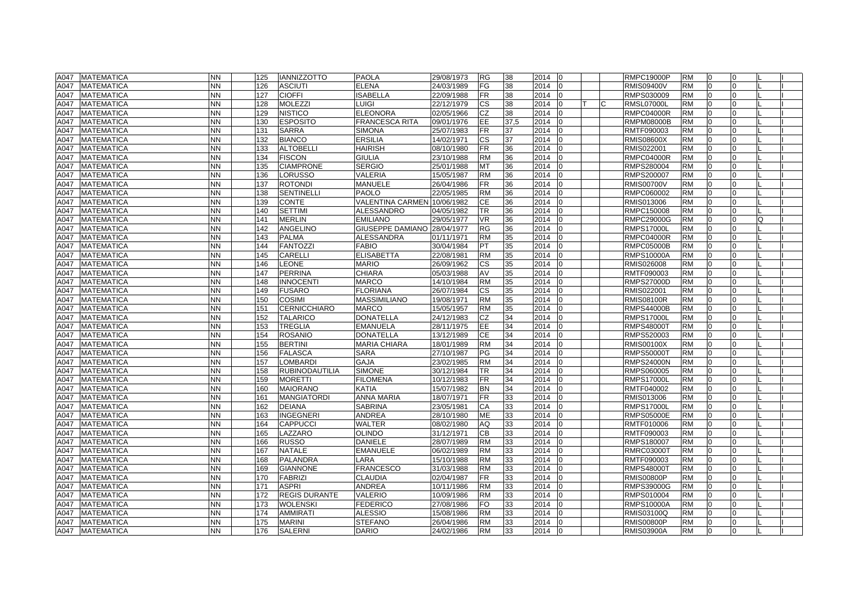|      | A047 MATEMATICA   | <b>NN</b> | 125 | <b>IANNIZZOTTO</b>    | <b>PAOLA</b>                | 29/08/1973 | <b>RG</b> | 38   | 2014 |          |          | <b>RMPC19000P</b> | <b>RM</b> | 0              | $\Omega$       |   |  |
|------|-------------------|-----------|-----|-----------------------|-----------------------------|------------|-----------|------|------|----------|----------|-------------------|-----------|----------------|----------------|---|--|
| A047 | <b>MATEMATICA</b> | <b>NN</b> | 126 | <b>ASCIUTI</b>        | <b>ELENA</b>                | 24/03/1989 | FG        | 38   | 2014 |          |          | <b>RMIS09400V</b> | <b>RM</b> | l0             | $\Omega$       |   |  |
| A047 | <b>MATEMATICA</b> | <b>NN</b> | 127 | <b>CIOFFI</b>         | <b>ISABELLA</b>             | 22/09/1988 | <b>FR</b> | 38   | 2014 |          |          | RMPS030009        | <b>RM</b> | l0             | $\Omega$       |   |  |
| A047 | <b>MATEMATICA</b> | <b>NN</b> | 128 | <b>MOLEZZI</b>        | LUIGI                       | 22/12/1979 | CS        | 38   | 2014 |          | <b>C</b> | <b>RMSL07000L</b> | <b>RM</b> | $\overline{0}$ | 0              |   |  |
| A047 | <b>MATEMATICA</b> | <b>NN</b> | 129 | <b>NISTICO</b>        | <b>ELEONORA</b>             | 02/05/1966 | CZ        | 38   | 2014 |          |          | <b>RMPC04000R</b> | <b>RM</b> | $\overline{0}$ | $\Omega$       |   |  |
| A047 | <b>MATEMATICA</b> | NΝ        | 130 | <b>ESPOSITO</b>       | <b>FRANCESCA RITA</b>       | 09/01/1976 | EE        | 37,5 | 2014 |          |          | <b>RMPM08000B</b> | <b>RM</b> | $\overline{0}$ | 0              |   |  |
| A047 | <b>MATEMATICA</b> | <b>NN</b> | 131 | <b>SARRA</b>          | <b>SIMONA</b>               | 25/07/1983 | <b>FR</b> | 37   | 2014 |          |          | RMTF090003        | <b>RM</b> | $\overline{0}$ |                |   |  |
| A047 | <b>MATEMATICA</b> | <b>NN</b> | 132 | <b>BIANCO</b>         | <b>ERSILIA</b>              | 14/02/1971 | <b>CS</b> | 37   | 2014 |          |          | <b>RMIS08600X</b> | <b>RM</b> | $\Omega$       | $\Omega$       |   |  |
| A047 | <b>MATEMATICA</b> | <b>NN</b> | 133 | <b>ALTOBELLI</b>      | <b>HAIRISH</b>              | 08/10/1980 | <b>FR</b> | 36   | 2014 |          |          | RMIS022001        | <b>RM</b> | l <sub>0</sub> | $\Omega$       |   |  |
| A047 | <b>MATEMATICA</b> | <b>NN</b> | 134 | <b>FISCON</b>         | <b>GIULIA</b>               | 23/10/1988 | <b>RM</b> | 36   | 2014 |          |          | <b>RMPC04000R</b> | <b>RM</b> | $\overline{0}$ | $\Omega$       |   |  |
| A047 | <b>MATEMATICA</b> | <b>NN</b> | 135 | <b>CIAMPRONE</b>      | <b>SERGIO</b>               | 25/01/1988 | <b>MT</b> | 36   | 2014 |          |          | RMPS280004        | <b>RM</b> | l0             | $\Omega$       |   |  |
| A047 | <b>MATEMATICA</b> | <b>NN</b> | 136 | LORUSSO               | VALERIA                     | 15/05/1987 | <b>RM</b> | 36   | 2014 |          |          | RMPS200007        | <b>RM</b> | $\overline{0}$ | $\Omega$       |   |  |
| A047 | <b>MATEMATICA</b> | <b>NN</b> | 137 | <b>ROTONDI</b>        | MANUELE                     | 26/04/1986 | <b>FR</b> | 36   | 2014 |          |          | <b>RMIS00700V</b> | <b>RM</b> | $\overline{0}$ | $\Omega$       |   |  |
| A047 | <b>MATEMATICA</b> | <b>NN</b> | 138 | <b>SENTINELLI</b>     | <b>PAOLO</b>                | 22/05/1985 | <b>RM</b> | 36   | 2014 |          |          | RMPC060002        | <b>RM</b> | $\overline{0}$ | $\Omega$       |   |  |
| A047 | <b>MATEMATICA</b> | NN        | 139 | <b>CONTE</b>          | VALENTINA CARMEN 10/06/1982 |            | CE        | 36   | 2014 |          |          | RMIS013006        | <b>RM</b> | $\Omega$       |                |   |  |
| A047 | <b>MATEMATICA</b> | <b>NN</b> | 140 | <b>SETTIMI</b>        | ALESSANDRO                  | 04/05/1982 | TR        | 36   | 2014 |          |          | RMPC150008        | <b>RM</b> | $\overline{0}$ |                |   |  |
| A047 | <b>MATEMATICA</b> | <b>NN</b> | 141 | <b>MERLIN</b>         | <b>EMILIANO</b>             | 29/05/1977 | <b>VR</b> | 36   | 2014 |          |          | <b>RMPC29000G</b> | <b>RM</b> | $\overline{0}$ | $\Omega$       | O |  |
| A047 | <b>MATEMATICA</b> | <b>NN</b> | 142 | <b>ANGELINO</b>       | GIUSEPPE DAMIANO 28/04/1977 |            | <b>RG</b> | 36   | 2014 |          |          | <b>RMPS17000L</b> | <b>RM</b> | l0             | $\Omega$       |   |  |
| A047 | <b>MATEMATICA</b> | <b>NN</b> | 143 | <b>PALMA</b>          | <b>ALESSANDRA</b>           | 01/11/1971 | <b>RM</b> | 35   | 2014 |          |          | <b>RMPC04000R</b> | <b>RM</b> | $\Omega$       | $\Omega$       |   |  |
| A047 | <b>MATEMATICA</b> | <b>NN</b> | 144 | <b>FANTOZZI</b>       | <b>FABIO</b>                | 30/04/1984 | PT        | 35   | 2014 |          |          | <b>RMPC05000B</b> | <b>RM</b> | l0             | $\Omega$       |   |  |
| A047 | <b>MATEMATICA</b> | <b>NN</b> | 145 | <b>CARELLI</b>        | <b>ELISABETTA</b>           | 22/08/1981 | <b>RM</b> | 35   | 2014 |          |          | RMPS10000A        | <b>RM</b> | l0             | $\Omega$       |   |  |
| A047 | <b>MATEMATICA</b> | <b>NN</b> | 146 | <b>LEONE</b>          | <b>MARIO</b>                | 26/09/1962 | <b>CS</b> | 35   | 2014 |          |          | RMIS026008        | <b>RM</b> | $\overline{0}$ | $\Omega$       |   |  |
| A047 | <b>MATEMATICA</b> | <b>NN</b> | 147 | <b>PERRINA</b>        | <b>CHIARA</b>               | 05/03/1988 | AV        | 35   | 2014 |          |          | RMTF090003        | <b>RM</b> | $\Omega$       |                |   |  |
| A047 | <b>MATEMATICA</b> | <b>NN</b> | 148 | <b>INNOCENTI</b>      | <b>MARCO</b>                | 14/10/1984 | <b>RM</b> | 35   | 2014 |          |          | <b>RMPS27000D</b> | <b>RM</b> | $\Omega$       | $\Omega$       |   |  |
| A047 | <b>MATEMATICA</b> | <b>NN</b> | 149 | <b>FUSARO</b>         | <b>FLORIANA</b>             | 26/07/1984 | <b>CS</b> | 35   | 2014 |          |          | RMIS022001        | <b>RM</b> | $\overline{0}$ | $\Omega$       |   |  |
| A047 | <b>MATEMATICA</b> | <b>NN</b> | 150 | <b>COSIMI</b>         | <b>MASSIMILIANO</b>         | 19/08/1971 | <b>RM</b> | 35   | 2014 |          |          | <b>RMIS08100R</b> | <b>RM</b> | l0             | $\Omega$       |   |  |
| A047 | <b>MATEMATICA</b> | <b>NN</b> | 151 | <b>CERNICCHIARO</b>   | <b>MARCO</b>                | 15/05/1957 | <b>RM</b> | 35   | 2014 |          |          | <b>RMPS44000B</b> | <b>RM</b> | l0             | 0              |   |  |
| A047 | <b>MATEMATICA</b> | <b>NN</b> | 152 | <b>TALARICO</b>       | <b>DONATELLA</b>            | 24/12/1983 | <b>CZ</b> | 34   | 2014 |          |          | <b>RMPS17000L</b> | <b>RM</b> | $\overline{0}$ | $\Omega$       |   |  |
| A047 | <b>MATEMATICA</b> | <b>NN</b> | 153 | <b>TREGLIA</b>        | <b>EMANUELA</b>             | 28/11/1975 | EE        | 34   | 2014 |          |          | <b>RMPS48000T</b> | <b>RM</b> | l0             | $\Omega$       |   |  |
| A047 | <b>MATEMATICA</b> | <b>NN</b> | 154 | <b>ROSANIO</b>        | <b>DONATELLA</b>            | 13/12/1989 | <b>CE</b> | 34   | 2014 |          |          | RMPS520003        | <b>RM</b> | $\overline{0}$ | $\Omega$       |   |  |
| A047 | <b>MATEMATICA</b> | NN.       | 155 | <b>BERTINI</b>        | <b>MARIA CHIARA</b>         | 18/01/1989 | <b>RM</b> | 34   | 2014 |          |          | <b>RMIS00100X</b> | <b>RM</b> | $\overline{0}$ | $\Omega$       |   |  |
| A047 | <b>MATEMATICA</b> | <b>NN</b> | 156 | <b>FALASCA</b>        | <b>SARA</b>                 | 27/10/1987 | PG        | 34   | 2014 |          |          | <b>RMPS50000T</b> | <b>RM</b> | $\overline{0}$ | $\Omega$       |   |  |
| A047 | <b>MATEMATICA</b> | <b>NN</b> | 157 | <b>LOMBARDI</b>       | <b>GAJA</b>                 | 23/02/1985 | <b>RM</b> | 34   | 2014 |          |          | <b>RMPS24000N</b> | <b>RM</b> | $\overline{0}$ | $\Omega$       |   |  |
| A047 | <b>MATEMATICA</b> | <b>NN</b> | 158 | <b>RUBINODAUTILIA</b> | <b>SIMONE</b>               | 30/12/1984 | TR        | 34   | 2014 |          |          | RMPS060005        | <b>RM</b> | l0             | $\Omega$       |   |  |
| A047 | <b>MATEMATICA</b> | <b>NN</b> | 159 | <b>MORETTI</b>        | <b>FILOMENA</b>             | 10/12/1983 | <b>FR</b> | 34   | 2014 |          |          | <b>RMPS17000L</b> | <b>RM</b> | $\overline{0}$ | $\Omega$       |   |  |
| A047 | <b>MATEMATICA</b> | <b>NN</b> | 160 | <b>MAIORANO</b>       | <b>KATIA</b>                | 15/07/1982 | <b>BN</b> | 34   | 2014 |          |          | RMTF040002        | <b>RM</b> | l0             | $\Omega$       |   |  |
| A047 | <b>MATEMATICA</b> | <b>NN</b> | 161 | <b>MANGIATORDI</b>    | <b>ANNA MARIA</b>           | 18/07/1971 | <b>FR</b> | 33   | 2014 |          |          | RMIS013006        | <b>RM</b> | l0             | 0              |   |  |
| A047 | <b>MATEMATICA</b> | <b>NN</b> | 162 | <b>DEIANA</b>         | <b>SABRINA</b>              | 23/05/1981 | СA        | 33   | 2014 |          |          | <b>RMPS17000L</b> | <b>RM</b> | $\overline{0}$ | 0              |   |  |
| A047 | <b>MATEMATICA</b> | NN.       | 163 | <b>INGEGNERI</b>      | <b>ANDREA</b>               | 28/10/1980 | <b>ME</b> | 33   | 2014 |          |          | <b>RMPS05000E</b> | <b>RM</b> | $\overline{0}$ |                |   |  |
| A047 | <b>MATEMATICA</b> | <b>NN</b> | 164 | <b>CAPPUCCI</b>       | WALTER                      | 08/02/1980 | AQ        | 33   | 2014 |          |          | RMTF010006        | <b>RM</b> | $\Omega$       |                |   |  |
| A047 | <b>MATEMATICA</b> | <b>NN</b> | 165 | LAZZARO               | <b>OLINDO</b>               | 31/12/1971 | CB        | 33   | 2014 |          |          | RMTF090003        | <b>RM</b> | $\Omega$       | $\Omega$       |   |  |
| A047 | <b>MATEMATICA</b> | <b>NN</b> | 166 | <b>RUSSO</b>          | <b>DANIELE</b>              | 28/07/1989 | <b>RM</b> | 33   | 2014 |          |          | RMPS180007        | <b>RM</b> | l <sub>0</sub> | $\Omega$       |   |  |
| A047 | <b>MATEMATICA</b> | <b>NN</b> | 167 | <b>NATALE</b>         | <b>EMANUELE</b>             | 06/02/1989 | <b>RM</b> | 33   | 2014 |          |          | <b>RMRC03000T</b> | <b>RM</b> | l <sub>0</sub> | $\Omega$       |   |  |
| A047 | <b>MATEMATICA</b> | <b>NN</b> | 168 | <b>PALANDRA</b>       | LARA                        | 15/10/1988 | <b>RM</b> | 33   | 2014 |          |          | RMTF090003        | <b>RM</b> | $\Omega$       | $\Omega$       |   |  |
| A047 | <b>MATEMATICA</b> | <b>NN</b> | 169 | <b>GIANNONE</b>       | <b>FRANCESCO</b>            | 31/03/1988 | <b>RM</b> | 33   | 2014 |          |          | <b>RMPS48000T</b> | <b>RM</b> | l <sub>0</sub> | $\Omega$       |   |  |
| A047 | <b>MATEMATICA</b> | <b>NN</b> | 170 | <b>FABRIZI</b>        | <b>CLAUDIA</b>              | 02/04/1987 | <b>FR</b> | 33   | 2014 |          |          | <b>RMIS00800P</b> | <b>RM</b> | $\overline{0}$ | $\Omega$       |   |  |
| A047 | <b>MATEMATICA</b> | <b>NN</b> | 171 | <b>ASPRI</b>          | <b>ANDREA</b>               | 10/11/1986 | <b>RM</b> | 33   | 2014 |          |          | RMPS39000G        | <b>RM</b> | $\overline{0}$ | $\Omega$       |   |  |
| A047 | <b>MATEMATICA</b> | <b>NN</b> | 172 | <b>REGIS DURANTE</b>  | VALERIO                     | 10/09/1986 | <b>RM</b> | 33   | 2014 |          |          | RMPS010004        | <b>RM</b> | $\Omega$       | $\Omega$       |   |  |
| A047 | <b>MATEMATICA</b> | <b>NN</b> | 173 | <b>WOLENSKI</b>       | <b>FEDERICO</b>             | 27/08/1986 | <b>FO</b> | 33   | 2014 |          |          | RMPS10000A        | <b>RM</b> | $\Omega$       | $\Omega$       |   |  |
| A047 | <b>MATEMATICA</b> | <b>NN</b> | 174 | <b>AMMIRATI</b>       | <b>ALESSIO</b>              | 15/08/1986 | <b>RM</b> | 33   | 2014 |          |          | RMIS03100Q        | <b>RM</b> | l <sub>0</sub> | $\Omega$       |   |  |
| A047 | <b>MATEMATICA</b> | <b>NN</b> | 175 | <b>MARINI</b>         | <b>STEFANO</b>              | 26/04/1986 | <b>RM</b> | 33   | 2014 |          |          | <b>RMIS00800P</b> | <b>RM</b> | l <sub>0</sub> | $\Omega$       |   |  |
|      | A047 MATEMATICA   | <b>NN</b> | 176 | <b>SALERNI</b>        | <b>DARIO</b>                | 24/02/1986 | <b>RM</b> | 33   | 2014 | $\Omega$ |          | <b>RMIS03900A</b> | <b>RM</b> | lo             | $\overline{0}$ |   |  |
|      |                   |           |     |                       |                             |            |           |      |      |          |          |                   |           |                |                |   |  |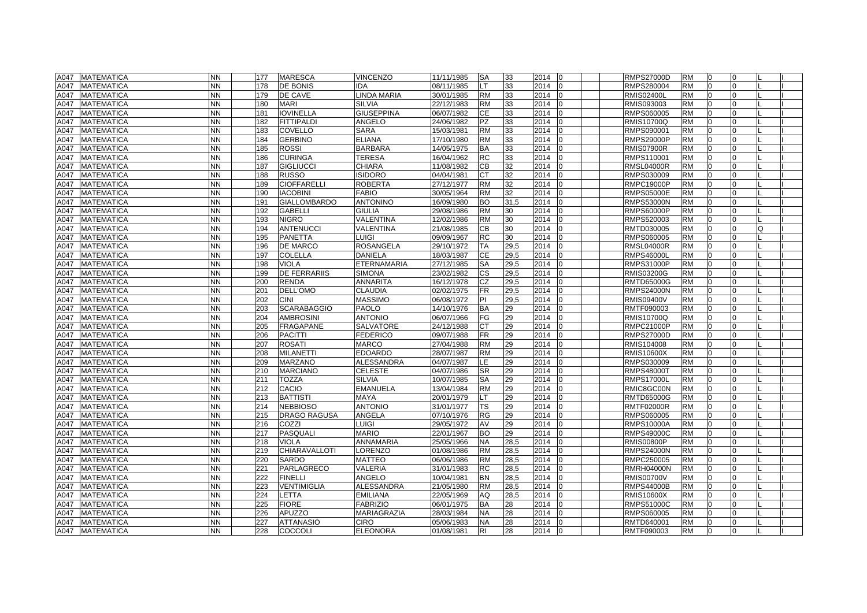| A047 | <b>MATEMATICA</b> | <b>NN</b> | 177 | <b>MARESCA</b>      | <b>VINCENZO</b>    | 11/11/1985 | <b>SA</b> | 33   | 2014                   | <b>RMPS27000D</b> | <b>RM</b> | 0              | $\Omega$       |   |  |
|------|-------------------|-----------|-----|---------------------|--------------------|------------|-----------|------|------------------------|-------------------|-----------|----------------|----------------|---|--|
| A047 | <b>MATEMATICA</b> | <b>NN</b> | 178 | <b>DE BONIS</b>     | <b>IDA</b>         | 08/11/1985 | LT        | 33   | 2014                   | RMPS280004        | <b>RM</b> | l0             | $\Omega$       |   |  |
| A047 | <b>MATEMATICA</b> | NN        | 179 | DE CAVE             | <b>LINDA MARIA</b> | 30/01/1985 | <b>RM</b> | 33   | 2014                   | <b>RMIS02400L</b> | <b>RM</b> | 0              | $\Omega$       |   |  |
| A047 | <b>MATEMATICA</b> | NN        | 180 | <b>MARI</b>         | <b>SILVIA</b>      | 22/12/1983 | <b>RM</b> | 33   | 2014                   | RMIS093003        | <b>RM</b> | 10             | $\Omega$       |   |  |
| A047 | <b>MATEMATICA</b> | NN        | 181 | <b>IOVINELLA</b>    | <b>GIUSEPPINA</b>  | 06/07/1982 | <b>CE</b> | 33   | 2014                   | RMPS060005        | <b>RM</b> | $\overline{0}$ | $\Omega$       |   |  |
| A047 | <b>MATEMATICA</b> | NN        | 182 | FITTIPALDI          | <b>ANGELO</b>      | 24/06/1982 | <b>PZ</b> | 33   | 2014                   | <b>RMIS10700Q</b> | <b>RM</b> | $\overline{0}$ | 0              |   |  |
| A047 | <b>MATEMATICA</b> | NN        | 183 | <b>COVELLO</b>      | <b>SARA</b>        | 15/03/1981 | <b>RM</b> | 33   | 2014                   | RMPS090001        | <b>RM</b> | $\Omega$       |                |   |  |
| A047 | <b>MATEMATICA</b> | NN.       | 184 | <b>GERBINO</b>      | <b>ELIANA</b>      | 17/10/1980 | <b>RM</b> | 33   | 2014                   | <b>RMPS29000P</b> | <b>RM</b> | $\Omega$       | $\Omega$       |   |  |
| A047 | <b>MATEMATICA</b> | <b>NN</b> | 185 | <b>ROSSI</b>        | <b>BARBARA</b>     | 14/05/1975 | <b>BA</b> | 33   | 2014                   | <b>RMIS07900R</b> | <b>RM</b> | l <sub>0</sub> | $\Omega$       |   |  |
| A047 | <b>MATEMATICA</b> | <b>NN</b> | 186 | <b>CURINGA</b>      | <b>TERESA</b>      | 16/04/1962 | <b>RC</b> | 33   | 2014                   | RMPS110001        | <b>RM</b> | l0             | $\Omega$       |   |  |
| A047 | <b>MATEMATICA</b> | NN.       | 187 | <b>GIGLIUCCI</b>    | <b>CHIARA</b>      | 11/08/1982 | <b>CB</b> | 32   | 2014                   | <b>RMSL04000R</b> | <b>RM</b> | l0             | 0              |   |  |
| A047 | MATEMATICA        | NN        | 188 | <b>RUSSO</b>        | <b>ISIDORO</b>     | 04/04/1981 | <b>CT</b> | 32   | 2014                   | RMPS030009        | <b>RM</b> | $\overline{0}$ | $\Omega$       |   |  |
| A047 | <b>MATEMATICA</b> | NN        | 189 | <b>CIOFFARELLI</b>  | <b>ROBERTA</b>     | 27/12/1977 | <b>RM</b> | 32   | 2014                   | <b>RMPC19000P</b> | <b>RM</b> | $\overline{0}$ | $\Omega$       |   |  |
| A047 | <b>MATEMATICA</b> | NN        | 190 | <b>IACOBINI</b>     | <b>FABIO</b>       | 30/05/1964 | <b>RM</b> | 32   | 2014                   | <b>RMPS05000E</b> | <b>RM</b> | $\overline{0}$ | $\Omega$       |   |  |
| A047 | <b>MATEMATICA</b> | NN.       | 191 | <b>GIALLOMBARDO</b> | <b>ANTONINO</b>    | 16/09/1980 | <b>BO</b> | 31,5 | 2014                   | <b>RMPS53000N</b> | <b>RM</b> | ١O             |                |   |  |
| A047 | <b>MATEMATICA</b> | NN.       | 192 | <b>GABELLI</b>      | <b>GIULIA</b>      | 29/08/1986 | <b>RM</b> | 30   | 2014                   | <b>RMPS60000P</b> | <b>RM</b> | $\overline{0}$ | $\Omega$       |   |  |
| A047 | <b>MATEMATICA</b> | NN        | 193 | <b>NIGRO</b>        | <b>VALENTINA</b>   | 12/02/1986 | <b>RM</b> | 30   | 2014                   | RMPS520003        | <b>RM</b> | l0             | $\Omega$       |   |  |
| A047 | <b>MATEMATICA</b> | NN        | 194 | <b>ANTENUCCI</b>    | <b>VALENTINA</b>   | 21/08/1985 | CВ        | 30   | 2014                   | RMTD030005        | <b>RM</b> | l0             | $\Omega$       | O |  |
| A047 | <b>MATEMATICA</b> | NN.       | 195 | <b>PANETTA</b>      | LUIGI              | 09/09/1967 | <b>RC</b> | 30   | 2014                   | RMPS060005        | <b>RM</b> | $\Omega$       | $\Omega$       |   |  |
| A047 | <b>MATEMATICA</b> | NN        | 196 | <b>DE MARCO</b>     | <b>ROSANGELA</b>   | 29/10/1972 | TA        | 29,5 | 2014                   | <b>RMSL04000R</b> | <b>RM</b> | l0             | 0              |   |  |
| A047 | <b>MATEMATICA</b> | <b>NN</b> | 197 | <b>COLELLA</b>      | <b>DANIELA</b>     | 18/03/1987 | <b>CE</b> | 29,5 | 2014                   | <b>RMPS46000L</b> | <b>RM</b> | 0              | $\Omega$       |   |  |
| A047 | <b>MATEMATICA</b> | NN        | 198 | <b>VIOLA</b>        | ETERNAMARIA        | 27/12/1985 | <b>SA</b> | 29,5 | 2014                   | RMPS31000P        | <b>RM</b> | $\overline{0}$ | 0              |   |  |
| A047 | <b>MATEMATICA</b> | NN.       | 199 | <b>DE FERRARIIS</b> | <b>SIMONA</b>      | 23/02/1982 | <b>CS</b> | 29,5 | 2014                   | <b>RMIS03200G</b> | <b>RM</b> | $\Omega$       |                |   |  |
| A047 | <b>MATEMATICA</b> | NN.       | 200 | <b>RENDA</b>        | <b>ANNARITA</b>    | 16/12/1978 | CZ        | 29,5 | 2014                   | <b>RMTD65000G</b> | <b>RM</b> | lo             | $\Omega$       |   |  |
| A047 | <b>MATEMATICA</b> | <b>NN</b> | 201 | <b>DELL'OMO</b>     | <b>CLAUDIA</b>     | 02/02/1975 | <b>FR</b> | 29,5 | 2014                   | <b>RMPS24000N</b> | <b>RM</b> | $\overline{0}$ | $\Omega$       |   |  |
| A047 | <b>MATEMATICA</b> | <b>NN</b> | 202 | <b>CINI</b>         | <b>MASSIMO</b>     | 06/08/1972 | PI        | 29,5 | 2014                   | <b>RMIS09400V</b> | <b>RM</b> | l0             | $\Omega$       |   |  |
| A047 | <b>MATEMATICA</b> | NN        | 203 | <b>SCARABAGGIO</b>  | <b>PAOLO</b>       | 14/10/1976 | <b>BA</b> | 29   | 2014                   | RMTF090003        | <b>RM</b> | l0             | 0              |   |  |
| A047 | MATEMATICA        | NN        | 204 | <b>AMBROSINI</b>    | <b>ANTONIO</b>     | 06/07/1966 | FG        | 29   | 2014                   | <b>RMIS10700Q</b> | <b>RM</b> | l0             | $\Omega$       |   |  |
| A047 | <b>MATEMATICA</b> | NN        | 205 | FRAGAPANE           | <b>SALVATORE</b>   | 24/12/1988 | <b>CT</b> | 29   | 2014                   | <b>RMPC21000P</b> | <b>RM</b> | l0             | 0              |   |  |
| A047 | <b>MATEMATICA</b> | ΝN        | 206 | <b>PACITTI</b>      | FEDERICO           | 09/07/1988 | <b>FR</b> | 29   | 2014                   | <b>RMPS27000D</b> | <b>RM</b> | $\overline{0}$ | $\Omega$       |   |  |
| A047 | <b>MATEMATICA</b> | NN.       | 207 | <b>ROSATI</b>       | <b>MARCO</b>       | 27/04/1988 | <b>RM</b> | 29   | 2014                   | RMIS104008        | <b>RM</b> | $\overline{0}$ | $\Omega$       |   |  |
| A047 | <b>MATEMATICA</b> | NN.       | 208 | <b>MILANETTI</b>    | <b>EDOARDO</b>     | 28/07/1987 | <b>RM</b> | 29   | 2014                   | <b>RMIS10600X</b> | <b>RM</b> | $\overline{0}$ | $\Omega$       |   |  |
| A047 | <b>MATEMATICA</b> | NN.       | 209 | <b>MARZANO</b>      | <b>ALESSANDRA</b>  | 04/07/1987 | LE        | 29   | 2014                   | RMPS030009        | <b>RM</b> | $\overline{0}$ | $\Omega$       |   |  |
| A047 | <b>MATEMATICA</b> | NN        | 210 | <b>MARCIANO</b>     | <b>CELESTE</b>     | 04/07/1986 | <b>SR</b> | 29   | 2014                   | <b>RMPS48000T</b> | <b>RM</b> | l0             | $\Omega$       |   |  |
| A047 | MATEMATICA        | NN.       | 211 | <b>TOZZA</b>        | <b>SILVIA</b>      | 10/07/1985 | <b>SA</b> | 29   | 2014                   | <b>RMPS17000L</b> | <b>RM</b> | $\overline{0}$ | $\Omega$       |   |  |
| A047 | <b>MATEMATICA</b> | NN        | 212 | CACIO               | <b>EMANUELA</b>    | 13/04/1984 | <b>RM</b> | 29   | 2014                   | RMIC8GC00N        | <b>RM</b> | l0             | 0              |   |  |
| A047 | <b>MATEMATICA</b> | NN        | 213 | <b>BATTISTI</b>     | <b>MAYA</b>        | 20/01/1979 | LT        | 29   | 2014                   | <b>RMTD65000G</b> | <b>RM</b> | 0              | 0              |   |  |
| A047 | <b>MATEMATICA</b> | NN        | 214 | <b>NEBBIOSO</b>     | <b>ANTONIO</b>     | 31/01/1977 | TS        | 29   | 2014                   | <b>RMTF02000R</b> | <b>RM</b> | l0             | 0              |   |  |
| A047 | <b>MATEMATICA</b> | ΝN        | 215 | <b>DRAGO RAGUSA</b> | ANGELA             | 07/10/1976 | RG        | 29   | 2014                   | RMPS060005        | <b>RM</b> | $\Omega$       |                |   |  |
| A047 | MATEMATICA        | NN.       | 216 | COZZI               | LUIGI              | 29/05/1972 | AV        | 29   | 2014                   | <b>RMPS10000A</b> | <b>RM</b> | l O            |                |   |  |
| A047 | <b>MATEMATICA</b> | NN.       | 217 | PASQUALI            | <b>MARIO</b>       | 22/01/1967 | <b>BO</b> | 29   | 2014                   | <b>RMPS49000C</b> | <b>RM</b> | l <sub>0</sub> | $\Omega$       |   |  |
| A047 | <b>MATEMATICA</b> | <b>NN</b> | 218 | <b>VIOLA</b>        | <b>ANNAMARIA</b>   | 25/05/1966 | <b>NA</b> | 28,5 | 2014                   | <b>RMIS00800P</b> | <b>RM</b> | l0             | $\Omega$       |   |  |
| A047 | <b>MATEMATICA</b> | NN.       | 219 | CHIARAVALLOTI       | <b>LORENZO</b>     | 01/08/1986 | <b>RM</b> | 28,5 | 2014                   | <b>RMPS24000N</b> | <b>RM</b> | l <sub>0</sub> | $\Omega$       |   |  |
| A047 | <b>MATEMATICA</b> | NN        | 220 | <b>SARDO</b>        | <b>MATTEO</b>      | 06/06/1986 | <b>RM</b> | 28,5 | 2014                   | RMPC250005        | <b>RM</b> | l0             | $\Omega$       |   |  |
| A047 | <b>MATEMATICA</b> | <b>NN</b> | 221 | PARLAGRECO          | <b>VALERIA</b>     | 31/01/1983 | <b>RC</b> | 28,5 | 2014                   | <b>RMRH04000N</b> | <b>RM</b> | l <sub>0</sub> | $\Omega$       |   |  |
| A047 | <b>MATEMATICA</b> | NN.       | 222 | <b>FINELLI</b>      | <b>ANGELO</b>      | 10/04/1981 | <b>BN</b> | 28,5 | 2014                   | <b>RMIS00700V</b> | <b>RM</b> | $\overline{0}$ | $\Omega$       |   |  |
| A047 | <b>MATEMATICA</b> | NN.       | 223 | VENTIMIGLIA         | <b>ALESSANDRA</b>  | 21/05/1980 | <b>RM</b> | 28,5 | 2014                   | <b>RMPS44000B</b> | <b>RM</b> | $\Omega$       | $\Omega$       |   |  |
| A047 | <b>MATEMATICA</b> | NN.       | 224 | <b>LETTA</b>        | <b>EMILIANA</b>    | 22/05/1969 | AQ        | 28,5 | 2014                   | <b>RMIS10600X</b> | <b>RM</b> | $\Omega$       |                |   |  |
| A047 | <b>MATEMATICA</b> | <b>NN</b> | 225 | <b>FIORE</b>        | <b>FABRIZIO</b>    | 06/01/1975 | <b>BA</b> | 28   | 2014                   | <b>RMPS51000C</b> | <b>RM</b> | l0             | $\Omega$       |   |  |
| A047 | <b>MATEMATICA</b> | <b>NN</b> | 226 | <b>APUZZO</b>       | <b>MARIAGRAZIA</b> | 28/03/1984 | <b>NA</b> | 28   | 2014                   | RMPS060005        | <b>RM</b> | l <sub>0</sub> | $\Omega$       |   |  |
| A047 | <b>MATEMATICA</b> | <b>NN</b> | 227 | <b>ATTANASIO</b>    | <b>CIRO</b>        | 05/06/1983 | <b>NA</b> | 28   | 2014                   | RMTD640001        | <b>RM</b> | l <sub>0</sub> | $\Omega$       |   |  |
|      | A047 MATEMATICA   | <b>NN</b> | 228 | <b>COCCOLI</b>      | <b>ELEONORA</b>    | 01/08/1981 | <b>RI</b> | 28   | 2014<br>$\overline{0}$ | RMTF090003        | <b>RM</b> | l <sub>0</sub> | $\overline{0}$ |   |  |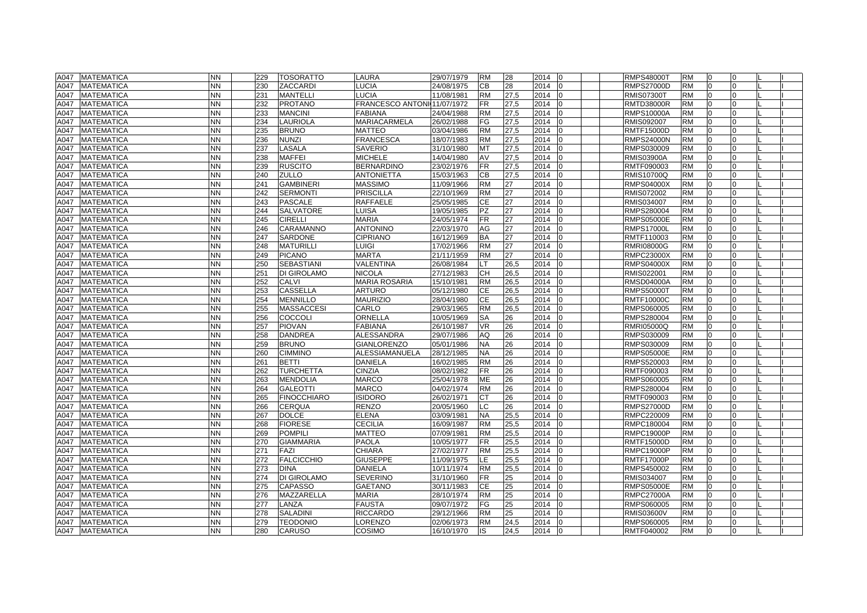| A047 MATEMATICA<br><b>NN</b><br><b>TOSORATTO</b><br>LAURA<br>29/07/1979<br>28<br>2014<br><b>RMPS48000T</b><br><b>RM</b><br>229<br><b>RM</b><br>$\overline{0}$<br>I0                      | 0        |
|------------------------------------------------------------------------------------------------------------------------------------------------------------------------------------------|----------|
| <b>NN</b><br>28<br><b>RM</b><br><b>MATEMATICA</b><br>230<br>ZACCARDI<br><b>LUCIA</b><br>24/08/1975<br>CВ<br>2014<br><b>RMPS27000D</b><br>A047<br>I <sub>0</sub><br>$\Omega$              | $\Omega$ |
| <b>NN</b><br><b>LUCIA</b><br><b>RM</b><br><b>MATEMATICA</b><br>231<br><b>MANTELLI</b><br>11/08/1981<br>27,5<br>2014<br><b>RMIS07300T</b><br><b>RM</b><br>A047                            | $\Omega$ |
| FRANCESCO ANTONI 11/07/1972<br><b>NN</b><br>232<br><b>PROTANO</b><br><b>FR</b><br>27,5<br>2014<br><b>RMTD38000R</b><br><b>RM</b><br>A047<br><b>MATEMATICA</b><br>I٥                      | $\Omega$ |
| <b>NN</b><br>233<br><b>RM</b><br>27,5<br>2014<br><b>MATEMATICA</b><br><b>MANCINI</b><br><b>FABIANA</b><br>24/04/1988<br><b>RMPS10000A</b><br><b>RM</b><br>A047<br>$\Omega$               | $\Omega$ |
| MARIACARMELA<br>27,5<br><b>MATEMATICA</b><br><b>NN</b><br>234<br>LAURIOLA<br>26/02/1988<br>FG<br>2014<br>RMIS092007<br><b>RM</b><br>A047<br>I٥                                           | $\Omega$ |
| NN.<br>235<br><b>BRUNO</b><br>27,5<br>2014<br><b>RM</b><br><b>MATEMATICA</b><br>MATTEO<br>03/04/1986<br><b>RM</b><br><b>RMTF15000D</b><br>A047                                           |          |
| <b>NN</b><br>236<br><b>NUNZI</b><br><b>FRANCESCA</b><br>18/07/1983<br><b>RM</b><br>27,5<br>2014<br><b>RMPS24000N</b><br><b>RM</b><br><b>MATEMATICA</b><br>A047                           |          |
| <b>NN</b><br>237<br><b>LASALA</b><br><b>SAVERIO</b><br>MT<br>27,5<br>2014<br>RMPS030009<br><b>RM</b><br>A047<br><b>MATEMATICA</b><br>31/10/1980<br>$\Omega$                              | $\Omega$ |
| <b>NN</b><br>238<br><b>MAFFEI</b><br><b>MICHELE</b><br>14/04/1980<br>AV<br>27,5<br>2014<br><b>RM</b><br><b>MATEMATICA</b><br><b>RMIS03900A</b><br>$\Omega$<br>A047                       | $\Omega$ |
| <b>RUSCITO</b><br><b>BERNARDINO</b><br><b>FR</b><br>2014<br><b>MATEMATICA</b><br><b>NN</b><br>239<br>23/02/1976<br>27,5<br>RMTF090003<br><b>RM</b><br><sup>0</sup><br>A047<br>lo         | $\Omega$ |
| <b>NN</b><br>240<br>ZULLO<br><b>ANTONIETTA</b><br><b>CB</b><br>27,5<br>2014<br><b>RM</b><br><b>MATEMATICA</b><br>15/03/1963<br><b>RMIS10700Q</b><br>A047                                 | $\Omega$ |
| <b>NN</b><br>241<br><b>GAMBINERI</b><br><b>MASSIMO</b><br>27<br>2014<br><b>MATEMATICA</b><br>11/09/1966<br><b>RM</b><br><b>RMPS04000X</b><br><b>RM</b><br>A047<br>O                      | $\Omega$ |
| <b>PRISCILLA</b><br><b>RM</b><br>27<br>2014<br><b>MATEMATICA</b><br><b>NN</b><br>242<br><b>SERMONTI</b><br>22/10/1969<br>RMIS072002<br><b>RM</b><br>A047                                 | $\Omega$ |
| 243<br><b>PASCALE</b><br>RAFFAELE<br>25/05/1985<br>СE<br>27<br>2014<br><b>MATEMATICA</b><br>NN<br>RMIS034007<br><b>RM</b><br>A047                                                        |          |
| <b>PZ</b><br>$\overline{27}$<br><b>NN</b><br>244<br><b>SALVATORE</b><br><b>LUISA</b><br>19/05/1985<br>2014<br>RMPS280004<br><b>RM</b><br>A047<br><b>MATEMATICA</b>                       |          |
| $\overline{27}$<br><b>NN</b><br>245<br><b>CIRELLI</b><br><b>MARIA</b><br>24/05/1974<br><b>FR</b><br>2014<br><b>RMPS05000E</b><br><b>RM</b><br>A047<br><b>MATEMATICA</b><br>l0            | $\Omega$ |
| <b>ANTONINO</b><br>27<br><b>RM</b><br>A047<br><b>MATEMATICA</b><br><b>NN</b><br>246<br>CARAMANNO<br>22/03/1970<br>AG<br>2014<br><b>RMPS17000L</b><br>l0<br>$\Omega$                      | $\Omega$ |
| <b>NN</b><br>247<br><b>SARDONE</b><br>CIPRIANO<br>16/12/1969<br><b>BA</b><br>27<br>2014<br><b>RM</b><br>A047<br><b>MATEMATICA</b><br>RMTF110003                                          | $\Omega$ |
| <b>NN</b><br>248<br><b>MATURILLI</b><br><b>LUIGI</b><br><b>RM</b><br>27<br>2014<br><b>RM</b><br>A047<br><b>MATEMATICA</b><br>17/02/1966<br><b>RMRI08000G</b><br>$\Omega$                 | $\Omega$ |
| <b>NN</b><br>249<br><b>PICANO</b><br><b>MARTA</b><br>21/11/1959<br><b>RM</b><br>27<br>2014<br><b>RMPC23000X</b><br><b>RM</b><br><b>MATEMATICA</b><br>In<br>A047<br>$\Omega$              | $\Omega$ |
| <b>SEBASTIANI</b><br><b>VALENTINA</b><br><b>MATEMATICA</b><br><b>NN</b><br>250<br>26/08/1984<br>26,5<br>2014<br><b>RMPS04000X</b><br>A047<br>LT<br>l0<br><b>RM</b><br>$\Omega$           | $\Omega$ |
| <b>NICOLA</b><br>NN.<br>251<br>DI GIROLAMO<br>27/12/1983<br><b>CH</b><br>26,5<br>2014<br>RMIS022001<br><b>RM</b><br><b>MATEMATICA</b><br>A047                                            |          |
| 2014<br><b>NN</b><br>252<br><b>CALVI</b><br><b>MARIA ROSARIA</b><br>15/10/1981<br><b>RM</b><br>26,5<br><b>RMSD04000A</b><br><b>RM</b><br><b>MATEMATICA</b><br>A047                       |          |
| <b>NN</b><br>253<br><b>CASSELLA</b><br><b>ARTURO</b><br><b>CE</b><br>26,5<br>2014<br><b>RM</b><br>A047<br><b>MATEMATICA</b><br>05/12/1980<br><b>RMPS50000T</b><br><sup>0</sup><br>I٥     | $\Omega$ |
| <b>MAURIZIO</b><br><b>MATEMATICA</b><br><b>NN</b><br>254<br><b>MENNILLO</b><br>28/04/1980<br><b>CE</b><br>26,5<br>2014<br><b>RMTF10000C</b><br><b>RM</b><br>A047<br>$\Omega$<br>$\Omega$ | $\Omega$ |
| <b>NN</b><br>CARLO<br><b>MATEMATICA</b><br>255<br><b>MASSACCESI</b><br>29/03/1965<br><b>RM</b><br>26,5<br>2014<br>RMPS060005<br><b>RM</b><br>A047<br>$\Omega$                            | $\Omega$ |
| <b>NN</b><br>256<br><b>COCCOLI</b><br>ORNELLA<br>10/05/1969<br><b>SA</b><br>26<br>2014<br>RMPS280004<br><b>RM</b><br><b>MATEMATICA</b><br>A047                                           | $\Omega$ |
| 26<br>2014<br><b>MATEMATICA</b><br><b>NN</b><br>257<br><b>PIOVAN</b><br><b>FABIANA</b><br>26/10/1987<br>VR<br><b>RMRI05000Q</b><br><b>RM</b><br>A047<br>l0<br>$\Omega$                   | $\Omega$ |
| <b>ALESSANDRA</b><br>26<br>2014<br><b>MATEMATICA</b><br><b>NN</b><br>258<br><b>DANDREA</b><br>29/07/1986<br>AQ<br>RMPS030009<br><b>RM</b><br>A047                                        | $\Omega$ |
| 26<br>2014<br><b>NN</b><br>259<br><b>BRUNO</b><br>GIANLORENZO<br>05/01/1986<br><b>NA</b><br>RMPS030009<br><b>RM</b><br>A047<br><b>MATEMATICA</b>                                         | $\Omega$ |
| <b>NN</b><br>ALESSIAMANUELA<br><b>NA</b><br>26<br>2014<br><b>RM</b><br><b>MATEMATICA</b><br>260<br><b>CIMMINO</b><br>28/12/1985<br>l0<br><b>RMPS05000E</b><br>A047                       | $\Omega$ |
| <b>BETTI</b><br><b>DANIELA</b><br><b>RM</b><br>26<br>2014<br><b>MATEMATICA</b><br><b>NN</b><br>261<br>16/02/1985<br>RMPS520003<br><b>RM</b><br>A047                                      | $\Omega$ |
| CINZIA<br>26<br><b>RM</b><br>A047<br><b>MATEMATICA</b><br><b>NN</b><br>262<br><b>TURCHETTA</b><br>08/02/1982<br>FR<br>2014<br>RMTF090003<br>l0<br>$\Omega$                               | $\Omega$ |
| <b>MARCO</b><br><b>NN</b><br>ME<br>26<br><b>RM</b><br><b>MATEMATICA</b><br>263<br><b>MENDOLIA</b><br>25/04/1978<br>2014<br>RMPS060005<br>A047                                            | $\Omega$ |
| <b>GALEOTTI</b><br><b>MARCO</b><br><b>RM</b><br>26<br><b>NN</b><br>264<br>04/02/1974<br>2014<br>RMPS280004<br><b>RM</b><br>A047<br><b>MATEMATICA</b><br>$\Omega$<br>10                   | $\Omega$ |
| <b>NN</b><br>265<br><b>FINOCCHIARO</b><br><b>ISIDORO</b><br>26<br>2014<br><b>MATEMATICA</b><br>26/02/1971<br>СT<br>RMTF090003<br><b>RM</b><br>A047                                       | $\Omega$ |
| 26<br>2014<br><b>MATEMATICA</b><br><b>NN</b><br>266<br><b>CERQUA</b><br>RENZO<br>20/05/1960<br>LС<br><b>RMPS27000D</b><br><b>RM</b><br>A047<br>l0<br>n                                   | 0        |
| NN.<br>267<br><b>DOLCE</b><br><b>ELENA</b><br><b>NA</b><br>25,5<br>2014<br><b>MATEMATICA</b><br>03/09/1981<br>RMPC220009<br><b>RM</b><br>A047                                            |          |
| NN.<br>268<br><b>FIORESE</b><br>CECILIA<br><b>RM</b><br>25,5<br>2014<br>A047<br><b>MATEMATICA</b><br>16/09/1987<br>RMPC180004<br><b>RM</b>                                               |          |
| <b>NN</b><br><b>POMPILI</b><br>2014<br><b>MATEMATICA</b><br>269<br><b>MATTEO</b><br>07/09/1981<br><b>RM</b><br>25,5<br><b>RMPC19000P</b><br><b>RM</b><br>A047<br>In                      | $\Omega$ |
| 25,5<br><b>NN</b><br>270<br><b>GIAMMARIA</b><br><b>PAOLA</b><br>10/05/1977<br><b>FR</b><br>2014<br><b>RMTF15000D</b><br><b>RM</b><br>A047<br><b>MATEMATICA</b><br>$\Omega$<br>$\Omega$   | $\Omega$ |
| <b>NN</b><br>271<br>FAZI<br><b>CHIARA</b><br>27/02/1977<br><b>RM</b><br>25,5<br>2014<br><b>RM</b><br>A047<br><b>MATEMATICA</b><br><b>RMPC19000P</b><br><sup>0</sup>                      | $\Omega$ |
| <b>NN</b><br><b>FALCICCHIO</b><br><b>GIUSEPPE</b><br>LE.<br>25,5<br>2014<br><b>RM</b><br><b>MATEMATICA</b><br>272<br>11/09/1975<br><b>RMTF17000P</b><br>A047                             | $\Omega$ |
| <b>NN</b><br>273<br><b>DANIELA</b><br>10/11/1974<br><b>RM</b><br>25,5<br>2014<br>RMPS450002<br><b>RM</b><br><b>MATEMATICA</b><br><b>DINA</b><br><sup>0</sup><br>A047<br>In               | $\Omega$ |
| <b>NN</b><br>274<br>DI GIROLAMO<br><b>SEVERINO</b><br>31/10/1960<br><b>FR</b><br>25<br>2014<br>RMIS034007<br><b>RM</b><br>A047<br><b>MATEMATICA</b><br>$\Omega$<br>$\Omega$              | $\Omega$ |
| 25<br>275<br><b>CAPASSO</b><br><b>GAETANO</b><br>30/11/1983<br><b>CE</b><br>2014<br><b>RMPS05000E</b><br><b>RM</b><br>A047<br><b>MATEMATICA</b><br><b>NN</b><br>In                       | $\Omega$ |
| <b>NN</b><br>MAZZARELLA<br>25<br>2014<br><b>MATEMATICA</b><br>276<br>MARIA<br>28/10/1974<br><b>RM</b><br><b>RMPC27000A</b><br><b>RM</b><br>A047                                          |          |
| 277<br><b>FAUSTA</b><br>25<br>2014<br><b>MATEMATICA</b><br><b>NN</b><br>LANZA<br>09/07/1972<br>FG<br>RMPS060005<br><b>RM</b><br>A047<br>l0                                               | $\Omega$ |
| 25<br><b>MATEMATICA</b><br><b>NN</b><br>278<br><b>SALADINI</b><br><b>RICCARDO</b><br>29/12/1966<br><b>RM</b><br>2014<br><b>RMIS03600V</b><br><b>RM</b><br>A047<br><sup>0</sup><br>In     | $\Omega$ |
| <b>RM</b><br><b>NN</b><br>279<br><b>TEODONIO</b><br>LORENZO<br>02/06/1973<br>24,5<br>2014<br><b>RM</b><br><sup>0</sup><br>A047<br><b>MATEMATICA</b><br>RMPS060005<br>lo                  | $\Omega$ |
| <b>IS</b><br><b>RM</b><br>A047<br><b>MATEMATICA</b><br><b>NN</b><br>280<br><b>CARUSO</b><br>COSIMO<br>16/10/1970<br>24,5<br>2014 0<br>RMTF040002<br><sup>0</sup>                         | $\Omega$ |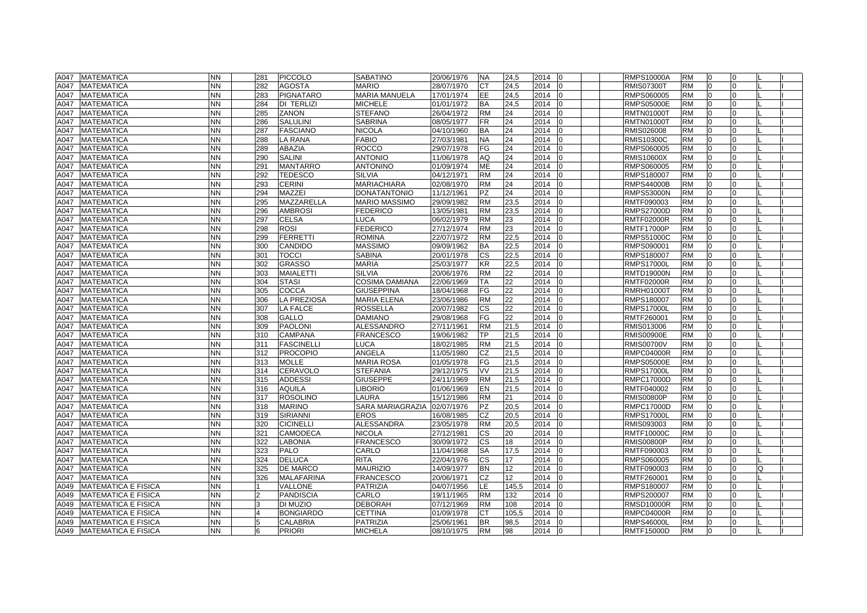| <b>NN</b><br><b>RM</b><br><b>MATEMATICA</b><br>282<br><b>AGOSTA</b><br><b>MARIO</b><br>28/07/1970<br><b>CT</b><br>24,5<br>2014<br><b>RMIS07300T</b><br>$\Omega$<br>A047<br>$\Omega$<br><b>NN</b><br>MARIA MANUELA<br>EE<br><b>MATEMATICA</b><br>283<br><b>PIGNATARO</b><br>17/01/1974<br>24,5<br>2014<br>RMPS060005<br><b>RM</b><br>A047<br>$\Omega$<br><b>MICHELE</b><br><b>NN</b><br>284<br><b>DI TERLIZI</b><br>01/01/1972<br><b>BA</b><br>24,5<br>2014<br><b>RMPS05000E</b><br><b>RM</b><br>A047<br><b>MATEMATICA</b><br>ın<br>$\Omega$<br><b>NN</b><br>285<br><b>STEFANO</b><br><b>RM</b><br>24<br>2014<br><b>MATEMATICA</b><br><b>ZANON</b><br>26/04/1972<br><b>RMTN01000T</b><br><b>RM</b><br>A047<br>$\Omega$<br>$\Omega$<br><b>SABRINA</b><br>24<br><b>MATEMATICA</b><br><b>NN</b><br>286<br><b>SALULINI</b><br>08/05/1977<br>FR<br>2014<br><b>RMTN01000T</b><br><b>RM</b><br>A047<br>I٥<br>$\Omega$<br>24<br>NN.<br><b>BA</b><br>2014<br><b>RM</b><br><b>MATEMATICA</b><br>287<br><b>FASCIANO</b><br>NICOLA<br>04/10/1960<br>RMIS026008<br>A047<br><b>NN</b><br><b>LA RANA</b><br><b>FABIO</b><br>27/03/1981<br><b>NA</b><br>24<br>2014<br><b>RM</b><br><b>MATEMATICA</b><br>288<br><b>RMIS10300C</b><br>A047<br><b>NN</b><br><b>ABAZIA</b><br><b>ROCCO</b><br>29/07/1978<br>FG<br>24<br>2014<br><b>RM</b><br>A047<br><b>MATEMATICA</b><br>289<br>RMPS060005<br>$\Omega$<br>$\Omega$<br><b>NN</b><br><b>SALINI</b><br><b>ANTONIO</b><br>AQ<br>24<br>2014<br><b>RM</b><br><b>MATEMATICA</b><br>290<br>11/06/1978<br><b>RMIS10600X</b><br>$\Omega$<br>A047<br><b>MANTARRO</b><br><b>ANTONINO</b><br>ME<br>24<br><b>MATEMATICA</b><br><b>NN</b><br>291<br>01/09/1974<br>2014<br>RMPS060005<br><b>RM</b><br>A047<br>$\Omega$<br>$\Omega$<br>lo<br><b>NN</b><br>292<br><b>TEDESCO</b><br><b>SILVIA</b><br><b>RM</b><br>24<br>2014<br><b>RM</b><br><b>MATEMATICA</b><br>04/12/1971<br>RMPS180007<br>$\Omega$<br>A047<br>293<br><b>MARIACHIARA</b><br>24<br>2014<br><b>MATEMATICA</b><br><b>NN</b><br>CERINI<br>02/08/1970<br><b>RM</b><br><b>RMPS44000B</b><br><b>RM</b><br>A047<br>$\Omega$<br>n<br><b>MAZZEI</b><br><b>DONATANTONIO</b><br>24<br>2014<br><b>MATEMATICA</b><br><b>NN</b><br>294<br>11/12/1961<br><b>PZ</b><br><b>RMPS53000N</b><br><b>RM</b><br>A047<br>$\Omega$<br>295<br>MAZZARELLA<br><b>MARIO MASSIMO</b><br><b>RM</b><br>23,5<br>2014<br><b>MATEMATICA</b><br>NN<br>29/09/1982<br>RMTF090003<br><b>RM</b><br>A047<br><b>NN</b><br>296<br><b>AMBROSI</b><br><b>FEDERICO</b><br>13/05/1981<br><b>RM</b><br>23,5<br>2014<br><b>RMPS27000D</b><br><b>RM</b><br>A047<br><b>MATEMATICA</b><br><b>NN</b><br>297<br><b>CELSA</b><br>06/02/1979<br><b>RM</b><br>23<br>2014<br><b>RM</b><br>A047<br><b>MATEMATICA</b><br>LUCA<br><b>RMTF02000R</b><br>$\Omega$<br>l0<br><b>ROSI</b><br><b>FEDERICO</b><br>23<br><b>RM</b><br>A047<br><b>MATEMATICA</b><br><b>NN</b><br>298<br>27/12/1974<br><b>RM</b><br>2014<br><b>RMTF17000P</b><br>$\Omega$<br>l0<br>$\Omega$<br><b>NN</b><br>299<br><b>FERRETTI</b><br><b>ROMINA</b><br>22/07/1972<br><b>RM</b><br>22,5<br>2014<br><b>RM</b><br>A047<br><b>MATEMATICA</b><br><b>RMPS51000C</b><br>$\Omega$<br><b>NN</b><br>300<br>CANDIDO<br>MASSIMO<br><b>BA</b><br>22,5<br>2014<br><b>RM</b><br>A047<br><b>MATEMATICA</b><br>09/09/1962<br>RMPS090001<br>$\Omega$<br><b>NN</b><br>301<br><b>TOCCI</b><br><b>SABINA</b><br>20/01/1978<br>CS<br>22,5<br>2014<br><b>RM</b><br><b>MATEMATICA</b><br>RMPS180007<br>$\Omega$<br>A047<br>$\Omega$<br>$\Omega$<br><b>GRASSO</b><br><b>MATEMATICA</b><br><b>NN</b><br>302<br>MARIA<br>25/03/1977<br><b>KR</b><br>22,5<br>2014<br><b>RMPS17000L</b><br><b>RM</b><br>A047<br>l0<br>$\Omega$<br>$\Omega$<br>22<br>NN.<br>303<br><b>MAIALETTI</b><br><b>SILVIA</b><br>20/06/1976<br><b>RM</b><br>2014<br><b>RM</b><br><b>MATEMATICA</b><br><b>RMTD19000N</b><br>A047<br><b>STASI</b><br><b>COSIMA DAMIANA</b><br>22<br>2014<br><b>NN</b><br>304<br>22/06/1969<br><b>TA</b><br><b>RMTF02000R</b><br><b>RM</b><br><b>MATEMATICA</b><br>A047<br><b>NN</b><br>COCCA<br>FG<br>22<br>2014<br><b>RM</b><br>A047<br><b>MATEMATICA</b><br>305<br><b>GIUSEPPINA</b><br>18/04/1968<br><b>RMRH01000T</b><br><sup>0</sup><br>$\Omega$<br>I٥<br>LA PREZIOSA<br><b>RM</b><br>22<br><b>MATEMATICA</b><br><b>NN</b><br>306<br><b>MARIA ELENA</b><br>23/06/1986<br>2014<br>RMPS180007<br><b>RM</b><br>A047<br>$\Omega$<br>$\Omega$<br>$\Omega$<br><b>ROSSELLA</b><br>22<br><b>MATEMATICA</b><br><b>NN</b><br>307<br>LA FALCE<br>20/07/1982<br>СS<br>2014<br><b>RMPS17000L</b><br><b>RM</b><br>A047<br>$\Omega$<br>$\Omega$<br>n<br>FG<br>22<br><b>NN</b><br>308<br><b>GALLO</b><br><b>DAMIANO</b><br>29/08/1968<br>2014<br><b>RM</b><br><b>MATEMATICA</b><br>RMTF260001<br>$\Omega$<br>A047<br>ALESSANDRO<br>2014<br><b>MATEMATICA</b><br><b>NN</b><br>309<br><b>PAOLONI</b><br>27/11/1961<br><b>RM</b><br>21,5<br>RMIS013006<br><b>RM</b><br>A047<br>lo<br>$\Omega$<br>$\Omega$<br><b>MATEMATICA</b><br><b>NN</b><br>310<br><b>CAMPANA</b><br>FRANCESCO<br>19/06/1982<br>ТP<br>21,5<br>2014<br><b>RMIS00900E</b><br><b>RM</b><br>A047<br>21,5<br>2014<br><b>NN</b><br>311<br><b>FASCINELLI</b><br>LUCA<br>18/02/1985<br><b>RM</b><br><b>RMIS00700V</b><br><b>RM</b><br>A047<br><b>MATEMATICA</b><br>U<br>ANGELA<br><b>NN</b><br><b>PROCOPIO</b><br><b>CZ</b><br>2014<br><b>RM</b><br><b>MATEMATICA</b><br>312<br>11/05/1980<br>21,5<br>l0<br><b>RMPC04000R</b><br>A047<br>$\Omega$<br><b>MOLLE</b><br><b>MARIA ROSA</b><br>01/05/1978<br>FG<br>21,5<br>2014<br><b>MATEMATICA</b><br><b>NN</b><br>313<br><b>RMPS05000E</b><br><b>RM</b><br>A047<br>$\Omega$<br><b>STEFANIA</b><br><b>RM</b><br>A047<br><b>MATEMATICA</b><br><b>NN</b><br>314<br><b>CERAVOLO</b><br>29/12/1975<br>VV<br>21,5<br>2014<br><b>RMPS17000L</b><br>$\Omega$<br>$\Omega$<br>lo<br><b>NN</b><br><b>GIUSEPPE</b><br><b>RM</b><br><b>RM</b><br><b>MATEMATICA</b><br>315<br><b>ADDESSI</b><br>24/11/1969<br>21,5<br>2014<br><b>RMPC17000D</b><br>A047<br>$\Omega$<br><b>NN</b><br>316<br><b>AQUILA</b><br><b>IBORIO</b><br>01/06/1969<br><b>EN</b><br>21,5<br>2014<br>RMTF040002<br><b>RM</b><br>A047<br><b>MATEMATICA</b><br>$\Omega$<br>I0<br>n<br>LAURA<br><b>RM</b><br>2014<br><b>MATEMATICA</b><br><b>NN</b><br>317<br><b>ROSOLINO</b><br>15/12/1986<br>21<br><b>RMIS00800P</b><br><b>RM</b><br>$\Omega$<br>A047<br>20,5<br>2014<br><b>MATEMATICA</b><br><b>NN</b><br>318<br><b>MARINO</b><br>SARA MARIAGRAZIA<br>02/07/1976<br><b>PZ</b><br><b>RMPC17000D</b><br><b>RM</b><br>A047<br>l0<br>0<br>n<br>NN.<br><b>SIRIANNI</b><br>EROS<br>CZ<br>2014<br><b>MATEMATICA</b><br>319<br>16/08/1985<br>20,5<br><b>RMPS17000L</b><br><b>RM</b><br>A047<br>320<br><b>CICINELLI</b><br><b>ALESSANDRA</b><br><b>RM</b><br>2014<br>A047<br><b>MATEMATICA</b><br>NN<br>23/05/1978<br>20,5<br>RMIS093003<br><b>RM</b><br><b>NN</b><br>2014<br><b>MATEMATICA</b><br>321<br><b>CAMODECA</b><br><b>NICOLA</b><br>27/12/1981<br>СS<br>20<br><b>RMTF10000C</b><br><b>RM</b><br>A047<br>In<br>$\Omega$<br>18<br><b>NN</b><br>322<br><b>LABONIA</b><br><b>FRANCESCO</b><br>30/09/1972<br><b>CS</b><br>2014<br><b>RM</b><br><b>MATEMATICA</b><br><b>RMIS00800P</b><br>$\Omega$<br>$\Omega$<br>A047<br>$\Omega$<br><b>NN</b><br>323<br>PALO<br>CARLO<br><b>SA</b><br>17,5<br>2014<br><b>RM</b><br>A047<br><b>MATEMATICA</b><br>11/04/1968<br>RMTF090003<br>$\Omega$<br>$\Omega$<br>$\Omega$<br><b>NN</b><br><b>DELUCA</b><br>RITA<br>22/04/1976<br><b>CS</b><br>17<br>2014<br><b>MATEMATICA</b><br>324<br>RMPS060005<br><b>RM</b><br>A047<br>$\Omega$<br>12<br><b>NN</b><br>325<br><b>DE MARCO</b><br><b>MAURIZIO</b><br>14/09/1977<br><b>BN</b><br>2014<br><b>RM</b><br><b>MATEMATICA</b><br>RMTF090003<br>$\Omega$<br>O<br>A047<br>In<br>$\Omega$<br><b>NN</b><br>326<br><b>MALAFARINA</b><br><b>FRANCESCO</b><br>20/06/1971<br>CZ<br>12 <sup>°</sup><br>2014<br>RMTF260001<br><b>RM</b><br><b>MATEMATICA</b><br>A047<br>$\Omega$<br>$\Omega$<br><b>MATEMATICA E FISICA</b><br><b>PATRIZIA</b><br>04/07/1956<br>LE.<br>145,5<br>2014<br><b>NN</b><br>VALLONE<br>RMPS180007<br><b>RM</b><br>A049<br>In<br>U<br>$\overline{2}$<br>CARLO<br><b>NN</b><br><b>PANDISCIA</b><br>19/11/1965<br><b>RM</b><br>132<br>2014<br>RMPS200007<br><b>RM</b><br>A049<br><b>MATEMATICA E FISICA</b><br>2014<br><b>MATEMATICA E FISICA</b><br><b>NN</b><br>3<br>DI MUZIO<br><b>DEBORAH</b><br>07/12/1969<br><b>RM</b><br>108<br><b>RMSD10000R</b><br><b>RM</b><br>A049<br>l0<br>$\Omega$<br><b>MATEMATICA E FISICA</b><br><b>NN</b><br>$\overline{4}$<br><b>BONGIARDO</b><br><b>CETTINA</b><br>01/09/1978<br><b>CT</b><br>105.5<br>2014<br><b>RMPC04000R</b><br><b>RM</b><br>A049<br><sup>0</sup><br>$\Omega$<br><b>BR</b><br><b>NN</b><br>5<br><b>PATRIZIA</b><br>98,5<br>2014<br><b>RM</b><br><sup>0</sup><br>$\Omega$<br>A049<br><b>MATEMATICA E FISICA</b><br><b>CALABRIA</b><br>25/06/1961<br><b>RMPS46000L</b><br>lo<br><b>RM</b><br><b>RM</b><br>A049<br><b>MATEMATICA E FISICA</b><br><b>NN</b><br>6<br><b>PRIORI</b><br><b>MICHELA</b><br>08/10/1975<br>98<br>2014 0<br><b>RMTF15000D</b><br>$\Omega$<br><sup>0</sup> | A047 MATEMATICA | <b>NN</b> | 281 | <b>PICCOLO</b> | <b>SABATINO</b> | 20/06/1976 | <b>NA</b> | 24,5 | 2014 | -lo | <b>RMPS10000A</b> | <b>RM</b> | I0 | 0 |  |
|-----------------------------------------------------------------------------------------------------------------------------------------------------------------------------------------------------------------------------------------------------------------------------------------------------------------------------------------------------------------------------------------------------------------------------------------------------------------------------------------------------------------------------------------------------------------------------------------------------------------------------------------------------------------------------------------------------------------------------------------------------------------------------------------------------------------------------------------------------------------------------------------------------------------------------------------------------------------------------------------------------------------------------------------------------------------------------------------------------------------------------------------------------------------------------------------------------------------------------------------------------------------------------------------------------------------------------------------------------------------------------------------------------------------------------------------------------------------------------------------------------------------------------------------------------------------------------------------------------------------------------------------------------------------------------------------------------------------------------------------------------------------------------------------------------------------------------------------------------------------------------------------------------------------------------------------------------------------------------------------------------------------------------------------------------------------------------------------------------------------------------------------------------------------------------------------------------------------------------------------------------------------------------------------------------------------------------------------------------------------------------------------------------------------------------------------------------------------------------------------------------------------------------------------------------------------------------------------------------------------------------------------------------------------------------------------------------------------------------------------------------------------------------------------------------------------------------------------------------------------------------------------------------------------------------------------------------------------------------------------------------------------------------------------------------------------------------------------------------------------------------------------------------------------------------------------------------------------------------------------------------------------------------------------------------------------------------------------------------------------------------------------------------------------------------------------------------------------------------------------------------------------------------------------------------------------------------------------------------------------------------------------------------------------------------------------------------------------------------------------------------------------------------------------------------------------------------------------------------------------------------------------------------------------------------------------------------------------------------------------------------------------------------------------------------------------------------------------------------------------------------------------------------------------------------------------------------------------------------------------------------------------------------------------------------------------------------------------------------------------------------------------------------------------------------------------------------------------------------------------------------------------------------------------------------------------------------------------------------------------------------------------------------------------------------------------------------------------------------------------------------------------------------------------------------------------------------------------------------------------------------------------------------------------------------------------------------------------------------------------------------------------------------------------------------------------------------------------------------------------------------------------------------------------------------------------------------------------------------------------------------------------------------------------------------------------------------------------------------------------------------------------------------------------------------------------------------------------------------------------------------------------------------------------------------------------------------------------------------------------------------------------------------------------------------------------------------------------------------------------------------------------------------------------------------------------------------------------------------------------------------------------------------------------------------------------------------------------------------------------------------------------------------------------------------------------------------------------------------------------------------------------------------------------------------------------------------------------------------------------------------------------------------------------------------------------------------------------------------------------------------------------------------------------------------------------------------------------------------------------------------------------------------------------------------------------------------------------------------------------------------------------------------------------------------------------------------------------------------------------------------------------------------------------------------------------------------------------------------------------------------------------------------------------------------------------------------------------------------------------------------------------------------------------------------------------------------------------------------------------------------------------------------------------------------------------------------------------------------------------------------------------------------------------------------------------------------------------------------------------------------------------------------------------------------------------------------------------------------------------------------------------------------------------------------------------------------------------------------------------------------------------------------------------------------------------------------------------------------------------------------------------------------------------------------------------------------------------------------------------------------------------------------------------------------------------------------------------------------------------------------------------------------------------------------------------------------------------------------------------------------------------------------------------------------------------------------------------------------------------------------------------------------------------------------------------------------------------------------------------------------------------------------------------------------------------------------------------------------------------------------------------------------------------------------------------------------------------------------------------------------------------------------------------------------------------------------------------------------------------------------------------------------------------------------------------------------------------------------------------------------------------------------------------------------------------------------------------------------------------------------------------------------------------------------------------------------------------------------------------------------------------|-----------------|-----------|-----|----------------|-----------------|------------|-----------|------|------|-----|-------------------|-----------|----|---|--|
|                                                                                                                                                                                                                                                                                                                                                                                                                                                                                                                                                                                                                                                                                                                                                                                                                                                                                                                                                                                                                                                                                                                                                                                                                                                                                                                                                                                                                                                                                                                                                                                                                                                                                                                                                                                                                                                                                                                                                                                                                                                                                                                                                                                                                                                                                                                                                                                                                                                                                                                                                                                                                                                                                                                                                                                                                                                                                                                                                                                                                                                                                                                                                                                                                                                                                                                                                                                                                                                                                                                                                                                                                                                                                                                                                                                                                                                                                                                                                                                                                                                                                                                                                                                                                                                                                                                                                                                                                                                                                                                                                                                                                                                                                                                                                                                                                                                                                                                                                                                                                                                                                                                                                                                                                                                                                                                                                                                                                                                                                                                                                                                                                                                                                                                                                                                                                                                                                                                                                                                                                                                                                                                                                                                                                                                                                                                                                                                                                                                                                                                                                                                                                                                                                                                                                                                                                                                                                                                                                                                                                                                                                                                                                                                                                                                                                                                                                                                                                                                                                                                                                                                                                                                                                                                                                                                                                                                                                                                                                                                                                                                                                                                                                                                                                                                                                                                                                                                                                                                                                                                                                                                                                                                                                                                                                                                                                                                                                                                                                                                                                                                                                                                                         |                 |           |     |                |                 |            |           |      |      |     |                   |           |    |   |  |
|                                                                                                                                                                                                                                                                                                                                                                                                                                                                                                                                                                                                                                                                                                                                                                                                                                                                                                                                                                                                                                                                                                                                                                                                                                                                                                                                                                                                                                                                                                                                                                                                                                                                                                                                                                                                                                                                                                                                                                                                                                                                                                                                                                                                                                                                                                                                                                                                                                                                                                                                                                                                                                                                                                                                                                                                                                                                                                                                                                                                                                                                                                                                                                                                                                                                                                                                                                                                                                                                                                                                                                                                                                                                                                                                                                                                                                                                                                                                                                                                                                                                                                                                                                                                                                                                                                                                                                                                                                                                                                                                                                                                                                                                                                                                                                                                                                                                                                                                                                                                                                                                                                                                                                                                                                                                                                                                                                                                                                                                                                                                                                                                                                                                                                                                                                                                                                                                                                                                                                                                                                                                                                                                                                                                                                                                                                                                                                                                                                                                                                                                                                                                                                                                                                                                                                                                                                                                                                                                                                                                                                                                                                                                                                                                                                                                                                                                                                                                                                                                                                                                                                                                                                                                                                                                                                                                                                                                                                                                                                                                                                                                                                                                                                                                                                                                                                                                                                                                                                                                                                                                                                                                                                                                                                                                                                                                                                                                                                                                                                                                                                                                                                                                         |                 |           |     |                |                 |            |           |      |      |     |                   |           |    |   |  |
|                                                                                                                                                                                                                                                                                                                                                                                                                                                                                                                                                                                                                                                                                                                                                                                                                                                                                                                                                                                                                                                                                                                                                                                                                                                                                                                                                                                                                                                                                                                                                                                                                                                                                                                                                                                                                                                                                                                                                                                                                                                                                                                                                                                                                                                                                                                                                                                                                                                                                                                                                                                                                                                                                                                                                                                                                                                                                                                                                                                                                                                                                                                                                                                                                                                                                                                                                                                                                                                                                                                                                                                                                                                                                                                                                                                                                                                                                                                                                                                                                                                                                                                                                                                                                                                                                                                                                                                                                                                                                                                                                                                                                                                                                                                                                                                                                                                                                                                                                                                                                                                                                                                                                                                                                                                                                                                                                                                                                                                                                                                                                                                                                                                                                                                                                                                                                                                                                                                                                                                                                                                                                                                                                                                                                                                                                                                                                                                                                                                                                                                                                                                                                                                                                                                                                                                                                                                                                                                                                                                                                                                                                                                                                                                                                                                                                                                                                                                                                                                                                                                                                                                                                                                                                                                                                                                                                                                                                                                                                                                                                                                                                                                                                                                                                                                                                                                                                                                                                                                                                                                                                                                                                                                                                                                                                                                                                                                                                                                                                                                                                                                                                                                                         |                 |           |     |                |                 |            |           |      |      |     |                   |           |    |   |  |
|                                                                                                                                                                                                                                                                                                                                                                                                                                                                                                                                                                                                                                                                                                                                                                                                                                                                                                                                                                                                                                                                                                                                                                                                                                                                                                                                                                                                                                                                                                                                                                                                                                                                                                                                                                                                                                                                                                                                                                                                                                                                                                                                                                                                                                                                                                                                                                                                                                                                                                                                                                                                                                                                                                                                                                                                                                                                                                                                                                                                                                                                                                                                                                                                                                                                                                                                                                                                                                                                                                                                                                                                                                                                                                                                                                                                                                                                                                                                                                                                                                                                                                                                                                                                                                                                                                                                                                                                                                                                                                                                                                                                                                                                                                                                                                                                                                                                                                                                                                                                                                                                                                                                                                                                                                                                                                                                                                                                                                                                                                                                                                                                                                                                                                                                                                                                                                                                                                                                                                                                                                                                                                                                                                                                                                                                                                                                                                                                                                                                                                                                                                                                                                                                                                                                                                                                                                                                                                                                                                                                                                                                                                                                                                                                                                                                                                                                                                                                                                                                                                                                                                                                                                                                                                                                                                                                                                                                                                                                                                                                                                                                                                                                                                                                                                                                                                                                                                                                                                                                                                                                                                                                                                                                                                                                                                                                                                                                                                                                                                                                                                                                                                                                         |                 |           |     |                |                 |            |           |      |      |     |                   |           |    |   |  |
|                                                                                                                                                                                                                                                                                                                                                                                                                                                                                                                                                                                                                                                                                                                                                                                                                                                                                                                                                                                                                                                                                                                                                                                                                                                                                                                                                                                                                                                                                                                                                                                                                                                                                                                                                                                                                                                                                                                                                                                                                                                                                                                                                                                                                                                                                                                                                                                                                                                                                                                                                                                                                                                                                                                                                                                                                                                                                                                                                                                                                                                                                                                                                                                                                                                                                                                                                                                                                                                                                                                                                                                                                                                                                                                                                                                                                                                                                                                                                                                                                                                                                                                                                                                                                                                                                                                                                                                                                                                                                                                                                                                                                                                                                                                                                                                                                                                                                                                                                                                                                                                                                                                                                                                                                                                                                                                                                                                                                                                                                                                                                                                                                                                                                                                                                                                                                                                                                                                                                                                                                                                                                                                                                                                                                                                                                                                                                                                                                                                                                                                                                                                                                                                                                                                                                                                                                                                                                                                                                                                                                                                                                                                                                                                                                                                                                                                                                                                                                                                                                                                                                                                                                                                                                                                                                                                                                                                                                                                                                                                                                                                                                                                                                                                                                                                                                                                                                                                                                                                                                                                                                                                                                                                                                                                                                                                                                                                                                                                                                                                                                                                                                                                                         |                 |           |     |                |                 |            |           |      |      |     |                   |           |    |   |  |
|                                                                                                                                                                                                                                                                                                                                                                                                                                                                                                                                                                                                                                                                                                                                                                                                                                                                                                                                                                                                                                                                                                                                                                                                                                                                                                                                                                                                                                                                                                                                                                                                                                                                                                                                                                                                                                                                                                                                                                                                                                                                                                                                                                                                                                                                                                                                                                                                                                                                                                                                                                                                                                                                                                                                                                                                                                                                                                                                                                                                                                                                                                                                                                                                                                                                                                                                                                                                                                                                                                                                                                                                                                                                                                                                                                                                                                                                                                                                                                                                                                                                                                                                                                                                                                                                                                                                                                                                                                                                                                                                                                                                                                                                                                                                                                                                                                                                                                                                                                                                                                                                                                                                                                                                                                                                                                                                                                                                                                                                                                                                                                                                                                                                                                                                                                                                                                                                                                                                                                                                                                                                                                                                                                                                                                                                                                                                                                                                                                                                                                                                                                                                                                                                                                                                                                                                                                                                                                                                                                                                                                                                                                                                                                                                                                                                                                                                                                                                                                                                                                                                                                                                                                                                                                                                                                                                                                                                                                                                                                                                                                                                                                                                                                                                                                                                                                                                                                                                                                                                                                                                                                                                                                                                                                                                                                                                                                                                                                                                                                                                                                                                                                                                         |                 |           |     |                |                 |            |           |      |      |     |                   |           |    |   |  |
|                                                                                                                                                                                                                                                                                                                                                                                                                                                                                                                                                                                                                                                                                                                                                                                                                                                                                                                                                                                                                                                                                                                                                                                                                                                                                                                                                                                                                                                                                                                                                                                                                                                                                                                                                                                                                                                                                                                                                                                                                                                                                                                                                                                                                                                                                                                                                                                                                                                                                                                                                                                                                                                                                                                                                                                                                                                                                                                                                                                                                                                                                                                                                                                                                                                                                                                                                                                                                                                                                                                                                                                                                                                                                                                                                                                                                                                                                                                                                                                                                                                                                                                                                                                                                                                                                                                                                                                                                                                                                                                                                                                                                                                                                                                                                                                                                                                                                                                                                                                                                                                                                                                                                                                                                                                                                                                                                                                                                                                                                                                                                                                                                                                                                                                                                                                                                                                                                                                                                                                                                                                                                                                                                                                                                                                                                                                                                                                                                                                                                                                                                                                                                                                                                                                                                                                                                                                                                                                                                                                                                                                                                                                                                                                                                                                                                                                                                                                                                                                                                                                                                                                                                                                                                                                                                                                                                                                                                                                                                                                                                                                                                                                                                                                                                                                                                                                                                                                                                                                                                                                                                                                                                                                                                                                                                                                                                                                                                                                                                                                                                                                                                                                                         |                 |           |     |                |                 |            |           |      |      |     |                   |           |    |   |  |
|                                                                                                                                                                                                                                                                                                                                                                                                                                                                                                                                                                                                                                                                                                                                                                                                                                                                                                                                                                                                                                                                                                                                                                                                                                                                                                                                                                                                                                                                                                                                                                                                                                                                                                                                                                                                                                                                                                                                                                                                                                                                                                                                                                                                                                                                                                                                                                                                                                                                                                                                                                                                                                                                                                                                                                                                                                                                                                                                                                                                                                                                                                                                                                                                                                                                                                                                                                                                                                                                                                                                                                                                                                                                                                                                                                                                                                                                                                                                                                                                                                                                                                                                                                                                                                                                                                                                                                                                                                                                                                                                                                                                                                                                                                                                                                                                                                                                                                                                                                                                                                                                                                                                                                                                                                                                                                                                                                                                                                                                                                                                                                                                                                                                                                                                                                                                                                                                                                                                                                                                                                                                                                                                                                                                                                                                                                                                                                                                                                                                                                                                                                                                                                                                                                                                                                                                                                                                                                                                                                                                                                                                                                                                                                                                                                                                                                                                                                                                                                                                                                                                                                                                                                                                                                                                                                                                                                                                                                                                                                                                                                                                                                                                                                                                                                                                                                                                                                                                                                                                                                                                                                                                                                                                                                                                                                                                                                                                                                                                                                                                                                                                                                                                         |                 |           |     |                |                 |            |           |      |      |     |                   |           |    |   |  |
|                                                                                                                                                                                                                                                                                                                                                                                                                                                                                                                                                                                                                                                                                                                                                                                                                                                                                                                                                                                                                                                                                                                                                                                                                                                                                                                                                                                                                                                                                                                                                                                                                                                                                                                                                                                                                                                                                                                                                                                                                                                                                                                                                                                                                                                                                                                                                                                                                                                                                                                                                                                                                                                                                                                                                                                                                                                                                                                                                                                                                                                                                                                                                                                                                                                                                                                                                                                                                                                                                                                                                                                                                                                                                                                                                                                                                                                                                                                                                                                                                                                                                                                                                                                                                                                                                                                                                                                                                                                                                                                                                                                                                                                                                                                                                                                                                                                                                                                                                                                                                                                                                                                                                                                                                                                                                                                                                                                                                                                                                                                                                                                                                                                                                                                                                                                                                                                                                                                                                                                                                                                                                                                                                                                                                                                                                                                                                                                                                                                                                                                                                                                                                                                                                                                                                                                                                                                                                                                                                                                                                                                                                                                                                                                                                                                                                                                                                                                                                                                                                                                                                                                                                                                                                                                                                                                                                                                                                                                                                                                                                                                                                                                                                                                                                                                                                                                                                                                                                                                                                                                                                                                                                                                                                                                                                                                                                                                                                                                                                                                                                                                                                                                                         |                 |           |     |                |                 |            |           |      |      |     |                   |           |    |   |  |
|                                                                                                                                                                                                                                                                                                                                                                                                                                                                                                                                                                                                                                                                                                                                                                                                                                                                                                                                                                                                                                                                                                                                                                                                                                                                                                                                                                                                                                                                                                                                                                                                                                                                                                                                                                                                                                                                                                                                                                                                                                                                                                                                                                                                                                                                                                                                                                                                                                                                                                                                                                                                                                                                                                                                                                                                                                                                                                                                                                                                                                                                                                                                                                                                                                                                                                                                                                                                                                                                                                                                                                                                                                                                                                                                                                                                                                                                                                                                                                                                                                                                                                                                                                                                                                                                                                                                                                                                                                                                                                                                                                                                                                                                                                                                                                                                                                                                                                                                                                                                                                                                                                                                                                                                                                                                                                                                                                                                                                                                                                                                                                                                                                                                                                                                                                                                                                                                                                                                                                                                                                                                                                                                                                                                                                                                                                                                                                                                                                                                                                                                                                                                                                                                                                                                                                                                                                                                                                                                                                                                                                                                                                                                                                                                                                                                                                                                                                                                                                                                                                                                                                                                                                                                                                                                                                                                                                                                                                                                                                                                                                                                                                                                                                                                                                                                                                                                                                                                                                                                                                                                                                                                                                                                                                                                                                                                                                                                                                                                                                                                                                                                                                                                         |                 |           |     |                |                 |            |           |      |      |     |                   |           |    |   |  |
|                                                                                                                                                                                                                                                                                                                                                                                                                                                                                                                                                                                                                                                                                                                                                                                                                                                                                                                                                                                                                                                                                                                                                                                                                                                                                                                                                                                                                                                                                                                                                                                                                                                                                                                                                                                                                                                                                                                                                                                                                                                                                                                                                                                                                                                                                                                                                                                                                                                                                                                                                                                                                                                                                                                                                                                                                                                                                                                                                                                                                                                                                                                                                                                                                                                                                                                                                                                                                                                                                                                                                                                                                                                                                                                                                                                                                                                                                                                                                                                                                                                                                                                                                                                                                                                                                                                                                                                                                                                                                                                                                                                                                                                                                                                                                                                                                                                                                                                                                                                                                                                                                                                                                                                                                                                                                                                                                                                                                                                                                                                                                                                                                                                                                                                                                                                                                                                                                                                                                                                                                                                                                                                                                                                                                                                                                                                                                                                                                                                                                                                                                                                                                                                                                                                                                                                                                                                                                                                                                                                                                                                                                                                                                                                                                                                                                                                                                                                                                                                                                                                                                                                                                                                                                                                                                                                                                                                                                                                                                                                                                                                                                                                                                                                                                                                                                                                                                                                                                                                                                                                                                                                                                                                                                                                                                                                                                                                                                                                                                                                                                                                                                                                                         |                 |           |     |                |                 |            |           |      |      |     |                   |           |    |   |  |
|                                                                                                                                                                                                                                                                                                                                                                                                                                                                                                                                                                                                                                                                                                                                                                                                                                                                                                                                                                                                                                                                                                                                                                                                                                                                                                                                                                                                                                                                                                                                                                                                                                                                                                                                                                                                                                                                                                                                                                                                                                                                                                                                                                                                                                                                                                                                                                                                                                                                                                                                                                                                                                                                                                                                                                                                                                                                                                                                                                                                                                                                                                                                                                                                                                                                                                                                                                                                                                                                                                                                                                                                                                                                                                                                                                                                                                                                                                                                                                                                                                                                                                                                                                                                                                                                                                                                                                                                                                                                                                                                                                                                                                                                                                                                                                                                                                                                                                                                                                                                                                                                                                                                                                                                                                                                                                                                                                                                                                                                                                                                                                                                                                                                                                                                                                                                                                                                                                                                                                                                                                                                                                                                                                                                                                                                                                                                                                                                                                                                                                                                                                                                                                                                                                                                                                                                                                                                                                                                                                                                                                                                                                                                                                                                                                                                                                                                                                                                                                                                                                                                                                                                                                                                                                                                                                                                                                                                                                                                                                                                                                                                                                                                                                                                                                                                                                                                                                                                                                                                                                                                                                                                                                                                                                                                                                                                                                                                                                                                                                                                                                                                                                                                         |                 |           |     |                |                 |            |           |      |      |     |                   |           |    |   |  |
|                                                                                                                                                                                                                                                                                                                                                                                                                                                                                                                                                                                                                                                                                                                                                                                                                                                                                                                                                                                                                                                                                                                                                                                                                                                                                                                                                                                                                                                                                                                                                                                                                                                                                                                                                                                                                                                                                                                                                                                                                                                                                                                                                                                                                                                                                                                                                                                                                                                                                                                                                                                                                                                                                                                                                                                                                                                                                                                                                                                                                                                                                                                                                                                                                                                                                                                                                                                                                                                                                                                                                                                                                                                                                                                                                                                                                                                                                                                                                                                                                                                                                                                                                                                                                                                                                                                                                                                                                                                                                                                                                                                                                                                                                                                                                                                                                                                                                                                                                                                                                                                                                                                                                                                                                                                                                                                                                                                                                                                                                                                                                                                                                                                                                                                                                                                                                                                                                                                                                                                                                                                                                                                                                                                                                                                                                                                                                                                                                                                                                                                                                                                                                                                                                                                                                                                                                                                                                                                                                                                                                                                                                                                                                                                                                                                                                                                                                                                                                                                                                                                                                                                                                                                                                                                                                                                                                                                                                                                                                                                                                                                                                                                                                                                                                                                                                                                                                                                                                                                                                                                                                                                                                                                                                                                                                                                                                                                                                                                                                                                                                                                                                                                                         |                 |           |     |                |                 |            |           |      |      |     |                   |           |    |   |  |
|                                                                                                                                                                                                                                                                                                                                                                                                                                                                                                                                                                                                                                                                                                                                                                                                                                                                                                                                                                                                                                                                                                                                                                                                                                                                                                                                                                                                                                                                                                                                                                                                                                                                                                                                                                                                                                                                                                                                                                                                                                                                                                                                                                                                                                                                                                                                                                                                                                                                                                                                                                                                                                                                                                                                                                                                                                                                                                                                                                                                                                                                                                                                                                                                                                                                                                                                                                                                                                                                                                                                                                                                                                                                                                                                                                                                                                                                                                                                                                                                                                                                                                                                                                                                                                                                                                                                                                                                                                                                                                                                                                                                                                                                                                                                                                                                                                                                                                                                                                                                                                                                                                                                                                                                                                                                                                                                                                                                                                                                                                                                                                                                                                                                                                                                                                                                                                                                                                                                                                                                                                                                                                                                                                                                                                                                                                                                                                                                                                                                                                                                                                                                                                                                                                                                                                                                                                                                                                                                                                                                                                                                                                                                                                                                                                                                                                                                                                                                                                                                                                                                                                                                                                                                                                                                                                                                                                                                                                                                                                                                                                                                                                                                                                                                                                                                                                                                                                                                                                                                                                                                                                                                                                                                                                                                                                                                                                                                                                                                                                                                                                                                                                                                         |                 |           |     |                |                 |            |           |      |      |     |                   |           |    |   |  |
|                                                                                                                                                                                                                                                                                                                                                                                                                                                                                                                                                                                                                                                                                                                                                                                                                                                                                                                                                                                                                                                                                                                                                                                                                                                                                                                                                                                                                                                                                                                                                                                                                                                                                                                                                                                                                                                                                                                                                                                                                                                                                                                                                                                                                                                                                                                                                                                                                                                                                                                                                                                                                                                                                                                                                                                                                                                                                                                                                                                                                                                                                                                                                                                                                                                                                                                                                                                                                                                                                                                                                                                                                                                                                                                                                                                                                                                                                                                                                                                                                                                                                                                                                                                                                                                                                                                                                                                                                                                                                                                                                                                                                                                                                                                                                                                                                                                                                                                                                                                                                                                                                                                                                                                                                                                                                                                                                                                                                                                                                                                                                                                                                                                                                                                                                                                                                                                                                                                                                                                                                                                                                                                                                                                                                                                                                                                                                                                                                                                                                                                                                                                                                                                                                                                                                                                                                                                                                                                                                                                                                                                                                                                                                                                                                                                                                                                                                                                                                                                                                                                                                                                                                                                                                                                                                                                                                                                                                                                                                                                                                                                                                                                                                                                                                                                                                                                                                                                                                                                                                                                                                                                                                                                                                                                                                                                                                                                                                                                                                                                                                                                                                                                                         |                 |           |     |                |                 |            |           |      |      |     |                   |           |    |   |  |
|                                                                                                                                                                                                                                                                                                                                                                                                                                                                                                                                                                                                                                                                                                                                                                                                                                                                                                                                                                                                                                                                                                                                                                                                                                                                                                                                                                                                                                                                                                                                                                                                                                                                                                                                                                                                                                                                                                                                                                                                                                                                                                                                                                                                                                                                                                                                                                                                                                                                                                                                                                                                                                                                                                                                                                                                                                                                                                                                                                                                                                                                                                                                                                                                                                                                                                                                                                                                                                                                                                                                                                                                                                                                                                                                                                                                                                                                                                                                                                                                                                                                                                                                                                                                                                                                                                                                                                                                                                                                                                                                                                                                                                                                                                                                                                                                                                                                                                                                                                                                                                                                                                                                                                                                                                                                                                                                                                                                                                                                                                                                                                                                                                                                                                                                                                                                                                                                                                                                                                                                                                                                                                                                                                                                                                                                                                                                                                                                                                                                                                                                                                                                                                                                                                                                                                                                                                                                                                                                                                                                                                                                                                                                                                                                                                                                                                                                                                                                                                                                                                                                                                                                                                                                                                                                                                                                                                                                                                                                                                                                                                                                                                                                                                                                                                                                                                                                                                                                                                                                                                                                                                                                                                                                                                                                                                                                                                                                                                                                                                                                                                                                                                                                         |                 |           |     |                |                 |            |           |      |      |     |                   |           |    |   |  |
|                                                                                                                                                                                                                                                                                                                                                                                                                                                                                                                                                                                                                                                                                                                                                                                                                                                                                                                                                                                                                                                                                                                                                                                                                                                                                                                                                                                                                                                                                                                                                                                                                                                                                                                                                                                                                                                                                                                                                                                                                                                                                                                                                                                                                                                                                                                                                                                                                                                                                                                                                                                                                                                                                                                                                                                                                                                                                                                                                                                                                                                                                                                                                                                                                                                                                                                                                                                                                                                                                                                                                                                                                                                                                                                                                                                                                                                                                                                                                                                                                                                                                                                                                                                                                                                                                                                                                                                                                                                                                                                                                                                                                                                                                                                                                                                                                                                                                                                                                                                                                                                                                                                                                                                                                                                                                                                                                                                                                                                                                                                                                                                                                                                                                                                                                                                                                                                                                                                                                                                                                                                                                                                                                                                                                                                                                                                                                                                                                                                                                                                                                                                                                                                                                                                                                                                                                                                                                                                                                                                                                                                                                                                                                                                                                                                                                                                                                                                                                                                                                                                                                                                                                                                                                                                                                                                                                                                                                                                                                                                                                                                                                                                                                                                                                                                                                                                                                                                                                                                                                                                                                                                                                                                                                                                                                                                                                                                                                                                                                                                                                                                                                                                                         |                 |           |     |                |                 |            |           |      |      |     |                   |           |    |   |  |
|                                                                                                                                                                                                                                                                                                                                                                                                                                                                                                                                                                                                                                                                                                                                                                                                                                                                                                                                                                                                                                                                                                                                                                                                                                                                                                                                                                                                                                                                                                                                                                                                                                                                                                                                                                                                                                                                                                                                                                                                                                                                                                                                                                                                                                                                                                                                                                                                                                                                                                                                                                                                                                                                                                                                                                                                                                                                                                                                                                                                                                                                                                                                                                                                                                                                                                                                                                                                                                                                                                                                                                                                                                                                                                                                                                                                                                                                                                                                                                                                                                                                                                                                                                                                                                                                                                                                                                                                                                                                                                                                                                                                                                                                                                                                                                                                                                                                                                                                                                                                                                                                                                                                                                                                                                                                                                                                                                                                                                                                                                                                                                                                                                                                                                                                                                                                                                                                                                                                                                                                                                                                                                                                                                                                                                                                                                                                                                                                                                                                                                                                                                                                                                                                                                                                                                                                                                                                                                                                                                                                                                                                                                                                                                                                                                                                                                                                                                                                                                                                                                                                                                                                                                                                                                                                                                                                                                                                                                                                                                                                                                                                                                                                                                                                                                                                                                                                                                                                                                                                                                                                                                                                                                                                                                                                                                                                                                                                                                                                                                                                                                                                                                                                         |                 |           |     |                |                 |            |           |      |      |     |                   |           |    |   |  |
|                                                                                                                                                                                                                                                                                                                                                                                                                                                                                                                                                                                                                                                                                                                                                                                                                                                                                                                                                                                                                                                                                                                                                                                                                                                                                                                                                                                                                                                                                                                                                                                                                                                                                                                                                                                                                                                                                                                                                                                                                                                                                                                                                                                                                                                                                                                                                                                                                                                                                                                                                                                                                                                                                                                                                                                                                                                                                                                                                                                                                                                                                                                                                                                                                                                                                                                                                                                                                                                                                                                                                                                                                                                                                                                                                                                                                                                                                                                                                                                                                                                                                                                                                                                                                                                                                                                                                                                                                                                                                                                                                                                                                                                                                                                                                                                                                                                                                                                                                                                                                                                                                                                                                                                                                                                                                                                                                                                                                                                                                                                                                                                                                                                                                                                                                                                                                                                                                                                                                                                                                                                                                                                                                                                                                                                                                                                                                                                                                                                                                                                                                                                                                                                                                                                                                                                                                                                                                                                                                                                                                                                                                                                                                                                                                                                                                                                                                                                                                                                                                                                                                                                                                                                                                                                                                                                                                                                                                                                                                                                                                                                                                                                                                                                                                                                                                                                                                                                                                                                                                                                                                                                                                                                                                                                                                                                                                                                                                                                                                                                                                                                                                                                                         |                 |           |     |                |                 |            |           |      |      |     |                   |           |    |   |  |
|                                                                                                                                                                                                                                                                                                                                                                                                                                                                                                                                                                                                                                                                                                                                                                                                                                                                                                                                                                                                                                                                                                                                                                                                                                                                                                                                                                                                                                                                                                                                                                                                                                                                                                                                                                                                                                                                                                                                                                                                                                                                                                                                                                                                                                                                                                                                                                                                                                                                                                                                                                                                                                                                                                                                                                                                                                                                                                                                                                                                                                                                                                                                                                                                                                                                                                                                                                                                                                                                                                                                                                                                                                                                                                                                                                                                                                                                                                                                                                                                                                                                                                                                                                                                                                                                                                                                                                                                                                                                                                                                                                                                                                                                                                                                                                                                                                                                                                                                                                                                                                                                                                                                                                                                                                                                                                                                                                                                                                                                                                                                                                                                                                                                                                                                                                                                                                                                                                                                                                                                                                                                                                                                                                                                                                                                                                                                                                                                                                                                                                                                                                                                                                                                                                                                                                                                                                                                                                                                                                                                                                                                                                                                                                                                                                                                                                                                                                                                                                                                                                                                                                                                                                                                                                                                                                                                                                                                                                                                                                                                                                                                                                                                                                                                                                                                                                                                                                                                                                                                                                                                                                                                                                                                                                                                                                                                                                                                                                                                                                                                                                                                                                                                         |                 |           |     |                |                 |            |           |      |      |     |                   |           |    |   |  |
|                                                                                                                                                                                                                                                                                                                                                                                                                                                                                                                                                                                                                                                                                                                                                                                                                                                                                                                                                                                                                                                                                                                                                                                                                                                                                                                                                                                                                                                                                                                                                                                                                                                                                                                                                                                                                                                                                                                                                                                                                                                                                                                                                                                                                                                                                                                                                                                                                                                                                                                                                                                                                                                                                                                                                                                                                                                                                                                                                                                                                                                                                                                                                                                                                                                                                                                                                                                                                                                                                                                                                                                                                                                                                                                                                                                                                                                                                                                                                                                                                                                                                                                                                                                                                                                                                                                                                                                                                                                                                                                                                                                                                                                                                                                                                                                                                                                                                                                                                                                                                                                                                                                                                                                                                                                                                                                                                                                                                                                                                                                                                                                                                                                                                                                                                                                                                                                                                                                                                                                                                                                                                                                                                                                                                                                                                                                                                                                                                                                                                                                                                                                                                                                                                                                                                                                                                                                                                                                                                                                                                                                                                                                                                                                                                                                                                                                                                                                                                                                                                                                                                                                                                                                                                                                                                                                                                                                                                                                                                                                                                                                                                                                                                                                                                                                                                                                                                                                                                                                                                                                                                                                                                                                                                                                                                                                                                                                                                                                                                                                                                                                                                                                                         |                 |           |     |                |                 |            |           |      |      |     |                   |           |    |   |  |
|                                                                                                                                                                                                                                                                                                                                                                                                                                                                                                                                                                                                                                                                                                                                                                                                                                                                                                                                                                                                                                                                                                                                                                                                                                                                                                                                                                                                                                                                                                                                                                                                                                                                                                                                                                                                                                                                                                                                                                                                                                                                                                                                                                                                                                                                                                                                                                                                                                                                                                                                                                                                                                                                                                                                                                                                                                                                                                                                                                                                                                                                                                                                                                                                                                                                                                                                                                                                                                                                                                                                                                                                                                                                                                                                                                                                                                                                                                                                                                                                                                                                                                                                                                                                                                                                                                                                                                                                                                                                                                                                                                                                                                                                                                                                                                                                                                                                                                                                                                                                                                                                                                                                                                                                                                                                                                                                                                                                                                                                                                                                                                                                                                                                                                                                                                                                                                                                                                                                                                                                                                                                                                                                                                                                                                                                                                                                                                                                                                                                                                                                                                                                                                                                                                                                                                                                                                                                                                                                                                                                                                                                                                                                                                                                                                                                                                                                                                                                                                                                                                                                                                                                                                                                                                                                                                                                                                                                                                                                                                                                                                                                                                                                                                                                                                                                                                                                                                                                                                                                                                                                                                                                                                                                                                                                                                                                                                                                                                                                                                                                                                                                                                                                         |                 |           |     |                |                 |            |           |      |      |     |                   |           |    |   |  |
|                                                                                                                                                                                                                                                                                                                                                                                                                                                                                                                                                                                                                                                                                                                                                                                                                                                                                                                                                                                                                                                                                                                                                                                                                                                                                                                                                                                                                                                                                                                                                                                                                                                                                                                                                                                                                                                                                                                                                                                                                                                                                                                                                                                                                                                                                                                                                                                                                                                                                                                                                                                                                                                                                                                                                                                                                                                                                                                                                                                                                                                                                                                                                                                                                                                                                                                                                                                                                                                                                                                                                                                                                                                                                                                                                                                                                                                                                                                                                                                                                                                                                                                                                                                                                                                                                                                                                                                                                                                                                                                                                                                                                                                                                                                                                                                                                                                                                                                                                                                                                                                                                                                                                                                                                                                                                                                                                                                                                                                                                                                                                                                                                                                                                                                                                                                                                                                                                                                                                                                                                                                                                                                                                                                                                                                                                                                                                                                                                                                                                                                                                                                                                                                                                                                                                                                                                                                                                                                                                                                                                                                                                                                                                                                                                                                                                                                                                                                                                                                                                                                                                                                                                                                                                                                                                                                                                                                                                                                                                                                                                                                                                                                                                                                                                                                                                                                                                                                                                                                                                                                                                                                                                                                                                                                                                                                                                                                                                                                                                                                                                                                                                                                                         |                 |           |     |                |                 |            |           |      |      |     |                   |           |    |   |  |
|                                                                                                                                                                                                                                                                                                                                                                                                                                                                                                                                                                                                                                                                                                                                                                                                                                                                                                                                                                                                                                                                                                                                                                                                                                                                                                                                                                                                                                                                                                                                                                                                                                                                                                                                                                                                                                                                                                                                                                                                                                                                                                                                                                                                                                                                                                                                                                                                                                                                                                                                                                                                                                                                                                                                                                                                                                                                                                                                                                                                                                                                                                                                                                                                                                                                                                                                                                                                                                                                                                                                                                                                                                                                                                                                                                                                                                                                                                                                                                                                                                                                                                                                                                                                                                                                                                                                                                                                                                                                                                                                                                                                                                                                                                                                                                                                                                                                                                                                                                                                                                                                                                                                                                                                                                                                                                                                                                                                                                                                                                                                                                                                                                                                                                                                                                                                                                                                                                                                                                                                                                                                                                                                                                                                                                                                                                                                                                                                                                                                                                                                                                                                                                                                                                                                                                                                                                                                                                                                                                                                                                                                                                                                                                                                                                                                                                                                                                                                                                                                                                                                                                                                                                                                                                                                                                                                                                                                                                                                                                                                                                                                                                                                                                                                                                                                                                                                                                                                                                                                                                                                                                                                                                                                                                                                                                                                                                                                                                                                                                                                                                                                                                                                         |                 |           |     |                |                 |            |           |      |      |     |                   |           |    |   |  |
|                                                                                                                                                                                                                                                                                                                                                                                                                                                                                                                                                                                                                                                                                                                                                                                                                                                                                                                                                                                                                                                                                                                                                                                                                                                                                                                                                                                                                                                                                                                                                                                                                                                                                                                                                                                                                                                                                                                                                                                                                                                                                                                                                                                                                                                                                                                                                                                                                                                                                                                                                                                                                                                                                                                                                                                                                                                                                                                                                                                                                                                                                                                                                                                                                                                                                                                                                                                                                                                                                                                                                                                                                                                                                                                                                                                                                                                                                                                                                                                                                                                                                                                                                                                                                                                                                                                                                                                                                                                                                                                                                                                                                                                                                                                                                                                                                                                                                                                                                                                                                                                                                                                                                                                                                                                                                                                                                                                                                                                                                                                                                                                                                                                                                                                                                                                                                                                                                                                                                                                                                                                                                                                                                                                                                                                                                                                                                                                                                                                                                                                                                                                                                                                                                                                                                                                                                                                                                                                                                                                                                                                                                                                                                                                                                                                                                                                                                                                                                                                                                                                                                                                                                                                                                                                                                                                                                                                                                                                                                                                                                                                                                                                                                                                                                                                                                                                                                                                                                                                                                                                                                                                                                                                                                                                                                                                                                                                                                                                                                                                                                                                                                                                                         |                 |           |     |                |                 |            |           |      |      |     |                   |           |    |   |  |
|                                                                                                                                                                                                                                                                                                                                                                                                                                                                                                                                                                                                                                                                                                                                                                                                                                                                                                                                                                                                                                                                                                                                                                                                                                                                                                                                                                                                                                                                                                                                                                                                                                                                                                                                                                                                                                                                                                                                                                                                                                                                                                                                                                                                                                                                                                                                                                                                                                                                                                                                                                                                                                                                                                                                                                                                                                                                                                                                                                                                                                                                                                                                                                                                                                                                                                                                                                                                                                                                                                                                                                                                                                                                                                                                                                                                                                                                                                                                                                                                                                                                                                                                                                                                                                                                                                                                                                                                                                                                                                                                                                                                                                                                                                                                                                                                                                                                                                                                                                                                                                                                                                                                                                                                                                                                                                                                                                                                                                                                                                                                                                                                                                                                                                                                                                                                                                                                                                                                                                                                                                                                                                                                                                                                                                                                                                                                                                                                                                                                                                                                                                                                                                                                                                                                                                                                                                                                                                                                                                                                                                                                                                                                                                                                                                                                                                                                                                                                                                                                                                                                                                                                                                                                                                                                                                                                                                                                                                                                                                                                                                                                                                                                                                                                                                                                                                                                                                                                                                                                                                                                                                                                                                                                                                                                                                                                                                                                                                                                                                                                                                                                                                                                         |                 |           |     |                |                 |            |           |      |      |     |                   |           |    |   |  |
|                                                                                                                                                                                                                                                                                                                                                                                                                                                                                                                                                                                                                                                                                                                                                                                                                                                                                                                                                                                                                                                                                                                                                                                                                                                                                                                                                                                                                                                                                                                                                                                                                                                                                                                                                                                                                                                                                                                                                                                                                                                                                                                                                                                                                                                                                                                                                                                                                                                                                                                                                                                                                                                                                                                                                                                                                                                                                                                                                                                                                                                                                                                                                                                                                                                                                                                                                                                                                                                                                                                                                                                                                                                                                                                                                                                                                                                                                                                                                                                                                                                                                                                                                                                                                                                                                                                                                                                                                                                                                                                                                                                                                                                                                                                                                                                                                                                                                                                                                                                                                                                                                                                                                                                                                                                                                                                                                                                                                                                                                                                                                                                                                                                                                                                                                                                                                                                                                                                                                                                                                                                                                                                                                                                                                                                                                                                                                                                                                                                                                                                                                                                                                                                                                                                                                                                                                                                                                                                                                                                                                                                                                                                                                                                                                                                                                                                                                                                                                                                                                                                                                                                                                                                                                                                                                                                                                                                                                                                                                                                                                                                                                                                                                                                                                                                                                                                                                                                                                                                                                                                                                                                                                                                                                                                                                                                                                                                                                                                                                                                                                                                                                                                                         |                 |           |     |                |                 |            |           |      |      |     |                   |           |    |   |  |
|                                                                                                                                                                                                                                                                                                                                                                                                                                                                                                                                                                                                                                                                                                                                                                                                                                                                                                                                                                                                                                                                                                                                                                                                                                                                                                                                                                                                                                                                                                                                                                                                                                                                                                                                                                                                                                                                                                                                                                                                                                                                                                                                                                                                                                                                                                                                                                                                                                                                                                                                                                                                                                                                                                                                                                                                                                                                                                                                                                                                                                                                                                                                                                                                                                                                                                                                                                                                                                                                                                                                                                                                                                                                                                                                                                                                                                                                                                                                                                                                                                                                                                                                                                                                                                                                                                                                                                                                                                                                                                                                                                                                                                                                                                                                                                                                                                                                                                                                                                                                                                                                                                                                                                                                                                                                                                                                                                                                                                                                                                                                                                                                                                                                                                                                                                                                                                                                                                                                                                                                                                                                                                                                                                                                                                                                                                                                                                                                                                                                                                                                                                                                                                                                                                                                                                                                                                                                                                                                                                                                                                                                                                                                                                                                                                                                                                                                                                                                                                                                                                                                                                                                                                                                                                                                                                                                                                                                                                                                                                                                                                                                                                                                                                                                                                                                                                                                                                                                                                                                                                                                                                                                                                                                                                                                                                                                                                                                                                                                                                                                                                                                                                                                         |                 |           |     |                |                 |            |           |      |      |     |                   |           |    |   |  |
|                                                                                                                                                                                                                                                                                                                                                                                                                                                                                                                                                                                                                                                                                                                                                                                                                                                                                                                                                                                                                                                                                                                                                                                                                                                                                                                                                                                                                                                                                                                                                                                                                                                                                                                                                                                                                                                                                                                                                                                                                                                                                                                                                                                                                                                                                                                                                                                                                                                                                                                                                                                                                                                                                                                                                                                                                                                                                                                                                                                                                                                                                                                                                                                                                                                                                                                                                                                                                                                                                                                                                                                                                                                                                                                                                                                                                                                                                                                                                                                                                                                                                                                                                                                                                                                                                                                                                                                                                                                                                                                                                                                                                                                                                                                                                                                                                                                                                                                                                                                                                                                                                                                                                                                                                                                                                                                                                                                                                                                                                                                                                                                                                                                                                                                                                                                                                                                                                                                                                                                                                                                                                                                                                                                                                                                                                                                                                                                                                                                                                                                                                                                                                                                                                                                                                                                                                                                                                                                                                                                                                                                                                                                                                                                                                                                                                                                                                                                                                                                                                                                                                                                                                                                                                                                                                                                                                                                                                                                                                                                                                                                                                                                                                                                                                                                                                                                                                                                                                                                                                                                                                                                                                                                                                                                                                                                                                                                                                                                                                                                                                                                                                                                                         |                 |           |     |                |                 |            |           |      |      |     |                   |           |    |   |  |
|                                                                                                                                                                                                                                                                                                                                                                                                                                                                                                                                                                                                                                                                                                                                                                                                                                                                                                                                                                                                                                                                                                                                                                                                                                                                                                                                                                                                                                                                                                                                                                                                                                                                                                                                                                                                                                                                                                                                                                                                                                                                                                                                                                                                                                                                                                                                                                                                                                                                                                                                                                                                                                                                                                                                                                                                                                                                                                                                                                                                                                                                                                                                                                                                                                                                                                                                                                                                                                                                                                                                                                                                                                                                                                                                                                                                                                                                                                                                                                                                                                                                                                                                                                                                                                                                                                                                                                                                                                                                                                                                                                                                                                                                                                                                                                                                                                                                                                                                                                                                                                                                                                                                                                                                                                                                                                                                                                                                                                                                                                                                                                                                                                                                                                                                                                                                                                                                                                                                                                                                                                                                                                                                                                                                                                                                                                                                                                                                                                                                                                                                                                                                                                                                                                                                                                                                                                                                                                                                                                                                                                                                                                                                                                                                                                                                                                                                                                                                                                                                                                                                                                                                                                                                                                                                                                                                                                                                                                                                                                                                                                                                                                                                                                                                                                                                                                                                                                                                                                                                                                                                                                                                                                                                                                                                                                                                                                                                                                                                                                                                                                                                                                                                         |                 |           |     |                |                 |            |           |      |      |     |                   |           |    |   |  |
|                                                                                                                                                                                                                                                                                                                                                                                                                                                                                                                                                                                                                                                                                                                                                                                                                                                                                                                                                                                                                                                                                                                                                                                                                                                                                                                                                                                                                                                                                                                                                                                                                                                                                                                                                                                                                                                                                                                                                                                                                                                                                                                                                                                                                                                                                                                                                                                                                                                                                                                                                                                                                                                                                                                                                                                                                                                                                                                                                                                                                                                                                                                                                                                                                                                                                                                                                                                                                                                                                                                                                                                                                                                                                                                                                                                                                                                                                                                                                                                                                                                                                                                                                                                                                                                                                                                                                                                                                                                                                                                                                                                                                                                                                                                                                                                                                                                                                                                                                                                                                                                                                                                                                                                                                                                                                                                                                                                                                                                                                                                                                                                                                                                                                                                                                                                                                                                                                                                                                                                                                                                                                                                                                                                                                                                                                                                                                                                                                                                                                                                                                                                                                                                                                                                                                                                                                                                                                                                                                                                                                                                                                                                                                                                                                                                                                                                                                                                                                                                                                                                                                                                                                                                                                                                                                                                                                                                                                                                                                                                                                                                                                                                                                                                                                                                                                                                                                                                                                                                                                                                                                                                                                                                                                                                                                                                                                                                                                                                                                                                                                                                                                                                                         |                 |           |     |                |                 |            |           |      |      |     |                   |           |    |   |  |
|                                                                                                                                                                                                                                                                                                                                                                                                                                                                                                                                                                                                                                                                                                                                                                                                                                                                                                                                                                                                                                                                                                                                                                                                                                                                                                                                                                                                                                                                                                                                                                                                                                                                                                                                                                                                                                                                                                                                                                                                                                                                                                                                                                                                                                                                                                                                                                                                                                                                                                                                                                                                                                                                                                                                                                                                                                                                                                                                                                                                                                                                                                                                                                                                                                                                                                                                                                                                                                                                                                                                                                                                                                                                                                                                                                                                                                                                                                                                                                                                                                                                                                                                                                                                                                                                                                                                                                                                                                                                                                                                                                                                                                                                                                                                                                                                                                                                                                                                                                                                                                                                                                                                                                                                                                                                                                                                                                                                                                                                                                                                                                                                                                                                                                                                                                                                                                                                                                                                                                                                                                                                                                                                                                                                                                                                                                                                                                                                                                                                                                                                                                                                                                                                                                                                                                                                                                                                                                                                                                                                                                                                                                                                                                                                                                                                                                                                                                                                                                                                                                                                                                                                                                                                                                                                                                                                                                                                                                                                                                                                                                                                                                                                                                                                                                                                                                                                                                                                                                                                                                                                                                                                                                                                                                                                                                                                                                                                                                                                                                                                                                                                                                                                         |                 |           |     |                |                 |            |           |      |      |     |                   |           |    |   |  |
|                                                                                                                                                                                                                                                                                                                                                                                                                                                                                                                                                                                                                                                                                                                                                                                                                                                                                                                                                                                                                                                                                                                                                                                                                                                                                                                                                                                                                                                                                                                                                                                                                                                                                                                                                                                                                                                                                                                                                                                                                                                                                                                                                                                                                                                                                                                                                                                                                                                                                                                                                                                                                                                                                                                                                                                                                                                                                                                                                                                                                                                                                                                                                                                                                                                                                                                                                                                                                                                                                                                                                                                                                                                                                                                                                                                                                                                                                                                                                                                                                                                                                                                                                                                                                                                                                                                                                                                                                                                                                                                                                                                                                                                                                                                                                                                                                                                                                                                                                                                                                                                                                                                                                                                                                                                                                                                                                                                                                                                                                                                                                                                                                                                                                                                                                                                                                                                                                                                                                                                                                                                                                                                                                                                                                                                                                                                                                                                                                                                                                                                                                                                                                                                                                                                                                                                                                                                                                                                                                                                                                                                                                                                                                                                                                                                                                                                                                                                                                                                                                                                                                                                                                                                                                                                                                                                                                                                                                                                                                                                                                                                                                                                                                                                                                                                                                                                                                                                                                                                                                                                                                                                                                                                                                                                                                                                                                                                                                                                                                                                                                                                                                                                                         |                 |           |     |                |                 |            |           |      |      |     |                   |           |    |   |  |
|                                                                                                                                                                                                                                                                                                                                                                                                                                                                                                                                                                                                                                                                                                                                                                                                                                                                                                                                                                                                                                                                                                                                                                                                                                                                                                                                                                                                                                                                                                                                                                                                                                                                                                                                                                                                                                                                                                                                                                                                                                                                                                                                                                                                                                                                                                                                                                                                                                                                                                                                                                                                                                                                                                                                                                                                                                                                                                                                                                                                                                                                                                                                                                                                                                                                                                                                                                                                                                                                                                                                                                                                                                                                                                                                                                                                                                                                                                                                                                                                                                                                                                                                                                                                                                                                                                                                                                                                                                                                                                                                                                                                                                                                                                                                                                                                                                                                                                                                                                                                                                                                                                                                                                                                                                                                                                                                                                                                                                                                                                                                                                                                                                                                                                                                                                                                                                                                                                                                                                                                                                                                                                                                                                                                                                                                                                                                                                                                                                                                                                                                                                                                                                                                                                                                                                                                                                                                                                                                                                                                                                                                                                                                                                                                                                                                                                                                                                                                                                                                                                                                                                                                                                                                                                                                                                                                                                                                                                                                                                                                                                                                                                                                                                                                                                                                                                                                                                                                                                                                                                                                                                                                                                                                                                                                                                                                                                                                                                                                                                                                                                                                                                                                         |                 |           |     |                |                 |            |           |      |      |     |                   |           |    |   |  |
|                                                                                                                                                                                                                                                                                                                                                                                                                                                                                                                                                                                                                                                                                                                                                                                                                                                                                                                                                                                                                                                                                                                                                                                                                                                                                                                                                                                                                                                                                                                                                                                                                                                                                                                                                                                                                                                                                                                                                                                                                                                                                                                                                                                                                                                                                                                                                                                                                                                                                                                                                                                                                                                                                                                                                                                                                                                                                                                                                                                                                                                                                                                                                                                                                                                                                                                                                                                                                                                                                                                                                                                                                                                                                                                                                                                                                                                                                                                                                                                                                                                                                                                                                                                                                                                                                                                                                                                                                                                                                                                                                                                                                                                                                                                                                                                                                                                                                                                                                                                                                                                                                                                                                                                                                                                                                                                                                                                                                                                                                                                                                                                                                                                                                                                                                                                                                                                                                                                                                                                                                                                                                                                                                                                                                                                                                                                                                                                                                                                                                                                                                                                                                                                                                                                                                                                                                                                                                                                                                                                                                                                                                                                                                                                                                                                                                                                                                                                                                                                                                                                                                                                                                                                                                                                                                                                                                                                                                                                                                                                                                                                                                                                                                                                                                                                                                                                                                                                                                                                                                                                                                                                                                                                                                                                                                                                                                                                                                                                                                                                                                                                                                                                                         |                 |           |     |                |                 |            |           |      |      |     |                   |           |    |   |  |
|                                                                                                                                                                                                                                                                                                                                                                                                                                                                                                                                                                                                                                                                                                                                                                                                                                                                                                                                                                                                                                                                                                                                                                                                                                                                                                                                                                                                                                                                                                                                                                                                                                                                                                                                                                                                                                                                                                                                                                                                                                                                                                                                                                                                                                                                                                                                                                                                                                                                                                                                                                                                                                                                                                                                                                                                                                                                                                                                                                                                                                                                                                                                                                                                                                                                                                                                                                                                                                                                                                                                                                                                                                                                                                                                                                                                                                                                                                                                                                                                                                                                                                                                                                                                                                                                                                                                                                                                                                                                                                                                                                                                                                                                                                                                                                                                                                                                                                                                                                                                                                                                                                                                                                                                                                                                                                                                                                                                                                                                                                                                                                                                                                                                                                                                                                                                                                                                                                                                                                                                                                                                                                                                                                                                                                                                                                                                                                                                                                                                                                                                                                                                                                                                                                                                                                                                                                                                                                                                                                                                                                                                                                                                                                                                                                                                                                                                                                                                                                                                                                                                                                                                                                                                                                                                                                                                                                                                                                                                                                                                                                                                                                                                                                                                                                                                                                                                                                                                                                                                                                                                                                                                                                                                                                                                                                                                                                                                                                                                                                                                                                                                                                                                         |                 |           |     |                |                 |            |           |      |      |     |                   |           |    |   |  |
|                                                                                                                                                                                                                                                                                                                                                                                                                                                                                                                                                                                                                                                                                                                                                                                                                                                                                                                                                                                                                                                                                                                                                                                                                                                                                                                                                                                                                                                                                                                                                                                                                                                                                                                                                                                                                                                                                                                                                                                                                                                                                                                                                                                                                                                                                                                                                                                                                                                                                                                                                                                                                                                                                                                                                                                                                                                                                                                                                                                                                                                                                                                                                                                                                                                                                                                                                                                                                                                                                                                                                                                                                                                                                                                                                                                                                                                                                                                                                                                                                                                                                                                                                                                                                                                                                                                                                                                                                                                                                                                                                                                                                                                                                                                                                                                                                                                                                                                                                                                                                                                                                                                                                                                                                                                                                                                                                                                                                                                                                                                                                                                                                                                                                                                                                                                                                                                                                                                                                                                                                                                                                                                                                                                                                                                                                                                                                                                                                                                                                                                                                                                                                                                                                                                                                                                                                                                                                                                                                                                                                                                                                                                                                                                                                                                                                                                                                                                                                                                                                                                                                                                                                                                                                                                                                                                                                                                                                                                                                                                                                                                                                                                                                                                                                                                                                                                                                                                                                                                                                                                                                                                                                                                                                                                                                                                                                                                                                                                                                                                                                                                                                                                                         |                 |           |     |                |                 |            |           |      |      |     |                   |           |    |   |  |
|                                                                                                                                                                                                                                                                                                                                                                                                                                                                                                                                                                                                                                                                                                                                                                                                                                                                                                                                                                                                                                                                                                                                                                                                                                                                                                                                                                                                                                                                                                                                                                                                                                                                                                                                                                                                                                                                                                                                                                                                                                                                                                                                                                                                                                                                                                                                                                                                                                                                                                                                                                                                                                                                                                                                                                                                                                                                                                                                                                                                                                                                                                                                                                                                                                                                                                                                                                                                                                                                                                                                                                                                                                                                                                                                                                                                                                                                                                                                                                                                                                                                                                                                                                                                                                                                                                                                                                                                                                                                                                                                                                                                                                                                                                                                                                                                                                                                                                                                                                                                                                                                                                                                                                                                                                                                                                                                                                                                                                                                                                                                                                                                                                                                                                                                                                                                                                                                                                                                                                                                                                                                                                                                                                                                                                                                                                                                                                                                                                                                                                                                                                                                                                                                                                                                                                                                                                                                                                                                                                                                                                                                                                                                                                                                                                                                                                                                                                                                                                                                                                                                                                                                                                                                                                                                                                                                                                                                                                                                                                                                                                                                                                                                                                                                                                                                                                                                                                                                                                                                                                                                                                                                                                                                                                                                                                                                                                                                                                                                                                                                                                                                                                                                         |                 |           |     |                |                 |            |           |      |      |     |                   |           |    |   |  |
|                                                                                                                                                                                                                                                                                                                                                                                                                                                                                                                                                                                                                                                                                                                                                                                                                                                                                                                                                                                                                                                                                                                                                                                                                                                                                                                                                                                                                                                                                                                                                                                                                                                                                                                                                                                                                                                                                                                                                                                                                                                                                                                                                                                                                                                                                                                                                                                                                                                                                                                                                                                                                                                                                                                                                                                                                                                                                                                                                                                                                                                                                                                                                                                                                                                                                                                                                                                                                                                                                                                                                                                                                                                                                                                                                                                                                                                                                                                                                                                                                                                                                                                                                                                                                                                                                                                                                                                                                                                                                                                                                                                                                                                                                                                                                                                                                                                                                                                                                                                                                                                                                                                                                                                                                                                                                                                                                                                                                                                                                                                                                                                                                                                                                                                                                                                                                                                                                                                                                                                                                                                                                                                                                                                                                                                                                                                                                                                                                                                                                                                                                                                                                                                                                                                                                                                                                                                                                                                                                                                                                                                                                                                                                                                                                                                                                                                                                                                                                                                                                                                                                                                                                                                                                                                                                                                                                                                                                                                                                                                                                                                                                                                                                                                                                                                                                                                                                                                                                                                                                                                                                                                                                                                                                                                                                                                                                                                                                                                                                                                                                                                                                                                                         |                 |           |     |                |                 |            |           |      |      |     |                   |           |    |   |  |
|                                                                                                                                                                                                                                                                                                                                                                                                                                                                                                                                                                                                                                                                                                                                                                                                                                                                                                                                                                                                                                                                                                                                                                                                                                                                                                                                                                                                                                                                                                                                                                                                                                                                                                                                                                                                                                                                                                                                                                                                                                                                                                                                                                                                                                                                                                                                                                                                                                                                                                                                                                                                                                                                                                                                                                                                                                                                                                                                                                                                                                                                                                                                                                                                                                                                                                                                                                                                                                                                                                                                                                                                                                                                                                                                                                                                                                                                                                                                                                                                                                                                                                                                                                                                                                                                                                                                                                                                                                                                                                                                                                                                                                                                                                                                                                                                                                                                                                                                                                                                                                                                                                                                                                                                                                                                                                                                                                                                                                                                                                                                                                                                                                                                                                                                                                                                                                                                                                                                                                                                                                                                                                                                                                                                                                                                                                                                                                                                                                                                                                                                                                                                                                                                                                                                                                                                                                                                                                                                                                                                                                                                                                                                                                                                                                                                                                                                                                                                                                                                                                                                                                                                                                                                                                                                                                                                                                                                                                                                                                                                                                                                                                                                                                                                                                                                                                                                                                                                                                                                                                                                                                                                                                                                                                                                                                                                                                                                                                                                                                                                                                                                                                                                         |                 |           |     |                |                 |            |           |      |      |     |                   |           |    |   |  |
|                                                                                                                                                                                                                                                                                                                                                                                                                                                                                                                                                                                                                                                                                                                                                                                                                                                                                                                                                                                                                                                                                                                                                                                                                                                                                                                                                                                                                                                                                                                                                                                                                                                                                                                                                                                                                                                                                                                                                                                                                                                                                                                                                                                                                                                                                                                                                                                                                                                                                                                                                                                                                                                                                                                                                                                                                                                                                                                                                                                                                                                                                                                                                                                                                                                                                                                                                                                                                                                                                                                                                                                                                                                                                                                                                                                                                                                                                                                                                                                                                                                                                                                                                                                                                                                                                                                                                                                                                                                                                                                                                                                                                                                                                                                                                                                                                                                                                                                                                                                                                                                                                                                                                                                                                                                                                                                                                                                                                                                                                                                                                                                                                                                                                                                                                                                                                                                                                                                                                                                                                                                                                                                                                                                                                                                                                                                                                                                                                                                                                                                                                                                                                                                                                                                                                                                                                                                                                                                                                                                                                                                                                                                                                                                                                                                                                                                                                                                                                                                                                                                                                                                                                                                                                                                                                                                                                                                                                                                                                                                                                                                                                                                                                                                                                                                                                                                                                                                                                                                                                                                                                                                                                                                                                                                                                                                                                                                                                                                                                                                                                                                                                                                                         |                 |           |     |                |                 |            |           |      |      |     |                   |           |    |   |  |
|                                                                                                                                                                                                                                                                                                                                                                                                                                                                                                                                                                                                                                                                                                                                                                                                                                                                                                                                                                                                                                                                                                                                                                                                                                                                                                                                                                                                                                                                                                                                                                                                                                                                                                                                                                                                                                                                                                                                                                                                                                                                                                                                                                                                                                                                                                                                                                                                                                                                                                                                                                                                                                                                                                                                                                                                                                                                                                                                                                                                                                                                                                                                                                                                                                                                                                                                                                                                                                                                                                                                                                                                                                                                                                                                                                                                                                                                                                                                                                                                                                                                                                                                                                                                                                                                                                                                                                                                                                                                                                                                                                                                                                                                                                                                                                                                                                                                                                                                                                                                                                                                                                                                                                                                                                                                                                                                                                                                                                                                                                                                                                                                                                                                                                                                                                                                                                                                                                                                                                                                                                                                                                                                                                                                                                                                                                                                                                                                                                                                                                                                                                                                                                                                                                                                                                                                                                                                                                                                                                                                                                                                                                                                                                                                                                                                                                                                                                                                                                                                                                                                                                                                                                                                                                                                                                                                                                                                                                                                                                                                                                                                                                                                                                                                                                                                                                                                                                                                                                                                                                                                                                                                                                                                                                                                                                                                                                                                                                                                                                                                                                                                                                                                         |                 |           |     |                |                 |            |           |      |      |     |                   |           |    |   |  |
|                                                                                                                                                                                                                                                                                                                                                                                                                                                                                                                                                                                                                                                                                                                                                                                                                                                                                                                                                                                                                                                                                                                                                                                                                                                                                                                                                                                                                                                                                                                                                                                                                                                                                                                                                                                                                                                                                                                                                                                                                                                                                                                                                                                                                                                                                                                                                                                                                                                                                                                                                                                                                                                                                                                                                                                                                                                                                                                                                                                                                                                                                                                                                                                                                                                                                                                                                                                                                                                                                                                                                                                                                                                                                                                                                                                                                                                                                                                                                                                                                                                                                                                                                                                                                                                                                                                                                                                                                                                                                                                                                                                                                                                                                                                                                                                                                                                                                                                                                                                                                                                                                                                                                                                                                                                                                                                                                                                                                                                                                                                                                                                                                                                                                                                                                                                                                                                                                                                                                                                                                                                                                                                                                                                                                                                                                                                                                                                                                                                                                                                                                                                                                                                                                                                                                                                                                                                                                                                                                                                                                                                                                                                                                                                                                                                                                                                                                                                                                                                                                                                                                                                                                                                                                                                                                                                                                                                                                                                                                                                                                                                                                                                                                                                                                                                                                                                                                                                                                                                                                                                                                                                                                                                                                                                                                                                                                                                                                                                                                                                                                                                                                                                                         |                 |           |     |                |                 |            |           |      |      |     |                   |           |    |   |  |
|                                                                                                                                                                                                                                                                                                                                                                                                                                                                                                                                                                                                                                                                                                                                                                                                                                                                                                                                                                                                                                                                                                                                                                                                                                                                                                                                                                                                                                                                                                                                                                                                                                                                                                                                                                                                                                                                                                                                                                                                                                                                                                                                                                                                                                                                                                                                                                                                                                                                                                                                                                                                                                                                                                                                                                                                                                                                                                                                                                                                                                                                                                                                                                                                                                                                                                                                                                                                                                                                                                                                                                                                                                                                                                                                                                                                                                                                                                                                                                                                                                                                                                                                                                                                                                                                                                                                                                                                                                                                                                                                                                                                                                                                                                                                                                                                                                                                                                                                                                                                                                                                                                                                                                                                                                                                                                                                                                                                                                                                                                                                                                                                                                                                                                                                                                                                                                                                                                                                                                                                                                                                                                                                                                                                                                                                                                                                                                                                                                                                                                                                                                                                                                                                                                                                                                                                                                                                                                                                                                                                                                                                                                                                                                                                                                                                                                                                                                                                                                                                                                                                                                                                                                                                                                                                                                                                                                                                                                                                                                                                                                                                                                                                                                                                                                                                                                                                                                                                                                                                                                                                                                                                                                                                                                                                                                                                                                                                                                                                                                                                                                                                                                                                         |                 |           |     |                |                 |            |           |      |      |     |                   |           |    |   |  |
|                                                                                                                                                                                                                                                                                                                                                                                                                                                                                                                                                                                                                                                                                                                                                                                                                                                                                                                                                                                                                                                                                                                                                                                                                                                                                                                                                                                                                                                                                                                                                                                                                                                                                                                                                                                                                                                                                                                                                                                                                                                                                                                                                                                                                                                                                                                                                                                                                                                                                                                                                                                                                                                                                                                                                                                                                                                                                                                                                                                                                                                                                                                                                                                                                                                                                                                                                                                                                                                                                                                                                                                                                                                                                                                                                                                                                                                                                                                                                                                                                                                                                                                                                                                                                                                                                                                                                                                                                                                                                                                                                                                                                                                                                                                                                                                                                                                                                                                                                                                                                                                                                                                                                                                                                                                                                                                                                                                                                                                                                                                                                                                                                                                                                                                                                                                                                                                                                                                                                                                                                                                                                                                                                                                                                                                                                                                                                                                                                                                                                                                                                                                                                                                                                                                                                                                                                                                                                                                                                                                                                                                                                                                                                                                                                                                                                                                                                                                                                                                                                                                                                                                                                                                                                                                                                                                                                                                                                                                                                                                                                                                                                                                                                                                                                                                                                                                                                                                                                                                                                                                                                                                                                                                                                                                                                                                                                                                                                                                                                                                                                                                                                                                                         |                 |           |     |                |                 |            |           |      |      |     |                   |           |    |   |  |
|                                                                                                                                                                                                                                                                                                                                                                                                                                                                                                                                                                                                                                                                                                                                                                                                                                                                                                                                                                                                                                                                                                                                                                                                                                                                                                                                                                                                                                                                                                                                                                                                                                                                                                                                                                                                                                                                                                                                                                                                                                                                                                                                                                                                                                                                                                                                                                                                                                                                                                                                                                                                                                                                                                                                                                                                                                                                                                                                                                                                                                                                                                                                                                                                                                                                                                                                                                                                                                                                                                                                                                                                                                                                                                                                                                                                                                                                                                                                                                                                                                                                                                                                                                                                                                                                                                                                                                                                                                                                                                                                                                                                                                                                                                                                                                                                                                                                                                                                                                                                                                                                                                                                                                                                                                                                                                                                                                                                                                                                                                                                                                                                                                                                                                                                                                                                                                                                                                                                                                                                                                                                                                                                                                                                                                                                                                                                                                                                                                                                                                                                                                                                                                                                                                                                                                                                                                                                                                                                                                                                                                                                                                                                                                                                                                                                                                                                                                                                                                                                                                                                                                                                                                                                                                                                                                                                                                                                                                                                                                                                                                                                                                                                                                                                                                                                                                                                                                                                                                                                                                                                                                                                                                                                                                                                                                                                                                                                                                                                                                                                                                                                                                                                         |                 |           |     |                |                 |            |           |      |      |     |                   |           |    |   |  |
|                                                                                                                                                                                                                                                                                                                                                                                                                                                                                                                                                                                                                                                                                                                                                                                                                                                                                                                                                                                                                                                                                                                                                                                                                                                                                                                                                                                                                                                                                                                                                                                                                                                                                                                                                                                                                                                                                                                                                                                                                                                                                                                                                                                                                                                                                                                                                                                                                                                                                                                                                                                                                                                                                                                                                                                                                                                                                                                                                                                                                                                                                                                                                                                                                                                                                                                                                                                                                                                                                                                                                                                                                                                                                                                                                                                                                                                                                                                                                                                                                                                                                                                                                                                                                                                                                                                                                                                                                                                                                                                                                                                                                                                                                                                                                                                                                                                                                                                                                                                                                                                                                                                                                                                                                                                                                                                                                                                                                                                                                                                                                                                                                                                                                                                                                                                                                                                                                                                                                                                                                                                                                                                                                                                                                                                                                                                                                                                                                                                                                                                                                                                                                                                                                                                                                                                                                                                                                                                                                                                                                                                                                                                                                                                                                                                                                                                                                                                                                                                                                                                                                                                                                                                                                                                                                                                                                                                                                                                                                                                                                                                                                                                                                                                                                                                                                                                                                                                                                                                                                                                                                                                                                                                                                                                                                                                                                                                                                                                                                                                                                                                                                                                                         |                 |           |     |                |                 |            |           |      |      |     |                   |           |    |   |  |
|                                                                                                                                                                                                                                                                                                                                                                                                                                                                                                                                                                                                                                                                                                                                                                                                                                                                                                                                                                                                                                                                                                                                                                                                                                                                                                                                                                                                                                                                                                                                                                                                                                                                                                                                                                                                                                                                                                                                                                                                                                                                                                                                                                                                                                                                                                                                                                                                                                                                                                                                                                                                                                                                                                                                                                                                                                                                                                                                                                                                                                                                                                                                                                                                                                                                                                                                                                                                                                                                                                                                                                                                                                                                                                                                                                                                                                                                                                                                                                                                                                                                                                                                                                                                                                                                                                                                                                                                                                                                                                                                                                                                                                                                                                                                                                                                                                                                                                                                                                                                                                                                                                                                                                                                                                                                                                                                                                                                                                                                                                                                                                                                                                                                                                                                                                                                                                                                                                                                                                                                                                                                                                                                                                                                                                                                                                                                                                                                                                                                                                                                                                                                                                                                                                                                                                                                                                                                                                                                                                                                                                                                                                                                                                                                                                                                                                                                                                                                                                                                                                                                                                                                                                                                                                                                                                                                                                                                                                                                                                                                                                                                                                                                                                                                                                                                                                                                                                                                                                                                                                                                                                                                                                                                                                                                                                                                                                                                                                                                                                                                                                                                                                                                         |                 |           |     |                |                 |            |           |      |      |     |                   |           |    |   |  |
|                                                                                                                                                                                                                                                                                                                                                                                                                                                                                                                                                                                                                                                                                                                                                                                                                                                                                                                                                                                                                                                                                                                                                                                                                                                                                                                                                                                                                                                                                                                                                                                                                                                                                                                                                                                                                                                                                                                                                                                                                                                                                                                                                                                                                                                                                                                                                                                                                                                                                                                                                                                                                                                                                                                                                                                                                                                                                                                                                                                                                                                                                                                                                                                                                                                                                                                                                                                                                                                                                                                                                                                                                                                                                                                                                                                                                                                                                                                                                                                                                                                                                                                                                                                                                                                                                                                                                                                                                                                                                                                                                                                                                                                                                                                                                                                                                                                                                                                                                                                                                                                                                                                                                                                                                                                                                                                                                                                                                                                                                                                                                                                                                                                                                                                                                                                                                                                                                                                                                                                                                                                                                                                                                                                                                                                                                                                                                                                                                                                                                                                                                                                                                                                                                                                                                                                                                                                                                                                                                                                                                                                                                                                                                                                                                                                                                                                                                                                                                                                                                                                                                                                                                                                                                                                                                                                                                                                                                                                                                                                                                                                                                                                                                                                                                                                                                                                                                                                                                                                                                                                                                                                                                                                                                                                                                                                                                                                                                                                                                                                                                                                                                                                                         |                 |           |     |                |                 |            |           |      |      |     |                   |           |    |   |  |
|                                                                                                                                                                                                                                                                                                                                                                                                                                                                                                                                                                                                                                                                                                                                                                                                                                                                                                                                                                                                                                                                                                                                                                                                                                                                                                                                                                                                                                                                                                                                                                                                                                                                                                                                                                                                                                                                                                                                                                                                                                                                                                                                                                                                                                                                                                                                                                                                                                                                                                                                                                                                                                                                                                                                                                                                                                                                                                                                                                                                                                                                                                                                                                                                                                                                                                                                                                                                                                                                                                                                                                                                                                                                                                                                                                                                                                                                                                                                                                                                                                                                                                                                                                                                                                                                                                                                                                                                                                                                                                                                                                                                                                                                                                                                                                                                                                                                                                                                                                                                                                                                                                                                                                                                                                                                                                                                                                                                                                                                                                                                                                                                                                                                                                                                                                                                                                                                                                                                                                                                                                                                                                                                                                                                                                                                                                                                                                                                                                                                                                                                                                                                                                                                                                                                                                                                                                                                                                                                                                                                                                                                                                                                                                                                                                                                                                                                                                                                                                                                                                                                                                                                                                                                                                                                                                                                                                                                                                                                                                                                                                                                                                                                                                                                                                                                                                                                                                                                                                                                                                                                                                                                                                                                                                                                                                                                                                                                                                                                                                                                                                                                                                                                         |                 |           |     |                |                 |            |           |      |      |     |                   |           |    |   |  |
|                                                                                                                                                                                                                                                                                                                                                                                                                                                                                                                                                                                                                                                                                                                                                                                                                                                                                                                                                                                                                                                                                                                                                                                                                                                                                                                                                                                                                                                                                                                                                                                                                                                                                                                                                                                                                                                                                                                                                                                                                                                                                                                                                                                                                                                                                                                                                                                                                                                                                                                                                                                                                                                                                                                                                                                                                                                                                                                                                                                                                                                                                                                                                                                                                                                                                                                                                                                                                                                                                                                                                                                                                                                                                                                                                                                                                                                                                                                                                                                                                                                                                                                                                                                                                                                                                                                                                                                                                                                                                                                                                                                                                                                                                                                                                                                                                                                                                                                                                                                                                                                                                                                                                                                                                                                                                                                                                                                                                                                                                                                                                                                                                                                                                                                                                                                                                                                                                                                                                                                                                                                                                                                                                                                                                                                                                                                                                                                                                                                                                                                                                                                                                                                                                                                                                                                                                                                                                                                                                                                                                                                                                                                                                                                                                                                                                                                                                                                                                                                                                                                                                                                                                                                                                                                                                                                                                                                                                                                                                                                                                                                                                                                                                                                                                                                                                                                                                                                                                                                                                                                                                                                                                                                                                                                                                                                                                                                                                                                                                                                                                                                                                                                                         |                 |           |     |                |                 |            |           |      |      |     |                   |           |    |   |  |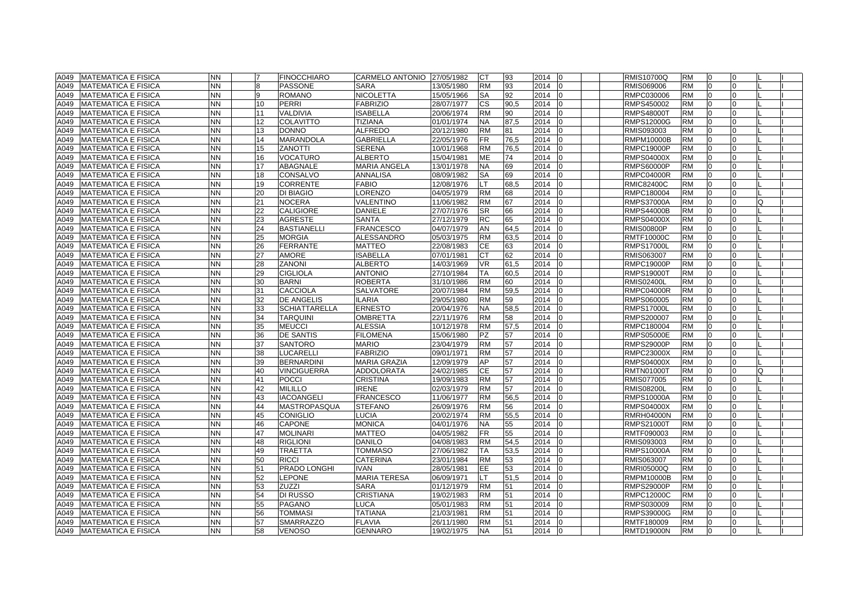| A049 | <b>MATEMATICA E FISICA</b>  | <b>NN</b> | $\overline{7}$ | <b>FINOCCHIARO</b>   | CARMELO ANTONIO     | 27/05/1982 | СT        | 93   | 2014<br>$\overline{0}$ |    | <b>RMIS10700Q</b> | <b>RM</b> | 10             | 0              |   |  |
|------|-----------------------------|-----------|----------------|----------------------|---------------------|------------|-----------|------|------------------------|----|-------------------|-----------|----------------|----------------|---|--|
| A049 | <b>MATEMATICA E FISICA</b>  | <b>NN</b> | 8              | <b>PASSONE</b>       | <b>SARA</b>         | 13/05/1980 | <b>RM</b> | 93   | 2014                   |    | RMIS069006        | <b>RM</b> | l0             | $\overline{0}$ |   |  |
| A049 | <b>MATEMATICA E FISICA</b>  | NN.       | 9              | <b>ROMANO</b>        | <b>NICOLETTA</b>    | 15/05/1966 | SA        | 92   | 2014                   |    | RMPC030006        | <b>RM</b> | $\Omega$       | $\Omega$       |   |  |
| A049 | <b>MATEMATICA E FISICA</b>  | ΝN        | 10             | <b>PERRI</b>         | <b>FABRIZIO</b>     | 28/07/1977 | <b>CS</b> | 90,5 | 2014                   |    | RMPS450002        | <b>RM</b> | $\Omega$       | $\Omega$       |   |  |
| A049 | <b>MATEMATICA E FISICA</b>  | NN.       | 11             | <b>VALDIVIA</b>      | <b>ISABELLA</b>     | 20/06/1974 | <b>RM</b> | 90   | 2014                   |    | <b>RMPS48000T</b> | <b>RM</b> | $\overline{0}$ | 0              |   |  |
| A049 | <b>MATEMATICA E FISICA</b>  | NN        | 12             | <b>COLAVITTO</b>     | TIZIANA             | 01/01/1974 | <b>NA</b> | 87,5 | 2014                   |    | RMPS12000G        | <b>RM</b> | <sup>0</sup>   | 0              |   |  |
| A049 | <b>MATEMATICA E FISICA</b>  | <b>NN</b> | 13             | <b>DONNO</b>         | <b>ALFREDO</b>      | 20/12/1980 | <b>RM</b> | 81   | 2014                   |    | RMIS093003        | <b>RM</b> |                | $\Omega$       |   |  |
| A049 | <b>MATEMATICA E FISICA</b>  | <b>NN</b> | 14             | <b>MARANDOLA</b>     | <b>GABRIELLA</b>    | 22/05/1976 | FR.       | 76,5 | 2014                   |    | <b>RMPM10000B</b> | <b>RM</b> | $\Omega$       | $\Omega$       |   |  |
| A049 | <b>MATEMATICA E FISICA</b>  | <b>NN</b> | 15             | <b>ZANOTTI</b>       | <b>SERENA</b>       | 10/01/1968 | <b>RM</b> | 76,5 | 2014                   |    | RMPC19000P        | <b>RM</b> | l0             | $\Omega$       |   |  |
| A049 | <b>MATEMATICA E FISICA</b>  | <b>NN</b> | 16             | <b>VOCATURO</b>      | <b>ALBERTO</b>      | 15/04/1981 | <b>ME</b> | 74   | 2014                   |    | <b>RMPS04000X</b> | <b>RM</b> | $\Omega$       | $\Omega$       |   |  |
| A049 | <b>MATEMATICA E FISICA</b>  | NN.       | 17             | <b>ABAGNALE</b>      | <b>MARIA ANGELA</b> | 13/01/1978 | <b>NA</b> | 69   | 2014                   |    | <b>RMPS60000P</b> | <b>RM</b> | $\Omega$       | $\Omega$       |   |  |
| A049 | <b>MATEMATICA E FISICA</b>  | <b>NN</b> | 18             | CONSALVO             | <b>ANNALISA</b>     | 08/09/1982 | SA        | 69   | 2014                   |    | <b>RMPC04000R</b> | <b>RM</b> | 0              | $\Omega$       |   |  |
| A049 | <b>MATEMATICA E FISICA</b>  | <b>NN</b> | 19             | <b>CORRENTE</b>      | <b>FABIO</b>        | 12/08/1976 | LT        | 68,5 | 2014                   |    | <b>RMIC82400C</b> | <b>RM</b> | 0              | $\Omega$       |   |  |
| A049 | <b>MATEMATICA E FISICA</b>  | NN        | 20             | <b>DI BIAGIO</b>     | LORENZO             | 04/05/1979 | <b>RM</b> | 68   | 2014                   |    | RMPC180004        | <b>RM</b> | $\Omega$       | $\Omega$       |   |  |
| A049 | <b>MATEMATICA E FISICA</b>  | NN        | 21             | <b>NOCERA</b>        | VALENTINO           | 11/06/1982 | <b>RM</b> | 67   | 2014                   |    | <b>RMPS37000A</b> | <b>RM</b> | <sup>0</sup>   | $\Omega$       |   |  |
| A049 | <b>MATEMATICA E FISICA</b>  | <b>NN</b> | 22             | <b>CALIGIORE</b>     | <b>DANIELE</b>      | 27/07/1976 | <b>SR</b> | 66   | 2014                   |    | <b>RMPS44000B</b> | <b>RM</b> | $\Omega$       | $\Omega$       |   |  |
| A049 | <b>MATEMATICA E FISICA</b>  | <b>NN</b> | 23             | <b>AGRESTE</b>       | <b>SANTA</b>        | 27/12/1979 | <b>RC</b> | 65   | 2014                   |    | <b>RMPS04000X</b> | <b>RM</b> | $\Omega$       | $\Omega$       |   |  |
| A049 | <b>MATEMATICA E FISICA</b>  | NN        | 24             | <b>BASTIANELLI</b>   | <b>FRANCESCO</b>    | 04/07/1979 | AN        | 64,5 | 2014                   |    | <b>RMIS00800P</b> | <b>RM</b> | 0              | $\Omega$       |   |  |
| A049 | <b>MATEMATICA E FISICA</b>  | <b>NN</b> | 25             | <b>MORGIA</b>        | ALESSANDRO          | 05/03/1975 | <b>RM</b> | 63,5 | 2014                   |    | <b>RMTF10000C</b> | <b>RM</b> | $\Omega$       | $\Omega$       |   |  |
| A049 | <b>MATEMATICA E FISICA</b>  | NN.       | 26             | <b>FERRANTE</b>      | <b>MATTEO</b>       | 22/08/1983 | <b>CE</b> | 63   | 2014                   | lo | <b>RMPS17000L</b> | <b>RM</b> | 0              | $\Omega$       |   |  |
| A049 | <b>MATEMATICA E FISICA</b>  | <b>NN</b> | 27             | <b>AMORE</b>         | <b>ISABELLA</b>     | 07/01/1981 | СT        | 62   | 2014                   |    | RMIS063007        | <b>RM</b> | 0              | $\Omega$       |   |  |
| A049 | <b>MATEMATICA E FISICA</b>  | <b>NN</b> | 28             | <b>ZANONI</b>        | <b>ALBERTO</b>      | 14/03/1969 | <b>VR</b> | 61.5 | 2014                   |    | <b>RMPC19000P</b> | <b>RM</b> | $\Omega$       | $\Omega$       |   |  |
| A049 | <b>MATEMATICA E FISICA</b>  | <b>NN</b> | 29             | <b>CIGLIOLA</b>      | <b>ANTONIO</b>      | 27/10/1984 | <b>TA</b> | 60,5 | 2014                   |    | <b>RMPS19000T</b> | <b>RM</b> |                | $\Omega$       |   |  |
| A049 | <b>MATEMATICA E FISICA</b>  | <b>NN</b> | 30             | <b>BARNI</b>         | <b>ROBERTA</b>      | 31/10/1986 | <b>RM</b> | 60   | 2014                   |    | <b>RMIS02400L</b> | <b>RM</b> | $\Omega$       | $\Omega$       |   |  |
| A049 | <b>MATEMATICA E FISICA</b>  | NN.       | 31             | CACCIOLA             | <b>SALVATORE</b>    | 20/07/1984 | <b>RM</b> | 59,5 | 2014                   |    | <b>RMPC04000R</b> | <b>RM</b> | $\Omega$       | $\Omega$       |   |  |
| A049 | <b>MATEMATICA E FISICA</b>  | <b>NN</b> | 32             | <b>DE ANGELIS</b>    | <b>ILARIA</b>       | 29/05/1980 | <b>RM</b> | 59   | 2014                   |    | RMPS060005        | <b>RM</b> | $\Omega$       | $\Omega$       |   |  |
| A049 | <b>MATEMATICA E FISICA</b>  | NN        | 33             | <b>SCHIATTARELLA</b> | <b>ERNESTO</b>      | 20/04/1976 | <b>NA</b> | 58,5 | 2014                   |    | <b>RMPS17000L</b> | <b>RM</b> | $\Omega$       | $\Omega$       |   |  |
| A049 | <b>MATEMATICA E FISICA</b>  | NN        | 34             | <b>TARQUINI</b>      | <b>OMBRETTA</b>     | 22/11/1976 | <b>RM</b> | 58   | 2014                   |    | RMPS200007        | <b>RM</b> | 0              | 0              |   |  |
| A049 | <b>MATEMATICA E FISICA</b>  | NN.       | 35             | <b>MEUCCI</b>        | <b>ALESSIA</b>      | 10/12/1978 | <b>RM</b> | 57,5 | 2014<br>$\Omega$       |    | RMPC180004        | <b>RM</b> | 0              | 0              |   |  |
| A049 | <b>MATEMATICA E FISICA</b>  | NN        | 36             | <b>DE SANTIS</b>     | <b>FILOMENA</b>     | 15/06/1980 | PZ        | 57   | 2014                   |    | RMPS05000E        | <b>RM</b> | <sup>0</sup>   | $\Omega$       |   |  |
| A049 | <b>MATEMATICA E FISICA</b>  | NN        | 37             | <b>SANTORO</b>       | <b>MARIO</b>        | 23/04/1979 | RM        | 57   | 2014                   |    | RMPS29000P        | <b>RM</b> |                | $\Omega$       |   |  |
| A049 | <b>MATEMATICA E FISICA</b>  | <b>NN</b> | 38             | <b>LUCARELLI</b>     | <b>FABRIZIO</b>     | 09/01/1971 | <b>RM</b> | 57   | 2014                   |    | <b>RMPC23000X</b> | <b>RM</b> | $\Omega$       | $\Omega$       |   |  |
| A049 | <b>MATEMATICA E FISICA</b>  | <b>NN</b> | 39             | <b>BERNARDINI</b>    | <b>MARIA GRAZIA</b> | 12/09/1979 | AP        | 57   | 2014                   |    | <b>RMPS04000X</b> | <b>RM</b> | $\Omega$       | $\Omega$       |   |  |
| A049 | <b>MATEMATICA E FISICA</b>  | <b>NN</b> | 40             | <b>VINCIGUERRA</b>   | <b>ADDOLORATA</b>   | 24/02/1985 | CE        | 57   | 2014                   |    | <b>RMTN01000T</b> | <b>RM</b> | 0              | 0              | O |  |
| A049 | <b>MATEMATICA E FISICA</b>  | <b>NN</b> | 41             | <b>POCCI</b>         | <b>CRISTINA</b>     | 19/09/1983 | <b>RM</b> | 57   | 2014                   |    | RMIS077005        | <b>RM</b> | $\Omega$       | $\Omega$       |   |  |
| A049 | <b>MATEMATICA E FISICA</b>  | NN        | 42             | <b>MILILLO</b>       | <b>IRENE</b>        | 02/03/1979 | RM        | 57   | 2014                   |    | RMIS08200L        | <b>RM</b> | 0              | 0              |   |  |
| A049 | <b>MATEMATICA E FISICA</b>  | <b>NN</b> | 43             | <b>IACOANGELI</b>    | <b>FRANCESCO</b>    | 11/06/1977 | <b>RM</b> | 56,5 | 2014                   |    | <b>RMPS10000A</b> | <b>RM</b> | 0              | $\Omega$       |   |  |
| A049 | <b>MATEMATICA E FISICA</b>  | NN.       | 44             | <b>MASTROPASQUA</b>  | <b>STEFANO</b>      | 26/09/1976 | <b>RM</b> | 56   | 2014                   | 10 | <b>RMPS04000X</b> | <b>RM</b> | $\overline{0}$ | 0              |   |  |
| A049 | <b>MATEMATICA E FISICA</b>  | <b>NN</b> | 45             | <b>CONIGLIO</b>      | <b>LUCIA</b>        | 20/02/1974 | <b>RM</b> | 55,5 | 2014                   |    | <b>RMRH04000N</b> | <b>RM</b> |                | $\Omega$       |   |  |
| A049 | <b>MATEMATICA E FISICA</b>  | NN        | 46             | <b>CAPONE</b>        | <b>MONICA</b>       | 04/01/1976 | NA.       | 55   | 2014                   |    | RMPS21000T        | <b>RM</b> |                | $\Omega$       |   |  |
| A049 | <b>MATEMATICA E FISICA</b>  | <b>NN</b> | 47             | <b>MOLINARI</b>      | <b>MATTEO</b>       | 04/05/1982 | FR.       | 55   | 2014                   |    | RMTF090003        | <b>RM</b> | $\Omega$       | $\Omega$       |   |  |
| A049 | <b>MATEMATICA E FISICA</b>  | <b>NN</b> | 48             | <b>RIGLIONI</b>      | <b>DANILO</b>       | 04/08/1983 | <b>RM</b> | 54,5 | 2014                   |    | RMIS093003        | <b>RM</b> | $\Omega$       | $\Omega$       |   |  |
| A049 | <b>MATEMATICA E FISICA</b>  | NN.       | 49             | <b>TRAETTA</b>       | <b>TOMMASO</b>      | 27/06/1982 | <b>TA</b> | 53,5 | 2014                   |    | <b>RMPS10000A</b> | <b>RM</b> | $\Omega$       | $\Omega$       |   |  |
| A049 | <b>MATEMATICA E FISICA</b>  | NN.       | 50             | <b>RICCI</b>         | <b>CATERINA</b>     | 23/01/1984 | <b>RM</b> | 53   | 2014                   |    | RMIS063007        | <b>RM</b> | $\Omega$       | $\Omega$       |   |  |
| A049 | <b>MATEMATICA E FISICA</b>  | NN.       | 51             | PRADO LONGHI         | <b>IVAN</b>         | 28/05/1981 | EE.       | 53   | 2014                   |    | <b>RMRI05000Q</b> | <b>RM</b> | l0             | $\Omega$       |   |  |
| A049 | <b>MATEMATICA E FISICA</b>  | <b>NN</b> | 52             | <b>LEPONE</b>        | <b>MARIA TERESA</b> | 06/09/1971 | LT        | 51.5 | 2014                   |    | RMPM10000B        | <b>RM</b> | $\Omega$       | $\Omega$       |   |  |
| A049 | <b>MATEMATICA E FISICA</b>  | <b>NN</b> | 53             | <b>ZUZZI</b>         | <b>SARA</b>         | 01/12/1979 | <b>RM</b> | 51   | 2014                   |    | <b>RMPS29000P</b> | <b>RM</b> | $\Omega$       | $\Omega$       |   |  |
| A049 | <b>MATEMATICA E FISICA</b>  | <b>NN</b> | 54             | DI RUSSO             | <b>CRISTIANA</b>    | 19/02/1983 | <b>RM</b> | 51   | 2014                   |    | RMPC12000C        | <b>RM</b> | $\Omega$       | $\Omega$       |   |  |
| A049 | <b>MATEMATICA E FISICA</b>  | <b>NN</b> | 55             | PAGANO               | <b>LUCA</b>         | 05/01/1983 | <b>RM</b> | 51   | 2014                   |    | RMPS030009        | <b>RM</b> | $\Omega$       | $\Omega$       |   |  |
| A049 | <b>MATEMATICA E FISICA</b>  | <b>NN</b> | 56             | <b>TOMMASI</b>       | <b>TATIANA</b>      | 21/03/1981 | <b>RM</b> | 51   | 2014                   |    | <b>RMPS39000G</b> | <b>RM</b> | $\Omega$       | $\Omega$       |   |  |
| A049 | <b>IMATEMATICA E FISICA</b> | <b>NN</b> | 57             | <b>SMARRAZZO</b>     | <b>FLAVIA</b>       | 26/11/1980 | <b>RM</b> | 51   | 2014                   |    | RMTF180009        | <b>RM</b> | $\Omega$       | $\Omega$       |   |  |
|      | A049 MATEMATICA E FISICA    | <b>NN</b> | 58             | <b>VENOSO</b>        | <b>GENNARO</b>      | 19/02/1975 | <b>NA</b> | 51   | 2014<br>10             |    | <b>RMTD19000N</b> | <b>RM</b> | $\Omega$       | $\Omega$       |   |  |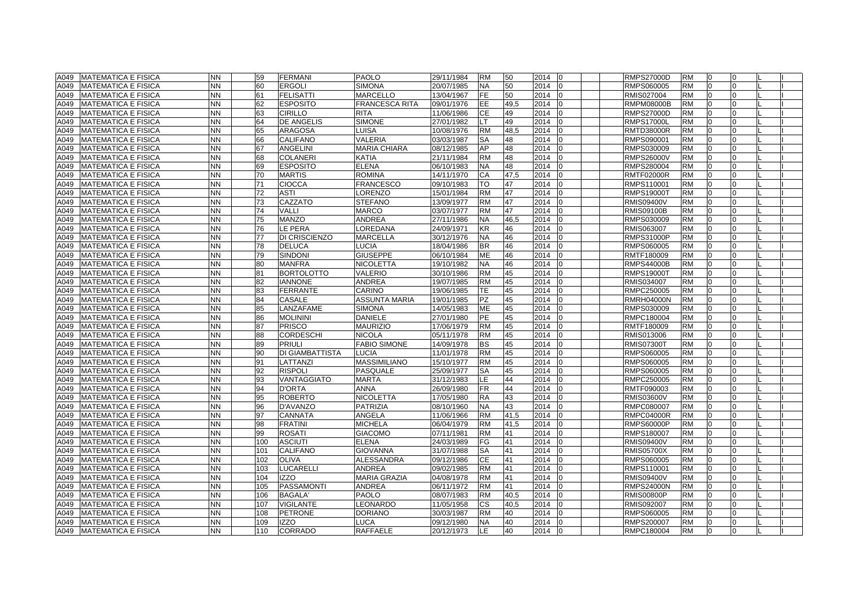| A049<br><b>MATEMATICA E FISICA</b>  | <b>NN</b> | 59  | <b>FERMANI</b>    | <b>PAOLO</b>          | 29/11/1984 | <b>RM</b> | 50   | 2014<br>l0             | <b>RMPS27000D</b> | <b>RM</b> | $\Omega$       |              |  |
|-------------------------------------|-----------|-----|-------------------|-----------------------|------------|-----------|------|------------------------|-------------------|-----------|----------------|--------------|--|
| A049<br><b>MATEMATICA E FISICA</b>  | <b>NN</b> | 60  | <b>ERGOLI</b>     | <b>SIMONA</b>         | 20/07/1985 | <b>NA</b> | 50   | 2014<br>$\overline{0}$ | RMPS060005        | <b>RM</b> | $\Omega$       | <sup>0</sup> |  |
| A049<br><b>MATEMATICA E FISICA</b>  | NN        | 61  | <b>FELISATTI</b>  | <b>MARCELLO</b>       | 13/04/1967 | <b>FE</b> | 50   | 2014<br>I <sub>0</sub> | RMIS027004        | <b>RM</b> | $\Omega$       | $\Omega$     |  |
| <b>MATEMATICA E FISICA</b><br>A049  | NΝ        | 62  | <b>ESPOSITO</b>   | <b>FRANCESCA RITA</b> | 09/01/1976 | EE.       | 49,5 | 2014<br>I0             | RMPM08000B        | <b>RM</b> | $\Omega$       | <sup>0</sup> |  |
| <b>MATEMATICA E FISICA</b><br>A049  | <b>NN</b> | 63  | <b>CIRILLO</b>    | <b>RITA</b>           | 11/06/1986 | <b>CE</b> | 49   | 2014                   | <b>RMPS27000D</b> | <b>RM</b> | $\Omega$       | <sup>0</sup> |  |
| <b>MATEMATICA E FISICA</b><br>A049  | NN.       | 64  | DE ANGELIS        | <b>SIMONE</b>         | 27/01/1982 | LT.       | 49   | 2014<br>I0             | <b>RMPS17000L</b> | <b>RM</b> | $\overline{0}$ | $\Omega$     |  |
| A049<br><b>MATEMATICA E FISICA</b>  | <b>NN</b> | 65  | <b>ARAGOSA</b>    | LUISA                 | 10/08/1976 | <b>RM</b> | 48,5 | 2014                   | <b>RMTD38000R</b> | <b>RM</b> | $\Omega$       |              |  |
| A049<br><b>MATEMATICA E FISICA</b>  | NN        | 66  | CALIFANO          | VALERIA               | 03/03/1987 | SA        | 48   | 2014                   | RMPS090001        | <b>RM</b> |                |              |  |
| <b>MATEMATICA E FISICA</b><br>A049  | <b>NN</b> | 67  | <b>ANGELINI</b>   | <b>MARIA CHIARA</b>   | 08/12/1985 | AP        | 48   | 2014<br>l0             | RMPS030009        | <b>RM</b> | $\Omega$       |              |  |
| A049<br><b>IMATEMATICA E FISICA</b> | <b>NN</b> | 68  | <b>COLANERI</b>   | <b>KATIA</b>          | 21/11/1984 | <b>RM</b> | 48   | 2014                   | <b>RMPS26000V</b> | <b>RM</b> | $\Omega$       | $\Omega$     |  |
| A049<br><b>MATEMATICA E FISICA</b>  | <b>NN</b> | 69  | <b>ESPOSITO</b>   | <b>ELENA</b>          | 06/10/1983 | <b>NA</b> | 48   | 2014<br>I <sub>0</sub> | RMPS280004        | <b>RM</b> | $\Omega$       | $\Omega$     |  |
| A049<br><b>MATEMATICA E FISICA</b>  | <b>NN</b> | 70  | <b>MARTIS</b>     | <b>ROMINA</b>         | 14/11/1970 | CA        | 47.5 | 2014                   | <b>RMTF02000R</b> | <b>RM</b> | $\Omega$       | $\Omega$     |  |
| <b>MATEMATICA E FISICA</b><br>A049  | <b>NN</b> | 71  | <b>CIOCCA</b>     | <b>FRANCESCO</b>      | 09/10/1983 | <b>TO</b> | 47   | 2014<br>l0             | RMPS110001        | <b>RM</b> | $\Omega$       | $\Omega$     |  |
| A049<br><b>MATEMATICA E FISICA</b>  | NΝ        | 72  | ASTI              | _ORENZO               | 15/01/1984 | <b>RM</b> | 47   | 2014<br>$\Omega$       | <b>RMPS19000T</b> | <b>RM</b> | $\overline{0}$ | <sup>0</sup> |  |
| A049<br><b>MATEMATICA E FISICA</b>  | NN        | 73  | CAZZATO           | <b>STEFANO</b>        | 13/09/1977 | <b>RM</b> | 47   | 2014<br>10             | <b>RMIS09400V</b> | <b>RM</b> | 0              |              |  |
| A049<br><b>MATEMATICA E FISICA</b>  | <b>NN</b> | 74  | VALLI             | <b>MARCO</b>          | 03/07/1977 | <b>RM</b> | 47   | 2014<br>I <sub>0</sub> | <b>RMIS09100B</b> | <b>RM</b> | $\Omega$       |              |  |
| <b>MATEMATICA E FISICA</b><br>A049  | NN        | 75  | <b>MANZO</b>      | <b>ANDREA</b>         | 27/11/1986 | <b>NA</b> | 46,5 | 2014                   | RMPS030009        | <b>RM</b> | $\Omega$       |              |  |
| A049<br><b>MATEMATICA E FISICA</b>  | <b>NN</b> | 76  | LE PERA           | LOREDANA              | 24/09/1971 | KR        | 46   | 2014<br>10             | RMIS063007        | <b>RM</b> | $\Omega$       | <sup>0</sup> |  |
| A049<br><b>MATEMATICA E FISICA</b>  | <b>NN</b> | 77  | DI CRISCIENZO     | <b>MARCELLA</b>       | 30/12/1976 | <b>NA</b> | 46   | 2014                   | <b>RMPS31000P</b> | <b>RM</b> | $\Omega$       | <sup>0</sup> |  |
| <b>MATEMATICA E FISICA</b><br>A049  | NN        | 78  | <b>DELUCA</b>     | LUCIA                 | 18/04/1986 | <b>BR</b> | 46   | 2014<br>-10            | RMPS060005        | <b>RM</b> | $\overline{0}$ | $\Omega$     |  |
| A049<br><b>MATEMATICA E FISICA</b>  | <b>NN</b> | 79  | SINDONI           | <b>GIUSEPPE</b>       | 06/10/1984 | <b>ME</b> | 46   | 2014                   | RMTF180009        | <b>RM</b> | $\overline{0}$ | $\Omega$     |  |
| <b>MATEMATICA E FISICA</b><br>A049  | NN        | 80  | <b>MANFRA</b>     | <b>NICOLETTA</b>      | 19/10/1982 | NA.       | 46   | 2014<br>$\Omega$       | <b>RMPS44000B</b> | <b>RM</b> | $\Omega$       | <sup>0</sup> |  |
| A049<br><b>MATEMATICA E FISICA</b>  | NN.       | 81  | <b>BORTOLOTTO</b> | VALERIO               | 30/10/1986 | <b>RM</b> | 45   | 2014                   | <b>RMPS19000T</b> | <b>RM</b> | $\Omega$       |              |  |
| A049<br><b>MATEMATICA E FISICA</b>  | <b>NN</b> | 82  | <b>IANNONE</b>    | <b>ANDREA</b>         | 19/07/1985 | <b>RM</b> | 45   | 2014                   | RMIS034007        | <b>RM</b> | $\Omega$       |              |  |
| <b>MATEMATICA E FISICA</b><br>A049  | <b>NN</b> | 83  | <b>FERRANTE</b>   | CARINO                | 19/06/1985 | TE.       | 45   | 2014<br>l0             | RMPC250005        | <b>RM</b> | $\Omega$       | $\Omega$     |  |
| A049<br><b>IMATEMATICA E FISICA</b> | <b>NN</b> | 84  | CASALE            | <b>ASSUNTA MARIA</b>  | 19/01/1985 | <b>PZ</b> | 45   | 2014                   | <b>RMRH04000N</b> | <b>RM</b> | $\Omega$       | $\Omega$     |  |
| A049<br><b>MATEMATICA E FISICA</b>  | <b>NN</b> | 85  | LANZAFAME         | <b>SIMONA</b>         | 14/05/1983 | ME        | 45   | 2014                   | RMPS030009        | <b>RM</b> | $\Omega$       | <sup>0</sup> |  |
| A049<br><b>MATEMATICA E FISICA</b>  | <b>NN</b> | 86  | <b>MOLININI</b>   | <b>DANIELE</b>        | 27/01/1980 | PE        | 45   | 2014                   | RMPC180004        | <b>RM</b> | $\Omega$       | $\Omega$     |  |
| <b>MATEMATICA E FISICA</b><br>A049  | NN.       | 87  | <b>PRISCO</b>     | <b>MAURIZIO</b>       | 17/06/1979 | <b>RM</b> | 45   | 2014<br>I <sub>0</sub> | RMTF180009        | <b>RM</b> | $\overline{0}$ | $\Omega$     |  |
| <b>MATEMATICA E FISICA</b><br>A049  | NN        | 88  | <b>CORDESCHI</b>  | <b>NICOLA</b>         | 05/11/1978 | <b>RM</b> | 45   | 2014                   | RMIS013006        | <b>RM</b> | $\Omega$       |              |  |
| A049<br><b>MATEMATICA E FISICA</b>  | NN        | 89  | <b>PRIULI</b>     | <b>FABIO SIMONE</b>   | 14/09/1978 | ВS        | 45   | 2014                   | <b>RMIS07300T</b> | <b>RM</b> |                |              |  |
| A049<br><b>MATEMATICA E FISICA</b>  | <b>NN</b> | 90  | DI GIAMBATTISTA   | <b>LUCIA</b>          | 11/01/1978 | <b>RM</b> | 45   | 2014<br>lo             | RMPS060005        | <b>RM</b> | $\Omega$       |              |  |
| A049<br><b>MATEMATICA E FISICA</b>  | <b>NN</b> | 91  | LATTANZI          | <b>MASSIMILIANO</b>   | 15/10/1977 | <b>RM</b> | 45   | 2014<br>I <sub>0</sub> | RMPS060005        | <b>RM</b> | $\Omega$       | <sup>0</sup> |  |
| A049<br><b>MATEMATICA E FISICA</b>  | NN        | 92  | <b>RISPOLI</b>    | PASQUALE              | 25/09/1977 | <b>SA</b> | 45   | 2014<br>$\overline{0}$ | RMPS060005        | <b>RM</b> | $\overline{0}$ | $\Omega$     |  |
| A049<br><b>MATEMATICA E FISICA</b>  | <b>NN</b> | 93  | VANTAGGIATO       | <b>MARTA</b>          | 31/12/1983 | LE.       | 44   | 2014                   | RMPC250005        | <b>RM</b> | $\Omega$       | <sup>0</sup> |  |
| A049<br><b>MATEMATICA E FISICA</b>  | <b>NN</b> | 94  | <b>D'ORTA</b>     | <b>ANNA</b>           | 26/09/1980 | FR.       | 44   | 2014<br>I0             | RMTF090003        | <b>RM</b> | $\Omega$       | <sup>o</sup> |  |
| A049<br><b>MATEMATICA E FISICA</b>  | <b>NN</b> | 95  | <b>ROBERTO</b>    | <b>NICOLETTA</b>      | 17/05/1980 | <b>RA</b> | 43   | 2014<br>I <sub>0</sub> | <b>RMIS03600V</b> | <b>RM</b> | $\overline{0}$ | $\Omega$     |  |
| A049<br><b>MATEMATICA E FISICA</b>  | NN        | 96  | D'AVANZO          | <b>PATRIZIA</b>       | 08/10/1960 | <b>NA</b> | 43   | 2014<br>10             | RMPC080007        | <b>RM</b> | $\Omega$       | $\Omega$     |  |
| A049<br><b>MATEMATICA E FISICA</b>  | <b>NN</b> | 97  | CANNATA           | <b>ANGELA</b>         | 11/06/1966 | <b>RM</b> | 41,5 | 2014                   | <b>RMPC04000R</b> | <b>RM</b> |                |              |  |
| <b>MATEMATICA E FISICA</b><br>A049  | NN        | 98  | FRATINI           | MICHELA               | 06/04/1979 | <b>RM</b> | 41,5 | 2014                   | <b>RMPS60000P</b> | <b>RM</b> |                |              |  |
| A049<br><b>MATEMATICA E FISICA</b>  | <b>NN</b> | 99  | <b>ROSATI</b>     | <b>GIACOMO</b>        | 07/11/1981 | <b>RM</b> | 41   | 2014<br>I <sub>0</sub> | RMPS180007        | <b>RM</b> | $\Omega$       | <sup>0</sup> |  |
| A049<br><b>MATEMATICA E FISICA</b>  | NN        | 100 | <b>ASCIUTI</b>    | <b>ELENA</b>          | 24/03/1989 | FG        | 41   | 2014<br>$\Omega$       | <b>RMIS09400V</b> | <b>RM</b> | $\Omega$       | $\Omega$     |  |
| <b>MATEMATICA E FISICA</b><br>A049  | NΝ        | 101 | CALIFANO          | <b>GIOVANNA</b>       | 31/07/1988 | SA        | 41   | 2014                   | <b>RMIS05700X</b> | <b>RM</b> | $\Omega$       | <sup>0</sup> |  |
| A049<br><b>MATEMATICA E FISICA</b>  | <b>NN</b> | 102 | <b>OLIVA</b>      | ALESSANDRA            | 09/12/1986 | <b>CE</b> | 41   | 2014                   | RMPS060005        | <b>RM</b> | $\Omega$       | <sup>0</sup> |  |
| <b>MATEMATICA E FISICA</b><br>A049  | NN        | 103 | LUCARELLI         | <b>ANDREA</b>         | 09/02/1985 | <b>RM</b> | 41   | 2014<br>I0             | RMPS110001        | <b>RM</b> | $\overline{0}$ | $\Omega$     |  |
| A049<br><b>MATEMATICA E FISICA</b>  | <b>NN</b> | 104 | <b>IZZO</b>       | <b>MARIA GRAZIA</b>   | 04/08/1978 | <b>RM</b> | 41   | 2014                   | <b>RMIS09400V</b> | <b>RM</b> | $\Omega$       |              |  |
| A049<br><b>MATEMATICA E FISICA</b>  | NN        | 105 | PASSAMONTI        | <b>ANDREA</b>         | 06/11/1972 | <b>RM</b> | 41   | 2014                   | <b>RMPS24000N</b> | <b>RM</b> |                |              |  |
| <b>MATEMATICA E FISICA</b><br>A049  | <b>NN</b> | 106 | <b>BAGALA</b>     | <b>PAOLO</b>          | 08/07/1983 | <b>RM</b> | 40.5 | 2014<br>l0             | <b>RMIS00800P</b> | <b>RM</b> | $\Omega$       |              |  |
| A049<br><b>IMATEMATICA E FISICA</b> | <b>NN</b> | 107 | <b>VIGILANTE</b>  | LEONARDO              | 11/05/1958 | <b>CS</b> | 40.5 | 2014<br>$\Omega$       | <b>RMIS092007</b> | <b>RM</b> | $\Omega$       | $\Omega$     |  |
| A049<br><b>MATEMATICA E FISICA</b>  | <b>NN</b> | 108 | <b>PETRONE</b>    | <b>DORIANO</b>        | 30/03/1987 | <b>RM</b> | 40   | 2014<br>In             | RMPS060005        | <b>RM</b> | $\Omega$       | $\Omega$     |  |
| A049<br><b>MATEMATICA E FISICA</b>  | <b>NN</b> | 109 | <b>IZZO</b>       | LUCA                  | 09/12/1980 | NA.       | 40   | 2014<br>IΩ             | RMPS200007        | <b>RM</b> | $\overline{0}$ | $\Omega$     |  |
| A049 MATEMATICA E FISICA            | <b>NN</b> | 110 | CORRADO           | <b>RAFFAELE</b>       | 20/12/1973 | LE.       | 40   | $2014$ 0               | RMPC180004        | <b>RM</b> | $\overline{0}$ | $\Omega$     |  |
|                                     |           |     |                   |                       |            |           |      |                        |                   |           |                |              |  |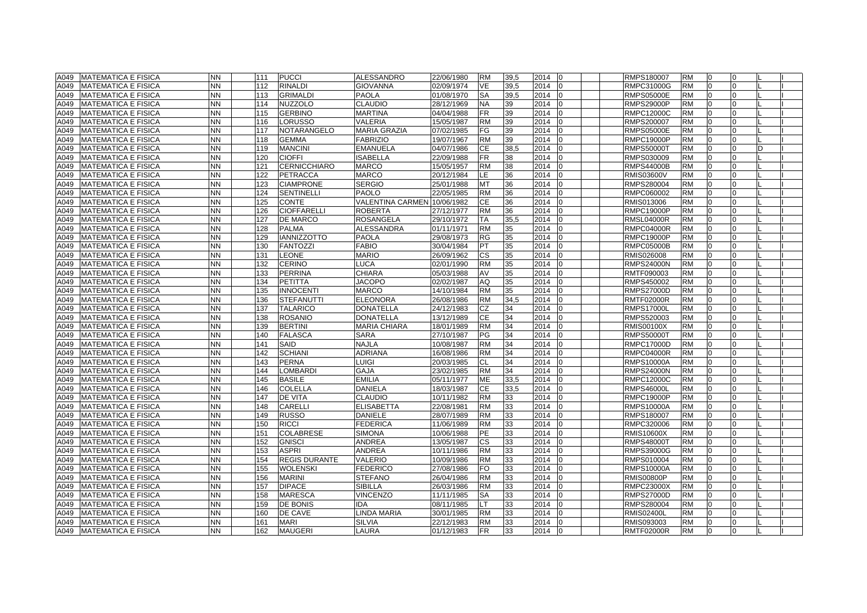| A049 | <b>MATEMATICA E FISICA</b> | <b>NN</b> | 111 | <b>PUCCI</b>         | ALESSANDRO              | 22/06/1980 | <b>RM</b> | 39,5 | 2014<br>I0       | RMPS180007        | <b>RM</b> | $\overline{0}$ |              |  |
|------|----------------------------|-----------|-----|----------------------|-------------------------|------------|-----------|------|------------------|-------------------|-----------|----------------|--------------|--|
| A049 | <b>MATEMATICA E FISICA</b> | <b>NN</b> | 112 | <b>RINALDI</b>       | GIOVANNA                | 02/09/1974 | VE        | 39,5 | 2014             | RMPC31000G        | <b>RM</b> | $\Omega$       |              |  |
| A049 | <b>MATEMATICA E FISICA</b> | <b>NN</b> | 113 | <b>GRIMALDI</b>      | <b>PAOLA</b>            | 01/08/1970 | <b>SA</b> | 39,5 | 2014             | <b>RMPS05000E</b> | <b>RM</b> | $\Omega$       | $\Omega$     |  |
| A049 | <b>MATEMATICA E FISICA</b> | <b>NN</b> | 114 | <b>NUZZOLO</b>       | CLAUDIO                 | 28/12/1969 | <b>NA</b> | 39   | 2014             | <b>RMPS29000P</b> | <b>RM</b> | $\Omega$       | $\Omega$     |  |
| A049 | <b>MATEMATICA E FISICA</b> | <b>NN</b> | 115 | <b>GERBINO</b>       | <b>MARTINA</b>          | 04/04/1988 | <b>FR</b> | 39   | 2014             | <b>RMPC12000C</b> | <b>RM</b> | $\overline{0}$ | $\Omega$     |  |
| A049 | <b>MATEMATICA E FISICA</b> | <b>NN</b> | 116 | LORUSSO              | VALERIA                 | 15/05/1987 | <b>RM</b> | 39   | 2014<br>ın       | RMPS200007        | <b>RM</b> | $\overline{0}$ | <sup>0</sup> |  |
| A049 | <b>MATEMATICA E FISICA</b> | <b>NN</b> | 117 | NOTARANGELO          | <b>MARIA GRAZIA</b>     | 07/02/1985 | FG        | 39   | 2014             | <b>RMPS05000E</b> | <b>RM</b> | $\overline{0}$ | $\Omega$     |  |
| A049 | <b>MATEMATICA E FISICA</b> | <b>NN</b> | 118 | GEMMA                | <b>FABRIZIO</b>         | 19/07/1967 | <b>RM</b> | 39   | 2014             | <b>RMPC19000P</b> | <b>RM</b> | $\Omega$       | n            |  |
| A049 | <b>MATEMATICA E FISICA</b> | <b>NN</b> | 119 | <b>MANCINI</b>       | <b>EMANUELA</b>         | 04/07/1986 | CE        | 38,5 | 2014             | <b>RMPS50000T</b> | <b>RM</b> | $\Omega$       |              |  |
| A049 | <b>MATEMATICA E FISICA</b> | <b>NN</b> | 120 | <b>CIOFFI</b>        | <b>ISABELLA</b>         | 22/09/1988 | <b>FR</b> | 38   | 2014             | RMPS030009        | <b>RM</b> | $\Omega$       | $\Omega$     |  |
| A049 | <b>MATEMATICA E FISICA</b> | <b>NN</b> | 121 | <b>CERNICCHIARO</b>  | <b>MARCO</b>            | 15/05/1957 | <b>RM</b> | 38   | 2014             | <b>RMPS44000B</b> | <b>RM</b> | $\Omega$       | $\Omega$     |  |
| A049 | <b>MATEMATICA E FISICA</b> | <b>NN</b> | 122 | <b>PETRACCA</b>      | <b>MARCO</b>            | 20/12/1984 | LE.       | 36   | 2014             | <b>RMIS03600V</b> | <b>RM</b> | $\Omega$       | $\Omega$     |  |
| A049 | <b>MATEMATICA E FISICA</b> | <b>NN</b> | 123 | <b>CIAMPRONE</b>     | <b>SERGIO</b>           | 25/01/1988 | MT        | 36   | 2014<br>ın       | RMPS280004        | <b>RM</b> | $\overline{0}$ | <sup>0</sup> |  |
| A049 | <b>MATEMATICA E FISICA</b> | <b>NN</b> | 124 | <b>SENTINELLI</b>    | <b>PAOLO</b>            | 22/05/1985 | <b>RM</b> | 36   | 2014             | RMPC060002        | <b>RM</b> | $\overline{0}$ | $\Omega$     |  |
| A049 | <b>MATEMATICA E FISICA</b> | <b>NN</b> | 125 | <b>CONTE</b>         | <b>VALENTINA CARMEN</b> | 10/06/1982 | CЕ        | 36   | 2014<br>10       | RMIS013006        | <b>RM</b> | $\overline{0}$ | 0            |  |
| A049 | <b>MATEMATICA E FISICA</b> | <b>NN</b> | 126 | <b>CIOFFARELLI</b>   | <b>ROBERTA</b>          | 27/12/1977 | <b>RM</b> | 36   | 2014             | <b>RMPC19000P</b> | <b>RM</b> | $\Omega$       |              |  |
| A049 | <b>MATEMATICA E FISICA</b> | <b>NN</b> | 127 | <b>DE MARCO</b>      | <b>ROSANGELA</b>        | 29/10/1972 | TA        | 35,5 | 2014             | <b>RMSL04000R</b> | <b>RM</b> | $\Omega$       |              |  |
| A049 | <b>MATEMATICA E FISICA</b> | <b>NN</b> | 128 | <b>PALMA</b>         | ALESSANDRA              | 01/11/1971 | <b>RM</b> | 35   | 2014<br>l0       | <b>RMPC04000R</b> | <b>RM</b> | $\overline{0}$ | $\Omega$     |  |
| A049 | <b>MATEMATICA E FISICA</b> | <b>NN</b> | 129 | <b>IANNIZZOTTO</b>   | <b>PAOLA</b>            | 29/08/1973 | RG        | 35   | 2014             | <b>RMPC19000P</b> | <b>RM</b> | $\Omega$       | $\Omega$     |  |
| A049 | <b>MATEMATICA E FISICA</b> | <b>NN</b> | 130 | <b>FANTOZZI</b>      | <b>FABIO</b>            | 30/04/1984 | PT        | 35   | 2014             | <b>RMPC05000B</b> | <b>RM</b> | $\overline{0}$ | $\Omega$     |  |
| A049 | <b>MATEMATICA E FISICA</b> | <b>NN</b> | 131 | <b>LEONE</b>         | <b>MARIO</b>            | 26/09/1962 | СS        | 35   | 2014             | RMIS026008        | <b>RM</b> | $\Omega$       | $\Omega$     |  |
| A049 | <b>MATEMATICA E FISICA</b> | <b>NN</b> | 132 | <b>CERINO</b>        | LUCA                    | 02/01/1990 | <b>RM</b> | 35   | 2014             | <b>RMPS24000N</b> | <b>RM</b> | $\Omega$       | <sup>n</sup> |  |
| A049 | <b>MATEMATICA E FISICA</b> | <b>NN</b> | 133 | <b>PERRINA</b>       | <b>CHIARA</b>           | 05/03/1988 | AV        | 35   | 2014             | RMTF090003        | <b>RM</b> | $\Omega$       |              |  |
| A049 | <b>MATEMATICA E FISICA</b> | <b>NN</b> | 134 | <b>PETITTA</b>       | <b>JACOPO</b>           | 02/02/1987 | AQ        | 35   | 2014             | RMPS450002        | <b>RM</b> | $\Omega$       | U            |  |
| A049 | <b>MATEMATICA E FISICA</b> | <b>NN</b> | 135 | <b>INNOCENTI</b>     | <b>MARCO</b>            | 14/10/1984 | <b>RM</b> | 35   | 2014<br>I٥       | <b>RMPS27000D</b> | <b>RM</b> | $\Omega$       | $\Omega$     |  |
| A049 | <b>MATEMATICA E FISICA</b> | <b>NN</b> | 136 | <b>STEFANUTTI</b>    | <b>ELEONORA</b>         | 26/08/1986 | <b>RM</b> | 34.5 | 2014             | <b>RMTF02000R</b> | <b>RM</b> | $\Omega$       | $\Omega$     |  |
| A049 | <b>MATEMATICA E FISICA</b> | <b>NN</b> | 137 | <b>TALARICO</b>      | <b>DONATELLA</b>        | 24/12/1983 | CZ        | 34   | 2014             | <b>RMPS17000L</b> | <b>RM</b> | $\overline{0}$ | <sup>0</sup> |  |
| A049 | <b>MATEMATICA E FISICA</b> | <b>NN</b> | 138 | <b>ROSANIO</b>       | <b>DONATELLA</b>        | 13/12/1989 | <b>CE</b> | 34   | 2014             | RMPS520003        | <b>RM</b> | $\Omega$       | $\Omega$     |  |
| A049 | <b>MATEMATICA E FISICA</b> | <b>NN</b> | 139 | <b>BERTINI</b>       | <b>MARIA CHIARA</b>     | 18/01/1989 | <b>RM</b> | 34   | 2014<br>ın       | <b>RMIS00100X</b> | <b>RM</b> | $\overline{0}$ | $\Omega$     |  |
| A049 | <b>MATEMATICA E FISICA</b> | <b>NN</b> | 140 | <b>FALASCA</b>       | <b>SARA</b>             | 27/10/1987 | PG        | 34   | 2014             | <b>RMPS50000T</b> | <b>RM</b> | $\Omega$       |              |  |
| A049 | <b>MATEMATICA E FISICA</b> | <b>NN</b> | 141 | SAID                 | <b>NAJLA</b>            | 10/08/1987 | <b>RM</b> | 34   | 2014             | <b>RMPC17000D</b> | <b>RM</b> |                |              |  |
| A049 | <b>MATEMATICA E FISICA</b> | <b>NN</b> | 142 | <b>SCHIANI</b>       | <b>ADRIANA</b>          | 16/08/1986 | <b>RM</b> | 34   | 2014<br>In       | RMPC04000R        | <b>RM</b> | $\Omega$       |              |  |
| A049 | <b>MATEMATICA E FISICA</b> | <b>NN</b> | 143 | <b>PERNA</b>         | LUIGI                   | 20/03/1985 | CL        | 34   | 2014<br>$\Omega$ | <b>RMPS10000A</b> | <b>RM</b> | $\Omega$       | $\Omega$     |  |
| A049 | <b>MATEMATICA E FISICA</b> | <b>NN</b> | 144 | <b>LOMBARDI</b>      | <b>GAJA</b>             | 23/02/1985 | <b>RM</b> | 34   | 2014<br>n        | <b>RMPS24000N</b> | <b>RM</b> | $\overline{0}$ | $\Omega$     |  |
| A049 | <b>MATEMATICA E FISICA</b> | <b>NN</b> | 145 | <b>BASILE</b>        | <b>EMILIA</b>           | 05/11/1977 | ME        | 33,5 | 2014             | RMPC12000C        | <b>RM</b> | $\overline{0}$ | $\Omega$     |  |
| A049 | <b>MATEMATICA E FISICA</b> | <b>NN</b> | 146 | <b>COLELLA</b>       | DANIELA                 | 18/03/1987 | CЕ        | 33,5 | 2014             | <b>RMPS46000L</b> | <b>RM</b> | $\Omega$       | $\Omega$     |  |
| A049 | <b>MATEMATICA E FISICA</b> | <b>NN</b> | 147 | DE VITA              | CLAUDIO                 | 10/11/1982 | <b>RM</b> | 33   | 2014             | <b>RMPC19000P</b> | <b>RM</b> | $\overline{0}$ | $\Omega$     |  |
| A049 | <b>MATEMATICA E FISICA</b> | <b>NN</b> | 148 | CARELLI              | <b>ELISABETTA</b>       | 22/08/1981 | <b>RM</b> | 33   | 2014             | <b>RMPS10000A</b> | <b>RM</b> | $\Omega$       | O            |  |
| A049 | <b>MATEMATICA E FISICA</b> | <b>NN</b> | 149 | <b>RUSSO</b>         | <b>DANIELE</b>          | 28/07/1989 | <b>RM</b> | 33   | 2014<br>$\Omega$ | RMPS180007        | <b>RM</b> | $\Omega$       |              |  |
| A049 | <b>MATEMATICA E FISICA</b> | <b>NN</b> | 150 | <b>RICCI</b>         | <b>FEDERICA</b>         | 11/06/1989 | <b>RM</b> | 33   | 2014             | RMPC320006        | <b>RM</b> | $\Omega$       | $\Omega$     |  |
| A049 | <b>MATEMATICA E FISICA</b> | <b>NN</b> | 151 | <b>COLABRESE</b>     | <b>SIMONA</b>           | 10/06/1988 | <b>PE</b> | 33   | 2014             | <b>RMIS10600X</b> | <b>RM</b> | $\Omega$       | $\Omega$     |  |
| A049 | <b>MATEMATICA E FISICA</b> | <b>NN</b> | 152 | <b>GNISCI</b>        | <b>ANDREA</b>           | 13/05/1987 | <b>CS</b> | 33   | 2014             | <b>RMPS48000T</b> | <b>RM</b> | $\Omega$       | $\Omega$     |  |
| A049 | <b>MATEMATICA E FISICA</b> | <b>NN</b> | 153 | <b>ASPRI</b>         | <b>ANDREA</b>           | 10/11/1986 | <b>RM</b> | 33   | 2014             | RMPS39000G        | <b>RM</b> | $\Omega$       | <sup>0</sup> |  |
| A049 | <b>MATEMATICA E FISICA</b> | <b>NN</b> | 154 | <b>REGIS DURANTE</b> | VALERIO                 | 10/09/1986 | <b>RM</b> | 33   | 2014             | RMPS010004        | <b>RM</b> | $\overline{0}$ | $\Omega$     |  |
| A049 | <b>MATEMATICA E FISICA</b> | <b>NN</b> | 155 | WOLENSKI             | <b>FEDERICO</b>         | 27/08/1986 | FO.       | 33   | 2014             | <b>RMPS10000A</b> | <b>RM</b> | $\Omega$       | <sup>n</sup> |  |
| A049 | <b>MATEMATICA E FISICA</b> | <b>NN</b> | 156 | <b>MARINI</b>        | <b>STEFANO</b>          | 26/04/1986 | <b>RM</b> | 33   | 2014             | <b>RMIS00800P</b> | <b>RM</b> | $\Omega$       |              |  |
| A049 | <b>MATEMATICA E FISICA</b> | <b>NN</b> | 157 | <b>DIPACE</b>        | <b>SIBILLA</b>          | 26/03/1986 | <b>RM</b> | 33   | 2014             | <b>RMPC23000X</b> | <b>RM</b> | $\Omega$       |              |  |
| A049 | <b>MATEMATICA E FISICA</b> | <b>NN</b> | 158 | <b>MARESCA</b>       | <b>VINCENZO</b>         | 11/11/1985 | <b>SA</b> | 33   | 2014             | <b>RMPS27000D</b> | <b>RM</b> | $\overline{0}$ | $\Omega$     |  |
| A049 | <b>MATEMATICA E FISICA</b> | <b>NN</b> | 159 | <b>DE BONIS</b>      | <b>IDA</b>              | 08/11/1985 | LT.       | 33   | 2014             | RMPS280004        | <b>RM</b> | $\Omega$       | $\Omega$     |  |
| A049 | <b>MATEMATICA E FISICA</b> | <b>NN</b> | 160 | DE CAVE              | LINDA MARIA             | 30/01/1985 | <b>RM</b> | 33   | 2014             | <b>RMIS02400L</b> | <b>RM</b> | $\Omega$       | $\Omega$     |  |
| A049 | <b>MATEMATICA E FISICA</b> | <b>NN</b> | 161 | <b>MARI</b>          | <b>SILVIA</b>           | 22/12/1983 | <b>RM</b> | 33   | 2014<br>In       | RMIS093003        | <b>RM</b> | $\overline{0}$ | $\Omega$     |  |
| A049 | <b>MATEMATICA E FISICA</b> | <b>NN</b> | 162 | <b>MAUGERI</b>       | LAURA                   | 01/12/1983 | <b>FR</b> | 33   | 2014 0           | <b>RMTF02000R</b> | <b>RM</b> | $\overline{0}$ | $\Omega$     |  |
|      |                            |           |     |                      |                         |            |           |      |                  |                   |           |                |              |  |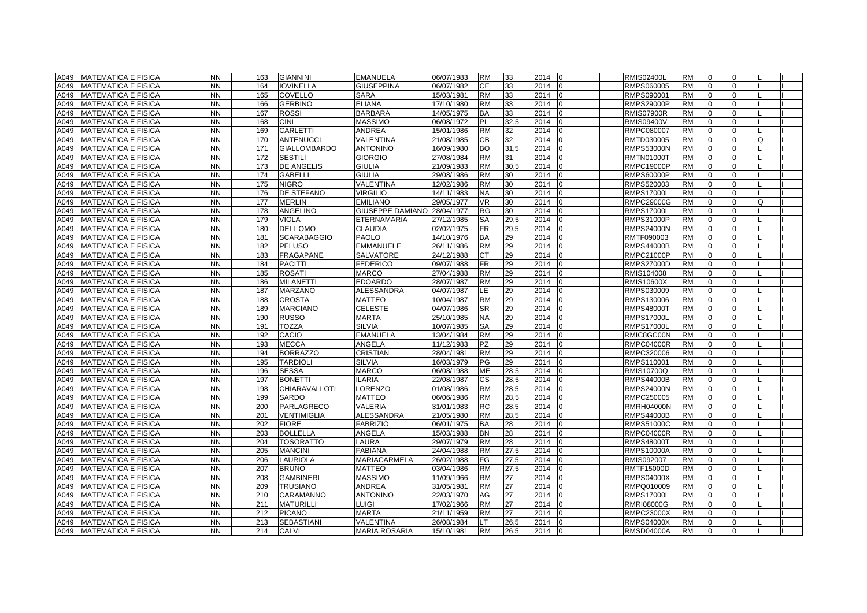| A049 | <b>MATEMATICA E FISICA</b> | <b>NN</b>              | 163        | <b>GIANNINI</b>     | <b>EMANUELA</b>                  | 06/07/1983 | <b>RM</b>       | 33       | 2014<br>$\overline{0}$ | <b>RMIS02400L</b>                      | <b>RM</b>              | l0             | 0        |    |  |
|------|----------------------------|------------------------|------------|---------------------|----------------------------------|------------|-----------------|----------|------------------------|----------------------------------------|------------------------|----------------|----------|----|--|
| A049 | <b>MATEMATICA E FISICA</b> | <b>NN</b>              | 164        | <b>IOVINELLA</b>    | <b>GIUSEPPINA</b>                | 06/07/1982 | СE              | 33       | 2014<br>lo             | RMPS060005                             | <b>RM</b>              | $\Omega$       | $\Omega$ |    |  |
| A049 | <b>MATEMATICA E FISICA</b> | <b>NN</b>              | 165        | <b>COVELLO</b>      | <b>SARA</b>                      | 15/03/1981 | <b>RM</b>       | 33       | 2014                   | RMPS090001                             | <b>RM</b>              | $\Omega$       | $\Omega$ |    |  |
| A049 | <b>MATEMATICA E FISICA</b> | <b>NN</b>              | 166        | <b>GERBINO</b>      | <b>ELIANA</b>                    | 17/10/1980 | <b>RM</b>       | 33       | 2014<br>١O             | <b>RMPS29000P</b>                      | <b>RM</b>              | <sup>0</sup>   | $\Omega$ |    |  |
| A049 | <b>MATEMATICA E FISICA</b> | <b>NN</b>              | 167        | <b>ROSSI</b>        | <b>BARBARA</b>                   | 14/05/1975 | <b>BA</b>       | 33       | 2014<br>$\Omega$       | <b>RMIS07900R</b>                      | <b>RM</b>              | 0              | $\Omega$ |    |  |
| A049 | <b>MATEMATICA E FISICA</b> | <b>NN</b>              | 168        | <b>CINI</b>         | <b>MASSIMO</b>                   | 06/08/1972 | ΡI              | 32,5     | 2014                   | <b>RMIS09400V</b>                      | <b>RM</b>              |                | $\Omega$ |    |  |
| A049 | <b>MATEMATICA E FISICA</b> | <b>NN</b>              | 169        | CARLETTI            | <b>ANDREA</b>                    | 15/01/1986 | <b>RM</b>       | 32       | 2014                   | RMPC080007                             | <b>RM</b>              |                |          |    |  |
| A049 | <b>MATEMATICA E FISICA</b> | <b>NN</b>              | 170        | <b>ANTENUCCI</b>    | VALENTINA                        | 21/08/1985 | <b>CB</b>       | 32       | 2014                   | RMTD030005                             | <b>RM</b>              |                | $\Omega$ | l0 |  |
| A049 | <b>MATEMATICA E FISICA</b> | <b>NN</b>              | 171        | <b>GIALLOMBARDO</b> | <b>ANTONINO</b>                  | 16/09/1980 | <b>BO</b>       | 31.5     | 2014<br>$\Omega$       | <b>RMPS53000N</b>                      | <b>RM</b>              | $\Omega$       | $\Omega$ |    |  |
| A049 | <b>MATEMATICA E FISICA</b> | <b>NN</b>              | 172        | <b>SESTILI</b>      | <b>GIORGIO</b>                   | 27/08/1984 | <b>RM</b>       | 31       | 2014                   | <b>RMTN01000T</b>                      | <b>RM</b>              | $\Omega$       | $\Omega$ |    |  |
| A049 | <b>MATEMATICA E FISICA</b> | <b>NN</b>              | 173        | <b>DE ANGELIS</b>   | <b>GIULIA</b>                    | 21/09/1983 | <b>RM</b>       | 30,5     | 2014                   | <b>RMPC19000P</b>                      | <b>RM</b>              | $\Omega$       | $\Omega$ |    |  |
| A049 | <b>MATEMATICA E FISICA</b> | <b>NN</b>              | 174        | <b>GABELLI</b>      | <b>GIULIA</b>                    | 29/08/1986 | <b>RM</b>       | 30       | 2014                   | <b>RMPS60000P</b>                      | <b>RM</b>              | $\Omega$       | $\Omega$ |    |  |
| A049 | <b>MATEMATICA E FISICA</b> | <b>NN</b>              | 175        | <b>NIGRO</b>        | VALENTINA                        | 12/02/1986 | <b>RM</b>       | 30       | 2014<br>l0             | RMPS520003                             | <b>RM</b>              | $\Omega$       | $\Omega$ |    |  |
| A049 | <b>MATEMATICA E FISICA</b> | <b>NN</b>              | 176        | DE STEFANO          | <b>VIRGILIO</b>                  | 14/11/1983 | NA              | 30       | 2014                   | <b>RMPS17000L</b>                      | <b>RM</b>              |                |          |    |  |
| A049 | <b>MATEMATICA E FISICA</b> | <b>NN</b>              | 177        | MERLIN              | <b>EMILIANO</b>                  | 29/05/1977 | VR              | 30       | 2014                   | <b>RMPC29000G</b>                      | <b>RM</b>              |                |          | O  |  |
| A049 | <b>MATEMATICA E FISICA</b> | <b>NN</b>              | 178        | ANGELINO            | GIUSEPPE DAMIANO                 | 28/04/1977 | <b>RG</b>       | 30       | 2014                   | <b>RMPS17000L</b>                      | <b>RM</b>              |                | $\Omega$ |    |  |
| A049 | <b>MATEMATICA E FISICA</b> | <b>NN</b>              | 179        | <b>VIOLA</b>        | <b>ETERNAMARIA</b>               | 27/12/1985 | <b>SA</b>       | 29,5     | 2014                   | <b>RMPS31000P</b>                      | <b>RM</b>              | $\Omega$       | $\Omega$ |    |  |
| A049 | <b>MATEMATICA E FISICA</b> | <b>NN</b>              | 180        | DELL'OMO            | <b>CLAUDIA</b>                   | 02/02/1975 | FR.             | 29,5     | 2014                   | <b>RMPS24000N</b>                      | <b>RM</b>              | $\Omega$       | $\Omega$ |    |  |
| A049 | <b>MATEMATICA E FISICA</b> | <b>NN</b>              | 181        | SCARABAGGIO         | <b>PAOLO</b>                     | 14/10/1976 | <b>BA</b>       | 29       | 2014                   | RMTF090003                             | <b>RM</b>              | $\Omega$       | $\Omega$ |    |  |
| A049 | <b>MATEMATICA E FISICA</b> | <b>NN</b>              | 182        | <b>PELUSO</b>       | <b>EMMANUELE</b>                 | 26/11/1986 | <b>RM</b>       | 29       | 2014<br>lo             | <b>RMPS44000B</b>                      | <b>RM</b>              | 0              | $\Omega$ |    |  |
| A049 | <b>MATEMATICA E FISICA</b> | <b>NN</b>              | 183        | FRAGAPANE           | SALVATORE                        | 24/12/1988 | <b>CT</b>       | 29       | 2014                   | RMPC21000P                             | <b>RM</b>              | $\Omega$       | 0        |    |  |
| A049 | <b>MATEMATICA E FISICA</b> | <b>NN</b>              | 184        | <b>PACITTI</b>      | <b>FEDERICO</b>                  | 09/07/1988 | <b>FR</b>       | 29       | 2014                   | <b>RMPS27000D</b>                      | <b>RM</b>              |                | U        |    |  |
| A049 | <b>MATEMATICA E FISICA</b> | <b>NN</b>              | 185        | <b>ROSATI</b>       | <b>MARCO</b>                     | 27/04/1988 | <b>RM</b>       | 29       | 2014                   | RMIS104008                             | <b>RM</b>              |                |          |    |  |
| A049 | <b>MATEMATICA E FISICA</b> | <b>NN</b>              | 186        | <b>MILANETTI</b>    | <b>EDOARDO</b>                   | 28/07/1987 | <b>RM</b>       | 29       | 2014<br>lo             | <b>RMIS10600X</b>                      | <b>RM</b>              | $\Omega$       | $\Omega$ |    |  |
| A049 | <b>MATEMATICA E FISICA</b> | <b>NN</b>              | 187        | <b>MARZANO</b>      | <b>ALESSANDRA</b>                | 04/07/1987 | LE.             | 29       | 2014<br>lo             | RMPS030009                             | <b>RM</b>              | $\Omega$       | $\Omega$ |    |  |
| A049 | <b>MATEMATICA E FISICA</b> | <b>NN</b>              | 188        | <b>CROSTA</b>       | <b>MATTEO</b>                    | 10/04/1987 | <b>RM</b>       | 29       | 2014                   | RMPS130006                             | <b>RM</b>              | $\Omega$       | $\Omega$ |    |  |
|      |                            | <b>NN</b>              | 189        | <b>MARCIANO</b>     | <b>CELESTE</b>                   |            | <b>SR</b>       | 29       | 2014                   |                                        | <b>RM</b>              | $\Omega$       | $\Omega$ |    |  |
| A049 | <b>MATEMATICA E FISICA</b> | <b>NN</b>              | 190        | <b>RUSSO</b>        | <b>MARTA</b>                     | 04/07/1986 | <b>NA</b>       | 29       | 2014                   | <b>RMPS48000T</b><br><b>RMPS17000L</b> | <b>RM</b>              | 0              | $\Omega$ |    |  |
| A049 | <b>MATEMATICA E FISICA</b> |                        |            | <b>TOZZA</b>        |                                  | 25/10/1985 |                 |          |                        |                                        |                        | <sup>0</sup>   | $\Omega$ |    |  |
| A049 | <b>MATEMATICA E FISICA</b> | <b>NN</b>              | 191<br>192 | CACIO               | <b>SILVIA</b><br><b>EMANUELA</b> | 10/07/1985 | SA              | 29<br>29 | 2014<br>lo             | <b>RMPS17000L</b>                      | <b>RM</b><br><b>RM</b> |                |          |    |  |
| A049 | <b>MATEMATICA E FISICA</b> | <b>NN</b><br><b>NN</b> | 193        | <b>MECCA</b>        | <b>ANGELA</b>                    | 13/04/1984 | <b>RM</b><br>PZ | 29       | 2014<br>2014           | RMIC8GC00N                             | <b>RM</b>              |                | $\Omega$ |    |  |
| A049 | <b>MATEMATICA E FISICA</b> | <b>NN</b>              |            | <b>BORRAZZO</b>     |                                  | 11/12/1983 | <b>RM</b>       |          |                        | <b>RMPC04000R</b>                      | <b>RM</b>              | $\Omega$       | $\Omega$ |    |  |
| A049 | <b>MATEMATICA E FISICA</b> |                        | 194        |                     | <b>CRISTIAN</b>                  | 28/04/1981 |                 | 29       | 2014<br>l0             | RMPC320006                             |                        |                |          |    |  |
| A049 | <b>MATEMATICA E FISICA</b> | <b>NN</b>              | 195        | <b>TARDIOLI</b>     | <b>SILVIA</b>                    | 16/03/1979 | PG              | 29       | 2014                   | RMPS110001                             | <b>RM</b>              |                | $\Omega$ |    |  |
| A049 | <b>MATEMATICA E FISICA</b> | <b>NN</b>              | 196        | <b>SESSA</b>        | <b>MARCO</b>                     | 06/08/1988 | ME              | 28,5     | 2014                   | <b>RMIS10700Q</b>                      | <b>RM</b>              | $\Omega$       | $\Omega$ |    |  |
| A049 | <b>MATEMATICA E FISICA</b> | <b>NN</b>              | 197        | <b>BONETTI</b>      | <b>ILARIA</b>                    | 22/08/1987 | <b>CS</b>       | 28,5     | 2014                   | <b>RMPS44000B</b>                      | <b>RM</b>              | 0              | $\Omega$ |    |  |
| A049 | <b>MATEMATICA E FISICA</b> | <b>NN</b>              | 198        | CHIARAVALLOTI       | <b>ORENZO</b>                    | 01/08/1986 | <b>RM</b>       | 28,5     | 2014<br>lo             | <b>RMPS24000N</b>                      | <b>RM</b>              | 0              | $\Omega$ |    |  |
| A049 | <b>MATEMATICA E FISICA</b> | <b>NN</b>              | 199        | <b>SARDO</b>        | <b>MATTEO</b>                    | 06/06/1986 | <b>RM</b>       | 28,5     | 2014                   | RMPC250005                             | <b>RM</b>              |                | $\Omega$ |    |  |
| A049 | <b>MATEMATICA E FISICA</b> | <b>NN</b>              | 200        | PARLAGRECO          | VALERIA                          | 31/01/1983 | <b>RC</b>       | 28,5     | 2014                   | <b>RMRH04000N</b>                      | <b>RM</b>              |                | $\Omega$ |    |  |
| A049 | <b>MATEMATICA E FISICA</b> | <b>NN</b>              | 201        | <b>VENTIMIGLIA</b>  | <b>ALESSANDRA</b>                | 21/05/1980 | <b>RM</b>       | 28,5     | 2014                   | <b>RMPS44000B</b>                      | <b>RM</b>              |                | $\Omega$ |    |  |
| A049 | <b>MATEMATICA E FISICA</b> | <b>NN</b>              | 202        | <b>FIORE</b>        | <b>FABRIZIO</b>                  | 06/01/1975 | BA              | 28       | 2014                   | <b>RMPS51000C</b>                      | <b>RM</b>              | $\Omega$       | $\Omega$ |    |  |
| A049 | <b>MATEMATICA E FISICA</b> | <b>NN</b>              | 203        | <b>BOLLELLA</b>     | ANGELA                           | 15/03/1988 | <b>BN</b>       | 28       | 2014                   | <b>RMPC04000R</b>                      | <b>RM</b>              | $\Omega$       | $\Omega$ |    |  |
| A049 | <b>MATEMATICA E FISICA</b> | <b>NN</b>              | 204        | TOSORATTO           | LAURA                            | 29/07/1979 | <b>RM</b>       | 28       | 2014                   | <b>RMPS48000T</b>                      | <b>RM</b>              | $\Omega$       | $\Omega$ |    |  |
| A049 | <b>MATEMATICA E FISICA</b> | <b>NN</b>              | 205        | <b>MANCINI</b>      | <b>FABIANA</b>                   | 24/04/1988 | <b>RM</b>       | 27,5     | 2014<br>١O             | RMPS10000A                             | <b>RM</b>              | 0              | $\Omega$ |    |  |
| A049 | <b>MATEMATICA E FISICA</b> | <b>NN</b>              | 206        | LAURIOLA            | MARIACARMELA                     | 26/02/1988 | FG              | 27,5     | 2014<br>$\Omega$       | RMIS092007                             | <b>RM</b>              | $\Omega$       | $\Omega$ |    |  |
| A049 | <b>MATEMATICA E FISICA</b> | <b>NN</b>              | 207        | <b>BRUNO</b>        | <b>MATTEO</b>                    | 03/04/1986 | <b>RM</b>       | 27,5     | 2014                   | <b>RMTF15000D</b>                      | <b>RM</b>              |                | U        |    |  |
| A049 | <b>MATEMATICA E FISICA</b> | <b>NN</b>              | 208        | GAMBINERI           | <b>MASSIMO</b>                   | 11/09/1966 | <b>RM</b>       | 27       | 2014                   | <b>RMPS04000X</b>                      | <b>RM</b>              |                |          |    |  |
| A049 | <b>MATEMATICA E FISICA</b> | <b>NN</b>              | 209        | <b>TRUSIANO</b>     | <b>ANDREA</b>                    | 31/05/1981 | <b>RM</b>       | 27       | 2014<br>l0             | RMPQ010009                             | <b>RM</b>              | $\Omega$       | $\Omega$ |    |  |
| A049 | <b>MATEMATICA E FISICA</b> | <b>NN</b>              | 210        | CARAMANNO           | <b>ANTONINO</b>                  | 22/03/1970 | AG              | 27       | 2014<br>lo             | <b>RMPS17000L</b>                      | <b>RM</b>              | $\overline{0}$ | $\Omega$ |    |  |
| A049 | <b>MATEMATICA E FISICA</b> | <b>NN</b>              | 211        | <b>MATURILLI</b>    | LUIGI                            | 17/02/1966 | <b>RM</b>       | 27       | 2014                   | <b>RMRI08000G</b>                      | <b>RM</b>              | $\Omega$       | $\Omega$ |    |  |
| A049 | <b>MATEMATICA E FISICA</b> | <b>NN</b>              | 212        | <b>PICANO</b>       | <b>MARTA</b>                     | 21/11/1959 | <b>RM</b>       | 27       | 2014                   | <b>RMPC23000X</b>                      | <b>RM</b>              | $\Omega$       | $\Omega$ |    |  |
| A049 | <b>MATEMATICA E FISICA</b> | <b>NN</b>              | 213        | SEBASTIANI          | <b>VALENTINA</b>                 | 26/08/1984 | LT.             | 26,5     | 2014<br>l0             | <b>RMPS04000X</b>                      | <b>RM</b>              | $\overline{0}$ | $\Omega$ |    |  |
| A049 | <b>MATEMATICA E FISICA</b> | <b>NN</b>              | 214        | CALVI               | <b>MARIA ROSARIA</b>             | 15/10/1981 | <b>RM</b>       | 26.5     | 2014 0                 | <b>RMSD04000A</b>                      | <b>RM</b>              | $\overline{0}$ | $\Omega$ |    |  |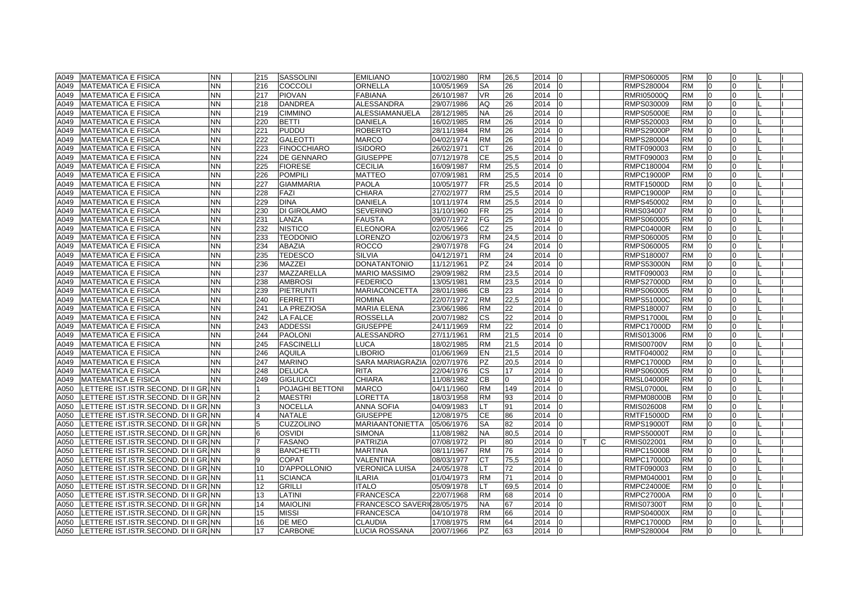| A049 | <b>MATEMATICA E FISICA</b>            | <b>NN</b> | 215            | <b>SASSOLINI</b>   | <b>EMILIANO</b>         | 10/02/1980 | <b>RM</b> | 26,5     | 2014   | I0       |    | RMPS060005        | RM        | $\Omega$       |              |  |
|------|---------------------------------------|-----------|----------------|--------------------|-------------------------|------------|-----------|----------|--------|----------|----|-------------------|-----------|----------------|--------------|--|
| A049 | <b>MATEMATICA E FISICA</b>            | <b>NN</b> | 216            | <b>COCCOLI</b>     | ORNELLA                 | 10/05/1969 | SA        | 26       | 2014   |          |    | RMPS280004        | <b>RM</b> | $\Omega$       |              |  |
| A049 | <b>MATEMATICA E FISICA</b>            | <b>NN</b> | 217            | <b>PIOVAN</b>      | <b>FABIANA</b>          | 26/10/1987 | <b>VR</b> | 26       | 2014   |          |    | <b>RMRI05000Q</b> | <b>RM</b> | $\Omega$       | $\Omega$     |  |
| A049 | <b>MATEMATICA E FISICA</b>            | <b>NN</b> | 218            | <b>DANDREA</b>     | ALESSANDRA              | 29/07/1986 | AQ        | 26       | 2014   |          |    | RMPS030009        | <b>RM</b> | $\Omega$       | $\Omega$     |  |
| A049 | <b>MATEMATICA E FISICA</b>            | <b>NN</b> | 219            | <b>CIMMINO</b>     | ALESSIAMANUELA          | 28/12/1985 | <b>NA</b> | 26       | 2014   |          |    | <b>RMPS05000E</b> | <b>RM</b> | $\overline{0}$ | $\Omega$     |  |
| A049 | <b>MATEMATICA E FISICA</b>            | <b>NN</b> | 220            | <b>BETTI</b>       | <b>DANIELA</b>          | 16/02/1985 | <b>RM</b> | 26       | 2014   | ın       |    | RMPS520003        | <b>RM</b> | $\overline{0}$ | <sup>0</sup> |  |
| A049 | <b>MATEMATICA E FISICA</b>            | <b>NN</b> | 221            | <b>PUDDU</b>       | <b>ROBERTO</b>          | 28/11/1984 | <b>RM</b> | 26       | 2014   |          |    | <b>RMPS29000P</b> | <b>RM</b> | $\overline{0}$ | $\Omega$     |  |
| A049 | <b>MATEMATICA E FISICA</b>            | <b>NN</b> | 222            | <b>GALEOTTI</b>    | <b>MARCO</b>            | 04/02/1974 | <b>RM</b> | 26       | 2014   |          |    | RMPS280004        | <b>RM</b> | $\Omega$       | n            |  |
| A049 | <b>MATEMATICA E FISICA</b>            | <b>NN</b> | 223            | <b>FINOCCHIARO</b> | <b>ISIDORO</b>          | 26/02/1971 | <b>CT</b> | 26       | 2014   |          |    | RMTF090003        | <b>RM</b> | $\Omega$       |              |  |
| A049 | <b>MATEMATICA E FISICA</b>            | <b>NN</b> | 224            | <b>DE GENNARO</b>  | <b>GIUSEPPE</b>         | 07/12/1978 | <b>CE</b> | 25,5     | 2014   |          |    | RMTF090003        | <b>RM</b> | $\overline{0}$ | $\Omega$     |  |
| A049 | <b>MATEMATICA E FISICA</b>            | <b>NN</b> | 225            | <b>FIORESE</b>     | <b>CECILIA</b>          | 16/09/1987 | <b>RM</b> | 25,5     | 2014   |          |    | RMPC180004        | <b>RM</b> | $\overline{0}$ | $\Omega$     |  |
| A049 | <b>MATEMATICA E FISICA</b>            | <b>NN</b> | 226            | <b>POMPILI</b>     | <b>MATTEO</b>           | 07/09/1981 | <b>RM</b> | 25,5     | 2014   |          |    | <b>RMPC19000P</b> | <b>RM</b> | $\Omega$       | $\Omega$     |  |
| A049 | <b>MATEMATICA E FISICA</b>            | <b>NN</b> | 227            | <b>GIAMMARIA</b>   | <b>PAOLA</b>            | 10/05/1977 | <b>FR</b> | 25,5     | 2014   | IΩ       |    | RMTF15000D        | <b>RM</b> | $\overline{0}$ | <sup>0</sup> |  |
| A049 | <b>MATEMATICA E FISICA</b>            | <b>NN</b> | 228            | FAZI               | CHIARA                  | 27/02/1977 | <b>RM</b> | 25,5     | 2014   |          |    | <b>RMPC19000P</b> | <b>RM</b> | $\overline{0}$ | $\Omega$     |  |
| A049 | <b>MATEMATICA E FISICA</b>            | <b>NN</b> | 229            | <b>DINA</b>        | DANIELA                 | 10/11/1974 | <b>RM</b> | 25,5     | 2014   | lo       |    | RMPS450002        | <b>RM</b> | $\overline{0}$ | 0            |  |
| A049 | <b>MATEMATICA E FISICA</b>            | <b>NN</b> | 230            | DI GIROLAMO        | <b>SEVERINO</b>         | 31/10/1960 | FR        | 25       | 2014   |          |    | RMIS034007        | <b>RM</b> | $\Omega$       |              |  |
| A049 | <b>MATEMATICA E FISICA</b>            | <b>NN</b> | 231            | LANZA              | <b>FAUSTA</b>           | 09/07/1972 | FG        | 25       | 2014   |          |    | RMPS060005        | <b>RM</b> | $\Omega$       |              |  |
| A049 | <b>MATEMATICA E FISICA</b>            | <b>NN</b> | 232            | <b>NISTICO</b>     | <b>ELEONORA</b>         | 02/05/1966 | <b>CZ</b> | 25       | 2014   | l0       |    | <b>RMPC04000R</b> | <b>RM</b> | $\overline{0}$ | $\Omega$     |  |
| A049 | <b>MATEMATICA E FISICA</b>            | <b>NN</b> | 233            | <b>TEODONIO</b>    | LORENZO                 | 02/06/1973 | <b>RM</b> | 24,5     | 2014   |          |    | RMPS060005        | <b>RM</b> | $\Omega$       | $\Omega$     |  |
| A049 | <b>MATEMATICA E FISICA</b>            | <b>NN</b> | 234            | ABAZIA             | <b>ROCCO</b>            | 29/07/1978 | FG        | 24       | 2014   |          |    | RMPS060005        | <b>RM</b> | 0              | $\Omega$     |  |
| A049 | <b>MATEMATICA E FISICA</b>            | <b>NN</b> | 235            | <b>TEDESCO</b>     | <b>SILVIA</b>           | 04/12/1971 | <b>RM</b> | 24       | 2014   |          |    | RMPS180007        | <b>RM</b> | $\Omega$       | $\Omega$     |  |
| A049 | <b>MATEMATICA E FISICA</b>            | <b>NN</b> | 236            | MAZZEI             | <b>DONATANTONIO</b>     | 11/12/1961 | <b>PZ</b> | 24       | 2014   |          |    | <b>RMPS53000N</b> | <b>RM</b> | $\Omega$       | <sup>n</sup> |  |
| A049 | <b>MATEMATICA E FISICA</b>            | <b>NN</b> | 237            | MAZZARELLA         | <b>MARIO MASSIMO</b>    | 29/09/1982 | <b>RM</b> | 23,5     | 2014   |          |    | RMTF090003        | <b>RM</b> | $\Omega$       |              |  |
| A049 | <b>MATEMATICA E FISICA</b>            | <b>NN</b> | 238            | <b>AMBROSI</b>     | <b>FEDERICO</b>         | 13/05/1981 | <b>RM</b> | 23,5     | 2014   |          |    | <b>RMPS27000D</b> | <b>RM</b> | $\Omega$       | U            |  |
| A049 | <b>MATEMATICA E FISICA</b>            | <b>NN</b> | 239            | <b>PIETRUNTI</b>   | <b>MARIACONCETTA</b>    | 28/01/1986 | <b>CB</b> | 23       | 2014   | In       |    | RMPS060005        | <b>RM</b> | $\Omega$       | $\Omega$     |  |
| A049 | <b>MATEMATICA E FISICA</b>            | <b>NN</b> | 240            | <b>FERRETTI</b>    | <b>ROMINA</b>           | 22/07/1972 | <b>RM</b> | 22.5     | 2014   |          |    | <b>RMPS51000C</b> | <b>RM</b> | $\Omega$       | $\Omega$     |  |
| A049 | <b>MATEMATICA E FISICA</b>            | <b>NN</b> | 241            | LA PREZIOSA        | <b>MARIA ELENA</b>      | 23/06/1986 | <b>RM</b> | 22       | 2014   |          |    | RMPS180007        | <b>RM</b> | $\Omega$       | <sup>0</sup> |  |
| A049 | <b>MATEMATICA E FISICA</b>            | <b>NN</b> | 242            | LA FALCE           | <b>ROSSELLA</b>         | 20/07/1982 | CS        | 22       | 2014   |          |    | <b>RMPS17000L</b> | <b>RM</b> | $\Omega$       | $\Omega$     |  |
| A049 | <b>MATEMATICA E FISICA</b>            | <b>NN</b> | 243            | <b>ADDESSI</b>     | <b>GIUSEPPE</b>         | 24/11/1969 | <b>RM</b> | 22       | 2014   | IO       |    | <b>RMPC17000D</b> | <b>RM</b> | $\overline{0}$ | $\Omega$     |  |
| A049 | <b>MATEMATICA E FISICA</b>            | <b>NN</b> | 244            | <b>PAOLONI</b>     | ALESSANDRO              | 27/11/1961 | <b>RM</b> | 21,5     | 2014   |          |    | RMIS013006        | <b>RM</b> | $\Omega$       |              |  |
| A049 | <b>MATEMATICA E FISICA</b>            | <b>NN</b> | 245            | <b>FASCINELLI</b>  | LUCA                    | 18/02/1985 | <b>RM</b> | 21,5     | 2014   |          |    | <b>RMIS00700V</b> | <b>RM</b> |                |              |  |
| A049 | <b>MATEMATICA E FISICA</b>            | <b>NN</b> | 246            | <b>AQUILA</b>      | <b>LIBORIO</b>          | 01/06/1969 | <b>EN</b> | 21,5     | 2014   | In       |    | RMTF040002        | <b>RM</b> | $\Omega$       |              |  |
| A049 | <b>MATEMATICA E FISICA</b>            | <b>NN</b> | 247            | <b>MARINO</b>      | <b>SARA MARIAGRAZIA</b> | 02/07/1976 | <b>PZ</b> | 20,5     | 2014   | $\Omega$ |    | <b>RMPC17000D</b> | <b>RM</b> | $\Omega$       | $\Omega$     |  |
| A049 | <b>MATEMATICA E FISICA</b>            | <b>NN</b> | 248            | <b>DELUCA</b>      | <b>RITA</b>             | 22/04/1976 | <b>CS</b> | 17       | 2014   |          |    | RMPS060005        | <b>RM</b> | $\overline{0}$ | $\Omega$     |  |
| A049 | <b>MATEMATICA E FISICA</b>            | <b>NN</b> | 249            | <b>GIGLIUCCI</b>   | CHIARA                  | 11/08/1982 | <b>CB</b> | $\Omega$ | 2014   |          |    | <b>RMSL04000R</b> | <b>RM</b> | $\overline{0}$ | $\Omega$     |  |
| A050 | LETTERE IST.ISTR.SECOND. DI II GR.INN |           |                | POJAGHI BETTONI    | <b>MARCO</b>            | 04/11/1960 | <b>RM</b> | 149      | 2014   |          |    | RMSL07000L        | <b>RM</b> | $\Omega$       | $\Omega$     |  |
| A050 | LETTERE IST.ISTR.SECOND. DI II GR.INN |           | $\overline{2}$ | MAESTRI            | LORETTA                 | 18/03/1958 | <b>RM</b> | 93       | 2014   |          |    | <b>RMPM08000B</b> | <b>RM</b> | $\overline{0}$ | $\Omega$     |  |
| A050 | LETTERE IST.ISTR.SECOND. DI II GR.INN |           | 3              | NOCELLA            | <b>ANNA SOFIA</b>       | 04/09/1983 | _T        | 91       | 2014   |          |    | RMIS026008        | <b>RM</b> | $\overline{0}$ | U            |  |
| A050 | LETTERE IST.ISTR.SECOND. DI II GR.INN |           | $\Delta$       | NATALE             | <b>GIUSEPPE</b>         | 12/08/1975 | CE        | 86       | 2014   | $\Omega$ |    | RMTF15000D        | <b>RM</b> | $\Omega$       |              |  |
| A050 | LETTERE IST.ISTR.SECOND. DI II GR.INN |           | 5              | <b>CUZZOLINO</b>   | <b>MARIAANTONIETTA</b>  | 05/06/1976 | <b>SA</b> | 82       | 2014   |          |    | <b>RMPS19000T</b> | <b>RM</b> | $\Omega$       | $\Omega$     |  |
| A050 | LETTERE IST.ISTR.SECOND. DI II GR.INN |           | 6              | <b>OSVIDI</b>      | <b>SIMONA</b>           | 11/08/1982 | <b>NA</b> | 80.5     | 2014   |          |    | <b>RMPS50000T</b> | <b>RM</b> | $\Omega$       | $\Omega$     |  |
| A050 | LETTERE IST.ISTR.SECOND. DI II GR.INN |           |                | <b>FASANO</b>      | <b>PATRIZIA</b>         | 07/08/1972 | PI        | 80       | 2014   |          | C. | RMIS022001        | <b>RM</b> | $\Omega$       | $\Omega$     |  |
| A050 | LETTERE IST.ISTR.SECOND. DI II GR.INN |           | 8              | <b>BANCHETTI</b>   | <b>MARTINA</b>          | 08/11/1967 | <b>RM</b> | 76       | 2014   |          |    | RMPC150008        | <b>RM</b> | $\Omega$       | <sup>0</sup> |  |
| A050 | LETTERE IST.ISTR.SECOND. DI II GR.INN |           | 9              | COPAT              | VALENTINA               | 08/03/1977 | CТ        | 75,5     | 2014   |          |    | <b>RMPC17000D</b> | <b>RM</b> | $\overline{0}$ | $\Omega$     |  |
| A050 | LETTERE IST.ISTR.SECOND. DI II GR.INN |           | 10             | D'APPOLLONIO       | <b>VERONICA LUISA</b>   | 24/05/1978 | _T        | 72       | 2014   |          |    | RMTF090003        | <b>RM</b> | $\Omega$       | $\Omega$     |  |
| A050 | LETTERE IST.ISTR.SECOND. DI II GR.INN |           | 11             | <b>SCIANCA</b>     | <b>ILARIA</b>           | 01/04/1973 | <b>RM</b> | 71       | 2014   |          |    | RMPM040001        | <b>RM</b> | $\Omega$       |              |  |
| A050 | LETTERE IST.ISTR.SECOND. DI II GR.INN |           | 12             | <b>GRILLI</b>      | <b>ITALO</b>            | 05/09/1978 | LТ        | 69,5     | 2014   |          |    | <b>RMPC24000E</b> | <b>RM</b> | $\Omega$       |              |  |
| A050 | LETTERE IST.ISTR.SECOND. DI II GR.NN  |           | 13             | LATINI             | <b>FRANCESCA</b>        | 22/07/1968 | <b>RM</b> | 68       | 2014   |          |    | <b>RMPC27000A</b> | <b>RM</b> | $\overline{0}$ | $\Omega$     |  |
| A050 | LETTERE IST.ISTR.SECOND. DI II GR.INN |           | 14             | <b>MAIOLINI</b>    | <b>FRANCESCO SAVERI</b> | 28/05/1975 | <b>NA</b> | 67       | 2014   |          |    | <b>RMIS07300T</b> | <b>RM</b> | $\overline{0}$ | $\Omega$     |  |
| A050 | LETTERE IST.ISTR.SECOND. DI II GR.INN |           | 15             | MISSI              | <b>FRANCESCA</b>        |            | <b>RM</b> | 66       | 2014   |          |    |                   | <b>RM</b> | $\Omega$       | $\Omega$     |  |
|      |                                       |           | 16             | DE MEO             | <b>CLAUDIA</b>          | 04/10/1978 | <b>RM</b> | 64       | 2014   | IO       |    | <b>RMPS04000X</b> | <b>RM</b> | $\overline{0}$ | $\Omega$     |  |
| A050 | LETTERE IST.ISTR.SECOND. DI II GR.NN  |           | 17             |                    |                         | 17/08/1975 | <b>PZ</b> | 63       |        |          |    | <b>RMPC17000D</b> | <b>RM</b> |                |              |  |
| A050 | LETTERE IST.ISTR.SECOND. DI II GR. NN |           |                | <b>CARBONE</b>     | LUCIA ROSSANA           | 20/07/1966 |           |          | 2014 0 |          |    | <b>RMPS280004</b> |           | 0              | $\Omega$     |  |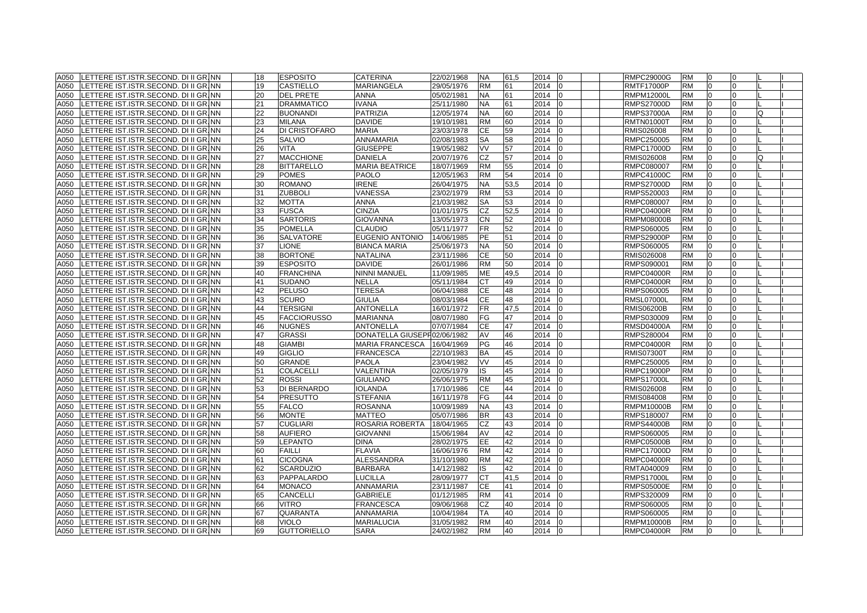| A050 | LETTERE IST.ISTR.SECOND. DI II GR. NN | 18 | <b>ESPOSITO</b>      | <b>CATERINA</b>             | 22/02/1968 | NA        | 61,5     | 2014 | 10             | <b>RMPC29000G</b> | <b>RM</b> | 0              | 0              |   |  |
|------|---------------------------------------|----|----------------------|-----------------------------|------------|-----------|----------|------|----------------|-------------------|-----------|----------------|----------------|---|--|
| A050 | LETTERE IST.ISTR.SECOND. DI II GR. NN | 19 | <b>CASTIELLO</b>     | <b>MARIANGELA</b>           | 29/05/1976 | <b>RM</b> | 61       | 2014 | IO             | <b>RMTF17000P</b> | <b>RM</b> | l0             | $\overline{0}$ |   |  |
| A050 | LETTERE IST.ISTR.SECOND. DI II GR. NN | 20 | <b>DEL PRETE</b>     | <b>ANNA</b>                 | 05/02/1981 | NA.       | 61       | 2014 |                | <b>RMPM12000L</b> | <b>RM</b> | $\Omega$       | $\Omega$       |   |  |
| A050 | LETTERE IST.ISTR.SECOND. DI II GR. NN | 21 | <b>DRAMMATICO</b>    | <b>IVANA</b>                | 25/11/1980 | NA        | 61       | 2014 |                | RMPS27000D        | <b>RM</b> | $\overline{0}$ | 0              |   |  |
| A050 | LETTERE IST.ISTR.SECOND. DI II GR. NN | 22 | <b>BUONANDI</b>      | <b>PATRIZIA</b>             | 12/05/1974 | <b>NA</b> | 60       | 2014 |                | <b>RMPS37000A</b> | <b>RM</b> | 10             | 0              | Q |  |
| A050 | LETTERE IST.ISTR.SECOND. DI II GR.INN | 23 | <b>MILANA</b>        | <b>DAVIDE</b>               | 19/10/1981 | RM        | 60       | 2014 |                | RMTN01000T        | <b>RM</b> | $\overline{0}$ | 0              |   |  |
| A050 | LETTERE IST.ISTR.SECOND. DI II GR.NN  | 24 | <b>DI CRISTOFARO</b> | <b>MARIA</b>                | 23/03/1978 | СE        | 59       | 2014 |                | RMIS026008        | <b>RM</b> | $\Omega$       | 0              |   |  |
| A050 | LETTERE IST.ISTR.SECOND. DI II GR. NN | 25 | <b>SALVIO</b>        | ANNAMARIA                   | 02/08/1983 | SА        | 58       | 2014 |                | RMPC250005        | <b>RM</b> | $\Omega$       | $\Omega$       |   |  |
| A050 | LETTERE IST.ISTR.SECOND. DI II GR. NN | 26 | <b>VITA</b>          | <b>GIUSEPPE</b>             | 19/05/1982 | <b>VV</b> | 57       | 2014 |                | <b>RMPC17000D</b> | <b>RM</b> | $\overline{0}$ | $\Omega$       |   |  |
| A050 | LETTERE IST.ISTR.SECOND. DI II GR. NN | 27 | <b>MACCHIONE</b>     | <b>DANIELA</b>              | 20/07/1976 | CZ        | 57       | 2014 |                | RMIS026008        | <b>RM</b> | $\overline{0}$ | $\overline{0}$ | O |  |
| A050 | LETTERE IST.ISTR.SECOND. DI II GR. NN | 28 | <b>BITTARELLO</b>    | <b>MARIA BEATRICE</b>       | 18/07/1969 | <b>RM</b> | 55       | 2014 |                | RMPC080007        | <b>RM</b> | $\overline{0}$ | $\Omega$       |   |  |
| A050 | LETTERE IST.ISTR.SECOND. DI II GR.INN | 29 | <b>POMES</b>         | <b>PAOLO</b>                | 12/05/1963 | RM        | 54       | 2014 |                | RMPC41000C        | <b>RM</b> | $\overline{0}$ | $\Omega$       |   |  |
| A050 | LETTERE IST.ISTR.SECOND. DI II GR. NN | 30 | <b>ROMANO</b>        | <b>IRENE</b>                | 26/04/1975 | NA        | 53,5     | 2014 | 10             | <b>RMPS27000D</b> | <b>RM</b> | 0              | 0              |   |  |
| A050 | LETTERE IST.ISTR.SECOND. DI II GR.NN  | 31 | <b>ZUBBOLI</b>       | VANESSA                     | 23/02/1979 | <b>RM</b> | 53       | 2014 |                | RMPS520003        | <b>RM</b> | $\overline{0}$ | 0              |   |  |
| A050 | LETTERE IST.ISTR.SECOND. DI II GR.INN | 32 | <b>MOTTA</b>         | ANNA                        | 21/03/1982 | SA        | 53       | 2014 |                | RMPC080007        | RM        | 0              | 0              |   |  |
| A050 | LETTERE IST.ISTR.SECOND. DI II GR.NN  | 33 | <b>FUSCA</b>         | <b>CINZIA</b>               | 01/01/1975 | CZ        | 52,5     | 2014 |                | <b>RMPC04000R</b> | <b>RM</b> | $\overline{0}$ | $\Omega$       |   |  |
| A050 | LETTERE IST.ISTR.SECOND. DI II GR. NN | 34 | <b>SARTORIS</b>      | <b>GIOVANNA</b>             | 13/05/1973 | СN        |          | 2014 |                | <b>RMPM08000B</b> | <b>RM</b> | $\Omega$       | $\Omega$       |   |  |
| A050 |                                       | 35 | <b>POMELLA</b>       | <b>CLAUDIO</b>              | 05/11/1977 | FR        | 52<br>52 | 2014 |                |                   | <b>RM</b> | l0             | 0              |   |  |
|      | LETTERE IST.ISTR.SECOND. DI II GR. NN |    |                      |                             |            | РE        |          |      |                | RMPS060005        |           |                |                |   |  |
| A050 | LETTERE IST.ISTR.SECOND. DI II GR.INN | 36 | <b>SALVATORE</b>     | EUGENIO ANTONIO             | 14/06/1985 |           | 51       | 2014 |                | <b>RMPS29000P</b> | RM        | $\overline{0}$ | 0              |   |  |
| A050 | LETTERE IST.ISTR.SECOND. DI II GR.INN | 37 | <b>LIONE</b>         | <b>BIANCA MARIA</b>         | 25/06/1973 | NA        | 50       | 2014 |                | RMPS060005        | <b>RM</b> | 10             | $\Omega$       |   |  |
| A050 | LETTERE IST.ISTR.SECOND. DI II GR. NN | 38 | <b>BORTONE</b>       | <b>NATALINA</b>             | 23/11/1986 | СE        | 50       | 2014 |                | RMIS026008        | <b>RM</b> | $\overline{0}$ | 0              |   |  |
| A050 | LETTERE IST.ISTR.SECOND. DI II GR. NN | 39 | <b>ESPOSITO</b>      | <b>DAVIDE</b>               | 26/01/1986 | <b>RM</b> | 50       | 2014 | n              | RMPS090001        | <b>RM</b> | 10             | $\Omega$       |   |  |
| A050 | LETTERE IST.ISTR.SECOND. DI II GR.NN  | 40 | <b>FRANCHINA</b>     | NINNI MANUEL                | 11/09/1985 | ΜЕ        | 49,5     | 2014 |                | RMPC04000R        | <b>RM</b> | $\overline{0}$ | $\Omega$       |   |  |
| A050 | LETTERE IST.ISTR.SECOND. DI II GR.INN | 41 | <b>SUDANO</b>        | NELLA                       | 05/11/1984 | СТ        | 49       | 2014 |                | RMPC04000R        | <b>RM</b> | $\Omega$       | 0              |   |  |
| A050 | LETTERE IST.ISTR.SECOND. DI II GR.NN  | 42 | <b>PELUSO</b>        | <b>TERESA</b>               | 06/04/1988 | СE        | 48       | 2014 |                | RMPS060005        | <b>RM</b> | $\overline{0}$ | $\Omega$       |   |  |
| A050 | LETTERE IST.ISTR.SECOND. DI II GR. NN | 43 | <b>SCURO</b>         | <b>GIULIA</b>               | 08/03/1984 | CE        | 48       | 2014 |                | <b>RMSL07000L</b> | <b>RM</b> | $\overline{0}$ | $\Omega$       |   |  |
| A050 | LETTERE IST.ISTR.SECOND. DI II GR. NN | 44 | <b>TERSIGNI</b>      | <b>ANTONELLA</b>            | 16/01/1972 | FR        | 47,5     | 2014 |                | <b>RMIS06200B</b> | <b>RM</b> | $\overline{0}$ | 0              |   |  |
| A050 | LETTERE IST.ISTR.SECOND. DI II GR. NN | 45 | <b>FACCIORUSSO</b>   | <b>MARIANNA</b>             | 08/07/1980 | FG        | 47       | 2014 |                | RMPS030009        | <b>RM</b> | $\overline{0}$ | $\Omega$       |   |  |
| A050 | LETTERE IST.ISTR.SECOND. DI II GR. NN | 46 | <b>NUGNES</b>        | <b>ANTONELLA</b>            | 07/07/1984 | СE        | 47       | 2014 |                | RMSD04000A        | <b>RM</b> | 10             | 0              |   |  |
| A050 | LETTERE IST.ISTR.SECOND. DI II GR. NN | 47 | <b>GRASSI</b>        | DONATELLA GIUSEPF02/06/1982 |            | AV        | 46       | 2014 |                | RMPS280004        | <b>RM</b> | $\overline{0}$ | 0              |   |  |
| A050 | LETTERE IST.ISTR.SECOND. DI II GR. NN | 48 | <b>GIAMBI</b>        | <b>MARIA FRANCESCA</b>      | 16/04/1969 | PG        | 46       | 2014 |                | RMPC04000R        | <b>RM</b> | $\overline{0}$ | 0              |   |  |
| A050 | LETTERE IST.ISTR.SECOND. DI II GR.INN | 49 | <b>GIGLIO</b>        | <b>FRANCESCA</b>            | 22/10/1983 | BA        | 45       | 2014 |                | <b>RMIS07300T</b> | <b>RM</b> | $\overline{0}$ | 0              |   |  |
| A050 | LETTERE IST.ISTR.SECOND. DI II GR.INN | 50 | <b>GRANDE</b>        | <b>PAOLA</b>                | 23/04/1982 | VV        | 45       | 2014 |                | RMPC250005        | RM        | $\overline{0}$ | $\Omega$       |   |  |
| A050 | LETTERE IST.ISTR.SECOND. DI II GR. NN | 51 | <b>COLACELLI</b>     | <b>VALENTINA</b>            | 02/05/1979 | IS        | 45       | 2014 |                | <b>RMPC19000P</b> | <b>RM</b> | $\overline{0}$ | $\Omega$       |   |  |
| A050 | LETTERE IST.ISTR.SECOND. DI II GR. NN | 52 | <b>ROSSI</b>         | <b>GIULIANO</b>             | 26/06/1975 | <b>RM</b> | 45       | 2014 |                | <b>RMPS17000L</b> | <b>RM</b> | $\overline{0}$ | $\Omega$       |   |  |
| A050 | LETTERE IST.ISTR.SECOND. DI II GR. NN | 53 | <b>DI BERNARDO</b>   | <b>IOLANDA</b>              | 17/10/1986 | CЕ        | 44       | 2014 |                | RMIS026008        | <b>RM</b> | $\overline{0}$ | 0              |   |  |
| A050 | LETTERE IST.ISTR.SECOND. DI II GR.INN | 54 | <b>PRESUTTO</b>      | <b>STEFANIA</b>             | 16/11/1978 | FG        | 44       | 2014 |                | RMIS084008        | <b>RM</b> | l0             | $\Omega$       |   |  |
| A050 | LETTERE IST.ISTR.SECOND. DI II GR. NN | 55 | <b>FALCO</b>         | <b>ROSANNA</b>              | 10/09/1989 | ΝA        | 43       | 2014 |                | RMPM10000B        | <b>RM</b> | 10             | 0              |   |  |
| A050 | LETTERE IST.ISTR.SECOND. DI II GR.INN | 56 | <b>MONTE</b>         | MATTEO                      | 05/07/1986 | BR        | 43       | 2014 |                | RMPS180007        | <b>RM</b> | 0              | 0              |   |  |
| A050 | LETTERE IST.ISTR.SECOND. DI II GR.INN | 57 | <b>CUGLIARI</b>      | ROSARIA ROBERTA             | 18/04/1965 | СZ        | 43       | 2014 |                | RMPS44000B        | RM        | 0              | 0              |   |  |
| A050 | LETTERE IST.ISTR.SECOND. DI II GR.INN | 58 | <b>AUFIERO</b>       | <b>GIOVANNI</b>             | 15/06/1984 | AV        | 42       | 2014 |                | RMPS060005        | <b>RM</b> | $\overline{0}$ | $\Omega$       |   |  |
| A050 | LETTERE IST.ISTR.SECOND. DI II GR.NN  | 59 | <b>LEPANTO</b>       | <b>DINA</b>                 | 28/02/1975 | EE.       | 42       | 2014 |                | <b>RMPC05000B</b> | <b>RM</b> | $\overline{0}$ | $\Omega$       |   |  |
| A050 | LETTERE IST.ISTR.SECOND. DI II GR. NN | 60 | <b>FAILLI</b>        | <b>FLAVIA</b>               | 16/06/1976 | <b>RM</b> | 42       | 2014 |                | <b>RMPC17000D</b> | <b>RM</b> | $\overline{0}$ | $\Omega$       |   |  |
| A050 | LETTERE IST.ISTR.SECOND. DI II GR. NN | 61 | <b>CICOGNA</b>       | ALESSANDRA                  | 31/10/1980 | RM        | 42       | 2014 |                | <b>RMPC04000R</b> | <b>RM</b> | $\overline{0}$ | $\Omega$       |   |  |
| A050 | LETTERE IST.ISTR.SECOND. DI II GR.NN  | 62 | <b>SCARDUZIO</b>     | <b>BARBARA</b>              | 14/12/1982 | IS        | 42       | 2014 |                | RMTA040009        | <b>RM</b> | 10             | $\Omega$       |   |  |
| A050 | LETTERE IST.ISTR.SECOND. DI II GR.NN  | 63 | PAPPALARDO           | <b>LUCILLA</b>              | 28/09/1977 | СT        | 41,5     | 2014 |                | RMPS17000L        | <b>RM</b> | 10             | 0              |   |  |
| A050 | LETTERE IST.ISTR.SECOND. DI II GR. NN | 64 | <b>MONACO</b>        | ANNAMARIA                   | 23/11/1987 | СE        | 41       | 2014 | n              | RMPS05000E        | <b>RM</b> | 10             | 0              |   |  |
| A050 | LETTERE IST.ISTR.SECOND. DI II GR.NN  | 65 | <b>CANCELLI</b>      | <b>GABRIELE</b>             | 01/12/1985 | RM        | 41       | 2014 |                | RMPS320009        | <b>RM</b> | $\overline{0}$ | $\Omega$       |   |  |
| A050 | LETTERE IST.ISTR.SECOND. DI II GR.INN | 66 | <b>VITRO</b>         | <b>FRANCESCA</b>            | 09/06/1968 | CZ        | 40       | 2014 |                | RMPS060005        | RM        | $\Omega$       | 0              |   |  |
| A050 | LETTERE IST.ISTR.SECOND. DI II GR.INN | 67 | <b>QUARANTA</b>      | ANNAMARIA                   | 10/04/1984 | ТA        | 40       | 2014 |                | RMPS060005        | <b>RM</b> | $\overline{0}$ | $\Omega$       |   |  |
| A050 | LETTERE IST.ISTR.SECOND. DI II GR. NN | 68 | <b>VIOLO</b>         | <b>MARIALUCIA</b>           | 31/05/1982 | <b>RM</b> | 40       | 2014 |                | <b>RMPM10000B</b> | <b>RM</b> | $\overline{0}$ | $\overline{0}$ |   |  |
| A050 | LETTERE IST.ISTR.SECOND. DI II GR.INN | 69 | <b>GUTTORIELLO</b>   | <b>SARA</b>                 | 24/02/1982 | <b>RM</b> | 40       | 2014 | $\overline{0}$ | <b>RMPC04000R</b> | <b>RM</b> | 0              | 0              |   |  |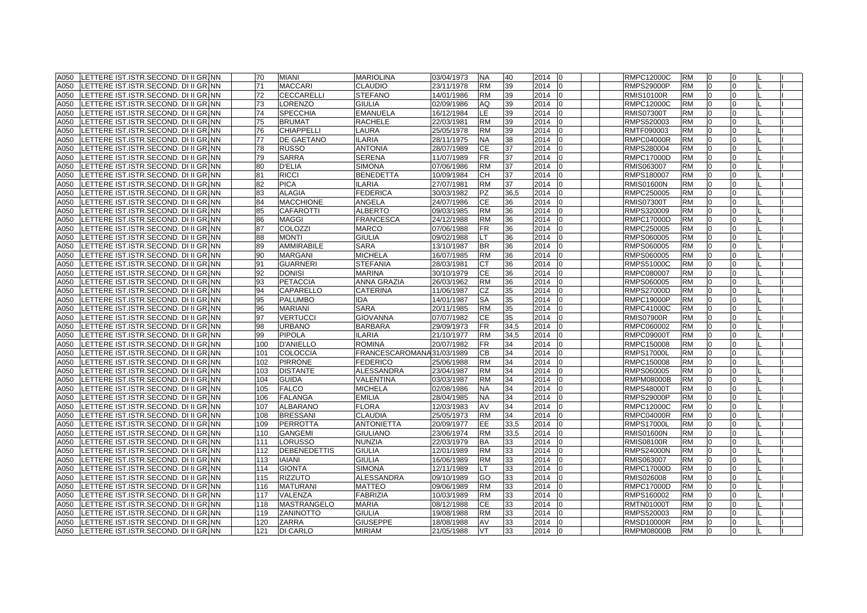|      | A050 LETTERE IST.ISTR.SECOND. DI II GR.INN | 70  | <b>MIANI</b>       | <b>MARIOLINA</b>          | 03/04/1973 | <b>NA</b> | 40   | 2014 | lo | <b>RMPC12000C</b> | <b>RM</b> | l0             | 0        |  |
|------|--------------------------------------------|-----|--------------------|---------------------------|------------|-----------|------|------|----|-------------------|-----------|----------------|----------|--|
| A050 | LETTERE IST.ISTR.SECOND. DI II GR. NN      | 71  | <b>MACCARI</b>     | <b>CLAUDIO</b>            | 23/11/1978 | <b>RM</b> | 39   | 2014 |    | <b>RMPS29000P</b> | <b>RM</b> | $\Omega$       | $\Omega$ |  |
| A050 | LETTERE IST.ISTR.SECOND. DI II GR. NN      | 72  | <b>CECCARELLI</b>  | <b>STEFANO</b>            | 14/01/1986 | <b>RM</b> | 39   | 2014 |    | <b>RMIS10100R</b> | <b>RM</b> | $\Omega$       | $\Omega$ |  |
| A050 | LETTERE IST.ISTR.SECOND. DI II GR. NN      | 73  | <b>LORENZO</b>     | <b>GIULIA</b>             | 02/09/1986 | AQ        | 39   | 2014 |    | RMPC12000C        | <b>RM</b> | <b>0</b>       | 0        |  |
| A050 | LETTERE IST.ISTR.SECOND. DI II GR. NN      | 74  | <b>SPECCHIA</b>    | <b>EMANUELA</b>           | 16/12/1984 | LE.       | 39   | 2014 |    | <b>RMIS07300T</b> | <b>RM</b> | 0              | $\Omega$ |  |
| A050 | LETTERE IST.ISTR.SECOND. DI II GR. NN      | 75  | <b>BRUMAT</b>      | <b>RACHELE</b>            | 22/03/1981 | <b>RM</b> | 39   | 2014 |    | RMPS520003        | <b>RM</b> | <sup>0</sup>   | $\Omega$ |  |
| A050 | LETTERE IST.ISTR.SECOND. DI II GR. NN      | 76  | <b>CHIAPPELLI</b>  | LAURA                     | 25/05/1978 | <b>RM</b> | 39   | 2014 |    | RMTF090003        | <b>RM</b> |                |          |  |
| A050 | LETTERE IST.ISTR.SECOND. DI II GR. NN      | 77  | <b>DE GAETANO</b>  | <b>ILARIA</b>             | 28/11/1975 | NA        | 38   | 2014 |    | <b>RMPC04000R</b> | <b>RM</b> | $\Omega$       | $\Omega$ |  |
| A050 | LETTERE IST.ISTR.SECOND. DI II GR. NN      | 78  | <b>RUSSO</b>       | <b>ANTONIA</b>            | 28/07/1989 | <b>CE</b> | 37   | 2014 |    | RMPS280004        | <b>RM</b> | $\Omega$       | $\Omega$ |  |
| A050 | LETTERE IST.ISTR.SECOND. DI II GR. NN      | 79  | <b>SARRA</b>       | <b>SERENA</b>             | 11/07/1989 | <b>FR</b> | 37   | 2014 |    | RMPC17000D        | <b>RM</b> | $\Omega$       | $\Omega$ |  |
| A050 | LETTERE IST.ISTR.SECOND. DI II GR. NN      | 80  | <b>D'ELIA</b>      | <b>SIMONA</b>             | 07/06/1986 | <b>RM</b> | 37   | 2014 |    | RMIS063007        | <b>RM</b> | $\Omega$       | $\Omega$ |  |
| A050 | LETTERE IST.ISTR.SECOND. DI II GR. NN      | 81  | <b>RICCI</b>       | <b>BENEDETTA</b>          | 10/09/1984 | CН        | 37   | 2014 |    | RMPS180007        | <b>RM</b> | $\Omega$       | $\Omega$ |  |
| A050 | LETTERE IST.ISTR.SECOND. DI II GR. NN      | 82  | <b>PICA</b>        | <b>ILARIA</b>             | 27/07/1981 | <b>RM</b> | 37   | 2014 |    | RMIS01600N        | <b>RM</b> | 0              | $\Omega$ |  |
| A050 | LETTERE IST.ISTR.SECOND. DI II GR.INN      | 83  | <b>ALAGIA</b>      | <b>FEDERICA</b>           | 30/03/1982 | <b>PZ</b> | 36,5 | 2014 |    | RMPC250005        | <b>RM</b> | $\Omega$       | $\Omega$ |  |
| A050 | LETTERE IST.ISTR.SECOND. DI II GR. NN      | 84  | <b>MACCHIONE</b>   | ANGELA                    | 24/07/1986 | СE        | 36   | 2014 |    | <b>RMIS07300T</b> | <b>RM</b> | <sup>0</sup>   | U        |  |
| A050 | LETTERE IST.ISTR.SECOND. DI II GR. NN      | 85  | <b>CAFAROTTI</b>   | <b>ALBERTO</b>            | 09/03/1985 | <b>RM</b> | 36   | 2014 |    | RMPS320009        | <b>RM</b> | $\Omega$       | $\Omega$ |  |
| A050 | LETTERE IST.ISTR.SECOND. DI II GR. NN      | 86  | <b>MAGGI</b>       | <b>FRANCESCA</b>          | 24/12/1988 | <b>RM</b> | 36   | 2014 |    | <b>RMPC17000D</b> | <b>RM</b> | $\Omega$       | $\Omega$ |  |
| A050 | LETTERE IST.ISTR.SECOND. DI II GR. NN      | 87  | <b>COLOZZI</b>     | <b>MARCO</b>              | 07/06/1988 | <b>FR</b> | 36   | 2014 |    | RMPC250005        | <b>RM</b> | 0              | $\Omega$ |  |
| A050 | LETTERE IST.ISTR.SECOND. DI II GR. NN      | 88  | <b>MONTI</b>       | <b>GIULIA</b>             | 09/02/1988 | LT        | 36   | 2014 |    | RMPS060005        | <b>RM</b> | $\Omega$       | $\Omega$ |  |
| A050 | LETTERE IST.ISTR.SECOND. DI II GR. NN      | 89  | <b>AMMIRABILE</b>  | <b>SARA</b>               | 13/10/1987 | <b>BR</b> | 36   | 2014 |    | RMPS060005        | <b>RM</b> | 0              | $\Omega$ |  |
| A050 | LETTERE IST.ISTR.SECOND. DI II GR. NN      | 90  | <b>MARGANI</b>     | <b>MICHELA</b>            | 16/07/1985 | <b>RM</b> | 36   | 2014 |    | RMPS060005        | <b>RM</b> | 0              | $\Omega$ |  |
| A050 | LETTERE IST.ISTR.SECOND. DI II GR.INN      | 91  | <b>GUARNERI</b>    | <b>STEFANIA</b>           | 28/03/1981 | СT        | 36   | 2014 |    | RMPS51000C        | <b>RM</b> | $\Omega$       | $\Omega$ |  |
| A050 | LETTERE IST.ISTR.SECOND. DI II GR.INN      | 92  | <b>DONISI</b>      | <b>MARINA</b>             | 30/10/1979 | <b>CE</b> | 36   | 2014 |    | RMPC080007        | <b>RM</b> |                | $\Omega$ |  |
| A050 | LETTERE IST.ISTR.SECOND. DI II GR. NN      | 93  | <b>PETACCIA</b>    | ANNA GRAZIA               | 26/03/1962 | <b>RM</b> | 36   | 2014 |    | RMPS060005        | <b>RM</b> | $\Omega$       | $\Omega$ |  |
| A050 | LETTERE IST.ISTR.SECOND. DI II GR. NN      | 94  | CAPARELLO          | <b>CATERINA</b>           | 11/06/1987 | CZ        | 35   | 2014 |    | <b>RMPS27000D</b> | <b>RM</b> | $\Omega$       | $\Omega$ |  |
| A050 | LETTERE IST.ISTR.SECOND. DI II GR. NN      | 95  | <b>PALUMBO</b>     | <b>IDA</b>                | 14/01/1987 | <b>SA</b> | 35   | 2014 |    | <b>RMPC19000P</b> | <b>RM</b> | $\Omega$       | $\Omega$ |  |
| A050 | LETTERE IST.ISTR.SECOND. DI II GR. NN      | 96  | <b>MARIANI</b>     | <b>SARA</b>               | 20/11/1985 | <b>RM</b> | 35   | 2014 |    | RMPC41000C        | <b>RM</b> | $\Omega$       | $\Omega$ |  |
| A050 | LETTERE IST.ISTR.SECOND. DI II GR. NN      | 97  | <b>VERTUCCI</b>    | <b>GIOVANNA</b>           | 07/07/1982 | СE        | 35   | 2014 |    | <b>RMIS07900R</b> | <b>RM</b> | 0              | $\Omega$ |  |
| A050 | LETTERE IST.ISTR.SECOND. DI II GR. NN      | 98  | <b>URBANO</b>      | <b>BARBARA</b>            | 29/09/1973 | <b>FR</b> | 34,5 | 2014 | n  | RMPC060002        | <b>RM</b> | 0              | $\Omega$ |  |
| A050 | LETTERE IST.ISTR.SECOND. DI II GR. NN      | 99  | <b>PIPOLA</b>      | <b>ILARIA</b>             | 21/10/1977 | <b>RM</b> | 34,5 | 2014 |    | RMPC09000T        | <b>RM</b> | <sup>0</sup>   | $\Omega$ |  |
| A050 | LETTERE IST.ISTR.SECOND. DI II GR.INN      | 100 | <b>D'ANIELLO</b>   | <b>ROMINA</b>             | 20/07/1982 | FR        | 34   | 2014 |    | RMPC150008        | <b>RM</b> |                | U        |  |
| A050 | LETTERE IST.ISTR.SECOND. DI II GR. NN      | 101 | COLOCCIA           | FRANCESCAROMANA31/03/1989 |            | CВ        | 34   | 2014 |    | <b>RMPS17000L</b> | <b>RM</b> | $\Omega$       | $\Omega$ |  |
| A050 | LETTERE IST.ISTR.SECOND. DI II GR. NN      | 102 | <b>PIRRONE</b>     | <b>FEDERICO</b>           | 25/06/1988 | <b>RM</b> | 34   | 2014 |    | RMPC150008        | <b>RM</b> | $\Omega$       | $\Omega$ |  |
| A050 | LETTERE IST.ISTR.SECOND. DI II GR. NN      | 103 | <b>DISTANTE</b>    | ALESSANDRA                | 23/04/1987 | <b>RM</b> | 34   | 2014 |    | RMPS060005        | <b>RM</b> | 0              | 0        |  |
| A050 | LETTERE IST.ISTR.SECOND. DI II GR. NN      | 104 | <b>GUIDA</b>       | VALENTINA                 | 03/03/1987 | <b>RM</b> | 34   | 2014 |    | RMPM08000B        | <b>RM</b> | $\Omega$       | $\Omega$ |  |
| A050 | LETTERE IST.ISTR.SECOND. DI II GR. NN      | 105 | <b>FALCO</b>       | <b>MICHELA</b>            | 02/08/1986 | NA        | 34   | 2014 |    | <b>RMPS48000T</b> | <b>RM</b> | $\Omega$       | $\Omega$ |  |
| A050 | LETTERE IST.ISTR.SECOND. DI II GR. NN      | 106 | <b>FALANGA</b>     | <b>EMILIA</b>             | 28/04/1985 | <b>NA</b> | 34   | 2014 |    | <b>RMPS29000P</b> | <b>RM</b> | 10             | $\Omega$ |  |
| A050 | LETTERE IST.ISTR.SECOND. DI II GR.INN      | 107 | <b>ALBARANO</b>    | <b>FLORA</b>              | 12/03/1983 | AV        | 34   | 2014 | n  | <b>RMPC12000C</b> | <b>RM</b> | $\overline{0}$ | 0        |  |
| A050 | LETTERE IST.ISTR.SECOND. DI II GR. NN      | 108 | <b>BRESSANI</b>    | <b>CLAUDIA</b>            | 25/05/1973 | <b>RM</b> | 34   | 2014 |    | <b>RMPC04000R</b> | <b>RM</b> |                |          |  |
| A050 | LETTERE IST.ISTR.SECOND. DI II GR. NN      | 109 | <b>PERROTTA</b>    | <b>ANTONIETTA</b>         | 20/09/1977 | EE        | 33,5 | 2014 |    | <b>RMPS17000L</b> | <b>RM</b> |                |          |  |
| A050 | LETTERE IST.ISTR.SECOND. DI II GR. NN      | 110 | <b>GANGEMI</b>     | <b>GIULIANO</b>           | 23/06/1974 | <b>RM</b> | 33,5 | 2014 |    | <b>RMIS01600N</b> | <b>RM</b> | l0             | $\Omega$ |  |
| A050 | LETTERE IST.ISTR.SECOND. DI II GR. NN      | 111 | LORUSSO            | <b>NUNZIA</b>             | 22/03/1979 | <b>BA</b> | 33   | 2014 |    | <b>RMIS08100R</b> | <b>RM</b> | $\Omega$       | $\Omega$ |  |
| A050 | LETTERE IST.ISTR.SECOND. DI II GR. NN      | 112 | DEBENEDETTIS       | <b>GIULIA</b>             | 12/01/1989 | <b>RM</b> | 33   | 2014 |    | <b>RMPS24000N</b> | <b>RM</b> | $\Omega$       | $\Omega$ |  |
| A050 | LETTERE IST.ISTR.SECOND. DI II GR. NN      | 113 | <b>IAIANI</b>      | <b>GIULIA</b>             | 16/06/1989 | <b>RM</b> | 33   | 2014 |    | RMIS063007        | <b>RM</b> | $\Omega$       | $\Omega$ |  |
| A050 | LETTERE IST.ISTR.SECOND. DI II GR. NN      | 114 | <b>GIONTA</b>      | <b>SIMONA</b>             | 12/11/1989 | LT        | 33   | 2014 |    | RMPC17000D        | <b>RM</b> | $\Omega$       | $\Omega$ |  |
| A050 | LETTERE IST.ISTR.SECOND. DI II GR. NN      | 115 | <b>RIZZUTO</b>     | <b>ALESSANDRA</b>         | 09/10/1989 | GO        | 33   | 2014 |    | RMIS026008        | <b>RM</b> | $\Omega$       | $\Omega$ |  |
| A050 | LETTERE IST.ISTR.SECOND. DI II GR. NN      | 116 | <b>MATURANI</b>    | <b>MATTEO</b>             | 09/06/1989 | <b>RM</b> | 33   | 2014 |    | RMPC17000D        | <b>RM</b> | $\Omega$       | $\Omega$ |  |
| A050 | LETTERE IST.ISTR.SECOND. DI II GR. NN      | 117 | <b>VALENZA</b>     | <b>FABRIZIA</b>           | 10/03/1989 | <b>RM</b> | 33   | 2014 |    | RMPS160002        | <b>RM</b> | $\Omega$       | $\Omega$ |  |
| A050 | LETTERE IST.ISTR.SECOND. DI II GR. NN      | 118 | <b>MASTRANGELO</b> | <b>MARIA</b>              | 08/12/1988 | <b>CE</b> | 33   | 2014 |    | <b>RMTN01000T</b> | <b>RM</b> | $\Omega$       | $\Omega$ |  |
| A050 | LETTERE IST.ISTR.SECOND. DI II GR. NN      | 119 | <b>ZANINOTTO</b>   | <b>GIULIA</b>             | 19/08/1988 | <b>RM</b> | 33   | 2014 |    | RMPS520003        | <b>RM</b> | $\Omega$       | $\Omega$ |  |
| A050 | LETTERE IST.ISTR.SECOND. DI II GR.INN      | 120 | <b>ZARRA</b>       | <b>GIUSEPPE</b>           | 18/08/1988 | AV        | 33   | 2014 |    | <b>RMSD10000R</b> | <b>RM</b> | $\Omega$       | $\Omega$ |  |
|      | A050 LETTERE IST.ISTR.SECOND. DI II GR. NN | 121 | <b>DI CARLO</b>    | <b>MIRIAM</b>             | 21/05/1988 | <b>VT</b> | 33   | 2014 | I0 | <b>RMPM08000B</b> | <b>RM</b> | $\Omega$       | $\Omega$ |  |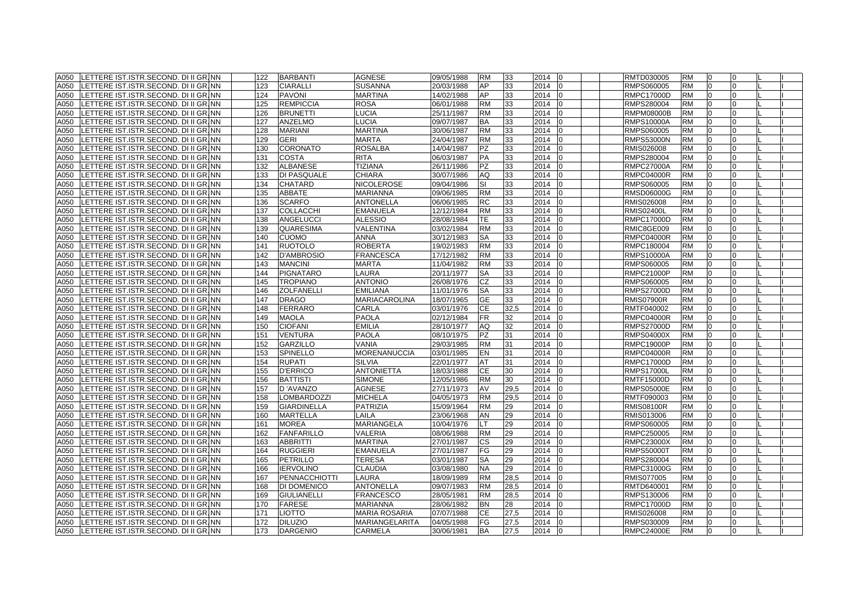| A050 | LETTERE IST.ISTR.SECOND. DI II GR. NN | 122 | <b>BARBANTI</b>    | <b>AGNESE</b>         | 09/05/1988 | <b>RM</b> | 33   | 2014<br>10 | RMTD030005        | <b>RM</b> | 10             | 0              |  |
|------|---------------------------------------|-----|--------------------|-----------------------|------------|-----------|------|------------|-------------------|-----------|----------------|----------------|--|
| A050 | LETTERE IST.ISTR.SECOND. DI II GR. NN | 123 | <b>CIARALLI</b>    | <b>SUSANNA</b>        | 20/03/1988 | AP        | 33   | 2014       | RMPS060005        | <b>RM</b> | 0              | $\overline{0}$ |  |
| A050 | LETTERE IST.ISTR.SECOND. DI II GR. NN | 124 | <b>PAVONI</b>      | <b>MARTINA</b>        | 14/02/1988 | AP        | 33   | 2014       | <b>RMPC17000D</b> | <b>RM</b> | $\Omega$       | $\Omega$       |  |
| A050 | LETTERE IST.ISTR.SECOND. DI II GR. NN | 125 | <b>REMPICCIA</b>   | <b>ROSA</b>           | 06/01/1988 | <b>RM</b> | 33   | 2014       | RMPS280004        | <b>RM</b> | <b>0</b>       | 0              |  |
| A050 | LETTERE IST.ISTR.SECOND. DI II GR. NN | 126 | <b>BRUNETTI</b>    | <b>LUCIA</b>          | 25/11/1987 | <b>RM</b> | 33   | 2014       | RMPM08000B        | <b>RM</b> | 0              | $\Omega$       |  |
| A050 | LETTERE IST.ISTR.SECOND. DI II GR. NN | 127 | <b>ANZELMO</b>     | <b>LUCIA</b>          | 09/07/1987 | BA        | 33   | 2014       | RMPS10000A        | RM        | <sup>0</sup>   | $\Omega$       |  |
| A050 | LETTERE IST.ISTR.SECOND. DI II GR. NN | 128 | <b>MARIANI</b>     | <b>MARTINA</b>        | 30/06/1987 | <b>RM</b> | 33   | 2014       | RMPS060005        | <b>RM</b> |                |                |  |
| A050 | LETTERE IST.ISTR.SECOND. DI II GR. NN | 129 | <b>GERI</b>        | <b>MARTA</b>          | 24/04/1987 | <b>RM</b> | 33   | 2014       | <b>RMPS53000N</b> | <b>RM</b> |                | $\Omega$       |  |
| A050 | LETTERE IST.ISTR.SECOND. DI II GR. NN | 130 | <b>CORONATO</b>    | <b>ROSALBA</b>        | 14/04/1987 | <b>PZ</b> | 33   | 2014       | RMIS026008        | <b>RM</b> | l0             | $\Omega$       |  |
| A050 | LETTERE IST.ISTR.SECOND. DI II GR. NN | 131 | <b>COSTA</b>       | <b>RITA</b>           | 06/03/1987 | <b>PA</b> | 33   | 2014       | RMPS280004        | <b>RM</b> | $\Omega$       | $\Omega$       |  |
| A050 | LETTERE IST.ISTR.SECOND. DI II GR.INN | 132 | <b>ALBANESE</b>    | TIZIANA               | 26/11/1986 | PZ        | 33   | 2014       | RMPC27000A        | <b>RM</b> | $\Omega$       | $\Omega$       |  |
| A050 | LETTERE IST.ISTR.SECOND. DI II GR. NN | 133 | DI PASQUALE        | <b>CHIARA</b>         | 30/07/1986 | AQ        | 33   | 2014       | <b>RMPC04000R</b> | <b>RM</b> | <sup>0</sup>   | $\Omega$       |  |
| A050 | LETTERE IST.ISTR.SECOND. DI II GR. NN | 134 | <b>CHATARD</b>     | <b>NICOLEROSE</b>     | 09/04/1986 | SI        | 33   | 2014       | RMPS060005        | <b>RM</b> | 0              | $\Omega$       |  |
| A050 | LETTERE IST.ISTR.SECOND. DI II GR.INN | 135 | <b>ABBATE</b>      | <b>MARIANNA</b>       | 09/06/1985 | <b>RM</b> | 33   | 2014       | RMSD06000G        | <b>RM</b> | $\Omega$       | $\Omega$       |  |
| A050 | LETTERE IST.ISTR.SECOND. DI II GR. NN | 136 | <b>SCARFO</b>      | <b>ANTONELLA</b>      | 06/06/1985 | RC        | 33   | 2014       | RMIS026008        | <b>RM</b> | <sup>0</sup>   | U              |  |
| A050 | LETTERE IST.ISTR.SECOND. DI II GR. NN | 137 | <b>COLLACCHI</b>   | <b>EMANUELA</b>       | 12/12/1984 | <b>RM</b> | 33   | 2014       | <b>RMIS02400L</b> | <b>RM</b> | $\Omega$       | $\Omega$       |  |
| A050 | LETTERE IST.ISTR.SECOND. DI II GR. NN | 138 | ANGELUCCI          | <b>ALESSIO</b>        | 28/08/1984 | TE.       | 33   | 2014       | <b>RMPC17000D</b> | <b>RM</b> | $\Omega$       | $\Omega$       |  |
| A050 | LETTERE IST.ISTR.SECOND. DI II GR. NN | 139 | <b>QUARESIMA</b>   | <b>VALENTINA</b>      | 03/02/1984 | <b>RM</b> | 33   | 2014       | RMIC8GE009        | <b>RM</b> | 0              | $\Omega$       |  |
| A050 | LETTERE IST.ISTR.SECOND. DI II GR. NN | 140 | <b>CUOMO</b>       | <b>ANNA</b>           | 30/12/1983 | <b>SA</b> | 33   | 2014       | <b>RMPC04000R</b> | <b>RM</b> | $\Omega$       | $\Omega$       |  |
| A050 | LETTERE IST.ISTR.SECOND. DI II GR. NN | 141 | <b>RUOTOLO</b>     | <b>ROBERTA</b>        | 19/02/1983 | <b>RM</b> | 33   | 2014       | RMPC180004        | <b>RM</b> | 0              | $\Omega$       |  |
| A050 | LETTERE IST.ISTR.SECOND. DI II GR. NN | 142 | <b>D'AMBROSIO</b>  | <b>FRANCESCA</b>      | 17/12/1982 | <b>RM</b> | 33   | 2014       | <b>RMPS10000A</b> | <b>RM</b> | 0              | $\Omega$       |  |
| A050 | LETTERE IST.ISTR.SECOND. DI II GR.INN | 143 | <b>MANCINI</b>     | <b>MARTA</b>          | 11/04/1982 | <b>RM</b> | 33   | 2014       | RMPS060005        | <b>RM</b> | $\Omega$       | $\Omega$       |  |
| A050 | LETTERE IST.ISTR.SECOND. DI II GR.INN | 144 | <b>PIGNATARO</b>   | LAURA                 | 20/11/1977 | SA        | 33   | 2014       | RMPC21000P        | <b>RM</b> |                | $\Omega$       |  |
| A050 | LETTERE IST.ISTR.SECOND. DI II GR. NN | 145 | <b>TROPIANO</b>    | <b>ANTONIO</b>        | 26/08/1976 | CZ        | 33   | 2014       | RMPS060005        | <b>RM</b> | $\Omega$       | $\Omega$       |  |
| A050 | LETTERE IST.ISTR.SECOND. DI II GR. NN | 146 | <b>ZOLFANELLI</b>  | <b>EMILIANA</b>       | 11/01/1976 | <b>SA</b> | 33   | 2014       | <b>RMPS27000D</b> | <b>RM</b> | $\Omega$       | $\Omega$       |  |
| A050 | LETTERE IST.ISTR.SECOND. DI II GR. NN | 147 | <b>DRAGO</b>       | <b>MARIACAROLINA</b>  | 18/07/1965 | <b>GE</b> | 33   | 2014       | <b>RMIS07900R</b> | <b>RM</b> | $\Omega$       | $\Omega$       |  |
| A050 | LETTERE IST.ISTR.SECOND. DI II GR.INN | 148 | FERRARO            | CARLA                 | 03/01/1976 | CЕ        | 32,5 | 2014       | RMTF040002        | <b>RM</b> | $\Omega$       | $\Omega$       |  |
| A050 | LETTERE IST.ISTR.SECOND. DI II GR. NN | 149 | <b>MAOLA</b>       | <b>PAOLA</b>          | 02/12/1984 | FR.       | 32   | 2014       | <b>RMPC04000R</b> | <b>RM</b> | 0              | 0              |  |
| A050 | LETTERE IST.ISTR.SECOND. DI II GR. NN | 150 | <b>CIOFANI</b>     | <b>EMILIA</b>         | 28/10/1977 | AQ        | 32   | 2014<br>n  | RMPS27000D        | <b>RM</b> | 0              | $\Omega$       |  |
| A050 | LETTERE IST.ISTR.SECOND. DI II GR. NN | 151 | <b>VENTURA</b>     | <b>PAOLA</b>          | 08/10/1975 | PZ        | 31   | 2014       | RMPS04000X        | <b>RM</b> | <sup>0</sup>   | $\Omega$       |  |
| A050 | LETTERE IST.ISTR.SECOND. DI II GR.INN | 152 | <b>GARZILLO</b>    | VANIA                 | 29/03/1985 | <b>RM</b> | 31   | 2014       | RMPC19000P        | RM        |                | U              |  |
| A050 | LETTERE IST.ISTR.SECOND. DI II GR. NN | 153 | SPINELLO           | <b>MORENANUCCIA</b>   | 03/01/1985 | EN        | 31   | 2014       | <b>RMPC04000R</b> | <b>RM</b> | $\Omega$       | $\Omega$       |  |
| A050 | LETTERE IST.ISTR.SECOND. DI II GR. NN | 154 | <b>RUPATI</b>      | <b>SILVIA</b>         | 22/01/1977 | AT        | 31   | 2014       | <b>RMPC17000D</b> | <b>RM</b> | $\Omega$       | $\Omega$       |  |
| A050 | LETTERE IST.ISTR.SECOND. DI II GR. NN | 155 | <b>D'ERRICO</b>    | <b>ANTONIETTA</b>     | 18/03/1988 | <b>CE</b> | 30   | 2014       | <b>RMPS17000L</b> | <b>RM</b> | 0              | 0              |  |
| A050 | LETTERE IST.ISTR.SECOND. DI II GR. NN | 156 | <b>BATTISTI</b>    | <b>SIMONE</b>         | 12/05/1986 | <b>RM</b> | 30   | 2014       | RMTF15000D        | <b>RM</b> | $\Omega$       | $\Omega$       |  |
| A050 | LETTERE IST.ISTR.SECOND. DI II GR. NN | 157 | D'AVANZO           | <b>AGNESE</b>         | 27/11/1973 | AV        | 29,5 | 2014       | RMPS05000E        | <b>RM</b> | $\Omega$       | $\Omega$       |  |
| A050 | LETTERE IST.ISTR.SECOND. DI II GR. NN | 158 | <b>LOMBARDOZZI</b> | <b>MICHELA</b>        | 04/05/1973 | <b>RM</b> | 29,5 | 2014       | RMTF090003        | <b>RM</b> | 10             | $\Omega$       |  |
| A050 | LETTERE IST.ISTR.SECOND. DI II GR.INN | 159 | <b>GIARDINELLA</b> | <b>PATRIZIA</b>       | 15/09/1964 | <b>RM</b> | 29   | 2014<br>lo | <b>RMIS08100R</b> | <b>RM</b> | $\overline{0}$ | 0              |  |
| A050 | LETTERE IST.ISTR.SECOND. DI II GR. NN | 160 | <b>MARTELLA</b>    | LAILA                 | 23/06/1968 | AN        | 29   | 2014       | RMIS013006        | <b>RM</b> |                |                |  |
| A050 | LETTERE IST.ISTR.SECOND. DI II GR. NN | 161 | <b>MOREA</b>       | MARIANGELA            | 10/04/1976 |           | 29   | 2014       | RMPS060005        | <b>RM</b> |                |                |  |
| A050 | LETTERE IST.ISTR.SECOND. DI II GR. NN | 162 | <b>FANFARILLO</b>  | <b>VALERIA</b>        | 08/06/1988 | <b>RM</b> | 29   | 2014       | RMPC250005        | <b>RM</b> | $\Omega$       | $\Omega$       |  |
| A050 | LETTERE IST.ISTR.SECOND. DI II GR. NN | 163 | <b>ABBRITTI</b>    | <b>MARTINA</b>        | 27/01/1987 | <b>CS</b> | 29   | 2014       | <b>RMPC23000X</b> | <b>RM</b> | $\Omega$       | $\Omega$       |  |
| A050 | LETTERE IST.ISTR.SECOND. DI II GR. NN | 164 | <b>RUGGIERI</b>    | <b>EMANUELA</b>       | 27/01/1987 | FG        | 29   | 2014       | <b>RMPS50000T</b> | <b>RM</b> | $\Omega$       | $\Omega$       |  |
| A050 | LETTERE IST.ISTR.SECOND. DI II GR. NN | 165 | <b>PETRILLO</b>    | TERESA                | 03/01/1987 | <b>SA</b> | 29   | 2014       | RMPS280004        | <b>RM</b> | $\Omega$       | $\Omega$       |  |
| A050 | LETTERE IST.ISTR.SECOND. DI II GR. NN | 166 | <b>IERVOLINO</b>   | <b>CLAUDIA</b>        | 03/08/1980 | <b>NA</b> | 29   | 2014       | RMPC31000G        | <b>RM</b> | $\Omega$       | $\Omega$       |  |
| A050 | LETTERE IST.ISTR.SECOND. DI II GR. NN | 167 | PENNACCHIOTTI      | <b>LAURA</b>          | 18/09/1989 | <b>RM</b> | 28.5 | 2014       | RMIS077005        | <b>RM</b> | $\Omega$       | $\Omega$       |  |
| A050 | LETTERE IST.ISTR.SECOND. DI II GR. NN | 168 | <b>DI DOMENICO</b> | <b>ANTONELLA</b>      | 09/07/1983 | <b>RM</b> | 28,5 | 2014       | RMTD640001        | <b>RM</b> | $\Omega$       | $\Omega$       |  |
| A050 | LETTERE IST.ISTR.SECOND. DI II GR. NN | 169 | <b>GIULIANELLI</b> | <b>FRANCESCO</b>      | 28/05/1981 | <b>RM</b> | 28,5 | 2014       | RMPS130006        | <b>RM</b> | $\Omega$       | $\Omega$       |  |
| A050 | LETTERE IST.ISTR.SECOND. DI II GR. NN | 170 | <b>FARESE</b>      | <b>MARIANNA</b>       | 28/06/1982 | <b>BN</b> | 28   | 2014       | <b>RMPC17000D</b> | <b>RM</b> | $\Omega$       | $\Omega$       |  |
| A050 | LETTERE IST.ISTR.SECOND. DI II GR. NN | 171 | <b>LIOTTO</b>      | <b>MARIA ROSARIA</b>  | 07/07/1988 | <b>CE</b> | 27.5 | 2014       | RMIS026008        | <b>RM</b> | $\Omega$       | $\Omega$       |  |
| A050 | LETTERE IST.ISTR.SECOND. DI II GR.INN | 172 | <b>DILUZIO</b>     | <b>MARIANGELARITA</b> | 04/05/1988 | FG        | 27.5 | 2014       | RMPS030009        | <b>RM</b> | $\Omega$       | $\Omega$       |  |
| A050 | LETTERE IST.ISTR.SECOND. DI II GR. NN | 173 | <b>DARGENIO</b>    | <b>CARMELA</b>        | 30/06/1981 | <b>BA</b> | 27.5 | 2014<br>I0 | <b>RMPC24000E</b> | <b>RM</b> | $\Omega$       | $\Omega$       |  |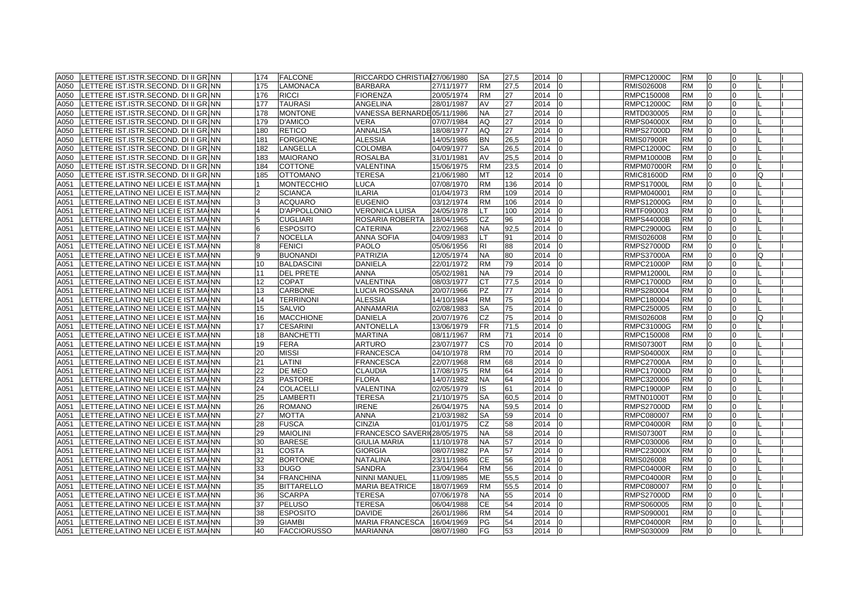| A050 | LETTERE IST.ISTR.SECOND. DI II GR. NN  | 174            | <b>FALCONE</b>      | RICCARDO CHRISTIA 27/06/1980 |            | <b>SA</b> | 27,5 | 2014<br>-10      | <b>RMPC12000C</b> | <b>RM</b> | l0             | 0        |   |  |
|------|----------------------------------------|----------------|---------------------|------------------------------|------------|-----------|------|------------------|-------------------|-----------|----------------|----------|---|--|
| A050 | LETTERE IST.ISTR.SECOND. DI II GR.NN   | 175            | LAMONACA            | <b>BARBARA</b>               | 27/11/1977 | <b>RM</b> | 27,5 | 2014<br>lo       | RMIS026008        | <b>RM</b> | $\Omega$       | $\Omega$ |   |  |
| A050 | LETTERE IST.ISTR.SECOND. DI II GR.NN   | 176            | <b>RICCI</b>        | <b>FIORENZA</b>              | 20/05/1974 | <b>RM</b> | 27   | 2014             | RMPC150008        | <b>RM</b> | $\Omega$       | $\Omega$ |   |  |
| A050 | LETTERE IST.ISTR.SECOND. DI II GR. NN  | 177            | TAURASI             | ANGELINA                     | 28/01/1987 | AV        | 27   | 2014<br>١O       | RMPC12000C        | <b>RM</b> | <b>0</b>       | $\Omega$ |   |  |
| A050 | LETTERE IST.ISTR.SECOND. DI II GR.NN   | 178            | <b>MONTONE</b>      | VANESSA BERNARDE05/11/1986   |            | <b>NA</b> | 27   | 2014<br>lo       | RMTD030005        | <b>RM</b> | 0              | $\Omega$ |   |  |
| A050 | LETTERE IST.ISTR.SECOND. DI II GR.NN   | 179            | D'AMICO             | <b>VERA</b>                  | 07/07/1984 | AQ        | 27   | 2014<br>10       | <b>RMPS04000X</b> | <b>RM</b> | ın             | $\Omega$ |   |  |
| A050 | LETTERE IST.ISTR.SECOND. DI II GR.INN  | 180            | RETICO              | <b>ANNALISA</b>              | 18/08/1977 | AQ        | 27   | 2014             | <b>RMPS27000D</b> | <b>RM</b> |                |          |   |  |
| A050 | LETTERE IST.ISTR.SECOND. DI II GR.INN  | 181            | <b>FORGIONE</b>     | <b>ALESSIA</b>               | 14/05/1986 | <b>BN</b> | 26,5 | 2014             | <b>RMIS07900R</b> | <b>RM</b> |                | $\Omega$ |   |  |
| A050 | LETTERE IST.ISTR.SECOND. DI II GR.NN   | 182            | LANGELLA            | <b>COLOMBA</b>               | 04/09/1977 | <b>SA</b> | 26,5 | 2014<br>lo       | <b>RMPC12000C</b> | <b>RM</b> | l0             | $\Omega$ |   |  |
| A050 | LETTERE IST.ISTR.SECOND. DI II GR.NN   | 183            | <b>MAIORANO</b>     | <b>ROSALBA</b>               | 31/01/1981 | AV        | 25,5 | 2014             | <b>RMPM10000B</b> | <b>RM</b> | $\Omega$       | $\Omega$ |   |  |
| A050 | LETTERE IST.ISTR.SECOND. DI II GR.NN   | 184            | <b>COTTONE</b>      | VALENTINA                    | 15/06/1975 | <b>RM</b> | 23,5 | 2014             | <b>RMPM07000R</b> | <b>RM</b> | $\Omega$       | $\Omega$ |   |  |
| A050 | LETTERE IST.ISTR.SECOND. DI II GR.NN   | 185            | <b>OTTOMANO</b>     | <b>TERESA</b>                | 21/06/1980 | MT        | 12   | 2014             | RMIC81600D        | <b>RM</b> |                | $\Omega$ | O |  |
| A051 | LETTERE,LATINO NEI LICEI E IST.MAINN   |                | MONTECCHIO          | LUCA                         | 07/08/1970 | <b>RM</b> | 136  | 2014<br>lo       | <b>RMPS17000L</b> | <b>RM</b> | $\Omega$       | $\Omega$ |   |  |
| A051 | LETTERE,LATINO NEI LICEI E IST.MAINN   | $\overline{2}$ | <b>SCIANCA</b>      | <b>ILARIA</b>                | 01/04/1973 | <b>RM</b> | 109  | 2014             | RMPM040001        | <b>RM</b> | <sup>0</sup>   | $\Omega$ |   |  |
| A051 | LETTERE,LATINO NEI LICEI E IST.MAINN   | 3              | <b>ACQUARO</b>      | <b>EUGENIO</b>               | 03/12/1974 | <b>RM</b> | 106  | 2014<br>10       | <b>RMPS12000G</b> | <b>RM</b> |                | U        |   |  |
| A051 | LETTERE,LATINO NEI LICEI E IST.MAINN   | $\overline{4}$ | <b>D'APPOLLONIO</b> | <b>VERONICA LUISA</b>        | 24/05/1978 | LТ        | 100  | 2014             | RMTF090003        | <b>RM</b> |                | $\Omega$ |   |  |
| A051 | LETTERE, LATINO NEI LICEI E IST. MAINN | 5              | <b>CUGLIARI</b>     | ROSARIA ROBERTA              | 18/04/1965 | <b>CZ</b> | 96   | 2014             | <b>RMPS44000B</b> | <b>RM</b> |                | $\Omega$ |   |  |
| A051 | LETTERE,LATINO NEI LICEI E IST.MAINN   | 6              | ESPOSITO            | <b>CATERINA</b>              | 22/02/1968 | <b>NA</b> | 92,5 | 2014             | <b>RMPC29000G</b> | <b>RM</b> | $\Omega$       | $\Omega$ |   |  |
| A051 | LETTERE,LATINO NEI LICEI E IST.MAINN   |                | NOCELLA             | <b>ANNA SOFIA</b>            | 04/09/1983 | LT        | 91   | 2014             | RMIS026008        | <b>RM</b> | $\Omega$       | $\Omega$ |   |  |
| A051 | LETTERE,LATINO NEI LICEI E IST.MAINN   | 8              | <b>FENICI</b>       | <b>PAOLO</b>                 | 05/06/1956 | <b>RI</b> | 88   | 2014<br>10       | <b>RMPS27000D</b> | <b>RM</b> | l0             | $\Omega$ |   |  |
| A051 | LETTERE,LATINO NEI LICEI E IST.MAINN   | 9              | <b>BUONANDI</b>     | <b>PATRIZIA</b>              | 12/05/1974 | <b>NA</b> | 80   | 2014<br>$\Omega$ | <b>RMPS37000A</b> | <b>RM</b> | $\Omega$       | $\Omega$ | O |  |
| A051 | LETTERE.LATINO NEI LICEI E IST.MAINN   | 10             | <b>BALDASCINI</b>   | <b>DANIELA</b>               | 22/01/1972 | <b>RM</b> | 79   | 2014<br>lo       | <b>RMPC21000P</b> | <b>RM</b> | $\Omega$       | $\Omega$ |   |  |
| A051 | LETTERE,LATINO NEI LICEI E IST.MAINN   | 11             | <b>DEL PRETE</b>    | <b>ANNA</b>                  | 05/02/1981 | <b>NA</b> | 79   | 2014             | <b>RMPM12000L</b> | <b>RM</b> |                | $\Omega$ |   |  |
| A051 | LETTERE,LATINO NEI LICEI E IST.MAINN   | 12             | COPAT               | <b>VALENTINA</b>             | 08/03/1977 | <b>CT</b> | 77,5 | 2014             | <b>RMPC17000D</b> | <b>RM</b> |                |          |   |  |
| A051 | LETTERE.LATINO NEI LICEI E IST.MAINN   | 13             | CARBONE             | <b>LUCIA ROSSANA</b>         | 20/07/1966 | <b>PZ</b> | 77   | 2014<br>lo       | RMPS280004        | <b>RM</b> | $\Omega$       | $\Omega$ |   |  |
| A051 | LETTERE.LATINO NEI LICEI E IST.MAINN   | 14             | <b>TERRINONI</b>    | <b>ALESSIA</b>               | 14/10/1984 | <b>RM</b> | 75   | 2014             | RMPC180004        | <b>RM</b> | $\Omega$       | $\Omega$ |   |  |
|      |                                        | 15             |                     |                              |            |           |      |                  |                   | <b>RM</b> | $\Omega$       | $\Omega$ |   |  |
| A051 | LETTERE,LATINO NEI LICEI E IST.MAINN   |                | SALVIO              | ANNAMARIA                    | 02/08/1983 | <b>SA</b> | 75   | 2014             | RMPC250005        |           |                |          |   |  |
| A051 | LETTERE, LATINO NEI LICEI E IST. MAINN | 16             | <b>MACCHIONE</b>    | <b>DANIELA</b>               | 20/07/1976 | <b>CZ</b> | 75   | 2014             | RMIS026008        | <b>RM</b> | 0              | $\Omega$ | O |  |
| A051 | LETTERE, LATINO NEI LICEI E IST. MAINN | 17             | <b>CESARINI</b>     | <b>ANTONELLA</b>             | 13/06/1979 | <b>FR</b> | 71,5 | 2014<br>lo       | RMPC31000G        | <b>RM</b> | 0              | 0        |   |  |
| A051 | LETTERE,LATINO NEI LICEI E IST.MAINN   | 18             | <b>BANCHETTI</b>    | <b>MARTINA</b>               | 08/11/1967 | <b>RM</b> | 71   | 2014             | RMPC150008        | <b>RM</b> |                | $\Omega$ |   |  |
| A051 | LETTERE,LATINO NEI LICEI E IST.MAINN   | 19             | FERA                | <b>ARTURO</b>                | 23/07/1977 | СS        | 70   | 2014             | <b>RMIS07300T</b> | <b>RM</b> |                | $\Omega$ |   |  |
| A051 | LETTERE,LATINO NEI LICEI E IST.MAINN   | 20             | <b>MISSI</b>        | <b>FRANCESCA</b>             | 04/10/1978 | <b>RM</b> | 70   | 2014<br>lo       | <b>RMPS04000X</b> | <b>RM</b> |                |          |   |  |
| A051 | LETTERE, LATINO NEI LICEI E IST. MAINN | 21             | <b>ATINI</b>        | <b>FRANCESCA</b>             | 22/07/1968 | <b>RM</b> | 68   | 2014<br>lo       | <b>RMPC27000A</b> | <b>RM</b> |                | $\Omega$ |   |  |
| A051 | LETTERE,LATINO NEI LICEI E IST.MAINN   | 22             | DE MEO              | <b>CLAUDIA</b>               | 17/08/1975 | <b>RM</b> | 64   | 2014<br>10       | <b>RMPC17000D</b> | <b>RM</b> | 0              | 0        |   |  |
| A051 | LETTERE,LATINO NEI LICEI E IST.MAINN   | 23             | <b>PASTORE</b>      | <b>FLORA</b>                 | 14/07/1982 | <b>NA</b> | 64   | 2014             | RMPC320006        | <b>RM</b> | $\Omega$       | $\Omega$ |   |  |
| A051 | LETTERE, LATINO NEI LICEI E IST. MAINN | 24             | COLACELLI           | VALENTINA                    | 02/05/1979 | IS        | 61   | 2014             | <b>RMPC19000P</b> | <b>RM</b> | $\Omega$       | $\Omega$ |   |  |
| A051 | LETTERE,LATINO NEI LICEI E IST.MAINN   | 25             | LAMBERTI            | <b>TERESA</b>                | 21/10/1975 | <b>SA</b> | 60,5 | 2014<br>$\Omega$ | <b>RMTN01000T</b> | <b>RM</b> | $\Omega$       | $\Omega$ |   |  |
| A051 | LETTERE,LATINO NEI LICEI E IST.MAINN   | 26             | ROMANO              | <b>IRENE</b>                 | 26/04/1975 | <b>NA</b> | 59,5 | 2014<br>10       | <b>RMPS27000D</b> | <b>RM</b> | $\overline{0}$ | 0        |   |  |
| A051 | LETTERE,LATINO NEI LICEI E IST.MAINN   | 27             | MOTTA               | <b>ANNA</b>                  | 21/03/1982 | <b>SA</b> | 59   | 2014             | RMPC080007        | <b>RM</b> |                |          |   |  |
| A051 | LETTERE,LATINO NEI LICEI E IST.MAINN   | 28             | <b>FUSCA</b>        | <b>CINZIA</b>                | 01/01/1975 | CZ        | 58   | 2014             | <b>RMPC04000R</b> | <b>RM</b> |                |          |   |  |
| A051 | LETTERE,LATINO NEI LICEI E IST.MAINN   | 29             | <b>MAIOLINI</b>     | FRANCESCO SAVERI(28/05/1975  |            | <b>NA</b> | 58   | 2014<br>lo       | <b>RMIS07300T</b> | <b>RM</b> | $\Omega$       | $\Omega$ |   |  |
| A051 | LETTERE, LATINO NEI LICEI E IST. MAINN | 30             | <b>BARESE</b>       | <b>GIULIA MARIA</b>          | 11/10/1978 | <b>NA</b> | 57   | 2014<br>$\Omega$ | RMPC030006        | <b>RM</b> | $\Omega$       | $\Omega$ |   |  |
| A051 | LETTERE,LATINO NEI LICEI E IST.MAINN   | 31             | <b>COSTA</b>        | <b>GIORGIA</b>               | 08/07/1982 | <b>PA</b> | 57   | 2014<br>lo       | <b>RMPC23000X</b> | <b>RM</b> | $\Omega$       | $\Omega$ |   |  |
| A051 | LETTERE, LATINO NEI LICEI E IST. MAINN | 32             | <b>BORTONE</b>      | <b>NATALINA</b>              | 23/11/1986 | <b>CE</b> | 56   | 2014             | RMIS026008        | <b>RM</b> | $\Omega$       | $\Omega$ |   |  |
| A051 | LETTERE,LATINO NEI LICEI E IST.MAINN   | 33             | <b>DUGO</b>         | <b>SANDRA</b>                | 23/04/1964 | <b>RM</b> | 56   | 2014<br>lo       | <b>RMPC04000R</b> | <b>RM</b> | $\Omega$       | $\Omega$ |   |  |
| A051 | LETTERE,LATINO NEI LICEI E IST.MAINN   | 34             | <b>FRANCHINA</b>    | <b>NINNI MANUEL</b>          | 11/09/1985 | <b>ME</b> | 55.5 | 2014<br>$\Omega$ | <b>RMPC04000R</b> | <b>RM</b> | $\Omega$       | $\Omega$ |   |  |
| A051 | LETTERE,LATINO NEI LICEI E IST.MAINN   | 35             | <b>BITTARELLO</b>   | <b>MARIA BEATRICE</b>        | 18/07/1969 | <b>RM</b> | 55,5 | 2014             | RMPC080007        | <b>RM</b> |                | $\Omega$ |   |  |
| A051 | LETTERE,LATINO NEI LICEI E IST.MAINN   | 36             | <b>SCARPA</b>       | <b>TERESA</b>                | 07/06/1978 | <b>NA</b> | 55   | 2014             | <b>RMPS27000D</b> | <b>RM</b> |                | $\Omega$ |   |  |
| A051 | LETTERE, LATINO NEI LICEI E IST. MAINN | 37             | PELUSO              | <b>TERESA</b>                | 06/04/1988 | <b>CE</b> | 54   | 2014<br>lo       | RMPS060005        | <b>RM</b> | $\Omega$       | $\Omega$ |   |  |
| A051 | LETTERE.LATINO NEI LICEI E IST.MAINN   | 38             | <b>ESPOSITO</b>     | <b>DAVIDE</b>                | 26/01/1986 | <b>RM</b> | 54   | 2014<br>$\Omega$ | RMPS090001        | <b>RM</b> | $\Omega$       | $\Omega$ |   |  |
| A051 | LETTERE,LATINO NEI LICEI E IST.MAINN   | 39             | <b>GIAMBI</b>       | <b>MARIA FRANCESCA</b>       | 16/04/1969 | PG        | 54   | 2014<br>$\Omega$ | <b>RMPC04000R</b> | <b>RM</b> | $\Omega$       | $\Omega$ |   |  |
| A051 | LETTERE, LATINO NEI LICEI E IST. MAINN | 40             | <b>FACCIORUSSO</b>  | <b>MARIANNA</b>              | 08/07/1980 | FG        | 53   | 2014 0           | RMPS030009        | <b>RM</b> | $\Omega$       | $\Omega$ |   |  |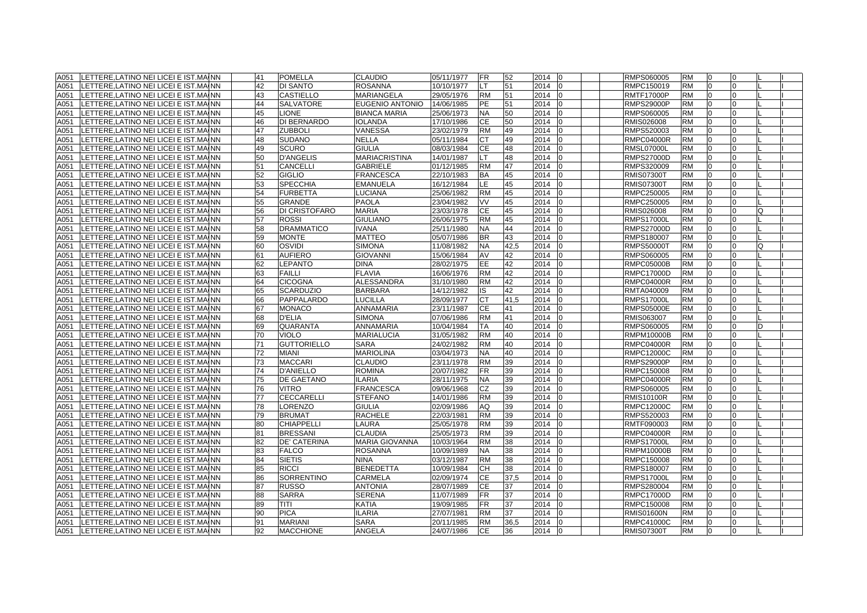|      | A051 LETTERE, LATINO NEI LICEI E IST. MAINN | 41 | <b>POMELLA</b>      | <b>CLAUDIO</b>        | 05/11/1977 | <b>FR</b> | 52   | 2014 | 10       | RMPS060005        | <b>RM</b> | 10             | 0              |   |  |
|------|---------------------------------------------|----|---------------------|-----------------------|------------|-----------|------|------|----------|-------------------|-----------|----------------|----------------|---|--|
| A051 | LETTERE, LATINO NEI LICEI E IST. MAINN      | 42 | <b>DI SANTO</b>     | <b>ROSANNA</b>        | 10/10/1977 | LТ        | 51   | 2014 |          | RMPC150019        | <b>RM</b> | $\Omega$       | $\overline{0}$ |   |  |
| A051 | LETTERE, LATINO NEI LICEI E IST. MAINN      | 43 | <b>CASTIELLO</b>    | <b>MARIANGELA</b>     | 29/05/1976 | <b>RM</b> | 51   | 2014 |          | <b>RMTF17000P</b> | <b>RM</b> | $\Omega$       | $\Omega$       |   |  |
| A051 | LETTERE, LATINO NEI LICEI E IST. MAINN      | 44 | <b>SALVATORE</b>    | EUGENIO ANTONIO       | 14/06/1985 | PE        | 51   | 2014 |          | <b>RMPS29000P</b> | <b>RM</b> | $\Omega$       | 0              |   |  |
| A051 | LETTERE, LATINO NEI LICEI E IST. MAINN      | 45 | <b>LIONE</b>        | <b>BIANCA MARIA</b>   | 25/06/1973 | <b>NA</b> | 50   | 2014 |          | RMPS060005        | <b>RM</b> | 0              | 0              |   |  |
| A051 | LETTERE, LATINO NEI LICEI E IST. MAINN      | 46 | DI BERNARDO         | <b>IOLANDA</b>        | 17/10/1986 | CЕ        | 50   | 2014 |          | RMIS026008        | RM        | <sup>0</sup>   | 0              |   |  |
| A051 | LETTERE, LATINO NEI LICEI E IST. MAINN      | 47 | <b>ZUBBOLI</b>      | VANESSA               | 23/02/1979 | <b>RM</b> | 49   | 2014 |          | RMPS520003        | <b>RM</b> |                | $\Omega$       |   |  |
| A051 | LETTERE, LATINO NEI LICEI E IST. MAINN      | 48 | <b>SUDANO</b>       | <b>NELLA</b>          | 05/11/1984 | СT        | 49   | 2014 |          | <b>RMPC04000R</b> | <b>RM</b> | $\Omega$       | $\Omega$       |   |  |
| A051 | LETTERE, LATINO NEI LICEI E IST. MAINN      | 49 | <b>SCURO</b>        | <b>GIULIA</b>         | 08/03/1984 | CЕ        | 48   | 2014 |          | <b>RMSL07000L</b> | <b>RM</b> | l0             | $\Omega$       |   |  |
| A051 | LETTERE, LATINO NEI LICEI E IST. MAINN      | 50 | <b>D'ANGELIS</b>    | <b>MARIACRISTINA</b>  | 14/01/1987 | LT        | 48   | 2014 |          | <b>RMPS27000D</b> | <b>RM</b> | $\Omega$       | $\Omega$       |   |  |
| A051 | LETTERE, LATINO NEI LICEI E IST. MAINN      | 51 | <b>CANCELLI</b>     | <b>GABRIELE</b>       | 01/12/1985 | <b>RM</b> | 47   | 2014 |          | RMPS320009        | <b>RM</b> | $\Omega$       | $\Omega$       |   |  |
| A051 | LETTERE, LATINO NEI LICEI E IST. MAINN      | 52 | <b>GIGLIO</b>       | <b>FRANCESCA</b>      | 22/10/1983 | <b>BA</b> | 45   | 2014 |          | <b>RMIS07300T</b> | <b>RM</b> | 0              | $\Omega$       |   |  |
| A051 | LETTERE, LATINO NEI LICEI E IST. MAINN      | 53 | <b>SPECCHIA</b>     | <b>EMANUELA</b>       | 16/12/1984 | LE.       | 45   | 2014 |          | <b>RMIS07300T</b> | <b>RM</b> | 0              | $\Omega$       |   |  |
| A051 | LETTERE, LATINO NEI LICEI E IST. MAINN      | 54 | <b>FURBETTA</b>     | LUCIANA               | 25/06/1982 | <b>RM</b> | 45   | 2014 |          | RMPC250005        | <b>RM</b> | $\Omega$       | $\Omega$       |   |  |
| A051 | LETTERE, LATINO NEI LICEI E IST. MAINN      | 55 | <b>GRANDE</b>       | <b>PAOLA</b>          | 23/04/1982 | VV        | 45   | 2014 |          | RMPC250005        | <b>RM</b> | <sup>0</sup>   | $\Omega$       |   |  |
| A051 | LETTERE, LATINO NEI LICEI E IST. MAINN      | 56 | DI CRISTOFARO       | <b>MARIA</b>          | 23/03/1978 | <b>CE</b> | 45   | 2014 |          | RMIS026008        | <b>RM</b> | $\Omega$       | $\Omega$       | O |  |
| A051 | LETTERE, LATINO NEI LICEI E IST. MAINN      | 57 | <b>ROSSI</b>        | <b>GIULIANO</b>       | 26/06/1975 | <b>RM</b> | 45   | 2014 |          | <b>RMPS17000L</b> | <b>RM</b> | $\Omega$       | $\Omega$       |   |  |
| A051 | LETTERE, LATINO NEI LICEI E IST. MAINN      | 58 | <b>DRAMMATICO</b>   | <b>IVANA</b>          | 25/11/1980 | <b>NA</b> | 44   | 2014 |          | <b>RMPS27000D</b> | <b>RM</b> | l0             | $\Omega$       |   |  |
| A051 | LETTERE, LATINO NEI LICEI E IST. MAINN      | 59 | <b>MONTE</b>        | <b>MATTEO</b>         | 05/07/1986 | <b>BR</b> | 43   | 2014 |          | RMPS180007        | <b>RM</b> | $\Omega$       | $\Omega$       |   |  |
| A051 | LETTERE, LATINO NEI LICEI E IST. MAINN      | 60 | <b>OSVIDI</b>       | <b>SIMONA</b>         | 11/08/1982 | <b>NA</b> | 42,5 | 2014 |          | <b>RMPS50000T</b> | <b>RM</b> | $\overline{0}$ | $\Omega$       | O |  |
| A051 | LETTERE, LATINO NEI LICEI E IST. MAINN      | 61 | <b>AUFIERO</b>      | <b>GIOVANNI</b>       | 15/06/1984 | AV        | 42   | 2014 |          | RMPS060005        | <b>RM</b> | 0              | $\Omega$       |   |  |
| A051 | LETTERE.LATINO NEI LICEI E IST.MAINN        | 62 | <b>LEPANTO</b>      | <b>DINA</b>           | 28/02/1975 | EE.       | 42   | 2014 |          | <b>RMPC05000B</b> | <b>RM</b> | $\Omega$       | $\Omega$       |   |  |
| A051 | LETTERE.LATINO NEI LICEI E IST.MAINN        | 63 | <b>FAILLI</b>       | <b>FLAVIA</b>         | 16/06/1976 | <b>RM</b> | 42   | 2014 |          | <b>RMPC17000D</b> | <b>RM</b> | $\Omega$       | $\Omega$       |   |  |
| A051 | LETTERE, LATINO NEI LICEI E IST. MAINN      | 64 | <b>CICOGNA</b>      | <b>ALESSANDRA</b>     | 31/10/1980 | <b>RM</b> | 42   | 2014 |          | <b>RMPC04000R</b> | <b>RM</b> | $\Omega$       | $\Omega$       |   |  |
| A051 | LETTERE.LATINO NEI LICEI E IST.MAINN        | 65 | <b>SCARDUZIO</b>    | <b>BARBARA</b>        | 14/12/1982 | IS        | 42   | 2014 |          | RMTA040009        | <b>RM</b> | $\Omega$       | $\Omega$       |   |  |
| A051 | LETTERE.LATINO NEI LICEI E IST.MAINN        | 66 | PAPPALARDO          | LUCILLA               | 28/09/1977 | <b>CT</b> | 41.5 | 2014 |          | <b>RMPS17000L</b> | <b>RM</b> | $\Omega$       | $\Omega$       |   |  |
| A051 | LETTERE, LATINO NEI LICEI E IST. MAINN      | 67 | <b>MONACO</b>       | ANNAMARIA             | 23/11/1987 | CЕ        | 41   | 2014 |          | <b>RMPS05000E</b> | <b>RM</b> | $\Omega$       | $\Omega$       |   |  |
| A051 | LETTERE, LATINO NEI LICEI E IST. MAINN      | 68 | <b>D'ELIA</b>       | <b>SIMONA</b>         | 07/06/1986 | <b>RM</b> | 41   | 2014 |          | RMIS063007        | <b>RM</b> | 0              | $\overline{0}$ |   |  |
| A051 | LETTERE, LATINO NEI LICEI E IST. MAINN      | 69 | <b>QUARANTA</b>     | ANNAMARIA             | 10/04/1984 | TA        | 40   | 2014 | $\Omega$ | RMPS060005        | <b>RM</b> | 0              | $\Omega$       |   |  |
| A051 | LETTERE, LATINO NEI LICEI E IST. MAINN      | 70 | <b>VIOLO</b>        | <b>MARIALUCIA</b>     | 31/05/1982 | <b>RM</b> | 40   | 2014 |          | RMPM10000B        | <b>RM</b> | <sup>0</sup>   | $\Omega$       |   |  |
| A051 | LETTERE, LATINO NEI LICEI E IST. MAINN      | 71 | <b>GUTTORIELLO</b>  | <b>SARA</b>           | 24/02/1982 | RM        | 40   | 2014 |          | RMPC04000R        | <b>RM</b> |                | $\Omega$       |   |  |
| A051 | LETTERE, LATINO NEI LICEI E IST. MAINN      | 72 | <b>MIANI</b>        | <b>MARIOLINA</b>      | 03/04/1973 | NA.       | 40   | 2014 |          | <b>RMPC12000C</b> | <b>RM</b> | $\Omega$       | $\Omega$       |   |  |
| A051 | LETTERE, LATINO NEI LICEI E IST. MAINN      | 73 | <b>MACCARI</b>      | <b>CLAUDIO</b>        | 23/11/1978 | <b>RM</b> | 39   | 2014 |          | <b>RMPS29000P</b> | <b>RM</b> | l0             | $\Omega$       |   |  |
| A051 | LETTERE, LATINO NEI LICEI E IST. MAINN      | 74 | <b>D'ANIELLO</b>    | <b>ROMINA</b>         | 20/07/1982 | <b>FR</b> | 39   | 2014 |          | RMPC150008        | <b>RM</b> | l0             | 0              |   |  |
| A051 | LETTERE, LATINO NEI LICEI E IST. MAINN      | 75 | <b>DE GAETANO</b>   | <b>ILARIA</b>         | 28/11/1975 | <b>NA</b> | 39   | 2014 |          | <b>RMPC04000R</b> | <b>RM</b> | $\Omega$       | $\Omega$       |   |  |
| A051 | LETTERE, LATINO NEI LICEI E IST. MAINN      | 76 | <b>VITRO</b>        | <b>FRANCESCA</b>      | 09/06/1968 | СZ        | 39   | 2014 |          | RMPS060005        | <b>RM</b> | 0              | $\Omega$       |   |  |
| A051 | LETTERE, LATINO NEI LICEI E IST. MAINN      | 77 | <b>CECCARELLI</b>   | <b>STEFANO</b>        | 14/01/1986 | <b>RM</b> | 39   | 2014 |          | <b>RMIS10100R</b> | <b>RM</b> | 0              | $\Omega$       |   |  |
| A051 | LETTERE, LATINO NEI LICEI E IST. MAINN      | 78 | <b>LORENZO</b>      | <b>GIULIA</b>         | 02/09/1986 | AQ        | 39   | 2014 | 10       | RMPC12000C        | <b>RM</b> | $\overline{0}$ | 0              |   |  |
| A051 | LETTERE, LATINO NEI LICEI E IST. MAINN      | 79 | <b>BRUMAT</b>       | <b>RACHELE</b>        | 22/03/1981 | <b>RM</b> | 39   | 2014 |          | RMPS520003        | <b>RM</b> |                | $\Omega$       |   |  |
| A051 | LETTERE, LATINO NEI LICEI E IST. MAINN      | 80 | <b>CHIAPPELLI</b>   | LAURA                 | 25/05/1978 | <b>RM</b> | 39   | 2014 |          | RMTF090003        | <b>RM</b> |                |                |   |  |
| A051 | LETTERE, LATINO NEI LICEI E IST. MAINN      | 81 | <b>BRESSANI</b>     | <b>CLAUDIA</b>        | 25/05/1973 | <b>RM</b> | 39   | 2014 |          | <b>RMPC04000R</b> | <b>RM</b> | l0             | $\Omega$       |   |  |
| A051 | LETTERE, LATINO NEI LICEI E IST. MAINN      | 82 | <b>DE' CATERINA</b> | <b>MARIA GIOVANNA</b> | 10/03/1964 | <b>RM</b> | 38   | 2014 |          | <b>RMPS17000L</b> | <b>RM</b> | $\Omega$       | $\Omega$       |   |  |
| A051 | LETTERE, LATINO NEI LICEI E IST. MAINN      | 83 | <b>FALCO</b>        | <b>ROSANNA</b>        | 10/09/1989 | <b>NA</b> | 38   | 2014 |          | <b>RMPM10000B</b> | <b>RM</b> | $\Omega$       | $\Omega$       |   |  |
| A051 | LETTERE, LATINO NEI LICEI E IST. MAINN      | 84 | <b>SIETIS</b>       | <b>NINA</b>           | 03/12/1987 | <b>RM</b> | 38   | 2014 |          | RMPC150008        | <b>RM</b> | $\Omega$       | $\Omega$       |   |  |
| A051 | LETTERE, LATINO NEI LICEI E IST. MAINN      | 85 | <b>RICCI</b>        | <b>BENEDETTA</b>      | 10/09/1984 | CН        | 38   | 2014 |          | RMPS180007        | <b>RM</b> | l0             | $\Omega$       |   |  |
| A051 | LETTERE, LATINO NEI LICEI E IST. MAINN      | 86 | <b>SORRENTINO</b>   | <b>CARMELA</b>        | 02/09/1974 | <b>CE</b> | 37.5 | 2014 |          | <b>RMPS17000L</b> | <b>RM</b> | $\Omega$       | $\Omega$       |   |  |
| A051 | LETTERE, LATINO NEI LICEI E IST. MAINN      | 87 | <b>RUSSO</b>        | <b>ANTONIA</b>        | 28/07/1989 | СE        | 37   | 2014 |          | RMPS280004        | <b>RM</b> | $\Omega$       | $\Omega$       |   |  |
| A051 | LETTERE.LATINO NEI LICEI E IST.MAINN        | 88 | <b>SARRA</b>        | <b>SERENA</b>         | 11/07/1989 | FR.       | 37   | 2014 |          | <b>RMPC17000D</b> | <b>RM</b> | $\Omega$       | $\Omega$       |   |  |
| A051 | LETTERE, LATINO NEI LICEI E IST. MAINN      | 89 | TITI                | <b>KATIA</b>          | 19/09/1985 | <b>FR</b> | 37   | 2014 |          | RMPC150008        | <b>RM</b> | $\Omega$       | $\Omega$       |   |  |
| A051 | LETTERE.LATINO NEI LICEI E IST.MAINN        | 90 | <b>PICA</b>         | <b>ILARIA</b>         | 27/07/1981 | <b>RM</b> | 37   | 2014 |          | <b>RMIS01600N</b> | <b>RM</b> | $\Omega$       | $\Omega$       |   |  |
| A051 | LETTERE LATINO NEI LICEI E IST MAINN        | 91 | <b>MARIANI</b>      | <b>SARA</b>           | 20/11/1985 | <b>RM</b> | 36,5 | 2014 |          | <b>RMPC41000C</b> | <b>RM</b> | $\Omega$       | $\Omega$       |   |  |
| A051 | LETTERE, LATINO NEI LICEI E IST. MAINN      | 92 | <b>MACCHIONE</b>    | <b>ANGELA</b>         | 24/07/1986 | <b>CE</b> | 36   | 2014 | I0       | <b>RMIS07300T</b> | <b>RM</b> | $\Omega$       | $\Omega$       |   |  |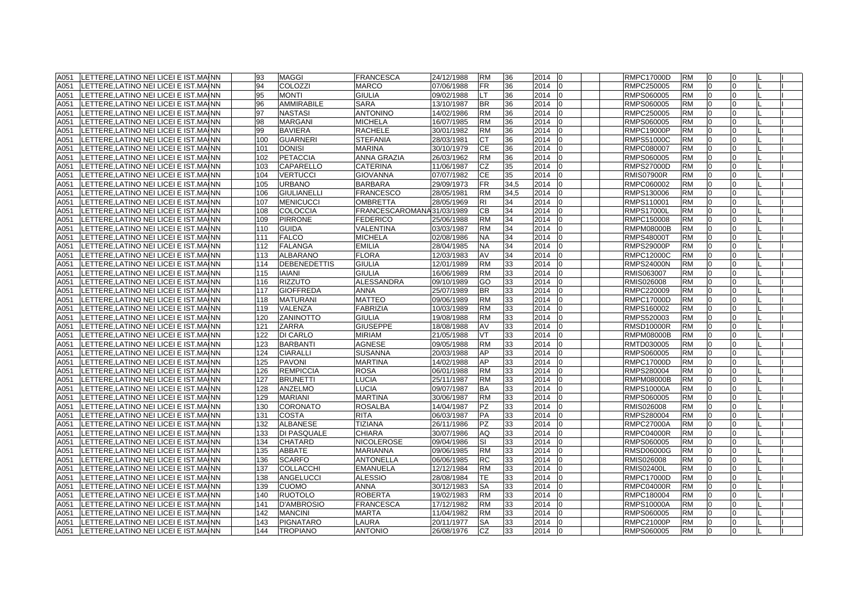| A051 | LETTERE, LATINO NEI LICEI E IST. MAINN      | 93  | <b>MAGGI</b>        | <b>FRANCESCA</b>          | 24/12/1988 | <b>RM</b> | 36   | 2014<br>l0             | <b>RMPC17000D</b> | <b>RM</b> | $\Omega$       |              |  |
|------|---------------------------------------------|-----|---------------------|---------------------------|------------|-----------|------|------------------------|-------------------|-----------|----------------|--------------|--|
| A051 | LETTERE.LATINO NEI LICEI E IST.MAINN        | 94  | <b>COLOZZI</b>      | <b>MARCO</b>              | 07/06/1988 | <b>FR</b> | 36   | 2014<br>$\overline{0}$ | RMPC250005        | <b>RM</b> | $\Omega$       | <sup>0</sup> |  |
| A051 | LETTERE, LATINO NEI LICEI E IST. MAINN      | 95  | <b>MONTI</b>        | <b>GIULIA</b>             | 09/02/1988 | LT        | 36   | 2014<br>I0             | RMPS060005        | <b>RM</b> | $\Omega$       | $\Omega$     |  |
| A051 | LETTERE, LATINO NEI LICEI E IST. MAINN      | 96  | AMMIRABILE          | SARA                      | 13/10/1987 | <b>BR</b> | 36   | 2014<br>I0             | RMPS060005        | <b>RM</b> | $\Omega$       | <sup>0</sup> |  |
| A051 | LETTERE, LATINO NEI LICEI E IST. MAINN      | 97  | <b>NASTASI</b>      | <b>ANTONINO</b>           | 14/02/1986 | <b>RM</b> | 36   | 2014                   | RMPC250005        | <b>RM</b> | $\Omega$       | <sup>0</sup> |  |
| A051 | LETTERE, LATINO NEI LICEI E IST. MAINN      | 98  | <b>MARGANI</b>      | <b>MICHELA</b>            | 16/07/1985 | <b>RM</b> | 36   | 2014<br>I0             | RMPS060005        | <b>RM</b> | $\overline{0}$ | $\Omega$     |  |
| A051 | LETTERE, LATINO NEI LICEI E IST. MAINN      | 99  | <b>BAVIERA</b>      | <b>RACHELE</b>            | 30/01/1982 | <b>RM</b> | 36   | 2014                   | <b>RMPC19000P</b> | <b>RM</b> | n              |              |  |
| A051 | LETTERE, LATINO NEI LICEI E IST. MAINN      | 100 | <b>GUARNERI</b>     | <b>STEFANIA</b>           | 28/03/1981 | СT        | 36   | 2014                   | <b>RMPS51000C</b> | <b>RM</b> |                |              |  |
| A051 | LETTERE.LATINO NEI LICEI E IST.MAINN        | 101 | <b>DONISI</b>       | <b>MARINA</b>             | 30/10/1979 | <b>CE</b> | 36   | 2014<br>I٥             | RMPC080007        | <b>RM</b> | $\Omega$       |              |  |
| A051 | LETTERE, LATINO NEI LICEI E IST. MAINN      | 102 | <b>PETACCIA</b>     | <b>ANNA GRAZIA</b>        | 26/03/1962 | <b>RM</b> | 36   | 2014                   | RMPS060005        | <b>RM</b> | $\Omega$       | $\Omega$     |  |
| A051 | LETTERE, LATINO NEI LICEI E IST. MAINN      | 103 | <b>CAPARELLO</b>    | <b>CATERINA</b>           | 11/06/1987 | <b>CZ</b> | 35   | 2014<br>I <sub>0</sub> | <b>RMPS27000D</b> | <b>RM</b> | $\Omega$       | $\Omega$     |  |
| A051 | LETTERE, LATINO NEI LICEI E IST. MAINN      | 104 | <b>VERTUCCI</b>     | <b>GIOVANNA</b>           | 07/07/1982 | <b>CE</b> | 35   | 2014                   | <b>RMIS07900R</b> | <b>RM</b> | $\Omega$       | <sup>0</sup> |  |
| A051 | LETTERE, LATINO NEI LICEI E IST. MAINN      | 105 | <b>URBANO</b>       | <b>BARBARA</b>            | 29/09/1973 | <b>FR</b> | 34,5 | 2014<br>$\overline{0}$ | RMPC060002        | <b>RM</b> | $\overline{0}$ | $\Omega$     |  |
| A051 | LETTERE, LATINO NEI LICEI E IST. MAINN      | 106 | <b>GIULIANELLI</b>  | <b>FRANCESCO</b>          | 28/05/1981 | <b>RM</b> | 34,5 | 2014                   | RMPS130006        | <b>RM</b> | $\overline{0}$ | $\Omega$     |  |
| A051 | LETTERE, LATINO NEI LICEI E IST. MAINN      | 107 | <b>MENICUCCI</b>    | <b>OMBRETTA</b>           | 28/05/1969 | RI        | 34   | 2014<br>I0             | RMPS110001        | <b>RM</b> | $\Omega$       | <sup>n</sup> |  |
| A051 | LETTERE.LATINO NEI LICEI E IST.MAINN        | 108 | <b>COLOCCIA</b>     | FRANCESCAROMANA31/03/1989 |            | CВ        | 34   | 2014                   | <b>RMPS17000L</b> | <b>RM</b> | $\Omega$       |              |  |
| A051 | LETTERE.LATINO NEI LICEI E IST.MAINN        | 109 | <b>PIRRONE</b>      | <b>FEDERICO</b>           | 25/06/1988 | <b>RM</b> | 34   | 2014                   | RMPC150008        | <b>RM</b> | $\Omega$       |              |  |
| A051 | LETTERE, LATINO NEI LICEI E IST. MAINN      | 110 | <b>GUIDA</b>        | VALENTINA                 | 03/03/1987 | <b>RM</b> | 34   | 2014<br>I0             | <b>RMPM08000B</b> | <b>RM</b> | $\overline{0}$ | $\Omega$     |  |
| A051 | LETTERE, LATINO NEI LICEI E IST. MAINN      | 111 | <b>FALCO</b>        | <b>MICHELA</b>            | 02/08/1986 | <b>NA</b> | 34   | 2014                   | <b>RMPS48000T</b> | <b>RM</b> | 0              | <sup>0</sup> |  |
| A051 | LETTERE, LATINO NEI LICEI E IST. MAINN      | 112 | <b>FALANGA</b>      | <b>EMILIA</b>             | 28/04/1985 | <b>NA</b> | 34   | 2014<br>10             | <b>RMPS29000P</b> | <b>RM</b> | $\overline{0}$ | 0            |  |
| A051 | LETTERE, LATINO NEI LICEI E IST. MAINN      | 113 | ALBARANO            | <b>FLORA</b>              | 12/03/1983 | AV        | 34   | 2014                   | <b>RMPC12000C</b> | <b>RM</b> | $\overline{0}$ | $\Omega$     |  |
| A051 | LETTERE, LATINO NEI LICEI E IST. MAINN      | 114 | <b>DEBENEDETTIS</b> | <b>GIULIA</b>             | 12/01/1989 | <b>RM</b> | 33   | 2014<br>I <sub>0</sub> | <b>RMPS24000N</b> | <b>RM</b> | $\overline{0}$ | 0            |  |
| A051 | LETTERE,LATINO NEI LICEI E IST.MAINN        | 115 | <b>IAIANI</b>       | <b>GIULIA</b>             | 16/06/1989 | <b>RM</b> | 33   | 2014                   | RMIS063007        | <b>RM</b> | $\Omega$       |              |  |
| A051 | LETTERE,LATINO NEI LICEI E IST.MAINN        | 116 | <b>RIZZUTO</b>      | <b>ALESSANDRA</b>         | 09/10/1989 | GO        | 33   | 2014                   | RMIS026008        | <b>RM</b> |                |              |  |
| A051 | LETTERE, LATINO NEI LICEI E IST. MAINN      | 117 | <b>GIOFFREDA</b>    | <b>ANNA</b>               | 25/07/1989 | <b>BR</b> | 33   | 2014<br>I٥             | RMPC220009        | <b>RM</b> | $\Omega$       |              |  |
| A051 | LETTERE, LATINO NEI LICEI E IST. MAINN      | 118 | <b>MATURANI</b>     | <b>MATTEO</b>             | 09/06/1989 | <b>RM</b> | 33   | 2014                   | <b>RMPC17000D</b> | <b>RM</b> | $\Omega$       | $\Omega$     |  |
| A051 | LETTERE, LATINO NEI LICEI E IST. MAINN      | 119 | VALENZA             | <b>FABRIZIA</b>           | 10/03/1989 | <b>RM</b> | 33   | 2014                   | RMPS160002        | <b>RM</b> | $\Omega$       | <sup>0</sup> |  |
| A051 | LETTERE, LATINO NEI LICEI E IST. MAINN      | 120 | <b>ZANINOTTO</b>    | <b>GIULIA</b>             | 19/08/1988 | <b>RM</b> | 33   | 2014                   | RMPS520003        | <b>RM</b> | $\Omega$       | <sup>0</sup> |  |
| A051 | LETTERE, LATINO NEI LICEI E IST. MAINN      | 121 | ZARRA               | <b>GIUSEPPE</b>           | 18/08/1988 | AV        | 33   | 2014<br><b>IO</b>      | <b>RMSD10000R</b> | <b>RM</b> | $\overline{0}$ | $\Omega$     |  |
| A051 | LETTERE, LATINO NEI LICEI E IST. MAINN      | 122 | <b>DI CARLO</b>     | <b>MIRIAM</b>             | 21/05/1988 | VT        | 33   | 2014                   | <b>RMPM08000B</b> | <b>RM</b> | $\overline{0}$ | $\Omega$     |  |
| A051 | LETTERE, LATINO NEI LICEI E IST. MAINN      | 123 | <b>BARBANTI</b>     | <b>AGNESE</b>             | 09/05/1988 | <b>RM</b> | 33   | 2014                   | RMTD030005        | <b>RM</b> | n              |              |  |
| A051 | LETTERE, LATINO NEI LICEI E IST. MAINN      | 124 | <b>CIARALLI</b>     | <b>SUSANNA</b>            | 20/03/1988 | AP        | 33   | 2014                   | RMPS060005        | <b>RM</b> |                |              |  |
| A051 | LETTERE, LATINO NEI LICEI E IST. MAINN      | 125 | <b>PAVONI</b>       | <b>MARTINA</b>            | 14/02/1988 | AP        | 33   | 2014                   | <b>RMPC17000D</b> | <b>RM</b> |                |              |  |
| A051 | LETTERE, LATINO NEI LICEI E IST. MAINN      | 126 | <b>REMPICCIA</b>    | <b>ROSA</b>               | 06/01/1988 | <b>RM</b> | 33   | 2014<br>$\overline{0}$ | RMPS280004        | <b>RM</b> | $\Omega$       | $\Omega$     |  |
| A051 | LETTERE, LATINO NEI LICEI E IST. MAINN      | 127 | <b>BRUNETTI</b>     | LUCIA                     | 25/11/1987 | <b>RM</b> | 33   | 2014<br>$\Omega$       | <b>RMPM08000B</b> | <b>RM</b> | $\overline{0}$ | $\Omega$     |  |
| A051 | LETTERE, LATINO NEI LICEI E IST. MAINN      | 128 | <b>ANZELMO</b>      | LUCIA                     | 09/07/1987 | BA        | 33   | 2014                   | RMPS10000A        | <b>RM</b> | $\Omega$       | 0            |  |
| A051 | LETTERE, LATINO NEI LICEI E IST. MAINN      | 129 | <b>MARIANI</b>      | <b>MARTINA</b>            | 30/06/1987 | <b>RM</b> | 33   | 2014                   | RMPS060005        | <b>RM</b> | $\Omega$       | <sup>0</sup> |  |
| A051 | LETTERE, LATINO NEI LICEI E IST. MAINN      | 130 | <b>CORONATO</b>     | <b>ROSALBA</b>            | 14/04/1987 | PZ        | 33   | 2014<br>-10            | RMIS026008        | <b>RM</b> | $\overline{0}$ | 0            |  |
| A051 | LETTERE, LATINO NEI LICEI E IST. MAINN      | 131 | <b>COSTA</b>        | <b>RITA</b>               | 06/03/1987 | PA        | 33   | 2014                   | RMPS280004        | <b>RM</b> | 0              |              |  |
| A051 | LETTERE,LATINO NEI LICEI E IST.MAINN        | 132 | <b>ALBANESE</b>     | <b>TIZIANA</b>            | 26/11/1986 | PZ        | 33   | 2014                   | <b>RMPC27000A</b> | <b>RM</b> |                |              |  |
| A051 | LETTERE, LATINO NEI LICEI E IST. MAINN      | 133 | DI PASQUALE         | <b>CHIARA</b>             | 30/07/1986 | AQ        | 33   | 2014                   | <b>RMPC04000R</b> | <b>RM</b> | $\Omega$       |              |  |
| A051 | LETTERE, LATINO NEI LICEI E IST. MAINN      | 134 | <b>CHATARD</b>      | <b>NICOLEROSE</b>         | 09/04/1986 | SI        | 33   | 2014                   | RMPS060005        | <b>RM</b> | $\Omega$       | $\Omega$     |  |
| A051 | LETTERE, LATINO NEI LICEI E IST. MAINN      | 135 | ABBATE              | <b>MARIANNA</b>           | 09/06/1985 | <b>RM</b> | 33   | 2014<br>I <sub>0</sub> | <b>RMSD06000G</b> | <b>RM</b> | $\overline{0}$ | <sup>0</sup> |  |
| A051 | LETTERE, LATINO NEI LICEI E IST. MAINN      | 136 | <b>SCARFO</b>       | <b>ANTONELLA</b>          | 06/06/1985 | <b>RC</b> | 33   | 2014                   | RMIS026008        | <b>RM</b> | $\Omega$       | <sup>0</sup> |  |
| A051 | LETTERE, LATINO NEI LICEI E IST. MAINN      | 137 | <b>COLLACCHI</b>    | <b>EMANUELA</b>           | 12/12/1984 | <b>RM</b> | 33   | 2014<br>IΩ             | <b>RMIS02400L</b> | <b>RM</b> | $\Omega$       | <sup>0</sup> |  |
| A051 | LETTERE, LATINO NEI LICEI E IST. MAINN      | 138 | <b>ANGELUCCI</b>    | <b>ALESSIO</b>            | 28/08/1984 | TE        | 33   | 2014                   | <b>RMPC17000D</b> | <b>RM</b> | $\Omega$       | $\Omega$     |  |
| A051 | LETTERE, LATINO NEI LICEI E IST. MAINN      | 139 | <b>CUOMO</b>        | <b>ANNA</b>               | 30/12/1983 | <b>SA</b> | 33   | 2014<br>IΩ             | <b>RMPC04000R</b> | <b>RM</b> | n              | <sup>n</sup> |  |
| A051 | LETTERE.LATINO NEI LICEI E IST.MAINN        | 140 | <b>RUOTOLO</b>      | <b>ROBERTA</b>            | 19/02/1983 | <b>RM</b> | 33   | 2014                   | RMPC180004        | <b>RM</b> | $\Omega$       |              |  |
| A051 | LETTERE, LATINO NEI LICEI E IST. MAINN      | 141 | <b>D'AMBROSIO</b>   | <b>FRANCESCA</b>          | 17/12/1982 | <b>RM</b> | 33   | 2014<br>l0             | <b>RMPS10000A</b> | <b>RM</b> | $\Omega$       | $\Omega$     |  |
| A051 | LETTERE, LATINO NEI LICEI E IST. MAINN      | 142 | <b>MANCINI</b>      | <b>MARTA</b>              | 11/04/1982 | <b>RM</b> | 33   | 2014<br>In             | RMPS060005        | <b>RM</b> | $\Omega$       | $\Omega$     |  |
| A051 | LETTERE.LATINO NEI LICEI E IST.MAINN        | 143 | <b>PIGNATARO</b>    | LAURA                     | 20/11/1977 | <b>SA</b> | 33   | 2014<br>In             | <b>RMPC21000P</b> | <b>RM</b> | $\overline{0}$ | $\Omega$     |  |
|      | A051 LETTERE, LATINO NEI LICEI E IST. MAINN | 144 | <b>TROPIANO</b>     | <b>ANTONIO</b>            | 26/08/1976 | CZ        | 33   | 2014 0                 | RMPS060005        | <b>RM</b> | $\overline{0}$ | $\Omega$     |  |
|      |                                             |     |                     |                           |            |           |      |                        |                   |           |                |              |  |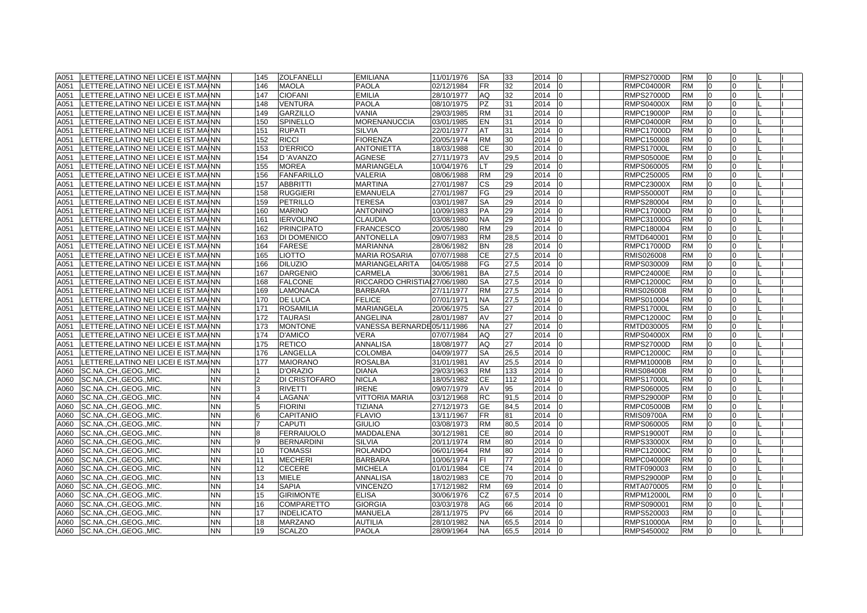| A051 | LETTERE, LATINO NEI LICEI E IST. MAINN       | 145            | <b>ZOLFANELLI</b> | <b>EMILIANA</b>              | 11/01/1976 | <b>SA</b> | 33   | 2014                 | <b>RMPS27000D</b> | <b>RM</b> | $\Omega$       |              |  |
|------|----------------------------------------------|----------------|-------------------|------------------------------|------------|-----------|------|----------------------|-------------------|-----------|----------------|--------------|--|
| A051 | LETTERE LATINO NEI LICEI E IST MAINN         | 146            | <b>MAOLA</b>      | <b>PAOLA</b>                 | 02/12/1984 | <b>FR</b> | 32   | 2014<br>In           | <b>RMPC04000R</b> | <b>RM</b> | $\Omega$       | $\Omega$     |  |
| A051 | LETTERE, LATINO NEI LICEI E IST. MAINN       | 147            | <b>CIOFANI</b>    | <b>EMILIA</b>                | 28/10/1977 | AQ        | 32   | 2014<br>n            | <b>RMPS27000D</b> | <b>RM</b> | $\Omega$       | $\Omega$     |  |
| A051 | LETTERE,LATINO NEI LICEI E IST.MAINN         | 148            | <b>VENTURA</b>    | <b>PAOLA</b>                 | 08/10/1975 | <b>PZ</b> | 31   | 2014                 | <b>RMPS04000X</b> | <b>RM</b> | $\overline{0}$ | <sup>0</sup> |  |
| A051 | LETTERE, LATINO NEI LICEI E IST. MAINN       | 149            | <b>GARZILLO</b>   | <b>VANIA</b>                 | 29/03/1985 | <b>RM</b> | 31   | 2014                 | <b>RMPC19000P</b> | <b>RM</b> | $\Omega$       | $\Omega$     |  |
| A051 | LETTERE, LATINO NEI LICEI E IST. MAINN       | 150            | SPINELLO          | <b>MORENANUCCIA</b>          | 03/01/1985 | EN.       | 31   | 2014                 | <b>RMPC04000R</b> | <b>RM</b> | $\overline{0}$ | $\Omega$     |  |
| A051 | LETTERE,LATINO NEI LICEI E IST.MAINN         | 151            | <b>RUPATI</b>     | <b>SILVIA</b>                | 22/01/1977 | AT        | 31   | 2014                 | <b>RMPC17000D</b> | <b>RM</b> | $\Omega$       |              |  |
| A051 | LETTERE, LATINO NEI LICEI E IST. MAINN       | 152            | <b>RICCI</b>      | <b>FIORENZA</b>              | 20/05/1974 | <b>RM</b> | 30   | 2014                 | RMPC150008        | <b>RM</b> | $\Omega$       |              |  |
| A051 | LETTERE, LATINO NEI LICEI E IST. MAINN       | 153            | <b>D'ERRICO</b>   | <b>ANTONIETTA</b>            | 18/03/1988 | <b>CE</b> | 30   | 2014                 | <b>RMPS17000L</b> | <b>RM</b> | $\Omega$       | $\Omega$     |  |
| A051 | LETTERE, LATINO NEI LICEI E IST. MAINN       | 154            | D'AVANZO          | <b>AGNESE</b>                | 27/11/1973 | AV        | 29,5 | 2014                 | <b>RMPS05000E</b> | <b>RM</b> | $\Omega$       | $\Omega$     |  |
| A051 | LETTERE,LATINO NEI LICEI E IST.MAINN         | 155            | <b>MOREA</b>      | <b>MARIANGELA</b>            | 10/04/1976 | LT.       | 29   | 2014                 | RMPS060005        | <b>RM</b> | 0              | $\Omega$     |  |
| A051 | LETTERE, LATINO NEI LICEI E IST. MAINN       | 156            | <b>FANFARILLO</b> | <b>VALERIA</b>               | 08/06/1988 | <b>RM</b> | 29   | 2014                 | RMPC250005        | <b>RM</b> | $\overline{0}$ | $\Omega$     |  |
| A051 | LETTERE, LATINO NEI LICEI E IST. MAINN       | 157            | <b>ABBRITTI</b>   | <b>MARTINA</b>               | 27/01/1987 | СS        | 29   | 2014                 | <b>RMPC23000X</b> | <b>RM</b> | 0              | $\Omega$     |  |
| A051 | LETTERE,LATINO NEI LICEI E IST.MAINN         | 158            | <b>RUGGIERI</b>   | <b>EMANUELA</b>              | 27/01/1987 | FG        | 29   | 2014<br>n            | <b>RMPS50000T</b> | <b>RM</b> | $\overline{0}$ | $\Omega$     |  |
| A051 | LETTERE,LATINO NEI LICEI E IST.MAINN         | 159            | PETRILLO          | <b>TERESA</b>                | 03/01/1987 | SA        | 29   | 2014                 | RMPS280004        | <b>RM</b> | 0              |              |  |
| A051 | LETTERE,LATINO NEI LICEI E IST.MAINN         | 160            | <b>MARINO</b>     | <b>ANTONINO</b>              | 10/09/1983 | PA        | 29   | 2014                 | <b>RMPC17000D</b> | <b>RM</b> | $\overline{0}$ |              |  |
| A051 | LETTERE,LATINO NEI LICEI E IST.MAINN         | 161            | <b>IERVOLINO</b>  | <b>CLAUDIA</b>               | 03/08/1980 | <b>NA</b> | 29   | 2014<br>n            | RMPC31000G        | <b>RM</b> | $\overline{0}$ | $\Omega$     |  |
| A051 | LETTERE,LATINO NEI LICEI E IST.MAINN         | 162            | <b>PRINCIPATO</b> | <b>FRANCESCO</b>             | 20/05/1980 | <b>RM</b> | 29   | 2014<br>l0           | RMPC180004        | <b>RM</b> | $\overline{0}$ | $\Omega$     |  |
| A051 | LETTERE, LATINO NEI LICEI E IST. MAINN       | 163            | DI DOMENICO       | <b>ANTONELLA</b>             | 09/07/1983 | <b>RM</b> | 28,5 | 2014                 | RMTD640001        | <b>RM</b> | $\overline{0}$ | $\Omega$     |  |
| A051 | LETTERE, LATINO NEI LICEI E IST. MAINN       | 164            | <b>FARESE</b>     | <b>MARIANNA</b>              | 28/06/1982 | <b>BN</b> | 28   | 2014                 | <b>RMPC17000D</b> | <b>RM</b> | $\overline{0}$ | $\Omega$     |  |
| A051 | LETTERE,LATINO NEI LICEI E IST.MAINN         | 165            | LIOTTO            | <b>MARIA ROSARIA</b>         | 07/07/1988 | СE        | 27,5 | 2014<br>$\Omega$     | RMIS026008        | <b>RM</b> | $\overline{0}$ | 0            |  |
| A051 | LETTERE,LATINO NEI LICEI E IST.MAINN         | 166            | <b>DILUZIO</b>    | MARIANGELARITA               | 04/05/1988 | FG        | 27,5 | 2014                 | RMPS030009        | <b>RM</b> | $\overline{0}$ | $\Omega$     |  |
| A051 | LETTERE,LATINO NEI LICEI E IST.MAINN         | 167            | <b>DARGENIO</b>   | CARMELA                      | 30/06/1981 | ΒA        | 27,5 | 2014                 | <b>RMPC24000E</b> | <b>RM</b> | $\overline{0}$ |              |  |
| A051 | LETTERE, LATINO NEI LICEI E IST. MAINN       | 168            | <b>FALCONE</b>    | RICCARDO CHRISTIA 27/06/1980 |            | <b>SA</b> | 27,5 | 2014                 | <b>RMPC12000C</b> | <b>RM</b> | $\Omega$       |              |  |
| A051 | LETTERE, LATINO NEI LICEI E IST. MAINN       | 169            | <b>LAMONACA</b>   | <b>BARBARA</b>               | 27/11/1977 | <b>RM</b> | 27,5 | 2014                 | RMIS026008        | <b>RM</b> | $\overline{0}$ | $\Omega$     |  |
| A051 | LETTERE,LATINO NEI LICEI E IST.MAINN         | 170            | <b>DE LUCA</b>    | <b>FELICE</b>                | 07/01/1971 | <b>NA</b> | 27,5 | 2014                 | RMPS010004        | <b>RM</b> | $\overline{0}$ | $\Omega$     |  |
| A051 | LETTERE, LATINO NEI LICEI E IST. MAINN       | 171            | <b>ROSAMILIA</b>  | <b>MARIANGELA</b>            | 20/06/1975 | <b>SA</b> | 27   | 2014                 | <b>RMPS17000L</b> | <b>RM</b> | $\Omega$       | <sup>0</sup> |  |
| A051 | LETTERE, LATINO NEI LICEI E IST. MAINN       | 172            | <b>TAURASI</b>    | <b>ANGELINA</b>              | 28/01/1987 | AV        | 27   | 2014                 | <b>RMPC12000C</b> | <b>RM</b> | $\overline{0}$ | $\Omega$     |  |
| A051 | LETTERE, LATINO NEI LICEI E IST. MAINN       | 173            | <b>MONTONE</b>    | VANESSA BERNARDE05/11/1986   |            | <b>NA</b> | 27   | 2014<br>In           | RMTD030005        | <b>RM</b> | $\overline{0}$ | $\Omega$     |  |
| A051 | LETTERE,LATINO NEI LICEI E IST.MAINN         | 174            | <b>D'AMICO</b>    | <b>VERA</b>                  | 07/07/1984 | AQ        | 27   | 2014                 | <b>RMPS04000X</b> | <b>RM</b> | $\Omega$       |              |  |
| A051 | LETTERE, LATINO NEI LICEI E IST. MAINN       | 175            | <b>RETICO</b>     | ANNALISA                     | 18/08/1977 | AQ        | 27   | 2014                 | <b>RMPS27000D</b> | <b>RM</b> | $\Omega$       |              |  |
| A051 | LETTERE, LATINO NEI LICEI E IST. MAINN       | 176            | LANGELLA          | <b>COLOMBA</b>               | 04/09/1977 | <b>SA</b> | 26,5 | 2014<br>l0           | <b>RMPC12000C</b> | <b>RM</b> | $\overline{0}$ | $\Omega$     |  |
| A051 | LETTERE,LATINO NEI LICEI E IST.MAINN         | 177            | <b>MAIORANO</b>   | <b>ROSALBA</b>               | 31/01/1981 | AV        | 25,5 | 2014<br><sup>0</sup> | <b>RMPM10000B</b> | <b>RM</b> | $\Omega$       | $\Omega$     |  |
| A060 | SC.NA., CH., GEOG., MIC<br>NN                |                | D'ORAZIO          | <b>DIANA</b>                 | 29/03/1963 | <b>RM</b> | 133  | 2014                 | RMIS084008        | <b>RM</b> | $\overline{0}$ | $\Omega$     |  |
| A060 | <b>NN</b><br>SC.NA., CH., GEOG., MIC.        | $\overline{2}$ | DI CRISTOFARO     | <b>NICLA</b>                 | 18/05/1982 | CЕ        | 112  | 2014                 | <b>RMPS17000L</b> | <b>RM</b> | $\overline{0}$ | $\Omega$     |  |
| A060 | SC.NA.,CH.,GEOG.,MIC.<br><b>NN</b>           | 3              | <b>RIVETTI</b>    | <b>IRENE</b>                 | 09/07/1979 | AV        | 95   | 2014                 | RMPS060005        | <b>RM</b> | $\overline{0}$ | $\Omega$     |  |
| A060 | SC.NA., CH., GEOG., MIC.<br><b>NN</b>        | $\overline{4}$ | LAGANA'           | <b>VITTORIA MARIA</b>        | 03/12/1968 | RC        | 91,5 | 2014                 | <b>RMPS29000P</b> | <b>RM</b> | $\Omega$       | $\Omega$     |  |
| A060 | SC.NA., CH., GEOG., MIC.<br><b>NN</b>        | 5              | <b>FIORINI</b>    | <b>TIZIANA</b>               | 27/12/1973 | GE        | 84,5 | 2014                 | <b>RMPC05000B</b> | <b>RM</b> | $\Omega$       |              |  |
| A060 | <b>NN</b><br>SC.NA., CH., GEOG., MIC.        | 6              | CAPITANIO         | <b>FLAVIO</b>                | 13/11/1967 | <b>FR</b> | 81   | 2014                 | <b>RMIS09700A</b> | <b>RM</b> | $\Omega$       |              |  |
| A060 | <b>NN</b><br>SC.NA., CH., GEOG., MIC.        |                | <b>CAPUTI</b>     | <b>GIULIO</b>                | 03/08/1973 | <b>RM</b> | 80,5 | 2014<br>$\Omega$     | RMPS060005        | <b>RM</b> | $\Omega$       | $\Omega$     |  |
| A060 | SC.NA., CH., GEOG., MIC.<br><b>NN</b>        | 8              | <b>FERRAIUOLO</b> | <b>MADDALENA</b>             | 30/12/1981 | <b>CE</b> | 80   | 2014                 | <b>RMPS19000T</b> | <b>RM</b> | $\overline{0}$ | $\Omega$     |  |
| A060 | SC.NA., CH., GEOG., MIC.<br><b>NN</b>        | 9              | <b>BERNARDINI</b> | <b>SILVIA</b>                | 20/11/1974 | <b>RM</b> | 80   | 2014                 | <b>RMPS33000X</b> | <b>RM</b> | $\overline{0}$ | $\Omega$     |  |
| A060 | <b>NN</b><br>SC.NA., CH., GEOG., MIC.        | 10             | TOMASSI           | <b>ROLANDO</b>               | 06/01/1964 | <b>RM</b> | 80   | 2014                 | RMPC12000C        | <b>RM</b> | $\overline{0}$ | 0            |  |
| A060 | <b>NN</b><br>SC.NA., CH., GEOG., MIC.        | 11             | MECHERI           | <b>BARBARA</b>               | 10/06/1974 | FI.       | 77   | 2014                 | RMPC04000R        | <b>RM</b> | $\overline{0}$ | $\Omega$     |  |
| A060 | SC.NA., CH., GEOG., MIC.<br><b>NN</b>        | 12             | CECERE            | <b>MICHELA</b>               | 01/01/1984 | CЕ        | 74   | 2014                 | RMTF090003        | <b>RM</b> | $\Omega$       | <sup>n</sup> |  |
| A060 | SC.NA., CH., GEOG., MIC.<br><b>NN</b>        | 13             | MIELE             | <b>ANNALISA</b>              | 18/02/1983 | СE        | 70   | 2014                 | <b>RMPS29000P</b> | <b>RM</b> | $\Omega$       |              |  |
| A060 | SC.NA.,CH.,GEOG.,MIC.<br><b>NN</b>           | 14             | <b>SAPIA</b>      | <b>VINCENZO</b>              | 17/12/1982 | <b>RM</b> | 69   | 2014                 | RMTA070005        | <b>RM</b> | $\Omega$       | $\Omega$     |  |
| A060 | <b>NN</b><br>SC.NA., CH., GEOG., MIC.        | 15             | <b>GIRIMONTE</b>  | <b>ELISA</b>                 | 30/06/1976 | <b>CZ</b> | 67,5 | 2014<br>In           | <b>RMPM12000L</b> | <b>RM</b> | 0              | $\Omega$     |  |
| A060 | SC.NA., CH., GEOG., MIC.<br><b>NN</b>        | 16             | <b>COMPARETTO</b> | <b>GIORGIA</b>               | 03/03/1978 | AG        | 66   | 2014<br>$\Omega$     | RMPS090001        | <b>RM</b> | $\overline{0}$ | $\Omega$     |  |
| A060 | SC.NA., CH., GEOG., MIC.<br><b>NN</b>        | 17             | <b>INDELICATO</b> | <b>MANUELA</b>               | 28/11/1975 | <b>PV</b> | 66   | 2014                 | RMPS520003        | <b>RM</b> | $\Omega$       | $\Omega$     |  |
| A060 | <b>NN</b><br>SC.NA., CH., GEOG., MIC.        | 18             | <b>MARZANO</b>    | <b>AUTILIA</b>               | 28/10/1982 | <b>NA</b> | 65,5 | 2014<br>In           | <b>RMPS10000A</b> | <b>RM</b> | $\overline{0}$ | $\Omega$     |  |
|      | A060   SC.NA., CH., GEOG., MIC.<br><b>NN</b> | 19             | <b>SCALZO</b>     | <b>PAOLA</b>                 | 28/09/1964 | <b>NA</b> | 65.5 | 2014 0               | RMPS450002        | <b>RM</b> | $\overline{0}$ | $\Omega$     |  |
|      |                                              |                |                   |                              |            |           |      |                      |                   |           |                |              |  |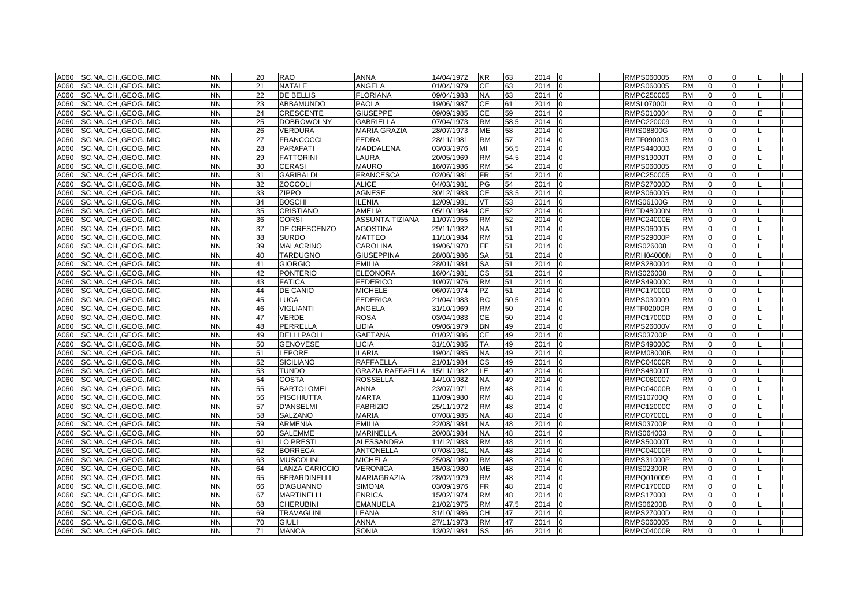| A060 | SC.NA., CH., GEOG., MIC. | <b>NN</b> | 20 | <b>RAO</b>          | <b>ANNA</b>             | 14/04/1972 | <b>KR</b> | 63   | 2014<br>$\overline{0}$ | RMPS060005        | <b>RM</b> | l0             | 0        |   |  |
|------|--------------------------|-----------|----|---------------------|-------------------------|------------|-----------|------|------------------------|-------------------|-----------|----------------|----------|---|--|
| A060 | SC.NA., CH., GEOG., MIC. | <b>NN</b> | 21 | <b>NATALE</b>       | <b>ANGELA</b>           | 01/04/1979 | <b>CE</b> | 63   | 2014<br>10             | RMPS060005        | <b>RM</b> | l0             | $\Omega$ |   |  |
| A060 | SC.NA., CH., GEOG., MIC. | <b>NN</b> | 22 | DE BELLIS           | <b>FLORIANA</b>         | 09/04/1983 | <b>NA</b> | 63   | 2014                   | RMPC250005        | <b>RM</b> | $\Omega$       | $\Omega$ |   |  |
| A060 | SC.NA., CH., GEOG., MIC. | <b>NN</b> | 23 | ABBAMUNDO           | <b>PAOLA</b>            | 19/06/1987 | <b>CE</b> | 61   | 2014<br>10             | <b>RMSL07000L</b> | <b>RM</b> | $\Omega$       | $\Omega$ |   |  |
| A060 | SC.NA.,CH.,GEOG.,MIC.    | <b>NN</b> | 24 | CRESCENTE           | <b>GIUSEPPE</b>         | 09/09/1985 | <b>CE</b> | 59   | 2014<br>lo             | RMPS010004        | <b>RM</b> | $\overline{0}$ | $\Omega$ | F |  |
| A060 | SC.NA., CH., GEOG., MIC. | <b>NN</b> | 25 | DOBROWOLNY          | <b>GABRIELLA</b>        | 07/04/1973 | <b>RM</b> | 58,5 | 2014<br>lo             | RMPC220009        | <b>RM</b> | <sup>0</sup>   | $\Omega$ |   |  |
| A060 | SC.NA., CH., GEOG., MIC. | <b>NN</b> | 26 | VERDURA             | <b>MARIA GRAZIA</b>     | 28/07/1973 | ME        | 58   | 2014                   | RMIS08800G        | <b>RM</b> |                |          |   |  |
| A060 | SC.NA.,CH.,GEOG.,MIC.    | <b>NN</b> | 27 | <b>FRANCOCCI</b>    | <b>FEDRA</b>            | 28/11/1981 | <b>RM</b> | 57   | 2014                   | RMTF090003        | <b>RM</b> |                | $\Omega$ |   |  |
| A060 | SC.NA., CH., GEOG., MIC. | <b>NN</b> | 28 | <b>PARAFATI</b>     | <b>MADDALENA</b>        | 03/03/1976 | MI        | 56,5 | 2014<br>lo             | <b>RMPS44000B</b> | <b>RM</b> | $\overline{0}$ | $\Omega$ |   |  |
| A060 | SC.NA., CH., GEOG., MIC. | <b>NN</b> | 29 | <b>FATTORINI</b>    | LAURA                   | 20/05/1969 | <b>RM</b> | 54,5 | 2014<br>$\Omega$       | <b>RMPS19000T</b> | <b>RM</b> | $\Omega$       | $\Omega$ |   |  |
| A060 | SC.NA., CH., GEOG., MIC. | <b>NN</b> | 30 | <b>CERASI</b>       | <b>MAURO</b>            | 16/07/1986 | <b>RM</b> | 54   | 2014<br>١O             | RMPS060005        | <b>RM</b> | $\Omega$       | $\Omega$ |   |  |
| A060 | SC.NA., CH., GEOG., MIC. | <b>NN</b> | 31 | <b>GARIBALDI</b>    | <b>FRANCESCA</b>        | 02/06/1981 | <b>FR</b> | 54   | 2014                   | RMPC250005        | <b>RM</b> | 0              | $\Omega$ |   |  |
| A060 | SC.NA., CH., GEOG., MIC. | <b>NN</b> | 32 | <b>ZOCCOLI</b>      | <b>ALICE</b>            | 04/03/1981 | PG        | 54   | 2014<br>lo             | <b>RMPS27000D</b> | <b>RM</b> | 0              | $\Omega$ |   |  |
| A060 | SC.NA., CH., GEOG., MIC. | <b>NN</b> | 33 | ZIPPO               | AGNESE                  | 30/12/1983 | <b>CE</b> | 53,5 | 2014                   | RMPS060005        | <b>RM</b> | $\Omega$       | $\Omega$ |   |  |
| A060 | SC.NA., CH., GEOG., MIC. | <b>NN</b> | 34 | <b>BOSCHI</b>       | <b>ILENIA</b>           | 12/09/1981 | VT        | 53   | 2014<br>lo             | <b>RMIS06100G</b> | <b>RM</b> |                | $\Omega$ |   |  |
| A060 | SC.NA., CH., GEOG., MIC. | <b>NN</b> | 35 | <b>CRISTIANO</b>    | <b>AMELIA</b>           | 05/10/1984 | CE        | 52   | 2014<br>lo             | <b>RMTD48000N</b> | <b>RM</b> | $\Omega$       | $\Omega$ |   |  |
| A060 | SC.NA., CH., GEOG., MIC. | <b>NN</b> | 36 | <b>CORSI</b>        | <b>ASSUNTA TIZIANA</b>  | 11/07/1955 | <b>RM</b> | 52   | 2014<br>$\Omega$       | <b>RMPC24000E</b> | <b>RM</b> | $\Omega$       | $\Omega$ |   |  |
| A060 | SC.NA., CH., GEOG., MIC. | <b>NN</b> | 37 | DE CRESCENZO        | <b>AGOSTINA</b>         | 29/11/1982 | <b>NA</b> | 51   | 2014<br>10             | RMPS060005        | <b>RM</b> | l0             | $\Omega$ |   |  |
| A060 | SC.NA., CH., GEOG., MIC. | <b>NN</b> | 38 | <b>SURDO</b>        | <b>MATTEO</b>           | 11/10/1984 | <b>RM</b> | 51   | 2014                   | <b>RMPS29000P</b> | <b>RM</b> | $\Omega$       | $\Omega$ |   |  |
| A060 | SC.NA., CH., GEOG., MIC. | <b>NN</b> | 39 | <b>MALACRINO</b>    | <b>CAROLINA</b>         | 19/06/1970 | <b>EE</b> | 51   | 2014<br>$\overline{0}$ | RMIS026008        | <b>RM</b> | $\overline{0}$ | $\Omega$ |   |  |
| A060 | SC.NA., CH., GEOG., MIC. | <b>NN</b> | 40 | <b>TARDUGNO</b>     | <b>GIUSEPPINA</b>       | 28/08/1986 | <b>SA</b> | 51   | 2014<br>$\Omega$       | <b>RMRH04000N</b> | <b>RM</b> | 0              | $\Omega$ |   |  |
| A060 | SC.NACHGEOGMIC.          | <b>NN</b> | 41 | <b>GIORGIO</b>      | <b>EMILIA</b>           | 28/01/1984 | <b>SA</b> | 51   | 2014<br>lo             | RMPS280004        | <b>RM</b> | $\Omega$       | $\Omega$ |   |  |
| A060 | SC.NA., CH., GEOG., MIC. | <b>NN</b> | 42 | <b>PONTERIO</b>     | <b>ELEONORA</b>         | 16/04/1981 | <b>CS</b> | 51   | 2014                   | RMIS026008        | <b>RM</b> |                | $\Omega$ |   |  |
| A060 | SC.NA., CH., GEOG., MIC. | <b>NN</b> | 43 | <b>FATICA</b>       | <b>FEDERICO</b>         | 10/07/1976 | <b>RM</b> | 51   | 2014<br>lo             | <b>RMPS49000C</b> | <b>RM</b> | $\Omega$       | $\Omega$ |   |  |
| A060 | SC.NACHGEOGMIC.          | <b>NN</b> | 44 | DE CANIO            | <b>MICHELE</b>          | 06/07/1974 | <b>PZ</b> | 51   | 2014<br>lo             | <b>RMPC17000D</b> | <b>RM</b> | $\Omega$       | $\Omega$ |   |  |
| A060 | SC.NACHGEOGMIC.          | <b>NN</b> | 45 | LUCA                | <b>FEDERICA</b>         | 21/04/1983 | <b>RC</b> | 50.5 | 2014                   | RMPS030009        | <b>RM</b> | $\Omega$       | $\Omega$ |   |  |
| A060 | SC.NA., CH., GEOG., MIC. | <b>NN</b> | 46 | VIGLIANTI           | ANGELA                  | 31/10/1969 | <b>RM</b> | 50   | 2014                   | <b>RMTF02000R</b> | <b>RM</b> | $\Omega$       | $\Omega$ |   |  |
| A060 | SC.NA., CH., GEOG., MIC. | <b>NN</b> | 47 | VERDE               | <b>ROSA</b>             | 03/04/1983 | <b>CE</b> | 50   | 2014                   | RMPC17000D        | <b>RM</b> | $\overline{0}$ | $\Omega$ |   |  |
| A060 | SC.NA.,CH.,GEOG.,MIC.    | <b>NN</b> | 48 | PERRELLA            | LIDIA.                  | 09/06/1979 | <b>BN</b> | 49   | 2014<br>10             | <b>RMPS26000V</b> | <b>RM</b> | $\overline{0}$ | $\Omega$ |   |  |
| A060 | SC.NA., CH., GEOG., MIC. | <b>NN</b> | 49 | <b>DELLI PAOLI</b>  | <b>GAETANA</b>          | 01/02/1986 | CЕ        | 49   | 2014                   | <b>RMIS03700P</b> | <b>RM</b> | <sup>0</sup>   | $\Omega$ |   |  |
| A060 | SC.NA., CH., GEOG., MIC. | NN        | 50 | GENOVESE            | <b>LICIA</b>            | 31/10/1985 | TA        | 49   | 2014                   | RMPS49000C        | <b>RM</b> |                | $\Omega$ |   |  |
| A060 | SC.NA., CH., GEOG., MIC. | <b>NN</b> | 51 | <b>EPORE</b>        | <b>ILARIA</b>           | 19/04/1985 | <b>NA</b> | 49   | 2014<br>lo             | <b>RMPM08000B</b> | <b>RM</b> |                | $\Omega$ |   |  |
| A060 | SC.NA.,CH.,GEOG.,MIC.    | <b>NN</b> | 52 | <b>SICILIANO</b>    | <b>RAFFAELLA</b>        | 21/01/1984 | <b>CS</b> | 49   | 2014<br>lo             | <b>RMPC04000R</b> | <b>RM</b> |                | $\Omega$ |   |  |
| A060 | SC.NA., CH., GEOG., MIC. | <b>NN</b> | 53 | <b>TUNDO</b>        | <b>GRAZIA RAFFAELLA</b> | 15/11/1982 | LE.       | 49   | 2014<br>10             | <b>RMPS48000T</b> | <b>RM</b> | $\overline{0}$ | 0        |   |  |
| A060 | SC.NA., CH., GEOG., MIC. | <b>NN</b> | 54 | COSTA               | <b>ROSSELLA</b>         | 14/10/1982 | <b>NA</b> | 49   | 2014                   | RMPC080007        | <b>RM</b> | $\Omega$       | $\Omega$ |   |  |
| A060 | SC.NA., CH., GEOG., MIC. | <b>NN</b> | 55 | <b>BARTOLOMEI</b>   | <b>ANNA</b>             | 23/07/1971 | <b>RM</b> | 48   | 2014                   | <b>RMPC04000R</b> | <b>RM</b> | 0              | $\Omega$ |   |  |
| A060 | SC.NA., CH., GEOG., MIC. | <b>NN</b> | 56 | PISCHIUTTA          | <b>MARTA</b>            | 11/09/1980 | <b>RM</b> | 48   | 2014<br>$\Omega$       | RMIS10700Q        | <b>RM</b> | 0              | $\Omega$ |   |  |
| A060 | SC.NA., CH., GEOG., MIC. | <b>NN</b> | 57 | <b>D'ANSELMI</b>    | <b>FABRIZIO</b>         | 25/11/1972 | <b>RM</b> | 48   | 2014<br>$\overline{0}$ | <b>RMPC12000C</b> | <b>RM</b> | $\overline{0}$ | 0        |   |  |
| A060 | SC.NA., CH., GEOG., MIC. | <b>NN</b> | 58 | SALZANO             | <b>MARIA</b>            | 07/08/1985 | <b>NA</b> | 48   | 2014                   | <b>RMPC07000L</b> | <b>RM</b> |                |          |   |  |
| A060 | SC.NA., CH., GEOG., MIC. | <b>NN</b> | 59 | <b>ARMENIA</b>      | <b>EMILIA</b>           | 22/08/1984 | NA.       | 48   | 2014                   | <b>RMIS03700P</b> | <b>RM</b> |                |          |   |  |
| A060 | SC.NA., CH., GEOG., MIC. | <b>NN</b> | 60 | <b>SALEMME</b>      | <b>MARINELLA</b>        | 20/08/1984 | <b>NA</b> | 48   | 2014<br>I٥             | RMIS064003        | <b>RM</b> | $\Omega$       | $\Omega$ |   |  |
| A060 | SC.NA., CH., GEOG., MIC. | <b>NN</b> | 61 | LO PRESTI           | <b>ALESSANDRA</b>       | 11/12/1983 | <b>RM</b> | 48   | 2014<br>$\Omega$       | <b>RMPS50000T</b> | <b>RM</b> | $\Omega$       | $\Omega$ |   |  |
| A060 | SC.NA., CH., GEOG., MIC. | <b>NN</b> | 62 | <b>BORRECA</b>      | <b>ANTONELLA</b>        | 07/08/1981 | <b>NA</b> | 48   | 2014<br>l0             | <b>RMPC04000R</b> | <b>RM</b> | l0             | $\Omega$ |   |  |
| A060 | SC.NA., CH., GEOG., MIC. | <b>NN</b> | 63 | <b>MUSCOLINI</b>    | <b>MICHELA</b>          | 25/08/1980 | <b>RM</b> | 48   | 2014                   | RMPS31000P        | <b>RM</b> | $\Omega$       | $\Omega$ |   |  |
| A060 | SC.NA., CH., GEOG., MIC. | <b>NN</b> | 64 | LANZA CARICCIO      | <b>VERONICA</b>         | 15/03/1980 | <b>ME</b> | 48   | 2014<br>lo             | <b>RMIS02300R</b> | <b>RM</b> | l0             | $\Omega$ |   |  |
| A060 | SC.NA., CH., GEOG., MIC. | <b>NN</b> | 65 | <b>BERARDINELLI</b> | MARIAGRAZIA             | 28/02/1979 | <b>RM</b> | 48   | 2014<br>$\Omega$       | RMPQ010009        | <b>RM</b> | $\Omega$       | $\Omega$ |   |  |
| A060 | SC.NA., CH., GEOG., MIC. | <b>NN</b> | 66 | D'AGUANNO           | <b>SIMONA</b>           | 03/09/1976 | FR.       | 48   | 2014<br>١O             | <b>RMPC17000D</b> | <b>RM</b> | $\Omega$       | $\Omega$ |   |  |
| A060 | SC.NA., CH., GEOG., MIC. | <b>NN</b> | 67 | <b>MARTINELLI</b>   | <b>ENRICA</b>           | 15/02/1974 | <b>RM</b> | 48   | 2014                   | <b>RMPS17000L</b> | <b>RM</b> | $\Omega$       | $\Omega$ |   |  |
| A060 | SC.NA.,CH.,GEOG.,MIC.    | <b>NN</b> | 68 | <b>CHERUBINI</b>    | <b>EMANUELA</b>         | 21/02/1975 | <b>RM</b> | 47,5 | 2014<br>lo             | <b>RMIS06200B</b> | <b>RM</b> | $\Omega$       | $\Omega$ |   |  |
| A060 | SC.NACHGEOGMIC.          | <b>NN</b> | 69 | <b>TRAVAGLINI</b>   | LEANA                   | 31/10/1986 | <b>CH</b> | 47   | 2014<br>l0             | <b>RMPS27000D</b> | <b>RM</b> | $\Omega$       | $\Omega$ |   |  |
| A060 | ISC.NACHGEOGMIC.         | <b>NN</b> | 70 | <b>GIULI</b>        | <b>ANNA</b>             | 27/11/1973 | <b>RM</b> | 47   | 2014<br>l0             | RMPS060005        | <b>RM</b> | $\Omega$       | $\Omega$ |   |  |
| A060 | SC.NA., CH., GEOG., MIC. | <b>NN</b> | 71 | <b>MANCA</b>        | <b>SONIA</b>            | 13/02/1984 | SS        | 46   | 2014 0                 | <b>RMPC04000R</b> | <b>RM</b> | $\Omega$       | $\Omega$ |   |  |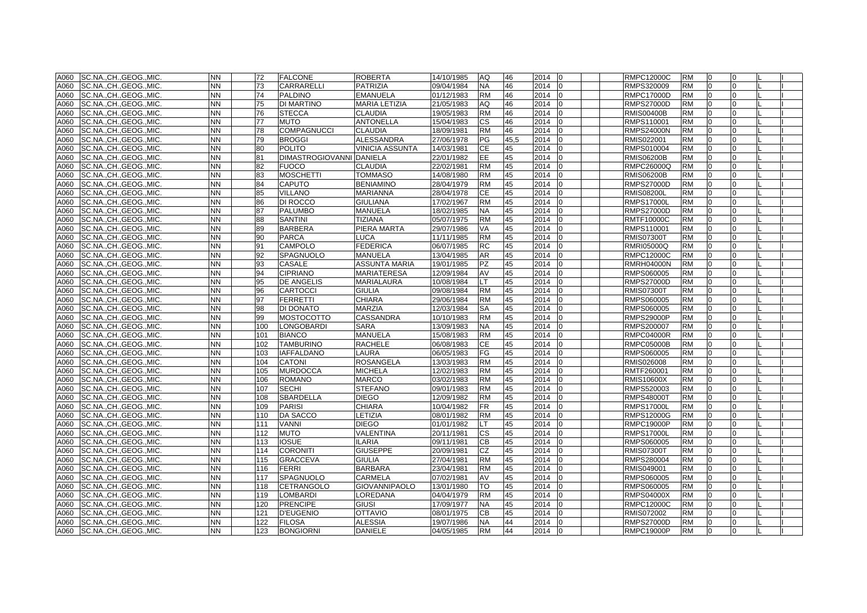| A060 | SC.NA., CH., GEOG., MIC. | <b>NN</b> | 72  | <b>FALCONE</b>                  | <b>ROBERTA</b>         | 14/10/1985 | AQ           | 46   | 2014 | l0             | <b>RMPC12000C</b> | <b>RM</b> | 0            |              |  |
|------|--------------------------|-----------|-----|---------------------------------|------------------------|------------|--------------|------|------|----------------|-------------------|-----------|--------------|--------------|--|
| A060 | SC.NA., CH., GEOG., MIC. | NN        | 73  | <b>CARRARELLI</b>               | <b>PATRIZIA</b>        | 09/04/1984 | NA           | 46   | 2014 | $\Omega$       | RMPS320009        | <b>RM</b> | $\Omega$     | O            |  |
| A060 | SC.NA., CH., GEOG., MIC. | <b>NN</b> | 74  | <b>PALDINO</b>                  | <b>EMANUELA</b>        | 01/12/1983 | <b>RM</b>    | 46   | 2014 |                | RMPC17000D        | <b>RM</b> | $\Omega$     |              |  |
| A060 | SC.NA.,CH.,GEOG.,MIC.    | NΝ        | 75  | <b>DI MARTINO</b>               | <b>MARIA LETIZIA</b>   | 21/05/1983 | AQ           | 46   | 2014 | $\Omega$       | <b>RMPS27000D</b> | <b>RM</b> | $\Omega$     |              |  |
| A060 | SC.NA.,CH.,GEOG.,MIC.    | <b>NN</b> | 76  | <b>STECCA</b>                   | <b>CLAUDIA</b>         | 19/05/1983 | <b>RM</b>    | 46   | 2014 | $\Omega$       | <b>RMIS00400B</b> | <b>RM</b> | 0            | 0            |  |
| A060 | SC.NA., CH., GEOG., MIC. | NN        | 77  | <b>MUTO</b>                     | <b>ANTONELLA</b>       | 15/04/1983 | СS           | 46   | 2014 | <sup>0</sup>   | RMPS110001        | RM        | <sup>0</sup> | 0            |  |
| A060 | SC.NA., CH., GEOG., MIC. | <b>NN</b> | 78  | <b>COMPAGNUCCI</b>              | <b>CLAUDIA</b>         | 18/09/1981 | RM           | 46   | 2014 |                | <b>RMPS24000N</b> | <b>RM</b> |              |              |  |
| A060 | SC.NA.,CH.,GEOG.,MIC.    | <b>NN</b> | 79  | <b>BROGGI</b>                   | <b>ALESSANDRA</b>      | 27/06/1978 | PG           | 45,5 | 2014 |                | RMIS022001        | <b>RM</b> | $\Omega$     |              |  |
| A060 | SC.NA., CH., GEOG., MIC. | <b>NN</b> | 80  | <b>POLITO</b>                   | <b>VINICIA ASSUNTA</b> | 14/03/1981 | СE           | 45   | 2014 | $\Omega$       | RMPS010004        | <b>RM</b> | $\Omega$     |              |  |
| A060 | SC.NA., CH., GEOG., MIC. | <b>NN</b> | 81  | <b>DIMASTROGIOVANNI DANIELA</b> |                        | 22/01/1982 | EE.          | 45   | 2014 |                | <b>RMIS06200B</b> | <b>RM</b> | $\Omega$     |              |  |
| A060 | SC.NA., CH., GEOG., MIC. | NN.       | 82  | <b>FUOCO</b>                    | <b>CLAUDIA</b>         | 22/02/1981 | <b>RM</b>    | 45   | 2014 |                | RMPC26000Q        | <b>RM</b> | $\Omega$     |              |  |
| A060 | SC.NA., CH., GEOG., MIC. | <b>NN</b> | 83  | <b>MOSCHETTI</b>                | <b>TOMMASO</b>         | 14/08/1980 | <b>RM</b>    | 45   | 2014 |                | RMIS06200B        | <b>RM</b> | $\Omega$     |              |  |
| A060 | SC.NA., CH., GEOG., MIC. | <b>NN</b> | 84  | <b>CAPUTO</b>                   | <b>BENIAMINO</b>       | 28/04/1979 | <b>RM</b>    | 45   | 2014 | $\Omega$       | <b>RMPS27000D</b> | <b>RM</b> | $\Omega$     | 0            |  |
| A060 | SC.NA., CH., GEOG., MIC. | NN        | 85  | <b>VILLANO</b>                  | MARIANNA               | 28/04/1978 | СE           | 45   | 2014 |                | <b>RMIS08200L</b> | <b>RM</b> | $\Omega$     |              |  |
| A060 | SC.NA., CH., GEOG., MIC. | NN        | 86  | <b>DI ROCCO</b>                 | <b>GIULIANA</b>        | 17/02/1967 | RM           | 45   | 2014 |                | <b>RMPS17000L</b> | RM        |              |              |  |
| A060 | SC.NA., CH., GEOG., MIC. | <b>NN</b> | 87  | <b>PALUMBO</b>                  | <b>MANUELA</b>         | 18/02/1985 | NA.          | 45   | 2014 |                | <b>RMPS27000D</b> | <b>RM</b> | $\Omega$     |              |  |
| A060 | SC.NA., CH., GEOG., MIC. | <b>NN</b> | 88  | <b>SANTINI</b>                  | <b>TIZIANA</b>         | 05/07/1975 | <b>RM</b>    | 45   | 2014 |                | <b>RMTF10000C</b> | <b>RM</b> | $\Omega$     |              |  |
| A060 | SC.NA., CH., GEOG., MIC. | <b>NN</b> | 89  | <b>BARBERA</b>                  | PIERA MARTA            | 29/07/1986 | VA           | 45   | 2014 |                | RMPS110001        | <b>RM</b> | $\Omega$     |              |  |
| A060 | SC.NA., CH., GEOG., MIC. | <b>NN</b> | 90  | <b>PARCA</b>                    | <b>LUCA</b>            | 11/11/1985 | <b>RM</b>    | 45   | 2014 |                | <b>RMIS07300T</b> | <b>RM</b> | $\Omega$     |              |  |
| A060 | SC.NA., CH., GEOG., MIC. | <b>NN</b> | 91  | <b>CAMPOLO</b>                  | <b>FEDERICA</b>        | 06/07/1985 | RC           | 45   | 2014 | 0              | <b>RMRI05000Q</b> | <b>RM</b> | $\Omega$     | 0            |  |
| A060 | SC.NA., CH., GEOG., MIC. | <b>NN</b> | 92  | <b>SPAGNUOLO</b>                | <b>MANUELA</b>         | 13/04/1985 | <b>AR</b>    | 45   | 2014 | $\Omega$       | RMPC12000C        | <b>RM</b> | $\Omega$     | <sup>o</sup> |  |
| A060 | SC.NA., CH., GEOG., MIC. | <b>NN</b> | 93  | <b>CASALE</b>                   | <b>ASSUNTA MARIA</b>   | 19/01/1985 | PZ           | 45   | 2014 | $\Omega$       | <b>RMRH04000N</b> | <b>RM</b> | $\Omega$     | U            |  |
| A060 | SC.NA., CH., GEOG., MIC. | <b>NN</b> | 94  | <b>CIPRIANO</b>                 | <b>MARIATERESA</b>     | 12/09/1984 | AV           | 45   | 2014 |                | RMPS060005        | <b>RM</b> | $\Omega$     |              |  |
| A060 | SC.NA.,CH.,GEOG.,MIC.    | <b>NN</b> | 95  | <b>DE ANGELIS</b>               | <b>MARIALAURA</b>      | 10/08/1984 | $\mathsf{T}$ | 45   | 2014 |                | <b>RMPS27000D</b> | <b>RM</b> |              |              |  |
| A060 | SC.NACHGEOGMIC.          | <b>NN</b> | 96  | <b>CARTOCCI</b>                 | <b>GIULIA</b>          | 09/08/1984 | <b>RM</b>    | 45   | 2014 | $\Omega$       | <b>RMIS07300T</b> | <b>RM</b> | $\Omega$     |              |  |
| A060 | SC.NACHGEOGMIC.          | <b>NN</b> | 97  | <b>FERRETTI</b>                 | <b>CHIARA</b>          | 29/06/1984 | <b>RM</b>    | 45   | 2014 |                | RMPS060005        | <b>RM</b> | $\Omega$     |              |  |
| A060 | SC.NA., CH., GEOG., MIC. | <b>NN</b> | 98  | <b>DI DONATO</b>                | <b>MARZIA</b>          | 12/03/1984 | SA           | 45   | 2014 |                | RMPS060005        | <b>RM</b> | $\Omega$     |              |  |
| A060 | SC.NA., CH., GEOG., MIC. | NN        | 99  | <b>MOSTOCOTTO</b>               | <b>CASSANDRA</b>       | 10/10/1983 | <b>RM</b>    | 45   | 2014 |                | RMPS29000P        | <b>RM</b> | l0           | 0            |  |
| A060 | SC.NA.,CH.,GEOG.,MIC.    | NN.       | 100 | LONGOBARDI                      | <b>SARA</b>            | 13/09/1983 | NA           | 45   | 2014 | 0              | RMPS200007        | <b>RM</b> | 0            | 0            |  |
| A060 | SC.NA., CH., GEOG., MIC. | NN        | 101 | <b>BIANCO</b>                   | <b>MANUELA</b>         | 15/08/1983 | <b>RM</b>    | 45   | 2014 |                | RMPC04000R        | <b>RM</b> | $\Omega$     |              |  |
| A060 | SC.NA.,CH.,GEOG.,MIC.    | NN        | 102 | <b>TAMBURINO</b>                | <b>RACHELE</b>         | 06/08/1983 | CЕ           | 45   | 2014 |                | RMPC05000B        | RM        |              |              |  |
| A060 | SC.NA., CH., GEOG., MIC. | <b>NN</b> | 103 | <b>IAFFALDANO</b>               | <b>LAURA</b>           | 06/05/1983 | FG           | 45   | 2014 |                | RMPS060005        | <b>RM</b> |              |              |  |
| A060 | SC.NA.,CH.,GEOG.,MIC.    | <b>NN</b> | 104 | <b>CATONI</b>                   | <b>ROSANGELA</b>       | 13/03/1983 | RM           | 45   | 2014 |                | RMIS026008        | <b>RM</b> | $\Omega$     |              |  |
| A060 | SC.NA., CH., GEOG., MIC. | <b>NN</b> | 105 | <b>MURDOCCA</b>                 | <b>MICHELA</b>         | 12/02/1983 | <b>RM</b>    | 45   | 2014 | I0             | RMTF260001        | <b>RM</b> | l0           | U            |  |
| A060 | SC.NA.,CH.,GEOG.,MIC.    | <b>NN</b> | 106 | <b>ROMANO</b>                   | <b>MARCO</b>           | 03/02/1983 | <b>RM</b>    | 45   | 2014 |                | <b>RMIS10600X</b> | <b>RM</b> | $\Omega$     |              |  |
| A060 | SC.NA.,CH.,GEOG.,MIC.    | NN        | 107 | <b>SECHI</b>                    | <b>STEFANO</b>         | 09/01/1983 | RM           | 45   | 2014 |                | RMPS520003        | <b>RM</b> | $\Omega$     |              |  |
| A060 | SC.NA.,CH.,GEOG.,MIC.    | <b>NN</b> | 108 | <b>SBARDELLA</b>                | <b>DIEGO</b>           | 12/09/1982 | <b>RM</b>    | 45   | 2014 |                | <b>RMPS48000T</b> | <b>RM</b> | $\Omega$     | U            |  |
| A060 | SC.NA.,CH.,GEOG.,MIC.    | NN        | 109 | <b>PARISI</b>                   | <b>CHIARA</b>          | 10/04/1982 | FR           | 45   | 2014 | 10             | <b>RMPS17000L</b> | <b>RM</b> | 0            | 0            |  |
| A060 | SC.NA., CH., GEOG., MIC. | <b>NN</b> | 110 | <b>DA SACCO</b>                 | LETIZIA                | 08/01/1982 | RM           | 45   | 2014 |                | <b>RMPS12000G</b> | <b>RM</b> |              |              |  |
| A060 | SC.NA., CH., GEOG., MIC. | NN        | 111 | <b>VANNI</b>                    | <b>DIEGO</b>           | 01/01/1982 |              | 45   | 2014 |                | <b>RMPC19000P</b> | <b>RM</b> |              |              |  |
| A060 | SC.NA.,CH.,GEOG.,MIC.    | <b>NN</b> | 112 | <b>MUTO</b>                     | <b>VALENTINA</b>       | 20/11/1981 | СS           | 45   | 2014 |                | <b>RMPS17000L</b> | <b>RM</b> | $\Omega$     |              |  |
| A060 | SC.NA., CH., GEOG., MIC. | <b>NN</b> | 113 | <b>IOSUE</b>                    | <b>ILARIA</b>          | 09/11/1981 | CВ           | 45   | 2014 | $\Omega$       | RMPS060005        | <b>RM</b> | $\Omega$     |              |  |
| A060 | SC.NA., CH., GEOG., MIC. | <b>NN</b> | 114 | <b>CORONITI</b>                 | <b>GIUSEPPE</b>        | 20/09/1981 | CZ           | 45   | 2014 | l <sub>0</sub> | <b>RMIS07300T</b> | <b>RM</b> | $\Omega$     |              |  |
| A060 | SC.NA., CH., GEOG., MIC. | <b>NN</b> | 115 | <b>GRACCEVA</b>                 | <b>GIULIA</b>          | 27/04/1981 | <b>RM</b>    | 45   | 2014 |                | RMPS280004        | <b>RM</b> | $\Omega$     |              |  |
| A060 | SC.NA., CH., GEOG., MIC. | <b>NN</b> | 116 | <b>FERRI</b>                    | <b>BARBARA</b>         | 23/04/1981 | <b>RM</b>    | 45   | 2014 | $\Omega$       | RMIS049001        | <b>RM</b> | $\Omega$     | <sup>0</sup> |  |
| A060 | SC.NA., CH., GEOG., MIC. | <b>NN</b> | 117 | <b>SPAGNUOLO</b>                | <b>CARMELA</b>         | 07/02/1981 | AV           | 45   | 2014 |                | RMPS060005        | <b>RM</b> | $\Omega$     |              |  |
| A060 | SC.NA., CH., GEOG., MIC. | <b>NN</b> | 118 | <b>CETRANGOLO</b>               | <b>GIOVANNIPAOLO</b>   | 13/01/1980 | TO           | 45   | 2014 |                | RMPS060005        | <b>RM</b> | $\Omega$     |              |  |
| A060 | SC.NA., CH., GEOG., MIC. | <b>NN</b> | 119 | <b>LOMBARDI</b>                 | LOREDANA               | 04/04/1979 | <b>RM</b>    | 45   | 2014 |                | <b>RMPS04000X</b> | <b>RM</b> | $\Omega$     |              |  |
| A060 | SC.NA., CH., GEOG., MIC. | <b>NN</b> | 120 | <b>PRENCIPE</b>                 | <b>GIUSI</b>           | 17/09/1977 | <b>NA</b>    | 45   | 2014 | l <sub>0</sub> | <b>RMPC12000C</b> | <b>RM</b> | $\Omega$     |              |  |
| A060 | SC.NA., CH., GEOG., MIC. | <b>NN</b> | 121 | <b>D'EUGENIO</b>                | <b>OTTAVIO</b>         | 08/01/1975 | CВ           | 45   | 2014 | $\Omega$       | RMIS072002        | <b>RM</b> | $\Omega$     |              |  |
| A060 | SC.NA., CH., GEOG., MIC. | <b>NN</b> | 122 | <b>FILOSA</b>                   | <b>ALESSIA</b>         | 19/07/1986 | <b>NA</b>    | 44   | 2014 |                | <b>RMPS27000D</b> | <b>RM</b> | $\Omega$     |              |  |
| A060 | SC.NA., CH., GEOG., MIC. | <b>NN</b> | 123 | <b>BONGIORNI</b>                | <b>DANIELE</b>         | 04/05/1985 | <b>RM</b>    | 44   | 2014 | l0             | <b>RMPC19000P</b> | <b>RM</b> | $\Omega$     | $\Omega$     |  |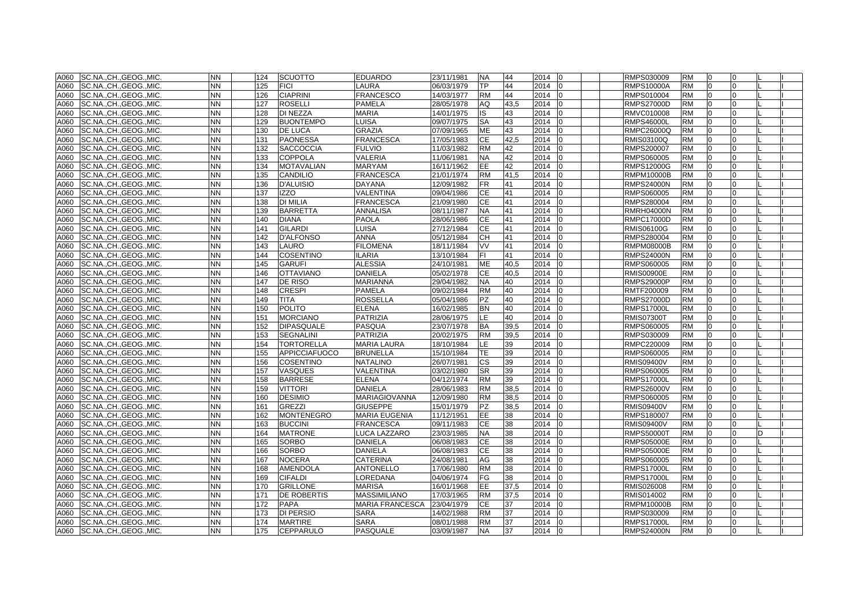| A060 | SC.NA., CH., GEOG., MIC. | <b>NN</b> | 124 | <b>SCUOTTO</b>       | <b>EDUARDO</b>         | 23/11/1981 | <b>NA</b> | 44   | 2014<br>$\overline{0}$ | RMPS030009        | <b>RM</b> | l0             | 0              |  |
|------|--------------------------|-----------|-----|----------------------|------------------------|------------|-----------|------|------------------------|-------------------|-----------|----------------|----------------|--|
| A060 | SC.NA., CH., GEOG., MIC. | <b>NN</b> | 125 | <b>FICI</b>          | LAURA                  | 06/03/1979 | <b>TP</b> | 44   | 2014<br>10             | <b>RMPS10000A</b> | <b>RM</b> | l0             | $\overline{0}$ |  |
| A060 | SC.NA., CH., GEOG., MIC. | <b>NN</b> | 126 | <b>CIAPRINI</b>      | <b>FRANCESCO</b>       | 14/03/1977 | <b>RM</b> | 44   | 2014                   | RMPS010004        | <b>RM</b> | $\Omega$       | $\Omega$       |  |
| A060 | SC.NA., CH., GEOG., MIC. | <b>NN</b> | 127 | <b>ROSELLI</b>       | <b>PAMELA</b>          | 28/05/1978 | AQ        | 43,5 | 2014<br>10             | <b>RMPS27000D</b> | <b>RM</b> | <b>0</b>       | $\Omega$       |  |
| A060 | SC.NA.,CH.,GEOG.,MIC.    | <b>NN</b> | 128 | DI NEZZA             | <b>MARIA</b>           | 14/01/1975 | IS.       | 43   | 2014<br>l0             | RMVC010008        | <b>RM</b> | $\overline{0}$ | $\Omega$       |  |
| A060 | SC.NA., CH., GEOG., MIC. | <b>NN</b> | 129 | <b>BUONTEMPO</b>     | LUISA                  | 09/07/1975 | SA        | 43   | 2014<br>10             | <b>RMPS46000L</b> | <b>RM</b> | <sup>0</sup>   | $\Omega$       |  |
| A060 | SC.NA., CH., GEOG., MIC. | <b>NN</b> | 130 | <b>DE LUCA</b>       | <b>GRAZIA</b>          | 07/09/1965 | ME        | 43   | 2014                   | RMPC26000Q        | <b>RM</b> |                |                |  |
| A060 | SC.NA.,CH.,GEOG.,MIC.    | <b>NN</b> | 131 | <b>PAONESSA</b>      | <b>FRANCESCA</b>       | 17/05/1983 | CE        | 42,5 | 2014                   | RMIS03100Q        | <b>RM</b> |                | $\Omega$       |  |
| A060 | SC.NA., CH., GEOG., MIC. | <b>NN</b> | 132 | <b>SACCOCCIA</b>     | <b>FULVIO</b>          | 11/03/1982 | <b>RM</b> | 42   | 2014<br>$\overline{0}$ | RMPS200007        | <b>RM</b> | $\overline{0}$ | $\Omega$       |  |
| A060 | SC.NA., CH., GEOG., MIC. | <b>NN</b> | 133 | <b>COPPOLA</b>       | <b>VALERIA</b>         | 11/06/1981 | <b>NA</b> | 42   | 2014<br>$\Omega$       | RMPS060005        | <b>RM</b> | $\Omega$       | $\Omega$       |  |
| A060 | SC.NA., CH., GEOG., MIC. | <b>NN</b> | 134 | <b>MOTAVALIAN</b>    | <b>MARYAM</b>          | 16/11/1962 | EE.       | 42   | 2014                   | <b>RMPS12000G</b> | <b>RM</b> | $\Omega$       | $\Omega$       |  |
| A060 | SC.NA., CH., GEOG., MIC. | <b>NN</b> | 135 | <b>CANDILIO</b>      | <b>FRANCESCA</b>       | 21/01/1974 | <b>RM</b> | 41,5 | 2014                   | RMPM10000B        | <b>RM</b> | $\Omega$       | $\Omega$       |  |
| A060 | SC.NA., CH., GEOG., MIC. | <b>NN</b> | 136 | D'ALUISIO            | <b>DAYANA</b>          | 12/09/1982 | FR.       | 41   | 2014<br>lo             | <b>RMPS24000N</b> | <b>RM</b> | 0              | $\Omega$       |  |
| A060 | SC.NA., CH., GEOG., MIC. | <b>NN</b> | 137 | <b>IZZO</b>          | VALENTINA              | 09/04/1986 | CЕ        | 41   | 2014                   | RMPS060005        | <b>RM</b> | $\Omega$       | $\Omega$       |  |
| A060 | SC.NA., CH., GEOG., MIC. | <b>NN</b> | 138 | <b>DI MILIA</b>      | <b>FRANCESCA</b>       | 21/09/1980 | CЕ        | 41   | 2014<br>10             | RMPS280004        | <b>RM</b> |                | $\Omega$       |  |
| A060 | SC.NA., CH., GEOG., MIC. | <b>NN</b> | 139 | <b>BARRETTA</b>      | <b>ANNALISA</b>        | 08/11/1987 | <b>NA</b> | 41   | 2014<br>lo             | <b>RMRH04000N</b> | <b>RM</b> |                | $\Omega$       |  |
| A060 | SC.NA., CH., GEOG., MIC. | <b>NN</b> | 140 | <b>DIANA</b>         | <b>PAOLA</b>           | 28/06/1986 | <b>CE</b> | 41   | 2014                   | <b>RMPC17000D</b> | <b>RM</b> | $\Omega$       | $\Omega$       |  |
| A060 | SC.NA., CH., GEOG., MIC. | <b>NN</b> | 141 | <b>GILARDI</b>       | LUISA                  | 27/12/1984 | <b>CE</b> | 41   | 2014<br>10             | <b>RMIS06100G</b> | <b>RM</b> | 0              | $\Omega$       |  |
| A060 | SC.NA., CH., GEOG., MIC. | <b>NN</b> | 142 | <b>D'ALFONSO</b>     | <b>ANNA</b>            | 05/12/1984 | <b>CH</b> | 41   | 2014                   | RMPS280004        | <b>RM</b> | $\Omega$       | $\Omega$       |  |
| A060 | SC.NA., CH., GEOG., MIC. | <b>NN</b> | 143 | LAURO                | <b>FILOMENA</b>        | 18/11/1984 | VV        | 41   | 2014<br>l0             | <b>RMPM08000B</b> | <b>RM</b> | $\overline{0}$ | $\Omega$       |  |
| A060 | SC.NA., CH., GEOG., MIC. | <b>NN</b> | 144 | <b>COSENTINO</b>     | <b>ILARIA</b>          | 13/10/1984 | FI.       | 41   | 2014<br>$\Omega$       | <b>RMPS24000N</b> | <b>RM</b> | 0              | $\Omega$       |  |
| A060 | SC.NACHGEOGMIC.          | <b>NN</b> | 145 | <b>GARUFI</b>        | <b>ALESSIA</b>         | 24/10/1981 | <b>ME</b> | 40.5 | 2014<br>lo             | RMPS060005        | <b>RM</b> | $\Omega$       | $\Omega$       |  |
| A060 | SC.NA., CH., GEOG., MIC. | <b>NN</b> | 146 | <b>OTTAVIANO</b>     | <b>DANIELA</b>         | 05/02/1978 | <b>CE</b> | 40.5 | 2014                   | <b>RMIS00900E</b> | <b>RM</b> |                | $\Omega$       |  |
| A060 | SC.NA., CH., GEOG., MIC. | <b>NN</b> | 147 | DE RISO              | <b>MARIANNA</b>        | 29/04/1982 | <b>NA</b> | 40   | 2014<br>lo             | <b>RMPS29000P</b> | <b>RM</b> | $\Omega$       | $\Omega$       |  |
| A060 | SC.NACHGEOGMIC.          | <b>NN</b> | 148 | <b>CRESPI</b>        | <b>PAMELA</b>          | 09/02/1984 | <b>RM</b> | 40   | 2014<br>lo             | RMTF200009        | <b>RM</b> | $\Omega$       | $\Omega$       |  |
| A060 | SC.NACHGEOGMIC.          | <b>NN</b> | 149 | <b>TITA</b>          | <b>ROSSELLA</b>        | 05/04/1986 | <b>PZ</b> | 40   | 2014                   | <b>RMPS27000D</b> | <b>RM</b> | $\Omega$       | $\Omega$       |  |
| A060 | SC.NA., CH., GEOG., MIC. | <b>NN</b> | 150 | <b>POLITO</b>        | <b>ELENA</b>           | 16/02/1985 | <b>BN</b> | 40   | 2014                   | <b>RMPS17000L</b> | <b>RM</b> | $\Omega$       | $\Omega$       |  |
| A060 | SC.NA., CH., GEOG., MIC. | <b>NN</b> | 151 | <b>MORCIANO</b>      | PATRIZIA               | 28/06/1975 | LE        | 40   | 2014                   | <b>RMIS07300T</b> | <b>RM</b> | $\overline{0}$ | $\Omega$       |  |
| A060 | SC.NA.,CH.,GEOG.,MIC.    | <b>NN</b> | 152 | <b>DIPASQUALE</b>    | <b>PASQUA</b>          | 23/07/1978 | BA        | 39,5 | 2014<br>lo             | RMPS060005        | <b>RM</b> | 0              | $\Omega$       |  |
| A060 | SC.NA., CH., GEOG., MIC. | <b>NN</b> | 153 | <b>SEGNALINI</b>     | <b>PATRIZIA</b>        | 20/02/1975 | <b>RM</b> | 39,5 | 2014                   | RMPS030009        | <b>RM</b> | <sup>0</sup>   | $\Omega$       |  |
| A060 | SC.NA., CH., GEOG., MIC. | NN        | 154 | TORTORELLA           | <b>MARIA LAURA</b>     | 18/10/1984 | LE.       | 39   | 2014                   | RMPC220009        | <b>RM</b> |                | $\Omega$       |  |
| A060 | SC.NA., CH., GEOG., MIC. | <b>NN</b> | 155 | <b>APPICCIAFUOCO</b> | <b>BRUNELLA</b>        | 15/10/1984 | <b>TE</b> | 39   | 2014<br>lo             | RMPS060005        | <b>RM</b> |                | $\Omega$       |  |
| A060 | SC.NA.,CH.,GEOG.,MIC.    | <b>NN</b> | 156 | <b>COSENTINO</b>     | <b>NATALINO</b>        | 26/07/1981 | <b>CS</b> | 39   | 2014<br>lo             | <b>RMIS09400V</b> | <b>RM</b> | $\Omega$       | $\Omega$       |  |
| A060 | SC.NA., CH., GEOG., MIC. | <b>NN</b> | 157 | <b>VASQUES</b>       | VALENTINA              | 03/02/1980 | <b>SR</b> | 39   | 2014<br>10             | RMPS060005        | <b>RM</b> | $\overline{0}$ | 0              |  |
| A060 | SC.NA., CH., GEOG., MIC. | <b>NN</b> | 158 | <b>BARRESE</b>       | <b>ELENA</b>           | 04/12/1974 | <b>RM</b> | 39   | 2014                   | <b>RMPS17000L</b> | <b>RM</b> | $\Omega$       | $\Omega$       |  |
| A060 | SC.NA.,CH.,GEOG.,MIC.    | <b>NN</b> | 159 | VITTORI              | DANIELA                | 28/06/1983 | <b>RM</b> | 38,5 | 2014                   | <b>RMPS26000V</b> | <b>RM</b> | 0              | $\Omega$       |  |
| A060 | SC.NA.,CH.,GEOG.,MIC.    | <b>NN</b> | 160 | <b>DESIMIO</b>       | <b>MARIAGIOVANNA</b>   | 12/09/1980 | <b>RM</b> | 38,5 | 2014                   | RMPS060005        | <b>RM</b> | 0              | $\Omega$       |  |
| A060 | SC.NA., CH., GEOG., MIC. | <b>NN</b> | 161 | <b>GREZZI</b>        | <b>GIUSEPPE</b>        | 15/01/1979 | PZ        | 38,5 | 2014<br>$\overline{0}$ | <b>RMIS09400V</b> | <b>RM</b> | $\overline{0}$ | 0              |  |
| A060 | SC.NA., CH., GEOG., MIC. | <b>NN</b> | 162 | MONTENEGRO           | <b>MARIA EUGENIA</b>   | 11/12/1951 | EE.       | 38   | 2014                   | RMPS180007        | <b>RM</b> |                |                |  |
| A060 | SC.NA., CH., GEOG., MIC. | <b>NN</b> | 163 | <b>BUCCINI</b>       | <b>FRANCESCA</b>       | 09/11/1983 | CE        | 38   | 2014                   | <b>RMIS09400V</b> | <b>RM</b> |                |                |  |
| A060 | SC.NA., CH., GEOG., MIC. | <b>NN</b> | 164 | <b>MATRONE</b>       | LUCA LAZZARO           | 23/03/1985 | <b>NA</b> | 38   | 2014<br>lo             | <b>RMPS50000T</b> | <b>RM</b> | $\Omega$       | $\Omega$       |  |
| A060 | SC.NACHGEOGMIC.          | <b>NN</b> | 165 | <b>SORBO</b>         | <b>DANIELA</b>         | 06/08/1983 | <b>CE</b> | 38   | 2014<br>$\Omega$       | <b>RMPS05000E</b> | <b>RM</b> | $\Omega$       | $\Omega$       |  |
| A060 | SC.NA., CH., GEOG., MIC. | <b>NN</b> | 166 | <b>SORBO</b>         | DANIELA                | 06/08/1983 | <b>CE</b> | 38   | 2014<br>lo             | <b>RMPS05000E</b> | <b>RM</b> | $\Omega$       | $\Omega$       |  |
| A060 | SC.NA., CH., GEOG., MIC. | <b>NN</b> | 167 | <b>NOCERA</b>        | CATERINA               | 24/08/1981 | AG        | 38   | 2014                   | RMPS060005        | <b>RM</b> | $\Omega$       | $\Omega$       |  |
| A060 | SC.NA., CH., GEOG., MIC. | <b>NN</b> | 168 | <b>AMENDOLA</b>      | <b>ANTONELLO</b>       | 17/06/1980 | <b>RM</b> | 38   | 2014<br>lo             | <b>RMPS17000L</b> | <b>RM</b> | $\Omega$       | $\Omega$       |  |
| A060 | SC.NA., CH., GEOG., MIC. | <b>NN</b> | 169 | <b>CIFALDI</b>       | OREDANA                | 04/06/1974 | FG        | 38   | 2014<br>$\Omega$       | <b>RMPS17000L</b> | <b>RM</b> | $\Omega$       | $\Omega$       |  |
| A060 | SC.NA., CH., GEOG., MIC. | <b>NN</b> | 170 | <b>GRILLONE</b>      | <b>MARISA</b>          | 16/01/1968 | EE.       | 37,5 | 2014                   | RMIS026008        | <b>RM</b> |                | $\Omega$       |  |
| A060 | SC.NA., CH., GEOG., MIC. | <b>NN</b> | 171 | <b>DE ROBERTIS</b>   | <b>MASSIMILIANO</b>    | 17/03/1965 | <b>RM</b> | 37,5 | 2014                   | RMIS014002        | <b>RM</b> | $\Omega$       | $\Omega$       |  |
| A060 | SC.NA.,CH.,GEOG.,MIC.    | <b>NN</b> | 172 | <b>PAPA</b>          | <b>MARIA FRANCESCA</b> | 23/04/1979 | <b>CE</b> | 37   | 2014<br>lo             | <b>RMPM10000B</b> | <b>RM</b> | $\Omega$       | $\Omega$       |  |
| A060 | SC.NACHGEOGMIC.          | <b>NN</b> | 173 | <b>DI PERSIO</b>     | <b>SARA</b>            | 14/02/1988 | <b>RM</b> | 37   | 2014<br>lo             | RMPS030009        | <b>RM</b> | $\Omega$       | $\Omega$       |  |
| A060 | SC.NA., CH., GEOG., MIC. | <b>NN</b> | 174 | <b>MARTIRE</b>       | <b>SARA</b>            | 08/01/1988 | <b>RM</b> | 37   | 2014<br>lo             | <b>RMPS17000L</b> | <b>RM</b> | $\Omega$       | $\Omega$       |  |
| A060 | SC.NA., CH., GEOG., MIC. | <b>NN</b> | 175 | <b>CEPPARULO</b>     | <b>PASQUALE</b>        | 03/09/1987 | <b>NA</b> | 37   | 2014 0                 | <b>RMPS24000N</b> | <b>RM</b> | $\Omega$       | $\Omega$       |  |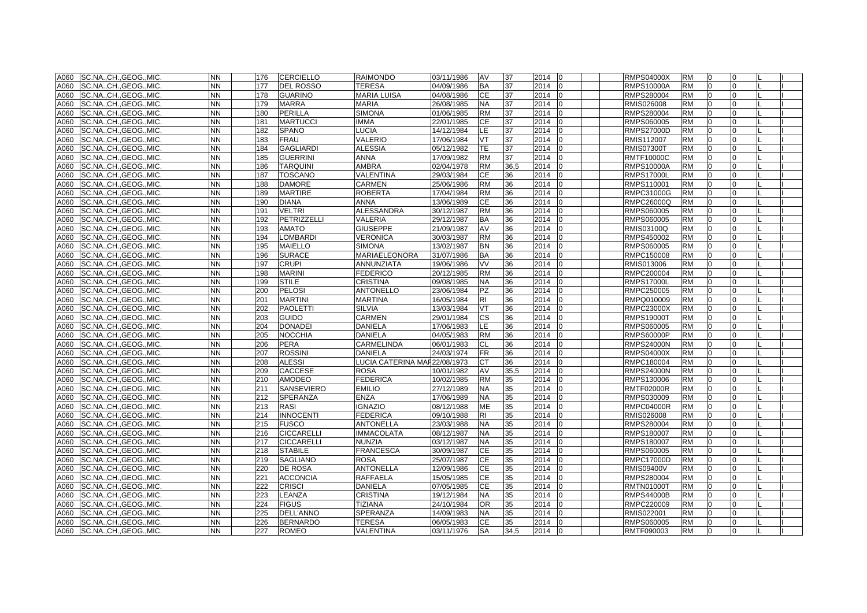| A060 | SC.NA., CH., GEOG., MIC.      | <b>NN</b> | 176 | <b>CERCIELLO</b>   | <b>RAIMONDO</b>              | 03/11/1986 | AV        | 37   | 2014<br><b>10</b>      | <b>RMPS04000X</b> | <b>RM</b> | 0              | $\Omega$     |  |
|------|-------------------------------|-----------|-----|--------------------|------------------------------|------------|-----------|------|------------------------|-------------------|-----------|----------------|--------------|--|
| A060 | SC.NA., CH., GEOG., MIC.      | NN        | 177 | <b>DEL ROSSO</b>   | <b>TERESA</b>                | 04/09/1986 | <b>BA</b> | 37   | 2014<br>$\overline{0}$ | <b>RMPS10000A</b> | <b>RM</b> | $\overline{0}$ | $\Omega$     |  |
| A060 | SC.NA., CH., GEOG., MIC.      | NN        | 178 | <b>GUARINO</b>     | <b>MARIA LUISA</b>           | 04/08/1986 | <b>CE</b> | 37   | 2014                   | RMPS280004        | <b>RM</b> | $\Omega$       | <sup>0</sup> |  |
| A060 | SC.NA., CH., GEOG., MIC.      | NN        | 179 | <b>MARRA</b>       | MARIA                        | 26/08/1985 | <b>NA</b> | 37   | 2014<br>10             | RMIS026008        | <b>RM</b> | n              | <sup>o</sup> |  |
| A060 | SC.NA.,CH.,GEOG.,MIC.         | <b>NN</b> | 180 | <b>PERILLA</b>     | <b>SIMONA</b>                | 01/06/1985 | <b>RM</b> | 37   | 2014<br>I0             | RMPS280004        | <b>RM</b> | $\overline{0}$ | 0            |  |
| A060 | SC.NA.,CH.,GEOG.,MIC.         | NΝ        | 181 | <b>MARTUCCI</b>    | <b>IMMA</b>                  | 22/01/1985 | CЕ        | 37   | 2014<br>10             | RMPS060005        | <b>RM</b> | 0              | <sup>0</sup> |  |
| A060 | SC.NA., CH., GEOG., MIC.      | NΝ.       | 182 | SPANO              | <b>LUCIA</b>                 | 14/12/1984 | LE        | 37   | 2014                   | <b>RMPS27000D</b> | <b>RM</b> |                |              |  |
| A060 | SC.NA.,CH.,GEOG.,MIC.         | <b>NN</b> | 183 | <b>FRAU</b>        | VALERIO                      | 17/06/1984 | <b>VT</b> | 37   | 2014<br>In             | RMIS112007        | <b>RM</b> |                |              |  |
| A060 | SC.NA., CH., GEOG., MIC.      | <b>NN</b> | 184 | <b>GAGLIARDI</b>   | <b>ALESSIA</b>               | 05/12/1982 | TE        | 37   | 2014<br>I <sub>0</sub> | <b>RMIS07300T</b> | <b>RM</b> | $\Omega$       | $\Omega$     |  |
| A060 | SC.NA., CH., GEOG., MIC.      | <b>NN</b> | 185 | <b>GUERRINI</b>    | <b>ANNA</b>                  | 17/09/1982 | <b>RM</b> | 37   | 2014<br>I <sub>0</sub> | <b>RMTF10000C</b> | <b>RM</b> | $\Omega$       | $\Omega$     |  |
| A060 | SC.NA., CH., GEOG., MIC.      | NΝ        | 186 | <b>TARQUINI</b>    | <b>AMBRA</b>                 | 02/04/1978 | <b>RM</b> | 36,5 | 2014                   | <b>RMPS10000A</b> | <b>RM</b> | $\Omega$       | <sup>0</sup> |  |
| A060 | SC.NA., CH., GEOG., MIC.      | <b>NN</b> | 187 | <b>TOSCANO</b>     | VALENTINA                    | 29/03/1984 | <b>CE</b> | 36   | 2014                   | <b>RMPS17000L</b> | <b>RM</b> | $\Omega$       | <sup>0</sup> |  |
| A060 | SC.NA., CH., GEOG., MIC.      | <b>NN</b> | 188 | <b>DAMORE</b>      | CARMEN                       | 25/06/1986 | <b>RM</b> | 36   | 2014                   | RMPS110001        | <b>RM</b> | $\Omega$       | $\Omega$     |  |
| A060 | SC.NA., CH., GEOG., MIC.      | NN.       | 189 | <b>MARTIRE</b>     | <b>ROBERTA</b>               | 17/04/1984 | <b>RM</b> | 36   | 2014                   | RMPC31000G        | <b>RM</b> | $\Omega$       | <sup>0</sup> |  |
| A060 | SC.NA., CH., GEOG., MIC.      | NN.       | 190 | <b>DIANA</b>       | <b>ANNA</b>                  | 13/06/1989 | СE        | 36   | 2014                   | RMPC26000Q        | <b>RM</b> |                |              |  |
| A060 | SC.NA., CH., GEOG., MIC.      | <b>NN</b> | 191 | <b>VELTRI</b>      | <b>ALESSANDRA</b>            | 30/12/1987 | <b>RM</b> | 36   | 2014<br>I0             | RMPS060005        | <b>RM</b> | $\Omega$       |              |  |
| A060 | SC.NA., CH., GEOG., MIC.      | <b>NN</b> | 192 | <b>PETRIZZELLI</b> | <b>VALERIA</b>               | 29/12/1987 | <b>BA</b> | 36   | 2014                   | RMPS060005        | <b>RM</b> | $\Omega$       | $\Omega$     |  |
| A060 | SC.NA., CH., GEOG., MIC.      | <b>NN</b> | 193 | <b>AMATO</b>       | <b>GIUSEPPE</b>              | 21/09/1987 | AV        | 36   | 2014                   | RMIS03100Q        | <b>RM</b> | $\Omega$       | <sup>0</sup> |  |
| A060 | SC.NA., CH., GEOG., MIC.      | <b>NN</b> | 194 | <b>LOMBARDI</b>    | <b>VERONICA</b>              | 30/03/1987 | <b>RM</b> | 36   | 2014                   | RMPS450002        | <b>RM</b> | $\Omega$       | $\Omega$     |  |
| A060 | SC.NA., CH., GEOG., MIC.      | <b>NN</b> | 195 | <b>MAIELLO</b>     | <b>SIMONA</b>                | 13/02/1987 | <b>BN</b> | 36   | 2014<br><b>10</b>      | RMPS060005        | <b>RM</b> | $\overline{0}$ | $\Omega$     |  |
| A060 | SC.NA., CH., GEOG., MIC.      | <b>NN</b> | 196 | <b>SURACE</b>      | <b>MARIAELEONORA</b>         | 31/07/1986 | <b>BA</b> | 36   | 2014<br>$\Omega$       | RMPC150008        | <b>RM</b> | $\overline{0}$ | $\Omega$     |  |
| A060 | SC.NACHGEOGMIC.               | NN.       | 197 | <b>CRUPI</b>       | <b>ANNUNZIATA</b>            | 19/06/1986 | VV        | 36   | 2014<br>I <sub>0</sub> | RMIS013006        | <b>RM</b> | $\Omega$       | <sup>0</sup> |  |
| A060 | SC.NA., CH., GEOG., MIC.      | <b>NN</b> | 198 | <b>MARINI</b>      | <b>FEDERICO</b>              | 20/12/1985 | <b>RM</b> | 36   | 2014                   | RMPC200004        | <b>RM</b> |                |              |  |
| A060 | SC.NA.,CH.,GEOG.,MIC.         | <b>NN</b> | 199 | <b>STILE</b>       | <b>CRISTINA</b>              | 09/08/1985 | <b>NA</b> | 36   | 2014                   | <b>RMPS17000L</b> | <b>RM</b> | $\Omega$       |              |  |
| A060 | SC.NACHGEOGMIC.               | <b>NN</b> | 200 | <b>PELOSI</b>      | <b>ANTONELLO</b>             | 23/06/1984 | <b>PZ</b> | 36   | 2014<br>l0             | RMPC250005        | <b>RM</b> | $\Omega$       | $\Omega$     |  |
| A060 | SC.NACHGEOGMIC.               | <b>NN</b> | 201 | <b>MARTINI</b>     | <b>MARTINA</b>               | 16/05/1984 | <b>RI</b> | 36   | 2014                   | RMPQ010009        | <b>RM</b> | $\Omega$       | $\Omega$     |  |
| A060 | SC.NA., CH., GEOG., MIC.      | <b>NN</b> | 202 | <b>PAOLETTI</b>    | <b>SILVIA</b>                | 13/03/1984 | VT        | 36   | 2014                   | <b>RMPC23000X</b> | <b>RM</b> | $\Omega$       | <sup>0</sup> |  |
| A060 | SC.NA., CH., GEOG., MIC.      | <b>NN</b> | 203 | <b>GUIDO</b>       | CARMEN                       | 29/01/1984 | <b>CS</b> | 36   | 2014                   | <b>RMPS19000T</b> | <b>RM</b> | $\overline{0}$ | $\Omega$     |  |
| A060 | SC.NA.,CH.,GEOG.,MIC.         | NN.       | 204 | <b>DONADEI</b>     | DANIELA                      | 17/06/1983 | LE.       | 36   | 2014<br>10             | RMPS060005        | <b>RM</b> | $\overline{0}$ | $\Omega$     |  |
| A060 | SC.NA., CH., GEOG., MIC.      | NN.       | 205 | <b>NOCCHIA</b>     | DANIELA                      | 04/05/1983 | <b>RM</b> | 36   | 2014                   | <b>RMPS60000P</b> | <b>RM</b> | $\Omega$       |              |  |
| A060 | SC.NA., CH., GEOG., MIC.      | NΝ        | 206 | <b>PERA</b>        | CARMELINDA                   | 06/01/1983 | CL        | 36   | 2014                   | <b>RMPS24000N</b> | <b>RM</b> |                |              |  |
| A060 | SC.NA., CH., GEOG., MIC.      | <b>NN</b> | 207 | <b>ROSSINI</b>     | <b>DANIELA</b>               | 24/03/1974 | FR        | 36   | 2014<br>l0             | <b>RMPS04000X</b> | <b>RM</b> |                |              |  |
| A060 | SC.NA.,CH.,GEOG.,MIC.         | <b>NN</b> | 208 | <b>ALESSI</b>      | LUCIA CATERINA MAF22/08/1973 |            | СT        | 36   | 2014<br>10             | RMPC180004        | <b>RM</b> | $\overline{0}$ |              |  |
| A060 | SC.NA., CH., GEOG., MIC.      | <b>NN</b> | 209 | <b>CACCESE</b>     | <b>ROSA</b>                  | 10/01/1982 | AV        | 35,5 | 2014<br>10             | <b>RMPS24000N</b> | <b>RM</b> | $\overline{0}$ | $\Omega$     |  |
| A060 | SC.NA.,CH.,GEOG.,MIC.         | <b>NN</b> | 210 | <b>AMODEO</b>      | <b>FEDERICA</b>              | 10/02/1985 | <b>RM</b> | 35   | 2014<br>$\Omega$       | RMPS130006        | <b>RM</b> | $\Omega$       | $\Omega$     |  |
| A060 | SC.NA.,CH.,GEOG.,MIC.         | NΝ        | 211 | SANSEVIERO         | <b>EMILIO</b>                | 27/12/1989 | NA        | 35   | 2014                   | <b>RMTF02000R</b> | <b>RM</b> | $\Omega$       | <sup>n</sup> |  |
| A060 | SC.NA.,CH.,GEOG.,MIC.         | <b>NN</b> | 212 | SPERANZA           | <b>ENZA</b>                  | 17/06/1989 | NA.       | 35   | 2014                   | RMPS030009        | <b>RM</b> | $\Omega$       | $\Omega$     |  |
| A060 | SC.NA., CH., GEOG., MIC.      | NN        | 213 | <b>RASI</b>        | <b>IGNAZIO</b>               | 08/12/1988 | <b>ME</b> | 35   | 2014<br>$\overline{0}$ | <b>RMPC04000R</b> | <b>RM</b> | $\overline{0}$ | 0            |  |
| A060 | SC.NA., CH., GEOG., MIC.      | NΝ.       | 214 | <b>INNOCENTI</b>   | <b>FEDERICA</b>              | 09/10/1988 | RI        | 35   | 2014                   | RMIS026008        | RM        |                |              |  |
| A060 | SC.NA., CH., GEOG., MIC.      | NN        | 215 | FUSCO              | <b>ANTONELLA</b>             | 23/03/1988 | NA        | 35   | 2014                   | RMPS280004        | <b>RM</b> |                |              |  |
| A060 | SC.NA., CH., GEOG., MIC.      | <b>NN</b> | 216 | <b>CICCARELLI</b>  | <b>IMMACOLATA</b>            | 08/12/1987 | <b>NA</b> | 35   | 2014<br>I <sub>0</sub> | RMPS180007        | <b>RM</b> | $\Omega$       |              |  |
| A060 | SC.NACHGEOGMIC.               | <b>NN</b> | 217 | <b>CICCARELLI</b>  | <b>NUNZIA</b>                | 03/12/1987 | <b>NA</b> | 35   | 2014<br>$\Omega$       | RMPS180007        | <b>RM</b> | $\Omega$       | $\Omega$     |  |
| A060 | SC.NA., CH., GEOG., MIC.      | <b>NN</b> | 218 | <b>STABILE</b>     | <b>FRANCESCA</b>             | 30/09/1987 | <b>CE</b> | 35   | 2014<br>I <sub>0</sub> | RMPS060005        | <b>RM</b> | $\overline{0}$ | <sup>0</sup> |  |
| A060 | SC.NA., CH., GEOG., MIC.      | <b>NN</b> | 219 | <b>SAGLIANO</b>    | <b>ROSA</b>                  | 25/07/1987 | <b>CE</b> | 35   | 2014                   | <b>RMPC17000D</b> | <b>RM</b> | $\Omega$       | <sup>0</sup> |  |
| A060 | SC.NA., CH., GEOG., MIC.      | <b>NN</b> | 220 | <b>DE ROSA</b>     | <b>ANTONELLA</b>             | 12/09/1986 | <b>CE</b> | 35   | 2014<br>In             | <b>RMIS09400V</b> | <b>RM</b> | $\overline{0}$ | $\Omega$     |  |
| A060 | SC.NA., CH., GEOG., MIC.      | <b>NN</b> | 221 | <b>ACCONCIA</b>    | <b>RAFFAELA</b>              | 15/05/1985 | <b>CE</b> | 35   | 2014                   | RMPS280004        | <b>RM</b> | $\overline{0}$ | <sup>0</sup> |  |
| A060 | SC.NA., CH., GEOG., MIC.      | NN.       | 222 | <b>CRISCI</b>      | DANIELA                      | 07/05/1985 | <b>CE</b> | 35   | 2014<br>In             | <b>RMTN01000T</b> | <b>RM</b> | $\Omega$       | <sup>n</sup> |  |
| A060 | SC.NA., CH., GEOG., MIC.      | <b>NN</b> | 223 | LEANZA             | <b>CRISTINA</b>              | 19/12/1984 | NA.       | 35   | 2014                   | <b>RMPS44000B</b> | <b>RM</b> |                |              |  |
| A060 | SC.NA., CH., GEOG., MIC.      | <b>NN</b> | 224 | <b>FIGUS</b>       | <b>TIZIANA</b>               | 24/10/1984 | <b>OR</b> | 35   | 2014<br>l0             | RMPC220009        | <b>RM</b> | $\Omega$       | $\Omega$     |  |
| A060 | SC.NA., CH., GEOG., MIC.      | <b>NN</b> | 225 | <b>DELL'ANNO</b>   | <b>SPERANZA</b>              | 14/09/1983 | <b>NA</b> | 35   | 2014<br>In             | RMIS022001        | <b>RM</b> | $\Omega$       | $\Omega$     |  |
| A060 | SC.NA., CH., GEOG., MIC.      | <b>NN</b> | 226 | <b>BERNARDO</b>    | <b>TERESA</b>                | 06/05/1983 | <b>CE</b> | 35   | 2014<br>I0             | RMPS060005        | <b>RM</b> | $\Omega$       | $\Omega$     |  |
|      | A060 SC.NA., CH., GEOG., MIC. | <b>NN</b> | 227 | <b>ROMEO</b>       | VALENTINA                    | 03/11/1976 | <b>SA</b> | 34.5 | 2014 0                 | RMTF090003        | <b>RM</b> | $\overline{0}$ | $\Omega$     |  |
|      |                               |           |     |                    |                              |            |           |      |                        |                   |           |                |              |  |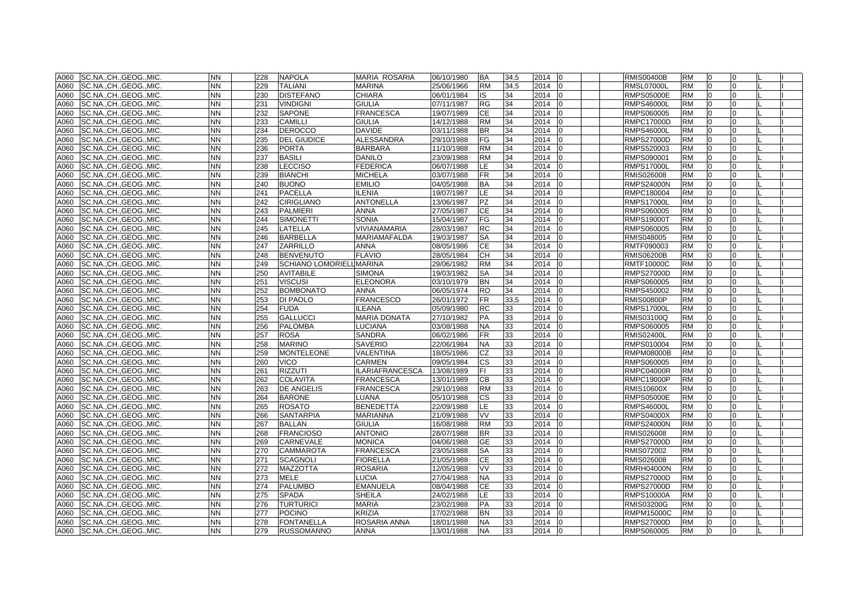| A060 | SC.NA., CH., GEOG., MIC. | <b>NN</b> | 228 | <b>NAPOLA</b>                   | <b>MARIA ROSARIA</b>   | 06/10/1980 | <b>BA</b> | 34,5 | 2014   | l0             | <b>RMIS00400B</b> | <b>RM</b> | 0            |              |  |
|------|--------------------------|-----------|-----|---------------------------------|------------------------|------------|-----------|------|--------|----------------|-------------------|-----------|--------------|--------------|--|
| A060 | SC.NA., CH., GEOG., MIC. | NN        | 229 | <b>TALIANI</b>                  | <b>MARINA</b>          | 25/06/1966 | <b>RM</b> | 34,5 | 2014   | $\Omega$       | <b>RMSL07000L</b> | <b>RM</b> | l0           |              |  |
| A060 | SC.NA., CH., GEOG., MIC. | <b>NN</b> | 230 | <b>DISTEFANO</b>                | <b>CHIARA</b>          | 06/01/1984 | IS        | 34   | 2014   |                | <b>RMPS05000E</b> | <b>RM</b> | $\Omega$     |              |  |
| A060 | SC.NA., CH., GEOG., MIC. | <b>NN</b> | 231 | <b>VINDIGNI</b>                 | <b>GIULIA</b>          | 07/11/1987 | RG        | 34   | 2014   | $\Omega$       | <b>RMPS46000L</b> | <b>RM</b> | $\Omega$     |              |  |
| A060 | SC.NA.,CH.,GEOG.,MIC.    | <b>NN</b> | 232 | <b>SAPONE</b>                   | <b>FRANCESCA</b>       | 19/07/1989 | <b>CE</b> | 34   | 2014   | $\Omega$       | RMPS060005        | <b>RM</b> | 0            | $\Omega$     |  |
| A060 | SC.NA., CH., GEOG., MIC. | NN        | 233 | <b>CAMILLI</b>                  | <b>GIULIA</b>          | 14/12/1988 | RM        | 34   | 2014   | <sup>0</sup>   | RMPC17000D        | <b>RM</b> | <sup>0</sup> | 0            |  |
| A060 | SC.NA., CH., GEOG., MIC. | NN.       | 234 | <b>DEROCCO</b>                  | <b>DAVIDE</b>          | 03/11/1988 | BR        | 34   | 2014   |                | <b>RMPS46000L</b> | <b>RM</b> |              |              |  |
| A060 | SC.NA.,CH.,GEOG.,MIC.    | <b>NN</b> | 235 | <b>DEL GIUDICE</b>              | ALESSANDRA             | 29/10/1988 | FG        | 34   | 2014   |                | <b>RMPS27000D</b> | <b>RM</b> | $\Omega$     |              |  |
| A060 | SC.NA., CH., GEOG., MIC. | <b>NN</b> | 236 | <b>PORTA</b>                    | <b>BARBARA</b>         | 11/10/1988 | <b>RM</b> | 34   | 2014   | $\Omega$       | RMPS520003        | <b>RM</b> | $\Omega$     |              |  |
| A060 | SC.NA., CH., GEOG., MIC. | <b>NN</b> | 237 | <b>BASILI</b>                   | <b>DANILO</b>          | 23/09/1988 | <b>RM</b> | 34   | 2014   |                | RMPS090001        | <b>RM</b> | $\Omega$     |              |  |
| A060 | SC.NA., CH., GEOG., MIC. | ΝN        | 238 | <b>LECCISO</b>                  | <b>FEDERICA</b>        | 06/07/1988 | LE.       | 34   | 2014   |                | <b>RMPS17000L</b> | <b>RM</b> | $\Omega$     |              |  |
| A060 | SC.NA., CH., GEOG., MIC. | <b>NN</b> | 239 | <b>BIANCHI</b>                  | <b>MICHELA</b>         | 03/07/1988 | FR.       | 34   | 2014   |                | RMIS026008        | <b>RM</b> | $\Omega$     |              |  |
| A060 | SC.NA., CH., GEOG., MIC. | <b>NN</b> | 240 | <b>BUONO</b>                    | <b>EMILIO</b>          | 04/05/1988 | ВA        | 34   | 2014   | 10             | <b>RMPS24000N</b> | <b>RM</b> | $\Omega$     | 0            |  |
| A060 | SC.NA., CH., GEOG., MIC. | NN        | 241 | <b>PACELLA</b>                  | <b>ILENIA</b>          | 19/07/1987 | LE.       | 34   | 2014   |                | RMPC180004        | <b>RM</b> | $\Omega$     |              |  |
| A060 | SC.NA., CH., GEOG., MIC. | NN        | 242 | <b>CIRIGLIANO</b>               | <b>ANTONELLA</b>       | 13/06/1987 | ΡZ        | 34   | 2014   |                | <b>RMPS17000L</b> | RM        |              |              |  |
| A060 | SC.NA., CH., GEOG., MIC. | <b>NN</b> | 243 | <b>PALMIERI</b>                 | <b>ANNA</b>            | 27/05/1987 | СE        | 34   | 2014   |                | RMPS060005        | <b>RM</b> | $\Omega$     |              |  |
| A060 | SC.NA., CH., GEOG., MIC. | <b>NN</b> | 244 | <b>SIMONETTI</b>                | <b>SONIA</b>           | 15/04/1987 | FG        | 34   | 2014   |                | <b>RMPS19000T</b> | <b>RM</b> | $\Omega$     |              |  |
| A060 | SC.NA., CH., GEOG., MIC. | <b>NN</b> | 245 | LATELLA                         | VIVIANAMARIA           | 28/03/1987 | RC        | 34   | 2014   |                | RMPS060005        | <b>RM</b> | $\Omega$     |              |  |
| A060 | SC.NA., CH., GEOG., MIC. | <b>NN</b> | 246 | <b>BARBELLA</b>                 | <b>MARIAMAFALDA</b>    | 19/03/1987 | SA        | 34   | 2014   |                | RMIS048005        | <b>RM</b> | $\Omega$     |              |  |
| A060 | SC.NA., CH., GEOG., MIC. | NN.       | 247 | <b>ZARRILLO</b>                 | <b>ANNA</b>            | 08/05/1986 | CE        | 34   | 2014   | l0             | RMTF090003        | <b>RM</b> | $\Omega$     | 0            |  |
| A060 | SC.NA., CH., GEOG., MIC. | <b>NN</b> | 248 | <b>BENVENUTO</b>                | <b>FLAVIO</b>          | 28/05/1984 | <b>CH</b> | 34   | 2014   | $\Omega$       | <b>RMIS06200B</b> | <b>RM</b> | $\Omega$     | <sup>o</sup> |  |
| A060 | SC.NA., CH., GEOG., MIC. | <b>NN</b> | 249 | <b>SCHIANO LOMORIELL MARINA</b> |                        | 29/06/1982 | <b>RM</b> | 34   | 2014   | $\Omega$       | <b>RMTF10000C</b> | <b>RM</b> | $\Omega$     | U            |  |
| A060 | SC.NA., CH., GEOG., MIC. | <b>NN</b> | 250 | <b>AVITABILE</b>                | <b>SIMONA</b>          | 19/03/1982 | SА        | 34   | 2014   |                | <b>RMPS27000D</b> | <b>RM</b> | $\Omega$     |              |  |
| A060 | SC.NA.,CH.,GEOG.,MIC.    | <b>NN</b> | 251 | <b>VISCUSI</b>                  | <b>ELEONORA</b>        | 03/10/1979 | ΒN        | 34   | 2014   |                | RMPS060005        | <b>RM</b> |              |              |  |
| A060 | SC.NACHGEOGMIC.          | <b>NN</b> | 252 | <b>BOMBONATO</b>                | <b>ANNA</b>            | 06/05/1974 | <b>RO</b> | 34   | 2014   | $\Omega$       | RMPS450002        | <b>RM</b> | $\Omega$     |              |  |
| A060 | SC.NACHGEOGMIC.          | <b>NN</b> | 253 | <b>DI PAOLO</b>                 | <b>FRANCESCO</b>       | 26/01/1972 | FR.       | 33,5 | 2014   |                | <b>RMIS00800P</b> | <b>RM</b> | $\Omega$     |              |  |
| A060 | SC.NA., CH., GEOG., MIC. | <b>NN</b> | 254 | <b>FUDA</b>                     | <b>ILEANA</b>          | 05/09/1980 | RC        | 33   | 2014   |                | RMPS17000L        | <b>RM</b> | $\Omega$     |              |  |
| A060 | SC.NA., CH., GEOG., MIC. | <b>NN</b> | 255 | <b>GALLUCCI</b>                 | <b>MARIA DONATA</b>    | 27/10/1982 | PA        | 33   | 2014   | <sup>0</sup>   | RMIS03100Q        | <b>RM</b> | l0           | 0            |  |
| A060 | SC.NA.,CH.,GEOG.,MIC.    | NN.       | 256 | <b>PALOMBA</b>                  | <b>LUCIANA</b>         | 03/08/1988 | NA        | 33   | 2014   | 0              | RMPS060005        | <b>RM</b> | 0            | 0            |  |
| A060 | SC.NA.,CH.,GEOG.,MIC.    | NN        | 257 | <b>ROSA</b>                     | <b>SANDRA</b>          | 06/02/1986 | FR        | 33   | 2014   |                | RMIS02400L        | <b>RM</b> | $\Omega$     |              |  |
| A060 | SC.NA.,CH.,GEOG.,MIC.    | NN        | 258 | <b>MARINO</b>                   | <b>SAVERIO</b>         | 22/06/1984 | ΝA        | 33   | 2014   |                | RMPS010004        | RM        |              |              |  |
| A060 | SC.NA., CH., GEOG., MIC. | <b>NN</b> | 259 | <b>MONTELEONE</b>               | VALENTINA              | 18/05/1986 | CZ        | 33   | 2014   |                | RMPM08000B        | <b>RM</b> | $\Omega$     |              |  |
| A060 | SC.NA.,CH.,GEOG.,MIC.    | <b>NN</b> | 260 | <b>VICO</b>                     | <b>CARMEN</b>          | 09/05/1984 | СS        | 33   | 2014   |                | RMPS060005        | <b>RM</b> | $\Omega$     |              |  |
| A060 | SC.NA., CH., GEOG., MIC. | <b>NN</b> | 261 | <b>RIZZUTI</b>                  | <b>ILARIAFRANCESCA</b> | 13/08/1989 | FI.       | 33   | 2014   | 10             | <b>RMPC04000R</b> | <b>RM</b> | l0           | U            |  |
| A060 | SC.NA.,CH.,GEOG.,MIC.    | <b>NN</b> | 262 | <b>COLAVITA</b>                 | <b>FRANCESCA</b>       | 13/01/1989 | CВ        | 33   | 2014   |                | <b>RMPC19000P</b> | <b>RM</b> | $\Omega$     |              |  |
| A060 | SC.NA.,CH.,GEOG.,MIC.    | NΝ        | 263 | <b>DE ANGELIS</b>               | <b>FRANCESCA</b>       | 29/10/1988 | RM        | 33   | 2014   |                | RMIS10600X        | <b>RM</b> | $\Omega$     |              |  |
| A060 | SC.NA.,CH.,GEOG.,MIC.    | <b>NN</b> | 264 | <b>BARONE</b>                   | LUANA                  | 05/10/1988 | CS.       | 33   | 2014   |                | RMPS05000E        | <b>RM</b> | $\Omega$     | U            |  |
| A060 | SC.NA.,CH.,GEOG.,MIC.    | NN        | 265 | <b>ROSATO</b>                   | <b>BENEDETTA</b>       | 22/09/1988 | LE        | 33   | 2014   | 10             | RMPS46000L        | <b>RM</b> | 0            | 0            |  |
| A060 | SC.NA., CH., GEOG., MIC. | <b>NN</b> | 266 | <b>SANTARPIA</b>                | <b>MARIANNA</b>        | 21/09/1988 | VV        | 33   | 2014   |                | <b>RMPS04000X</b> | <b>RM</b> |              |              |  |
| A060 | SC.NA., CH., GEOG., MIC. | NN        | 267 | <b>BALLAN</b>                   | <b>GIULIA</b>          | 16/08/1988 | RM        | 33   | 2014   |                | <b>RMPS24000N</b> | <b>RM</b> |              |              |  |
| A060 | SC.NA., CH., GEOG., MIC. | <b>NN</b> | 268 | <b>FRANCIOSO</b>                | <b>ANTONIO</b>         | 28/07/1988 | BR        | 33   | 2014   |                | RMIS026008        | <b>RM</b> | $\Omega$     |              |  |
| A060 | SC.NA., CH., GEOG., MIC. | <b>NN</b> | 269 | <b>CARNEVALE</b>                | <b>MONICA</b>          | 04/06/1988 | <b>GE</b> | 33   | 2014   |                | <b>RMPS27000D</b> | <b>RM</b> | $\Omega$     |              |  |
| A060 | SC.NA., CH., GEOG., MIC. | <b>NN</b> | 270 | <b>CAMMAROTA</b>                | <b>FRANCESCA</b>       | 23/05/1988 | SA        | 33   | 2014   | l <sub>0</sub> | RMIS072002        | <b>RM</b> | $\Omega$     |              |  |
| A060 | SC.NA., CH., GEOG., MIC. | <b>NN</b> | 271 | <b>SCAGNOLI</b>                 | <b>FIORELLA</b>        | 21/05/1988 | СE        | 33   | 2014   |                | RMIS026008        | <b>RM</b> | $\Omega$     |              |  |
| A060 | SC.NA., CH., GEOG., MIC. | <b>NN</b> | 272 | <b>MAZZOTTA</b>                 | <b>ROSARIA</b>         | 12/05/1988 | <b>VV</b> | 33   | 2014   | $\Omega$       | <b>RMRH04000N</b> | <b>RM</b> | $\Omega$     | <sup>0</sup> |  |
| A060 | SC.NA., CH., GEOG., MIC. | <b>NN</b> | 273 | <b>MELE</b>                     | <b>LUCIA</b>           | 27/04/1988 | <b>NA</b> | 33   | 2014   |                | <b>RMPS27000D</b> | <b>RM</b> | $\Omega$     |              |  |
| A060 | SC.NA., CH., GEOG., MIC. | <b>NN</b> | 274 | <b>PALUMBO</b>                  | <b>EMANUELA</b>        | 08/04/1988 | СE        | 33   | 2014   |                | <b>RMPS27000D</b> | <b>RM</b> | $\Omega$     |              |  |
| A060 | SC.NA., CH., GEOG., MIC. | <b>NN</b> | 275 | <b>SPADA</b>                    | <b>SHEILA</b>          | 24/02/1988 | E.        | 33   | 2014   |                | <b>RMPS10000A</b> | <b>RM</b> | $\Omega$     |              |  |
| A060 | SC.NA., CH., GEOG., MIC. | <b>NN</b> | 276 | <b>TURTURICI</b>                | <b>MARIA</b>           | 23/02/1988 | PA        | 33   | 2014   |                | <b>RMIS03200G</b> | <b>RM</b> | $\Omega$     |              |  |
| A060 | SC.NA., CH., GEOG., MIC. | <b>NN</b> | 277 | <b>POCINO</b>                   | <b>KRIZIA</b>          | 17/02/1988 | <b>BN</b> | 33   | 2014   | $\Omega$       | <b>RMPM15000C</b> | <b>RM</b> | $\Omega$     |              |  |
| A060 | SC.NA., CH., GEOG., MIC. | <b>NN</b> | 278 | <b>FONTANELLA</b>               | ROSARIA ANNA           | 18/01/1988 | <b>NA</b> | 33   | 2014   | $\Omega$       | <b>RMPS27000D</b> | <b>RM</b> | $\Omega$     |              |  |
| A060 | SC.NA., CH., GEOG., MIC. | <b>NN</b> | 279 | <b>RUSSOMANNO</b>               | <b>ANNA</b>            | 13/01/1988 | <b>NA</b> | 33   | 2014 0 |                | RMPS060005        | <b>RM</b> | $\Omega$     | $\Omega$     |  |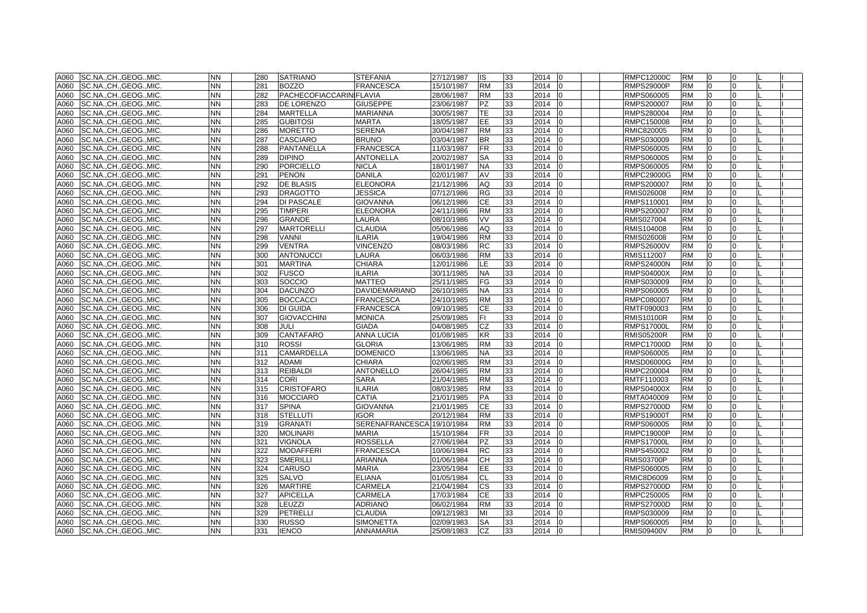| A060 | SC.NA., CH., GEOG., MIC. | <b>NN</b> | 280 | <b>SATRIANO</b>                | <b>STEFANIA</b>      | 27/12/1987 | IS        | 33 | 2014 | l0             | <b>RMPC12000C</b> | <b>RM</b> | 0            |              |  |
|------|--------------------------|-----------|-----|--------------------------------|----------------------|------------|-----------|----|------|----------------|-------------------|-----------|--------------|--------------|--|
| A060 | SC.NA., CH., GEOG., MIC. | NN        | 281 | <b>BOZZO</b>                   | <b>FRANCESCA</b>     | 15/10/1987 | <b>RM</b> | 33 | 2014 | $\Omega$       | <b>RMPS29000P</b> | <b>RM</b> | $\Omega$     |              |  |
| A060 | SC.NA., CH., GEOG., MIC. | <b>NN</b> | 282 | <b>PACHECOFIACCARIN FLAVIA</b> |                      | 28/06/1987 | RM        | 33 | 2014 |                | RMPS060005        | <b>RM</b> | $\Omega$     |              |  |
| A060 | SC.NA., CH., GEOG., MIC. | NΝ        | 283 | <b>DE LORENZO</b>              | <b>GIUSEPPE</b>      | 23/06/1987 | PZ        | 33 | 2014 | $\Omega$       | RMPS200007        | <b>RM</b> | $\Omega$     |              |  |
| A060 | SC.NA.,CH.,GEOG.,MIC.    | <b>NN</b> | 284 | <b>MARTELLA</b>                | <b>MARIANNA</b>      | 30/05/1987 | TE        | 33 | 2014 | $\Omega$       | RMPS280004        | <b>RM</b> | 0            | 0            |  |
| A060 | SC.NA., CH., GEOG., MIC. | NN        | 285 | <b>GUBITOSI</b>                | <b>MARTA</b>         | 18/05/1987 | EЕ        | 33 | 2014 | n              | RMPC150008        | RM        | <sup>0</sup> | o            |  |
| A060 | SC.NA.,CH.,GEOG.,MIC.    | <b>NN</b> | 286 | <b>MORETTO</b>                 | <b>SERENA</b>        | 30/04/1987 | RM        | 33 | 2014 |                | RMIC820005        | <b>RM</b> |              |              |  |
| A060 | SC.NA.,CH.,GEOG.,MIC.    | <b>NN</b> | 287 | <b>CASCIARO</b>                | <b>BRUNO</b>         | 03/04/1987 | BR        | 33 | 2014 |                | RMPS030009        | <b>RM</b> |              |              |  |
| A060 | SC.NA., CH., GEOG., MIC. | <b>NN</b> | 288 | PANTANELLA                     | <b>FRANCESCA</b>     | 11/03/1987 | <b>FR</b> | 33 | 2014 | $\Omega$       | RMPS060005        | <b>RM</b> | $\Omega$     |              |  |
| A060 | SC.NA., CH., GEOG., MIC. | <b>NN</b> | 289 | <b>DIPINO</b>                  | <b>ANTONELLA</b>     | 20/02/1987 | SA        | 33 | 2014 |                | RMPS060005        | <b>RM</b> | $\Omega$     |              |  |
| A060 | SC.NA., CH., GEOG., MIC. | NN.       | 290 | <b>PORCIELLO</b>               | <b>NICLA</b>         | 18/01/1987 | NA        | 33 | 2014 |                | RMPS060005        | <b>RM</b> | $\Omega$     |              |  |
| A060 | SC.NA., CH., GEOG., MIC. | <b>NN</b> | 291 | <b>PENON</b>                   | <b>DANILA</b>        | 02/01/1987 | AV        | 33 | 2014 |                | RMPC29000G        | <b>RM</b> | $\Omega$     |              |  |
| A060 | SC.NA., CH., GEOG., MIC. | <b>NN</b> | 292 | <b>DE BLASIS</b>               | <b>ELEONORA</b>      | 21/12/1986 | AQ        | 33 | 2014 | $\Omega$       | RMPS200007        | <b>RM</b> | $\Omega$     | 0            |  |
| A060 | SC.NA., CH., GEOG., MIC. | NN        | 293 | <b>DRAGOTTO</b>                | <b>JESSICA</b>       | 07/12/1986 | RG        | 33 | 2014 |                | RMIS026008        | <b>RM</b> | $\Omega$     |              |  |
| A060 | SC.NA., CH., GEOG., MIC. | NN        | 294 | <b>DI PASCALE</b>              | <b>GIOVANNA</b>      | 06/12/1986 | СE        | 33 | 2014 |                | RMPS110001        | RM        |              |              |  |
| A060 | SC.NA., CH., GEOG., MIC. | <b>NN</b> | 295 | <b>TIMPERI</b>                 | <b>ELEONORA</b>      | 24/11/1986 | <b>RM</b> | 33 | 2014 |                | RMPS200007        | <b>RM</b> | $\Omega$     |              |  |
| A060 | SC.NA., CH., GEOG., MIC. | <b>NN</b> | 296 | <b>GRANDE</b>                  | LAURA                | 08/10/1986 | VV        | 33 | 2014 |                | RMIS027004        | <b>RM</b> | $\Omega$     |              |  |
| A060 | SC.NA., CH., GEOG., MIC. | <b>NN</b> | 297 | <b>MARTORELLI</b>              | <b>CLAUDIA</b>       | 05/06/1986 | AQ        | 33 | 2014 |                | RMIS104008        | <b>RM</b> | $\Omega$     |              |  |
| A060 | SC.NA., CH., GEOG., MIC. | <b>NN</b> | 298 | <b>VANNI</b>                   | <b>ILARIA</b>        | 19/04/1986 | <b>RM</b> | 33 | 2014 |                | RMIS026008        | <b>RM</b> | $\Omega$     |              |  |
| A060 | SC.NA., CH., GEOG., MIC. | <b>NN</b> | 299 | <b>VENTRA</b>                  | <b>VINCENZO</b>      | 08/03/1986 | RC        | 33 | 2014 | l0             | <b>RMPS26000V</b> | <b>RM</b> | $\Omega$     | U            |  |
| A060 | SC.NA., CH., GEOG., MIC. | <b>NN</b> | 300 | <b>ANTONUCCI</b>               | LAURA                | 06/03/1986 | <b>RM</b> | 33 | 2014 | $\Omega$       | RMIS112007        | <b>RM</b> | $\Omega$     | <sup>o</sup> |  |
| A060 | SC.NA., CH., GEOG., MIC. | <b>NN</b> | 301 | <b>MARTINA</b>                 | <b>CHIARA</b>        | 12/01/1986 | LE.       | 33 | 2014 | $\Omega$       | <b>RMPS24000N</b> | <b>RM</b> | $\Omega$     | U            |  |
| A060 | SC.NA., CH., GEOG., MIC. | <b>NN</b> | 302 | <b>FUSCO</b>                   | <b>ILARIA</b>        | 30/11/1985 | NA.       | 33 | 2014 |                | <b>RMPS04000X</b> | <b>RM</b> | $\Omega$     |              |  |
| A060 | SC.NA., CH., GEOG., MIC. | <b>NN</b> | 303 | SOCCIO                         | <b>MATTEO</b>        | 25/11/1985 | FG        | 33 | 2014 |                | RMPS030009        | <b>RM</b> |              |              |  |
| A060 | SC.NACHGEOGMIC.          | <b>NN</b> | 304 | <b>DACUNZO</b>                 | <b>DAVIDEMARIANO</b> | 26/10/1985 | NA.       | 33 | 2014 | $\Omega$       | RMPS060005        | <b>RM</b> | $\Omega$     |              |  |
| A060 | SC.NACHGEOGMIC.          | <b>NN</b> | 305 | <b>BOCCACCI</b>                | <b>FRANCESCA</b>     | 24/10/1985 | <b>RM</b> | 33 | 2014 |                | RMPC080007        | <b>RM</b> | $\Omega$     |              |  |
| A060 | SC.NA., CH., GEOG., MIC. | <b>NN</b> | 306 | <b>DI GUIDA</b>                | <b>FRANCESCA</b>     | 09/10/1985 | СE        | 33 | 2014 |                | RMTF090003        | <b>RM</b> | $\Omega$     |              |  |
| A060 | SC.NA., CH., GEOG., MIC. | NN        | 307 | <b>GIOVACCHINI</b>             | <b>MONICA</b>        | 25/09/1985 | FI.       | 33 | 2014 |                | RMIS10100R        | <b>RM</b> | l0           | U            |  |
| A060 | SC.NA., CH., GEOG., MIC. | NN.       | 308 | <b>JULI</b>                    | <b>GIADA</b>         | 04/08/1985 | CZ        | 33 | 2014 | 0              | RMPS17000L        | <b>RM</b> | 0            | 0            |  |
| A060 | SC.NA., CH., GEOG., MIC. | NN        | 309 | <b>CANTAFARO</b>               | <b>ANNA LUCIA</b>    | 01/08/1985 | ΚR        | 33 | 2014 |                | RMIS05200R        | <b>RM</b> | $\Omega$     |              |  |
| A060 | SC.NA., CH., GEOG., MIC. | NN        | 310 | <b>ROSSI</b>                   | <b>GLORIA</b>        | 13/06/1985 | RM        | 33 | 2014 |                | RMPC17000D        | <b>RM</b> |              |              |  |
| A060 | SC.NA., CH., GEOG., MIC. | <b>NN</b> | 311 | <b>CAMARDELLA</b>              | <b>DOMENICO</b>      | 13/06/1985 | ΝA        | 33 | 2014 |                | RMPS060005        | <b>RM</b> |              |              |  |
| A060 | SC.NA.,CH.,GEOG.,MIC.    | <b>NN</b> | 312 | <b>ADAMI</b>                   | <b>CHIARA</b>        | 02/06/1985 | RM        | 33 | 2014 |                | <b>RMSD06000G</b> | <b>RM</b> | $\Omega$     |              |  |
| A060 | SC.NA., CH., GEOG., MIC. | <b>NN</b> | 313 | <b>REIBALDI</b>                | <b>ANTONELLO</b>     | 26/04/1985 | <b>RM</b> | 33 | 2014 | I0             | RMPC200004        | <b>RM</b> | l0           | U            |  |
| A060 | SC.NA., CH., GEOG., MIC. | <b>NN</b> | 314 | <b>CORI</b>                    | <b>SARA</b>          | 21/04/1985 | <b>RM</b> | 33 | 2014 |                | RMTF110003        | <b>RM</b> | $\Omega$     |              |  |
| A060 | SC.NA., CH., GEOG., MIC. | NN        | 315 | <b>CRISTOFARO</b>              | <b>ILARIA</b>        | 08/03/1985 | RM        | 33 | 2014 |                | <b>RMPS04000X</b> | <b>RM</b> | $\Omega$     |              |  |
| A060 | SC.NA.,CH.,GEOG.,MIC.    | <b>NN</b> | 316 | <b>MOCCIARO</b>                | <b>CATIA</b>         | 21/01/1985 | РA        | 33 | 2014 |                | RMTA040009        | <b>RM</b> | $\Omega$     |              |  |
| A060 | SC.NA., CH., GEOG., MIC. | NN.       | 317 | <b>SPINA</b>                   | <b>GIOVANNA</b>      | 21/01/1985 | СE        | 33 | 2014 | 10             | <b>RMPS27000D</b> | <b>RM</b> | 0            | 0            |  |
| A060 | SC.NA., CH., GEOG., MIC. | <b>NN</b> | 318 | <b>STELLUTI</b>                | <b>IGOR</b>          | 20/12/1984 | RM        | 33 | 2014 |                | <b>RMPS19000T</b> | <b>RM</b> |              |              |  |
| A060 | SC.NA., CH., GEOG., MIC. | NN        | 319 | <b>GRANATI</b>                 | SERENAFRANCESCA      | 19/10/1984 | RM        | 33 | 2014 |                | RMPS060005        | <b>RM</b> |              |              |  |
| A060 | SC.NA., CH., GEOG., MIC. | <b>NN</b> | 320 | <b>MOLINARI</b>                | <b>MARIA</b>         | 15/10/1984 | FR        | 33 | 2014 |                | RMPC19000P        | <b>RM</b> | $\Omega$     |              |  |
| A060 | SC.NA., CH., GEOG., MIC. | <b>NN</b> | 321 | <b>VIGNOLA</b>                 | <b>ROSSELLA</b>      | 27/06/1984 | <b>PZ</b> | 33 | 2014 |                | <b>RMPS17000L</b> | <b>RM</b> | $\Omega$     |              |  |
| A060 | SC.NA., CH., GEOG., MIC. | <b>NN</b> | 322 | <b>MODAFFERI</b>               | <b>FRANCESCA</b>     | 10/06/1984 | RC        | 33 | 2014 | l <sub>0</sub> | RMPS450002        | <b>RM</b> | $\Omega$     |              |  |
| A060 | SC.NA., CH., GEOG., MIC. | <b>NN</b> | 323 | <b>SMERILLI</b>                | <b>ARIANNA</b>       | 01/06/1984 | CН        | 33 | 2014 |                | RMIS03700P        | <b>RM</b> | $\Omega$     |              |  |
| A060 | SC.NA., CH., GEOG., MIC. | NN.       | 324 | <b>CARUSO</b>                  | <b>MARIA</b>         | 23/05/1984 | EE.       | 33 | 2014 | $\Omega$       | RMPS060005        | <b>RM</b> | $\Omega$     | U            |  |
| A060 | SC.NA., CH., GEOG., MIC. | <b>NN</b> | 325 | <b>SALVO</b>                   | <b>ELIANA</b>        | 01/05/1984 | CL        | 33 | 2014 |                | RMIC8D6009        | <b>RM</b> | $\Omega$     |              |  |
| A060 | SC.NA., CH., GEOG., MIC. | <b>NN</b> | 326 | <b>MARTIRE</b>                 | CARMELA              | 21/04/1984 | СS        | 33 | 2014 |                | <b>RMPS27000D</b> | <b>RM</b> | $\Omega$     |              |  |
| A060 | SC.NA., CH., GEOG., MIC. | <b>NN</b> | 327 | <b>APICELLA</b>                | CARMELA              | 17/03/1984 | СE        | 33 | 2014 |                | RMPC250005        | <b>RM</b> | $\Omega$     |              |  |
| A060 | SC.NA., CH., GEOG., MIC. | <b>NN</b> | 328 | <b>LEUZZI</b>                  | <b>ADRIANO</b>       | 06/02/1984 | <b>RM</b> | 33 | 2014 |                | <b>RMPS27000D</b> | <b>RM</b> | $\Omega$     |              |  |
| A060 | SC.NA., CH., GEOG., MIC. | <b>NN</b> | 329 | PETRELLI                       | <b>CLAUDIA</b>       | 09/12/1983 | MI        | 33 | 2014 | $\Omega$       | RMPS030009        | <b>RM</b> | $\Omega$     |              |  |
| A060 | SC.NA., CH., GEOG., MIC. | <b>NN</b> | 330 | <b>RUSSO</b>                   | <b>SIMONETTA</b>     | 02/09/1983 | <b>SA</b> | 33 | 2014 |                | RMPS060005        | <b>RM</b> | $\Omega$     |              |  |
| A060 | SC.NA., CH., GEOG., MIC. | <b>NN</b> | 331 | <b>IENCO</b>                   | <b>ANNAMARIA</b>     | 25/08/1983 | CZ        | 33 | 2014 | l0             | <b>RMIS09400V</b> | <b>RM</b> | $\Omega$     | $\Omega$     |  |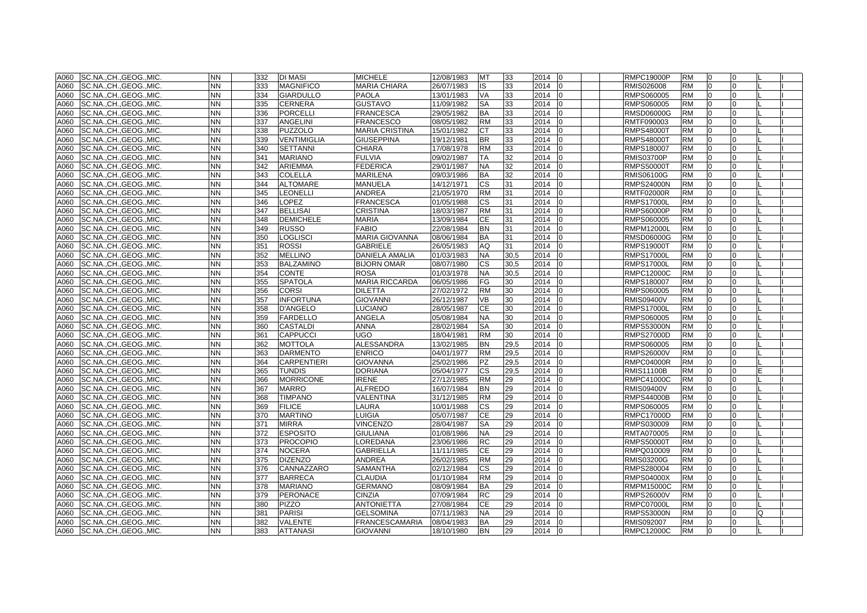| A060 | SC.NA.,CH.,GEOG.,MIC.    | <b>NN</b> | 332 | <b>DI MASI</b>     | <b>MICHELE</b>        | 12/08/1983 | <b>MT</b> | 33   | 2014<br>10             | <b>RMPC19000P</b> | <b>RM</b> | 10             | 0              |    |  |
|------|--------------------------|-----------|-----|--------------------|-----------------------|------------|-----------|------|------------------------|-------------------|-----------|----------------|----------------|----|--|
| A060 | SC.NA., CH., GEOG., MIC. | <b>NN</b> | 333 | <b>MAGNIFICO</b>   | <b>MARIA CHIARA</b>   | 26/07/1983 | IS        | 33   | 2014<br>lo             | RMIS026008        | <b>RM</b> | $\Omega$       | $\Omega$       |    |  |
| A060 | SC.NA., CH., GEOG., MIC. | <b>NN</b> | 334 | <b>GIARDULLO</b>   | <b>PAOLA</b>          | 13/01/1983 | VA        | 33   | 2014                   | RMPS060005        | <b>RM</b> | $\Omega$       | $\Omega$       |    |  |
| A060 | SC.NA.,CH.,GEOG.,MIC.    | <b>NN</b> | 335 | <b>CERNERA</b>     | <b>GUSTAVO</b>        | 11/09/1982 | <b>SA</b> | 33   | 2014<br>10             | RMPS060005        | <b>RM</b> | $\overline{0}$ | $\Omega$       |    |  |
| A060 | SC.NA., CH., GEOG., MIC. | <b>NN</b> | 336 | <b>PORCELLI</b>    | <b>FRANCESCA</b>      | 29/05/1982 | BA        | 33   | 2014<br>$\Omega$       | RMSD06000G        | <b>RM</b> |                | 0              |    |  |
| A060 | SC.NA., CH., GEOG., MIC. | <b>NN</b> | 337 | ANGELINI           | <b>FRANCESCO</b>      | 08/05/1982 | <b>RM</b> | 33   | 2014                   | RMTF090003        | <b>RM</b> |                | $\Omega$       |    |  |
| A060 | SC.NA.,CH.,GEOG.,MIC.    | <b>NN</b> | 338 | <b>PUZZOLO</b>     | <b>MARIA CRISTINA</b> | 15/01/1982 | СT        | 33   | 2014<br>lo             | <b>RMPS48000T</b> | <b>RM</b> | $\Omega$       | $\Omega$       |    |  |
| A060 | SC.NA.,CH.,GEOG.,MIC.    | <b>NN</b> | 339 | <b>VENTIMIGLIA</b> | <b>GIUSEPPINA</b>     | 19/12/1981 | <b>BR</b> | 33   | 2014<br>lo             | <b>RMPS48000T</b> | <b>RM</b> | l0             | $\Omega$       |    |  |
| A060 | SC.NA., CH., GEOG., MIC. | <b>NN</b> | 340 | <b>SETTANNI</b>    | <b>CHIARA</b>         | 17/08/1978 | <b>RM</b> | 33   | 2014<br>lo             | RMPS180007        | <b>RM</b> | l0             | $\overline{0}$ |    |  |
| A060 | SC.NA.,CH.,GEOG.,MIC.    | <b>NN</b> | 341 | <b>MARIANO</b>     | <b>FULVIA</b>         | 09/02/1987 | <b>TA</b> | 32   | 2014                   | <b>RMIS03700P</b> | <b>RM</b> | $\Omega$       | $\Omega$       |    |  |
| A060 | SC.NA.,CH.,GEOG.,MIC.    | <b>NN</b> | 342 | <b>ARIEMMA</b>     | <b>FEDERICA</b>       | 29/01/1987 | NA        | 32   | 2014<br>١O             | <b>RMPS50000T</b> | <b>RM</b> | 0              | $\Omega$       |    |  |
| A060 | SC.NA.,CH.,GEOG.,MIC.    | <b>NN</b> | 343 | <b>COLELLA</b>     | <b>MARILENA</b>       | 09/03/1986 | <b>BA</b> | 32   | 2014<br>lo             | RMIS06100G        | <b>RM</b> | $\overline{0}$ | $\Omega$       |    |  |
| A060 | SC.NA.,CH.,GEOG.,MIC.    | <b>NN</b> | 344 | <b>ALTOMARE</b>    | <b>MANUELA</b>        | 14/12/1971 | <b>CS</b> | 31   | 2014<br>$\overline{0}$ | <b>RMPS24000N</b> | <b>RM</b> | $\overline{0}$ | 0              |    |  |
| A060 | SC.NA., CH., GEOG., MIC. | <b>NN</b> | 345 | LEONELLI           | <b>ANDREA</b>         | 21/05/1970 | <b>RM</b> | 31   | 2014                   | <b>RMTF02000R</b> | <b>RM</b> |                | $\Omega$       |    |  |
| A060 | SC.NA., CH., GEOG., MIC. | <b>NN</b> | 346 | LOPEZ              | <b>FRANCESCA</b>      | 01/05/1988 | СS        | 31   | 2014<br>10             | <b>RMPS17000L</b> | <b>RM</b> |                | $\Omega$       |    |  |
| A060 | SC.NA., CH., GEOG., MIC. | <b>NN</b> | 347 | <b>BELLISAI</b>    | <b>CRISTINA</b>       | 18/03/1987 | <b>RM</b> | 31   | 2014<br>lo             | <b>RMPS60000P</b> | <b>RM</b> | $\Omega$       | $\Omega$       |    |  |
| A060 | SC.NA., CH., GEOG., MIC. | <b>NN</b> | 348 | <b>DEMICHELE</b>   | <b>MARIA</b>          | 13/09/1984 | <b>CE</b> | 31   | 2014                   | RMPS060005        | <b>RM</b> | $\Omega$       | $\Omega$       |    |  |
| A060 | SC.NA.,CH.,GEOG.,MIC.    | <b>NN</b> | 349 | <b>RUSSO</b>       | <b>FABIO</b>          | 22/08/1984 | <b>BN</b> | 31   | 2014<br>10             | <b>RMPM12000L</b> | <b>RM</b> | 0              | $\Omega$       |    |  |
| A060 | SC.NA., CH., GEOG., MIC. | <b>NN</b> | 350 | LOGLISCI           | <b>MARIA GIOVANNA</b> | 08/06/1984 | <b>BA</b> | 31   | 2014                   | RMSD06000G        | <b>RM</b> | $\overline{0}$ | $\Omega$       |    |  |
| A060 | SC.NA., CH., GEOG., MIC. | <b>NN</b> | 351 | <b>ROSSI</b>       | <b>GABRIELE</b>       | 26/05/1983 | AQ        | 31   | 2014<br>lo             | <b>RMPS19000T</b> | <b>RM</b> | 0              | $\Omega$       |    |  |
| A060 | SC.NA., CH., GEOG., MIC. | <b>NN</b> | 352 | <b>MELLINO</b>     | DANIELA AMALIA        | 01/03/1983 | <b>NA</b> | 30,5 | 2014                   | <b>RMPS17000L</b> | <b>RM</b> | $\Omega$       | $\Omega$       |    |  |
| A060 | SC.NA., CH., GEOG., MIC. | <b>NN</b> | 353 | <b>BALZAMINO</b>   | <b>BIJORN OMAR</b>    | 08/07/1980 | <b>CS</b> | 30,5 | 2014                   | <b>RMPS17000L</b> | <b>RM</b> |                | $\Omega$       |    |  |
| A060 | SC.NA., CH., GEOG., MIC. | <b>NN</b> | 354 | <b>CONTE</b>       | <b>ROSA</b>           | 01/03/1978 | <b>NA</b> | 30,5 | 2014                   | RMPC12000C        | <b>RM</b> |                |                |    |  |
| A060 | SC.NA., CH., GEOG., MIC. | <b>NN</b> | 355 | <b>SPATOLA</b>     | <b>MARIA RICCARDA</b> | 06/05/1986 | FG        | 30   | 2014                   | RMPS180007        | <b>RM</b> |                | $\Omega$       |    |  |
| A060 | SC.NA., CH., GEOG., MIC. | <b>NN</b> | 356 | <b>CORSI</b>       | <b>DILETTA</b>        | 27/02/1972 | <b>RM</b> | 30   | 2014<br>lo             | RMPS060005        | <b>RM</b> | $\Omega$       | $\Omega$       |    |  |
| A060 | SC.NA., CH., GEOG., MIC. | <b>NN</b> | 357 | <b>INFORTUNA</b>   | <b>GIOVANNI</b>       | 26/12/1987 | <b>VB</b> | 30   | 2014                   | <b>RMIS09400V</b> | <b>RM</b> | $\Omega$       | $\Omega$       |    |  |
| A060 | SC.NA., CH., GEOG., MIC. | <b>NN</b> | 358 | <b>D'ANGELO</b>    | LUCIANO               | 28/05/1987 | СE        | 30   | 2014<br>١O             | <b>RMPS17000L</b> | <b>RM</b> | $\Omega$       | $\Omega$       |    |  |
| A060 | SC.NA., CH., GEOG., MIC. | <b>NN</b> | 359 | <b>FARDELLO</b>    | ANGELA                | 05/08/1984 | <b>NA</b> | 30   | 2014                   | RMPS060005        | <b>RM</b> | 0              | $\Omega$       |    |  |
| A060 | SC.NA., CH., GEOG., MIC. | <b>NN</b> | 360 | <b>CASTALDI</b>    | <b>ANNA</b>           | 28/02/1984 | <b>SA</b> | 30   | 2014<br>lo             | <b>RMPS53000N</b> | <b>RM</b> | $\Omega$       | $\Omega$       |    |  |
| A060 | SC.NA., CH., GEOG., MIC. | <b>NN</b> | 361 | <b>CAPPUCCI</b>    | <b>UGO</b>            | 18/04/1981 | <b>RM</b> | 30   | 2014                   | <b>RMPS27000D</b> | <b>RM</b> |                | $\Omega$       |    |  |
| A060 | SC.NA., CH., GEOG., MIC. | <b>NN</b> | 362 | <b>MOTTOLA</b>     | <b>ALESSANDRA</b>     | 13/02/1985 | <b>BN</b> | 29,5 | 2014                   | RMPS060005        | <b>RM</b> |                | $\Omega$       |    |  |
| A060 | SC.NA., CH., GEOG., MIC. | <b>NN</b> | 363 | <b>DARMENTO</b>    | <b>ENRICO</b>         | 04/01/1977 | <b>RM</b> | 29,5 | 2014<br>l0             | <b>RMPS26000V</b> | <b>RM</b> | $\overline{0}$ | $\Omega$       |    |  |
| A060 | SC.NA., CH., GEOG., MIC. | <b>NN</b> | 364 | <b>CARPENTIERI</b> | <b>GIOVANNA</b>       | 25/02/1986 | <b>PZ</b> | 29,5 | 2014<br>lo             | <b>RMPC04000R</b> | <b>RM</b> | $\Omega$       | $\Omega$       |    |  |
| A060 | SC.NA., CH., GEOG., MIC. | <b>NN</b> | 365 | <b>TUNDIS</b>      | <b>DORIANA</b>        | 05/04/1977 | <b>CS</b> | 29,5 | 2014<br>10             | <b>RMIS11100B</b> | <b>RM</b> | 0              | 0              |    |  |
| A060 | SC.NA., CH., GEOG., MIC. | <b>NN</b> | 366 | <b>MORRICONE</b>   | <b>IRENE</b>          | 27/12/1985 | <b>RM</b> | 29   | 2014                   | RMPC41000C        | <b>RM</b> | $\Omega$       | $\Omega$       |    |  |
| A060 | SC.NA., CH., GEOG., MIC. | <b>NN</b> | 367 | <b>MARRO</b>       | <b>ALFREDO</b>        | 16/07/1984 | <b>BN</b> | 29   | 2014<br>١O             | <b>RMIS09400V</b> | <b>RM</b> | $\Omega$       | $\Omega$       |    |  |
| A060 | SC.NA., CH., GEOG., MIC. | <b>NN</b> | 368 | <b>TIMPANO</b>     | VALENTINA             | 31/12/1985 | <b>RM</b> | 29   | 2014<br>l0             | <b>RMPS44000B</b> | <b>RM</b> | $\overline{0}$ | $\Omega$       |    |  |
| A060 | SC.NA., CH., GEOG., MIC. | <b>NN</b> | 369 | <b>FILICE</b>      | LAURA                 | 10/01/1988 | <b>CS</b> | 29   | 2014<br>10             | RMPS060005        | <b>RM</b> | $\overline{0}$ | 0              |    |  |
| A060 | SC.NA., CH., GEOG., MIC. | <b>NN</b> | 370 | <b>MARTINO</b>     | LUIGIA                | 05/07/1987 | СE        | 29   | 2014                   | <b>RMPC17000D</b> | <b>RM</b> |                |                |    |  |
| A060 | SC.NA., CH., GEOG., MIC. | <b>NN</b> | 371 | <b>MIRRA</b>       | <b>VINCENZO</b>       | 28/04/1987 | <b>SA</b> | 29   | 2014                   | RMPS030009        | <b>RM</b> |                |                |    |  |
| A060 | SC.NACHGEOGMIC.          | <b>NN</b> | 372 | <b>ESPOSITO</b>    | <b>GIULIANA</b>       | 01/08/1986 | <b>NA</b> | 29   | 2014<br>lo             | <b>RMTA070005</b> | <b>RM</b> | $\Omega$       | $\Omega$       |    |  |
| A060 | SC.NACHGEOGMIC.          | <b>NN</b> | 373 | <b>PROCOPIO</b>    | LOREDANA              | 23/06/1986 | <b>RC</b> | 29   | 2014<br>$\Omega$       | <b>RMPS50000T</b> | <b>RM</b> | $\Omega$       | $\Omega$       |    |  |
| A060 | SC.NA., CH., GEOG., MIC. | <b>NN</b> | 374 | <b>NOCERA</b>      | <b>GABRIELLA</b>      | 11/11/1985 | <b>CE</b> | 29   | 2014<br>$\Omega$       | RMPQ010009        | <b>RM</b> | $\Omega$       | $\Omega$       |    |  |
| A060 | SC.NA., CH., GEOG., MIC. | <b>NN</b> | 375 | <b>DIZENZO</b>     | <b>ANDREA</b>         | 26/02/1985 | <b>RM</b> | 29   | 2014                   | <b>RMIS03200G</b> | <b>RM</b> | $\Omega$       | $\Omega$       |    |  |
| A060 | SC.NA., CH., GEOG., MIC. | <b>NN</b> | 376 | CANNAZZARO         | <b>SAMANTHA</b>       | 02/12/1984 | <b>CS</b> | 29   | 2014<br>lo             | RMPS280004        | <b>RM</b> | $\Omega$       | $\Omega$       |    |  |
| A060 | SC.NA., CH., GEOG., MIC. | <b>NN</b> | 377 | <b>BARRECA</b>     | <b>CLAUDIA</b>        | 01/10/1984 | <b>RM</b> | 29   | 2014<br>$\Omega$       | <b>RMPS04000X</b> | <b>RM</b> | $\Omega$       | $\Omega$       |    |  |
| A060 | SC.NA., CH., GEOG., MIC. | <b>NN</b> | 378 | <b>MARIANO</b>     | <b>GERMANO</b>        | 08/09/1984 | <b>BA</b> | 29   | 2014                   | <b>RMPM15000C</b> | <b>RM</b> |                | $\Omega$       |    |  |
| A060 | SC.NA., CH., GEOG., MIC. | <b>NN</b> | 379 | <b>PERONACE</b>    | <b>CINZIA</b>         | 07/09/1984 | <b>RC</b> | 29   | 2014                   | <b>RMPS26000V</b> | <b>RM</b> | $\Omega$       | $\Omega$       |    |  |
| A060 | SC.NA., CH., GEOG., MIC. | <b>NN</b> | 380 | <b>PIZZO</b>       | <b>ANTONIETTA</b>     | 27/08/1984 | <b>CE</b> | 29   | 2014<br>lo             | <b>RMPC07000L</b> | <b>RM</b> | $\Omega$       | $\Omega$       |    |  |
| A060 | SC.NACHGEOGMIC.          | <b>NN</b> | 381 | <b>PARISI</b>      | <b>GELSOMINA</b>      | 07/11/1983 | <b>NA</b> | 29   | 2014<br>l0             | <b>RMPS53000N</b> | <b>RM</b> | $\Omega$       | $\Omega$       | l0 |  |
| A060 | ISC.NACHGEOGMIC.         | <b>NN</b> | 382 | <b>VALENTE</b>     | <b>FRANCESCAMARIA</b> | 08/04/1983 | <b>BA</b> | 29   | 2014<br>l0             | RMIS092007        | <b>RM</b> | $\Omega$       | $\Omega$       |    |  |
| A060 | SC.NA., CH., GEOG., MIC. | <b>NN</b> | 383 | <b>ATTANASI</b>    | <b>GIOVANNI</b>       | 18/10/1980 | <b>BN</b> | 29   | 2014 0                 | <b>RMPC12000C</b> | <b>RM</b> | $\Omega$       | $\Omega$       |    |  |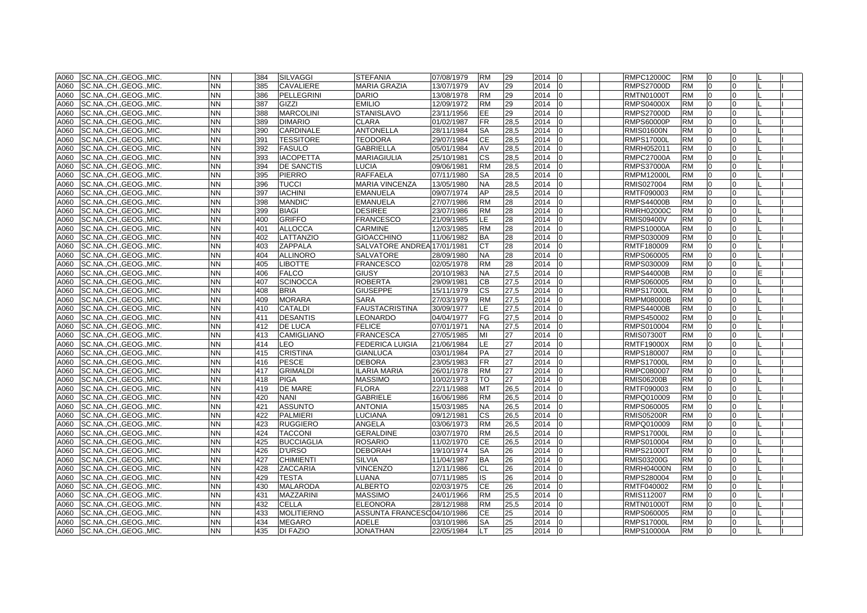|      | A060 SC.NA., CH., GEOG., MIC. | <b>NN</b> | 384 | <b>SILVAGGI</b>   | <b>STEFANIA</b>             | 07/08/1979 | <b>RM</b>    | 29   | 2014 0                 | <b>RMPC12000C</b> | <b>RM</b> | 0              | $\Omega$     |  |
|------|-------------------------------|-----------|-----|-------------------|-----------------------------|------------|--------------|------|------------------------|-------------------|-----------|----------------|--------------|--|
| A060 | SC.NA., CH., GEOG., MIC.      | NN        | 385 | <b>CAVALIERE</b>  | <b>MARIA GRAZIA</b>         | 13/07/1979 | AV           | 29   | 2014<br>$\overline{0}$ | <b>RMPS27000D</b> | <b>RM</b> | $\overline{0}$ | $\Omega$     |  |
| A060 | SC.NA., CH., GEOG., MIC.      | <b>NN</b> | 386 | <b>PELLEGRINI</b> | <b>DARIO</b>                | 13/08/1978 | <b>RM</b>    | 29   | 2014<br>IΩ             | <b>RMTN01000T</b> | <b>RM</b> | $\Omega$       | <sup>0</sup> |  |
| A060 | SC.NA., CH., GEOG., MIC.      | NN        | 387 | GIZZI             | <b>EMILIO</b>               | 12/09/1972 | <b>RM</b>    | 29   | 2014<br>10             | <b>RMPS04000X</b> | <b>RM</b> | n              | <sup>o</sup> |  |
| A060 | SC.NA.,CH.,GEOG.,MIC.         | <b>NN</b> | 388 | <b>MARCOLINI</b>  | <b>STANISLAVO</b>           | 23/11/1956 | EE           | 29   | 2014<br>I0             | <b>RMPS27000D</b> | <b>RM</b> | $\overline{0}$ | 0            |  |
| A060 | SC.NA.,CH.,GEOG.,MIC.         | NΝ        | 389 | <b>DIMARIO</b>    | CLARA                       | 01/02/1987 | FR           | 28,5 | 2014<br>10             | <b>RMPS60000P</b> | <b>RM</b> | 0              | <sup>0</sup> |  |
| A060 | SC.NA., CH., GEOG., MIC.      | NΝ.       | 390 | <b>CARDINALE</b>  | <b>ANTONELLA</b>            | 28/11/1984 | SA           | 28,5 | 2014                   | <b>RMIS01600N</b> | <b>RM</b> | $\Omega$       |              |  |
| A060 | SC.NA., CH., GEOG., MIC.      | <b>NN</b> | 391 | <b>TESSITORE</b>  | <b>TEODORA</b>              | 29/07/1984 | CE           | 28,5 | 2014<br>$\overline{0}$ | <b>RMPS17000L</b> | <b>RM</b> |                |              |  |
| A060 | SC.NA., CH., GEOG., MIC.      | <b>NN</b> | 392 | <b>FASULO</b>     | <b>GABRIELLA</b>            | 05/01/1984 | AV           | 28,5 | 2014<br>I <sub>0</sub> | RMRH052011        | <b>RM</b> | $\Omega$       | $\Omega$     |  |
| A060 | SC.NA., CH., GEOG., MIC.      | <b>NN</b> | 393 | <b>IACOPETTA</b>  | <b>MARIAGIULIA</b>          | 25/10/1981 | <b>CS</b>    | 28,5 | 2014<br>I <sub>0</sub> | <b>RMPC27000A</b> | <b>RM</b> | $\Omega$       | $\Omega$     |  |
| A060 | SC.NA., CH., GEOG., MIC.      | NΝ        | 394 | <b>DE SANCTIS</b> | LUCIA                       | 09/06/1981 | <b>RM</b>    | 28,5 | 2014                   | <b>RMPS37000A</b> | <b>RM</b> | $\Omega$       | <sup>0</sup> |  |
| A060 | SC.NA., CH., GEOG., MIC.      | <b>NN</b> | 395 | <b>PIERRO</b>     | <b>RAFFAELA</b>             | 07/11/1980 | <b>SA</b>    | 28,5 | 2014                   | <b>RMPM12000L</b> | <b>RM</b> | $\Omega$       | <sup>0</sup> |  |
| A060 | SC.NA., CH., GEOG., MIC.      | <b>NN</b> | 396 | <b>TUCCI</b>      | MARIA VINCENZA              | 13/05/1980 | <b>NA</b>    | 28,5 | 2014<br>IΩ             | RMIS027004        | <b>RM</b> | $\Omega$       | $\Omega$     |  |
| A060 | SC.NA., CH., GEOG., MIC.      | NN.       | 397 | <b>IACHINI</b>    | <b>EMANUELA</b>             | 09/07/1974 | AP           | 28,5 | 2014                   | RMTF090003        | <b>RM</b> | $\Omega$       | $\Omega$     |  |
| A060 | SC.NA., CH., GEOG., MIC.      | NN.       | 398 | MANDIC'           | <b>EMANUELA</b>             | 27/07/1986 | <b>RM</b>    | 28   | 2014<br>$\overline{0}$ | <b>RMPS44000B</b> | <b>RM</b> | 0              | U            |  |
| A060 | SC.NA., CH., GEOG., MIC.      | <b>NN</b> | 399 | <b>BIAGI</b>      | <b>DESIREE</b>              | 23/07/1986 | <b>RM</b>    | 28   | 2014<br>l0             | <b>RMRH02000C</b> | <b>RM</b> | $\Omega$       |              |  |
| A060 | SC.NA., CH., GEOG., MIC.      | <b>NN</b> | 400 | <b>GRIFFO</b>     | <b>FRANCESCO</b>            | 21/09/1985 | LE.          | 28   | 2014<br>$\Omega$       | <b>RMIS09400V</b> | <b>RM</b> | $\Omega$       | $\Omega$     |  |
| A060 | SC.NA., CH., GEOG., MIC.      | <b>NN</b> | 401 | <b>ALLOCCA</b>    | CARMINE                     | 12/03/1985 | <b>RM</b>    | 28   | 2014<br>I0             | <b>RMPS10000A</b> | <b>RM</b> | $\Omega$       | <sup>0</sup> |  |
| A060 | SC.NA., CH., GEOG., MIC.      | <b>NN</b> | 402 | LATTANZIO         | <b>GIOACCHINO</b>           | 11/06/1982 | <b>BA</b>    | 28   | 2014                   | RMPS030009        | <b>RM</b> | $\overline{0}$ | $\Omega$     |  |
| A060 | SC.NA., CH., GEOG., MIC.      | <b>NN</b> | 403 | <b>ZAPPALA</b>    | SALVATORE ANDREA 17/01/1981 |            | СT           | 28   | 2014 0                 | RMTF180009        | <b>RM</b> | $\overline{0}$ | $\Omega$     |  |
| A060 | SC.NA., CH., GEOG., MIC.      | <b>NN</b> | 404 | <b>ALLINORO</b>   | SALVATORE                   | 28/09/1980 | <b>NA</b>    | 28   | 2014<br>$\Omega$       | RMPS060005        | <b>RM</b> | $\overline{0}$ | $\Omega$     |  |
| A060 | SC.NACHGEOGMIC.               | NN.       | 405 | <b>LIBOTTE</b>    | <b>FRANCESCO</b>            | 02/05/1978 | <b>RM</b>    | 28   | 2014<br>I <sub>0</sub> | RMPS030009        | <b>RM</b> | $\Omega$       | <sup>0</sup> |  |
| A060 | SC.NA., CH., GEOG., MIC.      | <b>NN</b> | 406 | <b>FALCO</b>      | <b>GIUSY</b>                | 20/10/1983 | NA.          | 27,5 | 2014                   | <b>RMPS44000B</b> | <b>RM</b> |                |              |  |
| A060 | SC.NA.,CH.,GEOG.,MIC.         | <b>NN</b> | 407 | <b>SCINOCCA</b>   | <b>ROBERTA</b>              | 29/09/1981 | CВ           | 27,5 | 2014<br><b>IO</b>      | RMPS060005        | <b>RM</b> | $\Omega$       |              |  |
| A060 | SC.NACHGEOGMIC.               | <b>NN</b> | 408 | <b>BRIA</b>       | <b>GIUSEPPE</b>             | 15/11/1979 | CS           | 27,5 | 2014<br>l <sub>0</sub> | <b>RMPS17000L</b> | <b>RM</b> | $\Omega$       | $\Omega$     |  |
| A060 | SC.NACHGEOGMIC.               | <b>NN</b> | 409 | <b>MORARA</b>     | <b>SARA</b>                 | 27/03/1979 | <b>RM</b>    | 27.5 | 2014                   | <b>RMPM08000B</b> | <b>RM</b> | $\Omega$       | $\Omega$     |  |
| A060 | SC.NA., CH., GEOG., MIC.      | <b>NN</b> | 410 | <b>CATALDI</b>    | <b>FAUSTACRISTINA</b>       | 30/09/1977 | LE           | 27,5 | 2014                   | <b>RMPS44000B</b> | <b>RM</b> | $\Omega$       | <sup>0</sup> |  |
| A060 | SC.NA., CH., GEOG., MIC.      | <b>NN</b> | 411 | <b>DESANTIS</b>   | LEONARDO                    | 04/04/1977 | FG           | 27,5 | 2014                   | RMPS450002        | <b>RM</b> | $\overline{0}$ | $\Omega$     |  |
| A060 | SC.NA.,CH.,GEOG.,MIC.         | NN.       | 412 | <b>DE LUCA</b>    | <b>FELICE</b>               | 07/01/1971 | <b>NA</b>    | 27,5 | 2014<br>10             | RMPS010004        | <b>RM</b> | $\overline{0}$ | $\Omega$     |  |
| A060 | SC.NA., CH., GEOG., MIC.      | NN.       | 413 | CAMIGLIANO        | <b>FRANCESCA</b>            | 27/05/1985 | МΙ           | 27   | 2014                   | <b>RMIS07300T</b> | <b>RM</b> | $\Omega$       |              |  |
| A060 | SC.NA.,CH.,GEOG.,MIC.         | NΝ        | 414 | LEO               | FEDERICA LUIGIA             | 21/06/1984 | LE           | 27   | 2014                   | <b>RMTF19000X</b> | <b>RM</b> |                |              |  |
| A060 | SC.NA., CH., GEOG., MIC.      | <b>NN</b> | 415 | <b>CRISTINA</b>   | <b>GIANLUCA</b>             | 03/01/1984 | PA           | 27   | 2014<br>l0             | RMPS180007        | <b>RM</b> | $\Omega$       |              |  |
| A060 | SC.NA.,CH.,GEOG.,MIC.         | <b>NN</b> | 416 | <b>PESCE</b>      | <b>DEBORA</b>               | 23/05/1983 | <b>FR</b>    | 27   | 2014<br>10             | <b>RMPS17000L</b> | <b>RM</b> | $\overline{0}$ |              |  |
| A060 | SC.NA., CH., GEOG., MIC.      | <b>NN</b> | 417 | <b>GRIMALDI</b>   | <b>ILARIA MARIA</b>         | 26/01/1978 | <b>RM</b>    | 27   | 2014<br>$\overline{0}$ | RMPC080007        | <b>RM</b> | $\overline{0}$ | $\Omega$     |  |
| A060 | SC.NA.,CH.,GEOG.,MIC.         | <b>NN</b> | 418 | <b>PIGA</b>       | <b>MASSIMO</b>              | 10/02/1973 | TO           | 27   | 2014<br>$\Omega$       | <b>RMIS06200B</b> | <b>RM</b> | $\Omega$       | $\Omega$     |  |
| A060 | SC.NA.,CH.,GEOG.,MIC.         | NΝ        | 419 | <b>DE MARE</b>    | FLORA                       | 22/11/1988 | MT           | 26,5 | 2014                   | RMTF090003        | <b>RM</b> | $\Omega$       | <sup>o</sup> |  |
| A060 | SC.NA.,CH.,GEOG.,MIC.         | <b>NN</b> | 420 | <b>NANI</b>       | <b>GABRIELE</b>             | 16/06/1986 | <b>RM</b>    | 26,5 | 2014                   | RMPQ010009        | <b>RM</b> | $\Omega$       | $\Omega$     |  |
| A060 | SC.NA., CH., GEOG., MIC.      | NN        | 421 | <b>ASSUNTO</b>    | <b>ANTONIA</b>              | 15/03/1985 | <b>NA</b>    | 26,5 | 2014<br><b>10</b>      | RMPS060005        | <b>RM</b> | $\overline{0}$ | 0            |  |
| A060 | SC.NA., CH., GEOG., MIC.      | <b>NN</b> | 422 | <b>PALMIERI</b>   | LUCIANA                     | 09/12/1981 | СS           | 26,5 | 2014                   | <b>RMIS05200R</b> | <b>RM</b> |                |              |  |
| A060 | SC.NA., CH., GEOG., MIC.      | NN        | 423 | <b>RUGGIERO</b>   | ANGELA                      | 03/06/1973 | <b>RM</b>    | 26,5 | 2014                   | RMPQ010009        | <b>RM</b> |                |              |  |
| A060 | SC.NA., CH., GEOG., MIC.      | <b>NN</b> | 424 | <b>TACCONI</b>    | <b>GERALDINE</b>            | 03/07/1970 | <b>RM</b>    | 26,5 | 2014<br>$\overline{0}$ | <b>RMPS17000L</b> | <b>RM</b> | $\Omega$       | <sup>0</sup> |  |
| A060 | SC.NACHGEOGMIC.               | <b>NN</b> | 425 | <b>BUCCIAGLIA</b> | <b>ROSARIO</b>              | 11/02/1970 | <b>CE</b>    | 26,5 | 2014                   | RMPS010004        | <b>RM</b> | $\Omega$       | $\Omega$     |  |
| A060 | SC.NA., CH., GEOG., MIC.      | <b>NN</b> | 426 | <b>D'URSO</b>     | <b>DEBORAH</b>              | 19/10/1974 | <b>SA</b>    | 26   | 2014<br>I <sub>0</sub> | <b>RMPS21000T</b> | <b>RM</b> | $\overline{0}$ | $\Omega$     |  |
| A060 | SC.NA., CH., GEOG., MIC.      | <b>NN</b> | 427 | <b>CHIMIENTI</b>  | <b>SILVIA</b>               | 11/04/1987 | <b>BA</b>    | 26   | 2014                   | <b>RMIS03200G</b> | <b>RM</b> | $\Omega$       | <sup>0</sup> |  |
| A060 | SC.NA., CH., GEOG., MIC.      | <b>NN</b> | 428 | <b>ZACCARIA</b>   | <b>VINCENZO</b>             | 12/11/1986 | <b>CL</b>    | 26   | 2014<br>$\overline{0}$ | <b>RMRH04000N</b> | <b>RM</b> | $\Omega$       | $\Omega$     |  |
| A060 | SC.NA., CH., GEOG., MIC.      | <b>NN</b> | 429 | <b>TESTA</b>      | LUANA                       | 07/11/1985 | IS           | 26   | 2014<br>$\Omega$       | RMPS280004        | <b>RM</b> | $\overline{0}$ | <sup>0</sup> |  |
| A060 | SC.NA., CH., GEOG., MIC.      | NN.       | 430 | <b>MALARODA</b>   | <b>ALBERTO</b>              | 02/03/1975 | <b>CE</b>    | 26   | 2014<br>I <sub>0</sub> | RMTF040002        | <b>RM</b> | $\Omega$       | <sup>0</sup> |  |
| A060 | SC.NA., CH., GEOG., MIC.      | <b>NN</b> | 431 | <b>MAZZARINI</b>  | <b>MASSIMO</b>              | 24/01/1966 | <b>RM</b>    | 25,5 | 2014                   | RMIS112007        | <b>RM</b> | $\Omega$       |              |  |
| A060 | SC.NA., CH., GEOG., MIC.      | <b>NN</b> | 432 | <b>CELLA</b>      | <b>ELEONORA</b>             | 28/12/1988 | <b>RM</b>    | 25,5 | 2014<br><b>IO</b>      | <b>RMTN01000T</b> | <b>RM</b> | $\Omega$       | $\Omega$     |  |
| A060 | SC.NA., CH., GEOG., MIC.      | <b>NN</b> | 433 | <b>MOLITIERNO</b> | ASSUNTA FRANCESC04/10/1986  |            | <b>CE</b>    | 25   | 2014<br>In             | RMPS060005        | <b>RM</b> | $\Omega$       | $\Omega$     |  |
| A060 | SC.NA., CH., GEOG., MIC.      | <b>NN</b> | 434 | <b>MEGARO</b>     | <b>ADELE</b>                | 03/10/1986 | <b>SA</b>    | 25   | 2014<br>I0             | <b>RMPS17000L</b> | <b>RM</b> | $\Omega$       | $\Omega$     |  |
|      | A060 SC.NA., CH., GEOG., MIC. | <b>NN</b> | 435 | <b>DI FAZIO</b>   | <b>JONATHAN</b>             | 22/05/1984 | $\mathsf{I}$ | 25   | 2014 0                 | <b>RMPS10000A</b> | <b>RM</b> | $\overline{0}$ | $\Omega$     |  |
|      |                               |           |     |                   |                             |            |              |      |                        |                   |           |                |              |  |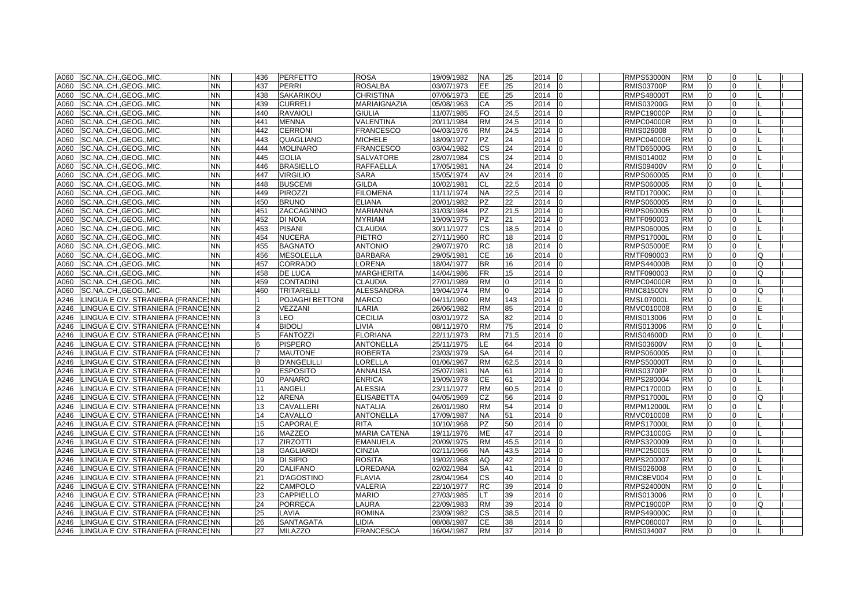| A060              | SC.NA., CH., GEOG., MIC.                | NN        | 436            | <b>PERFETTO</b>    | <b>ROSA</b>         | 19/09/1982 | <b>NA</b> | 25       | 2014   | 10             | <b>RMPS53000N</b> | <b>RM</b> | 0              |              |          |  |
|-------------------|-----------------------------------------|-----------|----------------|--------------------|---------------------|------------|-----------|----------|--------|----------------|-------------------|-----------|----------------|--------------|----------|--|
| A060              | SC.NA., CH., GEOG., MIC.                | NN        | 437            | <b>PERRI</b>       | ROSALBA             | 03/07/1973 | EE        | 25       | 2014   |                | <b>RMIS03700P</b> | <b>RM</b> | $\Omega$       |              |          |  |
| A060              | SC.NA., CH., GEOG., MIC.                | NΝ        | 438            | <b>SAKARIKOU</b>   | CHRISTINA           | 07/06/1973 | EE        | 25       | 2014   | <sup>0</sup>   | RMPS48000T        | <b>RM</b> | $\Omega$       | 0            |          |  |
| A060              | SC.NA., CH., GEOG., MIC.                | NΝ        | 439            | <b>CURRELI</b>     | MARIAIGNAZIA        | 05/08/1963 | CA        | 25       | 2014   | $\overline{0}$ | RMIS03200G        | <b>RM</b> | 0              | 0            |          |  |
| A060              | SC.NA.,CH.,GEOG.,MIC.                   | NΝ        | 440            | <b>RAVAIOLI</b>    | <b>GIULIA</b>       | 11/07/1985 | FO        | 24,5     | 2014   |                | RMPC19000P        | RM        | $\Omega$       | 0            |          |  |
| A060              | SC.NA.,CH.,GEOG.,MIC.                   | NN        | 441            | <b>MENNA</b>       | VALENTINA           | 20/11/1984 | <b>RM</b> | 24,5     | 2014   |                | RMPC04000R        | RM        |                |              |          |  |
| A060              | SC.NA.,CH.,GEOG.,MIC.                   | <b>NN</b> | 442            | <b>CERRONI</b>     | <b>FRANCESCO</b>    | 04/03/1976 | <b>RM</b> | 24,5     | 2014   |                | RMIS026008        | RM        | $\Omega$       |              |          |  |
| A060              | SC.NA.,CH.,GEOG.,MIC.                   | <b>NN</b> | 443            | QUAGLIANO          | <b>MICHELE</b>      | 18/09/1977 | <b>PZ</b> | 24       | 2014   | n              | <b>RMPC04000R</b> | <b>RM</b> | $\Omega$       |              |          |  |
| A060              | SC.NACHGEOGMIC.                         | <b>NN</b> | 444            | <b>MOLINARO</b>    | <b>FRANCESCO</b>    | 03/04/1982 | CS        | 24       | 2014   | <sup>0</sup>   | <b>RMTD65000G</b> | <b>RM</b> | 0              | U            |          |  |
| A060              | SC.NA., CH., GEOG., MIC.                | <b>NN</b> | 445            | <b>GOLIA</b>       | SALVATORE           | 28/07/1984 | <b>CS</b> | 24       | 2014   |                | RMIS014002        | <b>RM</b> | $\Omega$       |              |          |  |
| A060              | SC.NA., CH., GEOG., MIC.                | NΝ        | 446            | <b>BRASIELLO</b>   | <b>RAFFAELLA</b>    | 17/05/1981 | <b>NA</b> | 24       | 2014   | 0              | RMIS09400V        | <b>RM</b> | $\Omega$       |              |          |  |
| A060              | SC.NA., CH., GEOG., MIC.                | <b>NN</b> | 447            | <b>VIRGILIO</b>    | <b>SARA</b>         | 15/05/1974 | AV        | 24       | 2014   | 0              | RMPS060005        | <b>RM</b> | 0              | 0            |          |  |
| A060              | SC.NA., CH., GEOG., MIC.                | <b>NN</b> | 448            | <b>BUSCEMI</b>     | <b>GILDA</b>        | 10/02/1981 | CL        | 22,5     | 2014   | 0              | RMPS060005        | <b>RM</b> | 0              | 0            |          |  |
| A060              | SC.NA., CH., GEOG., MIC.                | NΝ        | 449            | <b>PIROZZI</b>     | <b>FILOMENA</b>     | 11/11/1974 | <b>NA</b> | 22,5     | 2014   |                | <b>RMTD17000C</b> | <b>RM</b> | $\Omega$       |              |          |  |
| A060              | SC.NA.,CH.,GEOG.,MIC.                   | NN        | 450            | <b>BRUNO</b>       | <b>ELIANA</b>       | 20/01/1982 | <b>PZ</b> | 22       | 2014   |                | RMPS060005        | RM        |                |              |          |  |
| A060              | SC.NA.,CH.,GEOG.,MIC.                   | NΝ        | 451            | ZACCAGNINO         | <b>MARIANNA</b>     | 31/03/1984 | PZ        | 21,5     | 2014   |                | RMPS060005        | RM        | $\Omega$       |              |          |  |
| A060              | SC.NA., CH., GEOG., MIC.                | NΝ        | 452            | <b>DI NOIA</b>     | <b>MYRIAM</b>       | 19/09/1975 | <b>PZ</b> | 21       | 2014   | 0              | RMTF090003        | <b>RM</b> | 0              | <sup>0</sup> |          |  |
| A060              | SC.NA., CH., GEOG., MIC.                | <b>NN</b> | 453            | <b>PISANI</b>      | <b>CLAUDIA</b>      | 30/11/1977 | CS        | 18,5     | 2014   | 0              | RMPS060005        | <b>RM</b> | 0              |              |          |  |
| A060              | SC.NA., CH., GEOG., MIC.                | NΝ        | 454            | <b>NUCERA</b>      | <b>PIETRO</b>       | 27/11/1960 | <b>RC</b> | 18       | 2014   |                | <b>RMPS17000L</b> | <b>RM</b> | $\Omega$       |              |          |  |
| A060              | SC.NA., CH., GEOG., MIC.                | NΝ        | 455            | <b>BAGNATO</b>     | <b>ANTONIO</b>      | 29/07/1970 | RC        | 18       | 2014   |                | RMPS05000E        | <b>RM</b> | 0              | 0            |          |  |
| A060              | SC.NA., CH., GEOG., MIC.                | <b>NN</b> | 456            | <b>MESOLELLA</b>   | <b>BARBARA</b>      | 29/05/1981 | CE        | 16       | 2014   | $\Omega$       | RMTF090003        | <b>RM</b> | 0              | 0            | Q        |  |
| A060              | SC.NA.,CH.,GEOG.,MIC.                   | NN        | 457            | <b>CORRADO</b>     | LORENA              | 18/04/1977 | <b>BR</b> | 16       | 2014   | <sup>0</sup>   | <b>RMPS44000B</b> | <b>RM</b> | $\Omega$       |              | Q        |  |
| A060              | SC.NA.,CH.,GEOG.,MIC.                   | NN        | 458            | <b>DE LUCA</b>     | MARGHERITA          | 14/04/1986 | FR.       | 15       | 2014   |                | RMTF090003        | RM        | <sup>n</sup>   |              | Ω        |  |
| A060              | SC.NA., CH., GEOG., MIC.                | NN        | 459            | <b>CONTADINI</b>   | CLAUDIA             | 27/01/1989 | <b>RM</b> | 0        | 2014   |                | RMPC04000R        | RM        |                |              |          |  |
| A060              | SC.NACHGEOGMIC.                         | <b>NN</b> | 460            | <b>TRITARELLI</b>  | <b>ALESSANDRA</b>   | 19/04/1974 | <b>RM</b> | $\Omega$ | 2014   | $\Omega$       | <b>RMIC81500N</b> | <b>RM</b> | $\Omega$       |              | $\Omega$ |  |
| A246              | LINGUA E CIV. STRANIERA (FRANCEINN      |           |                | POJAGHI BETTONI    | <b>MARCO</b>        | 04/11/1960 | <b>RM</b> | 143      | 2014   | n              | <b>RMSL07000L</b> | <b>RM</b> | 0              |              |          |  |
| A246              | LINGUA E CIV. STRANIERA (FRANCEINN      |           |                | VEZZANI            | ILARIA              | 26/06/1982 | <b>RM</b> | 85       | 2014   |                | RMVC010008        | <b>RM</b> | $\Omega$       |              |          |  |
| A246              | LINGUA E CIV. STRANIERA (FRANCEINN      |           |                | <b>EO</b>          | <b>CECILIA</b>      | 03/01/1972 | <b>SA</b> | 82       | 2014   |                | RMIS013006        | <b>RM</b> | $\Omega$       |              |          |  |
| A246              | LINGUA E CIV. STRANIERA (FRANCEINN      |           | $\overline{4}$ | <b>BIDOLI</b>      | <b>LIVIA</b>        | 08/11/1970 | <b>RM</b> | 75       | 2014   | 0              | RMIS013006        | <b>RM</b> | l0             | 0            |          |  |
| A246              | LINGUA E CIV. STRANIERA (FRANCEINN      |           |                | <b>FANTOZZI</b>    | FLORIANA            | 22/11/1973 | <b>RM</b> | 71,5     | 2014   |                | RMIS04600D        | <b>RM</b> | $\Omega$       |              |          |  |
| A246              | LINGUA E CIV. STRANIERA (FRANCEINN      |           |                | <b>PISPERO</b>     | ANTONELLA           | 25/11/1975 | LE.       | 64       | 2014   |                | RMIS03600V        | RM        | <sup>0</sup>   |              |          |  |
| A246              | LINGUA E CIV. STRANIERA (FRANCEINN      |           |                | <b>MAUTONE</b>     | ROBERTA             | 23/03/1979 | SA        | 64       | 2014   |                | RMPS060005        | RM        | $\Omega$       |              |          |  |
| A246              | LINGUA E CIV. STRANIERA (FRANCEINN      |           |                | <b>D'ANGELILLI</b> | LORELLA             | 01/06/1967 | <b>RM</b> | 62,5     | 2014   |                | <b>RMPS50000T</b> | <b>RM</b> | $\Omega$       |              |          |  |
| A246              | LINGUA E CIV. STRANIERA (FRANCEINN      |           | 9              | <b>ESPOSITO</b>    | <b>ANNALISA</b>     | 25/07/1981 | <b>NA</b> | 61       | 2014   | 0              | RMIS03700P        | <b>RM</b> | 0              |              |          |  |
| A246              | LINGUA E CIV. STRANIERA (FRANCEINN      |           | 10             | <b>PANARO</b>      | <b>ENRICA</b>       | 19/09/1978 | <b>CE</b> | 61       | 2014   |                | RMPS280004        | <b>RM</b> | $\Omega$       |              |          |  |
| A246              | LINGUA E CIV. STRANIERA (FRANCEINN      |           | 11             | <b>ANGELI</b>      | <b>ALESSIA</b>      | 23/11/1977 | <b>RM</b> | 60,5     | 2014   | 0              | RMPC17000D        | <b>RM</b> | 0              | 0            |          |  |
| A246              | LINGUA E CIV. STRANIERA (FRANCEINN      |           | 12             | <b>ARENA</b>       | <b>ELISABETTA</b>   | 04/05/1969 | CZ        | 56       | 2014   |                | RMPS17000L        | <b>RM</b> | 0              | 0            | Q        |  |
| A246              | LINGUA E CIV. STRANIERA (FRANCEINN      |           | 13             | CAVALLERI          | <b>NATALIA</b>      | 26/01/1980 | <b>RM</b> | 54       | 2014   | 0              | RMPM12000L        | <b>RM</b> | 0              | 0            |          |  |
| A246              | LINGUA E CIV. STRANIERA (FRANCEINN      |           | 14             | <b>CAVALLO</b>     | <b>ANTONELLA</b>    | 17/09/1987 | <b>NA</b> | 51       | 2014   |                | RMVC010008        | <b>RM</b> | $\Omega$       |              |          |  |
| A246              | LINGUA E CIV. STRANIERA (FRANCEINN      |           | 15             | <b>CAPORALE</b>    | <b>RITA</b>         | 10/10/1968 | PZ        | 50       | 2014   |                | RMPS17000L        | RM        |                |              |          |  |
| A246              | LINGUA E CIV. STRANIERA (FRANCESNN      |           | 16             | <b>MAZZEO</b>      | <b>MARIA CATENA</b> | 19/11/1976 | <b>ME</b> | 47       | 2014   |                | RMPC31000G        | <b>RM</b> | $\Omega$       |              |          |  |
| A246              | LINGUA E CIV. STRANIERA (FRANCEINN      |           | 17             | <b>ZIRZOTTI</b>    | <b>EMANUELA</b>     | 20/09/1975 | <b>RM</b> | 45,5     | 2014   |                | RMPS320009        | <b>RM</b> | $\Omega$       |              |          |  |
| A246              | LINGUA E CIV. STRANIERA (FRANCEINN      |           | 18             | <b>GAGLIARDI</b>   | <b>CINZIA</b>       | 02/11/1966 | <b>NA</b> | 43,5     | 2014   |                | RMPC250005        | <b>RM</b> | $\Omega$       |              |          |  |
| A246              | LINGUA E CIV. STRANIERA (FRANCEINN      |           | 19             | DI SIPIO           | <b>ROSITA</b>       | 19/02/1968 | AQ        | 42       | 2014   |                | RMPS200007        | <b>RM</b> | $\Omega$       |              |          |  |
| A246              | LINGUA E CIV. STRANIERA (FRANCEINN      |           | 20             | <b>CALIFANO</b>    | LOREDANA            | 02/02/1984 | SA        | 41       | 2014   | 0              | RMIS026008        | RM        | $\Omega$       | 0            |          |  |
| A246              | LINGUA E CIV. STRANIERA (FRANCEINN      |           | 21             | <b>D'AGOSTINO</b>  | <b>FLAVIA</b>       | 28/04/1964 | <b>CS</b> | 40       | 2014   |                | RMIC8EV004        | <b>RM</b> | 0              | 0            |          |  |
| A246              | LINGUA E CIV. STRANIERA (FRANCESNN      |           | 22             | <b>CAMPOLO</b>     | VALERIA             | 22/10/1977 | <b>RC</b> | 39       | 2014   |                | RMPS24000N        | <b>RM</b> | $\Omega$       |              |          |  |
| A246              | LINGUA E CIV. STRANIERA (FRANCEINN      |           | 23             | <b>CAPPIELLO</b>   | MARIO               | 27/03/1985 | LТ        | 39       | 2014   |                | RMIS013006        | RM        | <sup>0</sup>   |              |          |  |
| A246              | LINGUA E CIV. STRANIERA (FRANCEINN      |           | 24             | <b>PORRECA</b>     | LAURA               | 22/09/1983 | <b>RM</b> | 39       | 2014   |                | <b>RMPC19000P</b> | RM        |                |              |          |  |
| $\overline{A2}46$ | LINGUA E CIV. STRANIERA (FRANCEINN      |           | 25             | LAVIA              | <b>ROMINA</b>       | 23/09/1982 | <b>CS</b> | 38,5     | 2014   | $\Omega$       | <b>RMPS49000C</b> | <b>RM</b> | $\Omega$       |              |          |  |
| A246              | LINGUA E CIV. STRANIERA (FRANCEINN      |           | 26             | <b>SANTAGATA</b>   | LIDIA               | 08/08/1987 | <b>CE</b> | 38       | 2014   | <sup>0</sup>   | RMPC080007        | <b>RM</b> | l0             |              |          |  |
|                   | A246 LINGUA E CIV. STRANIERA (FRANCESNN |           | 27             | <b>MILAZZO</b>     | <b>FRANCESCA</b>    | 16/04/1987 | <b>RM</b> | 37       | 2014 0 |                | RMIS034007        | <b>RM</b> | $\overline{0}$ | 0            |          |  |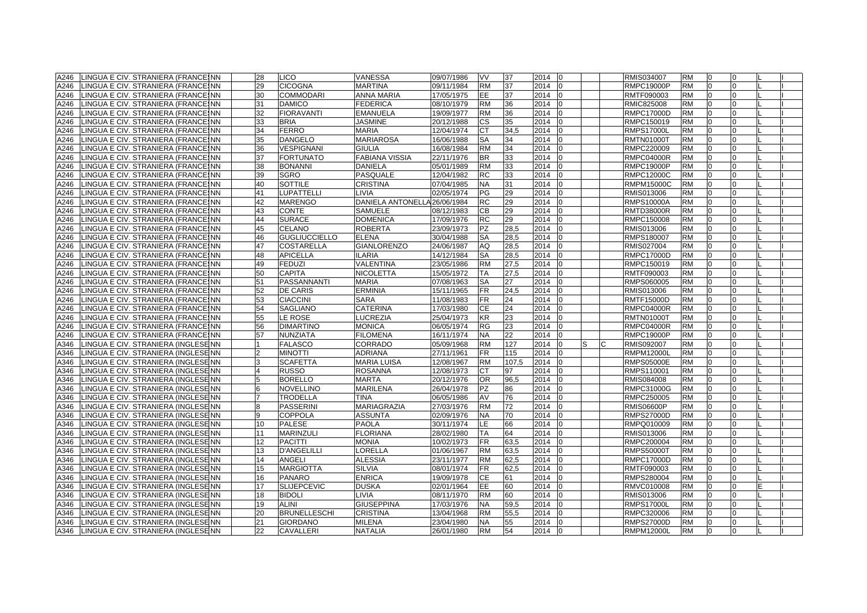| A246 | LINGUA E CIV. STRANIERA (FRANCEINN      | 28             | <b>LICO</b>          | <b>VANESSA</b>               | 09/07/1986 | VV        | 37    | 2014<br>10        |  | RMIS034007        | RM        | 10           | 0              |  |
|------|-----------------------------------------|----------------|----------------------|------------------------------|------------|-----------|-------|-------------------|--|-------------------|-----------|--------------|----------------|--|
| A246 | LINGUA E CIV. STRANIERA (FRANCEINN      | 29             | <b>CICOGNA</b>       | <b>MARTINA</b>               | 09/11/1984 | <b>RM</b> | 37    | 2014              |  | <b>RMPC19000P</b> | <b>RM</b> | $\Omega$     | $\overline{0}$ |  |
| A246 | LINGUA E CIV. STRANIERA (FRANCEINN      | 30             | <b>COMMODARI</b>     | ANNA MARIA                   | 17/05/1975 | EE.       | 37    | 2014              |  | RMTF090003        | <b>RM</b> | $\Omega$     | $\Omega$       |  |
| A246 | LINGUA E CIV. STRANIERA (FRANCEINN      | 31             | <b>DAMICO</b>        | <b>FEDERICA</b>              | 08/10/1979 | <b>RM</b> | 36    | 2014              |  | RMIC825008        | <b>RM</b> | <b>0</b>     | 0              |  |
| A246 | LINGUA E CIV. STRANIERA (FRANCEINN      | 32             | <b>FIORAVANTI</b>    | <b>EMANUELA</b>              | 19/09/1977 | <b>RM</b> | 36    | 2014              |  | RMPC17000D        | <b>RM</b> | 0            | $\Omega$       |  |
| A246 | LINGUA E CIV. STRANIERA (FRANCEINN      | 33             | <b>BRIA</b>          | <b>JASMINE</b>               | 20/12/1988 | СS        | 35    | 2014              |  | RMPC150019        | <b>RM</b> | <sup>0</sup> | $\Omega$       |  |
| A246 | LINGUA E CIV. STRANIERA (FRANCEINN      | 34             | <b>FERRO</b>         | <b>MARIA</b>                 | 12/04/1974 | CТ        | 34,5  | 2014              |  | <b>RMPS17000L</b> | <b>RM</b> |              | $\Omega$       |  |
| A246 | LINGUA E CIV. STRANIERA (FRANCEINN      | 35             | <b>DANGELO</b>       | <b>MARIAROSA</b>             | 16/06/1988 | <b>SA</b> | 34    | 2014              |  | <b>RMTN01000T</b> | <b>RM</b> | $\Omega$     | $\Omega$       |  |
| A246 | LINGUA E CIV. STRANIERA (FRANCEINN      | 36             | <b>VESPIGNANI</b>    | <b>GIULIA</b>                | 16/08/1984 | <b>RM</b> | 34    | 2014              |  | RMPC220009        | <b>RM</b> | $\Omega$     | $\Omega$       |  |
| A246 | LINGUA E CIV. STRANIERA (FRANCEINN      | 37             | <b>FORTUNATO</b>     | <b>FABIANA VISSIA</b>        | 22/11/1976 | <b>BR</b> | 33    | 2014              |  | <b>RMPC04000R</b> | <b>RM</b> | $\Omega$     | $\Omega$       |  |
| A246 | LINGUA E CIV. STRANIERA (FRANCEINN      | 38             | <b>BONANNI</b>       | <b>DANIELA</b>               | 05/01/1989 | <b>RM</b> | 33    | 2014              |  | <b>RMPC19000P</b> | <b>RM</b> | $\Omega$     | $\Omega$       |  |
| A246 | LINGUA E CIV. STRANIERA (FRANCEINN      | 39             | <b>SGRO</b>          | <b>PASQUALE</b>              | 12/04/1982 | <b>RC</b> | 33    | 2014              |  | <b>RMPC12000C</b> | <b>RM</b> | $\Omega$     | $\Omega$       |  |
| A246 | LINGUA E CIV. STRANIERA (FRANCESNN      | 40             | <b>SOTTILE</b>       | <b>CRISTINA</b>              | 07/04/1985 | <b>NA</b> | 31    | 2014              |  | RMPM15000C        | <b>RM</b> | $\Omega$     | $\Omega$       |  |
| A246 | LINGUA E CIV. STRANIERA (FRANCEINN      | 41             | LUPATTELLI           | LIVIA                        | 02/05/1974 | ΡG        | 29    | 2014              |  | RMIS013006        | RM        | <sup>0</sup> | $\Omega$       |  |
| A246 | LINGUA E CIV. STRANIERA (FRANCEINN      | 42             | <b>MARENGO</b>       | DANIELA ANTONELLA 26/06/1984 |            | RC        | 29    | 2014              |  | RMPS10000A        | <b>RM</b> | <sup>0</sup> | $\Omega$       |  |
| A246 | LINGUA E CIV. STRANIERA (FRANCEINN      | 43             | <b>CONTE</b>         | <b>SAMUELE</b>               | 08/12/1983 | CВ        | 29    | 2014              |  | <b>RMTD38000R</b> | <b>RM</b> | $\Omega$     | $\overline{0}$ |  |
| A246 | LINGUA E CIV. STRANIERA (FRANCEINN      | 44             | <b>SURACE</b>        | <b>DOMENICA</b>              | 17/09/1976 | <b>RC</b> | 29    | 2014              |  | RMPC150008        | <b>RM</b> | $\Omega$     | $\Omega$       |  |
| A246 | LINGUA E CIV. STRANIERA (FRANCESNN      | 45             | <b>CELANO</b>        | <b>ROBERTA</b>               | 23/09/1973 | PZ        | 28,5  | 2014              |  | RMIS013006        | <b>RM</b> | $\Omega$     | $\Omega$       |  |
| A246 | LINGUA E CIV. STRANIERA (FRANCEINN      | 46             | <b>GUGLIUCCIELLO</b> | <b>ELENA</b>                 | 30/04/1988 | SA        | 28,5  | 2014              |  | RMPS180007        | <b>RM</b> | 0            | $\Omega$       |  |
| A246 | LINGUA E CIV. STRANIERA (FRANCEINN      | 47             | <b>COSTARELLA</b>    | <b>GIANLORENZO</b>           | 24/06/1987 | AQ        | 28,5  | 2014<br>$\Omega$  |  | RMIS027004        | <b>RM</b> | 0            | 0              |  |
| A246 | LINGUA E CIV. STRANIERA (FRANCESNN      | 48             | <b>APICELLA</b>      | <b>ILARIA</b>                | 14/12/1984 | <b>SA</b> | 28,5  | 2014              |  | <b>RMPC17000D</b> | <b>RM</b> | $\Omega$     | 0              |  |
| A246 | LINGUA E CIV. STRANIERA (FRANCEINN      | 49             | <b>FEDUZI</b>        | VALENTINA                    | 23/05/1986 | <b>RM</b> | 27,5  | 2014              |  | RMPC150019        | <b>RM</b> |              | U              |  |
| A246 | LINGUA E CIV. STRANIERA (FRANCEINN      | 50             | <b>CAPITA</b>        | <b>NICOLETTA</b>             | 15/05/1972 | TA        | 27,5  | 2014              |  | RMTF090003        | <b>RM</b> | $\Omega$     | $\Omega$       |  |
| A246 | LINGUA E CIV. STRANIERA (FRANCEINN      | 51             | PASSANNANTI          | <b>MARIA</b>                 | 07/08/1963 | <b>SA</b> | 27    | 2014              |  | RMPS060005        | <b>RM</b> | $\Omega$     | $\Omega$       |  |
| A246 | LINGUA E CIV. STRANIERA (FRANCEINN      | 52             | <b>DE CARIS</b>      | <b>ERMINIA</b>               | 15/11/1965 | <b>FR</b> | 24,5  | 2014              |  | RMIS013006        | <b>RM</b> | $\Omega$     | $\Omega$       |  |
| A246 | LINGUA E CIV. STRANIERA (FRANCEINN      | 53             | <b>CIACCINI</b>      | <b>SARA</b>                  | 11/08/1983 | <b>FR</b> | 24    | 2014              |  | <b>RMTF15000D</b> | <b>RM</b> | $\Omega$     | $\Omega$       |  |
| A246 | LINGUA E CIV. STRANIERA (FRANCEINN      | 54             | <b>SAGLIANO</b>      | CATERINA                     | 17/03/1980 | CЕ        | 24    | 2014              |  | <b>RMPC04000R</b> | <b>RM</b> | 10           | 0              |  |
| A246 | LINGUA E CIV. STRANIERA (FRANCESNN      | 55             | LE ROSE              | <b>LUCREZIA</b>              | 25/04/1973 | <b>KR</b> | 23    | 2014              |  | <b>RMTN01000T</b> | <b>RM</b> | 0            | $\Omega$       |  |
| A246 | LINGUA E CIV. STRANIERA (FRANCESNN      | 56             | <b>DIMARTINO</b>     | <b>MONICA</b>                | 06/05/1974 | RG        | 23    | 2014              |  | RMPC04000R        | <b>RM</b> | <sup>0</sup> | $\Omega$       |  |
| A246 | LINGUA E CIV. STRANIERA (FRANCEINN      | 57             | NUNZIATA             | <b>FILOMENA</b>              | 16/11/1974 | <b>NA</b> | 22    | 2014              |  | RMPC19000P        | <b>RM</b> |              | $\Omega$       |  |
| A346 | LINGUA E CIV. STRANIERA (INGLESENN      |                | <b>FALASCO</b>       | CORRADO                      | 05/09/1968 | <b>RM</b> | 127   | 2014              |  | RMIS092007        | <b>RM</b> |              | $\Omega$       |  |
| A346 | LINGUA E CIV. STRANIERA (INGLESENN      | $\overline{2}$ | <b>MINOTTI</b>       | <b>ADRIANA</b>               | 27/11/1961 | <b>FR</b> | 115   | 2014              |  | <b>RMPM12000L</b> | <b>RM</b> | $\Omega$     | $\Omega$       |  |
| A346 | LINGUA E CIV. STRANIERA (INGLESENN      | 3              | <b>SCAFETTA</b>      | <b>MARIA LUISA</b>           | 12/08/1967 | <b>RM</b> | 107,5 | 2014              |  | <b>RMPS05000E</b> | <b>RM</b> |              | $\Omega$       |  |
| A346 | LINGUA E CIV. STRANIERA (INGLESENN      | $\overline{4}$ | <b>RUSSO</b>         | <b>ROSANNA</b>               | 12/08/1973 | CТ        | 97    | 2014              |  | RMPS110001        | <b>RM</b> | $\Omega$     | $\Omega$       |  |
| A346 | LINGUA E CIV. STRANIERA (INGLESENN      | 5              | <b>BORELLO</b>       | <b>MARTA</b>                 | 20/12/1976 | <b>OR</b> | 96,5  | 2014              |  | RMIS084008        | <b>RM</b> | 0            | $\Omega$       |  |
| A346 | LINGUA E CIV. STRANIERA (INGLESENN      | 6              | <b>NOVELLINO</b>     | <b>MARILENA</b>              | 26/04/1978 | PZ        | 86    | 2014              |  | RMPC31000G        | <b>RM</b> | 0            | $\Omega$       |  |
| A346 | LINGUA E CIV. STRANIERA (INGLESENN      |                | <b>TRODELLA</b>      | <b>TINA</b>                  | 06/05/1986 | AV        | 76    | 2014              |  | RMPC250005        | <b>RM</b> | $\Omega$     | $\Omega$       |  |
| A346 | LINGUA E CIV. STRANIERA (INGLESENN      |                | <b>PASSERINI</b>     | MARIAGRAZIA                  | 27/03/1976 | <b>RM</b> | 72    | 2014              |  | RMIS06600P        | <b>RM</b> | $\Omega$     | $\Omega$       |  |
| A346 | LINGUA E CIV. STRANIERA (INGLESEINN     | 9              | <b>COPPOLA</b>       | <b>ASSUNTA</b>               | 02/09/1976 | <b>NA</b> | 70    | 2014              |  | <b>RMPS27000D</b> | <b>RM</b> | $\Omega$     | $\Omega$       |  |
| A346 | LINGUA E CIV. STRANIERA (INGLESENN      | 10             | <b>PALESE</b>        | <b>PAOLA</b>                 | 30/11/1974 | LE.       | 66    | 2014              |  | RMPQ010009        | <b>RM</b> | 0            | $\Omega$       |  |
| A346 | LINGUA E CIV. STRANIERA (INGLESENN      | 11             | <b>MARINZULI</b>     | <b>FLORIANA</b>              | 28/02/1980 | ТA        | 64    | 2014              |  | RMIS013006        | <b>RM</b> | 10           | 0              |  |
| A346 | LINGUA E CIV. STRANIERA (INGLESENN      | 12             | <b>PACITTI</b>       | <b>MONIA</b>                 | 10/02/1973 | <b>FR</b> | 63,5  | 2014              |  | RMPC200004        | <b>RM</b> | $\Omega$     | $\Omega$       |  |
| A346 | LINGUA E CIV. STRANIERA (INGLESENN      | 13             | <b>D'ANGELILLI</b>   | LORELLA                      | 01/06/1967 | <b>RM</b> | 63,5  | 2014              |  | <b>RMPS50000T</b> | <b>RM</b> | 0            | $\Omega$       |  |
| A346 | LINGUA E CIV. STRANIERA (INGLESENN      | 14             | <b>ANGELI</b>        | <b>ALESSIA</b>               | 23/11/1977 | <b>RM</b> | 62,5  | 2014              |  | RMPC17000D        | <b>RM</b> | 0            | $\Omega$       |  |
| A346 | LINGUA E CIV. STRANIERA (INGLESENN      | 15             | <b>MARGIOTTA</b>     | <b>SILVIA</b>                | 08/01/1974 | <b>FR</b> | 62,5  | 2014              |  | RMTF090003        | <b>RM</b> | ın           | U              |  |
| A346 | LINGUA E CIV. STRANIERA (INGLESENN      | 16             | <b>PANARO</b>        | <b>ENRICA</b>                | 19/09/1978 | CЕ        | 61    | 2014              |  | RMPS280004        | <b>RM</b> |              |                |  |
| A346 | LINGUA E CIV. STRANIERA (INGLESENN      | 17             | <b>SLIJEPCEVIC</b>   | <b>DUSKA</b>                 | 02/01/1964 | <b>EE</b> | 60    | 2014              |  | RMVC010008        | <b>RM</b> | $\Omega$     | $\Omega$       |  |
| A346 | LINGUA E CIV. STRANIERA (INGLESENN      | 18             | <b>BIDOLI</b>        | LIVIA                        | 08/11/1970 | <b>RM</b> | 60    | 2014              |  | RMIS013006        | <b>RM</b> | l0           | $\Omega$       |  |
| A346 | LINGUA E CIV. STRANIERA (INGLESENN      | 19             | <b>ALINI</b>         | <b>GIUSEPPINA</b>            | 17/03/1976 | <b>NA</b> | 59,5  | 2014              |  | <b>RMPS17000L</b> | <b>RM</b> | $\Omega$     | $\Omega$       |  |
| A346 | LINGUA E CIV. STRANIERA (INGLESENN      | 20             | <b>BRUNELLESCHI</b>  | <b>CRISTINA</b>              | 13/04/1968 | <b>RM</b> | 55,5  | 2014              |  | RMPC320006        | <b>RM</b> | $\Omega$     | $\Omega$       |  |
| A346 | LINGUA E CIV. STRANIERA (INGLESENN      | 21             | <b>GIORDANO</b>      | <b>MILENA</b>                | 23/04/1980 | <b>NA</b> | 55    | 2014              |  | <b>RMPS27000D</b> | <b>RM</b> | 0            | $\Omega$       |  |
|      | A346 LINGUA E CIV. STRANIERA (INGLESENN | 22             | <b>CAVALLERI</b>     | <b>NATALIA</b>               | 26/01/1980 | <b>RM</b> | 54    | 2014<br><b>10</b> |  | <b>RMPM12000L</b> | <b>RM</b> | 0            | 0              |  |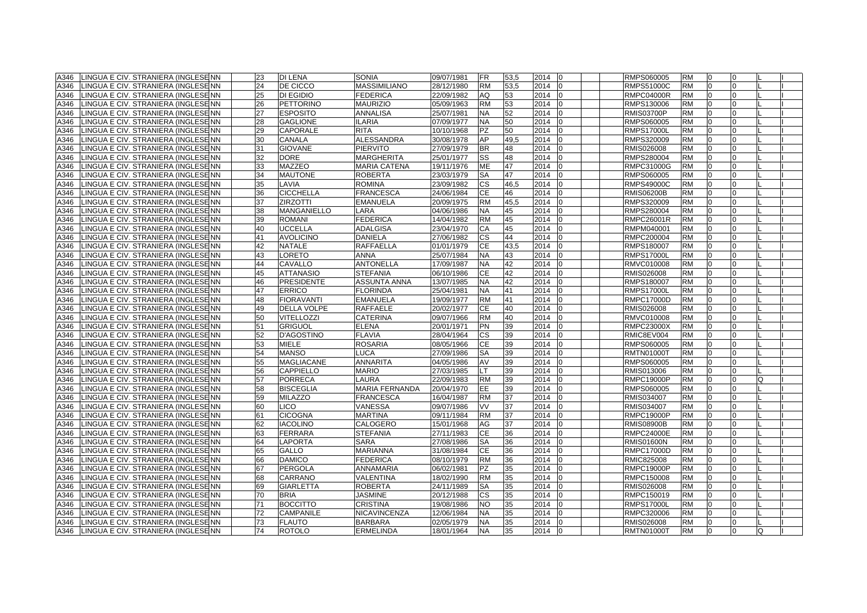| A346 | LINGUA E CIV. STRANIERA (INGLESENN  | 23 | <b>DI LENA</b>     | <b>SONIA</b>        | 09/07/1981               | <b>FR</b> | 53,5 | 2014<br>$\overline{0}$ | RMPS060005        | <b>RM</b> | I0           | $\Omega$     |   |  |
|------|-------------------------------------|----|--------------------|---------------------|--------------------------|-----------|------|------------------------|-------------------|-----------|--------------|--------------|---|--|
| A346 | LINGUA E CIV. STRANIERA (INGLESENN  | 24 | DE CICCO           | <b>MASSIMILIANO</b> | 28/12/1980               | <b>RM</b> | 53,5 | 2014<br>lo             | <b>RMPS51000C</b> | <b>RM</b> | $\Omega$     | $\Omega$     |   |  |
| A346 | LINGUA E CIV. STRANIERA (INGLESE NN | 25 | <b>DI EGIDIO</b>   | <b>FEDERICA</b>     | 22/09/1982               | AQ        | 53   | 2014                   | <b>RMPC04000R</b> | <b>RM</b> | $\Omega$     | <sup>0</sup> |   |  |
| A346 | LINGUA E CIV. STRANIERA (INGLESENN  | 26 | PETTORINO          | <b>MAURIZIO</b>     | 05/09/1963               | <b>RM</b> | 53   | 2014<br>10             | RMPS130006        | <b>RM</b> | n            | $\Omega$     |   |  |
| A346 | LINGUA E CIV. STRANIERA (INGLESE NN | 27 | <b>ESPOSITO</b>    | <b>ANNALISA</b>     | 25/07/1981               | <b>NA</b> | 52   | 2014<br>١O             | <b>RMIS03700P</b> | <b>RM</b> | 0            | $\Omega$     |   |  |
| A346 | LINGUA E CIV. STRANIERA (INGLESENN  | 28 | <b>GAGLIONE</b>    | <b>ILARIA</b>       | 07/09/1977               | NA        | 50   | 2014<br>10             | RMPS060005        | <b>RM</b> | $\Omega$     | <sup>0</sup> |   |  |
| A346 | INGUA E CIV. STRANIERA (INGLESE NN  | 29 | <b>CAPORALE</b>    | <b>RITA</b>         | 10/10/1968               | PZ        | 50   | 2014                   | <b>RMPS17000L</b> | <b>RM</b> |              |              |   |  |
| A346 | LINGUA E CIV. STRANIERA (INGLESENN  | 30 | <b>CANALA</b>      | <b>ALESSANDRA</b>   | 30/08/1978               | AP        | 49,5 | 2014<br>lo             | RMPS320009        | <b>RM</b> |              |              |   |  |
| A346 | LINGUA E CIV. STRANIERA (INGLESENN  | 31 | <b>GIOVANE</b>     | <b>PIERVITO</b>     | 27/09/1979               | <b>BR</b> | 48   | 2014<br>l0             | RMIS026008        | <b>RM</b> | <sup>0</sup> | $\Omega$     |   |  |
| A346 | LINGUA E CIV. STRANIERA (INGLESENN  | 32 | <b>DORE</b>        | <b>MARGHERITA</b>   | 25/01/1977               | SS        | 48   | 2014                   | RMPS280004        | <b>RM</b> | <sup>0</sup> | $\Omega$     |   |  |
| A346 | LINGUA E CIV. STRANIERA (INGLESE NN | 33 | MAZZEO             | <b>MARIA CATENA</b> | 19/11/1976               | <b>ME</b> | 47   | 2014                   | RMPC31000G        | <b>RM</b> |              | <sup>0</sup> |   |  |
| A346 | LINGUA E CIV. STRANIERA (INGLESE NN | 34 | <b>MAUTONE</b>     | <b>ROBERTA</b>      | 23/03/1979               | <b>SA</b> | 47   | 2014                   | RMPS060005        | <b>RM</b> | $\Omega$     | $\Omega$     |   |  |
| A346 | LINGUA E CIV. STRANIERA (INGLESENN  | 35 | LAVIA              | <b>ROMINA</b>       | 23/09/1982               | <b>CS</b> | 46,5 | 2014<br>10             | <b>RMPS49000C</b> | <b>RM</b> | l0           | $\Omega$     |   |  |
| A346 | LINGUA E CIV. STRANIERA (INGLESE NN | 36 | <b>CICCHELLA</b>   | <b>FRANCESCA</b>    | 24/06/1984               | СE        | 46   | 2014<br>lo             | <b>RMIS06200B</b> | <b>RM</b> | 0            | $\Omega$     |   |  |
| A346 | LINGUA E CIV. STRANIERA (INGLESE NN | 37 | <b>ZIRZOTTI</b>    | <b>EMANUELA</b>     | 20/09/1975               | <b>RM</b> | 45,5 | 2014                   | RMPS320009        | <b>RM</b> |              |              |   |  |
| A346 | LINGUA E CIV. STRANIERA (INGLESE NN | 38 | <b>MANGANIELLO</b> | LARA                | 04/06/1986               | NA.       | 45   | 2014                   | RMPS280004        | <b>RM</b> |              |              |   |  |
| A346 | LINGUA E CIV. STRANIERA (INGLESENN  | 39 | <b>ROMANI</b>      | <b>FEDERICA</b>     | 14/04/1982               | <b>RM</b> | 45   | 2014<br>lo             | <b>RMPC26001R</b> | <b>RM</b> | <sup>0</sup> | $\Omega$     |   |  |
| A346 | LINGUA E CIV. STRANIERA (INGLESENN  | 40 | <b>UCCELLA</b>     | <b>ADALGISA</b>     | 23/04/1970               | СA        | 45   | 2014<br>lo             | RMPM040001        | <b>RM</b> | $\Omega$     | $\Omega$     |   |  |
| A346 | LINGUA E CIV. STRANIERA (INGLESENN  | 41 | <b>AVOLICINO</b>   | <b>DANIELA</b>      | 27/06/1982               | <b>CS</b> | 44   | 2014                   | RMPC200004        | <b>RM</b> | <sup>0</sup> | <sup>0</sup> |   |  |
| A346 | LINGUA E CIV. STRANIERA (INGLESENN  | 42 | <b>NATALE</b>      | <b>RAFFAELLA</b>    | 01/01/1979               | <b>CE</b> | 43,5 | 2014<br>١O             | RMPS180007        | <b>RM</b> | $\Omega$     | <sup>0</sup> |   |  |
| A346 | LINGUA E CIV. STRANIERA (INGLESE NN | 43 | <b>LORETO</b>      | <b>ANNA</b>         | 25/07/1984               | <b>NA</b> | 43   | 2014<br>lo             | <b>RMPS17000L</b> | <b>RM</b> | l0           | $\Omega$     |   |  |
| A346 | LINGUA E CIV. STRANIERA (INGLESENN  | 44 | <b>CAVALLO</b>     | <b>ANTONELLA</b>    | 17/09/1987               | <b>NA</b> | 42   | 2014<br>l0             | RMVC010008        | <b>RM</b> | 0            | $\Omega$     |   |  |
| A346 | LINGUA E CIV. STRANIERA (INGLESE NN | 45 | <b>ATTANASIO</b>   | <b>STEFANIA</b>     | 06/10/1986               | CЕ        | 42   | 2014                   | RMIS026008        | <b>RM</b> | $\Omega$     |              |   |  |
| A346 | LINGUA E CIV. STRANIERA (INGLESE NN | 46 | <b>PRESIDENTE</b>  | <b>ASSUNTA ANNA</b> | 13/07/1985               | <b>NA</b> | 42   | 2014                   | RMPS180007        | <b>RM</b> |              |              |   |  |
| A346 | LINGUA E CIV. STRANIERA (INGLESENN  | 47 | <b>ERRICO</b>      | <b>FLORINDA</b>     | 25/04/1981               | <b>NA</b> | 41   | 2014<br><sup>1</sup> 0 | <b>RMPS17000L</b> | <b>RM</b> | <sup>0</sup> | $\Omega$     |   |  |
| A346 | LINGUA E CIV. STRANIERA (INGLESENN  | 48 | <b>FIORAVANTI</b>  | <b>EMANUELA</b>     | 19/09/1977               | <b>RM</b> | 41   | 2014<br>$\Omega$       | <b>RMPC17000D</b> | <b>RM</b> | $\Omega$     | $\Omega$     |   |  |
| A346 | LINGUA E CIV. STRANIERA (INGLESE NN | 49 | <b>DELLA VOLPE</b> | <b>RAFFAELE</b>     | 20/02/1977               | CЕ        | 40   | 2014                   | RMIS026008        | <b>RM</b> | $\Omega$     | $\Omega$     |   |  |
| A346 | LINGUA E CIV. STRANIERA (INGLESE NN | 50 | <b>VITELLOZZI</b>  | <b>CATERINA</b>     | 09/07/1966               | <b>RM</b> | 40   | 2014                   | RMVC010008        | <b>RM</b> | $\Omega$     | $\Omega$     |   |  |
| A346 | LINGUA E CIV. STRANIERA (INGLESENN  | 51 | <b>GRIGUOL</b>     | <b>ELENA</b>        | 20/01/1971               | PN        | 39   | 2014<br>lo             | <b>RMPC23000X</b> | <b>RM</b> | 0            | $\Omega$     |   |  |
| A346 | LINGUA E CIV. STRANIERA (INGLESE NN | 52 | <b>D'AGOSTINO</b>  | <b>FLAVIA</b>       | 28/04/1964               | СS        | 39   | 2014                   | RMIC8EV004        | <b>RM</b> | $\Omega$     | <sup>0</sup> |   |  |
| A346 | LINGUA E CIV. STRANIERA (INGLESE NN | 53 | <b>MIELE</b>       | <b>ROSARIA</b>      | 08/05/1966               | CЕ        | 39   | 2014                   | RMPS060005        | <b>RM</b> |              |              |   |  |
| A346 | LINGUA E CIV. STRANIERA (INGLESENN  | 54 | <b>MANSO</b>       | <b>LUCA</b>         | 27/09/1986               | SA        | 39   | 2014<br>$\Omega$       | <b>RMTN01000T</b> | <b>RM</b> |              |              |   |  |
| A346 | LINGUA E CIV. STRANIERA (INGLESENN  | 55 | <b>MAGLIACANE</b>  | <b>ANNARITA</b>     | 04/05/1986               | AV        | 39   | 2014                   | RMPS060005        | <b>RM</b> |              |              |   |  |
| A346 | LINGUA E CIV. STRANIERA (INGLESE NN | 56 | <b>CAPPIELLO</b>   | <b>MARIO</b>        | 27/03/1985               |           | 39   | 2014<br>10             | RMIS013006        | <b>RM</b> | $\Omega$     | <sup>0</sup> |   |  |
| A346 | LINGUA E CIV. STRANIERA (INGLESE NN | 57 | <b>PORRECA</b>     | <b>LAURA</b>        | 22/09/1983               | <b>RM</b> | 39   | 2014                   | <b>RMPC19000P</b> | <b>RM</b> | $\Omega$     | $\Omega$     |   |  |
| A346 | LINGUA E CIV. STRANIERA (INGLESENN  | 58 | <b>BISCEGLIA</b>   | MARIA FERNANDA      | 20/04/1970               | EE.       | 39   | 2014<br>10             | RMPS060005        | <b>RM</b> | 0            | 0            |   |  |
| A346 | LINGUA E CIV. STRANIERA (INGLESE NN | 59 | <b>MILAZZO</b>     | <b>FRANCESCA</b>    | 16/04/1987               | <b>RM</b> | 37   | 2014                   | RMIS034007        | <b>RM</b> | $\Omega$     | $\Omega$     |   |  |
| A346 | LINGUA E CIV. STRANIERA (INGLESE NN | 60 | <b>LICO</b>        | VANESSA             | 09/07/1986               | VV        | 37   | 2014<br>10             | RMIS034007        | <b>RM</b> | $\Omega$     | $\Omega$     |   |  |
| A346 | LINGUA E CIV. STRANIERA (INGLESE NN | 61 | <b>CICOGNA</b>     | <b>MARTINA</b>      | 09/11/1984               | <b>RM</b> | 37   | 2014                   | <b>RMPC19000P</b> | <b>RM</b> |              |              |   |  |
| A346 | LINGUA E CIV. STRANIERA (INGLESE NN | 62 | <b>IACOLINO</b>    | CALOGERO            | 15/01/1968               | AG        | 37   | 2014                   | <b>RMIS08900B</b> | <b>RM</b> |              |              |   |  |
| A346 | LINGUA E CIV. STRANIERA (INGLESE NN | 63 | FERRARA            | <b>STEFANIA</b>     | 27/11/1983               | CЕ        | 36   | 2014<br>l0             | <b>RMPC24000E</b> | <b>RM</b> | <sup>0</sup> | $\Omega$     |   |  |
| A346 | LINGUA E CIV. STRANIERA (INGLESEINN | 64 | <b>LAPORTA</b>     | <b>SARA</b>         | 27/08/1986               | <b>SA</b> | 36   | 2014                   | <b>RMIS01600N</b> | <b>RM</b> |              | $\Omega$     |   |  |
| A346 | LINGUA E CIV. STRANIERA (INGLESE NN | 65 | <b>GALLO</b>       | <b>MARIANNA</b>     | 31/08/1984               | <b>CE</b> | 36   | 2014<br>l0             | <b>RMPC17000D</b> | <b>RM</b> | <sup>0</sup> | $\Omega$     |   |  |
| A346 | LINGUA E CIV. STRANIERA (INGLESE NN | 66 | <b>DAMICO</b>      | <b>FEDERICA</b>     | 08/10/1979               | <b>RM</b> | 36   | 2014                   | RMIC825008        | <b>RM</b> | $\Omega$     | <sup>0</sup> |   |  |
| A346 | LINGUA E CIV. STRANIERA (INGLESE NN | 67 | PERGOLA            | ANNAMARIA           | 06/02/1981               | PZ        | 35   | 2014<br>l0             | <b>RMPC19000P</b> | <b>RM</b> | $\Omega$     | $\Omega$     |   |  |
| A346 | LINGUA E CIV. STRANIERA (INGLESE NN | 68 | <b>CARRANO</b>     | VALENTINA           | 18/02/1990               | <b>RM</b> | 35   | 2014<br>$\Omega$       | RMPC150008        | <b>RM</b> | $\Omega$     | $\Omega$     |   |  |
| A346 | LINGUA E CIV. STRANIERA (INGLESE NN | 69 | <b>GIARLETTA</b>   | <b>ROBERTA</b>      | 24/11/1989               | SA        | 35   | 2014                   | RMIS026008        | <b>RM</b> |              | <sup>0</sup> |   |  |
| A346 | LINGUA E CIV. STRANIERA (INGLESE NN | 70 | <b>BRIA</b>        | <b>JASMINE</b>      |                          | СS        | 35   | 2014                   | RMPC150019        | <b>RM</b> |              |              |   |  |
| A346 | LINGUA E CIV. STRANIERA (INGLESENN  | 71 | <b>BOCCITTO</b>    | <b>CRISTINA</b>     | 20/12/1988<br>19/08/1986 | <b>NO</b> | 35   | 2014<br>lo             | <b>RMPS17000L</b> | <b>RM</b> | <sup>0</sup> | $\Omega$     |   |  |
| A346 | LINGUA E CIV. STRANIERA (INGLESEINN | 72 | <b>CAMPANILE</b>   | <b>NICAVINCENZA</b> | 12/06/1984               | <b>NA</b> | 35   | 2014<br>$\Omega$       | RMPC320006        | <b>RM</b> | <sup>0</sup> | $\Omega$     |   |  |
| A346 | LINGUA E CIV. STRANIERA (INGLESENN  | 73 | <b>FLAUTO</b>      | <b>BARBARA</b>      | 02/05/1979               | <b>NA</b> | 35   | 2014<br>In             | RMIS026008        | <b>RM</b> | $\Omega$     | $\Omega$     |   |  |
| A346 |                                     | 74 | <b>ROTOLO</b>      |                     | 18/01/1964               | <b>NA</b> | 35   | 2014 0                 | <b>RMTN01000T</b> | <b>RM</b> | l0           | $\Omega$     | Q |  |
|      | LINGUA E CIV. STRANIERA (INGLESENN  |    |                    | <b>ERMELINDA</b>    |                          |           |      |                        |                   |           |              |              |   |  |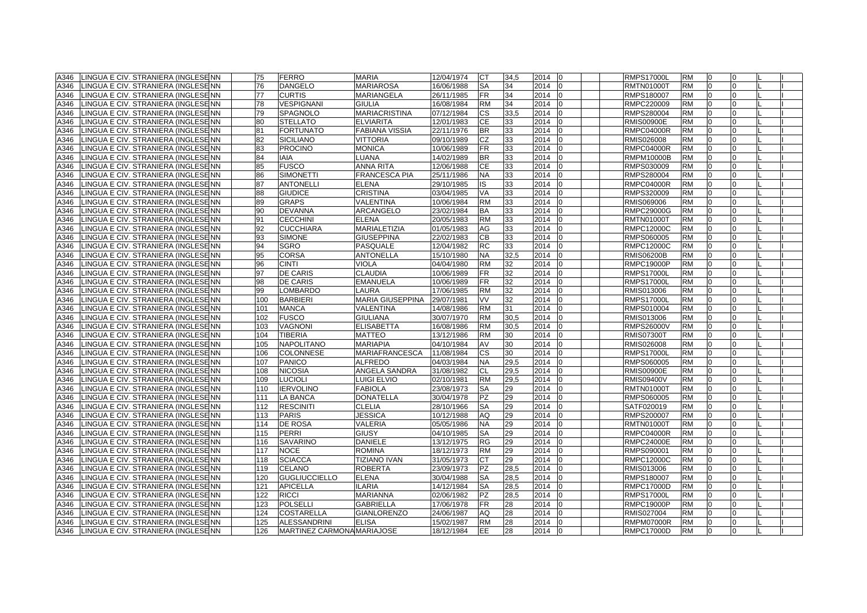| A346 | LINGUA E CIV. STRANIERA (INGLESENN      | 75  | <b>FERRO</b>                      | <b>MARIA</b>            | 12/04/1974 | <b>ICT</b> | 34,5 | 2014<br>l0             | <b>RMPS17000L</b> | <b>RM</b> |                |              |  |
|------|-----------------------------------------|-----|-----------------------------------|-------------------------|------------|------------|------|------------------------|-------------------|-----------|----------------|--------------|--|
| A346 | LINGUA E CIV. STRANIERA (INGLESEINN     | 76  | <b>DANGELO</b>                    | <b>MARIAROSA</b>        | 16/06/1988 | <b>SA</b>  | 34   | 2014<br>$\overline{0}$ | <b>RMTN01000T</b> | <b>RM</b> | $\Omega$       | <sup>0</sup> |  |
| A346 | LINGUA E CIV. STRANIERA (INGLESENN      | 77  | <b>CURTIS</b>                     | MARIANGELA              | 26/11/1985 | <b>FR</b>  | 34   | 2014<br>I0             | RMPS180007        | <b>RM</b> | $\Omega$       | $\Omega$     |  |
| A346 | LINGUA E CIV. STRANIERA (INGLESENN      | 78  | VESPIGNANI                        | <b>GIULIA</b>           | 16/08/1984 | <b>RM</b>  | 34   | 2014<br>I0             | RMPC220009        | <b>RM</b> | $\Omega$       | <sup>0</sup> |  |
| A346 | LINGUA E CIV. STRANIERA (INGLESENN      | 79  | SPAGNOLO                          | <b>MARIACRISTINA</b>    | 07/12/1984 | <b>CS</b>  | 33,5 | 2014                   | RMPS280004        | <b>RM</b> | $\Omega$       | <sup>0</sup> |  |
| A346 | LINGUA E CIV. STRANIERA (INGLESENN      | 80  | <b>STELLATO</b>                   | <b>ELVIARITA</b>        | 12/01/1983 | <b>CE</b>  | 33   | 2014<br>I0             | <b>RMIS00900E</b> | <b>RM</b> | $\overline{0}$ | $\Omega$     |  |
| A346 | LINGUA E CIV. STRANIERA (INGLESENN      | 81  | FORTUNATO                         | <b>FABIANA VISSIA</b>   | 22/11/1976 | <b>BR</b>  | 33   | 2014                   | <b>RMPC04000R</b> | <b>RM</b> | n              |              |  |
| A346 | LINGUA E CIV. STRANIERA (INGLESENN      | 82  | <b>SICILIANO</b>                  | <b>VITTORIA</b>         | 09/10/1989 | CZ         | 33   | 2014                   | RMIS026008        | <b>RM</b> |                |              |  |
| A346 | LINGUA E CIV. STRANIERA (INGLESENN      | 83  | <b>PROCINO</b>                    | <b>MONICA</b>           | 10/06/1989 | <b>FR</b>  | 33   | 2014<br>I٥             | <b>RMPC04000R</b> | <b>RM</b> | $\Omega$       |              |  |
| A346 | LINGUA E CIV. STRANIERA (INGLESENN      | 84  | <b>IAIA</b>                       | LUANA                   | 14/02/1989 | <b>BR</b>  | 33   | 2014                   | <b>RMPM10000B</b> | <b>RM</b> | $\Omega$       | $\Omega$     |  |
| A346 | LINGUA E CIV. STRANIERA (INGLESENN      | 85  | <b>FUSCO</b>                      | <b>ANNA RITA</b>        | 12/06/1988 | <b>CE</b>  | 33   | 2014<br>I <sub>0</sub> | RMPS030009        | <b>RM</b> | $\Omega$       | $\Omega$     |  |
| A346 | LINGUA E CIV. STRANIERA (INGLESENN      | 86  | <b>SIMONETTI</b>                  | <b>FRANCESCA PIA</b>    | 25/11/1986 | <b>NA</b>  | 33   | 2014                   | RMPS280004        | <b>RM</b> | $\Omega$       | <sup>0</sup> |  |
| A346 | LINGUA E CIV. STRANIERA (INGLESENN      | 87  | <b>ANTONELLI</b>                  | <b>ELENA</b>            | 29/10/1985 | IS         | 33   | 2014<br>$\overline{0}$ | <b>RMPC04000R</b> | <b>RM</b> | $\Omega$       | $\Omega$     |  |
| A346 | LINGUA E CIV. STRANIERA (INGLESENN      | 88  | <b>GIUDICE</b>                    | <b>CRISTINA</b>         | 03/04/1985 | VA         | 33   | 2014<br>$\Omega$       | RMPS320009        | <b>RM</b> | 0              | <sup>0</sup> |  |
| A346 | LINGUA E CIV. STRANIERA (INGLESENN      | 89  | GRAPS                             | VALENTINA               | 10/06/1984 | RM         | 33   | 2014<br>I0             | RMIS069006        | RM        | 0              |              |  |
| A346 | LINGUA E CIV. STRANIERA (INGLESEINN     | 90  | <b>DEVANNA</b>                    | ARCANGELO               | 23/02/1984 | <b>BA</b>  | 33   | 2014<br>In             | RMPC29000G        | <b>RM</b> | $\Omega$       |              |  |
| A346 | LINGUA E CIV. STRANIERA (INGLESENN      | 91  | <b>CECCHINI</b>                   | <b>ELENA</b>            | 20/05/1983 | <b>RM</b>  | 33   | 2014                   | <b>RMTN01000T</b> | <b>RM</b> |                |              |  |
| A346 | LINGUA E CIV. STRANIERA (INGLESENN      | 92  | <b>CUCCHIARA</b>                  | MARIALETIZIA            | 01/05/1983 | AG         | 33   | 2014<br>I0             | <b>RMPC12000C</b> | <b>RM</b> | $\Omega$       | <sup>0</sup> |  |
| A346 | LINGUA E CIV. STRANIERA (INGLESENN      | 93  | <b>SIMONE</b>                     | <b>GIUSEPPINA</b>       | 22/02/1983 | CВ         | 33   | 2014                   | RMPS060005        | <b>RM</b> | $\Omega$       | <sup>n</sup> |  |
| A346 | LINGUA E CIV. STRANIERA (INGLESENN      | 94  | SGRO                              | PASQUALE                | 12/04/1982 | <b>RC</b>  | 33   | 2014<br>10             | RMPC12000C        | <b>RM</b> | $\overline{0}$ | 0            |  |
| A346 | LINGUA E CIV. STRANIERA (INGLESENN      | 95  | <b>CORSA</b>                      | <b>ANTONELLA</b>        | 15/10/1980 | <b>NA</b>  | 32,5 | 2014                   | <b>RMIS06200B</b> | <b>RM</b> | $\Omega$       | $\Omega$     |  |
| A346 | LINGUA E CIV. STRANIERA (INGLESENN      | 96  | <b>CINTI</b>                      | <b>VIOLA</b>            | 04/04/1980 | <b>RM</b>  | 32   | 2014<br>IΩ             | <b>RMPC19000P</b> | <b>RM</b> | $\Omega$       | <sup>n</sup> |  |
| A346 | LINGUA E CIV. STRANIERA (INGLESENN      | 97  | DE CARIS                          | <b>CLAUDIA</b>          | 10/06/1989 | FR.        | 32   | 2014                   | <b>RMPS17000L</b> | <b>RM</b> | $\Omega$       |              |  |
| A346 | LINGUA E CIV. STRANIERA (INGLESENN      | 98  | DE CARIS                          | <b>EMANUELA</b>         | 10/06/1989 | FR.        | 32   | 2014                   | <b>RMPS17000L</b> | <b>RM</b> | $\Omega$       |              |  |
| A346 | LINGUA E CIV. STRANIERA (INGLESENN      | 99  | LOMBARDO                          | LAURA                   | 17/06/1985 | <b>RM</b>  | 32   | 2014<br>I٥             | RMIS013006        | <b>RM</b> | $\Omega$       | $\Omega$     |  |
| A346 | LINGUA E CIV. STRANIERA (INGLESEINN     | 100 | <b>BARBIERI</b>                   | <b>MARIA GIUSEPPINA</b> | 29/07/1981 | VV         | 32   | 2014                   | <b>RMPS17000L</b> | <b>RM</b> | $\Omega$       | $\Omega$     |  |
| A346 | LINGUA E CIV. STRANIERA (INGLESEINN     | 101 | <b>MANCA</b>                      | VALENTINA               | 14/08/1986 | <b>RM</b>  | 31   | 2014                   | RMPS010004        | <b>RM</b> | $\Omega$       | <sup>0</sup> |  |
| A346 | LINGUA E CIV. STRANIERA (INGLESENN      | 102 | <b>FUSCO</b>                      | <b>GIULIANA</b>         | 30/07/1970 | <b>RM</b>  | 30,5 | 2014                   | RMIS013006        | <b>RM</b> | $\Omega$       | $\Omega$     |  |
| A346 | LINGUA E CIV. STRANIERA (INGLESENN      | 103 | <b>VAGNONI</b>                    | <b>ELISABETTA</b>       | 16/08/1986 | <b>RM</b>  | 30,5 | 2014<br>I0             | <b>RMPS26000V</b> | <b>RM</b> | $\overline{0}$ | $\Omega$     |  |
| A346 | LINGUA E CIV. STRANIERA (INGLESENN      | 104 | <b>TIBERIA</b>                    | <b>MATTEO</b>           | 13/12/1986 | <b>RM</b>  | 30   | 2014                   | <b>RMIS07300T</b> | <b>RM</b> | n              |              |  |
| A346 | LINGUA E CIV. STRANIERA (INGLESENN      | 105 | <b>NAPOLITANO</b>                 | <b>MARIAPIA</b>         | 04/10/1984 | AV         | 30   | 2014                   | RMIS026008        | <b>RM</b> |                |              |  |
| A346 | LINGUA E CIV. STRANIERA (INGLESENN      | 106 | <b>COLONNESE</b>                  | <b>MARIAFRANCESCA</b>   | 11/08/1984 | <b>CS</b>  | 30   | 2014<br>l0             | <b>RMPS17000L</b> | <b>RM</b> | $\Omega$       |              |  |
| A346 | LINGUA E CIV. STRANIERA (INGLESENN      | 107 | <b>PANICO</b>                     | <b>ALFREDO</b>          | 04/03/1984 | <b>NA</b>  | 29,5 | 2014<br>I <sub>0</sub> | RMPS060005        | <b>RM</b> | $\Omega$       |              |  |
| A346 | LINGUA E CIV. STRANIERA (INGLESENN      | 108 | <b>NICOSIA</b>                    | ANGELA SANDRA           | 31/08/1982 | CL         | 29,5 | 2014<br>I0             | <b>RMIS00900E</b> | <b>RM</b> | $\Omega$       | $\Omega$     |  |
| A346 | LINGUA E CIV. STRANIERA (INGLESENN      | 109 | <b>LUCIOLI</b>                    | <b>LUIGI ELVIO</b>      | 02/10/1981 | <b>RM</b>  | 29,5 | 2014                   | <b>RMIS09400V</b> | <b>RM</b> | $\overline{0}$ | <sup>n</sup> |  |
| A346 | LINGUA E CIV. STRANIERA (INGLESENN      | 110 | <b>IERVOLINO</b>                  | <b>FABIOLA</b>          | 23/08/1973 | SA         | 29   | 2014                   | <b>RMTN01000T</b> | <b>RM</b> | $\Omega$       | <sup>n</sup> |  |
| A346 | LINGUA E CIV. STRANIERA (INGLESENN      | 111 | <b>LA BANCA</b>                   | <b>DONATELLA</b>        | 30/04/1978 | <b>PZ</b>  | 29   | 2014<br>I <sub>0</sub> | RMPS060005        | <b>RM</b> | $\overline{0}$ | $\Omega$     |  |
| A346 | LINGUA E CIV. STRANIERA (INGLESENN      | 112 | <b>RESCINITI</b>                  | <b>CLELIA</b>           | 28/10/1966 | <b>SA</b>  | 29   | 2014<br>I <sub>0</sub> | SATF020019        | <b>RM</b> | $\Omega$       | $\Omega$     |  |
| A346 | LINGUA E CIV. STRANIERA (INGLESENN      | 113 | <b>PARIS</b>                      | <b>JESSICA</b>          | 10/12/1988 | AQ         | 29   | 2014                   | RMPS200007        | <b>RM</b> |                |              |  |
| A346 | LINGUA E CIV. STRANIERA (INGLESENN      | 114 | DE ROSA                           | VALERIA                 | 05/05/1986 | <b>NA</b>  | 29   | 2014                   | <b>RMTN01000T</b> | <b>RM</b> |                |              |  |
| A346 | LINGUA E CIV. STRANIERA (INGLESENN      | 115 | <b>PERRI</b>                      | <b>GIUSY</b>            | 04/10/1985 | <b>SA</b>  | 29   | 2014<br>10             | <b>RMPC04000R</b> | <b>RM</b> | $\Omega$       | $\Omega$     |  |
| A346 | LINGUA E CIV. STRANIERA (INGLESENN      | 116 | SAVARINO                          | <b>DANIELE</b>          | 13/12/1975 | <b>RG</b>  | 29   | 2014<br>$\Omega$       | <b>RMPC24000E</b> | <b>RM</b> | $\Omega$       | $\Omega$     |  |
| A346 | LINGUA E CIV. STRANIERA (INGLESENN      | 117 | <b>NOCE</b>                       | <b>ROMINA</b>           | 18/12/1973 | <b>RM</b>  | 29   | 2014                   | RMPS090001        | <b>RM</b> | $\Omega$       | <sup>0</sup> |  |
| A346 | LINGUA E CIV. STRANIERA (INGLESENN      | 118 | <b>SCIACCA</b>                    | <b>TIZIANO IVAN</b>     | 31/05/1973 | CT         | 29   | 2014                   | <b>RMPC12000C</b> | <b>RM</b> | $\Omega$       | <sup>n</sup> |  |
| A346 | LINGUA E CIV. STRANIERA (INGLESENN      | 119 | <b>CELANO</b>                     | <b>ROBERTA</b>          | 23/09/1973 | <b>PZ</b>  | 28,5 | 2014<br>I0             | RMIS013006        | <b>RM</b> | $\overline{0}$ | $\Omega$     |  |
| A346 | LINGUA E CIV. STRANIERA (INGLESENN      | 120 | <b>GUGLIUCCIELLO</b>              | <b>ELENA</b>            | 30/04/1988 | <b>SA</b>  | 28,5 | 2014                   | RMPS180007        | <b>RM</b> | n              |              |  |
| A346 | LINGUA E CIV. STRANIERA (INGLESENN      | 121 | <b>APICELLA</b>                   | <b>ILARIA</b>           | 14/12/1984 | SA         | 28,5 | 2014                   | <b>RMPC17000D</b> | <b>RM</b> |                |              |  |
| A346 | LINGUA E CIV. STRANIERA (INGLESENN      | 122 | <b>RICCI</b>                      | <b>MARIANNA</b>         | 02/06/1982 | <b>PZ</b>  | 28,5 | 2014<br>l0             | <b>RMPS17000L</b> | <b>RM</b> | $\Omega$       |              |  |
| A346 | LINGUA E CIV. STRANIERA (INGLESENN      | 123 | <b>POLSELLI</b>                   | <b>GABRIELLA</b>        | 17/06/1978 | <b>FR</b>  | 28   | 2014<br>$\Omega$       | <b>RMPC19000P</b> | <b>RM</b> | $\Omega$       | $\Omega$     |  |
| A346 | LINGUA E CIV. STRANIERA (INGLESENN      | 124 | <b>COSTARELLA</b>                 | <b>GIANLORENZO</b>      | 24/06/1987 | AQ         | 28   | 2014<br>In             | RMIS027004        | <b>RM</b> | $\Omega$       | $\Omega$     |  |
| A346 | LINGUA E CIV. STRANIERA (INGLESENN      | 125 | <b>ALESSANDRINI</b>               | <b>ELISA</b>            | 15/02/1987 | <b>RM</b>  | 28   | 2014                   | <b>RMPM07000R</b> | <b>RM</b> | $\overline{0}$ | $\Omega$     |  |
|      | A346 LINGUA E CIV. STRANIERA (INGLESENN | 126 | <b>MARTINEZ CARMONA MARIAJOSE</b> |                         | 18/12/1984 | <b>EE</b>  | 28   | 2014 0                 | <b>RMPC17000D</b> | <b>RM</b> | $\overline{0}$ | $\Omega$     |  |
|      |                                         |     |                                   |                         |            |            |      |                        |                   |           |                |              |  |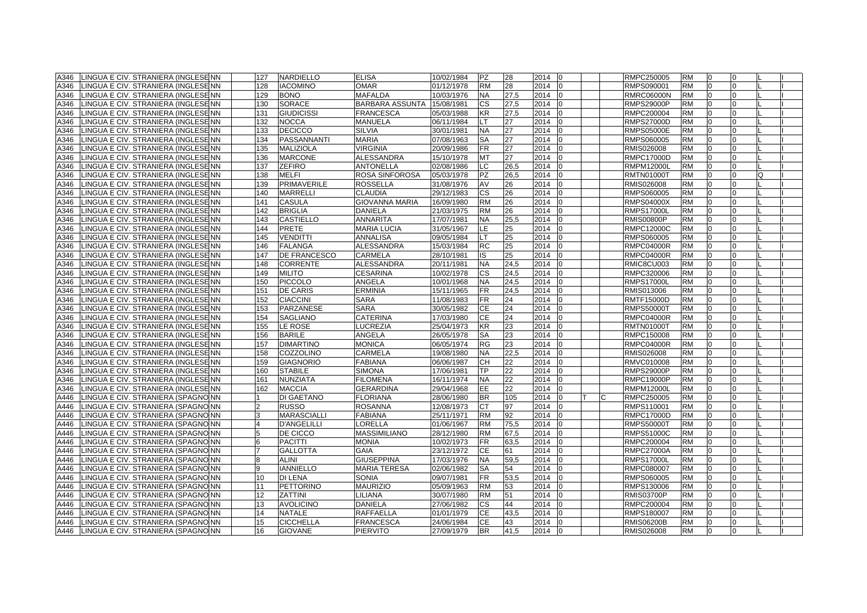| A346 | LINGUA E CIV. STRANIERA (INGLESENN  | 127            | <b>NARDIELLO</b>   | <b>ELISA</b>           | 10/02/1984 | <b>PZ</b> | 28   | 2014<br>l0             |   | RMPC250005        | <b>RM</b> |                |              |  |
|------|-------------------------------------|----------------|--------------------|------------------------|------------|-----------|------|------------------------|---|-------------------|-----------|----------------|--------------|--|
| A346 | LINGUA E CIV. STRANIERA (INGLESENN  | 128            | <b>IACOMINO</b>    | <b>OMAR</b>            | 01/12/1978 | <b>RM</b> | 28   | 2014<br>$\overline{0}$ |   | RMPS090001        | <b>RM</b> | $\Omega$       | <sup>0</sup> |  |
| A346 | LINGUA E CIV. STRANIERA (INGLESENN  | 129            | <b>BONO</b>        | <b>MAFALDA</b>         | 10/03/1976 | <b>NA</b> | 27,5 | 2014<br>I0             |   | <b>RMRC06000N</b> | <b>RM</b> | $\Omega$       | $\Omega$     |  |
| A346 | LINGUA E CIV. STRANIERA (INGLESENN  | 130            | SORACE             | <b>BARBARA ASSUNTA</b> | 15/08/1981 | СS        | 27,5 | 2014<br>I0             |   | <b>RMPS29000P</b> | <b>RM</b> | $\Omega$       | <sup>0</sup> |  |
| A346 | LINGUA E CIV. STRANIERA (INGLESENN  | 131            | <b>GIUDICISSI</b>  | <b>FRANCESCA</b>       | 05/03/1988 | <b>KR</b> | 27,5 | 2014                   |   | RMPC200004        | <b>RM</b> | $\Omega$       | <sup>0</sup> |  |
| A346 | LINGUA E CIV. STRANIERA (INGLESENN  | 132            | <b>NOCCA</b>       | <b>MANUELA</b>         | 06/11/1984 | LT.       | 27   | 2014<br>I0             |   | <b>RMPS27000D</b> | <b>RM</b> | $\overline{0}$ | $\Omega$     |  |
| A346 | LINGUA E CIV. STRANIERA (INGLESENN  | 133            | <b>DECICCO</b>     | <b>SILVIA</b>          | 30/01/1981 | <b>NA</b> | 27   | 2014                   |   | <b>RMPS05000E</b> | <b>RM</b> | n              |              |  |
| A346 | LINGUA E CIV. STRANIERA (INGLESENN  | 134            | PASSANNANTI        | <b>MARIA</b>           | 07/08/1963 | SA        | 27   | 2014                   |   | RMPS060005        | <b>RM</b> |                |              |  |
| A346 | LINGUA E CIV. STRANIERA (INGLESENN  | 135            | <b>MALIZIOLA</b>   | <b>VIRGINIA</b>        | 20/09/1986 | FR.       | 27   | 2014<br>I٥             |   | RMIS026008        | <b>RM</b> | $\Omega$       |              |  |
| A346 | LINGUA E CIV. STRANIERA (INGLESENN  | 136            | <b>MARCONE</b>     | <b>ALESSANDRA</b>      | 15/10/1978 | <b>MT</b> | 27   | 2014                   |   | <b>RMPC17000D</b> | <b>RM</b> | $\Omega$       | $\Omega$     |  |
| A346 | LINGUA E CIV. STRANIERA (INGLESENN  | 137            | <b>ZEFIRO</b>      | <b>ANTONELLA</b>       | 02/08/1986 | LC        | 26,5 | 2014<br>I <sub>0</sub> |   | <b>RMPM12000L</b> | <b>RM</b> | $\Omega$       | $\Omega$     |  |
| A346 | LINGUA E CIV. STRANIERA (INGLESENN  | 138            | <b>MELFI</b>       | ROSA SINFOROSA         | 05/03/1978 | PZ        | 26,5 | 2014                   |   | <b>RMTN01000T</b> | <b>RM</b> | $\Omega$       | <sup>0</sup> |  |
| A346 | LINGUA E CIV. STRANIERA (INGLESENN  | 139            | <b>PRIMAVERILE</b> | <b>ROSSELLA</b>        | 31/08/1976 | AV        | 26   | 2014<br>$\overline{0}$ |   | RMIS026008        | <b>RM</b> | $\Omega$       | <sup>0</sup> |  |
| A346 | LINGUA E CIV. STRANIERA (INGLESENN  | 140            | <b>MARRELLI</b>    | <b>CLAUDIA</b>         | 29/12/1983 | CS        | 26   | 2014<br>$\Omega$       |   | RMPS060005        | <b>RM</b> | $\overline{0}$ | <sup>0</sup> |  |
| A346 | LINGUA E CIV. STRANIERA (INGLESENN  | 141            | <b>CASULA</b>      | <b>GIOVANNA MARIA</b>  | 16/09/1980 | RM        | 26   | 2014                   |   | <b>RMPS04000X</b> | <b>RM</b> | 0              |              |  |
| A346 | LINGUA E CIV. STRANIERA (INGLESEINN | 142            | <b>BRIGLIA</b>     | <b>DANIELA</b>         | 21/03/1975 | RM        | 26   | 2014<br>In             |   | <b>RMPS17000L</b> | <b>RM</b> | $\Omega$       |              |  |
| A346 | LINGUA E CIV. STRANIERA (INGLESENN  | 143            | <b>CASTIELLO</b>   | <b>ANNARITA</b>        | 17/07/1981 | <b>NA</b> | 25,5 | 2014                   |   | <b>RMIS00800P</b> | <b>RM</b> |                |              |  |
| A346 | LINGUA E CIV. STRANIERA (INGLESENN  | 144            | <b>PRETE</b>       | <b>MARIA LUCIA</b>     | 31/05/1967 | LE        | 25   | 2014<br>I0             |   | <b>RMPC12000C</b> | <b>RM</b> | $\Omega$       | <sup>0</sup> |  |
| A346 | LINGUA E CIV. STRANIERA (INGLESENN  | 145            | <b>VENDITTI</b>    | <b>ANNALISA</b>        | 09/05/1984 | LТ        | 25   | 2014                   |   | RMPS060005        | <b>RM</b> | $\Omega$       | <sup>0</sup> |  |
| A346 | LINGUA E CIV. STRANIERA (INGLESENN  | 146            | <b>FALANGA</b>     | <b>ALESSANDRA</b>      | 15/03/1984 | <b>RC</b> | 25   | 2014<br>-10            |   | <b>RMPC04000R</b> | <b>RM</b> | $\overline{0}$ | 0            |  |
| A346 | LINGUA E CIV. STRANIERA (INGLESENN  | 147            | DE FRANCESCO       | <b>CARMELA</b>         | 28/10/1981 | IS        | 25   | 2014                   |   | RMPC04000R        | <b>RM</b> | $\Omega$       | $\Omega$     |  |
| A346 | LINGUA E CIV. STRANIERA (INGLESENN  | 148            | <b>CORRENTE</b>    | <b>ALESSANDRA</b>      | 20/11/1981 | <b>NA</b> | 24,5 | 2014<br>$\Omega$       |   | RMIC8CU003        | <b>RM</b> | $\Omega$       | <sup>n</sup> |  |
| A346 | LINGUA E CIV. STRANIERA (INGLESENN  | 149            | <b>MILITO</b>      | <b>CESARINA</b>        | 10/02/1978 | <b>CS</b> | 24,5 | 2014                   |   | RMPC320006        | <b>RM</b> | $\Omega$       |              |  |
| A346 | LINGUA E CIV. STRANIERA (INGLESENN  | 150            | <b>PICCOLO</b>     | ANGELA                 | 10/01/1968 | <b>NA</b> | 24,5 | 2014                   |   | <b>RMPS17000L</b> | <b>RM</b> | $\Omega$       |              |  |
| A346 | LINGUA E CIV. STRANIERA (INGLESENN  | 151            | <b>DE CARIS</b>    | <b>ERMINIA</b>         | 15/11/1965 | FR.       | 24,5 | 2014<br>l0             |   | RMIS013006        | <b>RM</b> | $\Omega$       | $\Omega$     |  |
| A346 | LINGUA E CIV. STRANIERA (INGLESEINN | 152            | <b>CIACCINI</b>    | <b>SARA</b>            | 11/08/1983 | <b>FR</b> | 24   | 2014                   |   | <b>RMTF15000D</b> | <b>RM</b> | $\Omega$       | $\Omega$     |  |
| A346 | LINGUA E CIV. STRANIERA (INGLESENN  | 153            | <b>PARZANESE</b>   | <b>SARA</b>            | 30/05/1982 | <b>CE</b> | 24   | 2014                   |   | <b>RMPS50000T</b> | <b>RM</b> | $\Omega$       | <sup>0</sup> |  |
| A346 | LINGUA E CIV. STRANIERA (INGLESENN  | 154            | <b>SAGLIANO</b>    | <b>CATERINA</b>        | 17/03/1980 | <b>CE</b> | 24   | 2014                   |   | RMPC04000R        | <b>RM</b> | $\Omega$       | $\Omega$     |  |
| A346 | LINGUA E CIV. STRANIERA (INGLESENN  | 155            | LE ROSE            | LUCREZIA               | 25/04/1973 | KR        | 23   | 2014<br>I0             |   | <b>RMTN01000T</b> | <b>RM</b> | $\overline{0}$ | $\Omega$     |  |
| A346 | LINGUA E CIV. STRANIERA (INGLESENN  | 156            | <b>BARILE</b>      | ANGELA                 | 26/05/1978 | SA        | 23   | 2014                   |   | RMPC150008        | <b>RM</b> | $\Omega$       |              |  |
| A346 | LINGUA E CIV. STRANIERA (INGLESENN  | 157            | <b>DIMARTINO</b>   | <b>MONICA</b>          | 06/05/1974 | RG        | 23   | 2014                   |   | <b>RMPC04000R</b> | <b>RM</b> |                |              |  |
| A346 | LINGUA E CIV. STRANIERA (INGLESENN  | 158            | COZZOLINO          | CARMELA                | 19/08/1980 | <b>NA</b> | 22,5 | 2014<br>l0             |   | RMIS026008        | <b>RM</b> | $\Omega$       |              |  |
| A346 | LINGUA E CIV. STRANIERA (INGLESENN  | 159            | <b>GIAGNORIO</b>   | <b>FABIANA</b>         | 06/06/1987 | <b>CH</b> | 22   | 2014<br>I <sub>0</sub> |   | RMVC010008        | <b>RM</b> | $\Omega$       | <sup>0</sup> |  |
| A346 | LINGUA E CIV. STRANIERA (INGLESENN  | 160            | <b>STABILE</b>     | <b>SIMONA</b>          | 17/06/1981 | TP.       | 22   | 2014<br>I0             |   | <b>RMPS29000P</b> | <b>RM</b> | $\overline{0}$ | $\Omega$     |  |
| A346 | LINGUA E CIV. STRANIERA (INGLESENN  | 161            | NUNZIATA           | <b>FILOMENA</b>        | 16/11/1974 | <b>NA</b> | 22   | 2014                   |   | <b>RMPC19000P</b> | <b>RM</b> | $\overline{0}$ | <sup>n</sup> |  |
| A346 | LINGUA E CIV. STRANIERA (INGLESENN  | 162            | <b>MACCIA</b>      | <b>GERARDINA</b>       | 29/04/1968 | EE.       | 22   | 2014                   |   | <b>RMPM12000L</b> | <b>RM</b> | $\Omega$       | <sup>n</sup> |  |
| A446 | LINGUA E CIV. STRANIERA (SPAGNONN   |                | DI GAETANO         | <b>FLORIANA</b>        | 28/06/1980 | <b>BR</b> | 105  | 2014<br>$\Omega$       | C | RMPC250005        | <b>RM</b> | $\overline{0}$ | $\Omega$     |  |
| A446 | LINGUA E CIV. STRANIERA (SPAGNO NN  | $\mathcal{P}$  | <b>RUSSO</b>       | <b>ROSANNA</b>         | 12/08/1973 | СT        | 97   | 2014<br>I <sub>0</sub> |   | RMPS110001        | <b>RM</b> | $\Omega$       | $\Omega$     |  |
| A446 | LINGUA E CIV. STRANIERA (SPAGNO NN  | 3              | MARASCIALLI        | FABIANA                | 25/11/1971 | <b>RM</b> | 92   | 2014                   |   | <b>RMPC17000D</b> | <b>RM</b> |                |              |  |
| A446 | LINGUA E CIV. STRANIERA (SPAGNONN   |                | <b>D'ANGELILLI</b> | LORELLA                | 01/06/1967 | <b>RM</b> | 75,5 | 2014                   |   | <b>RMPS50000T</b> | <b>RM</b> |                |              |  |
| A446 | LINGUA E CIV. STRANIERA (SPAGNO NN  | 5              | DE CICCO           | <b>MASSIMILIANO</b>    | 28/12/1980 | <b>RM</b> | 67,5 | 2014<br>10             |   | <b>RMPS51000C</b> | <b>RM</b> | $\overline{0}$ | $\Omega$     |  |
| A446 | LINGUA E CIV. STRANIERA (SPAGNONN   | 6              | <b>PACITTI</b>     | <b>MONIA</b>           | 10/02/1973 | <b>FR</b> | 63,5 | 2014<br>$\Omega$       |   | RMPC200004        | <b>RM</b> | $\Omega$       | $\Omega$     |  |
| A446 | LINGUA E CIV. STRANIERA (SPAGNO NN  | $\overline{7}$ | <b>GALLOTTA</b>    | <b>GAIA</b>            | 23/12/1972 | <b>CE</b> | 61   | 2014                   |   | <b>RMPC27000A</b> | <b>RM</b> | $\Omega$       | <sup>0</sup> |  |
| A446 | LINGUA E CIV. STRANIERA (SPAGNO NN  | 8              | <b>ALINI</b>       | <b>GIUSEPPINA</b>      | 17/03/1976 | <b>NA</b> | 59,5 | 2014                   |   | <b>RMPS17000L</b> | <b>RM</b> | $\Omega$       | <sup>n</sup> |  |
| A446 | LINGUA E CIV. STRANIERA (SPAGNO NN  | 9              | <b>IANNIELLO</b>   | <b>MARIA TERESA</b>    | 02/06/1982 | <b>SA</b> | 54   | 2014<br>I0             |   | RMPC080007        | <b>RM</b> | $\overline{0}$ | $\Omega$     |  |
| A446 | LINGUA E CIV. STRANIERA (SPAGNONN   | 10             | <b>DI LENA</b>     | <b>SONIA</b>           | 09/07/1981 | FR.       | 53,5 | 2014                   |   | RMPS060005        | <b>RM</b> | $\Omega$       |              |  |
| A446 | LINGUA E CIV. STRANIERA (SPAGNO NN  | 11             | <b>PETTORINO</b>   | <b>MAURIZIO</b>        | 05/09/1963 | <b>RM</b> | 53   | 2014                   |   | RMPS130006        | <b>RM</b> |                |              |  |
| A446 | LINGUA E CIV. STRANIERA (SPAGNONN   | 12             | <b>ZATTINI</b>     | LILIANA                | 30/07/1980 | <b>RM</b> | 51   | 2014<br>l0             |   | <b>RMIS03700P</b> | <b>RM</b> | $\Omega$       | $\Omega$     |  |
| A446 | LINGUA E CIV. STRANIERA (SPAGNONN   | 13             | <b>AVOLICINO</b>   | <b>DANIELA</b>         | 27/06/1982 | <b>CS</b> | 44   | 2014<br>$\Omega$       |   | RMPC200004        | <b>RM</b> | $\Omega$       | $\Omega$     |  |
| A446 | LINGUA E CIV. STRANIERA (SPAGNO NN  | 14             | <b>NATALE</b>      | <b>RAFFAELLA</b>       | 01/01/1979 | <b>CE</b> | 43,5 | 2014<br>In             |   | RMPS180007        | <b>RM</b> | $\Omega$       | $\Omega$     |  |
| A446 | LINGUA E CIV. STRANIERA (SPAGNO NN  | 15             | <b>CICCHELLA</b>   | <b>FRANCESCA</b>       | 24/06/1984 | <b>CE</b> | 43   | 2014                   |   | <b>RMIS06200B</b> | <b>RM</b> | $\overline{0}$ | $\Omega$     |  |
| A446 | LINGUA E CIV. STRANIERA (SPAGNO NN  | 16             | <b>GIOVANE</b>     | <b>PIERVITO</b>        | 27/09/1979 | <b>BR</b> | 41.5 | 2014 0                 |   | RMIS026008        | <b>RM</b> | $\overline{0}$ | $\Omega$     |  |
|      |                                     |                |                    |                        |            |           |      |                        |   |                   |           |                |              |  |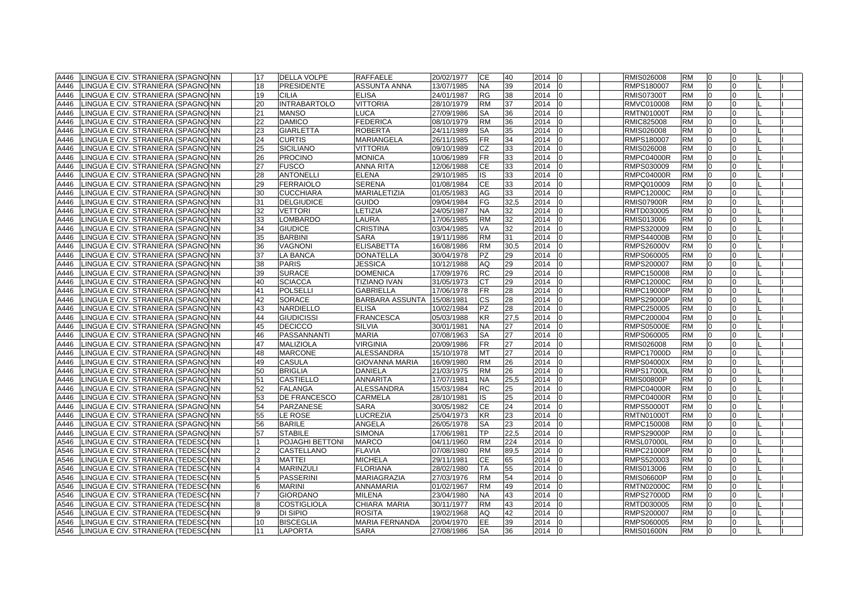| A446 | LINGUA E CIV. STRANIERA (SPAGNO NN      | 17             | <b>DELLA VOLPE</b>           | RAFFAELE               | 20/02/1977 | <b>CE</b> | 140  | 2014<br>$\overline{0}$ | RMIS026008        | <b>RM</b>              | I0             | $\Omega$     |  |
|------|-----------------------------------------|----------------|------------------------------|------------------------|------------|-----------|------|------------------------|-------------------|------------------------|----------------|--------------|--|
| A446 | LINGUA E CIV. STRANIERA (SPAGNO NN      | 18             | <b>PRESIDENTE</b>            | <b>ASSUNTA ANNA</b>    | 13/07/1985 | <b>NA</b> | 39   | 2014<br>I <sub>0</sub> | RMPS180007        | <b>RM</b>              | $\Omega$       | $\Omega$     |  |
| A446 | LINGUA E CIV. STRANIERA (SPAGNO NN      | 19             | CILIA                        | <b>ELISA</b>           | 24/01/1987 | <b>RG</b> | 38   | 2014                   | <b>RMIS07300T</b> | <b>RM</b>              | $\Omega$       | <sup>0</sup> |  |
| A446 | LINGUA E CIV. STRANIERA (SPAGNO NN      | 20             | <b>INTRABARTOLO</b>          | <b>VITTORIA</b>        | 28/10/1979 | <b>RM</b> | 37   | 2014<br>I0             | RMVC010008        | <b>RM</b>              | n              | <sup>n</sup> |  |
| A446 | LINGUA E CIV. STRANIERA (SPAGNO NN      | 21             | <b>MANSO</b>                 | <b>LUCA</b>            | 27/09/1986 | <b>SA</b> | 36   | 2014<br>$\Omega$       | <b>RMTN01000T</b> | <b>RM</b>              | $\overline{0}$ | 0            |  |
| A446 | LINGUA E CIV. STRANIERA (SPAGNO NN      | 22             | <b>DAMICO</b>                | <b>FEDERICA</b>        | 08/10/1979 | RM        | 36   | 2014<br>IΩ             | RMIC825008        | <b>RM</b>              | n              | <sup>n</sup> |  |
| A446 | LINGUA E CIV. STRANIERA (SPAGNO NN      | 23             | GIARLETTA                    | <b>ROBERTA</b>         | 24/11/1989 | SA        | 35   | 2014                   | RMIS026008        | <b>RM</b>              |                |              |  |
| A446 | LINGUA E CIV. STRANIERA (SPAGNONN       | 24             | <b>CURTIS</b>                | <b>MARIANGELA</b>      | 26/11/1985 | <b>FR</b> | 34   | 2014<br>l0             | RMPS180007        | <b>RM</b>              | $\Omega$       |              |  |
| A446 | LINGUA E CIV. STRANIERA (SPAGNONN       | 25             | <b>SICILIANO</b>             | <b>VITTORIA</b>        | 09/10/1989 | <b>CZ</b> | 33   | 2014<br>I <sub>0</sub> | RMIS026008        | <b>RM</b>              | $\overline{0}$ | $\Omega$     |  |
| A446 | LINGUA E CIV. STRANIERA (SPAGNO NN      | 26             | <b>PROCINO</b>               | <b>MONICA</b>          | 10/06/1989 | <b>FR</b> | 33   | 2014<br>$\Omega$       | <b>RMPC04000R</b> | <b>RM</b>              | $\Omega$       | $\Omega$     |  |
| A446 | LINGUA E CIV. STRANIERA (SPAGNO NN      | 27             | FUSCO                        | <b>ANNA RITA</b>       | 12/06/1988 | <b>CE</b> | 33   | 2014                   | RMPS030009        | <b>RM</b>              | $\Omega$       | <sup>0</sup> |  |
| A446 | LINGUA E CIV. STRANIERA (SPAGNO NN      | 28             | <b>ANTONELLI</b>             | <b>ELENA</b>           | 29/10/1985 | IS        | 33   | 2014<br>$\Omega$       | <b>RMPC04000R</b> | <b>RM</b>              | $\Omega$       | $\Omega$     |  |
| A446 | LINGUA E CIV. STRANIERA (SPAGNO NN      | 29             | <b>FERRAIOLO</b>             | <b>SERENA</b>          | 01/08/1984 | <b>CE</b> | 33   | 2014<br>$\overline{0}$ | RMPQ010009        | <b>RM</b>              | $\overline{0}$ | $\Omega$     |  |
| A446 |                                         | 30             | <b>CUCCHIARA</b>             | MARIALETIZIA           |            | AG        | 33   | 2014<br>$\Omega$       | <b>RMPC12000C</b> | <b>RM</b>              | 10             |              |  |
|      | LINGUA E CIV. STRANIERA (SPAGNO NN      | 31             |                              | <b>GUIDO</b>           | 01/05/1983 |           |      | I0                     |                   |                        | $\Omega$       |              |  |
| A446 | LINGUA E CIV. STRANIERA (SPAGNONN       | 32             | <b>DELGIUDICE</b><br>VETTORI |                        | 09/04/1984 | FG<br>NA. | 32,5 | 2014<br>I <sub>0</sub> | <b>RMIS07900R</b> | <b>RM</b><br><b>RM</b> | $\Omega$       |              |  |
| A446 | LINGUA E CIV. STRANIERA (SPAGNONN       |                |                              | LETIZIA                | 24/05/1987 |           | 32   | 2014                   | RMTD030005        |                        |                | $\Omega$     |  |
| A446 | LINGUA E CIV. STRANIERA (SPAGNONN       | 33             | LOMBARDO                     | LAURA                  | 17/06/1985 | <b>RM</b> | 32   | 2014<br>$\Omega$       | RMIS013006        | <b>RM</b>              | $\Omega$       |              |  |
| A446 | LINGUA E CIV. STRANIERA (SPAGNO NN      | 34             | <b>GIUDICE</b>               | <b>CRISTINA</b>        | 03/04/1985 | VA        | 32   | 2014<br>I0             | RMPS320009        | <b>RM</b>              | $\Omega$       | $\Omega$     |  |
| A446 | LINGUA E CIV. STRANIERA (SPAGNO NN      | 35             | <b>BARBINI</b>               | <b>SARA</b>            | 19/11/1986 | <b>RM</b> | 31   | 2014<br>$\Omega$       | <b>RMPS44000B</b> | <b>RM</b>              | $\overline{0}$ | $\Omega$     |  |
| A446 | LINGUA E CIV. STRANIERA (SPAGNO NN      | 36             | <b>VAGNONI</b>               | <b>ELISABETTA</b>      | 16/08/1986 | <b>RM</b> | 30,5 | 2014                   | <b>RMPS26000V</b> | <b>RM</b>              | $\Omega$       | $\Omega$     |  |
| A446 | LINGUA E CIV. STRANIERA (SPAGNO NN      | 37             | LA BANCA                     | <b>DONATELLA</b>       | 30/04/1978 | PZ        | 29   | 2014                   | RMPS060005        | <b>RM</b>              | $\Omega$       | <sup>0</sup> |  |
| A446 | LINGUA E CIV. STRANIERA (SPAGNO NN      | 38             | <b>PARIS</b>                 | <b>JESSICA</b>         | 10/12/1988 | AQ        | 29   | 2014                   | RMPS200007        | <b>RM</b>              | n              | U            |  |
| A446 | LINGUA E CIV. STRANIERA (SPAGNO NN      | 39             | <b>SURACE</b>                | <b>DOMENICA</b>        | 17/09/1976 | <b>RC</b> | 29   | 2014                   | RMPC150008        | <b>RM</b>              | $\Omega$       |              |  |
| A446 | LINGUA E CIV. STRANIERA (SPAGNONN       | 40             | <b>SCIACCA</b>               | <b>TIZIANO IVAN</b>    | 31/05/1973 | <b>CT</b> | 29   | 2014<br>I٥             | <b>RMPC12000C</b> | <b>RM</b>              | $\Omega$       | $\Omega$     |  |
| A446 | LINGUA E CIV. STRANIERA (SPAGNONN       | 41             | <b>POLSELLI</b>              | <b>GABRIELLA</b>       | 17/06/1978 | <b>FR</b> | 28   | 2014<br>In             | <b>RMPC19000P</b> | <b>RM</b>              | $\Omega$       | $\Omega$     |  |
| A446 | LINGUA E CIV. STRANIERA (SPAGNO NN      | 42             | <b>SORACE</b>                | <b>BARBARA ASSUNTA</b> | 15/08/1981 | <b>CS</b> | 28   | 2014<br>$\Omega$       | <b>RMPS29000P</b> | <b>RM</b>              | $\Omega$       | $\Omega$     |  |
| A446 | LINGUA E CIV. STRANIERA (SPAGNO NN      | 43             | NARDIELLO                    | <b>ELISA</b>           | 10/02/1984 | PZ        | 28   | 2014<br>10             | RMPC250005        | <b>RM</b>              | $\overline{0}$ | $\Omega$     |  |
| A446 | LINGUA E CIV. STRANIERA (SPAGNO NN      | 44             | <b>GIUDICISSI</b>            | <b>FRANCESCA</b>       | 05/03/1988 | <b>KR</b> | 27,5 | 2014<br>$\Omega$       | RMPC200004        | <b>RM</b>              | $\overline{0}$ | $\Omega$     |  |
| A446 | LINGUA E CIV. STRANIERA (SPAGNONN       | 45             | <b>DECICCO</b>               | <b>SILVIA</b>          | 30/01/1981 | NA        | 27   | 2014<br>$\Omega$       | <b>RMPS05000E</b> | <b>RM</b>              | n              | n            |  |
| A446 | LINGUA E CIV. STRANIERA (SPAGNONN       | 46             | PASSANNANTI                  | <b>MARIA</b>           | 07/08/1963 | SA        | 27   | 2014                   | RMPS060005        | <b>RM</b>              |                |              |  |
| A446 | LINGUA E CIV. STRANIERA (SPAGNONN       | 47             | MALIZIOLA                    | <b>VIRGINIA</b>        | 20/09/1986 | FR.       | 27   | 2014<br>$\overline{0}$ | RMIS026008        | <b>RM</b>              | $\Omega$       |              |  |
| A446 | LINGUA E CIV. STRANIERA (SPAGNONN       | 48             | <b>MARCONE</b>               | <b>ALESSANDRA</b>      | 15/10/1978 | <b>MT</b> | 27   | 2014<br>$\overline{0}$ | <b>RMPC17000D</b> | <b>RM</b>              | $\overline{0}$ | $\Omega$     |  |
| A446 | LINGUA E CIV. STRANIERA (SPAGNONN       | 49             | <b>CASULA</b>                | <b>GIOVANNA MARIA</b>  | 16/09/1980 | <b>RM</b> | 26   | 2014<br>$\Omega$       | <b>RMPS04000X</b> | <b>RM</b>              | $\Omega$       | $\Omega$     |  |
| A446 | LINGUA E CIV. STRANIERA (SPAGNO NN      | 50             | <b>BRIGLIA</b>               | <b>DANIELA</b>         | 21/03/1975 | <b>RM</b> | 26   | 2014                   | <b>RMPS17000L</b> | <b>RM</b>              | $\Omega$       | <sup>0</sup> |  |
| A446 | LINGUA E CIV. STRANIERA (SPAGNO NN      | 51             | <b>CASTIELLO</b>             | <b>ANNARITA</b>        | 17/07/1981 | <b>NA</b> | 25,5 | 2014                   | <b>RMIS00800P</b> | <b>RM</b>              | $\Omega$       | $\Omega$     |  |
| A446 | LINGUA E CIV. STRANIERA (SPAGNO NN      | 52             | <b>FALANGA</b>               | <b>ALESSANDRA</b>      | 15/03/1984 | <b>RC</b> | 25   | 2014<br>-10            | <b>RMPC04000R</b> | <b>RM</b>              | $\overline{0}$ | $\Omega$     |  |
| A446 | LINGUA E CIV. STRANIERA (SPAGNONN       | 53             | DE FRANCESCO                 | CARMELA                | 28/10/1981 | IS        | 25   | 2014<br>$\Omega$       | <b>RMPC04000R</b> | <b>RM</b>              | $\Omega$       | <sup>0</sup> |  |
| A446 | LINGUA E CIV. STRANIERA (SPAGNO NN      | 54             | PARZANESE                    | <b>SARA</b>            | 30/05/1982 | CЕ        | 24   | 2014                   | <b>RMPS50000T</b> | <b>RM</b>              |                |              |  |
| A446 | LINGUA E CIV. STRANIERA (SPAGNONN       | 55             | LE ROSE                      | LUCREZIA               | 25/04/1973 | ΚR        | 23   | 2014<br>I٥             | <b>RMTN01000T</b> | <b>RM</b>              | $\Omega$       |              |  |
| A446 | LINGUA E CIV. STRANIERA (SPAGNO NN      | 56             | <b>BARILE</b>                | ANGELA                 | 26/05/1978 | <b>SA</b> | 23   | 2014<br>10             | RMPC150008        | <b>RM</b>              | $\Omega$       | $\Omega$     |  |
| A446 | LINGUA E CIV. STRANIERA (SPAGNO NN      | 57             | <b>STABILE</b>               | <b>SIMONA</b>          | 17/06/1981 | TP.       | 22,5 | 2014                   | <b>RMPS29000P</b> | <b>RM</b>              | $\overline{0}$ | 0            |  |
| A546 | LINGUA E CIV. STRANIERA (TEDESCINN      |                | POJAGHI BETTONI              | <b>MARCO</b>           | 04/11/1960 | <b>RM</b> | 224  | 2014                   | <b>RMSL07000L</b> | <b>RM</b>              | $\Omega$       | <sup>0</sup> |  |
| A546 | LINGUA E CIV. STRANIERA (TEDESCONN      | $\overline{2}$ | CASTELLANO                   | <b>FLAVIA</b>          | 07/08/1980 | <b>RM</b> | 89,5 | 2014<br>I0             | <b>RMPC21000P</b> | <b>RM</b>              | $\Omega$       | $\Omega$     |  |
| A546 | LINGUA E CIV. STRANIERA (TEDESCONN      | 3              | <b>MATTEI</b>                | <b>MICHELA</b>         | 29/11/1981 | <b>CE</b> | 65   | 2014<br>$\Omega$       | RMPS520003        | <b>RM</b>              | $\overline{0}$ | $\Omega$     |  |
| A546 | LINGUA E CIV. STRANIERA (TEDESCONN      | $\overline{4}$ | <b>MARINZULI</b>             | <b>FLORIANA</b>        | 28/02/1980 | TA        | 55   | 2014<br>IΩ             | RMIS013006        | <b>RM</b>              | n              | <sup>n</sup> |  |
| A546 | LINGUA E CIV. STRANIERA (TEDESCONN      |                | PASSERINI                    | MARIAGRAZIA            | 27/03/1976 | <b>RM</b> | 54   | 2014                   | <b>RMIS06600P</b> | <b>RM</b>              |                |              |  |
| A546 | LINGUA E CIV. STRANIERA (TEDESCONN      |                | MARINI                       | <b>ANNAMARIA</b>       | 01/02/1967 | <b>RM</b> | 49   | 2014<br>l0             | <b>RMTN02000C</b> | <b>RM</b>              | $\Omega$       | $\Omega$     |  |
| A546 | LINGUA E CIV. STRANIERA (TEDESCONN      | $\overline{7}$ | <b>GIORDANO</b>              | <b>MILENA</b>          | 23/04/1980 | <b>NA</b> | 43   | 2014<br>I <sub>0</sub> | <b>RMPS27000D</b> | <b>RM</b>              | $\overline{0}$ | $\Omega$     |  |
| A546 | LINGUA E CIV. STRANIERA (TEDESCONN      | 8              | <b>COSTIGLIOLA</b>           | CHIARA MARIA           | 30/11/1977 | <b>RM</b> | 43   | 2014<br>$\Omega$       | RMTD030005        | <b>RM</b>              | $\Omega$       | $\Omega$     |  |
| A546 | LINGUA E CIV. STRANIERA (TEDESCONN      | q              | DI SIPIO                     | <b>ROSITA</b>          | 19/02/1968 | AQ        | 42   | 2014                   | RMPS200007        | <b>RM</b>              | $\Omega$       | <sup>0</sup> |  |
| A546 | LINGUA E CIV. STRANIERA (TEDESCONN      | 10             | <b>BISCEGLIA</b>             | MARIA FERNANDA         | 20/04/1970 | EE        | 39   | 2014<br>In             | RMPS060005        | <b>RM</b>              | 0              | $\Omega$     |  |
|      | A546 LINGUA E CIV. STRANIERA (TEDESCONN | 11             | <b>LAPORTA</b>               | <b>SARA</b>            | 27/08/1986 | <b>SA</b> | 36   | 2014 0                 | <b>RMIS01600N</b> | <b>RM</b>              | 0              | $\Omega$     |  |
|      |                                         |                |                              |                        |            |           |      |                        |                   |                        |                |              |  |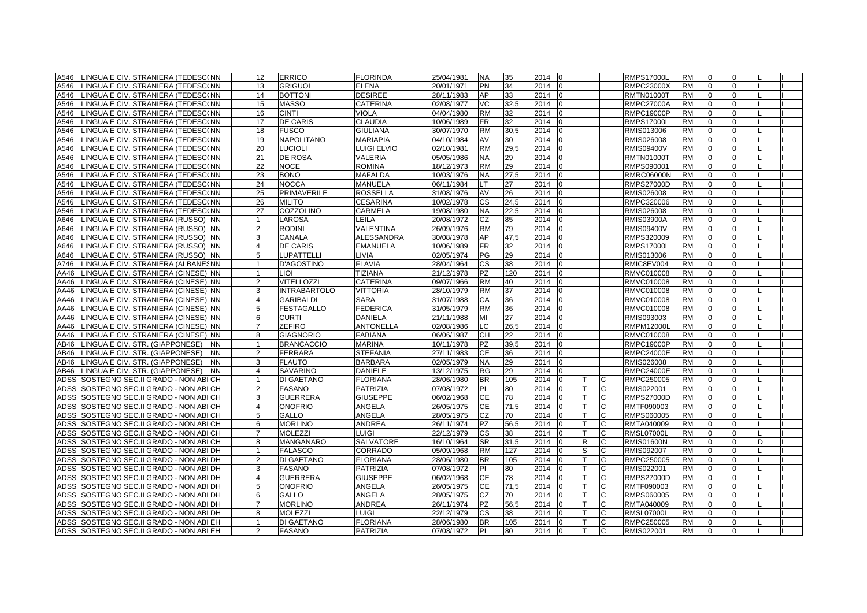| A546 | LINGUA E CIV. STRANIERA (TEDESCONN           | 12             | <b>ERRICO</b>       | <b>FLORINDA</b>    | 25/04/1981 | <b>NA</b> | 35   | 2014 | 10 |   |    | <b>RMPS17000L</b> | <b>RM</b> | 0              | 0              |  |
|------|----------------------------------------------|----------------|---------------------|--------------------|------------|-----------|------|------|----|---|----|-------------------|-----------|----------------|----------------|--|
| A546 | LINGUA E CIV. STRANIERA (TEDESCONN           | 13             | <b>GRIGUOL</b>      | <b>ELENA</b>       | 20/01/1971 | PN        | 34   | 2014 |    |   |    | <b>RMPC23000X</b> | <b>RM</b> | l0             | $\overline{0}$ |  |
| A546 | LINGUA E CIV. STRANIERA (TEDESC(NN           | 14             | <b>BOTTONI</b>      | <b>DESIREE</b>     | 28/11/1983 | AP        | 33   | 2014 |    |   |    | <b>RMTN01000T</b> | <b>RM</b> | $\Omega$       | $\Omega$       |  |
| A546 | LINGUA E CIV. STRANIERA (TEDESCONN           | 15             | <b>MASSO</b>        | <b>CATERINA</b>    | 02/08/1977 | VC        | 32,5 | 2014 |    |   |    | RMPC27000A        | <b>RM</b> | $\overline{0}$ | 0              |  |
| A546 | LINGUA E CIV. STRANIERA (TEDESC(NN           | 16             | <b>CINTI</b>        | <b>VIOLA</b>       | 04/04/1980 | <b>RM</b> | 32   | 2014 |    |   |    | RMPC19000P        | <b>RM</b> | $\overline{0}$ | 0              |  |
| A546 | LINGUA E CIV. STRANIERA (TEDESCONN           | 17             | <b>DE CARIS</b>     | <b>CLAUDIA</b>     | 10/06/1989 | FR        | 32   | 2014 |    |   |    | <b>RMPS17000L</b> | RM        | 0              | 0              |  |
| A546 | LINGUA E CIV. STRANIERA (TEDESC(NN           | 18             | <b>FUSCO</b>        | <b>GIULIANA</b>    | 30/07/1970 | RM        | 30,5 | 2014 |    |   |    | RMIS013006        | <b>RM</b> | $\Omega$       | $\Omega$       |  |
| A546 | LINGUA E CIV. STRANIERA (TEDESCONN           | 19             | <b>NAPOLITANO</b>   | <b>MARIAPIA</b>    | 04/10/1984 | AV        | 30   | 2014 |    |   |    | RMIS026008        | <b>RM</b> | $\Omega$       | $\Omega$       |  |
| A546 | LINGUA E CIV. STRANIERA (TEDESCONN           | 20             | <b>LUCIOLI</b>      | <b>LUIGI ELVIO</b> | 02/10/1981 | <b>RM</b> | 29,5 | 2014 |    |   |    | <b>RMIS09400V</b> | <b>RM</b> | $\overline{0}$ | $\Omega$       |  |
| A546 | LINGUA E CIV. STRANIERA (TEDESCONN           | 21             | <b>DE ROSA</b>      | <b>VALERIA</b>     | 05/05/1986 | NA.       | 29   | 2014 |    |   |    | <b>RMTN01000T</b> | <b>RM</b> | $\overline{0}$ | $\Omega$       |  |
| A546 | LINGUA E CIV. STRANIERA (TEDESC(NN           | 22             | <b>NOCE</b>         | <b>ROMINA</b>      | 18/12/1973 | RM        | 29   | 2014 |    |   |    | RMPS090001        | <b>RM</b> | $\Omega$       | $\Omega$       |  |
| A546 | LINGUA E CIV. STRANIERA (TEDESC(NN           | 23             | <b>BONO</b>         | <b>MAFALDA</b>     | 10/03/1976 | NA        | 27,5 | 2014 |    |   |    | <b>RMRC06000N</b> | <b>RM</b> | $\overline{0}$ | $\Omega$       |  |
| A546 | LINGUA E CIV. STRANIERA (TEDESCONN           | 24             | <b>NOCCA</b>        | <b>MANUELA</b>     | 06/11/1984 | т         | 27   | 2014 |    |   |    | <b>RMPS27000D</b> | <b>RM</b> | $\overline{0}$ | $\Omega$       |  |
| A546 | LINGUA E CIV. STRANIERA (TEDESC(NN           | 25             | PRIMAVERILE         | <b>ROSSELLA</b>    | 31/08/1976 | AV        | 26   | 2014 |    |   |    | RMIS026008        | <b>RM</b> | $\overline{0}$ | $\Omega$       |  |
| A546 | LINGUA E CIV. STRANIERA (TEDESC(NN           | 26             | <b>MILITO</b>       | <b>CESARINA</b>    | 10/02/1978 | СS        | 24,5 | 2014 |    |   |    | RMPC320006        | <b>RM</b> | 0              | 0              |  |
| A546 | LINGUA E CIV. STRANIERA (TEDESCONN           | 27             | <b>COZZOLINO</b>    | <b>CARMELA</b>     | 19/08/1980 | NA.       | 22,5 | 2014 |    |   |    | RMIS026008        | <b>RM</b> | $\overline{0}$ | $\Omega$       |  |
| A646 | LINGUA E CIV. STRANIERA (RUSSO) NN           |                | <b>LAROSA</b>       | LEILA              | 20/08/1972 | CZ        | 85   | 2014 |    |   |    | <b>RMIS03900A</b> | <b>RM</b> | $\Omega$       | $\Omega$       |  |
| A646 | LINGUA E CIV. STRANIERA (RUSSO) NN           |                | <b>RODINI</b>       | VALENTINA          | 26/09/1976 | <b>RM</b> | 79   | 2014 |    |   |    | <b>RMIS09400V</b> | <b>RM</b> | $\overline{0}$ | $\Omega$       |  |
| A646 | LINGUA E CIV. STRANIERA (RUSSO) NN           | 3              | <b>CANALA</b>       | <b>ALESSANDRA</b>  | 30/08/1978 | AP        | 47,5 | 2014 |    |   |    | RMPS320009        | <b>RM</b> | $\Omega$       | $\Omega$       |  |
| A646 | LINGUA E CIV. STRANIERA (RUSSO) NN           | $\overline{4}$ | <b>DE CARIS</b>     | <b>EMANUELA</b>    | 10/06/1989 | FR        | 32   | 2014 |    |   |    | <b>RMPS17000L</b> | <b>RM</b> | 0              | $\Omega$       |  |
| A646 | LINGUA E CIV. STRANIERA (RUSSO) NN           |                | <b>LUPATTELLI</b>   | <b>LIVIA</b>       | 02/05/1974 | <b>PG</b> | 29   | 2014 |    |   |    | RMIS013006        | <b>RM</b> | $\overline{0}$ | $\Omega$       |  |
| A746 | LINGUA E CIV. STRANIERA (ALBANESNN           |                | <b>D'AGOSTINO</b>   | <b>FLAVIA</b>      | 28/04/1964 | CS        | 38   | 2014 |    |   |    | RMIC8EV004        | <b>RM</b> | $\Omega$       | $\Omega$       |  |
| AA46 | LINGUA E CIV. STRANIERA (CINESE) INN         |                | LIOI                | <b>TIZIANA</b>     | 21/12/1978 | PZ        | 120  | 2014 |    |   |    | RMVC010008        | <b>RM</b> | $\Omega$       | $\Omega$       |  |
| AA46 | LINGUA E CIV. STRANIERA (CINESE) NN          |                | <b>VITELLOZZI</b>   | CATERINA           | 09/07/1966 | <b>RM</b> | 40   | 2014 |    |   |    | RMVC010008        | <b>RM</b> | $\Omega$       | $\Omega$       |  |
| AA46 | LINGUA E CIV. STRANIERA (CINESE) INN         | 3              | <b>INTRABARTOLO</b> | <b>VITTORIA</b>    | 28/10/1979 | RM        | 37   | 2014 |    |   |    | RMVC010008        | <b>RM</b> | $\Omega$       | $\Omega$       |  |
| AA46 | LINGUA E CIV. STRANIERA (CINESE) INN         |                | <b>GARIBALDI</b>    | <b>SARA</b>        | 31/07/1988 | СA        | 36   | 2014 |    |   |    | RMVC010008        | <b>RM</b> | $\Omega$       | $\Omega$       |  |
| AA46 | LINGUA E CIV. STRANIERA (CINESE) INN         | 5              | FESTAGALLO          | <b>FEDERICA</b>    | 31/05/1979 | RM        | 36   | 2014 |    |   |    | RMVC010008        | <b>RM</b> | $\Omega$       | $\Omega$       |  |
| AA46 | LINGUA E CIV. STRANIERA (CINESE) INN         | 16             | <b>CURTI</b>        | <b>DANIELA</b>     | 21/11/1988 | MI        | 27   | 2014 |    |   |    | RMIS093003        | <b>RM</b> | 10             | 0              |  |
| AA46 | LINGUA E CIV. STRANIERA (CINESE) NN          |                | <b>ZEFIRO</b>       | <b>ANTONELLA</b>   | 02/08/1986 | LC.       | 26,5 | 2014 |    |   |    | RMPM12000L        | <b>RM</b> | $\overline{0}$ | 0              |  |
| AA46 | LINGUA E CIV. STRANIERA (CINESE) INN         |                | <b>GIAGNORIO</b>    | <b>FABIANA</b>     | 06/06/1987 | CН        | 22   | 2014 |    |   |    | RMVC010008        | <b>RM</b> | $\Omega$       | $\Omega$       |  |
| AB46 | LINGUA E CIV. STR. (GIAPPONESE)<br><b>NN</b> |                | <b>BRANCACCIO</b>   | <b>MARINA</b>      | 10/11/1978 | ΡZ        | 39,5 | 2014 |    |   |    | RMPC19000P        | RM        |                | <sup>0</sup>   |  |
| AB46 | LINGUA E CIV. STR. (GIAPPONESE)<br><b>NN</b> |                | <b>FERRARA</b>      | <b>STEFANIA</b>    | 27/11/1983 | СE        | 36   | 2014 |    |   |    | <b>RMPC24000E</b> | <b>RM</b> | $\overline{0}$ | $\Omega$       |  |
| AB46 | LINGUA E CIV. STR. (GIAPPONESE)<br><b>NN</b> |                | <b>FLAUTO</b>       | <b>BARBARA</b>     | 02/05/1979 | NA        | 29   | 2014 |    |   |    | RMIS026008        | <b>RM</b> | $\overline{0}$ | $\Omega$       |  |
| AB46 | LINGUA E CIV. STR. (GIAPPONESE)<br><b>NN</b> | $\overline{4}$ | <b>SAVARINO</b>     | <b>DANIELE</b>     | 13/12/1975 | RG        | 29   | 2014 |    |   |    | <b>RMPC24000E</b> | <b>RM</b> | $\overline{0}$ | $\overline{0}$ |  |
| ADSS | SOSTEGNO SEC.II GRADO - NON ABICH            |                | <b>DI GAETANO</b>   | <b>FLORIANA</b>    | 28/06/1980 | BR.       | 105  | 2014 |    |   | C  | RMPC250005        | <b>RM</b> | $\overline{0}$ | $\Omega$       |  |
|      | ADSS SOSTEGNO SEC.II GRADO - NON ABICH       |                | <b>FASANO</b>       | <b>PATRIZIA</b>    | 07/08/1972 | PI        | 80   | 2014 |    |   | C  | RMIS022001        | <b>RM</b> | $\overline{0}$ | 0              |  |
| ADSS | SOSTEGNO SEC.II GRADO - NON ABICH            | 3              | <b>GUERRERA</b>     | <b>GIUSEPPE</b>    | 06/02/1968 | СE        | 78   | 2014 |    |   | C  | <b>RMPS27000D</b> | <b>RM</b> | $\overline{0}$ | $\Omega$       |  |
|      | ADSS SOSTEGNO SEC.II GRADO - NON ABICH       | $\overline{4}$ | <b>ONOFRIO</b>      | ANGELA             | 26/05/1975 | СE        | 71,5 | 2014 |    |   | C  | RMTF090003        | <b>RM</b> | 0              | 0              |  |
|      | ADSS SOSTEGNO SEC.II GRADO - NON ABICH       |                | <b>GALLO</b>        | ANGELA             | 28/05/1975 | CZ        | 70   | 2014 |    |   | C  | RMPS060005        | <b>RM</b> | $\Omega$       | <sup>0</sup>   |  |
|      | ADSS SOSTEGNO SEC.II GRADO - NON ABICH       |                | <b>MORLINO</b>      | <b>ANDREA</b>      | 26/11/1974 | PZ        | 56,5 | 2014 |    |   |    | RMTA040009        | <b>RM</b> |                | $\Omega$       |  |
|      | ADSS SOSTEGNO SEC.II GRADO - NON ABICH       |                | <b>MOLEZZI</b>      | <b>LUIGI</b>       | 22/12/1979 | СS        | 38   | 2014 |    |   |    | <b>RMSL07000L</b> | <b>RM</b> | $\overline{0}$ | $\Omega$       |  |
|      | ADSS SOSTEGNO SEC.II GRADO - NON ABICH       | 8              | <b>MANGANARO</b>    | <b>SALVATORE</b>   | 16/10/1964 | <b>SR</b> | 31,5 | 2014 |    | R | C  | <b>RMIS01600N</b> | <b>RM</b> | $\Omega$       | $\Omega$       |  |
|      | ADSS SOSTEGNO SEC.II GRADO - NON ABI DH      |                | <b>FALASCO</b>      | CORRADO            | 05/09/1968 | RM        | 127  | 2014 |    | S | C  | RMIS092007        | <b>RM</b> | $\Omega$       | $\Omega$       |  |
|      | ADSS SOSTEGNO SEC.II GRADO - NON ABI DH      |                | <b>DI GAETANO</b>   | <b>FLORIANA</b>    | 28/06/1980 | BR.       | 105  | 2014 |    |   | C. | RMPC250005        | <b>RM</b> | $\Omega$       | $\Omega$       |  |
|      | ADSS SOSTEGNO SEC.II GRADO - NON ABI DH      | 3              | <b>FASANO</b>       | <b>PATRIZIA</b>    | 07/08/1972 | PI        | 80   | 2014 |    |   | C. | RMIS022001        | <b>RM</b> | l0             | $\Omega$       |  |
|      | ADSS SOSTEGNO SEC.II GRADO - NON ABI DH      |                | <b>GUERRERA</b>     | <b>GIUSEPPE</b>    | 06/02/1968 | СE        | 78   | 2014 |    |   | C  | <b>RMPS27000D</b> | <b>RM</b> | $\overline{0}$ | $\Omega$       |  |
|      | ADSS SOSTEGNO SEC.II GRADO - NON ABI DH      | 5              | <b>ONOFRIO</b>      | ANGELA             | 26/05/1975 | СE        | 71,5 | 2014 |    |   | C  | RMTF090003        | <b>RM</b> | $\Omega$       | $\Omega$       |  |
|      | ADSS SOSTEGNO SEC.II GRADO - NON ABI DH      |                | <b>GALLO</b>        | ANGELA             | 28/05/1975 | CZ        | 70   | 2014 |    |   |    | RMPS060005        | <b>RM</b> | $\Omega$       | $\Omega$       |  |
|      | ADSS SOSTEGNO SEC.II GRADO - NON ABI DH      |                | <b>MORLINO</b>      | <b>ANDREA</b>      | 26/11/1974 | <b>PZ</b> | 56,5 | 2014 |    |   | C  | RMTA040009        | <b>RM</b> | $\Omega$       | $\Omega$       |  |
|      | ADSS SOSTEGNO SEC.II GRADO - NON ABILDH      |                | <b>MOLEZZI</b>      | LUIGI              | 22/12/1979 | CS        | 38   | 2014 |    |   | C  | <b>RMSL07000L</b> | <b>RM</b> | $\Omega$       | $\Omega$       |  |
|      | ADSS SOSTEGNO SEC.II GRADO - NON ABILEH      |                | <b>DI GAETANO</b>   | <b>FLORIANA</b>    | 28/06/1980 | <b>BR</b> | 105  | 2014 |    |   | C. | RMPC250005        | <b>RM</b> | l0             | $\Omega$       |  |
|      | ADSS SOSTEGNO SEC.II GRADO - NON ABIEH       |                | <b>FASANO</b>       | <b>PATRIZIA</b>    | 07/08/1972 | PI        | 80   | 2014 | l0 |   | C  | RMIS022001        | <b>RM</b> | $\Omega$       | $\Omega$       |  |